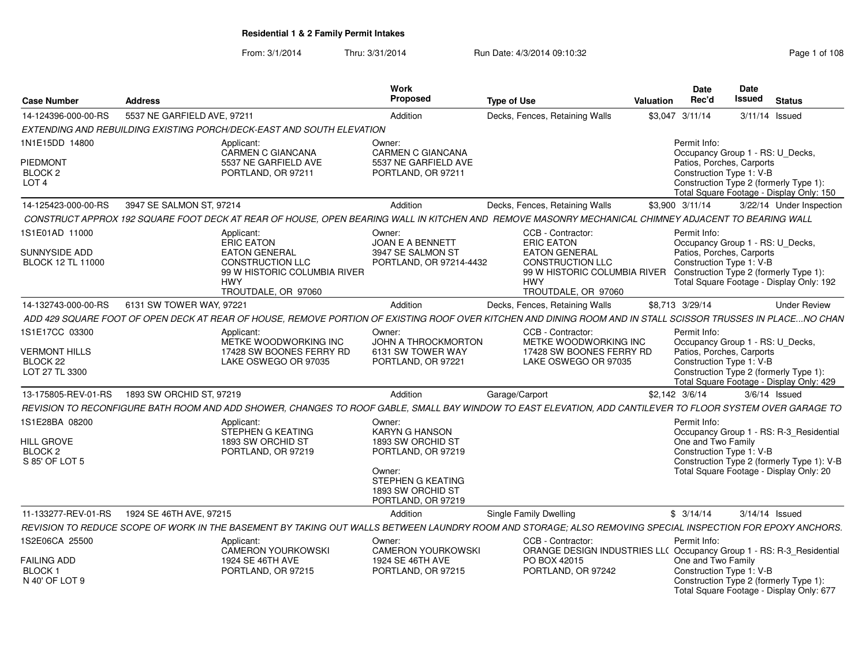| <b>Case Number</b>                                                              | <b>Address</b>              |                                                                                                                                                              | <b>Work</b><br>Proposed                                                                                                                              | <b>Type of Use</b>                                                                                                                                          | <b>Valuation</b> | <b>Date</b><br>Rec'd                                                  | Date<br><b>Issued</b> | <b>Status</b>                                                                                                                    |
|---------------------------------------------------------------------------------|-----------------------------|--------------------------------------------------------------------------------------------------------------------------------------------------------------|------------------------------------------------------------------------------------------------------------------------------------------------------|-------------------------------------------------------------------------------------------------------------------------------------------------------------|------------------|-----------------------------------------------------------------------|-----------------------|----------------------------------------------------------------------------------------------------------------------------------|
| 14-124396-000-00-RS                                                             | 5537 NE GARFIELD AVE, 97211 |                                                                                                                                                              | Addition                                                                                                                                             | Decks, Fences, Retaining Walls                                                                                                                              |                  | \$3,047 3/11/14                                                       |                       | $3/11/14$ Issued                                                                                                                 |
|                                                                                 |                             | EXTENDING AND REBUILDING EXISTING PORCH/DECK-EAST AND SOUTH ELEVATION                                                                                        |                                                                                                                                                      |                                                                                                                                                             |                  |                                                                       |                       |                                                                                                                                  |
| 1N1E15DD 14800                                                                  |                             | Applicant:<br>CARMEN C GIANCANA                                                                                                                              | Owner:<br><b>CARMEN C GIANCANA</b>                                                                                                                   |                                                                                                                                                             |                  | Permit Info:                                                          |                       | Occupancy Group 1 - RS: U_Decks,                                                                                                 |
| <b>PIEDMONT</b><br>BLOCK <sub>2</sub><br>LOT <sub>4</sub>                       |                             | 5537 NE GARFIELD AVE<br>PORTLAND, OR 97211                                                                                                                   | 5537 NE GARFIELD AVE<br>PORTLAND, OR 97211                                                                                                           |                                                                                                                                                             |                  | Patios, Porches, Carports<br>Construction Type 1: V-B                 |                       | Construction Type 2 (formerly Type 1):<br>Total Square Footage - Display Only: 150                                               |
| 14-125423-000-00-RS                                                             | 3947 SE SALMON ST, 97214    |                                                                                                                                                              | Addition                                                                                                                                             | Decks, Fences, Retaining Walls                                                                                                                              |                  | \$3,900 3/11/14                                                       |                       | 3/22/14 Under Inspection                                                                                                         |
|                                                                                 |                             | CONSTRUCT APPROX 192 SQUARE FOOT DECK AT REAR OF HOUSE, OPEN BEARING WALL IN KITCHEN AND REMOVE MASONRY MECHANICAL CHIMNEY ADJACENT TO BEARING WALL          |                                                                                                                                                      |                                                                                                                                                             |                  |                                                                       |                       |                                                                                                                                  |
| 1S1E01AD 11000                                                                  |                             | Applicant:<br>ERIC EATON                                                                                                                                     | Owner:<br>JOAN E A BENNETT                                                                                                                           | CCB - Contractor:<br><b>ERIC EATON</b>                                                                                                                      |                  | Permit Info:                                                          |                       | Occupancy Group 1 - RS: U Decks,                                                                                                 |
| SUNNYSIDE ADD<br>BLOCK 12 TL 11000                                              |                             | <b>EATON GENERAL</b><br><b>CONSTRUCTION LLC</b><br>99 W HISTORIC COLUMBIA RIVER<br><b>HWY</b><br>TROUTDALE, OR 97060                                         | 3947 SE SALMON ST<br>PORTLAND, OR 97214-4432                                                                                                         | <b>EATON GENERAL</b><br><b>CONSTRUCTION LLC</b><br>99 W HISTORIC COLUMBIA RIVER Construction Type 2 (formerly Type 1):<br><b>HWY</b><br>TROUTDALE, OR 97060 |                  | Patios, Porches, Carports<br>Construction Type 1: V-B                 |                       | Total Square Footage - Display Only: 192                                                                                         |
| 14-132743-000-00-RS                                                             | 6131 SW TOWER WAY, 97221    |                                                                                                                                                              | Addition                                                                                                                                             | Decks, Fences, Retaining Walls                                                                                                                              |                  | \$8,713 3/29/14                                                       |                       | <b>Under Review</b>                                                                                                              |
|                                                                                 |                             | ADD 429 SQUARE FOOT OF OPEN DECK AT REAR OF HOUSE, REMOVE PORTION OF EXISTING ROOF OVER KITCHEN AND DINING ROOM AND IN STALL SCISSOR TRUSSES IN PLACENO CHAN |                                                                                                                                                      |                                                                                                                                                             |                  |                                                                       |                       |                                                                                                                                  |
| 1S1E17CC 03300<br><b>VERMONT HILLS</b><br>BLOCK <sub>22</sub><br>LOT 27 TL 3300 |                             | Applicant:<br>METKE WOODWORKING INC<br>17428 SW BOONES FERRY RD<br>LAKE OSWEGO OR 97035                                                                      | Owner:<br>JOHN A THROCKMORTON<br>6131 SW TOWER WAY<br>PORTLAND, OR 97221                                                                             | CCB - Contractor:<br>METKE WOODWORKING INC<br>17428 SW BOONES FERRY RD<br>LAKE OSWEGO OR 97035                                                              |                  | Permit Info:<br>Patios, Porches, Carports<br>Construction Type 1: V-B |                       | Occupancy Group 1 - RS: U_Decks,<br>Construction Type 2 (formerly Type 1):<br>Total Square Footage - Display Only: 429           |
| 13-175805-REV-01-RS                                                             | 1893 SW ORCHID ST, 97219    |                                                                                                                                                              | Addition                                                                                                                                             | Garage/Carport                                                                                                                                              |                  | \$2,142 3/6/14                                                        |                       | $3/6/14$ Issued                                                                                                                  |
|                                                                                 |                             | REVISION TO RECONFIGURE BATH ROOM AND ADD SHOWER, CHANGES TO ROOF GABLE, SMALL BAY WINDOW TO EAST ELEVATION, ADD CANTILEVER TO FLOOR SYSTEM OVER GARAGE TO   |                                                                                                                                                      |                                                                                                                                                             |                  |                                                                       |                       |                                                                                                                                  |
| 1S1E28BA 08200<br><b>HILL GROVE</b><br>BLOCK <sub>2</sub><br>S 85' OF LOT 5     |                             | Applicant:<br>STEPHEN G KEATING<br>1893 SW ORCHID ST<br>PORTLAND, OR 97219                                                                                   | Owner:<br><b>KARYN G HANSON</b><br>1893 SW ORCHID ST<br>PORTLAND, OR 97219<br>Owner:<br>STEPHEN G KEATING<br>1893 SW ORCHID ST<br>PORTLAND, OR 97219 |                                                                                                                                                             |                  | Permit Info:<br>One and Two Family<br>Construction Type 1: V-B        |                       | Occupancy Group 1 - RS: R-3 Residential<br>Construction Type 2 (formerly Type 1): V-B<br>Total Square Footage - Display Only: 20 |
| 11-133277-REV-01-RS                                                             | 1924 SE 46TH AVE, 97215     |                                                                                                                                                              | Addition                                                                                                                                             | Single Family Dwelling                                                                                                                                      |                  | \$3/14/14                                                             |                       | 3/14/14 Issued                                                                                                                   |
|                                                                                 |                             | REVISION TO REDUCE SCOPE OF WORK IN THE BASEMENT BY TAKING OUT WALLS BETWEEN LAUNDRY ROOM AND STORAGE; ALSO REMOVING SPECIAL INSPECTION FOR EPOXY ANCHORS.   |                                                                                                                                                      |                                                                                                                                                             |                  |                                                                       |                       |                                                                                                                                  |
| 1S2E06CA 25500                                                                  |                             | Applicant:<br><b>CAMERON YOURKOWSKI</b>                                                                                                                      | Owner:<br><b>CAMERON YOURKOWSKI</b>                                                                                                                  | CCB - Contractor:<br>ORANGE DESIGN INDUSTRIES LL( Occupancy Group 1 - RS: R-3_Residential                                                                   |                  | Permit Info:                                                          |                       |                                                                                                                                  |
| <b>FAILING ADD</b><br><b>BLOCK1</b><br>N 40' OF LOT 9                           |                             | 1924 SE 46TH AVE<br>PORTLAND, OR 97215                                                                                                                       | 1924 SE 46TH AVE<br>PORTLAND, OR 97215                                                                                                               | PO BOX 42015<br>PORTLAND, OR 97242                                                                                                                          |                  | One and Two Family<br>Construction Type 1: V-B                        |                       | Construction Type 2 (formerly Type 1):<br>Total Square Footage - Display Only: 677                                               |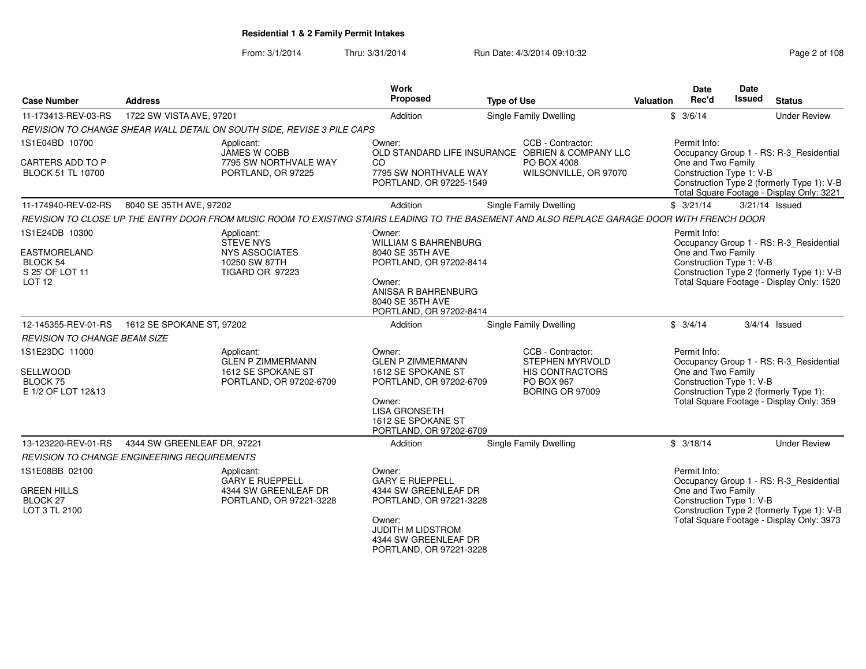#### From: 3/1/2014Thru: 3/31/2014 **Run Date: 4/3/2014 09:10:32** Pag

| Page 2 of 108 |  |  |  |  |  |
|---------------|--|--|--|--|--|
|---------------|--|--|--|--|--|

| <b>Case Number</b>                                                             | <b>Address</b>                                                                                                                               | Work<br>Proposed                                                                | <b>Type of Use</b>                                                    | Valuation | Date<br>Rec'd                                  | Date<br><b>Issued</b> | <b>Status</b>                                                                           |
|--------------------------------------------------------------------------------|----------------------------------------------------------------------------------------------------------------------------------------------|---------------------------------------------------------------------------------|-----------------------------------------------------------------------|-----------|------------------------------------------------|-----------------------|-----------------------------------------------------------------------------------------|
| 11-173413-REV-03-RS                                                            | 1722 SW VISTA AVE, 97201                                                                                                                     | Addition                                                                        | Single Family Dwelling                                                |           | \$3/6/14                                       |                       | <b>Under Review</b>                                                                     |
|                                                                                | REVISION TO CHANGE SHEAR WALL DETAIL ON SOUTH SIDE, REVISE 3 PILE CAPS                                                                       |                                                                                 |                                                                       |           |                                                |                       |                                                                                         |
| 1S1E04BD 10700                                                                 | Applicant:<br><b>JAMES W COBB</b>                                                                                                            | Owner:                                                                          | CCB - Contractor:<br>OLD STANDARD LIFE INSURANCE OBRIEN & COMPANY LLC |           | Permit Info:                                   |                       | Occupancy Group 1 - RS: R-3_Residential                                                 |
| CARTERS ADD TO P<br><b>BLOCK 51 TL 10700</b>                                   | 7795 SW NORTHVALE WAY<br>PORTLAND, OR 97225                                                                                                  | CO<br>7795 SW NORTHVALE WAY<br>PORTLAND, OR 97225-1549                          | PO BOX 4008<br>WILSONVILLE, OR 97070                                  |           | One and Two Family<br>Construction Type 1: V-B |                       | Construction Type 2 (formerly Type 1): V-B<br>Total Square Footage - Display Only: 3221 |
| 11-174940-REV-02-RS                                                            | 8040 SE 35TH AVE, 97202                                                                                                                      | Addition                                                                        | <b>Single Family Dwelling</b>                                         |           | \$3/21/14                                      |                       | 3/21/14 Issued                                                                          |
|                                                                                | REVISION TO CLOSE UP THE ENTRY DOOR FROM MUSIC ROOM TO EXISTING STAIRS LEADING TO THE BASEMENT AND ALSO REPLACE GARAGE DOOR WITH FRENCH DOOR |                                                                                 |                                                                       |           |                                                |                       |                                                                                         |
| 1S1E24DB 10300                                                                 | Applicant:<br><b>STEVE NYS</b>                                                                                                               | Owner:<br><b>WILLIAM S BAHRENBURG</b>                                           |                                                                       |           | Permit Info:                                   |                       | Occupancy Group 1 - RS: R-3 Residential                                                 |
| <b>EASTMORELAND</b><br><b>BLOCK 54</b><br>S 25' OF LOT 11<br>LOT <sub>12</sub> | <b>NYS ASSOCIATES</b><br>10250 SW 87TH<br><b>TIGARD OR 97223</b>                                                                             | 8040 SE 35TH AVE<br>PORTLAND, OR 97202-8414                                     |                                                                       |           | One and Two Family<br>Construction Type 1: V-B |                       | Construction Type 2 (formerly Type 1): V-B                                              |
|                                                                                |                                                                                                                                              | Owner:<br>ANISSA R BAHRENBURG<br>8040 SE 35TH AVE<br>PORTLAND, OR 97202-8414    |                                                                       |           |                                                |                       | Total Square Footage - Display Only: 1520                                               |
| 12-145355-REV-01-RS                                                            | 1612 SE SPOKANE ST, 97202                                                                                                                    | Addition                                                                        | Single Family Dwelling                                                |           | \$3/4/14                                       |                       | $3/4/14$ Issued                                                                         |
| <b>REVISION TO CHANGE BEAM SIZE</b>                                            |                                                                                                                                              |                                                                                 |                                                                       |           |                                                |                       |                                                                                         |
| 1S1E23DC 11000                                                                 | Applicant:<br><b>GLEN P ZIMMERMANN</b>                                                                                                       | Owner:<br><b>GLEN P ZIMMERMANN</b>                                              | CCB - Contractor:<br><b>STEPHEN MYRVOLD</b>                           |           | Permit Info:                                   |                       | Occupancy Group 1 - RS: R-3_Residential                                                 |
| <b>SELLWOOD</b><br>BLOCK 75<br>E 1/2 OF LOT 12&13                              | 1612 SE SPOKANE ST<br>PORTLAND, OR 97202-6709                                                                                                | 1612 SE SPOKANE ST<br>PORTLAND, OR 97202-6709                                   | <b>HIS CONTRACTORS</b><br>PO BOX 967<br>BORING OR 97009               |           | One and Two Family<br>Construction Type 1: V-B |                       | Construction Type 2 (formerly Type 1):                                                  |
|                                                                                |                                                                                                                                              | Owner:<br><b>LISA GRONSETH</b><br>1612 SE SPOKANE ST<br>PORTLAND, OR 97202-6709 |                                                                       |           |                                                |                       | Total Square Footage - Display Only: 359                                                |
| 13-123220-REV-01-RS                                                            | 4344 SW GREENLEAF DR, 97221                                                                                                                  | Addition                                                                        | <b>Single Family Dwelling</b>                                         |           | \$3/18/14                                      |                       | <b>Under Review</b>                                                                     |
|                                                                                | <b>REVISION TO CHANGE ENGINEERING REQUIREMENTS</b>                                                                                           |                                                                                 |                                                                       |           |                                                |                       |                                                                                         |
| 1S1E08BB 02100                                                                 | Applicant:<br><b>GARY E RUEPPELL</b>                                                                                                         | Owner:<br><b>GARY E RUEPPELL</b>                                                |                                                                       |           | Permit Info:                                   |                       | Occupancy Group 1 - RS: R-3_Residential                                                 |
| <b>GREEN HILLS</b><br><b>BLOCK 27</b><br>LOT 3 TL 2100                         | 4344 SW GREENLEAF DR<br>PORTLAND, OR 97221-3228                                                                                              | 4344 SW GREENLEAF DR<br>PORTLAND, OR 97221-3228                                 |                                                                       |           | One and Two Family<br>Construction Type 1: V-B |                       | Construction Type 2 (formerly Type 1): V-B                                              |
|                                                                                |                                                                                                                                              | Owner:<br>JUDITH M LIDSTROM<br>4344 SW GREENLEAF DR<br>PORTLAND, OR 97221-3228  |                                                                       |           |                                                |                       | Total Square Footage - Display Only: 3973                                               |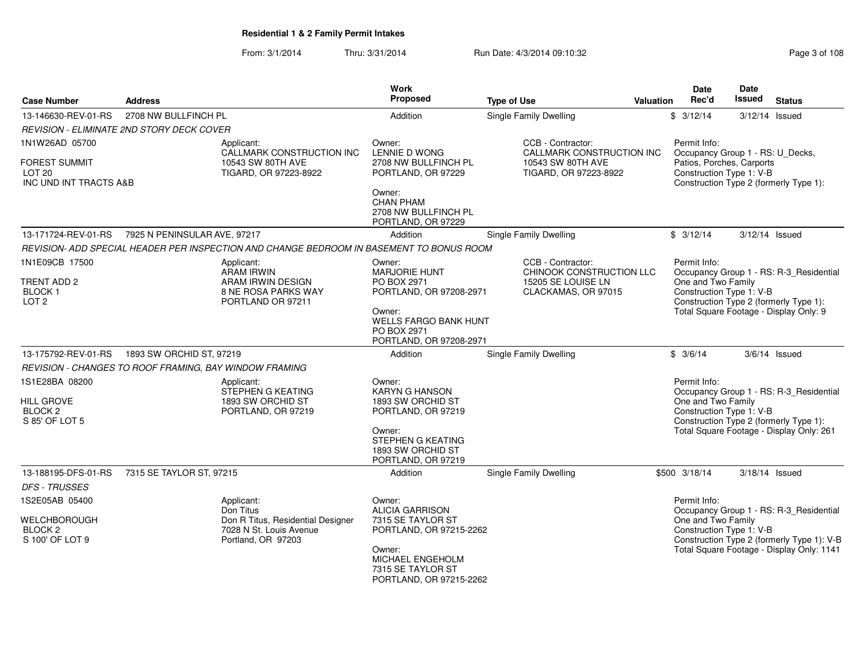| <b>Case Number</b>                                                  | <b>Address</b>                                         |                                                                                                 | Work<br>Proposed                                                                  | <b>Type of Use</b>                                                                         | <b>Valuation</b> | <b>Date</b><br>Rec'd                                                                                                                    | <b>Date</b><br><b>Issued</b> | <b>Status</b>                                                                      |
|---------------------------------------------------------------------|--------------------------------------------------------|-------------------------------------------------------------------------------------------------|-----------------------------------------------------------------------------------|--------------------------------------------------------------------------------------------|------------------|-----------------------------------------------------------------------------------------------------------------------------------------|------------------------------|------------------------------------------------------------------------------------|
| 13-146630-REV-01-RS                                                 | 2708 NW BULLFINCH PL                                   |                                                                                                 | Addition                                                                          | <b>Single Family Dwelling</b>                                                              |                  | \$3/12/14                                                                                                                               |                              | 3/12/14 Issued                                                                     |
|                                                                     | REVISION - ELIMINATE 2ND STORY DECK COVER              |                                                                                                 |                                                                                   |                                                                                            |                  |                                                                                                                                         |                              |                                                                                    |
| 1N1W26AD 05700                                                      |                                                        | Applicant:<br>CALLMARK CONSTRUCTION INC                                                         | Owner:<br><b>LENNIE D WONG</b>                                                    | CCB - Contractor:<br>CALLMARK CONSTRUCTION INC                                             |                  | Permit Info:<br>Occupancy Group 1 - RS: U_Decks,                                                                                        |                              |                                                                                    |
| <b>FOREST SUMMIT</b><br>LOT <sub>20</sub><br>INC UND INT TRACTS A&B |                                                        | 10543 SW 80TH AVE<br>TIGARD, OR 97223-8922                                                      | 2708 NW BULLFINCH PL<br>PORTLAND, OR 97229                                        | 10543 SW 80TH AVE<br>TIGARD, OR 97223-8922                                                 |                  | Patios, Porches, Carports<br>Construction Type 1: V-B                                                                                   |                              | Construction Type 2 (formerly Type 1):                                             |
|                                                                     |                                                        |                                                                                                 | Owner:<br><b>CHAN PHAM</b><br>2708 NW BULLFINCH PL<br>PORTLAND, OR 97229          |                                                                                            |                  |                                                                                                                                         |                              |                                                                                    |
| 13-171724-REV-01-RS                                                 | 7925 N PENINSULAR AVE, 97217                           |                                                                                                 | Addition                                                                          | <b>Single Family Dwelling</b>                                                              |                  | \$3/12/14                                                                                                                               |                              | 3/12/14 Issued                                                                     |
|                                                                     |                                                        | REVISION- ADD SPECIAL HEADER PER INSPECTION AND CHANGE BEDROOM IN BASEMENT TO BONUS ROOM        |                                                                                   |                                                                                            |                  |                                                                                                                                         |                              |                                                                                    |
| 1N1E09CB 17500<br>TRENT ADD 2<br>BLOCK 1                            |                                                        | Applicant:<br><b>ARAM IRWIN</b><br>ARAM IRWIN DESIGN<br>8 NE ROSA PARKS WAY                     | Owner:<br><b>MARJORIE HUNT</b><br>PO BOX 2971<br>PORTLAND, OR 97208-2971          | CCB - Contractor:<br>CHINOOK CONSTRUCTION LLC<br>15205 SE LOUISE LN<br>CLACKAMAS, OR 97015 |                  | Permit Info:<br>One and Two Family<br>Construction Type 1: V-B                                                                          |                              | Occupancy Group 1 - RS: R-3_Residential                                            |
| LOT <sub>2</sub>                                                    |                                                        | PORTLAND OR 97211                                                                               | Owner:<br><b>WELLS FARGO BANK HUNT</b><br>PO BOX 2971<br>PORTLAND, OR 97208-2971  |                                                                                            |                  |                                                                                                                                         |                              | Construction Type 2 (formerly Type 1):<br>Total Square Footage - Display Only: 9   |
| 13-175792-REV-01-RS                                                 | 1893 SW ORCHID ST, 97219                               |                                                                                                 | Addition                                                                          | <b>Single Family Dwelling</b>                                                              |                  | \$3/6/14                                                                                                                                |                              | $3/6/14$ Issued                                                                    |
|                                                                     | REVISION - CHANGES TO ROOF FRAMING, BAY WINDOW FRAMING |                                                                                                 |                                                                                   |                                                                                            |                  |                                                                                                                                         |                              |                                                                                    |
| 1S1E28BA 08200<br><b>HILL GROVE</b><br>BLOCK <sub>2</sub>           |                                                        | Applicant:<br>STEPHEN G KEATING<br>1893 SW ORCHID ST<br>PORTLAND, OR 97219                      | Owner:<br><b>KARYN G HANSON</b><br>1893 SW ORCHID ST<br>PORTLAND, OR 97219        |                                                                                            |                  | Permit Info:<br>One and Two Family<br>Construction Type 1: V-B                                                                          |                              | Occupancy Group 1 - RS: R-3_Residential                                            |
| S 85' OF LOT 5                                                      |                                                        |                                                                                                 | Owner:<br>STEPHEN G KEATING<br>1893 SW ORCHID ST<br>PORTLAND, OR 97219            |                                                                                            |                  |                                                                                                                                         |                              | Construction Type 2 (formerly Type 1):<br>Total Square Footage - Display Only: 261 |
| 13-188195-DFS-01-RS                                                 | 7315 SE TAYLOR ST, 97215                               |                                                                                                 | Addition                                                                          | <b>Single Family Dwelling</b>                                                              |                  | \$500 3/18/14                                                                                                                           |                              | 3/18/14 Issued                                                                     |
| <b>DFS - TRUSSES</b>                                                |                                                        |                                                                                                 |                                                                                   |                                                                                            |                  |                                                                                                                                         |                              |                                                                                    |
| 1S2E05AB 05400                                                      |                                                        | Applicant:                                                                                      | Owner:                                                                            |                                                                                            |                  | Permit Info:                                                                                                                            |                              |                                                                                    |
| WELCHBOROUGH<br>BLOCK <sub>2</sub><br>S 100' OF LOT 9               |                                                        | Don Titus<br>Don R Titus, Residential Designer<br>7028 N St. Louis Avenue<br>Portland, OR 97203 | <b>ALICIA GARRISON</b><br>7315 SE TAYLOR ST<br>PORTLAND, OR 97215-2262            |                                                                                            |                  | Occupancy Group 1 - RS: R-3_Residential<br>One and Two Family<br>Construction Type 1: V-B<br>Construction Type 2 (formerly Type 1): V-B |                              |                                                                                    |
|                                                                     |                                                        |                                                                                                 | Owner:<br><b>MICHAEL ENGEHOLM</b><br>7315 SE TAYLOR ST<br>PORTLAND, OR 97215-2262 |                                                                                            |                  |                                                                                                                                         |                              | Total Square Footage - Display Only: 1141                                          |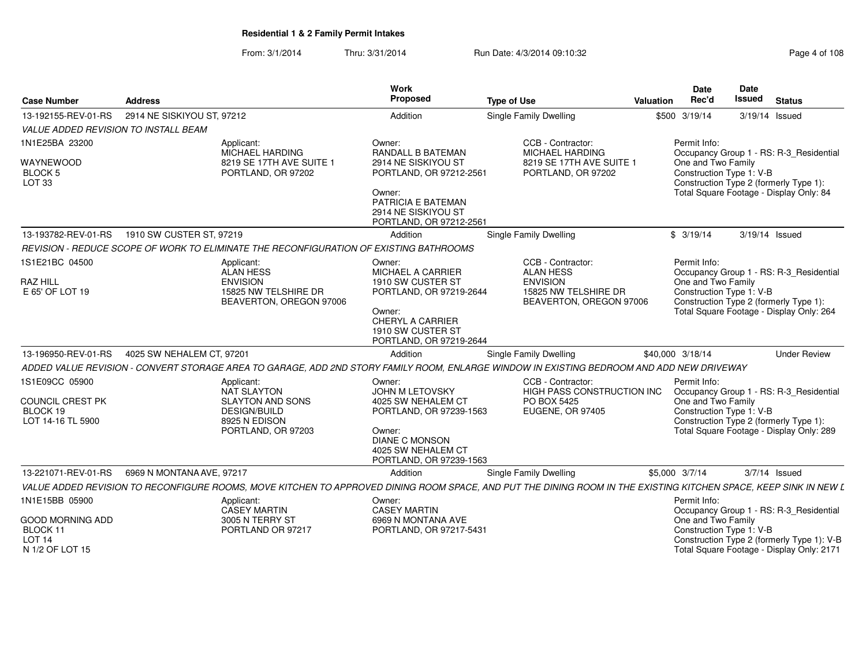|                                                          |                                                                                                                                                                  | <b>Work</b><br>Proposed                                                          |                                                                    |                  | <b>Date</b><br>Rec'd | Date<br><b>Issued</b>    |                                                                                    |
|----------------------------------------------------------|------------------------------------------------------------------------------------------------------------------------------------------------------------------|----------------------------------------------------------------------------------|--------------------------------------------------------------------|------------------|----------------------|--------------------------|------------------------------------------------------------------------------------|
| <b>Case Number</b>                                       | <b>Address</b>                                                                                                                                                   |                                                                                  | <b>Type of Use</b>                                                 | <b>Valuation</b> |                      |                          | <b>Status</b>                                                                      |
| 13-192155-REV-01-RS                                      | 2914 NE SISKIYOU ST, 97212                                                                                                                                       | Addition                                                                         | <b>Single Family Dwelling</b>                                      |                  | \$500 3/19/14        |                          | 3/19/14 Issued                                                                     |
| <b>VALUE ADDED REVISION TO INSTALL BEAM</b>              |                                                                                                                                                                  |                                                                                  |                                                                    |                  |                      |                          |                                                                                    |
| 1N1E25BA 23200                                           | Applicant:<br>MICHAEL HARDING                                                                                                                                    | Owner:<br><b>RANDALL B BATEMAN</b>                                               | CCB - Contractor:<br><b>MICHAEL HARDING</b>                        |                  | Permit Info:         |                          | Occupancy Group 1 - RS: R-3_Residential                                            |
| WAYNEWOOD<br><b>BLOCK 5</b><br>LOT <sub>33</sub>         | 8219 SE 17TH AVE SUITE 1<br>PORTLAND, OR 97202                                                                                                                   | 2914 NE SISKIYOU ST<br>PORTLAND, OR 97212-2561                                   | 8219 SE 17TH AVE SUITE 1<br>PORTLAND, OR 97202                     |                  | One and Two Family   | Construction Type 1: V-B | Construction Type 2 (formerly Type 1):                                             |
|                                                          |                                                                                                                                                                  | Owner:<br>PATRICIA E BATEMAN<br>2914 NE SISKIYOU ST<br>PORTLAND, OR 97212-2561   |                                                                    |                  |                      |                          | Total Square Footage - Display Only: 84                                            |
| 13-193782-REV-01-RS                                      | 1910 SW CUSTER ST, 97219                                                                                                                                         | Addition                                                                         | Single Family Dwelling                                             |                  | \$3/19/14            | 3/19/14 Issued           |                                                                                    |
|                                                          | REVISION - REDUCE SCOPE OF WORK TO ELIMINATE THE RECONFIGURATION OF EXISTING BATHROOMS                                                                           |                                                                                  |                                                                    |                  |                      |                          |                                                                                    |
| 1S1E21BC 04500                                           | Applicant:<br><b>ALAN HESS</b>                                                                                                                                   | Owner:<br><b>MICHAEL A CARRIER</b>                                               | CCB - Contractor:<br><b>ALAN HESS</b>                              |                  | Permit Info:         |                          | Occupancy Group 1 - RS: R-3_Residential                                            |
| <b>RAZ HILL</b><br>E 65' OF LOT 19                       | <b>ENVISION</b><br>15825 NW TELSHIRE DR<br>BEAVERTON, OREGON 97006                                                                                               | 1910 SW CUSTER ST<br>PORTLAND, OR 97219-2644                                     | <b>ENVISION</b><br>15825 NW TELSHIRE DR<br>BEAVERTON, OREGON 97006 |                  | One and Two Family   | Construction Type 1: V-B | Construction Type 2 (formerly Type 1):                                             |
|                                                          |                                                                                                                                                                  | Owner:<br>CHERYL A CARRIER<br>1910 SW CUSTER ST<br>PORTLAND, OR 97219-2644       |                                                                    |                  |                      |                          | Total Square Footage - Display Only: 264                                           |
| 13-196950-REV-01-RS                                      | 4025 SW NEHALEM CT, 97201                                                                                                                                        | Addition                                                                         | Single Family Dwelling                                             |                  | \$40,000 3/18/14     |                          | <b>Under Review</b>                                                                |
|                                                          | ADDED VALUE REVISION - CONVERT STORAGE AREA TO GARAGE, ADD 2ND STORY FAMILY ROOM, ENLARGE WINDOW IN EXISTING BEDROOM AND ADD NEW DRIVEWAY                        |                                                                                  |                                                                    |                  |                      |                          |                                                                                    |
| 1S1E09CC 05900                                           | Applicant:<br><b>NAT SLAYTON</b>                                                                                                                                 | Owner:<br>JOHN M LETOVSKY                                                        | CCB - Contractor:<br>HIGH PASS CONSTRUCTION INC                    |                  | Permit Info:         |                          | Occupancy Group 1 - RS: R-3_Residential                                            |
| COUNCIL CREST PK<br>BLOCK 19                             | <b>SLAYTON AND SONS</b><br><b>DESIGN/BUILD</b>                                                                                                                   | 4025 SW NEHALEM CT<br>PORTLAND, OR 97239-1563                                    | PO BOX 5425<br><b>EUGENE, OR 97405</b>                             |                  | One and Two Family   | Construction Type 1: V-B |                                                                                    |
| LOT 14-16 TL 5900                                        | 8925 N EDISON<br>PORTLAND, OR 97203                                                                                                                              | Owner:<br><b>DIANE C MONSON</b><br>4025 SW NEHALEM CT<br>PORTLAND, OR 97239-1563 |                                                                    |                  |                      |                          | Construction Type 2 (formerly Type 1):<br>Total Square Footage - Display Only: 289 |
| 13-221071-REV-01-RS                                      | 6969 N MONTANA AVE, 97217                                                                                                                                        | Addition                                                                         | Single Family Dwelling                                             |                  | \$5,000 3/7/14       |                          | $3/7/14$ Issued                                                                    |
|                                                          | VALUE ADDED REVISION TO RECONFIGURE ROOMS, MOVE KITCHEN TO APPROVED DINING ROOM SPACE, AND PUT THE DINING ROOM IN THE EXISTING KITCHEN SPACE, KEEP SINK IN NEW L |                                                                                  |                                                                    |                  |                      |                          |                                                                                    |
| 1N1E15BB 05900                                           | Applicant:<br><b>CASEY MARTIN</b>                                                                                                                                | Owner:<br><b>CASEY MARTIN</b>                                                    |                                                                    |                  | Permit Info:         |                          | Occupancy Group 1 - RS: R-3_Residential                                            |
| <b>GOOD MORNING ADD</b><br>BLOCK 11<br>LOT <sub>14</sub> | 3005 N TERRY ST<br>PORTLAND OR 97217                                                                                                                             | 6969 N MONTANA AVE<br>PORTLAND, OR 97217-5431                                    |                                                                    |                  | One and Two Family   | Construction Type 1: V-B | Construction Type 2 (formerly Type 1): V-B                                         |
| N 1/2 OF LOT 15                                          |                                                                                                                                                                  |                                                                                  |                                                                    |                  |                      |                          | Total Square Footage - Display Only: 2171                                          |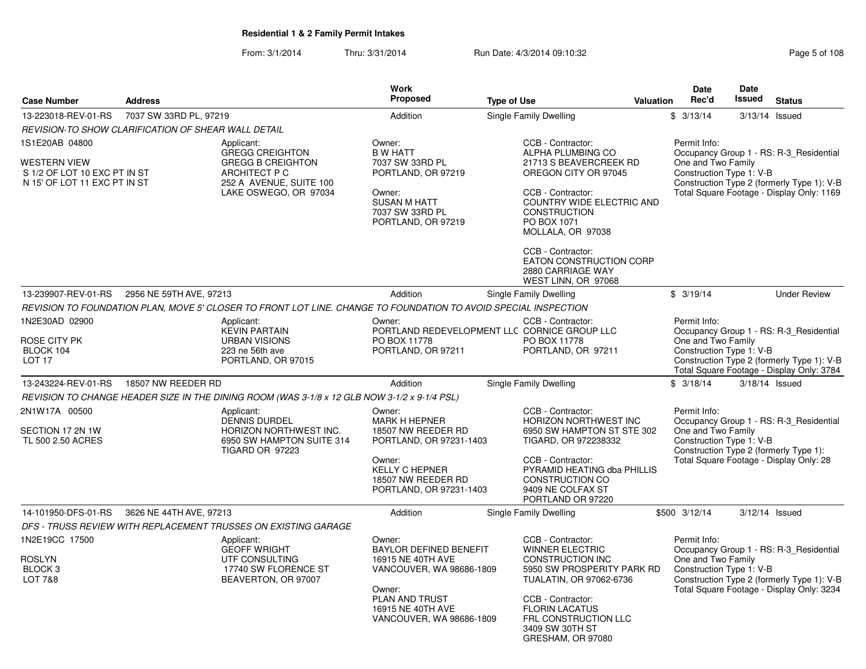|                                                                                                       |                         |                                                                                                                                                                      | Work                                                                                                                                                                  |                                                                                                                                                                                                                                                              |                  | <b>Date</b>                                                    | <b>Date</b>   |                                                                                                                                    |
|-------------------------------------------------------------------------------------------------------|-------------------------|----------------------------------------------------------------------------------------------------------------------------------------------------------------------|-----------------------------------------------------------------------------------------------------------------------------------------------------------------------|--------------------------------------------------------------------------------------------------------------------------------------------------------------------------------------------------------------------------------------------------------------|------------------|----------------------------------------------------------------|---------------|------------------------------------------------------------------------------------------------------------------------------------|
| <b>Case Number</b>                                                                                    | <b>Address</b>          |                                                                                                                                                                      | Proposed                                                                                                                                                              | <b>Type of Use</b>                                                                                                                                                                                                                                           | <b>Valuation</b> | Rec'd                                                          | <b>Issued</b> | <b>Status</b>                                                                                                                      |
| 13-223018-REV-01-RS                                                                                   | 7037 SW 33RD PL, 97219  |                                                                                                                                                                      | Addition                                                                                                                                                              | Single Family Dwelling                                                                                                                                                                                                                                       |                  | \$3/13/14                                                      |               | 3/13/14 Issued                                                                                                                     |
| REVISION-TO SHOW CLARIFICATION OF SHEAR WALL DETAIL                                                   |                         |                                                                                                                                                                      |                                                                                                                                                                       |                                                                                                                                                                                                                                                              |                  |                                                                |               |                                                                                                                                    |
| 1S1E20AB 04800<br><b>WESTERN VIEW</b><br>S 1/2 OF LOT 10 EXC PT IN ST<br>N 15' OF LOT 11 EXC PT IN ST |                         | Applicant:<br><b>GREGG CREIGHTON</b><br><b>GREGG B CREIGHTON</b><br>ARCHITECT P C<br>252 A AVENUE, SUITE 100<br>LAKE OSWEGO, OR 97034                                | Owner:<br><b>B W HATT</b><br>7037 SW 33RD PL<br>PORTLAND, OR 97219<br>Owner:<br><b>SUSAN M HATT</b><br>7037 SW 33RD PL<br>PORTLAND, OR 97219                          | CCB - Contractor:<br>ALPHA PLUMBING CO<br>21713 S BEAVERCREEK RD<br>OREGON CITY OR 97045<br>CCB - Contractor:<br><b>COUNTRY WIDE ELECTRIC AND</b><br><b>CONSTRUCTION</b><br>PO BOX 1071<br>MOLLALA, OR 97038<br>CCB - Contractor:<br>EATON CONSTRUCTION CORP |                  | Permit Info:<br>One and Two Family<br>Construction Type 1: V-B |               | Occupancy Group 1 - RS: R-3_Residential<br>Construction Type 2 (formerly Type 1): V-B<br>Total Square Footage - Display Only: 1169 |
|                                                                                                       |                         |                                                                                                                                                                      |                                                                                                                                                                       | 2880 CARRIAGE WAY<br>WEST LINN, OR 97068                                                                                                                                                                                                                     |                  |                                                                |               |                                                                                                                                    |
| 13-239907-REV-01-RS                                                                                   | 2956 NE 59TH AVE, 97213 |                                                                                                                                                                      | Addition                                                                                                                                                              | Single Family Dwelling                                                                                                                                                                                                                                       |                  | \$3/19/14                                                      |               | <b>Under Review</b>                                                                                                                |
|                                                                                                       |                         | REVISION TO FOUNDATION PLAN, MOVE 5' CLOSER TO FRONT LOT LINE. CHANGE TO FOUNDATION TO AVOID SPECIAL INSPECTION                                                      |                                                                                                                                                                       |                                                                                                                                                                                                                                                              |                  |                                                                |               |                                                                                                                                    |
| 1N2E30AD 02900<br>ROSE CITY PK<br>BLOCK 104<br>LOT <sub>17</sub>                                      |                         | Applicant:<br><b>KEVIN PARTAIN</b><br><b>URBAN VISIONS</b><br>223 ne 56th ave<br>PORTLAND, OR 97015                                                                  | Owner:<br>PO BOX 11778<br>PORTLAND, OR 97211                                                                                                                          | CCB - Contractor:<br>PORTLAND REDEVELOPMENT LLC CORNICE GROUP LLC<br>PO BOX 11778<br>PORTLAND, OR 97211                                                                                                                                                      |                  | Permit Info:<br>One and Two Family<br>Construction Type 1: V-B |               | Occupancy Group 1 - RS: R-3 Residential<br>Construction Type 2 (formerly Type 1): V-B<br>Total Square Footage - Display Only: 3784 |
| 13-243224-REV-01-RS                                                                                   | 18507 NW REEDER RD      |                                                                                                                                                                      | Addition                                                                                                                                                              | Single Family Dwelling                                                                                                                                                                                                                                       |                  | \$3/18/14                                                      |               | 3/18/14 Issued                                                                                                                     |
|                                                                                                       |                         | REVISION TO CHANGE HEADER SIZE IN THE DINING ROOM (WAS 3-1/8 x 12 GLB NOW 3-1/2 x 9-1/4 PSL)                                                                         |                                                                                                                                                                       |                                                                                                                                                                                                                                                              |                  |                                                                |               |                                                                                                                                    |
| 2N1W17A 00500<br>SECTION 17 2N 1W<br>TL 500 2.50 ACRES                                                |                         | Applicant:<br><b>DENNIS DURDEL</b><br>HORIZON NORTHWEST INC.<br>6950 SW HAMPTON SUITE 314<br>TIGARD OR 97223                                                         | Owner:<br><b>MARK H HEPNER</b><br>18507 NW REEDER RD<br>PORTLAND, OR 97231-1403<br>Owner:<br><b>KELLY C HEPNER</b><br>18507 NW REEDER RD<br>PORTLAND, OR 97231-1403   | CCB - Contractor:<br><b>HORIZON NORTHWEST INC</b><br>6950 SW HAMPTON ST STE 302<br>TIGARD, OR 972238332<br>CCB - Contractor:<br>PYRAMID HEATING dba PHILLIS<br><b>CONSTRUCTION CO</b><br>9409 NE COLFAX ST<br>PORTLAND OR 97220                              |                  | Permit Info:<br>One and Two Family<br>Construction Type 1: V-B |               | Occupancy Group 1 - RS: R-3_Residential<br>Construction Type 2 (formerly Type 1):<br>Total Square Footage - Display Only: 28       |
| 14-101950-DFS-01-RS                                                                                   | 3626 NE 44TH AVE, 97213 |                                                                                                                                                                      | Addition                                                                                                                                                              | Single Family Dwelling                                                                                                                                                                                                                                       |                  | \$500 3/12/14                                                  |               | 3/12/14 Issued                                                                                                                     |
| 1N2E19CC 17500<br><b>ROSLYN</b><br>BLOCK <sub>3</sub><br><b>LOT 7&amp;8</b>                           |                         | DFS - TRUSS REVIEW WITH REPLACEMENT TRUSSES ON EXISTING GARAGE<br>Applicant:<br><b>GEOFF WRIGHT</b><br>UTF CONSULTING<br>17740 SW FLORENCE ST<br>BEAVERTON, OR 97007 | Owner:<br><b>BAYLOR DEFINED BENEFIT</b><br>16915 NE 40TH AVE<br>VANCOUVER, WA 98686-1809<br>Owner:<br>PLAN AND TRUST<br>16915 NE 40TH AVE<br>VANCOUVER, WA 98686-1809 | CCB - Contractor:<br><b>WINNER ELECTRIC</b><br><b>CONSTRUCTION INC</b><br>5950 SW PROSPERITY PARK RD<br>TUALATIN, OR 97062-6736<br>CCB - Contractor:<br><b>FLORIN LACATUS</b><br>FRL CONSTRUCTION LLC<br>3409 SW 30TH ST<br>GRESHAM, OR 97080                |                  | Permit Info:<br>One and Two Family<br>Construction Type 1: V-B |               | Occupancy Group 1 - RS: R-3 Residential<br>Construction Type 2 (formerly Type 1): V-B<br>Total Square Footage - Display Only: 3234 |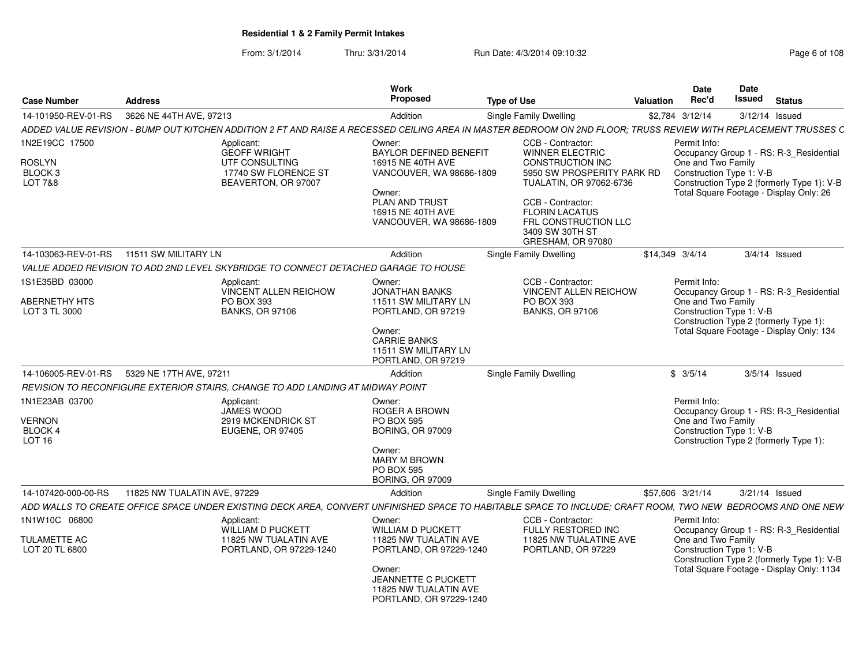| From: 3/1/2014 | Thru: 3/31/2014 | Run Date: 4/3/2014 09:10:32 | Page 6 of 108 |
|----------------|-----------------|-----------------------------|---------------|
|                |                 |                             |               |

| <b>Case Number</b>                                               | <b>Address</b>                                                                                                                                                  | Work<br>Proposed                                                                                                                                                                   | <b>Type of Use</b>                                                                                                                                                                                                                            | Valuation       | Date<br>Rec'd                      | <b>Date</b><br><b>Issued</b> | <b>Status</b>                                                                                                                      |
|------------------------------------------------------------------|-----------------------------------------------------------------------------------------------------------------------------------------------------------------|------------------------------------------------------------------------------------------------------------------------------------------------------------------------------------|-----------------------------------------------------------------------------------------------------------------------------------------------------------------------------------------------------------------------------------------------|-----------------|------------------------------------|------------------------------|------------------------------------------------------------------------------------------------------------------------------------|
| 14-101950-REV-01-RS                                              | 3626 NE 44TH AVE, 97213                                                                                                                                         | Addition                                                                                                                                                                           | Single Family Dwelling                                                                                                                                                                                                                        |                 | \$2,784 3/12/14                    | 3/12/14 Issued               |                                                                                                                                    |
|                                                                  | ADDED VALUE REVISION - BUMP OUT KITCHEN ADDITION 2 FT AND RAISE A RECESSED CEILING AREA IN MASTER BEDROOM ON 2ND FLOOR; TRUSS REVIEW WITH REPLACEMENT TRUSSES C |                                                                                                                                                                                    |                                                                                                                                                                                                                                               |                 |                                    |                              |                                                                                                                                    |
| 1N2E19CC 17500<br><b>ROSLYN</b><br>BLOCK <sub>3</sub><br>LOT 7&8 | Applicant:<br><b>GEOFF WRIGHT</b><br>UTF CONSULTING<br>17740 SW FLORENCE ST<br>BEAVERTON, OR 97007                                                              | Owner:<br><b>BAYLOR DEFINED BENEFIT</b><br>16915 NE 40TH AVE<br>VANCOUVER, WA 98686-1809<br>Owner:<br>PLAN AND TRUST<br>16915 NE 40TH AVE<br>VANCOUVER, WA 98686-1809              | CCB - Contractor:<br><b>WINNER ELECTRIC</b><br><b>CONSTRUCTION INC</b><br>5950 SW PROSPERITY PARK RD<br>TUALATIN, OR 97062-6736<br>CCB - Contractor:<br><b>FLORIN LACATUS</b><br>FRL CONSTRUCTION LLC<br>3409 SW 30TH ST<br>GRESHAM, OR 97080 |                 | Permit Info:<br>One and Two Family | Construction Type 1: V-B     | Occupancy Group 1 - RS: R-3_Residential<br>Construction Type 2 (formerly Type 1): V-B<br>Total Square Footage - Display Only: 26   |
| 14-103063-REV-01-RS                                              | 11511 SW MILITARY LN                                                                                                                                            | Addition                                                                                                                                                                           | <b>Single Family Dwelling</b>                                                                                                                                                                                                                 | \$14.349 3/4/14 |                                    |                              | $3/4/14$ Issued                                                                                                                    |
|                                                                  | VALUE ADDED REVISION TO ADD 2ND LEVEL SKYBRIDGE TO CONNECT DETACHED GARAGE TO HOUSE                                                                             |                                                                                                                                                                                    |                                                                                                                                                                                                                                               |                 |                                    |                              |                                                                                                                                    |
| 1S1E35BD 03000<br><b>ABERNETHY HTS</b><br>LOT 3 TL 3000          | Applicant:<br>VINCENT ALLEN REICHOW<br>PO BOX 393<br><b>BANKS, OR 97106</b>                                                                                     | Owner:<br><b>JONATHAN BANKS</b><br>11511 SW MILITARY LN<br>PORTLAND, OR 97219<br>Owner:<br><b>CARRIE BANKS</b><br>11511 SW MILITARY LN<br>PORTLAND, OR 97219                       | CCB - Contractor:<br>VINCENT ALLEN REICHOW<br>PO BOX 393<br><b>BANKS, OR 97106</b>                                                                                                                                                            |                 | Permit Info:<br>One and Two Family | Construction Type 1: V-B     | Occupancy Group 1 - RS: R-3_Residential<br>Construction Type 2 (formerly Type 1):<br>Total Square Footage - Display Only: 134      |
| 14-106005-REV-01-RS                                              | 5329 NE 17TH AVE, 97211                                                                                                                                         | Addition                                                                                                                                                                           | Single Family Dwelling                                                                                                                                                                                                                        |                 | \$3/5/14                           |                              | $3/5/14$ Issued                                                                                                                    |
|                                                                  | REVISION TO RECONFIGURE EXTERIOR STAIRS, CHANGE TO ADD LANDING AT MIDWAY POINT                                                                                  |                                                                                                                                                                                    |                                                                                                                                                                                                                                               |                 |                                    |                              |                                                                                                                                    |
| 1N1E23AB 03700<br><b>VERNON</b><br>BLOCK 4<br>LOT <sub>16</sub>  | Applicant:<br>JAMES WOOD<br>2919 MCKENDRICK ST<br><b>EUGENE, OR 97405</b>                                                                                       | Owner:<br><b>ROGER A BROWN</b><br><b>PO BOX 595</b><br><b>BORING, OR 97009</b><br>Owner:<br><b>MARY M BROWN</b><br><b>PO BOX 595</b><br><b>BORING, OR 97009</b>                    |                                                                                                                                                                                                                                               |                 | Permit Info:<br>One and Two Family | Construction Type 1: V-B     | Occupancy Group 1 - RS: R-3 Residential<br>Construction Type 2 (formerly Type 1):                                                  |
| 14-107420-000-00-RS                                              | 11825 NW TUALATIN AVE, 97229                                                                                                                                    | Addition                                                                                                                                                                           | Single Family Dwelling                                                                                                                                                                                                                        |                 | \$57,606 3/21/14                   | $3/21/14$ Issued             |                                                                                                                                    |
|                                                                  | ADD WALLS TO CREATE OFFICE SPACE UNDER EXISTING DECK AREA, CONVERT UNFINISHED SPACE TO HABITABLE SPACE TO INCLUDE; CRAFT ROOM, TWO NEW BEDROOMS AND ONE NEW     |                                                                                                                                                                                    |                                                                                                                                                                                                                                               |                 |                                    |                              |                                                                                                                                    |
| 1N1W10C 06800<br>TULAMETTE AC<br>LOT 20 TL 6800                  | Applicant:<br><b>WILLIAM D PUCKETT</b><br>11825 NW TUALATIN AVE<br>PORTLAND, OR 97229-1240                                                                      | Owner:<br><b>WILLIAM D PUCKETT</b><br>11825 NW TUALATIN AVE<br>PORTLAND, OR 97229-1240<br>Owner:<br><b>JEANNETTE C PUCKETT</b><br>11825 NW TUALATIN AVE<br>PORTLAND, OR 97229-1240 | CCB - Contractor:<br><b>FULLY RESTORED INC</b><br>11825 NW TUALATINE AVE<br>PORTLAND, OR 97229                                                                                                                                                |                 | Permit Info:<br>One and Two Family | Construction Type 1: V-B     | Occupancy Group 1 - RS: R-3_Residential<br>Construction Type 2 (formerly Type 1): V-B<br>Total Square Footage - Display Only: 1134 |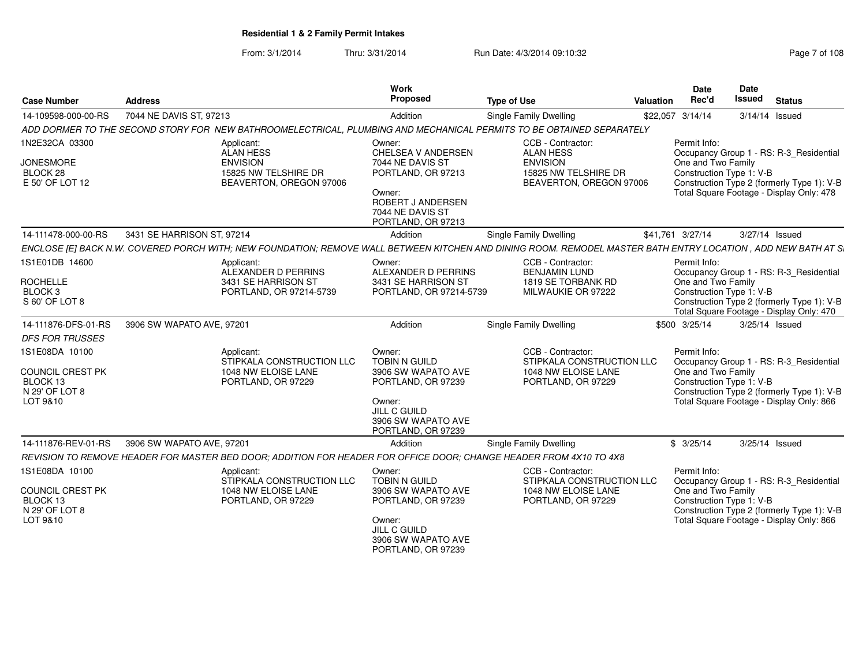From: 3/1/2014Thru: 3/31/2014 Run Date: 4/3/2014 09:10:32 Run Date: 4/3/2014 09:10:32

| <b>Case Number</b>                                                           | <b>Address</b>                                                                                                                                                 | Work<br>Proposed                                                                                                                                        | <b>Type of Use</b>                                                                                          | Valuation | Date<br>Rec'd                                                  | Date<br>Issued | <b>Status</b>                                                                                                                     |
|------------------------------------------------------------------------------|----------------------------------------------------------------------------------------------------------------------------------------------------------------|---------------------------------------------------------------------------------------------------------------------------------------------------------|-------------------------------------------------------------------------------------------------------------|-----------|----------------------------------------------------------------|----------------|-----------------------------------------------------------------------------------------------------------------------------------|
| 14-109598-000-00-RS                                                          | 7044 NE DAVIS ST, 97213                                                                                                                                        | Addition                                                                                                                                                | <b>Single Family Dwelling</b>                                                                               |           | \$22,057 3/14/14                                               | 3/14/14 Issued |                                                                                                                                   |
|                                                                              | ADD DORMER TO THE SECOND STORY FOR NEW BATHROOMELECTRICAL, PLUMBING AND MECHANICAL PERMITS TO BE OBTAINED SEPARATELY                                           |                                                                                                                                                         |                                                                                                             |           |                                                                |                |                                                                                                                                   |
| 1N2E32CA 03300<br><b>JONESMORE</b><br>BLOCK <sub>28</sub><br>E 50' OF LOT 12 | Applicant:<br><b>ALAN HESS</b><br><b>ENVISION</b><br>15825 NW TELSHIRE DR<br>BEAVERTON, OREGON 97006                                                           | Owner:<br>CHELSEA V ANDERSEN<br>7044 NE DAVIS ST<br>PORTLAND, OR 97213<br>Owner:<br>ROBERT J ANDERSEN<br>7044 NE DAVIS ST<br>PORTLAND, OR 97213         | CCB - Contractor:<br><b>ALAN HESS</b><br><b>ENVISION</b><br>15825 NW TELSHIRE DR<br>BEAVERTON, OREGON 97006 |           | Permit Info:<br>One and Two Family<br>Construction Type 1: V-B |                | Occupancy Group 1 - RS: R-3_Residential<br>Construction Type 2 (formerly Type 1): V-B<br>Total Square Footage - Display Only: 478 |
| 14-111478-000-00-RS                                                          | 3431 SE HARRISON ST. 97214                                                                                                                                     | Addition                                                                                                                                                | <b>Single Family Dwelling</b>                                                                               |           | \$41.761 3/27/14                                               | 3/27/14 Issued |                                                                                                                                   |
|                                                                              | ENCLOSE [E] BACK N.W. COVERED PORCH WITH; NEW FOUNDATION; REMOVE WALL BETWEEN KITCHEN AND DINING ROOM. REMODEL MASTER BATH ENTRY LOCATION , ADD NEW BATH AT S. |                                                                                                                                                         |                                                                                                             |           |                                                                |                |                                                                                                                                   |
| 1S1E01DB 14600<br><b>ROCHELLE</b><br><b>BLOCK3</b><br>S 60' OF LOT 8         | Applicant:<br>ALEXANDER D PERRINS<br>3431 SE HARRISON ST<br>PORTLAND, OR 97214-5739                                                                            | Owner:<br>ALEXANDER D PERRINS<br>3431 SE HARRISON ST<br>PORTLAND, OR 97214-5739                                                                         | CCB - Contractor:<br><b>BENJAMIN LUND</b><br>1819 SE TORBANK RD<br>MILWAUKIE OR 97222                       |           | Permit Info:<br>One and Two Family<br>Construction Type 1: V-B |                | Occupancy Group 1 - RS: R-3_Residential<br>Construction Type 2 (formerly Type 1): V-B<br>Total Square Footage - Display Only: 470 |
| 14-111876-DFS-01-RS                                                          | 3906 SW WAPATO AVE, 97201                                                                                                                                      | Addition                                                                                                                                                | <b>Single Family Dwelling</b>                                                                               |           | \$500 3/25/14                                                  | 3/25/14 Issued |                                                                                                                                   |
| <b>DFS FOR TRUSSES</b>                                                       |                                                                                                                                                                |                                                                                                                                                         |                                                                                                             |           |                                                                |                |                                                                                                                                   |
| 1S1E08DA 10100<br>COUNCIL CREST PK<br>BLOCK 13<br>N 29' OF LOT 8<br>LOT 9&10 | Applicant:<br>STIPKALA CONSTRUCTION LLC<br>1048 NW ELOISE LANE<br>PORTLAND, OR 97229                                                                           | Owner:<br><b>TOBIN N GUILD</b><br>3906 SW WAPATO AVE<br>PORTLAND, OR 97239<br>Owner:<br><b>JILL C GUILD</b><br>3906 SW WAPATO AVE<br>PORTLAND, OR 97239 | CCB - Contractor:<br>STIPKALA CONSTRUCTION LLC<br>1048 NW ELOISE LANE<br>PORTLAND, OR 97229                 |           | Permit Info:<br>One and Two Family<br>Construction Type 1: V-B |                | Occupancy Group 1 - RS: R-3_Residential<br>Construction Type 2 (formerly Type 1): V-B<br>Total Square Footage - Display Only: 866 |
| 14-111876-REV-01-RS                                                          | 3906 SW WAPATO AVE, 97201                                                                                                                                      | Addition                                                                                                                                                | <b>Single Family Dwelling</b>                                                                               |           | \$3/25/14                                                      | 3/25/14 Issued |                                                                                                                                   |
|                                                                              | REVISION TO REMOVE HEADER FOR MASTER BED DOOR; ADDITION FOR HEADER FOR OFFICE DOOR; CHANGE HEADER FROM 4X10 TO 4X8                                             |                                                                                                                                                         |                                                                                                             |           |                                                                |                |                                                                                                                                   |
| 1S1E08DA 10100<br>COUNCIL CREST PK<br>BLOCK 13<br>N 29' OF LOT 8<br>LOT 9&10 | Applicant:<br>STIPKALA CONSTRUCTION LLC<br>1048 NW ELOISE LANE<br>PORTLAND, OR 97229                                                                           | Owner:<br><b>TOBIN N GUILD</b><br>3906 SW WAPATO AVE<br>PORTLAND, OR 97239<br>Owner:<br>JILL C GUILD<br>3906 SW WAPATO AVE<br>PORTLAND, OR 97239        | CCB - Contractor:<br>STIPKALA CONSTRUCTION LLC<br>1048 NW ELOISE LANE<br>PORTLAND, OR 97229                 |           | Permit Info:<br>One and Two Family<br>Construction Type 1: V-B |                | Occupancy Group 1 - RS: R-3 Residential<br>Construction Type 2 (formerly Type 1): V-B<br>Total Square Footage - Display Only: 866 |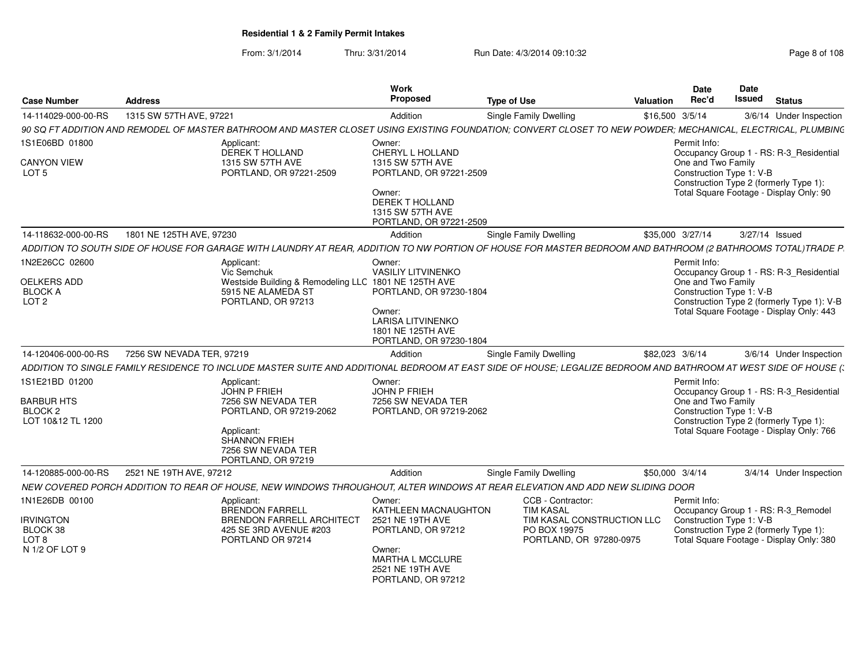| <b>Case Number</b>                                                             | <b>Address</b>            |                                                                                                                                                                  | Work<br><b>Proposed</b>                                                                                                                              | <b>Type of Use</b>                                                                                             | <b>Valuation</b> | Date<br>Rec'd                            | Date<br>Issued           | <b>Status</b>                                                                                                                     |
|--------------------------------------------------------------------------------|---------------------------|------------------------------------------------------------------------------------------------------------------------------------------------------------------|------------------------------------------------------------------------------------------------------------------------------------------------------|----------------------------------------------------------------------------------------------------------------|------------------|------------------------------------------|--------------------------|-----------------------------------------------------------------------------------------------------------------------------------|
| 14-114029-000-00-RS                                                            | 1315 SW 57TH AVE, 97221   |                                                                                                                                                                  | Addition                                                                                                                                             | Single Family Dwelling                                                                                         |                  | \$16,500 3/5/14                          |                          | 3/6/14 Under Inspection                                                                                                           |
|                                                                                |                           | 90 SQ FT ADDITION AND REMODEL OF MASTER BATHROOM AND MASTER CLOSET USING EXISTING FOUNDATION; CONVERT CLOSET TO NEW POWDER; MECHANICAL, ELECTRICAL, PLUMBING     |                                                                                                                                                      |                                                                                                                |                  |                                          |                          |                                                                                                                                   |
| 1S1E06BD 01800                                                                 |                           | Applicant:<br><b>DEREK T HOLLAND</b>                                                                                                                             | Owner:<br>CHERYL L HOLLAND                                                                                                                           |                                                                                                                |                  | Permit Info:                             |                          | Occupancy Group 1 - RS: R-3_Residential                                                                                           |
| <b>CANYON VIEW</b><br>LOT 5                                                    |                           | 1315 SW 57TH AVE<br>PORTLAND, OR 97221-2509                                                                                                                      | 1315 SW 57TH AVE<br>PORTLAND, OR 97221-2509<br>Owner:<br><b>DEREK T HOLLAND</b><br>1315 SW 57TH AVE<br>PORTLAND, OR 97221-2509                       |                                                                                                                |                  | One and Two Family                       | Construction Type 1: V-B | Construction Type 2 (formerly Type 1):<br>Total Square Footage - Display Only: 90                                                 |
| 14-118632-000-00-RS                                                            | 1801 NE 125TH AVE, 97230  |                                                                                                                                                                  | Addition                                                                                                                                             | Single Family Dwelling                                                                                         |                  | \$35,000 3/27/14                         |                          | 3/27/14 Issued                                                                                                                    |
|                                                                                |                           | ADDITION TO SOUTH SIDE OF HOUSE FOR GARAGE WITH LAUNDRY AT REAR, ADDITION TO NW PORTION OF HOUSE FOR MASTER BEDROOM AND BATHROOM (2 BATHROOMS TOTAL)TRADE P      |                                                                                                                                                      |                                                                                                                |                  |                                          |                          |                                                                                                                                   |
| 1N2E26CC 02600<br>OELKERS ADD<br><b>BLOCK A</b><br>LOT <sub>2</sub>            |                           | Applicant:<br>Vic Semchuk<br>Westside Building & Remodeling LLC 1801 NE 125TH AVE<br>5915 NE ALAMEDA ST<br>PORTLAND, OR 97213                                    | Owner:<br><b>VASILIY LITVINENKO</b><br>PORTLAND, OR 97230-1804<br>Owner:<br><b>LARISA LITVINENKO</b><br>1801 NE 125TH AVE<br>PORTLAND, OR 97230-1804 |                                                                                                                |                  | Permit Info:<br>One and Two Family       | Construction Type 1: V-B | Occupancy Group 1 - RS: R-3_Residential<br>Construction Type 2 (formerly Type 1): V-B<br>Total Square Footage - Display Only: 443 |
| 14-120406-000-00-RS                                                            | 7256 SW NEVADA TER, 97219 |                                                                                                                                                                  | Addition                                                                                                                                             | Single Family Dwelling                                                                                         |                  | \$82,023 3/6/14                          |                          | 3/6/14 Under Inspection                                                                                                           |
|                                                                                |                           | ADDITION TO SINGLE FAMILY RESIDENCE TO INCLUDE MASTER SUITE AND ADDITIONAL BEDROOM AT EAST SIDE OF HOUSE; LEGALIZE BEDROOM AND BATHROOM AT WEST SIDE OF HOUSE (; |                                                                                                                                                      |                                                                                                                |                  |                                          |                          |                                                                                                                                   |
| 1S1E21BD 01200<br><b>BARBUR HTS</b><br>BLOCK <sub>2</sub><br>LOT 10&12 TL 1200 |                           | Applicant:<br><b>JOHN P FRIEH</b><br>7256 SW NEVADA TER<br>PORTLAND, OR 97219-2062<br>Applicant:<br>SHANNON FRIEH<br>7256 SW NEVADA TER<br>PORTLAND, OR 97219    | Owner:<br><b>JOHN P FRIEH</b><br>7256 SW NEVADA TER<br>PORTLAND, OR 97219-2062                                                                       |                                                                                                                |                  | Permit Info:<br>One and Two Family       | Construction Type 1: V-B | Occupancy Group 1 - RS: R-3_Residential<br>Construction Type 2 (formerly Type 1):<br>Total Square Footage - Display Only: 766     |
| 14-120885-000-00-RS                                                            | 2521 NE 19TH AVE, 97212   |                                                                                                                                                                  | Addition                                                                                                                                             | Single Family Dwelling                                                                                         |                  | \$50,000 3/4/14                          |                          | 3/4/14 Under Inspection                                                                                                           |
|                                                                                |                           | NEW COVERED PORCH ADDITION TO REAR OF HOUSE, NEW WINDOWS THROUGHOUT, ALTER WINDOWS AT REAR ELEVATION AND ADD NEW SLIDING DOOR                                    |                                                                                                                                                      |                                                                                                                |                  |                                          |                          |                                                                                                                                   |
| 1N1E26DB 00100<br><b>IRVINGTON</b><br>BLOCK 38<br>LOT 8<br>N 1/2 OF LOT 9      |                           | Applicant:<br><b>BRENDON FARRELL</b><br>BRENDON FARRELL ARCHITECT<br>425 SE 3RD AVENUE #203<br>PORTLAND OR 97214                                                 | Owner:<br>KATHLEEN MACNAUGHTON<br>2521 NE 19TH AVE<br>PORTLAND, OR 97212<br>Owner:<br>MARTHA L MCCLURE<br>2521 NE 19TH AVE                           | CCB - Contractor:<br><b>TIM KASAL</b><br>TIM KASAL CONSTRUCTION LLC<br>PO BOX 19975<br>PORTLAND, OR 97280-0975 |                  | Permit Info:<br>Construction Type 1: V-B |                          | Occupancy Group 1 - RS: R-3_Remodel<br>Construction Type 2 (formerly Type 1):<br>Total Square Footage - Display Only: 380         |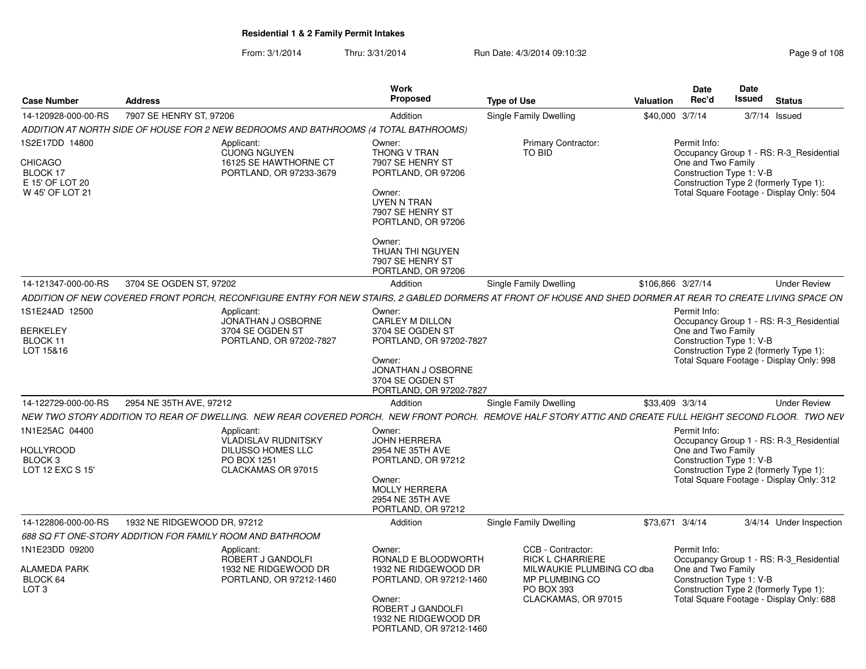|                                                                             |                                                           |                                                                                       | Work<br>Proposed                                                                                                                    |                                                                                                                                                             |                  | <b>Date</b>                                                                                              | Date   |                 |                                                                                     |
|-----------------------------------------------------------------------------|-----------------------------------------------------------|---------------------------------------------------------------------------------------|-------------------------------------------------------------------------------------------------------------------------------------|-------------------------------------------------------------------------------------------------------------------------------------------------------------|------------------|----------------------------------------------------------------------------------------------------------|--------|-----------------|-------------------------------------------------------------------------------------|
| <b>Case Number</b>                                                          | <b>Address</b>                                            |                                                                                       |                                                                                                                                     | <b>Type of Use</b>                                                                                                                                          | <b>Valuation</b> | Rec'd                                                                                                    | Issued |                 | <b>Status</b>                                                                       |
| 14-120928-000-00-RS                                                         | 7907 SE HENRY ST. 97206                                   |                                                                                       | Addition                                                                                                                            | Single Family Dwelling                                                                                                                                      |                  | \$40,000 3/7/14                                                                                          |        | $3/7/14$ Issued |                                                                                     |
|                                                                             |                                                           | ADDITION AT NORTH SIDE OF HOUSE FOR 2 NEW BEDROOMS AND BATHROOMS (4 TOTAL BATHROOMS)  |                                                                                                                                     |                                                                                                                                                             |                  |                                                                                                          |        |                 |                                                                                     |
| 1S2E17DD 14800<br>CHICAGO<br>BLOCK 17<br>E 15' OF LOT 20<br>W 45' OF LOT 21 |                                                           | Applicant:<br><b>CUONG NGUYEN</b><br>16125 SE HAWTHORNE CT<br>PORTLAND, OR 97233-3679 | Owner:<br>THONG V TRAN<br>7907 SE HENRY ST<br>PORTLAND, OR 97206<br>Owner:<br>UYEN N TRAN<br>7907 SE HENRY ST<br>PORTLAND, OR 97206 | <b>Primary Contractor:</b><br><b>TO BID</b>                                                                                                                 |                  | Permit Info:<br>One and Two Family<br>Construction Type 1: V-B<br>Construction Type 2 (formerly Type 1): |        |                 | Occupancy Group 1 - RS: R-3_Residential<br>Total Square Footage - Display Only: 504 |
|                                                                             |                                                           |                                                                                       | Owner:<br>THUAN THI NGUYEN<br>7907 SE HENRY ST<br>PORTLAND, OR 97206                                                                |                                                                                                                                                             |                  |                                                                                                          |        |                 |                                                                                     |
| 14-121347-000-00-RS                                                         | 3704 SE OGDEN ST, 97202                                   |                                                                                       | Addition                                                                                                                            | Single Family Dwelling                                                                                                                                      |                  | \$106,866 3/27/14                                                                                        |        |                 | <b>Under Review</b>                                                                 |
|                                                                             |                                                           |                                                                                       |                                                                                                                                     | ADDITION OF NEW COVERED FRONT PORCH, RECONFIGURE ENTRY FOR NEW STAIRS, 2 GABLED DORMERS AT FRONT OF HOUSE AND SHED DORMER AT REAR TO CREATE LIVING SPACE ON |                  |                                                                                                          |        |                 |                                                                                     |
| 1S1E24AD 12500                                                              |                                                           | Applicant:<br>JONATHAN J OSBORNE                                                      | Owner:<br>CARLEY M DILLON                                                                                                           |                                                                                                                                                             |                  | Permit Info:                                                                                             |        |                 |                                                                                     |
| <b>BERKELEY</b>                                                             |                                                           | 3704 SE OGDEN ST                                                                      | 3704 SE OGDEN ST                                                                                                                    |                                                                                                                                                             |                  | One and Two Family                                                                                       |        |                 | Occupancy Group 1 - RS: R-3_Residential                                             |
| BLOCK 11                                                                    |                                                           | PORTLAND, OR 97202-7827                                                               | PORTLAND, OR 97202-7827                                                                                                             |                                                                                                                                                             |                  | Construction Type 1: V-B                                                                                 |        |                 |                                                                                     |
| LOT 15&16                                                                   |                                                           |                                                                                       | Owner:<br>JONATHAN J OSBORNE<br>3704 SE OGDEN ST<br>PORTLAND, OR 97202-7827                                                         |                                                                                                                                                             |                  | Construction Type 2 (formerly Type 1):                                                                   |        |                 | Total Square Footage - Display Only: 998                                            |
| 14-122729-000-00-RS                                                         | 2954 NE 35TH AVE, 97212                                   |                                                                                       | Addition                                                                                                                            | Single Family Dwelling                                                                                                                                      |                  | \$33.409 3/3/14                                                                                          |        |                 | <b>Under Review</b>                                                                 |
|                                                                             |                                                           |                                                                                       |                                                                                                                                     | NEW TWO STORY ADDITION TO REAR OF DWELLING. NEW REAR COVERED PORCH. NEW FRONT PORCH. REMOVE HALF STORY ATTIC AND CREATE FULL HEIGHT SECOND FLOOR. TWO NEV   |                  |                                                                                                          |        |                 |                                                                                     |
| 1N1E25AC 04400                                                              |                                                           | Applicant:                                                                            | Owner:                                                                                                                              |                                                                                                                                                             |                  | Permit Info:                                                                                             |        |                 |                                                                                     |
|                                                                             |                                                           | VLADISLAV RUDNITSKY                                                                   | <b>JOHN HERRERA</b>                                                                                                                 |                                                                                                                                                             |                  |                                                                                                          |        |                 | Occupancy Group 1 - RS: R-3_Residential                                             |
| <b>HOLLYROOD</b><br><b>BLOCK 3</b>                                          |                                                           | DILUSSO HOMES LLC<br>PO BOX 1251                                                      | 2954 NE 35TH AVE<br>PORTLAND, OR 97212                                                                                              |                                                                                                                                                             |                  | One and Two Family<br>Construction Type 1: V-B                                                           |        |                 |                                                                                     |
| LOT 12 EXC S 15'                                                            |                                                           | CLACKAMAS OR 97015                                                                    |                                                                                                                                     |                                                                                                                                                             |                  | Construction Type 2 (formerly Type 1):                                                                   |        |                 |                                                                                     |
|                                                                             |                                                           |                                                                                       | Owner:<br><b>MOLLY HERRERA</b><br>2954 NE 35TH AVE<br>PORTLAND, OR 97212                                                            |                                                                                                                                                             |                  |                                                                                                          |        |                 | Total Square Footage - Display Only: 312                                            |
| 14-122806-000-00-RS                                                         | 1932 NE RIDGEWOOD DR, 97212                               |                                                                                       | Addition                                                                                                                            | Single Family Dwelling                                                                                                                                      |                  | \$73,671 3/4/14                                                                                          |        |                 | 3/4/14 Under Inspection                                                             |
|                                                                             | 688 SQ FT ONE-STORY ADDITION FOR FAMILY ROOM AND BATHROOM |                                                                                       |                                                                                                                                     |                                                                                                                                                             |                  |                                                                                                          |        |                 |                                                                                     |
| 1N1E23DD 09200                                                              |                                                           | Applicant:                                                                            | Owner:                                                                                                                              | CCB - Contractor:                                                                                                                                           |                  | Permit Info:                                                                                             |        |                 |                                                                                     |
| <b>ALAMEDA PARK</b><br>BLOCK 64<br>LOT <sub>3</sub>                         |                                                           | ROBERT J GANDOLFI<br>1932 NE RIDGEWOOD DR<br>PORTLAND, OR 97212-1460                  | RONALD E BLOODWORTH<br>1932 NE RIDGEWOOD DR<br>PORTLAND, OR 97212-1460                                                              | <b>RICK L CHARRIERE</b><br>MILWAUKIE PLUMBING CO dba<br>MP PLUMBING CO<br><b>PO BOX 393</b>                                                                 |                  | One and Two Family<br>Construction Type 1: V-B<br>Construction Type 2 (formerly Type 1):                 |        |                 | Occupancy Group 1 - RS: R-3 Residential                                             |
|                                                                             |                                                           |                                                                                       | Owner:<br>ROBERT J GANDOLFI<br>1932 NE RIDGEWOOD DR<br>PORTLAND, OR 97212-1460                                                      | CLACKAMAS, OR 97015                                                                                                                                         |                  |                                                                                                          |        |                 | Total Square Footage - Display Only: 688                                            |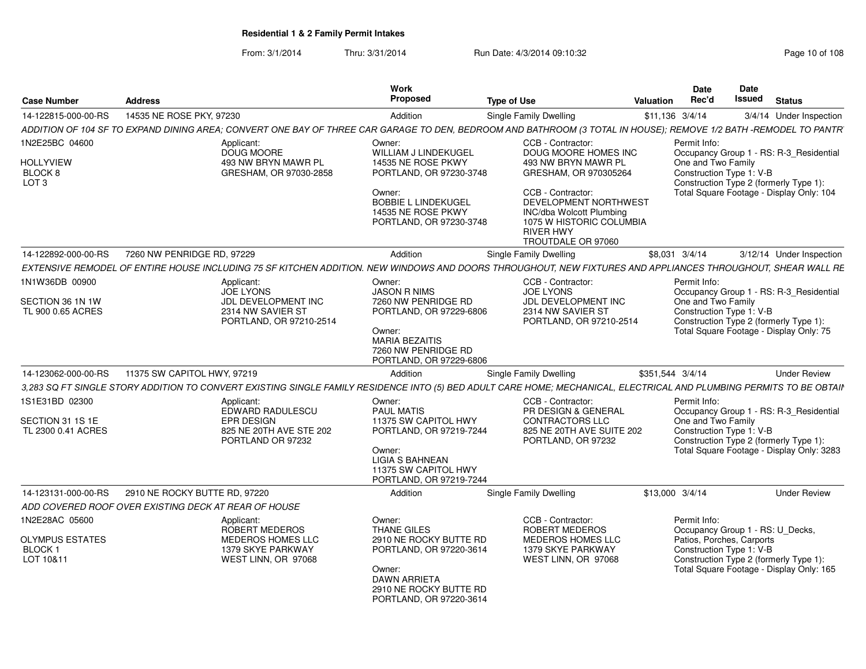| <b>Case Number</b>                                        | <b>Address</b>                                       |                                                                     | Work<br>Proposed                                                                                                                                               | <b>Type of Use</b>                                                                                                                                                                                                   | Valuation        | <b>Date</b><br>Rec'd                                                                            | Date<br>Issued | <b>Status</b>                                                                       |
|-----------------------------------------------------------|------------------------------------------------------|---------------------------------------------------------------------|----------------------------------------------------------------------------------------------------------------------------------------------------------------|----------------------------------------------------------------------------------------------------------------------------------------------------------------------------------------------------------------------|------------------|-------------------------------------------------------------------------------------------------|----------------|-------------------------------------------------------------------------------------|
| 14-122815-000-00-RS                                       | 14535 NE ROSE PKY, 97230                             |                                                                     | Addition                                                                                                                                                       | <b>Single Family Dwelling</b>                                                                                                                                                                                        | \$11,136 3/4/14  |                                                                                                 |                | 3/4/14 Under Inspection                                                             |
|                                                           |                                                      |                                                                     |                                                                                                                                                                | ADDITION OF 104 SF TO EXPAND DINING AREA; CONVERT ONE BAY OF THREE CAR GARAGE TO DEN, BEDROOM AND BATHROOM (3 TOTAL IN HOUSE); REMOVE 1/2 BATH -REMODEL TO PANTR                                                     |                  |                                                                                                 |                |                                                                                     |
| 1N2E25BC 04600                                            |                                                      | Applicant:                                                          | Owner:                                                                                                                                                         | CCB - Contractor:                                                                                                                                                                                                    |                  | Permit Info:                                                                                    |                |                                                                                     |
| <b>HOLLYVIEW</b><br>BLOCK 8<br>LOT <sub>3</sub>           |                                                      | DOUG MOORE<br>493 NW BRYN MAWR PL<br>GRESHAM, OR 97030-2858         | WILLIAM J LINDEKUGEL<br>14535 NE ROSE PKWY<br>PORTLAND, OR 97230-3748<br>Owner:<br><b>BOBBIE L LINDEKUGEL</b><br>14535 NE ROSE PKWY<br>PORTLAND, OR 97230-3748 | DOUG MOORE HOMES INC<br>493 NW BRYN MAWR PL<br>GRESHAM, OR 970305264<br>CCB - Contractor:<br>DEVELOPMENT NORTHWEST<br>INC/dba Wolcott Plumbing<br>1075 W HISTORIC COLUMBIA<br><b>RIVER HWY</b><br>TROUTDALE OR 97060 |                  | One and Two Family<br>Construction Type 1: V-B<br>Construction Type 2 (formerly Type 1):        |                | Occupancy Group 1 - RS: R-3_Residential<br>Total Square Footage - Display Only: 104 |
| 14-122892-000-00-RS                                       | 7260 NW PENRIDGE RD, 97229                           |                                                                     | Addition                                                                                                                                                       | Single Family Dwelling                                                                                                                                                                                               |                  | \$8,031 3/4/14                                                                                  |                | 3/12/14 Under Inspection                                                            |
|                                                           |                                                      |                                                                     |                                                                                                                                                                | EXTENSIVE REMODEL OF ENTIRE HOUSE INCLUDING 75 SF KITCHEN ADDITION. NEW WINDOWS AND DOORS THROUGHOUT, NEW FIXTURES AND APPLIANCES THROUGHOUT, SHEAR WALL RE                                                          |                  |                                                                                                 |                |                                                                                     |
| 1N1W36DB 00900                                            |                                                      | Applicant:<br><b>JOE LYONS</b>                                      | Owner:<br><b>JASON R NIMS</b>                                                                                                                                  | CCB - Contractor:<br><b>JOE LYONS</b>                                                                                                                                                                                |                  | Permit Info:<br>One and Two Family                                                              |                | Occupancy Group 1 - RS: R-3_Residential                                             |
| SECTION 36 1N 1W<br>TL 900 0.65 ACRES                     |                                                      | JDL DEVELOPMENT INC<br>2314 NW SAVIER ST<br>PORTLAND, OR 97210-2514 | 7260 NW PENRIDGE RD<br>PORTLAND, OR 97229-6806<br>Owner:<br><b>MARIA BEZAITIS</b><br>7260 NW PENRIDGE RD<br>PORTLAND, OR 97229-6806                            | JDL DEVELOPMENT INC<br>2314 NW SAVIER ST<br>PORTLAND, OR 97210-2514                                                                                                                                                  |                  | Construction Type 1: V-B<br>Construction Type 2 (formerly Type 1):                              |                | Total Square Footage - Display Only: 75                                             |
| 14-123062-000-00-RS                                       | 11375 SW CAPITOL HWY, 97219                          |                                                                     | Addition                                                                                                                                                       | Single Family Dwelling                                                                                                                                                                                               | \$351,544 3/4/14 |                                                                                                 |                | <b>Under Review</b>                                                                 |
|                                                           |                                                      |                                                                     |                                                                                                                                                                | 3,283 SQ FT SINGLE STORY ADDITION TO CONVERT EXISTING SINGLE FAMILY RESIDENCE INTO (5) BED ADULT CARE HOME; MECHANICAL, ELECTRICAL AND PLUMBING PERMITS TO BE OBTAIN                                                 |                  |                                                                                                 |                |                                                                                     |
| 1S1E31BD 02300<br>SECTION 31 1S 1E                        |                                                      | Applicant:<br>EDWARD RADULESCU<br><b>EPR DESIGN</b>                 | Owner:<br><b>PAUL MATIS</b><br>11375 SW CAPITOL HWY                                                                                                            | CCB - Contractor:<br>PR DESIGN & GENERAL<br><b>CONTRACTORS LLC</b>                                                                                                                                                   |                  | Permit Info:<br>One and Two Family                                                              |                | Occupancy Group 1 - RS: R-3_Residential                                             |
| TL 2300 0.41 ACRES                                        |                                                      | 825 NE 20TH AVE STE 202<br>PORTLAND OR 97232                        | PORTLAND, OR 97219-7244<br>Owner:<br><b>LIGIA S BAHNEAN</b><br>11375 SW CAPITOL HWY<br>PORTLAND, OR 97219-7244                                                 | 825 NE 20TH AVE SUITE 202<br>PORTLAND, OR 97232                                                                                                                                                                      |                  | Construction Type 1: V-B<br>Construction Type 2 (formerly Type 1):                              |                | Total Square Footage - Display Only: 3283                                           |
| 14-123131-000-00-RS                                       | 2910 NE ROCKY BUTTE RD, 97220                        |                                                                     | Addition                                                                                                                                                       | Single Family Dwelling                                                                                                                                                                                               | \$13,000 3/4/14  |                                                                                                 |                | <b>Under Review</b>                                                                 |
|                                                           | ADD COVERED ROOF OVER EXISTING DECK AT REAR OF HOUSE |                                                                     |                                                                                                                                                                |                                                                                                                                                                                                                      |                  |                                                                                                 |                |                                                                                     |
| 1N2E28AC 05600                                            |                                                      | Applicant:<br>ROBERT MEDEROS                                        | Owner:<br>THANE GILES                                                                                                                                          | CCB - Contractor:<br>ROBERT MEDEROS                                                                                                                                                                                  |                  | Permit Info:<br>Occupancy Group 1 - RS: U_Decks,                                                |                |                                                                                     |
| <b>OLYMPUS ESTATES</b><br>BLOCK <sub>1</sub><br>LOT 10&11 |                                                      | MEDEROS HOMES LLC<br>1379 SKYE PARKWAY<br>WEST LINN, OR 97068       | 2910 NE ROCKY BUTTE RD<br>PORTLAND, OR 97220-3614<br>Owner:<br>DAWN ARRIETA<br>2910 NE ROCKY BUTTE RD<br>PORTLAND, OR 97220-3614                               | MEDEROS HOMES LLC<br>1379 SKYE PARKWAY<br>WEST LINN, OR 97068                                                                                                                                                        |                  | Patios, Porches, Carports<br>Construction Type 1: V-B<br>Construction Type 2 (formerly Type 1): |                | Total Square Footage - Display Only: 165                                            |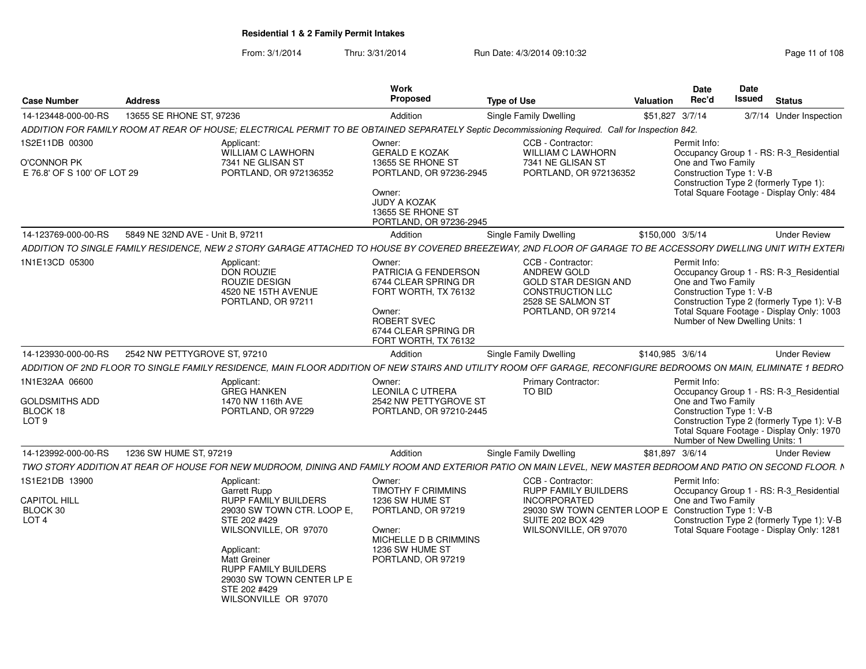| Address |                                                                                               | <b>Work</b><br><b>Proposed</b>                                                                                                                          | <b>Type of Use</b>                                                      | <b>Valuation</b>                                                                                                            | <b>Date</b><br>Rec'd                                                                                                                      | <b>Date</b><br><b>Issued</b>                                                                                                                                                                                                                                                   | <b>Status</b>                                                                                                                                                                                                                                                                                                                                                                                                                                                                                                                                                                                                                                                                                                                                                                                                                                                                                                                                                                                                                                                                                                                               |
|---------|-----------------------------------------------------------------------------------------------|---------------------------------------------------------------------------------------------------------------------------------------------------------|-------------------------------------------------------------------------|-----------------------------------------------------------------------------------------------------------------------------|-------------------------------------------------------------------------------------------------------------------------------------------|--------------------------------------------------------------------------------------------------------------------------------------------------------------------------------------------------------------------------------------------------------------------------------|---------------------------------------------------------------------------------------------------------------------------------------------------------------------------------------------------------------------------------------------------------------------------------------------------------------------------------------------------------------------------------------------------------------------------------------------------------------------------------------------------------------------------------------------------------------------------------------------------------------------------------------------------------------------------------------------------------------------------------------------------------------------------------------------------------------------------------------------------------------------------------------------------------------------------------------------------------------------------------------------------------------------------------------------------------------------------------------------------------------------------------------------|
|         |                                                                                               | Addition                                                                                                                                                | Single Family Dwelling                                                  |                                                                                                                             |                                                                                                                                           |                                                                                                                                                                                                                                                                                | 3/7/14 Under Inspection                                                                                                                                                                                                                                                                                                                                                                                                                                                                                                                                                                                                                                                                                                                                                                                                                                                                                                                                                                                                                                                                                                                     |
|         |                                                                                               |                                                                                                                                                         |                                                                         |                                                                                                                             |                                                                                                                                           |                                                                                                                                                                                                                                                                                |                                                                                                                                                                                                                                                                                                                                                                                                                                                                                                                                                                                                                                                                                                                                                                                                                                                                                                                                                                                                                                                                                                                                             |
|         | Applicant:<br><b>WILLIAM C LAWHORN</b>                                                        | Owner:                                                                                                                                                  | CCB - Contractor:                                                       |                                                                                                                             |                                                                                                                                           |                                                                                                                                                                                                                                                                                |                                                                                                                                                                                                                                                                                                                                                                                                                                                                                                                                                                                                                                                                                                                                                                                                                                                                                                                                                                                                                                                                                                                                             |
|         | 7341 NE GLISAN ST<br>PORTLAND, OR 972136352                                                   | 13655 SE RHONE ST<br>Owner:<br><b>JUDY A KOZAK</b><br>13655 SE RHONE ST                                                                                 |                                                                         |                                                                                                                             |                                                                                                                                           |                                                                                                                                                                                                                                                                                |                                                                                                                                                                                                                                                                                                                                                                                                                                                                                                                                                                                                                                                                                                                                                                                                                                                                                                                                                                                                                                                                                                                                             |
|         |                                                                                               | Addition                                                                                                                                                | <b>Single Family Dwelling</b>                                           |                                                                                                                             |                                                                                                                                           |                                                                                                                                                                                                                                                                                | <b>Under Review</b>                                                                                                                                                                                                                                                                                                                                                                                                                                                                                                                                                                                                                                                                                                                                                                                                                                                                                                                                                                                                                                                                                                                         |
|         |                                                                                               |                                                                                                                                                         |                                                                         |                                                                                                                             |                                                                                                                                           |                                                                                                                                                                                                                                                                                |                                                                                                                                                                                                                                                                                                                                                                                                                                                                                                                                                                                                                                                                                                                                                                                                                                                                                                                                                                                                                                                                                                                                             |
|         | Applicant:<br><b>DON ROUZIE</b><br>ROUZIE DESIGN<br>4520 NE 15TH AVENUE<br>PORTLAND, OR 97211 | Owner:<br>PATRICIA G FENDERSON<br>6744 CLEAR SPRING DR<br>FORT WORTH, TX 76132<br>Owner:<br>ROBERT SVEC<br>6744 CLEAR SPRING DR<br>FORT WORTH, TX 76132 | CCB - Contractor:<br><b>ANDREW GOLD</b>                                 |                                                                                                                             |                                                                                                                                           |                                                                                                                                                                                                                                                                                |                                                                                                                                                                                                                                                                                                                                                                                                                                                                                                                                                                                                                                                                                                                                                                                                                                                                                                                                                                                                                                                                                                                                             |
|         |                                                                                               | Addition                                                                                                                                                | Single Family Dwelling                                                  |                                                                                                                             |                                                                                                                                           |                                                                                                                                                                                                                                                                                | <b>Under Review</b>                                                                                                                                                                                                                                                                                                                                                                                                                                                                                                                                                                                                                                                                                                                                                                                                                                                                                                                                                                                                                                                                                                                         |
|         |                                                                                               |                                                                                                                                                         |                                                                         |                                                                                                                             |                                                                                                                                           |                                                                                                                                                                                                                                                                                |                                                                                                                                                                                                                                                                                                                                                                                                                                                                                                                                                                                                                                                                                                                                                                                                                                                                                                                                                                                                                                                                                                                                             |
|         | Applicant:<br><b>GREG HANKEN</b><br>1470 NW 116th AVE<br>PORTLAND, OR 97229                   | Owner:<br><b>LEONILA C UTRERA</b>                                                                                                                       | <b>Primary Contractor:</b><br>TO BID                                    |                                                                                                                             |                                                                                                                                           |                                                                                                                                                                                                                                                                                |                                                                                                                                                                                                                                                                                                                                                                                                                                                                                                                                                                                                                                                                                                                                                                                                                                                                                                                                                                                                                                                                                                                                             |
|         |                                                                                               | Addition                                                                                                                                                | <b>Single Family Dwelling</b>                                           |                                                                                                                             |                                                                                                                                           |                                                                                                                                                                                                                                                                                | <b>Under Review</b>                                                                                                                                                                                                                                                                                                                                                                                                                                                                                                                                                                                                                                                                                                                                                                                                                                                                                                                                                                                                                                                                                                                         |
|         |                                                                                               |                                                                                                                                                         |                                                                         |                                                                                                                             |                                                                                                                                           |                                                                                                                                                                                                                                                                                |                                                                                                                                                                                                                                                                                                                                                                                                                                                                                                                                                                                                                                                                                                                                                                                                                                                                                                                                                                                                                                                                                                                                             |
|         | Applicant:<br><b>Garrett Rupp</b>                                                             | Owner:<br><b>TIMOTHY F CRIMMINS</b>                                                                                                                     | CCB - Contractor:<br><b>RUPP FAMILY BUILDERS</b><br><b>INCORPORATED</b> |                                                                                                                             | Permit Info:<br>One and Two Family                                                                                                        |                                                                                                                                                                                                                                                                                | Occupancy Group 1 - RS: R-3 Residential                                                                                                                                                                                                                                                                                                                                                                                                                                                                                                                                                                                                                                                                                                                                                                                                                                                                                                                                                                                                                                                                                                     |
|         | E 76.8' OF S 100' OF LOT 29                                                                   | 13655 SE RHONE ST, 97236<br>5849 NE 32ND AVE - Unit B. 97211<br>2542 NW PETTYGROVE ST, 97210<br>1236 SW HUME ST, 97219                                  | <b>GERALD E KOZAK</b>                                                   | 7341 NE GLISAN ST<br>PORTLAND, OR 97236-2945<br>PORTLAND, OR 97236-2945<br>2542 NW PETTYGROVE ST<br>PORTLAND, OR 97210-2445 | WILLIAM C LAWHORN<br>PORTLAND, OR 972136352<br><b>GOLD STAR DESIGN AND</b><br>CONSTRUCTION LLC<br>2528 SE SALMON ST<br>PORTLAND, OR 97214 | \$51,827 3/7/14<br>ADDITION FOR FAMILY ROOM AT REAR OF HOUSE; ELECTRICAL PERMIT TO BE OBTAINED SEPARATELY Septic Decommissioning Required. Call for Inspection 842.<br>Permit Info:<br>\$150,000 3/5/14<br>Permit Info:<br>\$140.985 3/6/14<br>Permit Info:<br>\$81.897 3/6/14 | Occupancy Group 1 - RS: R-3_Residential<br>One and Two Family<br>Construction Type 1: V-B<br>Construction Type 2 (formerly Type 1):<br>Total Square Footage - Display Only: 484<br>ADDITION TO SINGLE FAMILY RESIDENCE, NEW 2 STORY GARAGE ATTACHED TO HOUSE BY COVERED BREEZEWAY, 2ND FLOOR OF GARAGE TO BE ACCESSORY DWELLING UNIT WITH EXTERI<br>Occupancy Group 1 - RS: R-3 Residential<br>One and Two Family<br>Construction Type 1: V-B<br>Construction Type 2 (formerly Type 1): V-B<br>Total Square Footage - Display Only: 1003<br>Number of New Dwelling Units: 1<br>ADDITION OF 2ND FLOOR TO SINGLE FAMILY RESIDENCE, MAIN FLOOR ADDITION OF NEW STAIRS AND UTILITY ROOM OFF GARAGE, RECONFIGURE BEDROOMS ON MAIN, ELIMINATE 1 BEDRO<br>Occupancy Group 1 - RS: R-3 Residential<br>One and Two Family<br>Construction Type 1: V-B<br>Construction Type 2 (formerly Type 1): V-B<br>Total Square Footage - Display Only: 1970<br>Number of New Dwelling Units: 1<br>TWO STORY ADDITION AT REAR OF HOUSE FOR NEW MUDROOM, DINING AND FAMILY ROOM AND EXTERIOR PATIO ON MAIN LEVEL, NEW MASTER BEDROOM AND PATIO ON SECOND FLOOR. N |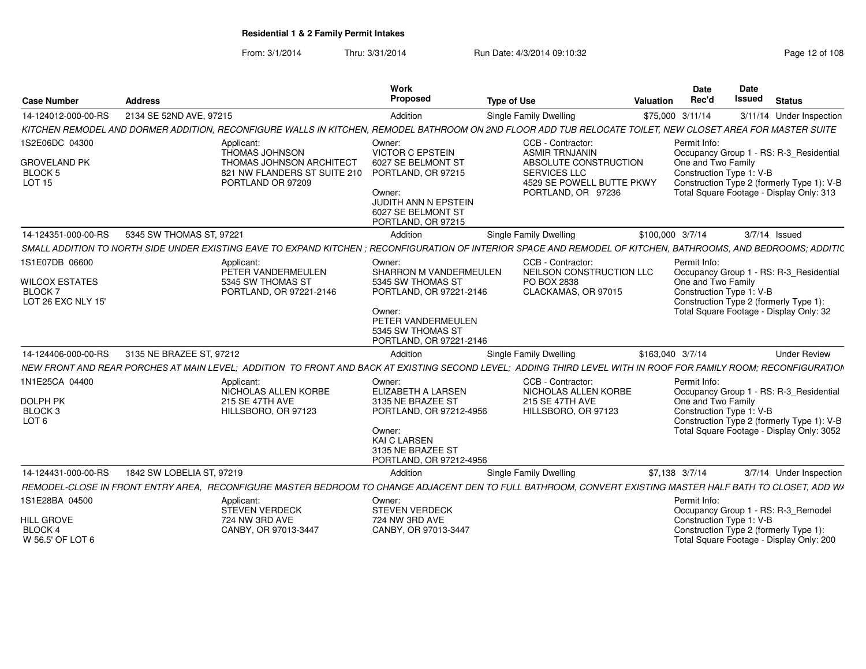| <b>Case Number</b>                                                       | Address                                                                                                                                                         | Work<br>Proposed                                                                                                                                                   | <b>Type of Use</b>                                                                                                                            | Valuation        | Date<br>Rec'd                      | Date<br>Issued<br><b>Status</b>                                                                                                                                |                     |
|--------------------------------------------------------------------------|-----------------------------------------------------------------------------------------------------------------------------------------------------------------|--------------------------------------------------------------------------------------------------------------------------------------------------------------------|-----------------------------------------------------------------------------------------------------------------------------------------------|------------------|------------------------------------|----------------------------------------------------------------------------------------------------------------------------------------------------------------|---------------------|
| 14-124012-000-00-RS                                                      | 2134 SE 52ND AVE, 97215                                                                                                                                         | Addition                                                                                                                                                           | Single Family Dwelling                                                                                                                        |                  | \$75,000 3/11/14                   | 3/11/14 Under Inspection                                                                                                                                       |                     |
|                                                                          | KITCHEN REMODEL AND DORMER ADDITION. RECONFIGURE WALLS IN KITCHEN. REMODEL BATHROOM ON 2ND FLOOR ADD TUB RELOCATE TOILET. NEW CLOSET AREA FOR MASTER SUITE      |                                                                                                                                                                    |                                                                                                                                               |                  |                                    |                                                                                                                                                                |                     |
| 1S2E06DC 04300<br><b>GROVELAND PK</b><br><b>BLOCK 5</b><br><b>LOT 15</b> | Applicant:<br><b>THOMAS JOHNSON</b><br>THOMAS JOHNSON ARCHITECT<br>821 NW FLANDERS ST SUITE 210<br>PORTLAND OR 97209                                            | Owner:<br><b>VICTOR C EPSTEIN</b><br>6027 SE BELMONT ST<br>PORTLAND, OR 97215<br>Owner:<br><b>JUDITH ANN N EPSTEIN</b><br>6027 SE BELMONT ST<br>PORTLAND, OR 97215 | CCB - Contractor:<br><b>ASMIR TRNJANIN</b><br>ABSOLUTE CONSTRUCTION<br><b>SERVICES LLC</b><br>4529 SE POWELL BUTTE PKWY<br>PORTLAND, OR 97236 |                  | Permit Info:<br>One and Two Family | Occupancy Group 1 - RS: R-3_Residential<br>Construction Type 1: V-B<br>Construction Type 2 (formerly Type 1): V-B<br>Total Square Footage - Display Only: 313  |                     |
| 14-124351-000-00-RS                                                      | 5345 SW THOMAS ST, 97221                                                                                                                                        | Addition                                                                                                                                                           | Single Family Dwelling                                                                                                                        | \$100,000 3/7/14 |                                    | 3/7/14 Issued                                                                                                                                                  |                     |
|                                                                          | SMALL ADDITION TO NORTH SIDE UNDER EXISTING EAVE TO EXPAND KITCHEN : RECONFIGURATION OF INTERIOR SPACE AND REMODEL OF KITCHEN. BATHROOMS, AND BEDROOMS: ADDITIC |                                                                                                                                                                    |                                                                                                                                               |                  |                                    |                                                                                                                                                                |                     |
| 1S1E07DB 06600<br>WILCOX ESTATES<br><b>BLOCK7</b><br>LOT 26 EXC NLY 15'  | Applicant:<br>PETER VANDERMEULEN<br>5345 SW THOMAS ST<br>PORTLAND, OR 97221-2146                                                                                | Owner:<br>SHARRON M VANDERMEULEN<br>5345 SW THOMAS ST<br>PORTLAND, OR 97221-2146<br>Owner:<br>PETER VANDERMEULEN<br>5345 SW THOMAS ST<br>PORTLAND, OR 97221-2146   | CCB - Contractor:<br>NEILSON CONSTRUCTION LLC<br>PO BOX 2838<br>CLACKAMAS, OR 97015                                                           |                  | Permit Info:<br>One and Two Family | Occupancy Group 1 - RS: R-3_Residential<br>Construction Type 1: V-B<br>Construction Type 2 (formerly Type 1):<br>Total Square Footage - Display Only: 32       |                     |
| 14-124406-000-00-RS                                                      | 3135 NE BRAZEE ST, 97212                                                                                                                                        | Addition                                                                                                                                                           | Single Family Dwelling                                                                                                                        | \$163,040 3/7/14 |                                    |                                                                                                                                                                | <b>Under Review</b> |
|                                                                          | NEW FRONT AND REAR PORCHES AT MAIN LEVEL: ADDITION TO FRONT AND BACK AT EXISTING SECOND LEVEL: ADDING THIRD LEVEL WITH IN ROOF FOR FAMILY ROOM: RECONFIGURATION |                                                                                                                                                                    |                                                                                                                                               |                  |                                    |                                                                                                                                                                |                     |
| 1N1E25CA 04400<br>DOLPH PK<br>BLOCK 3<br>LOT 6                           | Applicant:<br>NICHOLAS ALLEN KORBE<br>215 SE 47TH AVE<br>HILLSBORO, OR 97123                                                                                    | Owner:<br><b>ELIZABETH A LARSEN</b><br>3135 NE BRAZEE ST<br>PORTLAND, OR 97212-4956<br>Owner:<br>KAI C LARSEN<br>3135 NE BRAZEE ST<br>PORTLAND, OR 97212-4956      | CCB - Contractor:<br>NICHOLAS ALLEN KORBE<br>215 SE 47TH AVE<br>HILLSBORO, OR 97123                                                           |                  | Permit Info:<br>One and Two Family | Occupancy Group 1 - RS: R-3_Residential<br>Construction Type 1: V-B<br>Construction Type 2 (formerly Type 1): V-B<br>Total Square Footage - Display Only: 3052 |                     |
| 14-124431-000-00-RS                                                      | 1842 SW LOBELIA ST, 97219                                                                                                                                       | Addition                                                                                                                                                           | Single Family Dwelling                                                                                                                        |                  | \$7,138 3/7/14                     | 3/7/14 Under Inspection                                                                                                                                        |                     |
|                                                                          | REMODEL-CLOSE IN FRONT ENTRY AREA. RECONFIGURE MASTER BEDROOM TO CHANGE ADJACENT DEN TO FULL BATHROOM, CONVERT EXISTING MASTER HALF BATH TO CLOSET, ADD WA      |                                                                                                                                                                    |                                                                                                                                               |                  |                                    |                                                                                                                                                                |                     |
| 1S1E28BA 04500<br>HILL GROVE<br>BLOCK 4<br>W 56.5' OF LOT 6              | Applicant:<br><b>STEVEN VERDECK</b><br>724 NW 3RD AVE<br>CANBY, OR 97013-3447                                                                                   | Owner:<br><b>STEVEN VERDECK</b><br>724 NW 3RD AVE<br>CANBY, OR 97013-3447                                                                                          |                                                                                                                                               |                  | Permit Info:                       | Occupancy Group 1 - RS: R-3_Remodel<br>Construction Type 1: V-B<br>Construction Type 2 (formerly Type 1):<br>Total Square Footage - Display Only: 200          |                     |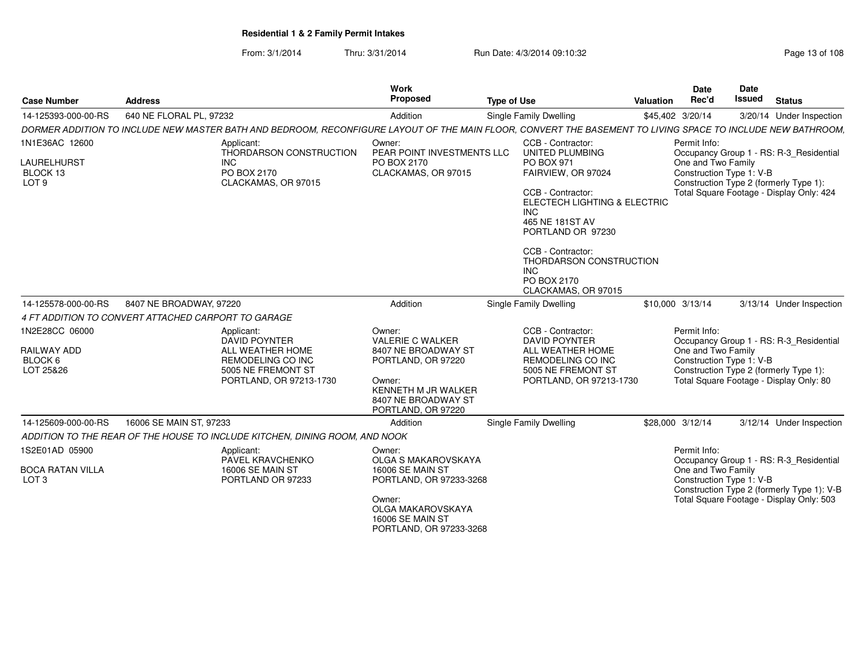| <b>Case Number</b>                                            | <b>Address</b>                                                                                                                                              | Work<br>Proposed                                                                                                                 | <b>Type of Use</b>                                                                                                                                                                                                                                                        | Valuation | <b>Date</b><br>Rec'd | Date<br><b>Issued</b>                          | <b>Status</b>                                                                                                                 |
|---------------------------------------------------------------|-------------------------------------------------------------------------------------------------------------------------------------------------------------|----------------------------------------------------------------------------------------------------------------------------------|---------------------------------------------------------------------------------------------------------------------------------------------------------------------------------------------------------------------------------------------------------------------------|-----------|----------------------|------------------------------------------------|-------------------------------------------------------------------------------------------------------------------------------|
| 14-125393-000-00-RS                                           | 640 NE FLORAL PL, 97232                                                                                                                                     | Addition                                                                                                                         | Single Family Dwelling                                                                                                                                                                                                                                                    |           | \$45,402 3/20/14     |                                                | 3/20/14 Under Inspection                                                                                                      |
|                                                               | DORMER ADDITION TO INCLUDE NEW MASTER BATH AND BEDROOM, RECONFIGURE LAYOUT OF THE MAIN FLOOR, CONVERT THE BASEMENT TO LIVING SPACE TO INCLUDE NEW BATHROOM, |                                                                                                                                  |                                                                                                                                                                                                                                                                           |           |                      |                                                |                                                                                                                               |
| 1N1E36AC 12600<br>LAURELHURST<br>BLOCK 13<br>LOT <sub>9</sub> | Applicant:<br>THORDARSON CONSTRUCTION<br>INC.<br>PO BOX 2170<br>CLACKAMAS, OR 97015                                                                         | Owner:<br>PEAR POINT INVESTMENTS LLC<br>PO BOX 2170<br>CLACKAMAS, OR 97015                                                       | CCB - Contractor:<br>UNITED PLUMBING<br>PO BOX 971<br>FAIRVIEW, OR 97024<br>CCB - Contractor:<br>ELECTECH LIGHTING & ELECTRIC<br>INC<br>465 NE 181ST AV<br>PORTLAND OR 97230<br>CCB - Contractor:<br>THORDARSON CONSTRUCTION<br>INC<br>PO BOX 2170<br>CLACKAMAS, OR 97015 |           | Permit Info:         | One and Two Family<br>Construction Type 1: V-B | Occupancy Group 1 - RS: R-3 Residential<br>Construction Type 2 (formerly Type 1):<br>Total Square Footage - Display Only: 424 |
| 14-125578-000-00-RS                                           | 8407 NE BROADWAY, 97220                                                                                                                                     | Addition                                                                                                                         | Single Family Dwelling                                                                                                                                                                                                                                                    |           | \$10,000 3/13/14     |                                                | 3/13/14 Under Inspection                                                                                                      |
|                                                               | 4 FT ADDITION TO CONVERT ATTACHED CARPORT TO GARAGE                                                                                                         |                                                                                                                                  |                                                                                                                                                                                                                                                                           |           |                      |                                                |                                                                                                                               |
| 1N2E28CC 06000<br>RAILWAY ADD<br>BLOCK 6                      | Applicant:<br>DAVID POYNTER<br>ALL WEATHER HOME<br>REMODELING CO INC                                                                                        | Owner:<br><b>VALERIE C WALKER</b><br>8407 NE BROADWAY ST<br>PORTLAND, OR 97220                                                   | CCB - Contractor:<br><b>DAVID POYNTER</b><br>ALL WEATHER HOME<br>REMODELING CO INC                                                                                                                                                                                        |           | Permit Info:         | One and Two Family<br>Construction Type 1: V-B | Occupancy Group 1 - RS: R-3 Residential                                                                                       |
| LOT 25&26                                                     | 5005 NE FREMONT ST<br>PORTLAND, OR 97213-1730                                                                                                               | Owner:<br>KENNETH M JR WALKER<br>8407 NE BROADWAY ST<br>PORTLAND, OR 97220                                                       | 5005 NE FREMONT ST<br>PORTLAND, OR 97213-1730                                                                                                                                                                                                                             |           |                      |                                                | Construction Type 2 (formerly Type 1):<br>Total Square Footage - Display Only: 80                                             |
| 14-125609-000-00-RS                                           | 16006 SE MAIN ST, 97233                                                                                                                                     | Addition                                                                                                                         | Single Family Dwelling                                                                                                                                                                                                                                                    |           | \$28,000 3/12/14     |                                                | 3/12/14 Under Inspection                                                                                                      |
|                                                               | ADDITION TO THE REAR OF THE HOUSE TO INCLUDE KITCHEN, DINING ROOM, AND NOOK                                                                                 |                                                                                                                                  |                                                                                                                                                                                                                                                                           |           |                      |                                                |                                                                                                                               |
| 1S2E01AD 05900                                                | Applicant:<br>PAVEL KRAVCHENKO                                                                                                                              | Owner:<br><b>OLGA S MAKAROVSKAYA</b>                                                                                             |                                                                                                                                                                                                                                                                           |           | Permit Info:         |                                                | Occupancy Group 1 - RS: R-3_Residential                                                                                       |
| <b>BOCA RATAN VILLA</b><br>LOT <sub>3</sub>                   | <b>16006 SE MAIN ST</b><br>PORTLAND OR 97233                                                                                                                | <b>16006 SE MAIN ST</b><br>PORTLAND, OR 97233-3268<br>Owner:<br>OLGA MAKAROVSKAYA<br>16006 SE MAIN ST<br>PORTLAND, OR 97233-3268 |                                                                                                                                                                                                                                                                           |           |                      | One and Two Family<br>Construction Type 1: V-B | Construction Type 2 (formerly Type 1): V-B<br>Total Square Footage - Display Only: 503                                        |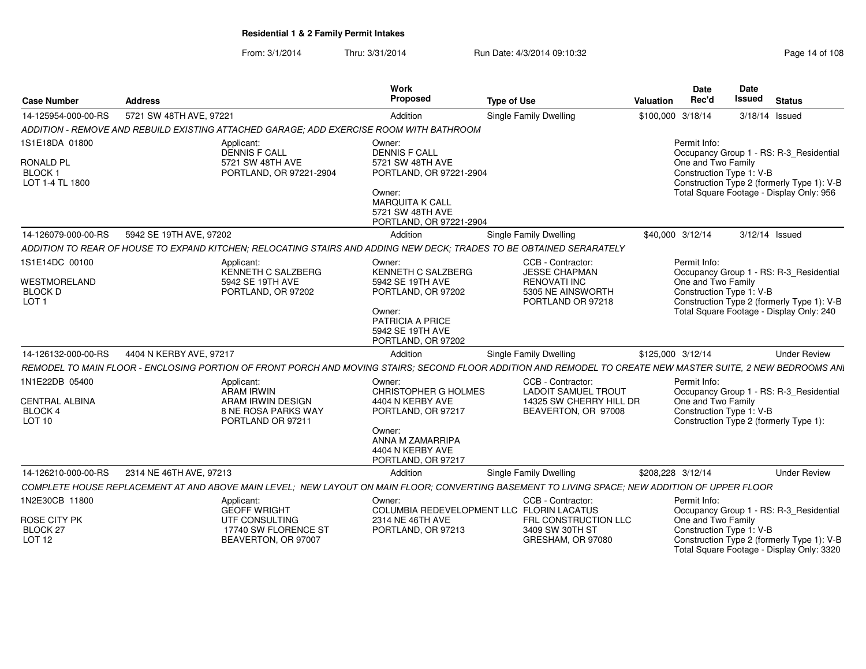| <b>Case Number</b>                                 | <b>Address</b>                                                                                                                                               | Work<br>Proposed                                                                | <b>Type of Use</b>                                            | Date<br>Rec'd<br>Valuation                     | <b>Date</b><br><b>Issued</b><br><b>Status</b>                                           |
|----------------------------------------------------|--------------------------------------------------------------------------------------------------------------------------------------------------------------|---------------------------------------------------------------------------------|---------------------------------------------------------------|------------------------------------------------|-----------------------------------------------------------------------------------------|
| 14-125954-000-00-RS                                | 5721 SW 48TH AVE, 97221                                                                                                                                      | Addition                                                                        | Single Family Dwelling                                        | \$100,000 3/18/14                              | 3/18/14 Issued                                                                          |
|                                                    | ADDITION - REMOVE AND REBUILD EXISTING ATTACHED GARAGE; ADD EXERCISE ROOM WITH BATHROOM                                                                      |                                                                                 |                                                               |                                                |                                                                                         |
| 1S1E18DA 01800                                     | Applicant:<br><b>DENNIS F CALL</b>                                                                                                                           | Owner:<br><b>DENNIS F CALL</b>                                                  |                                                               | Permit Info:                                   | Occupancy Group 1 - RS: R-3_Residential                                                 |
| RONALD PL<br>BLOCK 1<br>LOT 1-4 TL 1800            | 5721 SW 48TH AVE<br>PORTLAND, OR 97221-2904                                                                                                                  | 5721 SW 48TH AVE<br>PORTLAND, OR 97221-2904                                     |                                                               | One and Two Family<br>Construction Type 1: V-B | Construction Type 2 (formerly Type 1): V-B                                              |
|                                                    |                                                                                                                                                              | Owner:<br><b>MARQUITA K CALL</b><br>5721 SW 48TH AVE<br>PORTLAND, OR 97221-2904 |                                                               |                                                | Total Square Footage - Display Only: 956                                                |
| 14-126079-000-00-RS                                | 5942 SE 19TH AVE, 97202                                                                                                                                      | Addition                                                                        | Single Family Dwelling                                        | \$40,000 3/12/14                               | 3/12/14 Issued                                                                          |
|                                                    | ADDITION TO REAR OF HOUSE TO EXPAND KITCHEN: RELOCATING STAIRS AND ADDING NEW DECK: TRADES TO BE OBTAINED SERARATELY                                         |                                                                                 |                                                               |                                                |                                                                                         |
| 1S1E14DC 00100                                     | Applicant:<br>KENNETH C SALZBERG                                                                                                                             | Owner:<br>KENNETH C SALZBERG                                                    | CCB - Contractor:<br><b>JESSE CHAPMAN</b>                     | Permit Info:                                   | Occupancy Group 1 - RS: R-3_Residential                                                 |
| WESTMORELAND<br><b>BLOCK D</b><br>LOT <sub>1</sub> | 5942 SE 19TH AVE<br>PORTLAND, OR 97202                                                                                                                       | 5942 SE 19TH AVE<br>PORTLAND, OR 97202                                          | <b>RENOVATI INC</b><br>5305 NE AINSWORTH<br>PORTLAND OR 97218 | One and Two Family<br>Construction Type 1: V-B | Construction Type 2 (formerly Type 1): V-B                                              |
|                                                    |                                                                                                                                                              | Owner:<br>PATRICIA A PRICE<br>5942 SE 19TH AVE<br>PORTLAND, OR 97202            |                                                               |                                                | Total Square Footage - Display Only: 240                                                |
| 14-126132-000-00-RS                                | 4404 N KERBY AVE, 97217                                                                                                                                      | Addition                                                                        | Single Family Dwelling                                        | \$125,000 3/12/14                              | <b>Under Review</b>                                                                     |
|                                                    | REMODEL TO MAIN FLOOR - ENCLOSING PORTION OF FRONT PORCH AND MOVING STAIRS: SECOND FLOOR ADDITION AND REMODEL TO CREATE NEW MASTER SUITE, 2 NEW BEDROOMS ANI |                                                                                 |                                                               |                                                |                                                                                         |
| 1N1E22DB 05400                                     | Applicant:<br>ARAM IRWIN                                                                                                                                     | Owner:<br><b>CHRISTOPHER G HOLMES</b>                                           | CCB - Contractor:<br><b>LADOIT SAMUEL TROUT</b>               | Permit Info:                                   | Occupancy Group 1 - RS: R-3 Residential                                                 |
| CENTRAL ALBINA<br><b>BLOCK 4</b><br>LOT 10         | ARAM IRWIN DESIGN<br>8 NE ROSA PARKS WAY<br>PORTLAND OR 97211                                                                                                | 4404 N KERBY AVE<br>PORTLAND, OR 97217                                          | 14325 SW CHERRY HILL DR<br>BEAVERTON, OR 97008                | One and Two Family<br>Construction Type 1: V-B | Construction Type 2 (formerly Type 1):                                                  |
|                                                    |                                                                                                                                                              | Owner:<br>ANNA M ZAMARRIPA<br>4404 N KERBY AVE<br>PORTLAND, OR 97217            |                                                               |                                                |                                                                                         |
| 14-126210-000-00-RS                                | 2314 NE 46TH AVE, 97213                                                                                                                                      | Addition                                                                        | <b>Single Family Dwelling</b>                                 | \$208,228 3/12/14                              | <b>Under Review</b>                                                                     |
|                                                    | COMPLETE HOUSE REPLACEMENT AT AND ABOVE MAIN LEVEL: NEW LAYOUT ON MAIN FLOOR; CONVERTING BASEMENT TO LIVING SPACE; NEW ADDITION OF UPPER FLOOR               |                                                                                 |                                                               |                                                |                                                                                         |
| 1N2E30CB 11800                                     | Applicant:<br><b>GEOFF WRIGHT</b>                                                                                                                            | Owner:<br>COLUMBIA REDEVELOPMENT LLC FLORIN LACATUS                             | CCB - Contractor:                                             | Permit Info:                                   | Occupancy Group 1 - RS: R-3_Residential                                                 |
| ROSE CITY PK<br>BLOCK 27<br><b>LOT 12</b>          | UTF CONSULTING<br>17740 SW FLORENCE ST<br>BEAVERTON, OR 97007                                                                                                | 2314 NE 46TH AVE<br>PORTLAND, OR 97213                                          | FRL CONSTRUCTION LLC<br>3409 SW 30TH ST<br>GRESHAM, OR 97080  | One and Two Family<br>Construction Type 1: V-B | Construction Type 2 (formerly Type 1): V-B<br>Total Square Footage - Display Only: 3320 |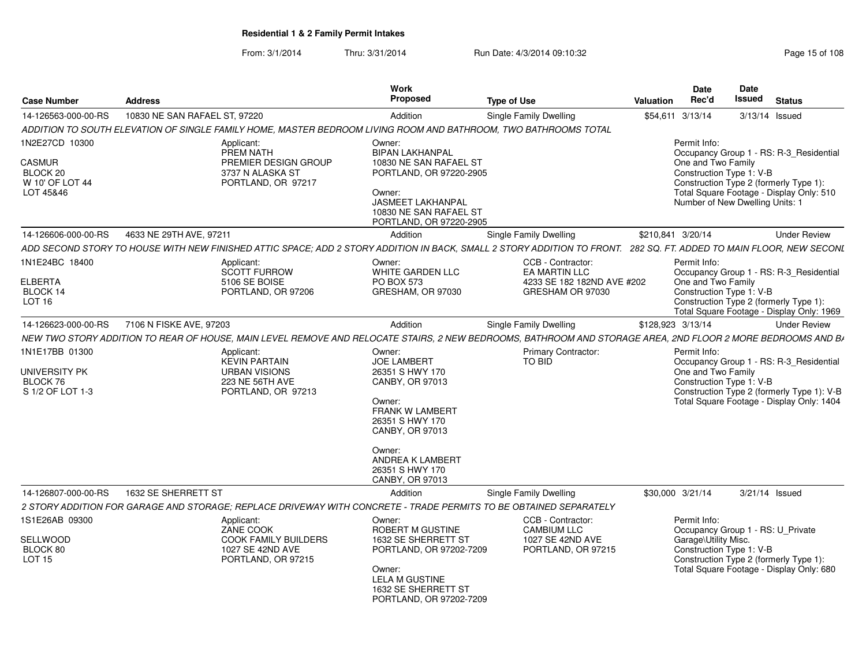| <b>Case Number</b>                                                     | <b>Address</b>                                                                                                                                                      | Work<br>Proposed                                                                                                                                                                                          | <b>Type of Use</b>                                                                   | Valuation         | <b>Date</b><br>Rec'd                 | <b>Date</b><br>Issued<br><b>Status</b>                                                                                                                                                       |
|------------------------------------------------------------------------|---------------------------------------------------------------------------------------------------------------------------------------------------------------------|-----------------------------------------------------------------------------------------------------------------------------------------------------------------------------------------------------------|--------------------------------------------------------------------------------------|-------------------|--------------------------------------|----------------------------------------------------------------------------------------------------------------------------------------------------------------------------------------------|
| 14-126563-000-00-RS                                                    | 10830 NE SAN RAFAEL ST, 97220                                                                                                                                       | Addition                                                                                                                                                                                                  | <b>Single Family Dwelling</b>                                                        | \$54,611 3/13/14  |                                      | 3/13/14 Issued                                                                                                                                                                               |
|                                                                        | ADDITION TO SOUTH ELEVATION OF SINGLE FAMILY HOME, MASTER BEDROOM LIVING ROOM AND BATHROOM, TWO BATHROOMS TOTAL                                                     |                                                                                                                                                                                                           |                                                                                      |                   |                                      |                                                                                                                                                                                              |
| 1N2E27CD 10300<br>CASMUR<br>BLOCK 20<br>W 10' OF LOT 44<br>LOT 45&46   | Applicant:<br>PREM NATH<br>PREMIER DESIGN GROUP<br>3737 N ALASKA ST<br>PORTLAND, OR 97217                                                                           | Owner:<br><b>BIPAN LAKHANPAL</b><br>10830 NE SAN RAFAEL ST<br>PORTLAND, OR 97220-2905<br>Owner:<br><b>JASMEET LAKHANPAL</b><br>10830 NE SAN RAFAEL ST<br>PORTLAND, OR 97220-2905                          |                                                                                      |                   | Permit Info:<br>One and Two Family   | Occupancy Group 1 - RS: R-3 Residential<br>Construction Type 1: V-B<br>Construction Type 2 (formerly Type 1):<br>Total Square Footage - Display Only: 510<br>Number of New Dwelling Units: 1 |
| 14-126606-000-00-RS                                                    | 4633 NE 29TH AVE, 97211                                                                                                                                             | Addition                                                                                                                                                                                                  | <b>Single Family Dwelling</b>                                                        | \$210,841 3/20/14 |                                      | <b>Under Review</b>                                                                                                                                                                          |
|                                                                        | ADD SECOND STORY TO HOUSE WITH NEW FINISHED ATTIC SPACE; ADD 2 STORY ADDITION IN BACK, SMALL 2 STORY ADDITION TO FRONT. 282 SQ. FT. ADDED TO MAIN FLOOR, NEW SECONL |                                                                                                                                                                                                           |                                                                                      |                   |                                      |                                                                                                                                                                                              |
| 1N1E24BC 18400<br><b>ELBERTA</b><br>BLOCK 14<br>LOT 16                 | Applicant:<br>SCOTT FURROW<br>5106 SE BOISE<br>PORTLAND, OR 97206                                                                                                   | Owner:<br>WHITE GARDEN LLC<br><b>PO BOX 573</b><br>GRESHAM, OR 97030                                                                                                                                      | CCB - Contractor:<br>EA MARTIN LLC<br>4233 SE 182 182ND AVE #202<br>GRESHAM OR 97030 |                   | Permit Info:<br>One and Two Family   | Occupancy Group 1 - RS: R-3_Residential<br>Construction Type 1: V-B<br>Construction Type 2 (formerly Type 1):<br>Total Square Footage - Display Only: 1969                                   |
| 14-126623-000-00-RS                                                    | 7106 N FISKE AVE, 97203                                                                                                                                             | Addition                                                                                                                                                                                                  | <b>Single Family Dwelling</b>                                                        | \$128,923 3/13/14 |                                      | <b>Under Review</b>                                                                                                                                                                          |
|                                                                        | NEW TWO STORY ADDITION TO REAR OF HOUSE, MAIN LEVEL REMOVE AND RELOCATE STAIRS, 2 NEW BEDROOMS, BATHROOM AND STORAGE AREA, 2ND FLOOR 2 MORE BEDROOMS AND BA         |                                                                                                                                                                                                           |                                                                                      |                   |                                      |                                                                                                                                                                                              |
| 1N1E17BB 01300<br><b>UNIVERSITY PK</b><br>BLOCK 76<br>S 1/2 OF LOT 1-3 | Applicant:<br><b>KEVIN PARTAIN</b><br><b>URBAN VISIONS</b><br>223 NE 56TH AVE<br>PORTLAND, OR 97213                                                                 | Owner:<br><b>JOE LAMBERT</b><br>26351 S HWY 170<br>CANBY, OR 97013<br>Owner:<br>FRANK W LAMBERT<br>26351 S HWY 170<br>CANBY, OR 97013<br>Owner:<br>ANDREA K LAMBERT<br>26351 S HWY 170<br>CANBY, OR 97013 | Primary Contractor:<br>TO BID                                                        |                   | Permit Info:<br>One and Two Family   | Occupancy Group 1 - RS: R-3_Residential<br>Construction Type 1: V-B<br>Construction Type 2 (formerly Type 1): V-B<br>Total Square Footage - Display Only: 1404                               |
| 14-126807-000-00-RS                                                    | 1632 SE SHERRETT ST                                                                                                                                                 | Addition                                                                                                                                                                                                  | Single Family Dwelling                                                               | \$30,000 3/21/14  |                                      | 3/21/14 Issued                                                                                                                                                                               |
|                                                                        | 2 STORY ADDITION FOR GARAGE AND STORAGE; REPLACE DRIVEWAY WITH CONCRETE - TRADE PERMITS TO BE OBTAINED SEPARATELY                                                   |                                                                                                                                                                                                           |                                                                                      |                   |                                      |                                                                                                                                                                                              |
| 1S1E26AB 09300<br>SELLWOOD<br>BLOCK 80<br><b>LOT 15</b>                | Applicant:<br>ZANE COOK<br><b>COOK FAMILY BUILDERS</b><br>1027 SE 42ND AVE<br>PORTLAND, OR 97215                                                                    | Owner:<br>ROBERT M GUSTINE<br>1632 SE SHERRETT ST<br>PORTLAND, OR 97202-7209<br>Owner:<br><b>LELA M GUSTINE</b><br>1632 SE SHERRETT ST<br>PORTLAND, OR 97202-7209                                         | CCB - Contractor:<br><b>CAMBIUM LLC</b><br>1027 SE 42ND AVE<br>PORTLAND, OR 97215    |                   | Permit Info:<br>Garage\Utility Misc. | Occupancy Group 1 - RS: U_Private<br>Construction Type 1: V-B<br>Construction Type 2 (formerly Type 1):<br>Total Square Footage - Display Only: 680                                          |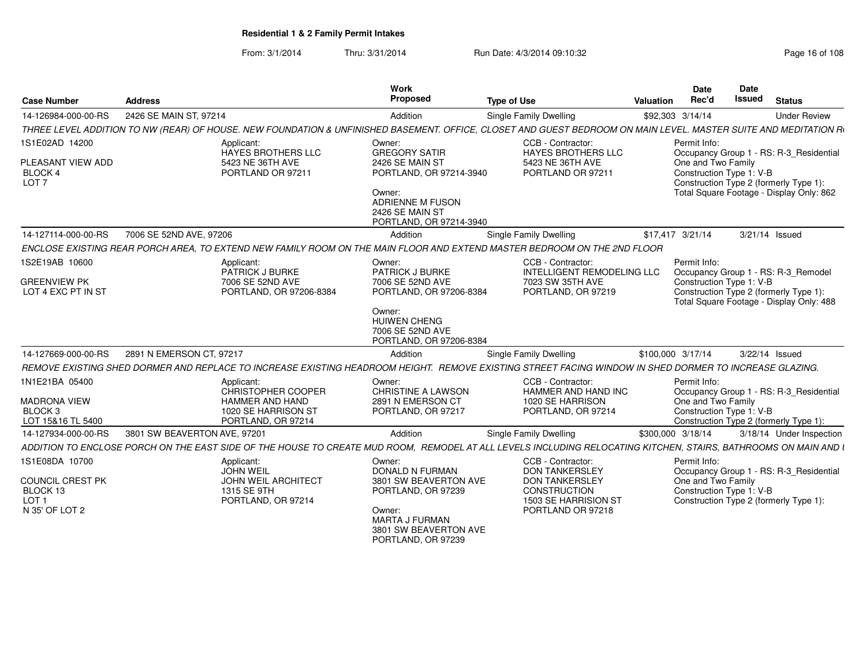| <b>Case Number</b>                                                                   | <b>Address</b>                                                                                                                                                  | Work<br>Proposed                                                                                                                                         | <b>Type of Use</b>                                                                                                               | Valuation         | Date<br>Rec'd                      | Date<br><b>Issued</b>    | <b>Status</b>                                                                                                                 |
|--------------------------------------------------------------------------------------|-----------------------------------------------------------------------------------------------------------------------------------------------------------------|----------------------------------------------------------------------------------------------------------------------------------------------------------|----------------------------------------------------------------------------------------------------------------------------------|-------------------|------------------------------------|--------------------------|-------------------------------------------------------------------------------------------------------------------------------|
| 14-126984-000-00-RS                                                                  | 2426 SE MAIN ST, 97214                                                                                                                                          | Addition                                                                                                                                                 | Single Family Dwelling                                                                                                           | \$92,303 3/14/14  |                                    |                          | <b>Under Review</b>                                                                                                           |
|                                                                                      | THREE LEVEL ADDITION TO NW (REAR) OF HOUSE. NEW FOUNDATION & UNFINISHED BASEMENT. OFFICE, CLOSET AND GUEST BEDROOM ON MAIN LEVEL. MASTER SUITE AND MEDITATION R |                                                                                                                                                          |                                                                                                                                  |                   |                                    |                          |                                                                                                                               |
| 1S1E02AD 14200<br>PLEASANT VIEW ADD<br>BLOCK 4<br>LOT <sub>7</sub>                   | Applicant:<br>HAYES BROTHERS LLC<br>5423 NE 36TH AVE<br>PORTLAND OR 97211                                                                                       | Owner:<br><b>GREGORY SATIR</b><br>2426 SE MAIN ST<br>PORTLAND, OR 97214-3940<br>Owner:<br>ADRIENNE M FUSON<br>2426 SE MAIN ST<br>PORTLAND, OR 97214-3940 | CCB - Contractor:<br><b>HAYES BROTHERS LLC</b><br>5423 NE 36TH AVE<br>PORTLAND OR 97211                                          |                   | Permit Info:<br>One and Two Family | Construction Type 1: V-B | Occupancy Group 1 - RS: R-3_Residential<br>Construction Type 2 (formerly Type 1):<br>Total Square Footage - Display Only: 862 |
| 14-127114-000-00-RS                                                                  | 7006 SE 52ND AVE, 97206                                                                                                                                         | Addition                                                                                                                                                 | Single Family Dwelling                                                                                                           | \$17,417 3/21/14  |                                    | 3/21/14 Issued           |                                                                                                                               |
|                                                                                      | ENCLOSE EXISTING REAR PORCH AREA. TO EXTEND NEW FAMILY ROOM ON THE MAIN FLOOR AND EXTEND MASTER BEDROOM ON THE 2ND FLOOR                                        |                                                                                                                                                          |                                                                                                                                  |                   |                                    |                          |                                                                                                                               |
| 1S2E19AB 10600<br><b>GREENVIEW PK</b><br>LOT 4 EXC PT IN ST                          | Applicant:<br>PATRICK J BURKE<br>7006 SE 52ND AVE<br>PORTLAND, OR 97206-8384                                                                                    | Owner:<br><b>PATRICK J BURKE</b><br>7006 SE 52ND AVE<br>PORTLAND, OR 97206-8384                                                                          | CCB - Contractor:<br><b>INTELLIGENT REMODELING LLC</b><br>7023 SW 35TH AVE<br>PORTLAND, OR 97219                                 |                   | Permit Info:                       | Construction Type 1: V-B | Occupancy Group 1 - RS: R-3 Remodel<br>Construction Type 2 (formerly Type 1):<br>Total Square Footage - Display Only: 488     |
|                                                                                      |                                                                                                                                                                 | Owner:<br><b>HUIWEN CHENG</b><br>7006 SE 52ND AVE<br>PORTLAND, OR 97206-8384                                                                             |                                                                                                                                  |                   |                                    |                          |                                                                                                                               |
| 14-127669-000-00-RS                                                                  | 2891 N EMERSON CT, 97217                                                                                                                                        | Addition                                                                                                                                                 | Single Family Dwelling                                                                                                           | \$100,000 3/17/14 |                                    | 3/22/14 Issued           |                                                                                                                               |
|                                                                                      | REMOVE EXISTING SHED DORMER AND REPLACE TO INCREASE EXISTING HEADROOM HEIGHT. REMOVE EXISTING STREET FACING WINDOW IN SHED DORMER TO INCREASE GLAZING.          |                                                                                                                                                          |                                                                                                                                  |                   |                                    |                          |                                                                                                                               |
| 1N1E21BA 05400<br><b>MADRONA VIEW</b><br>BLOCK 3<br>LOT 15&16 TL 5400                | Applicant:<br>CHRISTOPHER COOPER<br><b>HAMMER AND HAND</b><br>1020 SE HARRISON ST<br>PORTLAND, OR 97214                                                         | Owner:<br><b>CHRISTINE A LAWSON</b><br>2891 N EMERSON CT<br>PORTLAND, OR 97217                                                                           | CCB - Contractor:<br>HAMMER AND HAND INC<br>1020 SE HARRISON<br>PORTLAND, OR 97214                                               |                   | Permit Info:<br>One and Two Family | Construction Type 1: V-B | Occupancy Group 1 - RS: R-3_Residential<br>Construction Type 2 (formerly Type 1):                                             |
| 14-127934-000-00-RS                                                                  | 3801 SW BEAVERTON AVE, 97201                                                                                                                                    | Addition                                                                                                                                                 | Single Family Dwelling                                                                                                           | \$300,000 3/18/14 |                                    |                          | 3/18/14 Under Inspection                                                                                                      |
|                                                                                      | ADDITION TO ENCLOSE PORCH ON THE EAST SIDE OF THE HOUSE TO CREATE MUD ROOM. REMODEL AT ALL LEVELS INCLUDING RELOCATING KITCHEN. STAIRS, BATHROOMS ON MAIN AND I |                                                                                                                                                          |                                                                                                                                  |                   |                                    |                          |                                                                                                                               |
| 1S1E08DA 10700<br>COUNCIL CREST PK<br>BLOCK 13<br>LOT <sub>1</sub><br>N 35' OF LOT 2 | Applicant:<br><b>JOHN WEIL</b><br><b>JOHN WEIL ARCHITECT</b><br>1315 SE 9TH<br>PORTLAND, OR 97214                                                               | Owner:<br>DONALD N FURMAN<br>3801 SW BEAVERTON AVE<br>PORTLAND, OR 97239<br>Owner:<br><b>MARTA J FURMAN</b><br>3801 SW BEAVERTON AVE                     | CCB - Contractor:<br><b>DON TANKERSLEY</b><br><b>DON TANKERSLEY</b><br>CONSTRUCTION<br>1503 SE HARRISION ST<br>PORTLAND OR 97218 |                   | Permit Info:<br>One and Two Family | Construction Type 1: V-B | Occupancy Group 1 - RS: R-3_Residential<br>Construction Type 2 (formerly Type 1):                                             |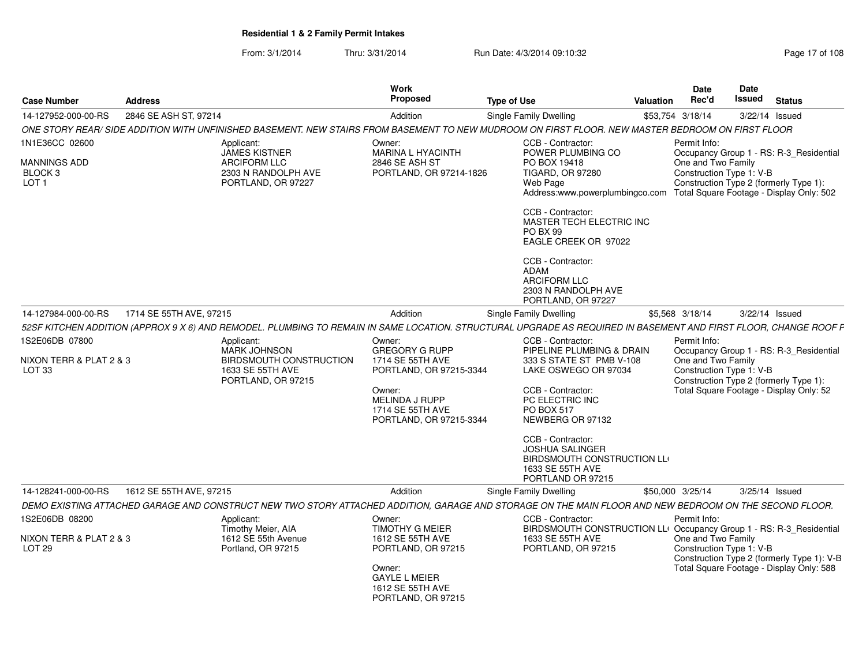| <b>Case Number</b>                                  | <b>Address</b>          |                                                                                                                                                                  | Work<br>Proposed                                                         | <b>Type of Use</b>                                                                                                              | <b>Valuation</b> | <b>Date</b><br>Rec'd                           | Date<br>Issued                                                                                                | <b>Status</b>                              |  |
|-----------------------------------------------------|-------------------------|------------------------------------------------------------------------------------------------------------------------------------------------------------------|--------------------------------------------------------------------------|---------------------------------------------------------------------------------------------------------------------------------|------------------|------------------------------------------------|---------------------------------------------------------------------------------------------------------------|--------------------------------------------|--|
| 14-127952-000-00-RS                                 | 2846 SE ASH ST, 97214   |                                                                                                                                                                  | Addition                                                                 | <b>Single Family Dwelling</b>                                                                                                   |                  | \$53,754 3/18/14                               |                                                                                                               | 3/22/14 Issued                             |  |
|                                                     |                         | ONE STORY REAR/ SIDE ADDITION WITH UNFINISHED BASEMENT. NEW STAIRS FROM BASEMENT TO NEW MUDROOM ON FIRST FLOOR. NEW MASTER BEDROOM ON FIRST FLOOR                |                                                                          |                                                                                                                                 |                  |                                                |                                                                                                               |                                            |  |
| 1N1E36CC 02600                                      |                         | Applicant:<br><b>JAMES KISTNER</b>                                                                                                                               | Owner:<br><b>MARINA L HYACINTH</b>                                       | CCB - Contractor:<br>POWER PLUMBING CO                                                                                          |                  | Permit Info:                                   |                                                                                                               | Occupancy Group 1 - RS: R-3_Residential    |  |
| <b>MANNINGS ADD</b><br>BLOCK 3<br>LOT <sub>1</sub>  |                         | <b>ARCIFORM LLC</b><br>2303 N RANDOLPH AVE<br>PORTLAND, OR 97227                                                                                                 | 2846 SE ASH ST<br>PORTLAND, OR 97214-1826                                | PO BOX 19418<br><b>TIGARD, OR 97280</b><br>Web Page<br>Address:www.powerplumbingco.com Total Square Footage - Display Only: 502 |                  | One and Two Family<br>Construction Type 1: V-B |                                                                                                               | Construction Type 2 (formerly Type 1):     |  |
|                                                     |                         |                                                                                                                                                                  |                                                                          | CCB - Contractor:<br>MASTER TECH ELECTRIC INC<br>PO BX 99<br>EAGLE CREEK OR 97022                                               |                  |                                                |                                                                                                               |                                            |  |
|                                                     |                         |                                                                                                                                                                  |                                                                          | CCB - Contractor:<br>ADAM<br><b>ARCIFORM LLC</b><br>2303 N RANDOLPH AVE<br>PORTLAND, OR 97227                                   |                  |                                                |                                                                                                               |                                            |  |
| 14-127984-000-00-RS                                 | 1714 SE 55TH AVE, 97215 |                                                                                                                                                                  | Addition                                                                 | Single Family Dwelling                                                                                                          |                  | \$5,568 3/18/14                                |                                                                                                               | 3/22/14 Issued                             |  |
|                                                     |                         | 52SF KITCHEN ADDITION (APPROX 9 X 6) AND REMODEL. PLUMBING TO REMAIN IN SAME LOCATION. STRUCTURAL UPGRADE AS REQUIRED IN BASEMENT AND FIRST FLOOR, CHANGE ROOF F |                                                                          |                                                                                                                                 |                  |                                                |                                                                                                               |                                            |  |
| 1S2E06DB 07800<br>NIXON TERR & PLAT 2 & 3<br>LOT 33 |                         | Applicant:<br><b>MARK JOHNSON</b><br>BIRDSMOUTH CONSTRUCTION<br>1633 SE 55TH AVE<br>PORTLAND, OR 97215                                                           |                                                                          | CCB - Contractor:<br>PIPELINE PLUMBING & DRAIN<br>333 S STATE ST PMB V-108<br>LAKE OSWEGO OR 97034<br>PORTLAND, OR 97215-3344   |                  | Permit Info:<br>One and Two Family             | Occupancy Group 1 - RS: R-3_Residential<br>Construction Type 1: V-B<br>Construction Type 2 (formerly Type 1): |                                            |  |
|                                                     |                         |                                                                                                                                                                  | Owner:<br>MELINDA J RUPP<br>1714 SE 55TH AVE<br>PORTLAND, OR 97215-3344  | CCB - Contractor:<br>PC ELECTRIC INC<br>PO BOX 517<br>NEWBERG OR 97132                                                          |                  |                                                |                                                                                                               | Total Square Footage - Display Only: 52    |  |
|                                                     |                         |                                                                                                                                                                  |                                                                          | CCB - Contractor:<br><b>JOSHUA SALINGER</b><br>BIRDSMOUTH CONSTRUCTION LLO<br>1633 SE 55TH AVE<br>PORTLAND OR 97215             |                  |                                                |                                                                                                               |                                            |  |
| 14-128241-000-00-RS                                 | 1612 SE 55TH AVE, 97215 |                                                                                                                                                                  | Addition                                                                 | <b>Single Family Dwelling</b>                                                                                                   |                  | \$50,000 3/25/14                               |                                                                                                               | 3/25/14 Issued                             |  |
|                                                     |                         | DEMO EXISTING ATTACHED GARAGE AND CONSTRUCT NEW TWO STORY ATTACHED ADDITION, GARAGE AND STORAGE ON THE MAIN FLOOR AND NEW BEDROOM ON THE SECOND FLOOR.           |                                                                          |                                                                                                                                 |                  |                                                |                                                                                                               |                                            |  |
| 1S2E06DB 08200                                      |                         | Applicant:<br>Timothy Meier, AIA                                                                                                                                 | Owner:<br><b>TIMOTHY G MEIER</b>                                         | CCB - Contractor:<br>BIRDSMOUTH CONSTRUCTION LL <sup>i</sup> Occupancy Group 1 - RS: R-3_Residential                            |                  | Permit Info:                                   |                                                                                                               |                                            |  |
| NIXON TERR & PLAT 2 & 3<br>LOT <sub>29</sub>        |                         | 1612 SE 55th Avenue<br>Portland, OR 97215                                                                                                                        | 1612 SE 55TH AVE<br>PORTLAND, OR 97215                                   | 1633 SE 55TH AVE<br>PORTLAND, OR 97215                                                                                          |                  | One and Two Family<br>Construction Type 1: V-B |                                                                                                               | Construction Type 2 (formerly Type 1): V-B |  |
|                                                     |                         |                                                                                                                                                                  | Owner:<br><b>GAYLE L MEIER</b><br>1612 SE 55TH AVE<br>PORTLAND, OR 97215 |                                                                                                                                 |                  |                                                |                                                                                                               | Total Square Footage - Display Only: 588   |  |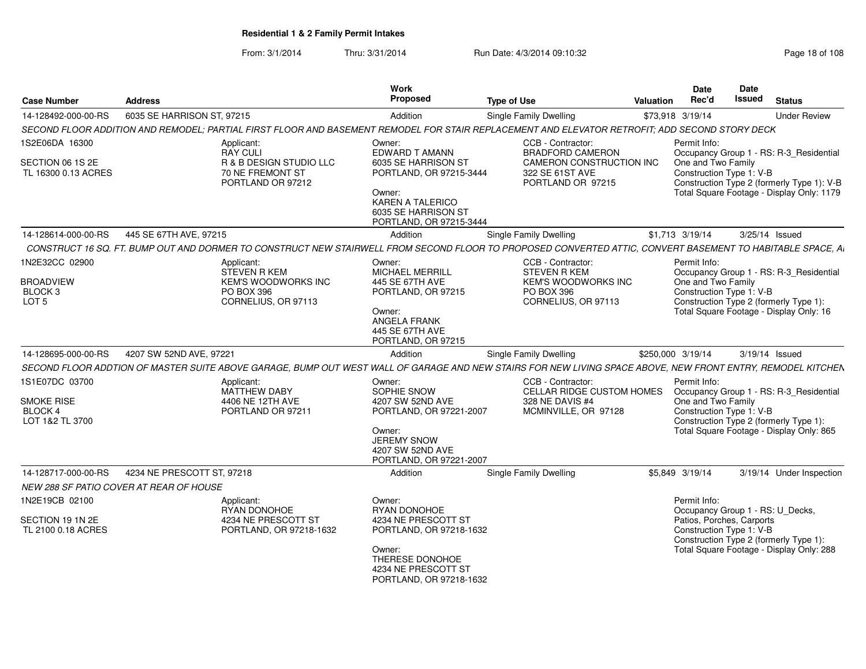| <b>Case Number</b>                                     | <b>Address</b>                                                                                                                                              | Work<br>Proposed                                                                                                               | <b>Type of Use</b>                                                     | Valuation | Date<br>Rec'd                                         | Date<br><b>Issued</b> | <b>Status</b>                                                                           |
|--------------------------------------------------------|-------------------------------------------------------------------------------------------------------------------------------------------------------------|--------------------------------------------------------------------------------------------------------------------------------|------------------------------------------------------------------------|-----------|-------------------------------------------------------|-----------------------|-----------------------------------------------------------------------------------------|
| 14-128492-000-00-RS                                    | 6035 SE HARRISON ST, 97215                                                                                                                                  | Addition                                                                                                                       | <b>Single Family Dwelling</b>                                          |           | \$73,918 3/19/14                                      |                       | <b>Under Review</b>                                                                     |
|                                                        | SECOND FLOOR ADDITION AND REMODEL; PARTIAL FIRST FLOOR AND BASEMENT REMODEL FOR STAIR REPLACEMENT AND ELEVATOR RETROFIT; ADD SECOND STORY DECK              |                                                                                                                                |                                                                        |           |                                                       |                       |                                                                                         |
| 1S2E06DA 16300                                         | Applicant:<br><b>RAY CULI</b>                                                                                                                               | Owner:<br>EDWARD T AMANN                                                                                                       | CCB - Contractor:<br><b>BRADFORD CAMERON</b>                           |           | Permit Info:                                          |                       | Occupancy Group 1 - RS: R-3 Residential                                                 |
| SECTION 06 1S 2E<br>TL 16300 0.13 ACRES                | R & B DESIGN STUDIO LLC<br>70 NE FREMONT ST<br>PORTLAND OR 97212                                                                                            | 6035 SE HARRISON ST<br>PORTLAND, OR 97215-3444<br>Owner:<br>KAREN A TALERICO<br>6035 SE HARRISON ST<br>PORTLAND, OR 97215-3444 | CAMERON CONSTRUCTION INC<br>322 SE 61ST AVE<br>PORTLAND OR 97215       |           | One and Two Family<br>Construction Type 1: V-B        |                       | Construction Type 2 (formerly Type 1): V-B<br>Total Square Footage - Display Only: 1179 |
| 14-128614-000-00-RS                                    | 445 SE 67TH AVE, 97215                                                                                                                                      | Addition                                                                                                                       | <b>Single Family Dwelling</b>                                          |           | \$1,713 3/19/14                                       |                       | 3/25/14 Issued                                                                          |
|                                                        | CONSTRUCT 16 SQ. FT. BUMP OUT AND DORMER TO CONSTRUCT NEW STAIRWELL FROM SECOND FLOOR TO PROPOSED CONVERTED ATTIC, CONVERT BASEMENT TO HABITABLE SPACE, AI  |                                                                                                                                |                                                                        |           |                                                       |                       |                                                                                         |
| 1N2E32CC 02900<br><b>BROADVIEW</b>                     | Applicant:<br><b>STEVEN R KEM</b><br><b>KEM'S WOODWORKS INC</b>                                                                                             | Owner:<br><b>MICHAEL MERRILL</b><br>445 SE 67TH AVE                                                                            | CCB - Contractor:<br><b>STEVEN R KEM</b><br><b>KEM'S WOODWORKS INC</b> |           | Permit Info:<br>One and Two Family                    |                       | Occupancy Group 1 - RS: R-3_Residential                                                 |
| BLOCK <sub>3</sub><br>LOT <sub>5</sub>                 | PO BOX 396<br>CORNELIUS, OR 97113                                                                                                                           | PORTLAND, OR 97215<br>Owner:<br><b>ANGELA FRANK</b><br>445 SE 67TH AVE<br>PORTLAND, OR 97215                                   | <b>PO BOX 396</b><br>CORNELIUS, OR 97113                               |           | Construction Type 1: V-B                              |                       | Construction Type 2 (formerly Type 1):<br>Total Square Footage - Display Only: 16       |
| 14-128695-000-00-RS                                    | 4207 SW 52ND AVE, 97221                                                                                                                                     | Addition                                                                                                                       | Single Family Dwelling                                                 |           | \$250,000 3/19/14                                     |                       | 3/19/14 Issued                                                                          |
|                                                        | SECOND FLOOR ADDTION OF MASTER SUITE ABOVE GARAGE. BUMP OUT WEST WALL OF GARAGE AND NEW STAIRS FOR NEW LIVING SPACE ABOVE. NEW FRONT ENTRY. REMODEL KITCHEN |                                                                                                                                |                                                                        |           |                                                       |                       |                                                                                         |
| 1S1E07DC 03700                                         | Applicant:<br><b>MATTHEW DABY</b>                                                                                                                           | Owner:<br>SOPHIE SNOW                                                                                                          | CCB - Contractor:<br><b>CELLAR RIDGE CUSTOM HOMES</b>                  |           | Permit Info:                                          |                       | Occupancy Group 1 - RS: R-3_Residential                                                 |
| <b>SMOKE RISE</b><br><b>BLOCK 4</b><br>LOT 1&2 TL 3700 | 4406 NE 12TH AVE<br>PORTLAND OR 97211                                                                                                                       | 4207 SW 52ND AVE<br>PORTLAND, OR 97221-2007<br>Owner:<br><b>JEREMY SNOW</b><br>4207 SW 52ND AVE<br>PORTLAND, OR 97221-2007     | 328 NE DAVIS #4<br>MCMINVILLE, OR 97128                                |           | One and Two Family<br>Construction Type 1: V-B        |                       | Construction Type 2 (formerly Type 1):<br>Total Square Footage - Display Only: 865      |
| 14-128717-000-00-RS                                    | 4234 NE PRESCOTT ST, 97218                                                                                                                                  | Addition                                                                                                                       | <b>Single Family Dwelling</b>                                          |           | \$5,849 3/19/14                                       |                       | 3/19/14 Under Inspection                                                                |
|                                                        | <b>NEW 288 SF PATIO COVER AT REAR OF HOUSE</b>                                                                                                              |                                                                                                                                |                                                                        |           |                                                       |                       |                                                                                         |
| 1N2E19CB 02100                                         | Applicant:<br>RYAN DONOHOE                                                                                                                                  | Owner:<br>RYAN DONOHOE                                                                                                         |                                                                        |           | Permit Info:                                          |                       | Occupancy Group 1 - RS: U_Decks,                                                        |
| SECTION 19 1N 2E<br>TL 2100 0.18 ACRES                 | 4234 NE PRESCOTT ST<br>PORTLAND, OR 97218-1632                                                                                                              | 4234 NE PRESCOTT ST<br>PORTLAND, OR 97218-1632<br>Owner:<br>THERESE DONOHOE                                                    |                                                                        |           | Patios, Porches, Carports<br>Construction Type 1: V-B |                       | Construction Type 2 (formerly Type 1):<br>Total Square Footage - Display Only: 288      |
|                                                        |                                                                                                                                                             | 4234 NE PRESCOTT ST<br>PORTLAND, OR 97218-1632                                                                                 |                                                                        |           |                                                       |                       |                                                                                         |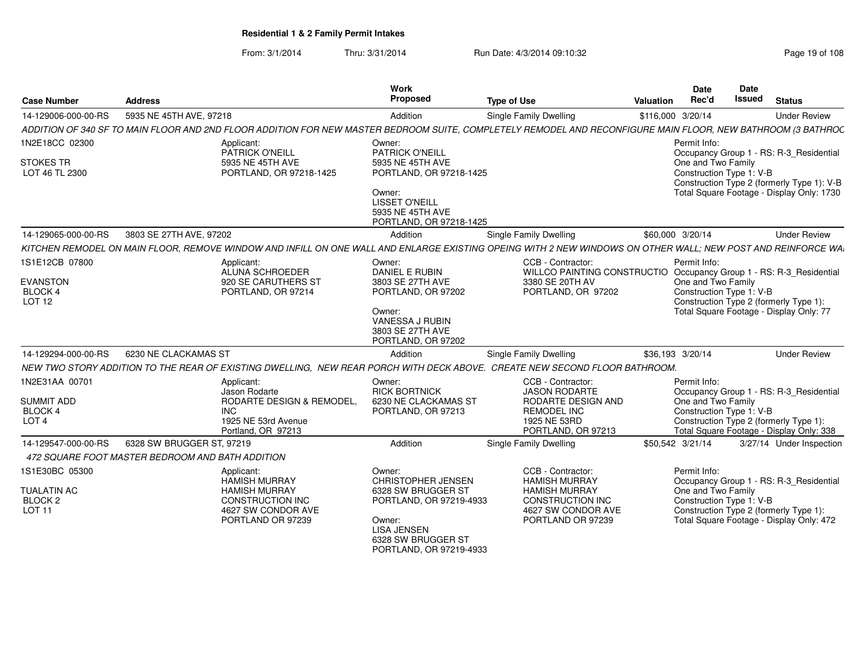From: 3/1/2014Thru: 3/31/2014 Run Date: 4/3/2014 09:10:32 Research 2010 Rage 19 of 108

| <b>Case Number</b>                          | <b>Address</b>                                                                                                                                               | Work<br><b>Proposed</b>                                                        | <b>Type of Use</b>                                                                       | Date<br>Rec'd<br><b>Valuation</b> |                                                | Date<br><b>Issued</b> | <b>Status</b>                                                                      |  |
|---------------------------------------------|--------------------------------------------------------------------------------------------------------------------------------------------------------------|--------------------------------------------------------------------------------|------------------------------------------------------------------------------------------|-----------------------------------|------------------------------------------------|-----------------------|------------------------------------------------------------------------------------|--|
| 14-129006-000-00-RS                         | 5935 NE 45TH AVE, 97218                                                                                                                                      | Addition                                                                       | Single Family Dwelling                                                                   | \$116,000 3/20/14                 |                                                |                       | <b>Under Review</b>                                                                |  |
|                                             | ADDITION OF 340 SF TO MAIN FLOOR AND 2ND FLOOR ADDITION FOR NEW MASTER BEDROOM SUITE, COMPLETELY REMODEL AND RECONFIGURE MAIN FLOOR, NEW BATHROOM (3 BATHROC |                                                                                |                                                                                          |                                   |                                                |                       |                                                                                    |  |
| 1N2E18CC 02300<br>STOKES TR                 | Applicant:<br>PATRICK O'NEILL<br>5935 NE 45TH AVE                                                                                                            | Owner:<br>PATRICK O'NEILL<br>5935 NE 45TH AVE                                  |                                                                                          | Permit Info                       | One and Two Family                             |                       | Occupancy Group 1 - RS: R-3_Residential                                            |  |
| LOT 46 TL 2300                              | PORTLAND, OR 97218-1425                                                                                                                                      | PORTLAND, OR 97218-1425                                                        |                                                                                          |                                   | Construction Type 1: V-B                       |                       | Construction Type 2 (formerly Type 1): V-B                                         |  |
|                                             |                                                                                                                                                              | Owner:<br><b>LISSET O'NEILL</b><br>5935 NE 45TH AVE<br>PORTLAND, OR 97218-1425 |                                                                                          |                                   |                                                |                       | Total Square Footage - Display Only: 1730                                          |  |
| 14-129065-000-00-RS                         | 3803 SE 27TH AVE, 97202                                                                                                                                      | Addition                                                                       | Single Family Dwelling                                                                   | \$60,000 3/20/14                  |                                                |                       | <b>Under Review</b>                                                                |  |
|                                             | KITCHEN REMODEL ON MAIN FLOOR. REMOVE WINDOW AND INFILL ON ONE WALL AND ENLARGE EXISTING OPEING WITH 2 NEW WINDOWS ON OTHER WALL: NEW POST AND REINFORCE WA  |                                                                                |                                                                                          |                                   |                                                |                       |                                                                                    |  |
| 1S1E12CB 07800                              | Applicant:<br>ALUNA SCHROEDER                                                                                                                                | Owner:<br>DANIEL E RUBIN                                                       | CCB - Contractor:<br>WILLCO PAINTING CONSTRUCTIO Occupancy Group 1 - RS: R-3_Residential | Permit Info:                      |                                                |                       |                                                                                    |  |
| <b>EVANSTON</b><br>BLOCK 4<br><b>LOT 12</b> | 920 SE CARUTHERS ST<br>PORTLAND, OR 97214                                                                                                                    | 3803 SE 27TH AVE<br>PORTLAND, OR 97202                                         | 3380 SE 20TH AV<br>PORTLAND, OR 97202                                                    |                                   | One and Two Family<br>Construction Type 1: V-B |                       | Construction Type 2 (formerly Type 1):                                             |  |
|                                             |                                                                                                                                                              | Owner:<br><b>VANESSA J RUBIN</b><br>3803 SE 27TH AVE<br>PORTLAND, OR 97202     |                                                                                          |                                   |                                                |                       | Total Square Footage - Display Only: 77                                            |  |
| 14-129294-000-00-RS                         | 6230 NE CLACKAMAS ST                                                                                                                                         | Addition                                                                       | <b>Single Family Dwelling</b>                                                            | \$36,193 3/20/14                  |                                                |                       | <b>Under Review</b>                                                                |  |
|                                             | NEW TWO STORY ADDITION TO THE REAR OF EXISTING DWELLING, NEW REAR PORCH WITH DECK ABOVE. CREATE NEW SECOND FLOOR BATHROOM.                                   |                                                                                |                                                                                          |                                   |                                                |                       |                                                                                    |  |
| 1N2E31AA 00701                              | Applicant:<br>Jason Rodarte                                                                                                                                  | Owner:<br><b>RICK BORTNICK</b>                                                 | CCB - Contractor:<br><b>JASON RODARTE</b>                                                | Permit Info:                      |                                                |                       | Occupancy Group 1 - RS: R-3 Residential                                            |  |
| <b>SUMMIT ADD</b><br>BLOCK 4                | RODARTE DESIGN & REMODEL<br><b>INC</b>                                                                                                                       | 6230 NE CLACKAMAS ST<br>PORTLAND, OR 97213                                     | RODARTE DESIGN AND<br><b>REMODEL INC</b>                                                 |                                   | One and Two Family<br>Construction Type 1: V-B |                       |                                                                                    |  |
| LOT <sub>4</sub>                            | 1925 NE 53rd Avenue<br>Portland, OR 97213                                                                                                                    |                                                                                | 1925 NE 53RD<br>PORTLAND, OR 97213                                                       |                                   |                                                |                       | Construction Type 2 (formerly Type 1):<br>Total Square Footage - Display Only: 338 |  |
| 14-129547-000-00-RS                         | 6328 SW BRUGGER ST, 97219                                                                                                                                    | Addition                                                                       | Single Family Dwelling                                                                   | \$50,542 3/21/14                  |                                                |                       | 3/27/14 Under Inspection                                                           |  |
|                                             | 472 SQUARE FOOT MASTER BEDROOM AND BATH ADDITION                                                                                                             |                                                                                |                                                                                          |                                   |                                                |                       |                                                                                    |  |
| 1S1E30BC 05300                              | Applicant:<br><b>HAMISH MURRAY</b>                                                                                                                           | Owner:<br>CHRISTOPHER JENSEN                                                   | CCB - Contractor:<br><b>HAMISH MURRAY</b>                                                | Permit Info:                      |                                                |                       | Occupancy Group 1 - RS: R-3_Residential                                            |  |
| <b>TUALATIN AC</b><br><b>BLOCK 2</b>        | <b>HAMISH MURRAY</b><br><b>CONSTRUCTION INC</b>                                                                                                              | 6328 SW BRUGGER ST<br>PORTLAND, OR 97219-4933                                  | <b>HAMISH MURRAY</b><br><b>CONSTRUCTION INC</b>                                          |                                   | One and Two Family<br>Construction Type 1: V-B |                       |                                                                                    |  |
| <b>LOT 11</b>                               | 4627 SW CONDOR AVE<br>PORTLAND OR 97239                                                                                                                      | Owner:                                                                         | 4627 SW CONDOR AVE<br>PORTLAND OR 97239                                                  |                                   |                                                |                       | Construction Type 2 (formerly Type 1):<br>Total Square Footage - Display Only: 472 |  |
|                                             |                                                                                                                                                              | <b>LISA JENSEN</b><br>6328 SW BRUGGER ST                                       |                                                                                          |                                   |                                                |                       |                                                                                    |  |

PORTLAND, OR 97219-4933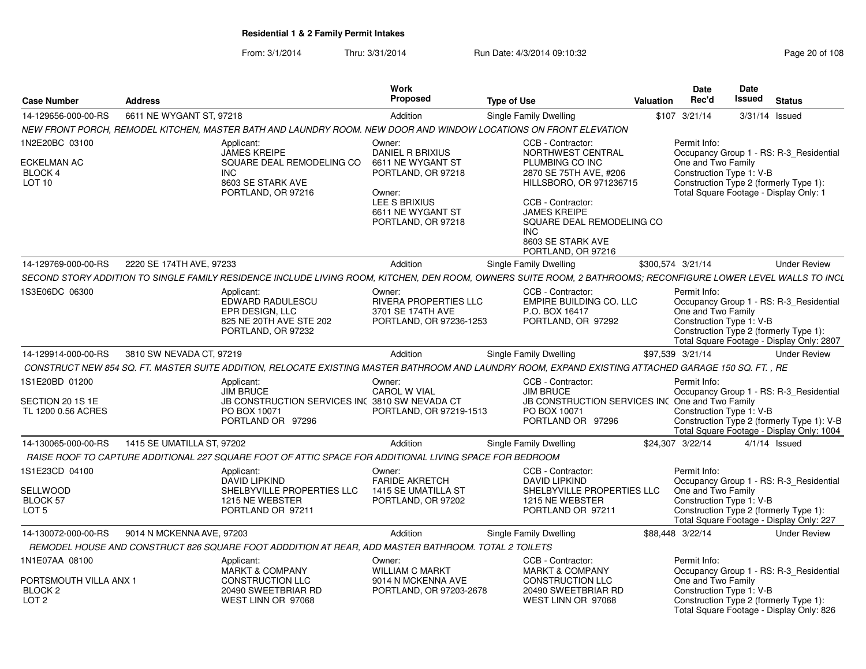|                                              |                            |                                                                                                         | <b>Work</b>                                       |                                                                                                                                                                | <b>Date</b>              | <b>Date</b>                                                                     |
|----------------------------------------------|----------------------------|---------------------------------------------------------------------------------------------------------|---------------------------------------------------|----------------------------------------------------------------------------------------------------------------------------------------------------------------|--------------------------|---------------------------------------------------------------------------------|
| <b>Case Number</b>                           | Address                    |                                                                                                         | Proposed                                          | Type of Use                                                                                                                                                    | Rec'd<br>Valuation       | Issued<br>Status                                                                |
| 14-129656-000-00-RS                          | 6611 NE WYGANT ST, 97218   |                                                                                                         | Addition                                          | Single Family Dwelling                                                                                                                                         | \$107 3/21/14            | 3/31/14 Issued                                                                  |
|                                              |                            |                                                                                                         |                                                   | NEW FRONT PORCH, REMODEL KITCHEN, MASTER BATH AND LAUNDRY ROOM. NEW DOOR AND WINDOW LOCATIONS ON FRONT ELEVATION                                               |                          |                                                                                 |
| 1N2E20BC 03100                               |                            | Applicant:<br><b>JAMES KREIPE</b>                                                                       | Owner:<br>DANIEL R BRIXIUS                        | CCB - Contractor:<br>NORTHWEST CENTRAL                                                                                                                         | Permit Info:             | Occupancy Group 1 - RS: R-3 Residential                                         |
| ECKELMAN AC                                  |                            | SQUARE DEAL REMODELING CO 6611 NE WYGANT ST                                                             |                                                   | PLUMBING CO INC                                                                                                                                                | One and Two Family       |                                                                                 |
| <b>BLOCK 4</b>                               | INC.                       |                                                                                                         | PORTLAND, OR 97218                                | 2870 SE 75TH AVE, #206                                                                                                                                         |                          | Construction Type 1: V-B                                                        |
| <b>LOT 10</b>                                |                            | 8603 SE STARK AVE<br>PORTLAND, OR 97216                                                                 | Owner:                                            | HILLSBORO, OR 971236715                                                                                                                                        |                          | Construction Type 2 (formerly Type 1)<br>Total Square Footage - Display Only: 1 |
|                                              |                            |                                                                                                         | LEE S BRIXIUS                                     | CCB - Contractor:                                                                                                                                              |                          |                                                                                 |
|                                              |                            |                                                                                                         | 6611 NE WYGANT ST<br>PORTLAND, OR 97218           | <b>JAMES KREIPE</b><br>SQUARE DEAL REMODELING CO                                                                                                               |                          |                                                                                 |
|                                              |                            |                                                                                                         |                                                   | <b>INC</b>                                                                                                                                                     |                          |                                                                                 |
|                                              |                            |                                                                                                         |                                                   | 8603 SE STARK AVE<br>PORTLAND, OR 97216                                                                                                                        |                          |                                                                                 |
| 14-129769-000-00-RS                          | 2220 SE 174TH AVE. 97233   |                                                                                                         | Addition                                          | Single Family Dwelling                                                                                                                                         | \$300.574 3/21/14        | <b>Under Review</b>                                                             |
|                                              |                            |                                                                                                         |                                                   | SECOND STORY ADDITION TO SINGLE FAMILY RESIDENCE INCLUDE LIVING ROOM, KITCHEN, DEN ROOM, OWNERS SUITE ROOM, 2 BATHROOMS; RECONFIGURE LOWER LEVEL WALLS TO INCL |                          |                                                                                 |
| 1S3E06DC 06300                               |                            | Applicant:                                                                                              | Owner:                                            | CCB - Contractor:                                                                                                                                              | Permit Info:             |                                                                                 |
|                                              |                            | EDWARD RADULESCU<br><b>EPR DESIGN, LLC</b>                                                              | <b>RIVERA PROPERTIES LLC</b><br>3701 SE 174TH AVE | EMPIRE BUILDING CO. LLC<br>P.O. BOX 16417                                                                                                                      | One and Two Family       | Occupancy Group 1 - RS: R-3_Residential                                         |
|                                              |                            | 825 NE 20TH AVE STE 202                                                                                 | PORTLAND, OR 97236-1253                           | PORTLAND, OR 97292                                                                                                                                             | Construction Type 1: V-B |                                                                                 |
|                                              |                            | PORTLAND, OR 97232                                                                                      |                                                   |                                                                                                                                                                |                          | Construction Type 2 (formerly Type 1):                                          |
| 14-129914-000-00-RS                          | 3810 SW NEVADA CT, 9721    |                                                                                                         | Addition                                          | Single Family Dwelling                                                                                                                                         | \$97,539 3/21/14         | Total Square Footage - Display Only: 2807<br><b>Under Review</b>                |
|                                              |                            |                                                                                                         |                                                   | CONSTRUCT NEW 854 SQ. FT. MASTER SUITE ADDITION, RELOCATE EXISTING MASTER BATHROOM AND LAUNDRY ROOM, EXPAND EXISTING ATTACHED GARAGE 150 SQ. FT., RE           |                          |                                                                                 |
| 1S1E20BD 01200                               |                            | Applicant:                                                                                              | Owner:                                            | CCB - Contractor:                                                                                                                                              | Permit Info:             |                                                                                 |
|                                              |                            | JIM BRUCE                                                                                               | <b>CAROL W VIAL</b>                               | <b>JIM BRUCE</b>                                                                                                                                               |                          | Occupancy Group 1 - RS: R-3 Residential                                         |
| SECTION 20 1S 1E<br>TL 1200 0.56 ACRES       |                            | JB CONSTRUCTION SERVICES INC 3810 SW NEVADA CT<br>PO BOX 10071                                          | PORTLAND, OR 97219-1513                           | JB CONSTRUCTION SERVICES INC One and Two Family<br>PO BOX 10071                                                                                                | Construction Type 1: V-B |                                                                                 |
|                                              |                            | PORTLAND OR 97296                                                                                       |                                                   | PORTLAND OR 97296                                                                                                                                              |                          | Construction Type 2 (formerly Type 1): V-B                                      |
| 14-130065-000-00-RS                          | 1415 SE UMATILLA ST, 97202 |                                                                                                         | Addition                                          | Single Family Dwelling                                                                                                                                         | \$24,307 3/22/14         | Total Square Footage - Display Only: 1004<br>4/1/14 Issued                      |
|                                              |                            | RAISE ROOF TO CAPTURE ADDITIONAL 227 SQUARE FOOT OF ATTIC SPACE FOR ADDITIONAL LIVING SPACE FOR BEDROOM |                                                   |                                                                                                                                                                |                          |                                                                                 |
| 1S1E23CD 04100                               |                            | Applicant:                                                                                              | Owner:                                            | CCB - Contractor:                                                                                                                                              | Permit Info:             |                                                                                 |
|                                              |                            | <b>DAVID LIPKIND</b>                                                                                    | <b>FARIDE AKRETCH</b>                             | DAVID LIPKIND                                                                                                                                                  |                          | Occupancy Group 1 - RS: R-3_Residential                                         |
| SELLWOOD<br>BLOCK 57                         |                            | SHELBYVILLE PROPERTIES LLC 1415 SE UMATILLA ST<br>1215 NE WEBSTER                                       | PORTLAND, OR 97202                                | SHELBYVILLE PROPERTIES LLC<br>1215 NE WEBSTEI                                                                                                                  | One and Two Family       | Construction Type 1: V-B                                                        |
| LOT 5                                        |                            | PORTLAND OR 97211                                                                                       |                                                   | PORTLAND OR 97211                                                                                                                                              |                          | Construction Type 2 (formerly Type 1):                                          |
|                                              |                            |                                                                                                         |                                                   |                                                                                                                                                                |                          | Total Square Footage - Display Only: 227                                        |
| 14-130072-000-00-RS                          | 9014 N MCKENNA AVE, 97203  | REMODEL HOUSE AND CONSTRUCT 826 SQUARE FOOT ADDDITION AT REAR, ADD MASTER BATHROOM. TOTAL 2 TOILETS     | Addition                                          | Single Family Dwelling                                                                                                                                         | \$88,448 3/22/14         | <b>Under Review</b>                                                             |
| 1N1E07AA 08100                               |                            | Applicant:                                                                                              | Owner:                                            | CCB - Contractor:                                                                                                                                              | Permit Info:             |                                                                                 |
|                                              |                            | <b>MARKT &amp; COMPANY</b>                                                                              | <b>WILLIAM C MARKT</b>                            | <b>MARKT &amp; COMPANY</b>                                                                                                                                     |                          | Occupancy Group 1 - RS: R-3_Residential                                         |
| PORTSMOUTH VILLA ANX 1<br>BLOCK <sub>2</sub> |                            | <b>CONSTRUCTION LLC</b><br>20490 SWEETBRIAR RD                                                          | 9014 N MCKENNA AVE<br>PORTLAND, OR 97203-2678     | <b>CONSTRUCTION LLC</b><br>20490 SWEETBRIAR RD                                                                                                                 | One and Two Family       | Construction Type 1: V-B                                                        |
| LOT <sub>2</sub>                             |                            | WEST LINN OR 97068                                                                                      |                                                   | WEST LINN OR 97068                                                                                                                                             |                          | Construction Type 2 (formerly Type 1):                                          |
|                                              |                            |                                                                                                         |                                                   |                                                                                                                                                                |                          | Total Square Footage - Display Only: 826                                        |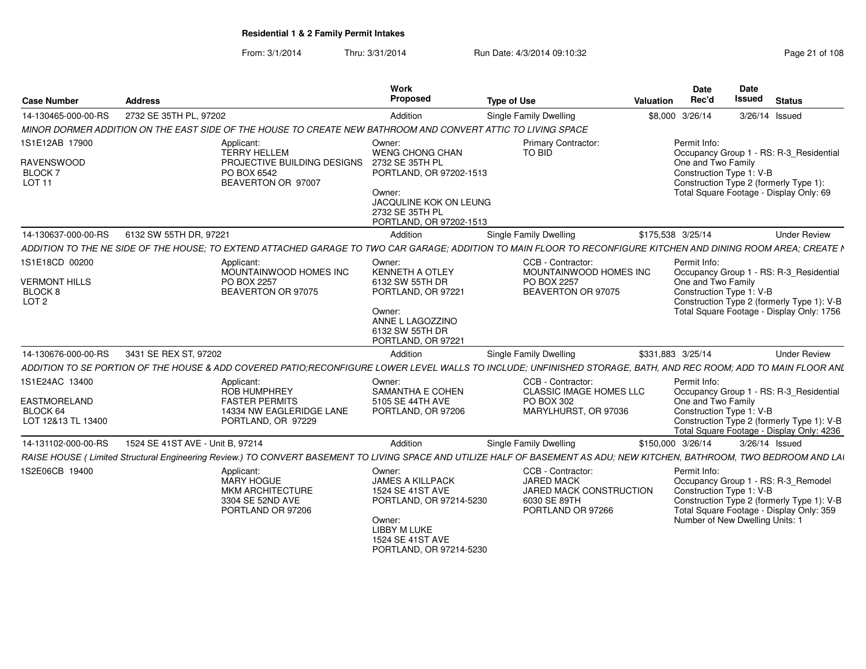|                                                                                                                                                                          |                                                                                                                       | Work                                                                                                                                                      |                                                                                                        | Date               | Date                                                                                                                                                                                         |
|--------------------------------------------------------------------------------------------------------------------------------------------------------------------------|-----------------------------------------------------------------------------------------------------------------------|-----------------------------------------------------------------------------------------------------------------------------------------------------------|--------------------------------------------------------------------------------------------------------|--------------------|----------------------------------------------------------------------------------------------------------------------------------------------------------------------------------------------|
| <b>Address</b><br><b>Case Number</b>                                                                                                                                     |                                                                                                                       | Proposed                                                                                                                                                  | <b>Type of Use</b>                                                                                     | Rec'd<br>Valuation | Issued<br><b>Status</b>                                                                                                                                                                      |
| 2732 SE 35TH PL, 97202<br>14-130465-000-00-RS                                                                                                                            |                                                                                                                       | Addition                                                                                                                                                  | Single Family Dwelling                                                                                 | \$8,000 3/26/14    | 3/26/14 Issued                                                                                                                                                                               |
| MINOR DORMER ADDITION ON THE EAST SIDE OF THE HOUSE TO CREATE NEW BATHROOM AND CONVERT ATTIC TO LIVING SPACE                                                             |                                                                                                                       |                                                                                                                                                           |                                                                                                        |                    |                                                                                                                                                                                              |
| 1S1E12AB 17900<br><b>RAVENSWOOD</b><br>BLOCK 7<br><b>LOT 11</b>                                                                                                          | Applicant:<br><b>TERRY HELLEM</b><br>PROJECTIVE BUILDING DESIGNS 2732 SE 35TH PL<br>PO BOX 6542<br>BEAVERTON OR 97007 | Owner:<br><b>WENG CHONG CHAN</b><br>PORTLAND, OR 97202-1513<br>Owner:<br>JACQULINE KOK ON LEUNG<br>2732 SE 35TH PL<br>PORTLAND, OR 97202-1513             | Primary Contractor:<br>TO BID                                                                          | Permit Info:       | Occupancy Group 1 - RS: R-3_Residential<br>One and Two Family<br>Construction Type 1: V-B<br>Construction Type 2 (formerly Type 1):<br>Total Square Footage - Display Only: 69               |
| 14-130637-000-00-RS   6132 SW 55TH DR. 97221                                                                                                                             |                                                                                                                       | Addition                                                                                                                                                  | Single Family Dwelling                                                                                 | \$175,538 3/25/14  | <b>Under Review</b>                                                                                                                                                                          |
| ADDITION TO THE NE SIDE OF THE HOUSE: TO EXTEND ATTACHED GARAGE TO TWO CAR GARAGE: ADDITION TO MAIN FLOOR TO RECONFIGURE KITCHEN AND DINING ROOM AREA: CREATE N          |                                                                                                                       |                                                                                                                                                           |                                                                                                        |                    |                                                                                                                                                                                              |
| 1S1E18CD 00200<br><b>VERMONT HILLS</b><br>BLOCK 8<br>LOT <sub>2</sub>                                                                                                    | Applicant:<br>MOUNTAINWOOD HOMES INC<br>PO BOX 2257<br>BEAVERTON OR 97075                                             | Owner:<br>KENNETH A OTLEY<br>6132 SW 55TH DR<br>PORTLAND, OR 97221<br>Owner:<br>ANNE L LAGOZZINO<br>6132 SW 55TH DR<br>PORTLAND, OR 97221                 | CCB - Contractor:<br>MOUNTAINWOOD HOMES INC<br>PO BOX 2257<br>BEAVERTON OR 97075                       | Permit Info:       | Occupancy Group 1 - RS: R-3_Residential<br>One and Two Family<br>Construction Type 1: V-B<br>Construction Type 2 (formerly Type 1): V-B<br>Total Square Footage - Display Only: 1756         |
| 14-130676-000-00-RS 3431 SE REX ST. 97202                                                                                                                                |                                                                                                                       | Addition                                                                                                                                                  | Single Family Dwelling                                                                                 | \$331,883 3/25/14  | <b>Under Review</b>                                                                                                                                                                          |
| ADDITION TO SE PORTION OF THE HOUSE & ADD COVERED PATIO;RECONFIGURE LOWER LEVEL WALLS TO INCLUDE; UNFINISHED STORAGE, BATH, AND REC ROOM; ADD TO MAIN FLOOR ANL          |                                                                                                                       |                                                                                                                                                           |                                                                                                        |                    |                                                                                                                                                                                              |
| 1S1E24AC 13400<br>EASTMORELAND<br>BLOCK 64<br>LOT 12&13 TL 13400                                                                                                         | Applicant:<br>ROB HUMPHREY<br><b>FASTER PERMITS</b><br>14334 NW EAGLERIDGE LANE<br>PORTLAND, OR 97229                 | Owner:<br><b>SAMANTHA E COHEN</b><br>5105 SE 44TH AVE<br>PORTLAND, OR 97206                                                                               | CCB - Contractor:<br>CLASSIC IMAGE HOMES LLC<br>PO BOX 302<br>MARYLHURST, OR 97036                     | Permit Info:       | Occupancy Group 1 - RS: R-3_Residential<br>One and Two Family<br>Construction Type 1: V-B<br>Construction Type 2 (formerly Type 1): V-B<br>Total Square Footage - Display Only: 4236         |
| 14-131102-000-00-RS<br>1524 SE 41ST AVE - Unit B. 97214                                                                                                                  |                                                                                                                       | Addition                                                                                                                                                  | Single Family Dwelling                                                                                 | \$150,000 3/26/14  | 3/26/14 Issued                                                                                                                                                                               |
| RAISE HOUSE (Limited Structural Engineering Review.) TO CONVERT BASEMENT TO LIVING SPACE AND UTILIZE HALF OF BASEMENT AS ADU; NEW KITCHEN, BATHROOM, TWO BEDROOM AND LAI |                                                                                                                       |                                                                                                                                                           |                                                                                                        |                    |                                                                                                                                                                                              |
| IS2E06CB 19400                                                                                                                                                           | Applicant:<br>MARY HOGUE<br><b>MKM ARCHITECTURE</b><br>3304 SE 52ND AVE<br>PORTLAND OR 97206                          | Owner:<br><b>JAMES A KILLPACK</b><br>1524 SE 41ST AVE<br>PORTLAND, OR 97214-5230<br>Owner:<br>LIBBY M LUKE<br>1524 SE 41ST AVE<br>PORTLAND, OR 97214-5230 | CCB - Contractor:<br><b>JARED MACK</b><br>JARED MACK CONSTRUCTION<br>6030 SE 89TH<br>PORTLAND OR 97266 | Permit Info:       | Occupancy Group 1 - RS: R-3_Remodel<br>Construction Type 1: V-B<br>Construction Type 2 (formerly Type 1): V-B<br>Total Square Footage - Display Only: 359<br>Number of New Dwelling Units: 1 |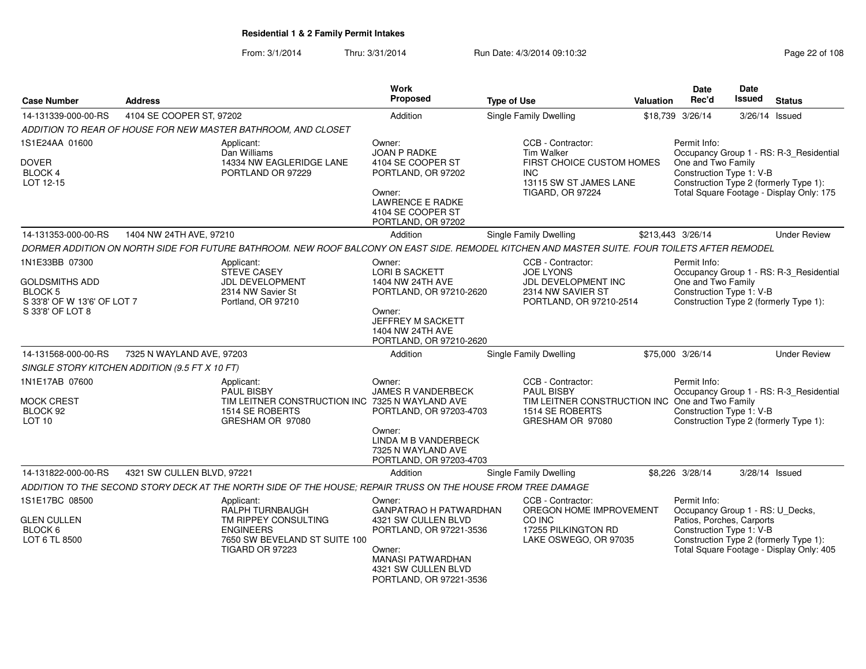From: 3/1/2014Thru: 3/31/2014 Run Date: 4/3/2014 09:10:32 Run Date: 4/3/2014 09:10:32

| <b>Case Number</b>                                                                                           | <b>Address</b>             |                                                                                                                                                | <b>Work</b><br>Proposed                                                                                                                                                           | <b>Type of Use</b>                                                                                                               | Valuation | <b>Date</b><br>Rec'd                                                                                      | <b>Date</b><br>Issued | <b>Status</b>                                                                                                                 |
|--------------------------------------------------------------------------------------------------------------|----------------------------|------------------------------------------------------------------------------------------------------------------------------------------------|-----------------------------------------------------------------------------------------------------------------------------------------------------------------------------------|----------------------------------------------------------------------------------------------------------------------------------|-----------|-----------------------------------------------------------------------------------------------------------|-----------------------|-------------------------------------------------------------------------------------------------------------------------------|
| 14-131339-000-00-RS                                                                                          | 4104 SE COOPER ST, 97202   |                                                                                                                                                | Addition                                                                                                                                                                          | <b>Single Family Dwelling</b>                                                                                                    |           | \$18,739 3/26/14                                                                                          | 3/26/14 Issued        |                                                                                                                               |
|                                                                                                              |                            | ADDITION TO REAR OF HOUSE FOR NEW MASTER BATHROOM, AND CLOSET                                                                                  |                                                                                                                                                                                   |                                                                                                                                  |           |                                                                                                           |                       |                                                                                                                               |
| 1S1E24AA 01600<br><b>DOVER</b><br><b>BLOCK 4</b><br>LOT 12-15                                                |                            | Applicant:<br>Dan Williams<br>14334 NW EAGLERIDGE LANE<br>PORTLAND OR 97229                                                                    | Owner:<br>JOAN P RADKE<br>4104 SE COOPER ST<br>PORTLAND, OR 97202<br>Owner:<br><b>LAWRENCE E RADKE</b><br>4104 SE COOPER ST<br>PORTLAND, OR 97202                                 | CCB - Contractor:<br><b>Tim Walker</b><br>FIRST CHOICE CUSTOM HOMES<br>INC.<br>13115 SW ST JAMES LANE<br><b>TIGARD, OR 97224</b> |           | Permit Info:<br>One and Two Family<br>Construction Type 1: V-B                                            |                       | Occupancy Group 1 - RS: R-3_Residential<br>Construction Type 2 (formerly Type 1):<br>Total Square Footage - Display Only: 175 |
| 14-131353-000-00-RS                                                                                          | 1404 NW 24TH AVE, 97210    |                                                                                                                                                | Addition                                                                                                                                                                          | Single Family Dwelling                                                                                                           |           | \$213,443 3/26/14                                                                                         |                       | <b>Under Review</b>                                                                                                           |
|                                                                                                              |                            | DORMER ADDITION ON NORTH SIDE FOR FUTURE BATHROOM. NEW ROOF BALCONY ON EAST SIDE. REMODEL KITCHEN AND MASTER SUITE. FOUR TOILETS AFTER REMODEL |                                                                                                                                                                                   |                                                                                                                                  |           |                                                                                                           |                       |                                                                                                                               |
| 1N1E33BB 07300<br><b>GOLDSMITHS ADD</b><br><b>BLOCK 5</b><br>S 33'8' OF W 13'6' OF LOT 7<br>S 33'8' OF LOT 8 |                            | Applicant:<br><b>STEVE CASEY</b><br>JDL DEVELOPMENT<br>2314 NW Savier St<br>Portland, OR 97210                                                 | Owner:<br><b>LORI B SACKETT</b><br>1404 NW 24TH AVE<br>PORTLAND, OR 97210-2620<br>Owner:<br>JEFFREY M SACKETT<br>1404 NW 24TH AVE<br>PORTLAND, OR 97210-2620                      | CCB - Contractor:<br><b>JOE LYONS</b><br>JDL DEVELOPMENT INC<br>2314 NW SAVIER ST<br>PORTLAND, OR 97210-2514                     |           | Permit Info:<br>One and Two Family<br>Construction Type 1: V-B                                            |                       | Occupancy Group 1 - RS: R-3_Residential<br>Construction Type 2 (formerly Type 1):                                             |
| 14-131568-000-00-RS                                                                                          | 7325 N WAYLAND AVE, 97203  |                                                                                                                                                | Addition                                                                                                                                                                          | Single Family Dwelling                                                                                                           |           | \$75,000 3/26/14                                                                                          |                       | <b>Under Review</b>                                                                                                           |
| SINGLE STORY KITCHEN ADDITION (9.5 FT X 10 FT)                                                               |                            |                                                                                                                                                |                                                                                                                                                                                   |                                                                                                                                  |           |                                                                                                           |                       |                                                                                                                               |
| 1N1E17AB 07600                                                                                               |                            | Applicant:<br><b>PAUL BISBY</b>                                                                                                                | Owner:<br><b>JAMES R VANDERBECK</b>                                                                                                                                               | CCB - Contractor:<br><b>PAUL BISBY</b>                                                                                           |           | Permit Info:                                                                                              |                       | Occupancy Group 1 - RS: R-3_Residential                                                                                       |
| <b>MOCK CREST</b><br>BLOCK 92<br>LOT <sub>10</sub>                                                           |                            | TIM LEITNER CONSTRUCTION INC 7325 N WAYLAND AVE<br>1514 SE ROBERTS<br>GRESHAM OR 97080                                                         | PORTLAND, OR 97203-4703<br>Owner:<br>LINDA M B VANDERBECK<br>7325 N WAYLAND AVE<br>PORTLAND, OR 97203-4703                                                                        | TIM LEITNER CONSTRUCTION INC One and Two Family<br>1514 SE ROBERTS<br>GRESHAM OR 97080                                           |           | Construction Type 1: V-B                                                                                  |                       | Construction Type 2 (formerly Type 1):                                                                                        |
| 14-131822-000-00-RS                                                                                          | 4321 SW CULLEN BLVD, 97221 |                                                                                                                                                | Addition                                                                                                                                                                          | Single Family Dwelling                                                                                                           |           | \$8,226 3/28/14                                                                                           | 3/28/14 Issued        |                                                                                                                               |
|                                                                                                              |                            | ADDITION TO THE SECOND STORY DECK AT THE NORTH SIDE OF THE HOUSE; REPAIR TRUSS ON THE HOUSE FROM TREE DAMAGE                                   |                                                                                                                                                                                   |                                                                                                                                  |           |                                                                                                           |                       |                                                                                                                               |
| 1S1E17BC 08500<br><b>GLEN CULLEN</b><br>BLOCK <sub>6</sub><br>LOT 6 TL 8500                                  |                            | Applicant:<br><b>RALPH TURNBAUGH</b><br>TM RIPPEY CONSULTING<br><b>ENGINEERS</b><br>7650 SW BEVELAND ST SUITE 100<br><b>TIGARD OR 97223</b>    | Owner:<br><b>GANPATRAO H PATWARDHAN</b><br>4321 SW CULLEN BLVD<br>PORTLAND, OR 97221-3536<br>Owner:<br><b>MANASI PATWARDHAN</b><br>4321 SW CULLEN BLVD<br>PORTLAND, OR 97221-3536 | CCB - Contractor:<br>OREGON HOME IMPROVEMENT<br>CO INC<br>17255 PILKINGTON RD<br>LAKE OSWEGO, OR 97035                           |           | Permit Info:<br>Occupancy Group 1 - RS: U_Decks,<br>Patios, Porches, Carports<br>Construction Type 1: V-B |                       | Construction Type 2 (formerly Type 1):<br>Total Square Footage - Display Only: 405                                            |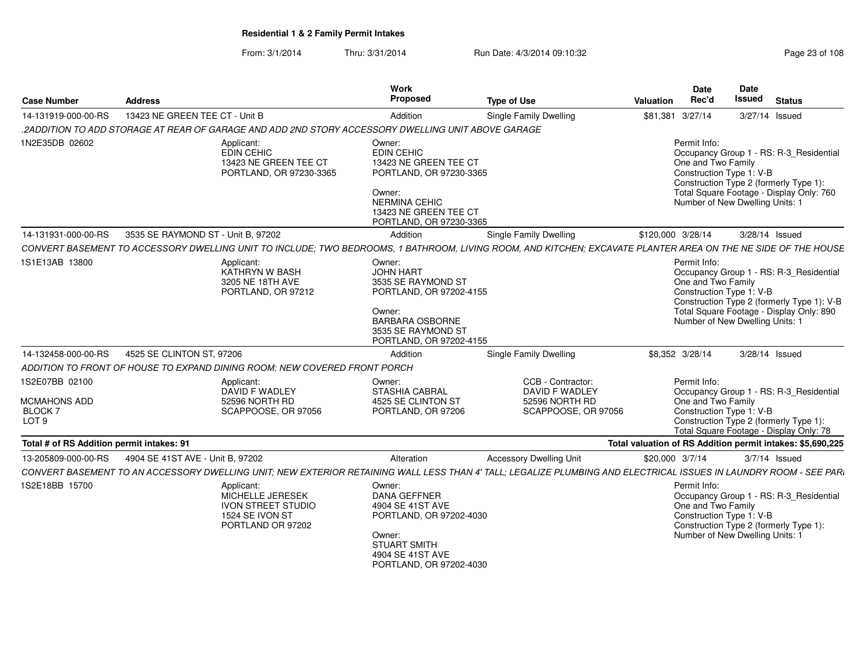| <b>Case Number</b>                                                       | <b>Address</b>                     |                                                                                                     | Work<br>Proposed                                                                                                                                                      | <b>Type of Use</b>                                                                                                                                                | Valuation                                                  | Date<br>Rec'd                                                                     | Date<br>Issued | <b>Status</b>                                                                                                                     |  |
|--------------------------------------------------------------------------|------------------------------------|-----------------------------------------------------------------------------------------------------|-----------------------------------------------------------------------------------------------------------------------------------------------------------------------|-------------------------------------------------------------------------------------------------------------------------------------------------------------------|------------------------------------------------------------|-----------------------------------------------------------------------------------|----------------|-----------------------------------------------------------------------------------------------------------------------------------|--|
| 14-131919-000-00-RS                                                      | 13423 NE GREEN TEE CT - Unit B     |                                                                                                     | Addition                                                                                                                                                              | Single Family Dwelling                                                                                                                                            | \$81,381 3/27/14                                           |                                                                                   |                | 3/27/14 Issued                                                                                                                    |  |
|                                                                          |                                    | .2ADDITION TO ADD STORAGE AT REAR OF GARAGE AND ADD 2ND STORY ACCESSORY DWELLING UNIT ABOVE GARAGE  |                                                                                                                                                                       |                                                                                                                                                                   |                                                            |                                                                                   |                |                                                                                                                                   |  |
| 1N2E35DB 02602                                                           |                                    | Applicant:<br>EDIN CEHIC<br>13423 NE GREEN TEE CT<br>PORTLAND, OR 97230-3365                        | Owner:<br><b>EDIN CEHIC</b><br>13423 NE GREEN TEE CT<br>PORTLAND, OR 97230-3365<br>Owner:<br><b>NERMINA CEHIC</b><br>13423 NE GREEN TEE CT<br>PORTLAND, OR 97230-3365 |                                                                                                                                                                   | Permit Info:                                               | One and Two Family<br>Construction Type 1: V-B<br>Number of New Dwelling Units: 1 |                | Occupancy Group 1 - RS: R-3_Residential<br>Construction Type 2 (formerly Type 1):<br>Total Square Footage - Display Only: 760     |  |
| 14-131931-000-00-RS                                                      | 3535 SE RAYMOND ST - Unit B, 97202 |                                                                                                     | Addition                                                                                                                                                              | Single Family Dwelling                                                                                                                                            | \$120,000 3/28/14                                          |                                                                                   |                | 3/28/14 Issued                                                                                                                    |  |
|                                                                          |                                    |                                                                                                     |                                                                                                                                                                       | CONVERT BASEMENT TO ACCESSORY DWELLING UNIT TO INCLUDE; TWO BEDROOMS, 1 BATHROOM, LIVING ROOM, AND KITCHEN; EXCAVATE PLANTER AREA ON THE NE SIDE OF THE HOUSE     |                                                            |                                                                                   |                |                                                                                                                                   |  |
| 1S1E13AB 13800                                                           |                                    | Applicant:<br>KATHRYN W BASH<br>3205 NE 18TH AVE<br>PORTLAND, OR 97212                              | Owner:<br><b>JOHN HART</b><br>3535 SE RAYMOND ST<br>PORTLAND, OR 97202-4155<br>Owner:<br>BARBARA OSBORNE<br>3535 SE RAYMOND ST<br>PORTLAND, OR 97202-4155             |                                                                                                                                                                   | Permit Info:                                               | One and Two Family<br>Construction Type 1: V-B<br>Number of New Dwelling Units: 1 |                | Occupancy Group 1 - RS: R-3_Residential<br>Construction Type 2 (formerly Type 1): V-B<br>Total Square Footage - Display Only: 890 |  |
| 14-132458-000-00-RS                                                      | 4525 SE CLINTON ST, 97206          |                                                                                                     | Addition                                                                                                                                                              | Single Family Dwelling                                                                                                                                            | \$8,352 3/28/14                                            |                                                                                   |                | 3/28/14 Issued                                                                                                                    |  |
|                                                                          |                                    | ADDITION TO FRONT OF HOUSE TO EXPAND DINING ROOM; NEW COVERED FRONT PORCH                           |                                                                                                                                                                       |                                                                                                                                                                   |                                                            |                                                                                   |                |                                                                                                                                   |  |
| 1S2E07BB 02100<br>MCMAHONS ADD<br>BLOCK <sub>7</sub><br>LOT <sub>9</sub> |                                    | Applicant:<br>DAVID F WADLEY<br>52596 NORTH RD<br>SCAPPOOSE, OR 97056                               | Owner:<br>STASHIA CABRAL<br>4525 SE CLINTON ST<br>PORTLAND, OR 97206                                                                                                  | CCB - Contractor:<br>DAVID F WADLEY<br>52596 NORTH RD<br>SCAPPOOSE, OR 97056                                                                                      | Permit Info:                                               | One and Two Family<br>Construction Type 1: V-B                                    |                | Occupancy Group 1 - RS: R-3_Residential<br>Construction Type 2 (formerly Type 1):<br>Total Square Footage - Display Only: 78      |  |
| Total # of RS Addition permit intakes: 91                                |                                    |                                                                                                     |                                                                                                                                                                       |                                                                                                                                                                   | Total valuation of RS Addition permit intakes: \$5,690,225 |                                                                                   |                |                                                                                                                                   |  |
| 13-205809-000-00-RS                                                      | 4904 SE 41ST AVE - Unit B, 97202   |                                                                                                     | Alteration                                                                                                                                                            | <b>Accessory Dwelling Unit</b>                                                                                                                                    | \$20,000 3/7/14                                            |                                                                                   |                | $3/7/14$ Issued                                                                                                                   |  |
|                                                                          |                                    |                                                                                                     |                                                                                                                                                                       | CONVERT BASEMENT TO AN ACCESSORY DWELLING UNIT; NEW EXTERIOR RETAINING WALL LESS THAN 4' TALL; LEGALIZE PLUMBING AND ELECTRICAL ISSUES IN LAUNDRY ROOM - SEE PARI |                                                            |                                                                                   |                |                                                                                                                                   |  |
| 1S2E18BB 15700                                                           |                                    | Applicant:<br>MICHELLE JERESEK<br><b>IVON STREET STUDIO</b><br>1524 SE IVON ST<br>PORTLAND OR 97202 | Owner:<br><b>DANA GEFFNER</b><br>4904 SE 41ST AVE<br>PORTLAND, OR 97202-4030<br>Owner:<br><b>STUART SMITH</b><br>4904 SE 41ST AVE<br>PORTLAND, OR 97202-4030          |                                                                                                                                                                   | Permit Info:                                               | One and Two Family<br>Construction Type 1: V-B<br>Number of New Dwelling Units: 1 |                | Occupancy Group 1 - RS: R-3_Residential<br>Construction Type 2 (formerly Type 1):                                                 |  |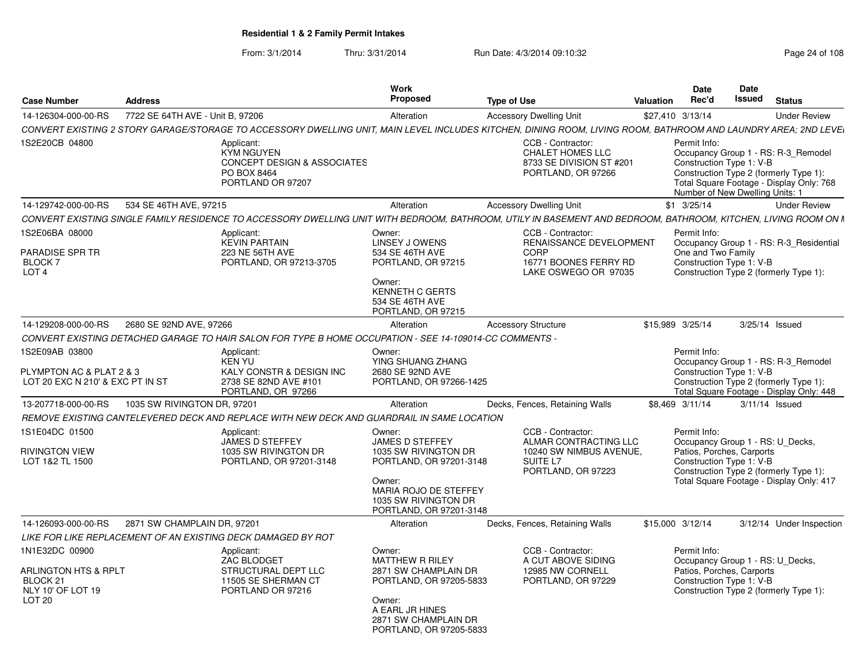| <b>Case Number</b>                                                                                             | <b>Address</b>                                   |                                                                                                                                                                 | <b>Work</b><br><b>Proposed</b>                                                                                                                                            | <b>Type of Use</b>                                                                                           | Date<br>Rec'd<br>Valuation                                                  | <b>Date</b><br>Issued                                                                                                               | Status                                                                          |
|----------------------------------------------------------------------------------------------------------------|--------------------------------------------------|-----------------------------------------------------------------------------------------------------------------------------------------------------------------|---------------------------------------------------------------------------------------------------------------------------------------------------------------------------|--------------------------------------------------------------------------------------------------------------|-----------------------------------------------------------------------------|-------------------------------------------------------------------------------------------------------------------------------------|---------------------------------------------------------------------------------|
| 14-126304-000-00-RS                                                                                            | 7722 SE 64TH AVE - Unit B, 97206                 |                                                                                                                                                                 | Alteration                                                                                                                                                                | <b>Accessory Dwelling Unit</b>                                                                               | \$27,410 3/13/14                                                            |                                                                                                                                     | <b>Under Review</b>                                                             |
|                                                                                                                |                                                  | CONVERT EXISTING 2 STORY GARAGE/STORAGE TO ACCESSORY DWELLING UNIT. MAIN LEVEL INCLUDES KITCHEN. DINING ROOM. LIVING ROOM. BATHROOM AND LAUNDRY AREA: 2ND LEVEI |                                                                                                                                                                           |                                                                                                              |                                                                             |                                                                                                                                     |                                                                                 |
| 1S2E20CB 04800                                                                                                 |                                                  | Applicant:<br>KYM NGUYEN<br><b>CONCEPT DESIGN &amp; ASSOCIATES</b><br>PO BOX 8464<br>PORTLAND OR 97207                                                          |                                                                                                                                                                           | CCB - Contractor:<br><b>CHALET HOMES LLC</b><br>8733 SE DIVISION ST #201<br>PORTLAND, OR 97266               | Permit Info:<br>Construction Type 1: V-B<br>Number of New Dwelling Units: 1 | Construction Type 2 (formerly Type 1):                                                                                              | Occupancy Group 1 - RS: R-3 Remodel<br>Total Square Footage - Display Only: 768 |
| 14-129742-000-00-RS                                                                                            | 534 SE 46TH AVE, 97215                           |                                                                                                                                                                 | Alteration                                                                                                                                                                | <b>Accessory Dwelling Unit</b>                                                                               | \$1 3/25/14                                                                 |                                                                                                                                     | <b>Under Review</b>                                                             |
|                                                                                                                |                                                  | CONVERT EXISTING SINGLE FAMILY RESIDENCE TO ACCESSORY DWELLING UNIT WITH BEDROOM, BATHROOM, UTILY IN BASEMENT AND BEDROOM, BATHROOM, KITCHEN, LIVING ROOM ON N  |                                                                                                                                                                           |                                                                                                              |                                                                             |                                                                                                                                     |                                                                                 |
| 1S2E06BA 08000<br><b>PARADISE SPR TR</b><br><b>BLOCK7</b><br>LOT <sub>4</sub>                                  |                                                  | Applicant:<br><b>KEVIN PARTAIN</b><br>223 NE 56TH AVE<br>PORTLAND, OR 97213-3705                                                                                | Owner:<br>LINSEY J OWENS<br>534 SE 46TH AVE<br>PORTLAND, OR 97215<br>Owner:<br>KENNETH C GERTS<br>534 SE 46TH AVE<br>PORTLAND, OR 97215                                   | CCB - Contractor:<br>RENAISSANCE DEVELOPMENT<br><b>CORP</b><br>16771 BOONES FERRY RD<br>LAKE OSWEGO OR 97035 | Permit Info:<br>One and Two Family<br>Construction Type 1: V-B              | Construction Type 2 (formerly Type 1):                                                                                              | Occupancy Group 1 - RS: R-3_Residential                                         |
| 14-129208-000-00-RS                                                                                            | 2680 SE 92ND AVE, 97266                          |                                                                                                                                                                 | Alteration                                                                                                                                                                | <b>Accessory Structure</b>                                                                                   | \$15,989 3/25/14                                                            | 3/25/14 Issued                                                                                                                      |                                                                                 |
|                                                                                                                |                                                  | CONVERT EXISTING DETACHED GARAGE TO HAIR SALON FOR TYPE B HOME OCCUPATION - SEE 14-109014-CC COMMENTS                                                           |                                                                                                                                                                           |                                                                                                              |                                                                             |                                                                                                                                     |                                                                                 |
| 1S2E09AB 03800<br>PLYMPTON AC & PLAT 2 & 3<br>LOT 20 EXC N 210' & EXC PT IN ST                                 |                                                  | Applicant:<br>KEN YU<br>KALY CONSTR & DESIGN INC<br>2738 SE 82ND AVE #101<br>PORTLAND, OR 97266                                                                 | Owner:<br>YING SHUANG ZHANG<br>2680 SE 92ND AVE<br>PORTLAND, OR 97266-1425                                                                                                |                                                                                                              | Permit Info:                                                                | Construction Type 1: V-B<br>Construction Type 2 (formerly Type 1):                                                                  | Occupancy Group 1 - RS: R-3_Remodel<br>Total Square Footage - Display Only: 448 |
| 13-207718-000-00-RS                                                                                            | 1035 SW RIVINGTON DR, 97201                      |                                                                                                                                                                 | Alteration                                                                                                                                                                | Decks, Fences, Retaining Walls                                                                               | \$8,469 3/11/14                                                             | 3/11/14 Issued                                                                                                                      |                                                                                 |
|                                                                                                                |                                                  | REMOVE EXISTING CANTELEVERED DECK AND REPLACE WITH NEW DECK AND GUARDRAIL IN SAME LOCATION                                                                      |                                                                                                                                                                           |                                                                                                              |                                                                             |                                                                                                                                     |                                                                                 |
| 1S1E04DC 01500<br><b>RIVINGTON VIEW</b><br>LOT 1&2 TL 1500                                                     |                                                  | Applicant<br>JAMES D STEFFEY<br>1035 SW RIVINGTON DR<br>PORTLAND, OR 97201-3148                                                                                 | Owner:<br>JAMES D STEFFEY<br>1035 SW RIVINGTON DR<br>PORTLAND, OR 97201-3148<br>Owner:<br><b>MARIA ROJO DE STEFFEY</b><br>1035 SW RIVINGTON DR<br>PORTLAND, OR 97201-3148 | CCB - Contractor:<br>ALMAR CONTRACTING LLC<br>10240 SW NIMBUS AVENUE,<br>SUITE L7<br>PORTLAND, OR 97223      | Permit Info:                                                                | Occupancy Group 1 - RS: U_Decks,<br>Patios, Porches, Carports<br>Construction Type 1: V-B<br>Construction Type 2 (formerly Type 1): | Total Square Footage - Display Only: 417                                        |
|                                                                                                                | 14-126093-000-00-RS  2871 SW CHAMPLAIN DR, 97201 |                                                                                                                                                                 | Alteration                                                                                                                                                                | Decks, Fences, Retaining Walls                                                                               | \$15,000 3/12/14                                                            |                                                                                                                                     | 3/12/14 Under Inspection                                                        |
|                                                                                                                |                                                  | LIKE FOR LIKE REPLACEMENT OF AN EXISTING DECK DAMAGED BY ROT                                                                                                    |                                                                                                                                                                           |                                                                                                              |                                                                             |                                                                                                                                     |                                                                                 |
| 1N1E32DC 00900<br><b>ARLINGTON HTS &amp; RPLT</b><br>BLOCK <sub>21</sub><br>NLY 10' OF LOT 19<br><b>LOT 20</b> |                                                  | Applicant:<br>ZAC BLODGET<br>STRUCTURAL DEPT LLC<br>11505 SE SHERMAN CT<br>PORTLAND OR 97216                                                                    | Owner:<br>MATTHEW R RILEY<br>2871 SW CHAMPLAIN DR<br>PORTLAND, OR 97205-5833<br>Owner:<br>A EARL JR HINES<br>2871 SW CHAMPLAIN DR<br>PORTLAND, OR 97205-5833              | CCB - Contractor:<br>A CUT ABOVE SIDING<br>12985 NW CORNELL<br>PORTLAND, OR 97229                            | Permit Info:<br>Construction Type 1: V-B                                    | Occupancy Group 1 - RS: U_Decks,<br>Patios, Porches, Carports<br>Construction Type 2 (formerly Type 1):                             |                                                                                 |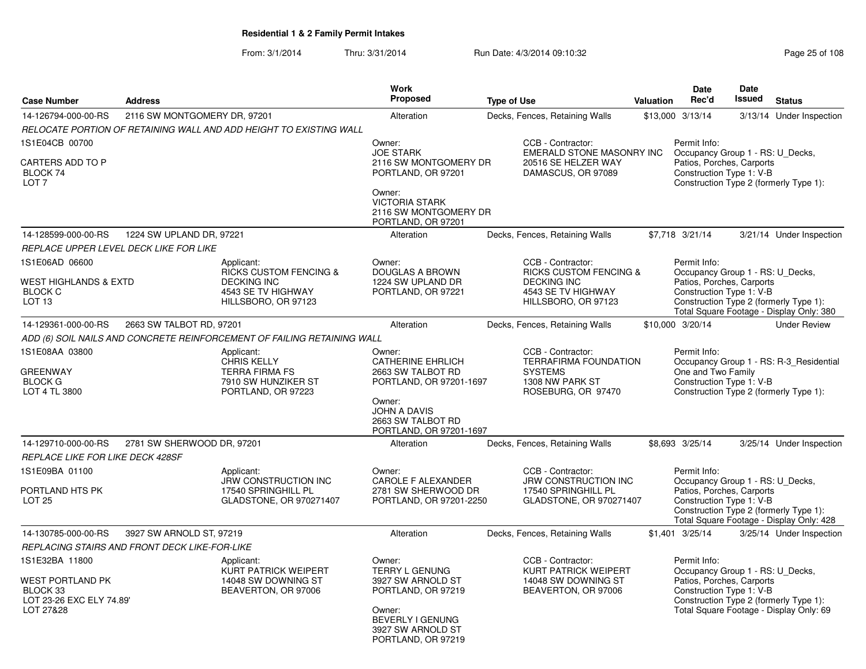| <b>Case Number</b>                                                                      | <b>Address</b>                                |                                                                                                                    | <b>Work</b><br><b>Proposed</b>                                                                                                                      | <b>Type of Use</b> |                                                                                                                           | Valuation | <b>Date</b><br>Rec'd                                                                                      | <b>Date</b><br><b>Issued</b> | <b>Status</b>                                                                      |
|-----------------------------------------------------------------------------------------|-----------------------------------------------|--------------------------------------------------------------------------------------------------------------------|-----------------------------------------------------------------------------------------------------------------------------------------------------|--------------------|---------------------------------------------------------------------------------------------------------------------------|-----------|-----------------------------------------------------------------------------------------------------------|------------------------------|------------------------------------------------------------------------------------|
| 14-126794-000-00-RS                                                                     | 2116 SW MONTGOMERY DR, 97201                  |                                                                                                                    | Alteration                                                                                                                                          |                    | Decks, Fences, Retaining Walls                                                                                            |           | \$13,000 3/13/14                                                                                          |                              | 3/13/14 Under Inspection                                                           |
|                                                                                         |                                               | RELOCATE PORTION OF RETAINING WALL AND ADD HEIGHT TO EXISTING WALL                                                 |                                                                                                                                                     |                    |                                                                                                                           |           |                                                                                                           |                              |                                                                                    |
| 1S1E04CB 00700                                                                          |                                               |                                                                                                                    | Owner:                                                                                                                                              |                    | CCB - Contractor:                                                                                                         |           | Permit Info:                                                                                              |                              |                                                                                    |
| CARTERS ADD TO P<br>BLOCK 74<br>LOT <sub>7</sub>                                        |                                               |                                                                                                                    | <b>JOE STARK</b><br>2116 SW MONTGOMERY DR<br>PORTLAND, OR 97201<br>Owner:<br><b>VICTORIA STARK</b>                                                  |                    | EMERALD STONE MASONRY INC<br>20516 SE HELZER WAY<br>DAMASCUS, OR 97089                                                    |           | Occupancy Group 1 - RS: U_Decks,<br>Patios, Porches, Carports<br>Construction Type 1: V-B                 |                              | Construction Type 2 (formerly Type 1):                                             |
|                                                                                         |                                               |                                                                                                                    | 2116 SW MONTGOMERY DR<br>PORTLAND, OR 97201                                                                                                         |                    |                                                                                                                           |           |                                                                                                           |                              |                                                                                    |
| 14-128599-000-00-RS                                                                     | 1224 SW UPLAND DR, 97221                      |                                                                                                                    | Alteration                                                                                                                                          |                    | Decks, Fences, Retaining Walls                                                                                            |           | \$7,718 3/21/14                                                                                           |                              | 3/21/14 Under Inspection                                                           |
|                                                                                         | REPLACE UPPER LEVEL DECK LIKE FOR LIKE        |                                                                                                                    |                                                                                                                                                     |                    |                                                                                                                           |           |                                                                                                           |                              |                                                                                    |
| 1S1E06AD 06600<br>WEST HIGHLANDS & EXTD<br><b>BLOCK C</b><br>LOT <sub>13</sub>          |                                               | Applicant:<br><b>RICKS CUSTOM FENCING &amp;</b><br><b>DECKING INC</b><br>4543 SE TV HIGHWAY<br>HILLSBORO, OR 97123 | Owner:<br>DOUGLAS A BROWN<br>1224 SW UPLAND DR<br>PORTLAND, OR 97221                                                                                |                    | CCB - Contractor:<br><b>RICKS CUSTOM FENCING &amp;</b><br><b>DECKING INC</b><br>4543 SE TV HIGHWAY<br>HILLSBORO, OR 97123 |           | Permit Info:<br>Occupancy Group 1 - RS: U_Decks,<br>Patios, Porches, Carports<br>Construction Type 1: V-B |                              | Construction Type 2 (formerly Type 1):<br>Total Square Footage - Display Only: 380 |
| 14-129361-000-00-RS                                                                     | 2663 SW TALBOT RD, 97201                      |                                                                                                                    | Alteration                                                                                                                                          |                    | Decks, Fences, Retaining Walls                                                                                            |           | \$10,000 3/20/14                                                                                          |                              | <b>Under Review</b>                                                                |
|                                                                                         |                                               | ADD (6) SOIL NAILS AND CONCRETE REINFORCEMENT OF FAILING RETAINING WALL                                            |                                                                                                                                                     |                    |                                                                                                                           |           |                                                                                                           |                              |                                                                                    |
| 1S1E08AA 03800<br>GREENWAY<br><b>BLOCK G</b><br>LOT 4 TL 3800                           |                                               | Applicant:<br>CHRIS KELLY<br><b>TERRA FIRMA FS</b><br>7910 SW HUNZIKER ST<br>PORTLAND, OR 97223                    | Owner:<br><b>CATHERINE EHRLICH</b><br>2663 SW TALBOT RD<br>PORTLAND, OR 97201-1697<br>Owner:<br><b>JOHN A DAVIS</b><br>2663 SW TALBOT RD            |                    | CCB - Contractor:<br><b>TERRAFIRMA FOUNDATION</b><br><b>SYSTEMS</b><br>1308 NW PARK ST<br>ROSEBURG, OR 97470              |           | Permit Info:<br>One and Two Family<br>Construction Type 1: V-B                                            |                              | Occupancy Group 1 - RS: R-3_Residential<br>Construction Type 2 (formerly Type 1):  |
| 14-129710-000-00-RS                                                                     | 2781 SW SHERWOOD DR, 97201                    |                                                                                                                    | PORTLAND, OR 97201-1697<br>Alteration                                                                                                               |                    |                                                                                                                           |           | \$8,693 3/25/14                                                                                           |                              |                                                                                    |
| <b>REPLACE LIKE FOR LIKE DECK 428SF</b>                                                 |                                               |                                                                                                                    |                                                                                                                                                     |                    | Decks, Fences, Retaining Walls                                                                                            |           |                                                                                                           |                              | 3/25/14 Under Inspection                                                           |
| 1S1E09BA 01100<br>PORTLAND HTS PK<br>LOT <sub>25</sub>                                  |                                               | Applicant:<br><b>JRW CONSTRUCTION INC</b><br>17540 SPRINGHILL PL<br>GLADSTONE, OR 970271407                        | Owner:<br><b>CAROLE F ALEXANDER</b><br>2781 SW SHERWOOD DR<br>PORTLAND, OR 97201-2250                                                               |                    | CCB - Contractor:<br><b>JRW CONSTRUCTION INC</b><br>17540 SPRINGHILL PL<br>GLADSTONE, OR 970271407                        |           | Permit Info:<br>Occupancy Group 1 - RS: U_Decks,<br>Patios, Porches, Carports<br>Construction Type 1: V-B |                              | Construction Type 2 (formerly Type 1):<br>Total Square Footage - Display Only: 428 |
| 14-130785-000-00-RS                                                                     | 3927 SW ARNOLD ST, 97219                      |                                                                                                                    | Alteration                                                                                                                                          |                    | Decks, Fences, Retaining Walls                                                                                            |           | \$1,401 3/25/14                                                                                           |                              | 3/25/14 Under Inspection                                                           |
|                                                                                         | REPLACING STAIRS AND FRONT DECK LIKE-FOR-LIKE |                                                                                                                    |                                                                                                                                                     |                    |                                                                                                                           |           |                                                                                                           |                              |                                                                                    |
| 1S1E32BA 11800<br>WEST PORTLAND PK<br>BLOCK 33<br>LOT 23-26 EXC ELY 74.89'<br>LOT 27&28 |                                               | Applicant:<br>KURT PATRICK WEIPERT<br>14048 SW DOWNING ST<br>BEAVERTON, OR 97006                                   | Owner:<br><b>TERRY L GENUNG</b><br>3927 SW ARNOLD ST<br>PORTLAND, OR 97219<br>Owner:<br>BEVERLY I GENUNG<br>3927 SW ARNOLD ST<br>PORTLAND, OR 97219 |                    | CCB - Contractor:<br><b>KURT PATRICK WEIPERT</b><br>14048 SW DOWNING ST<br>BEAVERTON, OR 97006                            |           | Permit Info:<br>Occupancy Group 1 - RS: U_Decks,<br>Patios, Porches, Carports<br>Construction Type 1: V-B |                              | Construction Type 2 (formerly Type 1):<br>Total Square Footage - Display Only: 69  |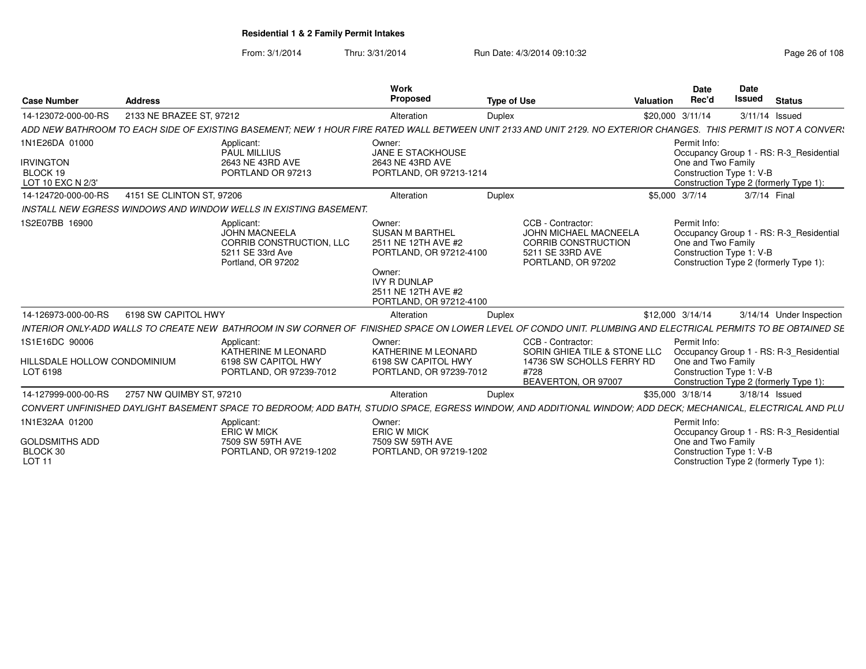From: 3/1/2014

Thru: 3/31/2014 Run Date: 4/3/2014 09:10:32 Research 2010 Rage 26 of 108

| <b>Case Number</b>                                         | <b>Address</b>            |                                                                                                                                                                   | Work<br>Proposed                                                                                                                                                      | <b>Type of Use</b> |                                                                                                                           | Valuation        | <b>Date</b><br>Rec'd                                           | <b>Date</b><br>Issued | <b>Status</b>                                                                     |
|------------------------------------------------------------|---------------------------|-------------------------------------------------------------------------------------------------------------------------------------------------------------------|-----------------------------------------------------------------------------------------------------------------------------------------------------------------------|--------------------|---------------------------------------------------------------------------------------------------------------------------|------------------|----------------------------------------------------------------|-----------------------|-----------------------------------------------------------------------------------|
| 14-123072-000-00-RS                                        | 2133 NE BRAZEE ST, 97212  |                                                                                                                                                                   | Alteration                                                                                                                                                            | Duplex             |                                                                                                                           | \$20,000 3/11/14 |                                                                |                       | 3/11/14 Issued                                                                    |
|                                                            |                           | ADD NEW BATHROOM TO EACH SIDE OF EXISTING BASEMENT; NEW 1 HOUR FIRE RATED WALL BETWEEN UNIT 2133 AND UNIT 2129. NO EXTERIOR CHANGES. THIS PERMIT IS NOT A CONVER! |                                                                                                                                                                       |                    |                                                                                                                           |                  |                                                                |                       |                                                                                   |
| 1N1E26DA 01000<br><b>IRVINGTON</b>                         |                           | Applicant:<br><b>PAUL MILLIUS</b><br>2643 NE 43RD AVE                                                                                                             | Owner:<br>JANE E STACKHOUSE<br>2643 NE 43RD AVE                                                                                                                       |                    |                                                                                                                           |                  | Permit Info:<br>One and Two Family                             |                       | Occupancy Group 1 - RS: R-3 Residential                                           |
| BLOCK 19<br>LOT 10 EXC N 2/3'                              |                           | PORTLAND OR 97213                                                                                                                                                 | PORTLAND, OR 97213-1214                                                                                                                                               |                    |                                                                                                                           |                  | Construction Type 1: V-B                                       |                       | Construction Type 2 (formerly Type 1):                                            |
| 14-124720-000-00-RS                                        | 4151 SE CLINTON ST, 97206 |                                                                                                                                                                   | Alteration                                                                                                                                                            | Duplex             |                                                                                                                           | \$5,000 3/7/14   |                                                                |                       | 3/7/14 Final                                                                      |
|                                                            |                           | <b>INSTALL NEW EGRESS WINDOWS AND WINDOW WELLS IN EXISTING BASEMENT.</b>                                                                                          |                                                                                                                                                                       |                    |                                                                                                                           |                  |                                                                |                       |                                                                                   |
| 1S2E07BB 16900                                             |                           | Applicant:<br><b>JOHN MACNEELA</b><br>CORRIB CONSTRUCTION, LLC<br>5211 SE 33rd Ave<br>Portland, OR 97202                                                          | Owner:<br><b>SUSAN M BARTHEL</b><br>2511 NE 12TH AVE #2<br>PORTLAND, OR 97212-4100<br>Owner:<br><b>IVY R DUNLAP</b><br>2511 NE 12TH AVE #2<br>PORTLAND, OR 97212-4100 |                    | CCB - Contractor:<br><b>JOHN MICHAEL MACNEELA</b><br><b>CORRIB CONSTRUCTION</b><br>5211 SE 33RD AVE<br>PORTLAND, OR 97202 |                  | Permit Info:<br>One and Two Family<br>Construction Type 1: V-B |                       | Occupancy Group 1 - RS: R-3_Residential<br>Construction Type 2 (formerly Type 1): |
| 14-126973-000-00-RS                                        | 6198 SW CAPITOL HWY       |                                                                                                                                                                   | Alteration                                                                                                                                                            | Duplex             |                                                                                                                           | \$12,000 3/14/14 |                                                                |                       | 3/14/14 Under Inspection                                                          |
|                                                            |                           | INTERIOR ONLY-ADD WALLS TO CREATE NEW BATHROOM IN SW CORNER OF FINISHED SPACE ON LOWER LEVEL OF CONDO UNIT. PLUMBING AND ELECTRICAL PERMITS TO BE OBTAINED SE     |                                                                                                                                                                       |                    |                                                                                                                           |                  |                                                                |                       |                                                                                   |
| 1S1E16DC 90006<br>HILLSDALE HOLLOW CONDOMINIUM<br>LOT 6198 |                           | Applicant:<br>KATHERINE M LEONARD<br>6198 SW CAPITOL HWY<br>PORTLAND, OR 97239-7012                                                                               | Owner:<br>KATHERINE M LEONARD<br>6198 SW CAPITOL HWY<br>PORTLAND, OR 97239-7012                                                                                       | #728               | CCB - Contractor:<br>SORIN GHIEA TILE & STONE LLC<br>14736 SW SCHOLLS FERRY RD<br>BEAVERTON, OR 97007                     |                  | Permit Info:<br>One and Two Family<br>Construction Type 1: V-B |                       | Occupancy Group 1 - RS: R-3_Residential<br>Construction Type 2 (formerly Type 1): |
| 14-127999-000-00-RS                                        | 2757 NW QUIMBY ST, 97210  |                                                                                                                                                                   | Alteration                                                                                                                                                            | Duplex             |                                                                                                                           | \$35,000 3/18/14 |                                                                |                       | 3/18/14 Issued                                                                    |
|                                                            |                           | CONVERT UNFINISHED DAYLIGHT BASEMENT SPACE TO BEDROOM; ADD BATH, STUDIO SPACE, EGRESS WINDOW, AND ADDITIONAL WINDOW; ADD DECK; MECHANICAL, ELECTRICAL AND PLU     |                                                                                                                                                                       |                    |                                                                                                                           |                  |                                                                |                       |                                                                                   |
| 1N1E32AA 01200                                             |                           | Applicant:<br><b>ERIC W MICK</b>                                                                                                                                  | Owner:<br><b>ERIC W MICK</b>                                                                                                                                          |                    |                                                                                                                           |                  | Permit Info:                                                   |                       | Occupancy Group 1 - RS: R-3_Residential                                           |
| <b>GOLDSMITHS ADD</b><br>BLOCK 30<br><b>LOT 11</b>         |                           | 7509 SW 59TH AVE<br>PORTLAND, OR 97219-1202                                                                                                                       | 7509 SW 59TH AVE<br>PORTLAND, OR 97219-1202                                                                                                                           |                    |                                                                                                                           |                  | One and Two Family<br>Construction Type 1: V-B                 |                       | Construction Type 2 (formerly Type 1):                                            |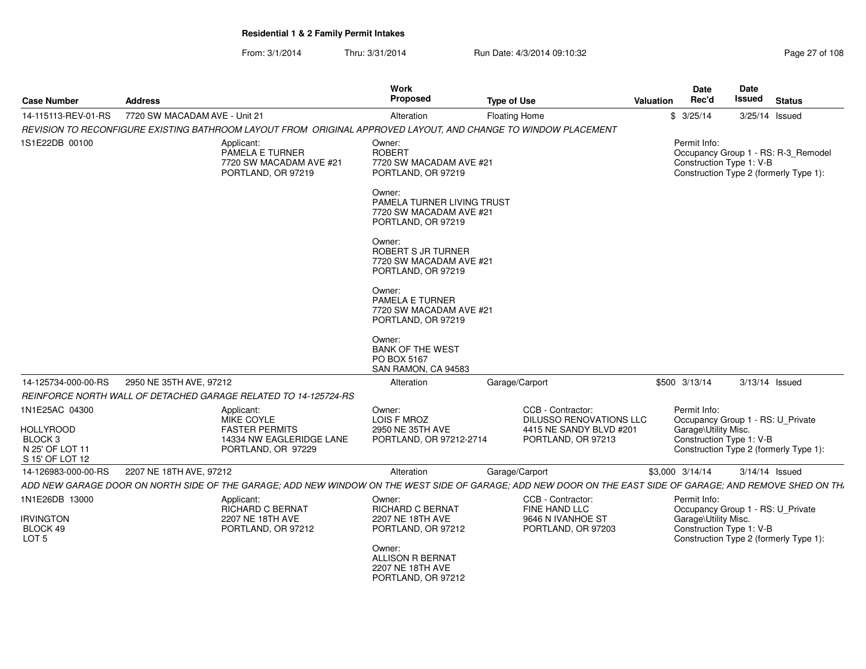| 14-115113-REV-01-RS<br>7720 SW MACADAM AVE - Unit 21<br>\$3/25/14<br>3/25/14 Issued<br>Alteration<br><b>Floating Home</b><br>REVISION TO RECONFIGURE EXISTING BATHROOM LAYOUT FROM ORIGINAL APPROVED LAYOUT, AND CHANGE TO WINDOW PLACEMENT<br>Permit Info:<br>1S1E22DB 00100<br>Applicant:<br>Owner:<br><b>ROBERT</b><br>PAMELA E TURNER<br>7720 SW MACADAM AVE #21<br>Construction Type 1: V-B<br>7720 SW MACADAM AVE #21<br>Construction Type 2 (formerly Type 1):<br>PORTLAND, OR 97219<br>PORTLAND, OR 97219<br>Owner:<br>PAMELA TURNER LIVING TRUST<br>7720 SW MACADAM AVE #21<br>PORTLAND, OR 97219<br>Owner:<br>ROBERT S JR TURNER<br>7720 SW MACADAM AVE #21<br>PORTLAND, OR 97219<br>Owner:<br><b>PAMELA E TURNER</b><br>7720 SW MACADAM AVE #21<br>PORTLAND, OR 97219<br>Owner:<br><b>BANK OF THE WEST</b><br>PO BOX 5167<br>SAN RAMON, CA 94583<br>14-125734-000-00-RS<br>2950 NE 35TH AVE, 97212<br>Garage/Carport<br>\$500 3/13/14<br>3/13/14 Issued<br>Alteration<br>REINFORCE NORTH WALL OF DETACHED GARAGE RELATED TO 14-125724-RS<br>1N1E25AC 04300<br>Owner:<br>CCB - Contractor:<br>Permit Info:<br>Applicant:<br><b>MIKE COYLE</b><br>LOIS F MROZ<br><b>DILUSSO RENOVATIONS LLC</b><br>Occupancy Group 1 - RS: U_Private<br><b>HOLLYROOD</b><br><b>FASTER PERMITS</b><br>Garage\Utility Misc.<br>2950 NE 35TH AVE<br>4415 NE SANDY BLVD #201<br>Construction Type 1: V-B<br>BLOCK 3<br>14334 NW EAGLERIDGE LANE<br>PORTLAND, OR 97212-2714<br>PORTLAND, OR 97213<br>N 25' OF LOT 11<br>Construction Type 2 (formerly Type 1):<br>PORTLAND, OR 97229<br>S 15' OF LOT 12<br>2207 NE 18TH AVE, 97212<br>Garage/Carport<br>14-126983-000-00-RS<br>Alteration<br>\$3,000 3/14/14<br>$3/14/14$ Issued<br>1N1E26DB 13000<br>CCB - Contractor:<br>Permit Info:<br>Applicant:<br>Owner:<br>FINE HAND LLC<br><b>RICHARD C BERNAT</b><br>Occupancy Group 1 - RS: U_Private<br>RICHARD C BERNAT<br>Garage\Utility Misc.<br><b>IRVINGTON</b><br>9646 N IVANHOE ST<br>2207 NE 18TH AVE<br>2207 NE 18TH AVE<br>Construction Type 1: V-B<br>BLOCK 49<br>PORTLAND, OR 97212<br>PORTLAND, OR 97212<br>PORTLAND, OR 97203<br>Construction Type 2 (formerly Type 1):<br>LOT <sub>5</sub><br>Owner: | <b>Case Number</b> | <b>Address</b> | Work<br><b>Proposed</b> | <b>Type of Use</b> | Date<br>Rec'd<br>Valuation | Date<br>Issued<br><b>Status</b> |
|-----------------------------------------------------------------------------------------------------------------------------------------------------------------------------------------------------------------------------------------------------------------------------------------------------------------------------------------------------------------------------------------------------------------------------------------------------------------------------------------------------------------------------------------------------------------------------------------------------------------------------------------------------------------------------------------------------------------------------------------------------------------------------------------------------------------------------------------------------------------------------------------------------------------------------------------------------------------------------------------------------------------------------------------------------------------------------------------------------------------------------------------------------------------------------------------------------------------------------------------------------------------------------------------------------------------------------------------------------------------------------------------------------------------------------------------------------------------------------------------------------------------------------------------------------------------------------------------------------------------------------------------------------------------------------------------------------------------------------------------------------------------------------------------------------------------------------------------------------------------------------------------------------------------------------------------------------------------------------------------------------------------------------------------------------------------------------------------------------------------------------------------------------------------------------------------------------|--------------------|----------------|-------------------------|--------------------|----------------------------|---------------------------------|
|                                                                                                                                                                                                                                                                                                                                                                                                                                                                                                                                                                                                                                                                                                                                                                                                                                                                                                                                                                                                                                                                                                                                                                                                                                                                                                                                                                                                                                                                                                                                                                                                                                                                                                                                                                                                                                                                                                                                                                                                                                                                                                                                                                                                     |                    |                |                         |                    |                            |                                 |
| Occupancy Group 1 - RS: R-3_Remodel                                                                                                                                                                                                                                                                                                                                                                                                                                                                                                                                                                                                                                                                                                                                                                                                                                                                                                                                                                                                                                                                                                                                                                                                                                                                                                                                                                                                                                                                                                                                                                                                                                                                                                                                                                                                                                                                                                                                                                                                                                                                                                                                                                 |                    |                |                         |                    |                            |                                 |
|                                                                                                                                                                                                                                                                                                                                                                                                                                                                                                                                                                                                                                                                                                                                                                                                                                                                                                                                                                                                                                                                                                                                                                                                                                                                                                                                                                                                                                                                                                                                                                                                                                                                                                                                                                                                                                                                                                                                                                                                                                                                                                                                                                                                     |                    |                |                         |                    |                            |                                 |
|                                                                                                                                                                                                                                                                                                                                                                                                                                                                                                                                                                                                                                                                                                                                                                                                                                                                                                                                                                                                                                                                                                                                                                                                                                                                                                                                                                                                                                                                                                                                                                                                                                                                                                                                                                                                                                                                                                                                                                                                                                                                                                                                                                                                     |                    |                |                         |                    |                            |                                 |
|                                                                                                                                                                                                                                                                                                                                                                                                                                                                                                                                                                                                                                                                                                                                                                                                                                                                                                                                                                                                                                                                                                                                                                                                                                                                                                                                                                                                                                                                                                                                                                                                                                                                                                                                                                                                                                                                                                                                                                                                                                                                                                                                                                                                     |                    |                |                         |                    |                            |                                 |
| ADD NEW GARAGE DOOR ON NORTH SIDE OF THE GARAGE; ADD NEW WINDOW ON THE WEST SIDE OF GARAGE; ADD NEW DOOR ON THE EAST SIDE OF GARAGE; AND REMOVE SHED ON TH.                                                                                                                                                                                                                                                                                                                                                                                                                                                                                                                                                                                                                                                                                                                                                                                                                                                                                                                                                                                                                                                                                                                                                                                                                                                                                                                                                                                                                                                                                                                                                                                                                                                                                                                                                                                                                                                                                                                                                                                                                                         |                    |                |                         |                    |                            |                                 |
|                                                                                                                                                                                                                                                                                                                                                                                                                                                                                                                                                                                                                                                                                                                                                                                                                                                                                                                                                                                                                                                                                                                                                                                                                                                                                                                                                                                                                                                                                                                                                                                                                                                                                                                                                                                                                                                                                                                                                                                                                                                                                                                                                                                                     |                    |                |                         |                    |                            |                                 |
|                                                                                                                                                                                                                                                                                                                                                                                                                                                                                                                                                                                                                                                                                                                                                                                                                                                                                                                                                                                                                                                                                                                                                                                                                                                                                                                                                                                                                                                                                                                                                                                                                                                                                                                                                                                                                                                                                                                                                                                                                                                                                                                                                                                                     |                    |                |                         |                    |                            |                                 |
|                                                                                                                                                                                                                                                                                                                                                                                                                                                                                                                                                                                                                                                                                                                                                                                                                                                                                                                                                                                                                                                                                                                                                                                                                                                                                                                                                                                                                                                                                                                                                                                                                                                                                                                                                                                                                                                                                                                                                                                                                                                                                                                                                                                                     |                    |                |                         |                    |                            |                                 |
| <b>ALLISON R BERNAT</b><br>2207 NE 18TH AVE<br>PORTLAND, OR 97212                                                                                                                                                                                                                                                                                                                                                                                                                                                                                                                                                                                                                                                                                                                                                                                                                                                                                                                                                                                                                                                                                                                                                                                                                                                                                                                                                                                                                                                                                                                                                                                                                                                                                                                                                                                                                                                                                                                                                                                                                                                                                                                                   |                    |                |                         |                    |                            |                                 |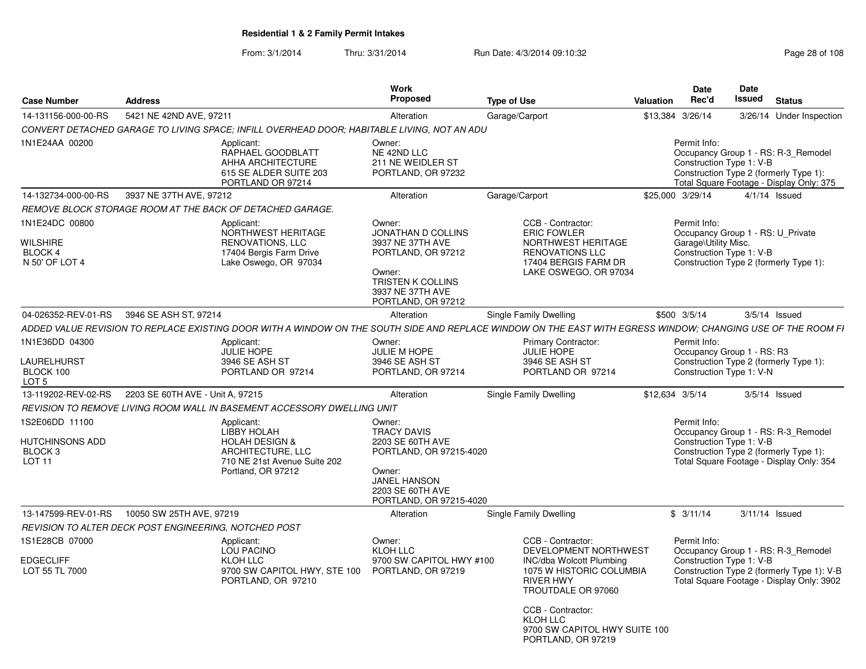| <b>Case Number</b>                                            | <b>Address</b>                                                                                                                                               | Work<br><b>Proposed</b>                                                                                                                                     | <b>Type of Use</b>                                                                                                                                                                                                                                 | Valuation        | <b>Date</b><br>Rec'd                                                                                                                                                       | Date<br>Issued | <b>Status</b>            |  |
|---------------------------------------------------------------|--------------------------------------------------------------------------------------------------------------------------------------------------------------|-------------------------------------------------------------------------------------------------------------------------------------------------------------|----------------------------------------------------------------------------------------------------------------------------------------------------------------------------------------------------------------------------------------------------|------------------|----------------------------------------------------------------------------------------------------------------------------------------------------------------------------|----------------|--------------------------|--|
| 14-131156-000-00-RS                                           | 5421 NE 42ND AVE, 97211                                                                                                                                      | Alteration                                                                                                                                                  | Garage/Carport                                                                                                                                                                                                                                     | \$13,384 3/26/14 |                                                                                                                                                                            |                | 3/26/14 Under Inspection |  |
|                                                               | CONVERT DETACHED GARAGE TO LIVING SPACE; INFILL OVERHEAD DOOR; HABITABLE LIVING, NOT AN ADU                                                                  |                                                                                                                                                             |                                                                                                                                                                                                                                                    |                  |                                                                                                                                                                            |                |                          |  |
| 1N1E24AA 00200                                                | Applicant:<br>RAPHAEL GOODBLATT<br>AHHA ARCHITECTURE<br>615 SE ALDER SUITE 203<br>PORTLAND OR 97214                                                          | Owner:<br>NE 42ND LLC<br>211 NE WEIDLER ST<br>PORTLAND, OR 97232                                                                                            |                                                                                                                                                                                                                                                    |                  | Permit Info:<br>Occupancy Group 1 - RS: R-3_Remodel<br>Construction Type 1: V-B<br>Construction Type 2 (formerly Type 1):<br>Total Square Footage - Display Only: 375      |                |                          |  |
| 14-132734-000-00-RS                                           | 3937 NE 37TH AVE, 97212                                                                                                                                      | Alteration                                                                                                                                                  | Garage/Carport                                                                                                                                                                                                                                     |                  | \$25,000 3/29/14                                                                                                                                                           |                | $4/1/14$ Issued          |  |
|                                                               | REMOVE BLOCK STORAGE ROOM AT THE BACK OF DETACHED GARAGE.                                                                                                    |                                                                                                                                                             |                                                                                                                                                                                                                                                    |                  |                                                                                                                                                                            |                |                          |  |
| 1N1E24DC 00800<br>WILSHIRE<br>BLOCK 4<br>N 50' OF LOT 4       | Applicant:<br>NORTHWEST HERITAGE<br><b>RENOVATIONS, LLC</b><br>17404 Bergis Farm Drive<br>Lake Oswego, OR 97034                                              | Owner:<br><b>JONATHAN D COLLINS</b><br>3937 NE 37TH AVE<br>PORTLAND, OR 97212<br>Owner:<br>TRISTEN K COLLINS<br>3937 NE 37TH AVE<br>PORTLAND, OR 97212      | CCB - Contractor:<br><b>ERIC FOWLER</b><br>NORTHWEST HERITAGE<br><b>RENOVATIONS LLC</b><br>17404 BERGIS FARM DR<br>LAKE OSWEGO, OR 97034                                                                                                           |                  | Permit Info:<br>Occupancy Group 1 - RS: U Private<br>Garage\Utility Misc.<br>Construction Type 1: V-B<br>Construction Type 2 (formerly Type 1):                            |                |                          |  |
| 04-026352-REV-01-RS                                           | 3946 SE ASH ST, 97214                                                                                                                                        | Alteration                                                                                                                                                  | Single Family Dwelling                                                                                                                                                                                                                             |                  | \$500 3/5/14                                                                                                                                                               |                | $3/5/14$ Issued          |  |
|                                                               | ADDED VALUE REVISION TO REPLACE EXISTING DOOR WITH A WINDOW ON THE SOUTH SIDE AND REPLACE WINDOW ON THE EAST WITH EGRESS WINDOW; CHANGING USE OF THE ROOM FI |                                                                                                                                                             |                                                                                                                                                                                                                                                    |                  |                                                                                                                                                                            |                |                          |  |
| 1N1E36DD 04300<br>LAURELHURST<br>BLOCK 100<br>LOT 5           | Applicant:<br><b>JULIE HOPE</b><br>3946 SE ASH ST<br>PORTLAND OR 97214                                                                                       | Owner:<br>JULIE M HOPE<br>3946 SE ASH ST<br>PORTLAND, OR 97214                                                                                              | <b>Primary Contractor:</b><br><b>JULIE HOPE</b><br>3946 SE ASH ST<br>PORTLAND OR 97214                                                                                                                                                             |                  | Permit Info:<br>Occupancy Group 1 - RS: R3<br>Construction Type 2 (formerly Type 1):<br>Construction Type 1: V-N                                                           |                |                          |  |
| 13-119202-REV-02-RS                                           | 2203 SE 60TH AVE - Unit A, 97215                                                                                                                             | Alteration                                                                                                                                                  | Single Family Dwelling                                                                                                                                                                                                                             | \$12,634 3/5/14  |                                                                                                                                                                            |                | $3/5/14$ Issued          |  |
|                                                               | REVISION TO REMOVE LIVING ROOM WALL IN BASEMENT ACCESSORY DWELLING UNIT                                                                                      |                                                                                                                                                             |                                                                                                                                                                                                                                                    |                  |                                                                                                                                                                            |                |                          |  |
| 1S2E06DD 11100<br>HUTCHINSONS ADD<br>BLOCK 3<br><b>LOT 11</b> | Applicant:<br>LIBBY HOLAH<br><b>HOLAH DESIGN &amp;</b><br>ARCHITECTURE, LLC<br>710 NE 21st Avenue Suite 202<br>Portland, OR 97212                            | Owner:<br><b>TRACY DAVIS</b><br>2203 SE 60TH AVE<br>PORTLAND, OR 97215-4020<br>Owner:<br><b>JANEL HANSON</b><br>2203 SE 60TH AVE<br>PORTLAND, OR 97215-4020 |                                                                                                                                                                                                                                                    |                  | Permit Info:<br>Occupancy Group 1 - RS: R-3_Remodel<br>Construction Type 1: V-B<br>Construction Type 2 (formerly Type 1):<br>Total Square Footage - Display Only: 354      |                |                          |  |
| 13-147599-REV-01-RS                                           | 10050 SW 25TH AVE, 97219                                                                                                                                     | Alteration                                                                                                                                                  | Single Family Dwelling                                                                                                                                                                                                                             |                  | \$3/11/14                                                                                                                                                                  |                | 3/11/14 Issued           |  |
|                                                               | REVISION TO ALTER DECK POST ENGINEERING. NOTCHED POST                                                                                                        |                                                                                                                                                             |                                                                                                                                                                                                                                                    |                  |                                                                                                                                                                            |                |                          |  |
| 1S1E28CB 07000<br><b>EDGECLIFF</b><br>LOT 55 TL 7000          | Applicant:<br>LOU PACINO<br><b>KLOH LLC</b><br>9700 SW CAPITOL HWY, STE 100<br>PORTLAND, OR 97210                                                            | Owner:<br>KLOH LLC<br>9700 SW CAPITOL HWY #100<br>PORTLAND, OR 97219                                                                                        | CCB - Contractor:<br>DEVELOPMENT NORTHWEST<br><b>INC/dba Wolcott Plumbing</b><br>1075 W HISTORIC COLUMBIA<br><b>RIVER HWY</b><br>TROUTDALE OR 97060<br>CCB - Contractor:<br><b>KLOH LLC</b><br>9700 SW CAPITOL HWY SUITE 100<br>PORTLAND, OR 97219 |                  | Permit Info:<br>Occupancy Group 1 - RS: R-3 Remodel<br>Construction Type 1: V-B<br>Construction Type 2 (formerly Type 1): V-B<br>Total Square Footage - Display Only: 3902 |                |                          |  |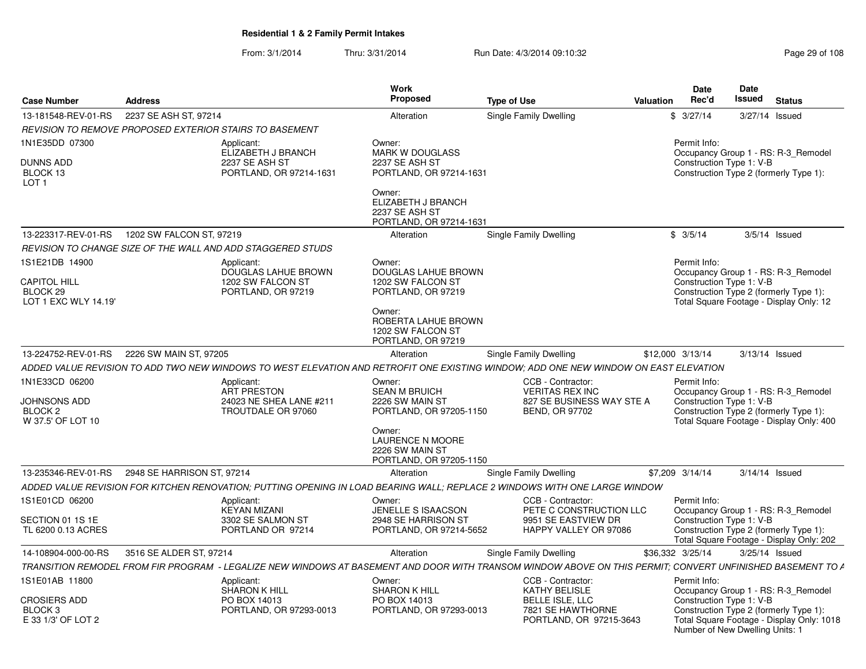| <b>Case Number</b>                                                        | Address                                                                                                                                                    | Work<br>Propose                                                                                                                                      | <b>Type of Use</b>                                                                                | Date<br>Rec'd<br>Valuation | Date<br>Issued<br>Status                                                                                                                              |
|---------------------------------------------------------------------------|------------------------------------------------------------------------------------------------------------------------------------------------------------|------------------------------------------------------------------------------------------------------------------------------------------------------|---------------------------------------------------------------------------------------------------|----------------------------|-------------------------------------------------------------------------------------------------------------------------------------------------------|
|                                                                           | 13-181548-REV-01-RS 2237 SE ASH ST, 97214                                                                                                                  | Alteration                                                                                                                                           | Single Family Dwelling                                                                            | \$3/27/14                  | 3/27/14 Issued                                                                                                                                        |
|                                                                           | REVISION TO REMOVE PROPOSED EXTERIOR STAIRS TO BASEMENT                                                                                                    |                                                                                                                                                      |                                                                                                   |                            |                                                                                                                                                       |
| N1E35DD 07300<br>DUNNS ADD<br>BLOCK 13<br>LOT <sub>1</sub>                | Applicant:<br>ELIZABETH J BRANCH<br>2237 SE ASH ST<br>PORTLAND, OR 97214-1631                                                                              | Owner:<br><b>MARK W DOUGLASS</b><br>2237 SE ASH ST<br>PORTLAND, OR 97214-1631                                                                        |                                                                                                   | Permit Info:               | Occupancy Group 1 - RS: R-3_Remodel<br>Construction Type 1: V-B<br>Construction Type 2 (formerly Type 1):                                             |
|                                                                           |                                                                                                                                                            | Owner:<br>ELIZABETH J BRANCH<br>2237 SE ASH ST<br>PORTLAND, OR 97214-1631                                                                            |                                                                                                   |                            |                                                                                                                                                       |
|                                                                           | 13-223317-REV-01-RS  1202 SW FALCON ST, 97219                                                                                                              | Alteration                                                                                                                                           | <b>Single Family Dwelling</b>                                                                     | \$3/5/14                   | $3/5/14$ Issued                                                                                                                                       |
|                                                                           | REVISION TO CHANGE SIZE OF THE WALL AND ADD STAGGERED STUDS                                                                                                |                                                                                                                                                      |                                                                                                   |                            |                                                                                                                                                       |
| 1S1E21DB 14900<br><b>CAPITOL HILL</b><br>BLOCK 29<br>LOT 1 EXC WLY 14.19' | Applicant:<br><b>DOUGLAS LAHUE BROWN</b><br>1202 SW FALCON ST<br>PORTLAND, OR 97219                                                                        | Owner:<br>DOUGLAS LAHUE BROWN<br>1202 SW FALCON ST<br>PORTLAND, OR 97219<br>Owner:<br>ROBERTA LAHUE BROWN<br>1202 SW FALCON ST<br>PORTLAND, OR 97219 |                                                                                                   | Permit Info:               | Occupancy Group 1 - RS: R-3_Remodel<br>Construction Type 1: V-B<br>Construction Type 2 (formerly Type 1):<br>Total Square Footage - Display Only: 12  |
|                                                                           | 13-224752-REV-01-RS 2226 SW MAIN ST, 97205                                                                                                                 | Alteration                                                                                                                                           | Single Family Dwelling                                                                            | \$12,000 3/13/14           | 3/13/14 Issued                                                                                                                                        |
|                                                                           | ADDED VALUE REVISION TO ADD TWO NEW WINDOWS TO WEST ELEVATION AND RETROFIT ONE EXISTING WINDOW; ADD ONE NEW WINDOW ON EAST ELEVATION                       |                                                                                                                                                      |                                                                                                   |                            |                                                                                                                                                       |
| 1N1E33CD 06200<br>JOHNSONS ADD<br>BLOCK 2<br>W 37.5' OF LOT 10            | Applicant:<br>ART PRESTON<br>24023 NE SHEA LANE #211<br>TROUTDALE OR 97060                                                                                 | Owner:<br><b>SEAN M BRUICH</b><br>2226 SW MAIN ST<br>PORTLAND, OR 97205-1150                                                                         | CCB - Contractor:<br><b>VERITAS REX INC</b><br>827 SE BUSINESS WAY STE A<br><b>BEND, OR 97702</b> | Permit Info:               | Occupancy Group 1 - RS: R-3_Remodel<br>Construction Type 1: V-B<br>Construction Type 2 (formerly Type 1):<br>Total Square Footage - Display Only: 400 |
|                                                                           |                                                                                                                                                            | Owner:<br><b>LAURENCE N MOORE</b><br>2226 SW MAIN ST<br>PORTLAND, OR 97205-1150                                                                      |                                                                                                   |                            |                                                                                                                                                       |
|                                                                           | 13-235346-REV-01-RS  2948 SE HARRISON ST, 97214                                                                                                            | Alteration                                                                                                                                           | Single Family Dwelling                                                                            | \$7,209 3/14/14            | 3/14/14 Issued                                                                                                                                        |
|                                                                           | ADDED VALUE REVISION FOR KITCHEN RENOVATION; PUTTING OPENING IN LOAD BEARING WALL; REPLACE 2 WINDOWS WITH ONE LARGE WINDOW                                 |                                                                                                                                                      |                                                                                                   |                            |                                                                                                                                                       |
| 1S1E01CD 06200<br>SECTION 01 1S 1E                                        | Applicant:<br><b>KEYAN MIZANI</b><br>3302 SE SALMON ST                                                                                                     | Owner:<br>JENELLE S ISAACSON<br>2948 SE HARRISON ST                                                                                                  | CCB - Contractor:<br>PETE C CONSTRUCTION LLC<br>9951 SE EASTVIEW DR                               | Permit Info:               | Occupancy Group 1 - RS: R-3_Remodel<br>Construction Type 1: V-B                                                                                       |
| TL 6200 0.13 ACRES                                                        | PORTLAND OR 97214                                                                                                                                          | PORTLAND, OR 97214-5652                                                                                                                              | HAPPY VALLEY OR 97086                                                                             |                            | Construction Type 2 (formerly Type 1):<br>Total Square Footage - Display Only: 202                                                                    |
| 14-108904-000-00-RS                                                       | 3516 SE ALDER ST, 97214                                                                                                                                    | Alteration                                                                                                                                           | Single Family Dwelling                                                                            | \$36.332 3/25/14           | 3/25/14 Issued                                                                                                                                        |
|                                                                           | TRANSITION REMODEL FROM FIR PROGRAM - LEGALIZE NEW WINDOWS AT BASEMENT AND DOOR WITH TRANSOM WINDOW ABOVE ON THIS PERMIT; CONVERT UNFINISHED BASEMENT TO A |                                                                                                                                                      |                                                                                                   |                            |                                                                                                                                                       |
| 1S1E01AB 11800<br><b>CROSIERS ADD</b>                                     | Applicant:<br>SHARON K HILL<br>PO BOX 14013                                                                                                                | Owner:<br><b>SHARON K HILL</b><br>PO BOX 14013                                                                                                       | CCB - Contractor:<br><b>KATHY BELISLE</b><br>BELLE ISLE, LLC                                      | Permit Info:               | Occupancy Group 1 - RS: R-3_Remodel                                                                                                                   |
| BLOCK 3<br>E 33 1/3' OF LOT 2                                             | PORTLAND, OR 97293-0013                                                                                                                                    | PORTLAND, OR 97293-0013                                                                                                                              | 7821 SE HAWTHORNE<br>PORTLAND, OR 97215-3643                                                      |                            | Construction Type 1: V-B<br>Construction Type 2 (formerly Type 1):<br>Total Square Footage - Display Only: 1018<br>Number of New Dwelling Units: 1    |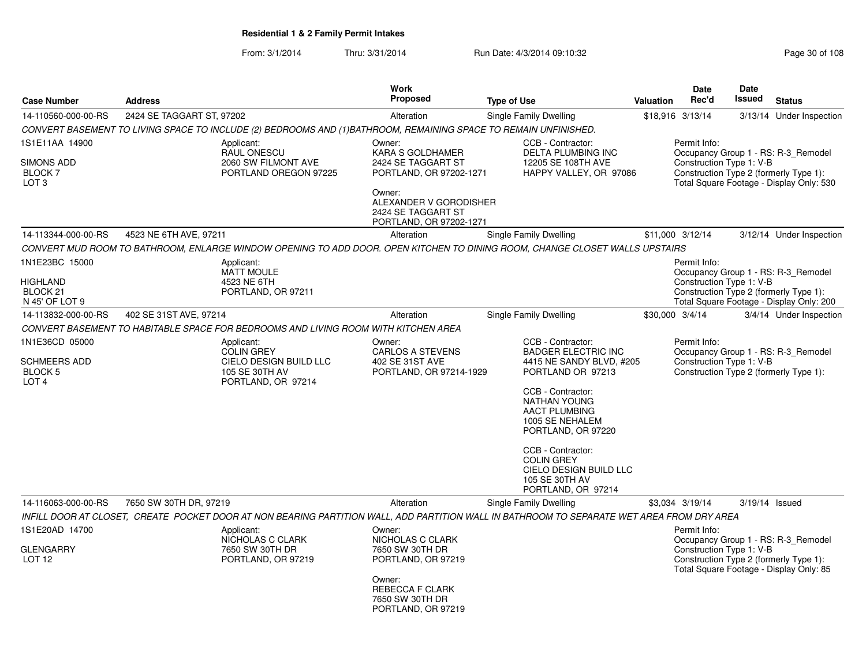|                                                                          |                           |                                                                                                                 | Work                                                                              |                                                                                                                                            |                  | <b>Date</b>                              | Date<br><b>Issued</b> |                                                                                    |
|--------------------------------------------------------------------------|---------------------------|-----------------------------------------------------------------------------------------------------------------|-----------------------------------------------------------------------------------|--------------------------------------------------------------------------------------------------------------------------------------------|------------------|------------------------------------------|-----------------------|------------------------------------------------------------------------------------|
| <b>Case Number</b>                                                       | <b>Address</b>            |                                                                                                                 | <b>Proposed</b>                                                                   | <b>Type of Use</b>                                                                                                                         | <b>Valuation</b> | Rec'd                                    |                       | <b>Status</b>                                                                      |
| 14-110560-000-00-RS                                                      | 2424 SE TAGGART ST, 97202 |                                                                                                                 | Alteration                                                                        | Single Family Dwelling                                                                                                                     |                  | \$18,916 3/13/14                         |                       | 3/13/14 Under Inspection                                                           |
|                                                                          |                           | CONVERT BASEMENT TO LIVING SPACE TO INCLUDE (2) BEDROOMS AND (1)BATHROOM, REMAINING SPACE TO REMAIN UNFINISHED. |                                                                                   |                                                                                                                                            |                  |                                          |                       |                                                                                    |
| 1S1E11AA 14900<br><b>SIMONS ADD</b><br><b>BLOCK7</b>                     |                           | Applicant:<br>RAUL ONESCU<br>2060 SW FILMONT AVE<br>PORTLAND OREGON 97225                                       | Owner:<br>KARA S GOLDHAMER<br>2424 SE TAGGART ST<br>PORTLAND, OR 97202-1271       | CCB - Contractor:<br>DELTA PLUMBING INC<br>12205 SE 108TH AVE<br>HAPPY VALLEY, OR 97086                                                    |                  | Permit Info:<br>Construction Type 1: V-B |                       | Occupancy Group 1 - RS: R-3_Remodel<br>Construction Type 2 (formerly Type 1):      |
| LOT <sub>3</sub>                                                         |                           |                                                                                                                 | Owner:<br>ALEXANDER V GORODISHER<br>2424 SE TAGGART ST<br>PORTLAND, OR 97202-1271 |                                                                                                                                            |                  |                                          |                       | Total Square Footage - Display Only: 530                                           |
| 14-113344-000-00-RS                                                      | 4523 NE 6TH AVE, 97211    |                                                                                                                 | Alteration                                                                        | Single Family Dwelling                                                                                                                     |                  | \$11,000 3/12/14                         |                       | 3/12/14 Under Inspection                                                           |
|                                                                          |                           |                                                                                                                 |                                                                                   | CONVERT MUD ROOM TO BATHROOM, ENLARGE WINDOW OPENING TO ADD DOOR. OPEN KITCHEN TO DINING ROOM, CHANGE CLOSET WALLS UPSTAIRS                |                  |                                          |                       |                                                                                    |
| 1N1E23BC 15000                                                           |                           | Applicant:<br><b>MATT MOULE</b>                                                                                 |                                                                                   |                                                                                                                                            |                  | Permit Info:                             |                       | Occupancy Group 1 - RS: R-3_Remodel                                                |
| HIGHLAND<br>BLOCK <sub>21</sub><br>N 45' OF LOT 9                        |                           | 4523 NE 6TH<br>PORTLAND, OR 97211                                                                               |                                                                                   |                                                                                                                                            |                  | Construction Type 1: V-B                 |                       | Construction Type 2 (formerly Type 1):<br>Total Square Footage - Display Only: 200 |
| 14-113832-000-00-RS                                                      | 402 SE 31ST AVE, 97214    |                                                                                                                 | Alteration                                                                        | Single Family Dwelling                                                                                                                     |                  | \$30,000 3/4/14                          |                       | 3/4/14 Under Inspection                                                            |
|                                                                          |                           | CONVERT BASEMENT TO HABITABLE SPACE FOR BEDROOMS AND LIVING ROOM WITH KITCHEN AREA                              |                                                                                   |                                                                                                                                            |                  |                                          |                       |                                                                                    |
| 1N1E36CD 05000<br>SCHMEERS ADD<br>BLOCK <sub>5</sub><br>LOT <sub>4</sub> |                           | Applicant:<br><b>COLIN GREY</b><br>CIELO DESIGN BUILD LLC<br>105 SE 30TH AV<br>PORTLAND, OR 97214               | Owner:<br><b>CARLOS A STEVENS</b><br>402 SE 31ST AVE<br>PORTLAND, OR 97214-1929   | CCB - Contractor:<br><b>BADGER ELECTRIC INC</b><br>4415 NE SANDY BLVD. #205<br>PORTLAND OR 97213                                           |                  | Permit Info:<br>Construction Type 1: V-B |                       | Occupancy Group 1 - RS: R-3_Remodel<br>Construction Type 2 (formerly Type 1):      |
|                                                                          |                           |                                                                                                                 |                                                                                   | CCB - Contractor:<br><b>NATHAN YOUNG</b><br><b>AACT PLUMBING</b><br>1005 SE NEHALEM<br>PORTLAND, OR 97220                                  |                  |                                          |                       |                                                                                    |
|                                                                          |                           |                                                                                                                 |                                                                                   | CCB - Contractor:<br><b>COLIN GREY</b><br>CIELO DESIGN BUILD LLC<br>105 SE 30TH AV<br>PORTLAND, OR 97214                                   |                  |                                          |                       |                                                                                    |
| 14-116063-000-00-RS                                                      | 7650 SW 30TH DR, 97219    |                                                                                                                 | Alteration                                                                        | Single Family Dwelling                                                                                                                     |                  | \$3,034 3/19/14                          | 3/19/14 Issued        |                                                                                    |
|                                                                          |                           |                                                                                                                 |                                                                                   | INFILL DOOR AT CLOSET, CREATE POCKET DOOR AT NON BEARING PARTITION WALL, ADD PARTITION WALL IN BATHROOM TO SEPARATE WET AREA FROM DRY AREA |                  |                                          |                       |                                                                                    |
| 1S1E20AD 14700                                                           |                           | Applicant:<br>NICHOLAS C CLARK                                                                                  | Owner:<br>NICHOLAS C CLARK                                                        |                                                                                                                                            |                  | Permit Info:                             |                       | Occupancy Group 1 - RS: R-3_Remodel                                                |
| <b>GLENGARRY</b><br>LOT <sub>12</sub>                                    |                           | 7650 SW 30TH DR<br>PORTLAND, OR 97219                                                                           | 7650 SW 30TH DR<br>PORTLAND, OR 97219<br>Owner:                                   |                                                                                                                                            |                  | Construction Type 1: V-B                 |                       | Construction Type 2 (formerly Type 1):<br>Total Square Footage - Display Only: 85  |
|                                                                          |                           |                                                                                                                 | REBECCA F CLARK<br>7650 SW 30TH DR<br>PORTLAND, OR 97219                          |                                                                                                                                            |                  |                                          |                       |                                                                                    |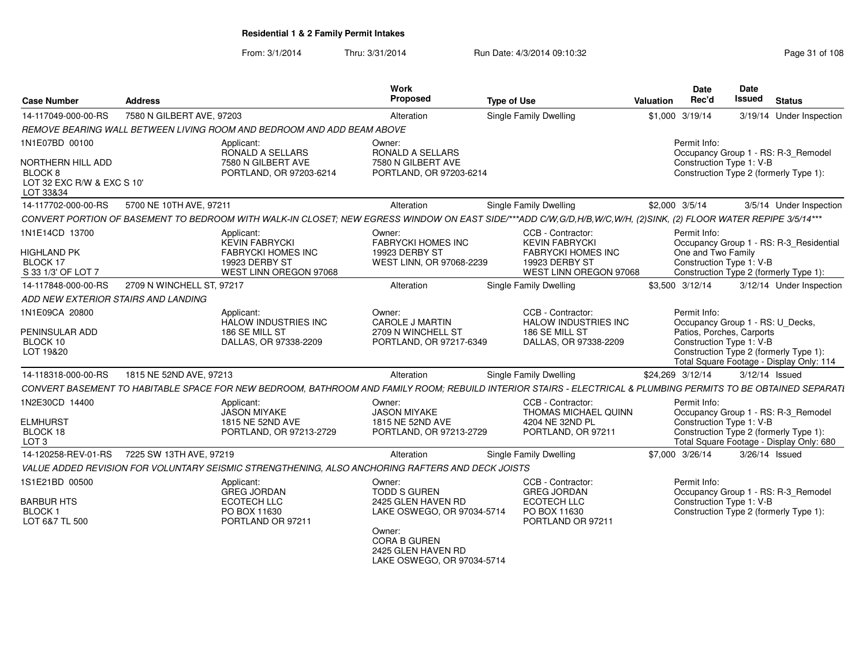| <b>Case Number</b>                                                      | <b>Address</b>            |                                                                                                              | <b>Work</b><br><b>Proposed</b>                                                    | <b>Type of Use</b>                                                                                                                                               | <b>Valuation</b> | Date<br>Rec'd                      | Date<br>Issued                                                                            | <b>Status</b>                                                                      |
|-------------------------------------------------------------------------|---------------------------|--------------------------------------------------------------------------------------------------------------|-----------------------------------------------------------------------------------|------------------------------------------------------------------------------------------------------------------------------------------------------------------|------------------|------------------------------------|-------------------------------------------------------------------------------------------|------------------------------------------------------------------------------------|
| 14-117049-000-00-RS                                                     | 7580 N GILBERT AVE, 97203 |                                                                                                              | Alteration                                                                        | Single Family Dwelling                                                                                                                                           |                  | \$1,000 3/19/14                    |                                                                                           | 3/19/14 Under Inspection                                                           |
|                                                                         |                           | REMOVE BEARING WALL BETWEEN LIVING ROOM AND BEDROOM AND ADD BEAM ABOVE                                       |                                                                                   |                                                                                                                                                                  |                  |                                    |                                                                                           |                                                                                    |
| 1N1E07BD 00100                                                          |                           | Applicant:<br>RONALD A SELLARS                                                                               | Owner:<br><b>RONALD A SELLARS</b>                                                 |                                                                                                                                                                  |                  | Permit Info:                       |                                                                                           | Occupancy Group 1 - RS: R-3_Remodel                                                |
| NORTHERN HILL ADD<br>BLOCK 8<br>LOT 32 EXC R/W & EXC S 10'<br>LOT 33&34 |                           | 7580 N GILBERT AVE<br>PORTLAND, OR 97203-6214                                                                | 7580 N GILBERT AVE<br>PORTLAND, OR 97203-6214                                     |                                                                                                                                                                  |                  |                                    | Construction Type 1: V-B                                                                  | Construction Type 2 (formerly Type 1):                                             |
| 14-117702-000-00-RS                                                     | 5700 NE 10TH AVE, 97211   |                                                                                                              | Alteration                                                                        | Single Family Dwelling                                                                                                                                           |                  | \$2,000 3/5/14                     |                                                                                           | 3/5/14 Under Inspection                                                            |
|                                                                         |                           |                                                                                                              |                                                                                   | CONVERT PORTION OF BASEMENT TO BEDROOM WITH WALK-IN CLOSET; NEW EGRESS WINDOW ON EAST SIDE/***ADD C/W,G/D,H/B,W/C,W/H, (2)SINK, (2) FLOOR WATER REPIPE 3/5/14*** |                  |                                    |                                                                                           |                                                                                    |
| 1N1E14CD 13700<br><b>HIGHLAND PK</b><br>BLOCK 17<br>S 33 1/3' OF LOT 7  |                           | Applicant:<br><b>KEVIN FABRYCKI</b><br><b>FABRYCKI HOMES INC</b><br>19923 DERBY ST<br>WEST LINN OREGON 97068 | Owner:<br><b>FABRYCKI HOMES INC</b><br>19923 DERBY ST<br>WEST LINN, OR 97068-2239 | CCB - Contractor:<br><b>KEVIN FABRYCKI</b><br><b>FABRYCKI HOMES INC</b><br>19923 DERBY ST<br>WEST LINN OREGON 97068                                              |                  | Permit Info:<br>One and Two Family | Construction Type 1: V-B                                                                  | Occupancy Group 1 - RS: R-3_Residential<br>Construction Type 2 (formerly Type 1):  |
| 14-117848-000-00-RS                                                     | 2709 N WINCHELL ST, 97217 |                                                                                                              | Alteration                                                                        | <b>Single Family Dwelling</b>                                                                                                                                    |                  | \$3,500 3/12/14                    |                                                                                           | 3/12/14 Under Inspection                                                           |
| ADD NEW EXTERIOR STAIRS AND LANDING                                     |                           |                                                                                                              |                                                                                   |                                                                                                                                                                  |                  |                                    |                                                                                           |                                                                                    |
| 1N1E09CA 20800<br>PENINSULAR ADD<br>BLOCK 10<br>LOT 19&20               |                           | Applicant:<br><b>HALOW INDUSTRIES INC</b><br>186 SE MILL ST<br>DALLAS, OR 97338-2209                         | Owner:<br><b>CAROLE J MARTIN</b><br>2709 N WINCHELL ST<br>PORTLAND, OR 97217-6349 | CCB - Contractor:<br><b>HALOW INDUSTRIES INC</b><br>186 SE MILL ST<br>DALLAS, OR 97338-2209                                                                      |                  | Permit Info:                       | Occupancy Group 1 - RS: U Decks,<br>Patios, Porches, Carports<br>Construction Type 1: V-B | Construction Type 2 (formerly Type 1):<br>Total Square Footage - Display Only: 114 |
| 14-118318-000-00-RS                                                     | 1815 NE 52ND AVE, 97213   |                                                                                                              | Alteration                                                                        | Single Family Dwelling                                                                                                                                           |                  | \$24,269 3/12/14                   | $3/12/14$ Issued                                                                          |                                                                                    |
|                                                                         |                           |                                                                                                              |                                                                                   | CONVERT BASEMENT TO HABITABLE SPACE FOR NEW BEDROOM, BATHROOM AND FAMILY ROOM; REBUILD INTERIOR STAIRS - ELECTRICAL & PLUMBING PERMITS TO BE OBTAINED SEPARATI   |                  |                                    |                                                                                           |                                                                                    |
| 1N2E30CD 14400                                                          |                           | Applicant:<br><b>JASON MIYAKE</b>                                                                            | Owner:<br><b>JASON MIYAKE</b>                                                     | CCB - Contractor:<br>THOMAS MICHAEL QUINN                                                                                                                        |                  | Permit Info:                       |                                                                                           | Occupancy Group 1 - RS: R-3_Remodel                                                |
| <b>ELMHURST</b><br>BLOCK 18<br>LOT <sub>3</sub>                         |                           | 1815 NE 52ND AVE<br>PORTLAND, OR 97213-2729                                                                  | 1815 NE 52ND AVE<br>PORTLAND, OR 97213-2729                                       | 4204 NE 32ND PL<br>PORTLAND, OR 97211                                                                                                                            |                  |                                    | Construction Type 1: V-B                                                                  | Construction Type 2 (formerly Type 1):<br>Total Square Footage - Display Only: 680 |
| 14-120258-REV-01-RS                                                     | 7225 SW 13TH AVE, 97219   |                                                                                                              | Alteration                                                                        | <b>Single Family Dwelling</b>                                                                                                                                    |                  | \$7,000 3/26/14                    | 3/26/14 Issued                                                                            |                                                                                    |
|                                                                         |                           | VALUE ADDED REVISION FOR VOLUNTARY SEISMIC STRENGTHENING, ALSO ANCHORING RAFTERS AND DECK JOISTS             |                                                                                   |                                                                                                                                                                  |                  |                                    |                                                                                           |                                                                                    |
| 1S1E21BD 00500                                                          |                           | Applicant:<br><b>GREG JORDAN</b>                                                                             | Owner:<br><b>TODD S GUREN</b>                                                     | CCB - Contractor:<br><b>GREG JORDAN</b>                                                                                                                          |                  | Permit Info:                       |                                                                                           | Occupancy Group 1 - RS: R-3_Remodel                                                |
| <b>BARBUR HTS</b><br><b>BLOCK1</b><br>LOT 6&7 TL 500                    |                           | ECOTECH LLC<br>PO BOX 11630<br>PORTLAND OR 97211                                                             | 2425 GLEN HAVEN RD<br>LAKE OSWEGO, OR 97034-5714                                  | <b>ECOTECH LLC</b><br>PO BOX 11630<br>PORTLAND OR 97211                                                                                                          |                  |                                    | Construction Type 1: V-B                                                                  | Construction Type 2 (formerly Type 1):                                             |
|                                                                         |                           |                                                                                                              | Owner:<br><b>CORA B GUREN</b><br>2425 GLEN HAVEN RD<br>LAKE OSWEGO, OR 97034-5714 |                                                                                                                                                                  |                  |                                    |                                                                                           |                                                                                    |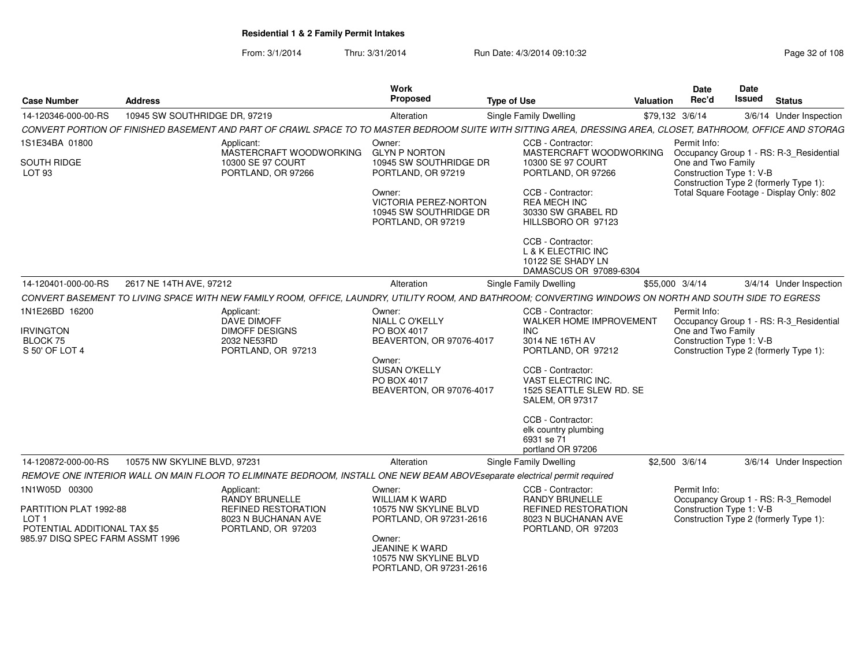From: 3/1/2014Thru: 3/31/2014 Run Date: 4/3/2014 09:10:32 Run Date: 4/3/2014 09:10:32

| <b>Case Number</b>                                                         | <b>Address</b>                                                                                                                                                | Work<br>Proposed                                                                       | <b>Type of Use</b>                                                                            | Valuation | Date<br>Rec'd                                  | Date<br><b>Issued</b> | <b>Status</b>                                                                 |
|----------------------------------------------------------------------------|---------------------------------------------------------------------------------------------------------------------------------------------------------------|----------------------------------------------------------------------------------------|-----------------------------------------------------------------------------------------------|-----------|------------------------------------------------|-----------------------|-------------------------------------------------------------------------------|
| 14-120346-000-00-RS                                                        | 10945 SW SOUTHRIDGE DR, 97219                                                                                                                                 | Alteration                                                                             | <b>Single Family Dwelling</b>                                                                 |           | \$79,132 3/6/14                                |                       | 3/6/14 Under Inspection                                                       |
|                                                                            | CONVERT PORTION OF FINISHED BASEMENT AND PART OF CRAWL SPACE TO TO MASTER BEDROOM SUITE WITH SITTING AREA, DRESSING AREA, CLOSET, BATHROOM, OFFICE AND STORAG |                                                                                        |                                                                                               |           |                                                |                       |                                                                               |
| 1S1E34BA 01800                                                             | Applicant:<br>MASTERCRAFT WOODWORKING                                                                                                                         | Owner:<br><b>GLYN P NORTON</b>                                                         | CCB - Contractor:<br>MASTERCRAFT WOODWORKING                                                  |           | Permit Info:                                   |                       | Occupancy Group 1 - RS: R-3_Residential                                       |
| SOUTH RIDGE<br><b>LOT 93</b>                                               | 10300 SE 97 COURT<br>PORTLAND, OR 97266                                                                                                                       | 10945 SW SOUTHRIDGE DR<br>PORTLAND, OR 97219                                           | 10300 SE 97 COURT<br>PORTLAND, OR 97266                                                       |           | One and Two Family<br>Construction Type 1: V-B |                       | Construction Type 2 (formerly Type 1):                                        |
|                                                                            |                                                                                                                                                               | Owner:<br><b>VICTORIA PEREZ-NORTON</b><br>10945 SW SOUTHRIDGE DR<br>PORTLAND, OR 97219 | CCB - Contractor:<br><b>REA MECH INC</b><br>30330 SW GRABEL RD<br>HILLSBORO OR 97123          |           |                                                |                       | Total Square Footage - Display Only: 802                                      |
|                                                                            |                                                                                                                                                               |                                                                                        | CCB - Contractor:<br>L & K ELECTRIC INC<br>10122 SE SHADY LN<br>DAMASCUS OR 97089-6304        |           |                                                |                       |                                                                               |
| 14-120401-000-00-RS                                                        | 2617 NE 14TH AVE, 97212                                                                                                                                       | Alteration                                                                             | Single Family Dwelling                                                                        |           | \$55,000 3/4/14                                |                       | 3/4/14 Under Inspection                                                       |
|                                                                            | CONVERT BASEMENT TO LIVING SPACE WITH NEW FAMILY ROOM, OFFICE, LAUNDRY, UTILITY ROOM, AND BATHROOM; CONVERTING WINDOWS ON NORTH AND SOUTH SIDE TO EGRESS      |                                                                                        |                                                                                               |           |                                                |                       |                                                                               |
| 1N1E26BD 16200                                                             | Applicant:                                                                                                                                                    | Owner:                                                                                 | CCB - Contractor:                                                                             |           | Permit Info:                                   |                       |                                                                               |
| <b>IRVINGTON</b>                                                           | DAVE DIMOFF<br><b>DIMOFF DESIGNS</b>                                                                                                                          | <b>NIALL C O'KELLY</b><br>PO BOX 4017                                                  | WALKER HOME IMPROVEMENT<br><b>INC</b>                                                         |           | One and Two Family                             |                       | Occupancy Group 1 - RS: R-3_Residential                                       |
| <b>BLOCK 75</b><br>S 50' OF LOT 4                                          | 2032 NE53RD<br>PORTLAND, OR 97213                                                                                                                             | BEAVERTON, OR 97076-4017                                                               | 3014 NE 16TH AV<br>PORTLAND, OR 97212                                                         |           | Construction Type 1: V-B                       |                       | Construction Type 2 (formerly Type 1):                                        |
|                                                                            |                                                                                                                                                               | Owner:<br><b>SUSAN O'KELLY</b><br>PO BOX 4017<br>BEAVERTON, OR 97076-4017              | CCB - Contractor:<br>VAST ELECTRIC INC.<br>1525 SEATTLE SLEW RD. SE<br><b>SALEM, OR 97317</b> |           |                                                |                       |                                                                               |
|                                                                            |                                                                                                                                                               |                                                                                        | CCB - Contractor:<br>elk country plumbing<br>6931 se 71<br>portland OR 97206                  |           |                                                |                       |                                                                               |
| 14-120872-000-00-RS                                                        | 10575 NW SKYLINE BLVD, 97231                                                                                                                                  | Alteration                                                                             | <b>Single Family Dwelling</b>                                                                 |           | \$2,500 3/6/14                                 |                       | 3/6/14 Under Inspection                                                       |
|                                                                            | REMOVE ONE INTERIOR WALL ON MAIN FLOOR TO ELIMINATE BEDROOM, INSTALL ONE NEW BEAM ABOVEseparate electrical permit required                                    |                                                                                        |                                                                                               |           |                                                |                       |                                                                               |
| 1N1W05D 00300                                                              | Applicant:<br><b>RANDY BRUNELLE</b>                                                                                                                           | Owner:<br><b>WILLIAM K WARD</b>                                                        | CCB - Contractor:<br><b>RANDY BRUNELLE</b>                                                    |           | Permit Info:                                   |                       |                                                                               |
| PARTITION PLAT 1992-88<br>LOT <sub>1</sub><br>POTENTIAL ADDITIONAL TAX \$5 | <b>REFINED RESTORATION</b><br>8023 N BUCHANAN AVE<br>PORTLAND, OR 97203                                                                                       | 10575 NW SKYLINE BLVD<br>PORTLAND, OR 97231-2616                                       | <b>REFINED RESTORATION</b><br>8023 N BUCHANAN AVE<br>PORTLAND, OR 97203                       |           | Construction Type 1: V-B                       |                       | Occupancy Group 1 - RS: R-3_Remodel<br>Construction Type 2 (formerly Type 1): |
| 985.97 DISQ SPEC FARM ASSMT 1996                                           |                                                                                                                                                               | Owner:<br><b>JEANINE K WARD</b><br>10575 NW SKYLINE BLVD<br>PORTLAND, OR 97231-2616    |                                                                                               |           |                                                |                       |                                                                               |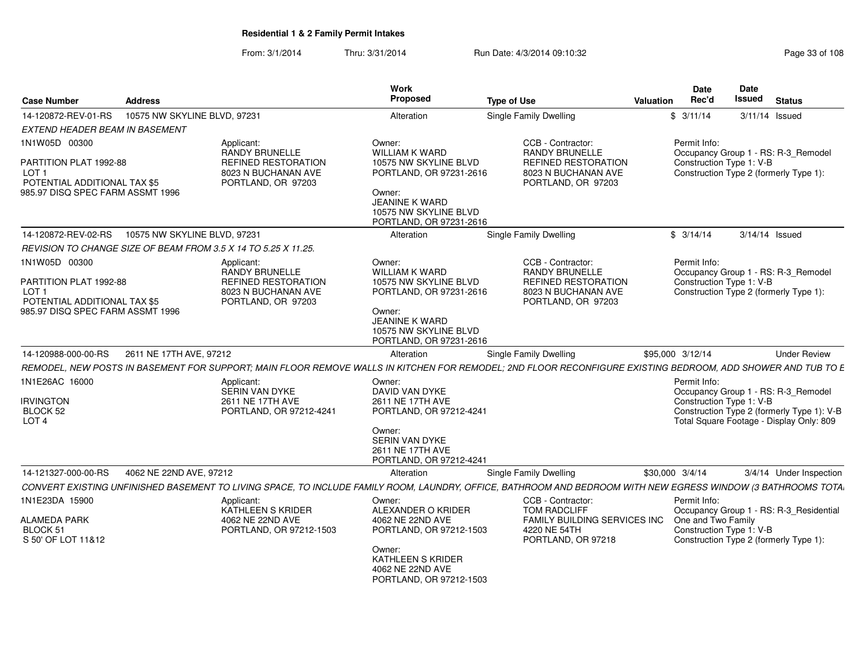| <b>Case Number</b>                                                                   | <b>Address</b>               |                                                                             | Work<br>Proposed                                                                    | <b>Type of Use</b>                                                                                                                                           | Valuation       | Date<br>Rec'd                                  | <b>Date</b><br>Issued | <b>Status</b>                                                                                                                 |
|--------------------------------------------------------------------------------------|------------------------------|-----------------------------------------------------------------------------|-------------------------------------------------------------------------------------|--------------------------------------------------------------------------------------------------------------------------------------------------------------|-----------------|------------------------------------------------|-----------------------|-------------------------------------------------------------------------------------------------------------------------------|
| 14-120872-REV-01-RS                                                                  | 10575 NW SKYLINE BLVD, 97231 |                                                                             | Alteration                                                                          | Single Family Dwelling                                                                                                                                       |                 | \$3/11/14                                      |                       | 3/11/14 Issued                                                                                                                |
| EXTEND HEADER BEAM IN BASEMENT                                                       |                              |                                                                             |                                                                                     |                                                                                                                                                              |                 |                                                |                       |                                                                                                                               |
| 1N1W05D 00300<br>PARTITION PLAT 1992-88                                              |                              | Applicant:<br><b>RANDY BRUNELLE</b><br><b>REFINED RESTORATION</b>           | Owner:<br><b>WILLIAM K WARD</b><br>10575 NW SKYLINE BLVD                            | CCB - Contractor:<br><b>RANDY BRUNELLE</b><br><b>REFINED RESTORATION</b>                                                                                     |                 | Permit Info:<br>Construction Type 1: V-B       |                       | Occupancy Group 1 - RS: R-3 Remodel                                                                                           |
| LOT <sub>1</sub><br>POTENTIAL ADDITIONAL TAX \$5<br>985.97 DISQ SPEC FARM ASSMT 1996 |                              | 8023 N BUCHANAN AVE<br>PORTLAND, OR 97203                                   | PORTLAND, OR 97231-2616                                                             | 8023 N BUCHANAN AVE<br>PORTLAND, OR 97203                                                                                                                    |                 |                                                |                       | Construction Type 2 (formerly Type 1):                                                                                        |
|                                                                                      |                              |                                                                             | Owner:<br><b>JEANINE K WARD</b><br>10575 NW SKYLINE BLVD<br>PORTLAND, OR 97231-2616 |                                                                                                                                                              |                 |                                                |                       |                                                                                                                               |
| 14-120872-REV-02-RS                                                                  | 10575 NW SKYLINE BLVD, 97231 |                                                                             | Alteration                                                                          | <b>Single Family Dwelling</b>                                                                                                                                |                 | \$3/14/14                                      |                       | 3/14/14 Issued                                                                                                                |
|                                                                                      |                              | REVISION TO CHANGE SIZE OF BEAM FROM 3.5 X 14 TO 5.25 X 11.25.              |                                                                                     |                                                                                                                                                              |                 |                                                |                       |                                                                                                                               |
| 1N1W05D 00300                                                                        |                              | Applicant:<br><b>RANDY BRUNELLE</b>                                         | Owner:<br><b>WILLIAM K WARD</b>                                                     | CCB - Contractor:<br><b>RANDY BRUNELLE</b>                                                                                                                   |                 | Permit Info:                                   |                       | Occupancy Group 1 - RS: R-3 Remodel                                                                                           |
| PARTITION PLAT 1992-88<br>LOT <sub>1</sub>                                           |                              | REFINED RESTORATION<br>8023 N BUCHANAN AVE                                  | 10575 NW SKYLINE BLVD<br>PORTLAND, OR 97231-2616                                    | REFINED RESTORATION<br>8023 N BUCHANAN AVE                                                                                                                   |                 | Construction Type 1: V-B                       |                       | Construction Type 2 (formerly Type 1):                                                                                        |
| POTENTIAL ADDITIONAL TAX \$5<br>985.97 DISQ SPEC FARM ASSMT 1996                     |                              | PORTLAND, OR 97203                                                          | Owner:<br><b>JEANINE K WARD</b><br>10575 NW SKYLINE BLVD<br>PORTLAND, OR 97231-2616 | PORTLAND, OR 97203                                                                                                                                           |                 |                                                |                       |                                                                                                                               |
| 14-120988-000-00-RS                                                                  | 2611 NE 17TH AVE, 97212      |                                                                             | Alteration                                                                          | Single Family Dwelling                                                                                                                                       |                 | \$95,000 3/12/14                               |                       | <b>Under Review</b>                                                                                                           |
|                                                                                      |                              |                                                                             |                                                                                     | REMODEL, NEW POSTS IN BASEMENT FOR SUPPORT; MAIN FLOOR REMOVE WALLS IN KITCHEN FOR REMODEL; 2ND FLOOR RECONFIGURE EXISTING BEDROOM, ADD SHOWER AND TUB TO E  |                 |                                                |                       |                                                                                                                               |
| 1N1E26AC 16000<br><b>IRVINGTON</b><br>BLOCK 52<br>LOT <sub>4</sub>                   |                              | Applicant:<br>SERIN VAN DYKE<br>2611 NE 17TH AVE<br>PORTLAND, OR 97212-4241 | Owner:<br>DAVID VAN DYKE<br>2611 NE 17TH AVE<br>PORTLAND, OR 97212-4241             |                                                                                                                                                              |                 | Permit Info:<br>Construction Type 1: V-B       |                       | Occupancy Group 1 - RS: R-3_Remodel<br>Construction Type 2 (formerly Type 1): V-B<br>Total Square Footage - Display Only: 809 |
|                                                                                      |                              |                                                                             | Owner:<br>SERIN VAN DYKE<br>2611 NE 17TH AVE<br>PORTLAND, OR 97212-4241             |                                                                                                                                                              |                 |                                                |                       |                                                                                                                               |
| 14-121327-000-00-RS                                                                  | 4062 NE 22ND AVE, 97212      |                                                                             | Alteration                                                                          | Single Family Dwelling                                                                                                                                       | \$30,000 3/4/14 |                                                |                       | 3/4/14 Under Inspection                                                                                                       |
|                                                                                      |                              |                                                                             |                                                                                     | CONVERT EXISTING UNFINISHED BASEMENT TO LIVING SPACE, TO INCLUDE FAMILY ROOM, LAUNDRY, OFFICE, BATHROOM AND BEDROOM WITH NEW EGRESS WINDOW (3 BATHROOMS TOTA |                 |                                                |                       |                                                                                                                               |
| 1N1E23DA 15900                                                                       |                              | Applicant:<br>KATHLEEN S KRIDER                                             | Owner:<br>ALEXANDER O KRIDER                                                        | CCB - Contractor:<br><b>TOM RADCLIFF</b>                                                                                                                     |                 | Permit Info:                                   |                       | Occupancy Group 1 - RS: R-3 Residential                                                                                       |
| <b>ALAMEDA PARK</b><br>BLOCK 51<br>S 50' OF LOT 11&12                                |                              | 4062 NE 22ND AVE<br>PORTLAND, OR 97212-1503                                 | 4062 NE 22ND AVE<br>PORTLAND, OR 97212-1503                                         | FAMILY BUILDING SERVICES INC<br>4220 NE 54TH<br>PORTLAND, OR 97218                                                                                           |                 | One and Two Family<br>Construction Type 1: V-B |                       | Construction Type 2 (formerly Type 1):                                                                                        |
|                                                                                      |                              |                                                                             | Owner:<br>KATHLEEN S KRIDER<br>4062 NE 22ND AVE<br>PORTLAND, OR 97212-1503          |                                                                                                                                                              |                 |                                                |                       |                                                                                                                               |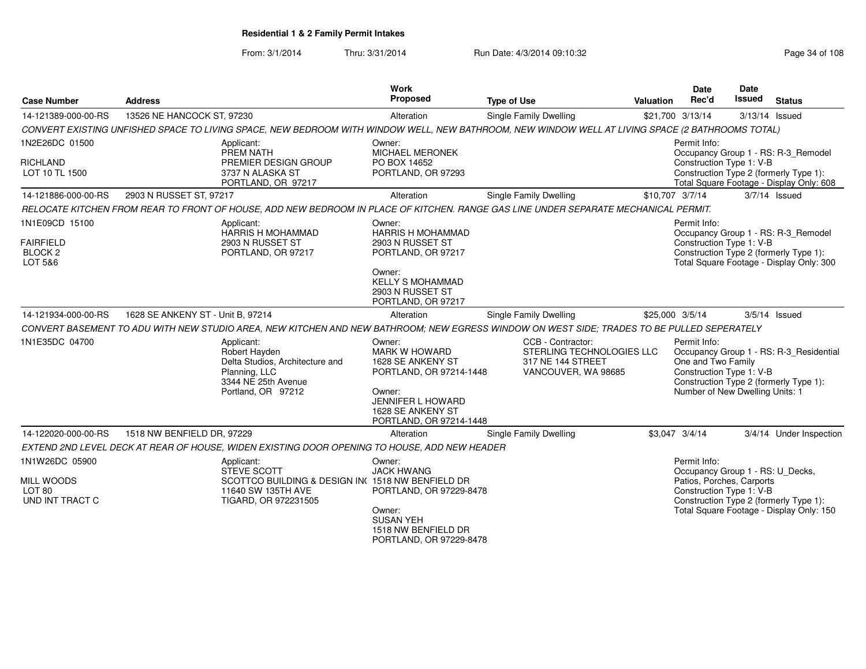From: 3/1/2014

Thru: 3/31/2014 Run Date: 4/3/2014 09:10:32 Research 2010 Rage 34 of 108

| <b>Case Number</b>                                                   | <b>Address</b>                                                                                                                                   | Work<br>Proposed                                                                                                                                                                           | <b>Type of Use</b>                                                                         | <b>Valuation</b> | Date<br>Rec'd                                                                                             | <b>Date</b><br>Issued | <b>Status</b>                                                                                                             |
|----------------------------------------------------------------------|--------------------------------------------------------------------------------------------------------------------------------------------------|--------------------------------------------------------------------------------------------------------------------------------------------------------------------------------------------|--------------------------------------------------------------------------------------------|------------------|-----------------------------------------------------------------------------------------------------------|-----------------------|---------------------------------------------------------------------------------------------------------------------------|
| 14-121389-000-00-RS                                                  | 13526 NE HANCOCK ST, 97230                                                                                                                       | Alteration                                                                                                                                                                                 | <b>Single Family Dwelling</b>                                                              |                  | \$21,700 3/13/14                                                                                          |                       | 3/13/14 Issued                                                                                                            |
|                                                                      | CONVERT EXISTING UNFISHED SPACE TO LIVING SPACE, NEW BEDROOM WITH WINDOW WELL, NEW BATHROOM, NEW WINDOW WELL AT LIVING SPACE (2 BATHROOMS TOTAL) |                                                                                                                                                                                            |                                                                                            |                  |                                                                                                           |                       |                                                                                                                           |
| 1N2E26DC 01500<br><b>RICHLAND</b><br>LOT 10 TL 1500                  | Applicant:<br>PREM NATH<br>PREMIER DESIGN GROUP<br>3737 N ALASKA ST                                                                              | Owner:<br><b>MICHAEL MERONEK</b><br>PO BOX 14652<br>PORTLAND, OR 97293                                                                                                                     |                                                                                            |                  | Permit Info:<br>Construction Type 1: V-B                                                                  |                       | Occupancy Group 1 - RS: R-3_Remodel<br>Construction Type 2 (formerly Type 1):                                             |
|                                                                      | PORTLAND, OR 97217                                                                                                                               |                                                                                                                                                                                            |                                                                                            |                  |                                                                                                           |                       | Total Square Footage - Display Only: 608                                                                                  |
| 14-121886-000-00-RS                                                  | 2903 N RUSSET ST, 97217                                                                                                                          | Alteration                                                                                                                                                                                 | Single Family Dwelling                                                                     | \$10,707 3/7/14  |                                                                                                           |                       | $3/7/14$ Issued                                                                                                           |
|                                                                      | RELOCATE KITCHEN FROM REAR TO FRONT OF HOUSE, ADD NEW BEDROOM IN PLACE OF KITCHEN. RANGE GAS LINE UNDER SEPARATE MECHANICAL PERMIT.              |                                                                                                                                                                                            |                                                                                            |                  |                                                                                                           |                       |                                                                                                                           |
| 1N1E09CD 15100<br><b>FAIRFIELD</b><br>BLOCK <sub>2</sub><br>LOT 5&6  | Applicant:<br><b>HARRIS H MOHAMMAD</b><br>2903 N RUSSET ST<br>PORTLAND, OR 97217                                                                 | Owner:<br><b>HARRIS H MOHAMMAD</b><br>2903 N RUSSET ST<br>PORTLAND, OR 97217                                                                                                               |                                                                                            |                  | Permit Info:<br>Construction Type 1: V-B                                                                  |                       | Occupancy Group 1 - RS: R-3_Remodel<br>Construction Type 2 (formerly Type 1):<br>Total Square Footage - Display Only: 300 |
|                                                                      |                                                                                                                                                  | Owner:<br><b>KELLY S MOHAMMAD</b><br>2903 N RUSSET ST<br>PORTLAND, OR 97217                                                                                                                |                                                                                            |                  |                                                                                                           |                       |                                                                                                                           |
| 14-121934-000-00-RS                                                  | 1628 SE ANKENY ST - Unit B, 97214                                                                                                                | Alteration                                                                                                                                                                                 | Single Family Dwelling                                                                     | \$25,000 3/5/14  |                                                                                                           |                       | $3/5/14$ Issued                                                                                                           |
|                                                                      | CONVERT BASEMENT TO ADU WITH NEW STUDIO AREA, NEW KITCHEN AND NEW BATHROOM; NEW EGRESS WINDOW ON WEST SIDE; TRADES TO BE PULLED SEPERATELY       |                                                                                                                                                                                            |                                                                                            |                  |                                                                                                           |                       |                                                                                                                           |
| 1N1E35DC 04700                                                       | Applicant:<br>Robert Hayden<br>Delta Studios, Architecture and<br>Planning, LLC<br>3344 NE 25th Avenue<br>Portland, OR 97212                     | Owner:<br><b>MARK W HOWARD</b><br>1628 SE ANKENY ST<br>PORTLAND, OR 97214-1448<br>Owner:<br><b>JENNIFER L HOWARD</b><br>1628 SE ANKENY ST<br>PORTLAND, OR 97214-1448                       | CCB - Contractor:<br>STERLING TECHNOLOGIES LLC<br>317 NE 144 STREET<br>VANCOUVER, WA 98685 |                  | Permit Info:<br>One and Two Family<br>Construction Type 1: V-B<br>Number of New Dwelling Units: 1         |                       | Occupancy Group 1 - RS: R-3_Residential<br>Construction Type 2 (formerly Type 1):                                         |
| 14-122020-000-00-RS                                                  | 1518 NW BENFIELD DR, 97229                                                                                                                       | Alteration                                                                                                                                                                                 | Single Family Dwelling                                                                     |                  | \$3,047 3/4/14                                                                                            |                       | 3/4/14 Under Inspection                                                                                                   |
|                                                                      | EXTEND 2ND LEVEL DECK AT REAR OF HOUSE, WIDEN EXISTING DOOR OPENING TO HOUSE, ADD NEW HEADER                                                     |                                                                                                                                                                                            |                                                                                            |                  |                                                                                                           |                       |                                                                                                                           |
| 1N1W26DC 05900<br>MILL WOODS<br>LOT <sub>80</sub><br>UND INT TRACT C | Applicant:<br><b>STEVE SCOTT</b><br>11640 SW 135TH AVE<br>TIGARD, OR 972231505                                                                   | Owner:<br><b>JACK HWANG</b><br>SCOTTCO BUILDING & DESIGN IN(1518 NW BENFIELD DR<br>PORTLAND, OR 97229-8478<br>Owner:<br><b>SUSAN YEH</b><br>1518 NW BENFIELD DR<br>PORTLAND, OR 97229-8478 |                                                                                            |                  | Permit Info:<br>Occupancy Group 1 - RS: U_Decks,<br>Patios, Porches, Carports<br>Construction Type 1: V-B |                       | Construction Type 2 (formerly Type 1):<br>Total Square Footage - Display Only: 150                                        |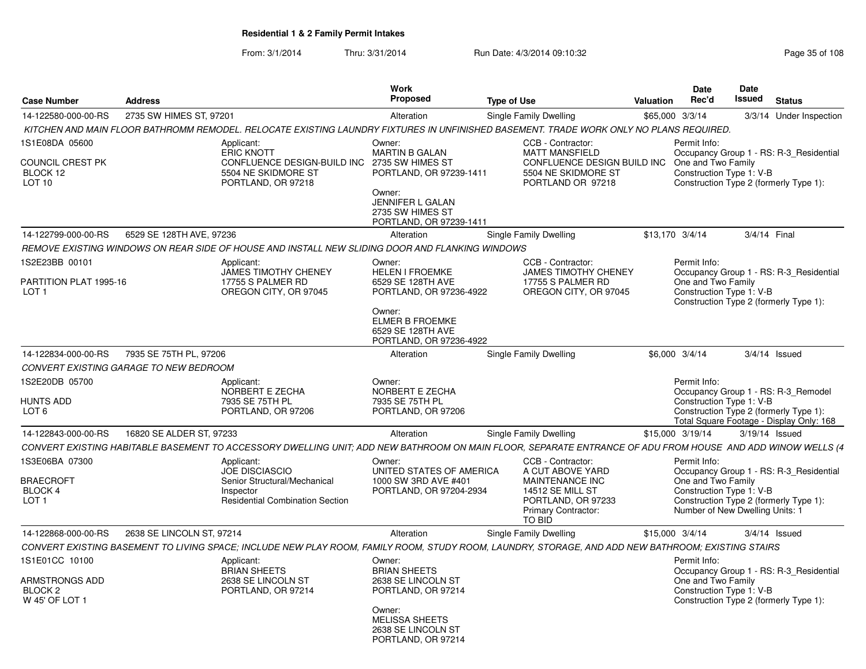| <b>Case Number</b>                         | <b>Address</b>                         |                                                                                                                                                            | Work<br><b>Proposed</b>                                                                                     | <b>Type of Use</b>                                                                      | <b>Valuation</b> | <b>Date</b><br>Rec'd                                                              | Date<br>Issued | <b>Status</b>                                                                      |
|--------------------------------------------|----------------------------------------|------------------------------------------------------------------------------------------------------------------------------------------------------------|-------------------------------------------------------------------------------------------------------------|-----------------------------------------------------------------------------------------|------------------|-----------------------------------------------------------------------------------|----------------|------------------------------------------------------------------------------------|
| 14-122580-000-00-RS                        | 2735 SW HIMES ST, 97201                |                                                                                                                                                            | Alteration                                                                                                  | <b>Single Family Dwelling</b>                                                           |                  | \$65,000 3/3/14                                                                   |                | 3/3/14 Under Inspection                                                            |
|                                            |                                        | KITCHEN AND MAIN FLOOR BATHROMM REMODEL. RELOCATE EXISTING LAUNDRY FIXTURES IN UNFINISHED BASEMENT. TRADE WORK ONLY NO PLANS REQUIRED.                     |                                                                                                             |                                                                                         |                  |                                                                                   |                |                                                                                    |
| IS1E08DA 05600<br>COUNCIL CREST PK         |                                        | Applicant:<br>ERIC KNOTT<br>CONFLUENCE DESIGN-BUILD INC                                                                                                    | Owner:<br><b>MARTIN B GALAN</b><br>2735 SW HIMES ST                                                         | CCB - Contractor:<br><b>MATT MANSFIELD</b><br>CONFLUENCE DESIGN BUILD INC               |                  | Permit Info:<br>One and Two Family                                                |                | Occupancy Group 1 - RS: R-3 Residential                                            |
| BLOCK 12<br>LOT <sub>10</sub>              |                                        | 5504 NE SKIDMORE ST<br>PORTLAND, OR 97218                                                                                                                  | PORTLAND, OR 97239-1411<br>Owner:<br><b>JENNIFER L GALAN</b><br>2735 SW HIMES ST<br>PORTLAND, OR 97239-1411 | 5504 NE SKIDMORE ST<br>PORTLAND OR 97218                                                |                  | Construction Type 1: V-B                                                          |                | Construction Type 2 (formerly Type 1):                                             |
| 14-122799-000-00-RS                        | 6529 SE 128TH AVE, 97236               |                                                                                                                                                            | Alteration                                                                                                  | Single Family Dwelling                                                                  |                  | \$13,170 3/4/14                                                                   |                | 3/4/14 Final                                                                       |
|                                            |                                        | REMOVE EXISTING WINDOWS ON REAR SIDE OF HOUSE AND INSTALL NEW SLIDING DOOR AND FLANKING WINDOWS                                                            |                                                                                                             |                                                                                         |                  |                                                                                   |                |                                                                                    |
| 1S2E23BB 00101                             |                                        | Applicant:                                                                                                                                                 | Owner:                                                                                                      | CCB - Contractor:                                                                       |                  | Permit Info:                                                                      |                |                                                                                    |
| PARTITION PLAT 1995-16<br>LOT <sub>1</sub> |                                        | JAMES TIMOTHY CHENEY<br>17755 S PALMER RD<br>OREGON CITY, OR 97045                                                                                         | <b>HELEN I FROEMKE</b><br>6529 SE 128TH AVE<br>PORTLAND, OR 97236-4922                                      | <b>JAMES TIMOTHY CHENEY</b><br>17755 S PALMER RD<br>OREGON CITY, OR 97045               |                  | One and Two Family<br>Construction Type 1: V-B                                    |                | Occupancy Group 1 - RS: R-3 Residential<br>Construction Type 2 (formerly Type 1):  |
|                                            |                                        |                                                                                                                                                            | Owner:<br><b>ELMER B FROEMKE</b><br>6529 SE 128TH AVE<br>PORTLAND, OR 97236-4922                            |                                                                                         |                  |                                                                                   |                |                                                                                    |
| 14-122834-000-00-RS                        | 7935 SE 75TH PL, 97206                 |                                                                                                                                                            | Alteration                                                                                                  | Single Family Dwelling                                                                  |                  | \$6,000 3/4/14                                                                    |                | $3/4/14$ Issued                                                                    |
|                                            | CONVERT EXISTING GARAGE TO NEW BEDROOM |                                                                                                                                                            |                                                                                                             |                                                                                         |                  |                                                                                   |                |                                                                                    |
| 1S2E20DB 05700<br>HUNTS ADD                |                                        | Applicant:<br>NORBERT E ZECHA<br>7935 SE 75TH PL                                                                                                           | Owner:<br>NORBERT E ZECHA<br>7935 SE 75TH PL                                                                |                                                                                         |                  | Permit Info:<br>Construction Type 1: V-B                                          |                | Occupancy Group 1 - RS: R-3 Remodel                                                |
| LOT <sub>6</sub>                           |                                        | PORTLAND, OR 97206                                                                                                                                         | PORTLAND, OR 97206                                                                                          |                                                                                         |                  |                                                                                   |                | Construction Type 2 (formerly Type 1):<br>Total Square Footage - Display Only: 168 |
| 14-122843-000-00-RS                        | 16820 SE ALDER ST, 97233               |                                                                                                                                                            | Alteration                                                                                                  | Single Family Dwelling                                                                  |                  | \$15,000 3/19/14                                                                  |                | 3/19/14 Issued                                                                     |
|                                            |                                        | CONVERT EXISTING HABITABLE BASEMENT TO ACCESSORY DWELLING UNIT; ADD NEW BATHROOM ON MAIN FLOOR, SEPARATE ENTRANCE OF ADU FROM HOUSE AND ADD WINOW WELLS (4 |                                                                                                             |                                                                                         |                  |                                                                                   |                |                                                                                    |
| IS3E06BA 07300                             |                                        | Applicant:<br><b>JOE DISCIASCIO</b>                                                                                                                        | Owner:<br>UNITED STATES OF AMERICA                                                                          | CCB - Contractor:<br>A CUT ABOVE YARD                                                   |                  | Permit Info:                                                                      |                | Occupancy Group 1 - RS: R-3_Residential                                            |
| BRAECROFT<br>BLOCK 4<br>LOT <sub>1</sub>   |                                        | Senior Structural/Mechanical<br>Inspector<br><b>Residential Combination Section</b>                                                                        | 1000 SW 3RD AVE #401<br>PORTLAND, OR 97204-2934                                                             | MAINTENANCE INC<br>14512 SE MILL ST<br>PORTLAND, OR 97233<br><b>Primary Contractor:</b> |                  | One and Two Family<br>Construction Type 1: V-B<br>Number of New Dwelling Units: 1 |                | Construction Type 2 (formerly Type 1):                                             |
| 14-122868-000-00-RS                        | 2638 SE LINCOLN ST, 97214              |                                                                                                                                                            | Alteration                                                                                                  | <b>TO BID</b>                                                                           |                  | \$15,000 3/4/14                                                                   |                | $3/4/14$ Issued                                                                    |
|                                            |                                        | CONVERT EXISTING BASEMENT TO LIVING SPACE; INCLUDE NEW PLAY ROOM, FAMILY ROOM, STUDY ROOM, LAUNDRY, STORAGE, AND ADD NEW BATHROOM; EXISTING STAIRS         |                                                                                                             | Single Family Dwelling                                                                  |                  |                                                                                   |                |                                                                                    |
| IS1E01CC 10100                             |                                        | Applicant:                                                                                                                                                 | Owner:                                                                                                      |                                                                                         |                  | Permit Info:                                                                      |                |                                                                                    |
| ARMSTRONGS ADD<br>BLOCK 2                  |                                        | <b>BRIAN SHEETS</b><br>2638 SE LINCOLN ST<br>PORTLAND, OR 97214                                                                                            | <b>BRIAN SHEETS</b><br>2638 SE LINCOLN ST<br>PORTLAND, OR 97214                                             |                                                                                         |                  | One and Two Family<br>Construction Type 1: V-B                                    |                | Occupancy Group 1 - RS: R-3 Residential                                            |
| W 45' OF LOT 1                             |                                        |                                                                                                                                                            | Owner:<br><b>MELISSA SHEETS</b><br>2638 SE LINCOLN ST<br>PORTLAND, OR 97214                                 |                                                                                         |                  |                                                                                   |                | Construction Type 2 (formerly Type 1):                                             |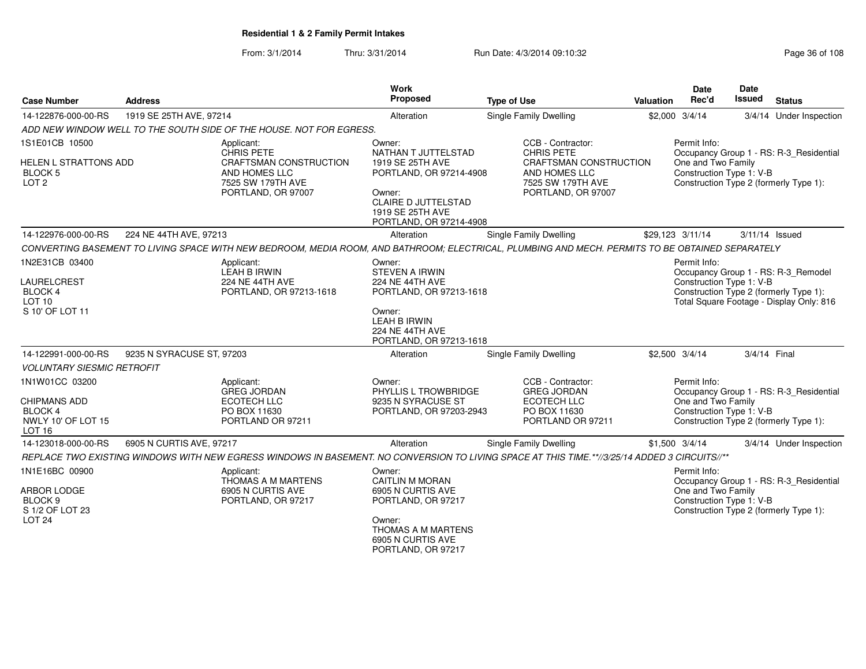| <b>Case Number</b>                                                     | <b>Address</b>            |                                                                                                                                                  | <b>Work</b><br>Proposed                                                                                                                                             | <b>Type of Use</b>                                                     | <b>Valuation</b>       | Date<br>Rec'd                                                                                                                                       | Date<br>Issued | <b>Status</b>                                                                      |
|------------------------------------------------------------------------|---------------------------|--------------------------------------------------------------------------------------------------------------------------------------------------|---------------------------------------------------------------------------------------------------------------------------------------------------------------------|------------------------------------------------------------------------|------------------------|-----------------------------------------------------------------------------------------------------------------------------------------------------|----------------|------------------------------------------------------------------------------------|
| 14-122876-000-00-RS                                                    | 1919 SE 25TH AVE, 97214   |                                                                                                                                                  | Alteration                                                                                                                                                          | Single Family Dwelling                                                 |                        | \$2,000 3/4/14                                                                                                                                      |                | 3/4/14 Under Inspection                                                            |
|                                                                        |                           | ADD NEW WINDOW WELL TO THE SOUTH SIDE OF THE HOUSE. NOT FOR EGRESS.                                                                              |                                                                                                                                                                     |                                                                        |                        |                                                                                                                                                     |                |                                                                                    |
| 1S1E01CB 10500<br>HELEN L STRATTONS ADD<br>BLOCK 5<br>LOT <sub>2</sub> |                           | Applicant:<br><b>CHRIS PETE</b><br>CRAFTSMAN CONSTRUCTION<br>AND HOMES LLC<br>7525 SW 179TH AVE<br>PORTLAND, OR 97007                            | Owner:<br>NATHAN T JUTTELSTAD<br>1919 SE 25TH AVE<br>PORTLAND, OR 97214-4908<br>Owner:<br><b>CLAIRE D JUTTELSTAD</b><br>1919 SE 25TH AVE<br>PORTLAND, OR 97214-4908 |                                                                        | CRAFTSMAN CONSTRUCTION | Permit Info:<br>Occupancy Group 1 - RS: R-3_Residential<br>One and Two Family<br>Construction Type 1: V-B<br>Construction Type 2 (formerly Type 1): |                |                                                                                    |
| 14-122976-000-00-RS                                                    | 224 NE 44TH AVE, 97213    |                                                                                                                                                  | Alteration                                                                                                                                                          | <b>Single Family Dwelling</b>                                          |                        | \$29,123 3/11/14                                                                                                                                    | 3/11/14 Issued |                                                                                    |
|                                                                        |                           | CONVERTING BASEMENT TO LIVING SPACE WITH NEW BEDROOM, MEDIA ROOM, AND BATHROOM; ELECTRICAL, PLUMBING AND MECH. PERMITS TO BE OBTAINED SEPARATELY |                                                                                                                                                                     |                                                                        |                        |                                                                                                                                                     |                |                                                                                    |
| 1N2E31CB 03400                                                         |                           | Applicant:<br><b>LEAH B IRWIN</b>                                                                                                                | Owner:<br><b>STEVEN A IRWIN</b>                                                                                                                                     |                                                                        |                        | Permit Info:                                                                                                                                        |                | Occupancy Group 1 - RS: R-3_Remodel                                                |
| LAURELCREST<br><b>BLOCK 4</b><br>LOT <sub>10</sub>                     |                           | <b>224 NE 44TH AVE</b><br>PORTLAND, OR 97213-1618                                                                                                | <b>224 NE 44TH AVE</b><br>PORTLAND, OR 97213-1618                                                                                                                   |                                                                        |                        | Construction Type 1: V-B                                                                                                                            |                | Construction Type 2 (formerly Type 1):<br>Total Square Footage - Display Only: 816 |
| S 10' OF LOT 11                                                        |                           |                                                                                                                                                  | Owner:<br><b>LEAH B IRWIN</b><br>224 NE 44TH AVE<br>PORTLAND, OR 97213-1618                                                                                         |                                                                        |                        |                                                                                                                                                     |                |                                                                                    |
| 14-122991-000-00-RS                                                    | 9235 N SYRACUSE ST, 97203 |                                                                                                                                                  | Alteration                                                                                                                                                          | Single Family Dwelling                                                 |                        | \$2,500 3/4/14                                                                                                                                      | 3/4/14 Final   |                                                                                    |
| <b>VOLUNTARY SIESMIC RETROFIT</b>                                      |                           |                                                                                                                                                  |                                                                                                                                                                     |                                                                        |                        |                                                                                                                                                     |                |                                                                                    |
| 1N1W01CC 03200<br><b>CHIPMANS ADD</b><br>BLOCK 4                       |                           | Applicant:<br><b>GREG JORDAN</b><br><b>ECOTECH LLC</b><br>PO BOX 11630                                                                           | Owner:<br>PHYLLIS L TROWBRIDGE<br>9235 N SYRACUSE ST<br>PORTLAND, OR 97203-2943                                                                                     | CCB - Contractor:<br><b>GREG JORDAN</b><br>ECOTECH LLC<br>PO BOX 11630 |                        | Permit Info:<br>One and Two Family<br>Construction Type 1: V-B                                                                                      |                | Occupancy Group 1 - RS: R-3 Residential                                            |
| NWLY 10' OF LOT 15<br><b>LOT 16</b>                                    | PORTLAND OR 97211         |                                                                                                                                                  |                                                                                                                                                                     | Construction Type 2 (formerly Type 1):                                 |                        |                                                                                                                                                     |                |                                                                                    |
| 14-123018-000-00-RS                                                    | 6905 N CURTIS AVE, 97217  |                                                                                                                                                  | Alteration                                                                                                                                                          | Single Family Dwelling                                                 |                        | $$1,500$ 3/4/14                                                                                                                                     |                | 3/4/14 Under Inspection                                                            |
|                                                                        |                           | REPLACE TWO EXISTING WINDOWS WITH NEW EGRESS WINDOWS IN BASEMENT. NO CONVERSION TO LIVING SPACE AT THIS TIME.**//3/25/14 ADDED 3 CIRCUITS//**    |                                                                                                                                                                     |                                                                        |                        |                                                                                                                                                     |                |                                                                                    |
| 1N1E16BC 00900                                                         |                           | Applicant:<br>THOMAS A M MARTENS                                                                                                                 | Owner:<br><b>CAITLIN M MORAN</b>                                                                                                                                    |                                                                        |                        | Permit Info:                                                                                                                                        |                | Occupancy Group 1 - RS: R-3_Residential                                            |
| ARBOR LODGE<br>BLOCK <sub>9</sub><br>S 1/2 OF LOT 23<br><b>LOT 24</b>  |                           | 6905 N CURTIS AVE<br>PORTLAND, OR 97217                                                                                                          | 6905 N CURTIS AVE<br>PORTLAND, OR 97217<br>Owner:<br>THOMAS A M MARTENS<br>6905 N CURTIS AVE                                                                        |                                                                        |                        | One and Two Family<br>Construction Type 1: V-B                                                                                                      |                | Construction Type 2 (formerly Type 1):                                             |
|                                                                        |                           |                                                                                                                                                  | PORTLAND, OR 97217                                                                                                                                                  |                                                                        |                        |                                                                                                                                                     |                |                                                                                    |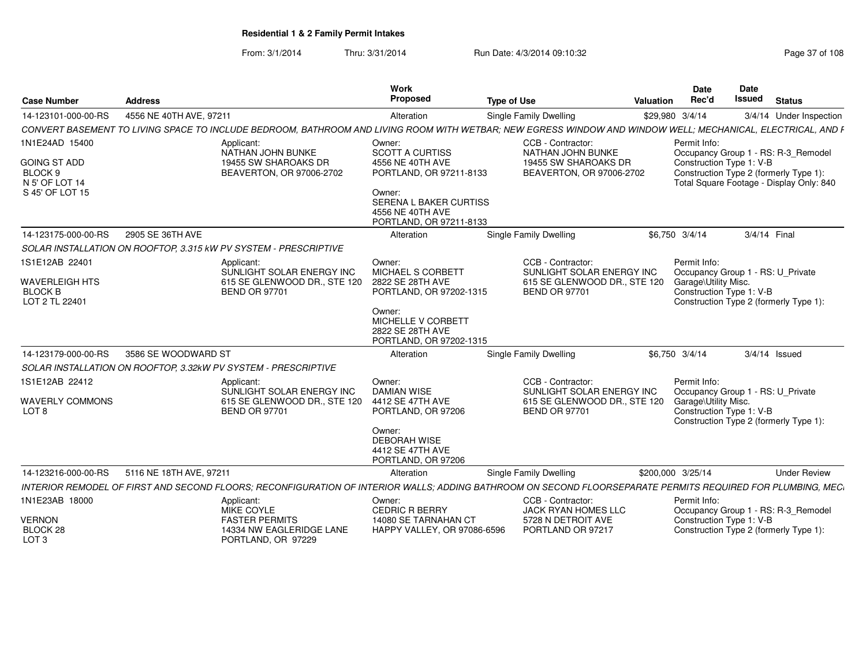From: 3/1/2014Thru: 3/31/2014 Run Date: 4/3/2014 09:10:32 Research 2010 Rage 37 of 108

| <b>Case Number</b>                                          | <b>Address</b>          |                                                                                                                                                             | <b>Work</b><br>Proposed                                                                         | <b>Type of Use</b>                                   | <b>Valuation</b> | <b>Date</b><br>Rec'd                                | Date<br><b>Issued</b> | <b>Status</b>                                                                      |  |  |
|-------------------------------------------------------------|-------------------------|-------------------------------------------------------------------------------------------------------------------------------------------------------------|-------------------------------------------------------------------------------------------------|------------------------------------------------------|------------------|-----------------------------------------------------|-----------------------|------------------------------------------------------------------------------------|--|--|
| 14-123101-000-00-RS                                         | 4556 NE 40TH AVE, 97211 |                                                                                                                                                             | Alteration                                                                                      | Single Family Dwelling                               |                  | \$29,980 3/4/14                                     |                       | 3/4/14 Under Inspection                                                            |  |  |
|                                                             |                         | CONVERT BASEMENT TO LIVING SPACE TO INCLUDE BEDROOM, BATHROOM AND LIVING ROOM WITH WETBAR; NEW EGRESS WINDOW AND WINDOW WELL; MECHANICAL, ELECTRICAL, AND F |                                                                                                 |                                                      |                  |                                                     |                       |                                                                                    |  |  |
| 1N1E24AD 15400                                              |                         | Applicant:<br>NATHAN JOHN BUNKE                                                                                                                             | Owner:<br><b>SCOTT A CURTISS</b>                                                                | CCB - Contractor:<br>NATHAN JOHN BUNKE               |                  | Permit Info:<br>Occupancy Group 1 - RS: R-3_Remodel |                       |                                                                                    |  |  |
| <b>GOING ST ADD</b><br>BLOCK <sub>9</sub><br>N 5' OF LOT 14 |                         | 19455 SW SHAROAKS DR<br>BEAVERTON, OR 97006-2702                                                                                                            | 4556 NE 40TH AVE<br>19455 SW SHAROAKS DR<br>PORTLAND, OR 97211-8133<br>BEAVERTON, OR 97006-2702 |                                                      |                  | Construction Type 1: V-B                            |                       | Construction Type 2 (formerly Type 1):<br>Total Square Footage - Display Only: 840 |  |  |
| S 45' OF LOT 15                                             |                         |                                                                                                                                                             | Owner:<br>SERENA L BAKER CURTISS<br>4556 NE 40TH AVE<br>PORTLAND, OR 97211-8133                 |                                                      |                  |                                                     |                       |                                                                                    |  |  |
| 14-123175-000-00-RS                                         | 2905 SE 36TH AVE        |                                                                                                                                                             | Alteration                                                                                      | Single Family Dwelling                               |                  | \$6,750 3/4/14                                      |                       | 3/4/14 Final                                                                       |  |  |
|                                                             |                         | SOLAR INSTALLATION ON ROOFTOP, 3.315 kW PV SYSTEM - PRESCRIPTIVE                                                                                            |                                                                                                 |                                                      |                  |                                                     |                       |                                                                                    |  |  |
| 1S1E12AB 22401                                              |                         | Applicant:<br>SUNLIGHT SOLAR ENERGY INC                                                                                                                     | Owner:<br><b>MICHAEL S CORBETT</b>                                                              | CCB - Contractor:<br>SUNLIGHT SOLAR ENERGY INC       |                  | Permit Info:<br>Occupancy Group 1 - RS: U_Private   |                       |                                                                                    |  |  |
| <b>WAVERLEIGH HTS</b><br><b>BLOCK B</b><br>LOT 2 TL 22401   |                         | 615 SE GLENWOOD DR., STE 120<br><b>BEND OR 97701</b>                                                                                                        | 2822 SE 28TH AVE<br>PORTLAND, OR 97202-1315                                                     | 615 SE GLENWOOD DR., STE 120<br><b>BEND OR 97701</b> |                  | Garage\Utility Misc.<br>Construction Type 1: V-B    |                       | Construction Type 2 (formerly Type 1):                                             |  |  |
|                                                             |                         |                                                                                                                                                             | Owner:<br>MICHELLE V CORBETT<br>2822 SE 28TH AVE<br>PORTLAND, OR 97202-1315                     |                                                      |                  |                                                     |                       |                                                                                    |  |  |
| 14-123179-000-00-RS                                         | 3586 SE WOODWARD ST     |                                                                                                                                                             | Alteration                                                                                      | Single Family Dwelling                               |                  | \$6,750 3/4/14                                      |                       | $3/4/14$ Issued                                                                    |  |  |
|                                                             |                         | SOLAR INSTALLATION ON ROOFTOP, 3.32kW PV SYSTEM - PRESCRIPTIVE                                                                                              |                                                                                                 |                                                      |                  |                                                     |                       |                                                                                    |  |  |
| 1S1E12AB 22412                                              |                         | Applicant:<br>SUNLIGHT SOLAR ENERGY INC                                                                                                                     | Owner:<br><b>DAMIAN WISE</b>                                                                    | CCB - Contractor:<br>SUNLIGHT SOLAR ENERGY INC       |                  | Permit Info:<br>Occupancy Group 1 - RS: U Private   |                       |                                                                                    |  |  |
| <b>WAVERLY COMMONS</b><br>LOT <sub>8</sub>                  |                         | 615 SE GLENWOOD DR., STE 120<br><b>BEND OR 97701</b>                                                                                                        | 4412 SE 47TH AVE<br>PORTLAND, OR 97206                                                          | 615 SE GLENWOOD DR., STE 120<br><b>BEND OR 97701</b> |                  | Garage\Utility Misc.<br>Construction Type 1: V-B    |                       | Construction Type 2 (formerly Type 1):                                             |  |  |
|                                                             |                         |                                                                                                                                                             | Owner:<br><b>DEBORAH WISE</b><br>4412 SE 47TH AVE<br>PORTLAND, OR 97206                         |                                                      |                  |                                                     |                       |                                                                                    |  |  |
| 14-123216-000-00-RS                                         | 5116 NE 18TH AVE, 97211 |                                                                                                                                                             | Alteration                                                                                      | Single Family Dwelling                               |                  | \$200,000 3/25/14                                   |                       | <b>Under Review</b>                                                                |  |  |
|                                                             |                         | INTERIOR REMODEL OF FIRST AND SECOND FLOORS; RECONFIGURATION OF INTERIOR WALLS; ADDING BATHROOM ON SECOND FLOORSEPARATE PERMITS REQUIRED FOR PLUMBING, MEC. |                                                                                                 |                                                      |                  |                                                     |                       |                                                                                    |  |  |
| 1N1E23AB 18000                                              |                         | Applicant:<br>MIKE COYLE                                                                                                                                    | Owner:<br><b>CEDRIC R BERRY</b>                                                                 | CCB - Contractor:<br><b>JACK RYAN HOMES LLC</b>      |                  | Permit Info:                                        |                       | Occupancy Group 1 - RS: R-3_Remodel                                                |  |  |
| <b>VERNON</b><br>BLOCK 28<br>LOT <sub>3</sub>               |                         | <b>FASTER PERMITS</b><br>14334 NW EAGLERIDGE LANE<br>PORTLAND, OR 97229                                                                                     | 14080 SE TARNAHAN CT<br>HAPPY VALLEY, OR 97086-6596                                             | 5728 N DETROIT AVE<br>PORTLAND OR 97217              |                  | Construction Type 1: V-B                            |                       | Construction Type 2 (formerly Type 1):                                             |  |  |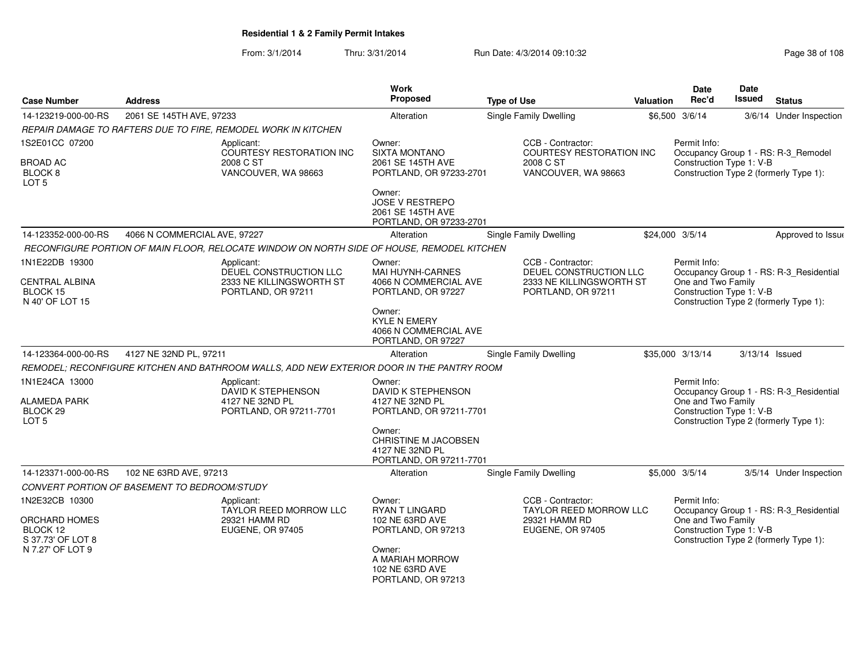From: 3/1/2014Thru: 3/31/2014 Run Date: 4/3/2014 09:10:32 Research 2010 Rage 38 of 108

| <b>Case Number</b>                                        | <b>Address</b>                                                |                                                                                            | <b>Work</b><br>Proposed                                                          | <b>Type of Use</b> |                                                      | Valuation | <b>Date</b><br>Rec'd                           | <b>Date</b><br><b>Issued</b> | <b>Status</b>                           |
|-----------------------------------------------------------|---------------------------------------------------------------|--------------------------------------------------------------------------------------------|----------------------------------------------------------------------------------|--------------------|------------------------------------------------------|-----------|------------------------------------------------|------------------------------|-----------------------------------------|
| 14-123219-000-00-RS                                       | 2061 SE 145TH AVE, 97233                                      |                                                                                            | Alteration                                                                       |                    | Single Family Dwelling                               |           | \$6,500 3/6/14                                 |                              | 3/6/14 Under Inspection                 |
|                                                           | REPAIR DAMAGE TO RAFTERS DUE TO FIRE, REMODEL WORK IN KITCHEN |                                                                                            |                                                                                  |                    |                                                      |           |                                                |                              |                                         |
| 1S2E01CC 07200                                            |                                                               | Applicant:<br><b>COURTESY RESTORATION INC</b>                                              | Owner:<br><b>SIXTA MONTANO</b>                                                   |                    | CCB - Contractor:<br><b>COURTESY RESTORATION INC</b> |           | Permit Info:                                   |                              | Occupancy Group 1 - RS: R-3_Remodel     |
| <b>BROAD AC</b><br>BLOCK <sub>8</sub><br>LOT <sub>5</sub> |                                                               | 2008 C ST<br>VANCOUVER, WA 98663                                                           | 2061 SE 145TH AVE<br>PORTLAND, OR 97233-2701                                     |                    | 2008 C ST<br>VANCOUVER, WA 98663                     |           | Construction Type 1: V-B                       |                              | Construction Type 2 (formerly Type 1):  |
|                                                           |                                                               |                                                                                            | Owner:<br><b>JOSE V RESTREPO</b><br>2061 SE 145TH AVE<br>PORTLAND, OR 97233-2701 |                    |                                                      |           |                                                |                              |                                         |
| 14-123352-000-00-RS                                       | 4066 N COMMERCIAL AVE, 97227                                  |                                                                                            | Alteration                                                                       |                    | Single Family Dwelling                               |           | \$24,000 3/5/14                                |                              | Approved to Issue                       |
|                                                           |                                                               | RECONFIGURE PORTION OF MAIN FLOOR, RELOCATE WINDOW ON NORTH SIDE OF HOUSE, REMODEL KITCHEN |                                                                                  |                    |                                                      |           |                                                |                              |                                         |
| 1N1E22DB 19300                                            |                                                               | Applicant:<br>DEUEL CONSTRUCTION LLC                                                       | Owner:<br>MAI HUYNH-CARNES                                                       |                    | CCB - Contractor:<br>DEUEL CONSTRUCTION LLC          |           | Permit Info:                                   |                              | Occupancy Group 1 - RS: R-3_Residential |
| <b>CENTRAL ALBINA</b><br>BLOCK 15<br>N 40' OF LOT 15      |                                                               | 2333 NE KILLINGSWORTH ST<br>PORTLAND, OR 97211                                             | 4066 N COMMERCIAL AVE<br>PORTLAND, OR 97227                                      |                    | 2333 NE KILLINGSWORTH ST<br>PORTLAND, OR 97211       |           | One and Two Family<br>Construction Type 1: V-B |                              | Construction Type 2 (formerly Type 1):  |
|                                                           |                                                               |                                                                                            | Owner:<br><b>KYLE N EMERY</b><br>4066 N COMMERCIAL AVE<br>PORTLAND, OR 97227     |                    |                                                      |           |                                                |                              |                                         |
| 14-123364-000-00-RS                                       | 4127 NE 32ND PL, 97211                                        |                                                                                            | Alteration                                                                       |                    | Single Family Dwelling                               |           | \$35,000 3/13/14                               |                              | $3/13/14$ Issued                        |
|                                                           |                                                               | REMODEL; RECONFIGURE KITCHEN AND BATHROOM WALLS, ADD NEW EXTERIOR DOOR IN THE PANTRY ROOM  |                                                                                  |                    |                                                      |           |                                                |                              |                                         |
| 1N1E24CA 13000                                            |                                                               | Applicant:<br>DAVID K STEPHENSON                                                           | Owner:<br>DAVID K STEPHENSON                                                     |                    |                                                      |           | Permit Info:                                   |                              | Occupancy Group 1 - RS: R-3_Residential |
| ALAMEDA PARK<br>BLOCK <sub>29</sub><br>LOT <sub>5</sub>   |                                                               | 4127 NE 32ND PL<br>PORTLAND, OR 97211-7701                                                 | 4127 NE 32ND PL<br>PORTLAND, OR 97211-7701                                       |                    |                                                      |           | One and Two Family<br>Construction Type 1: V-B |                              | Construction Type 2 (formerly Type 1):  |
|                                                           |                                                               |                                                                                            | Owner:<br>CHRISTINE M JACOBSEN<br>4127 NE 32ND PL<br>PORTLAND, OR 97211-7701     |                    |                                                      |           |                                                |                              |                                         |
| 14-123371-000-00-RS                                       | 102 NE 63RD AVE, 97213                                        |                                                                                            | Alteration                                                                       |                    | Single Family Dwelling                               |           | \$5,000 3/5/14                                 |                              | 3/5/14 Under Inspection                 |
|                                                           | CONVERT PORTION OF BASEMENT TO BEDROOM/STUDY                  |                                                                                            |                                                                                  |                    |                                                      |           |                                                |                              |                                         |
| 1N2E32CB 10300                                            |                                                               | Applicant:<br><b>TAYLOR REED MORROW LLC</b>                                                | Owner:<br><b>RYAN T LINGARD</b>                                                  |                    | CCB - Contractor:<br><b>TAYLOR REED MORROW LLC</b>   |           | Permit Info:                                   |                              | Occupancy Group 1 - RS: R-3_Residential |
| ORCHARD HOMES<br>BLOCK 12<br>S 37.73' OF LOT 8            |                                                               | 29321 HAMM RD<br><b>EUGENE, OR 97405</b>                                                   |                                                                                  |                    | 29321 HAMM RD<br>EUGENE, OR 97405                    |           | One and Two Family<br>Construction Type 1: V-B |                              | Construction Type 2 (formerly Type 1):  |
| N 7.27' OF LOT 9                                          |                                                               |                                                                                            | Owner:<br>A MARIAH MORROW<br>102 NE 63RD AVE<br>PORTLAND, OR 97213               |                    |                                                      |           |                                                |                              |                                         |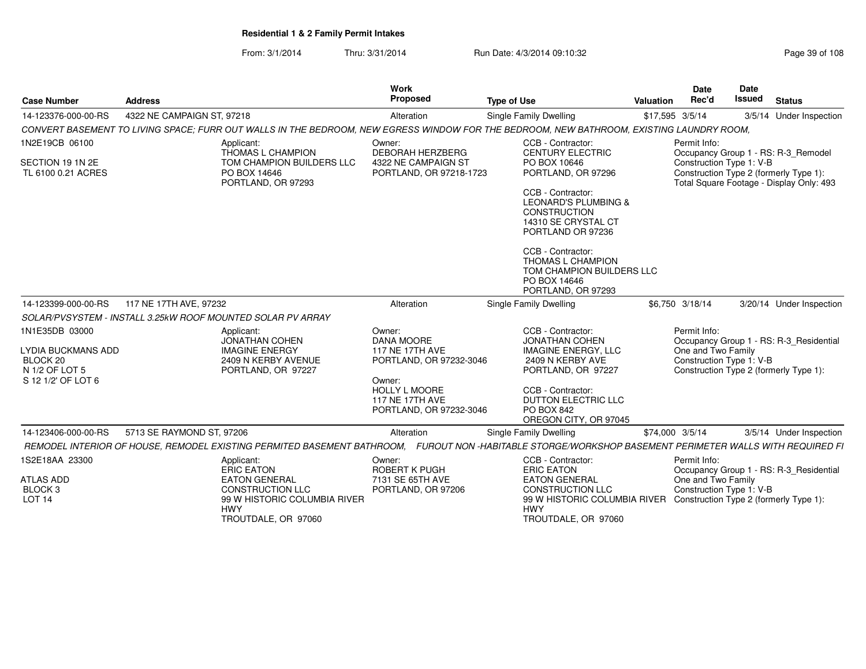From: 3/1/2014Thru: 3/31/2014 Run Date: 4/3/2014 09:10:32 Research 2010 Rage 39 of 108

| Proposed<br><b>Issued</b><br>Rec'd<br><b>Status</b><br><b>Type of Use</b><br><b>Case Number</b><br><b>Address</b><br>Valuation<br>4322 NE CAMPAIGN ST, 97218<br><b>Single Family Dwelling</b><br>\$17,595 3/5/14<br>14-123376-000-00-RS<br>Alteration<br>CONVERT BASEMENT TO LIVING SPACE; FURR OUT WALLS IN THE BEDROOM, NEW EGRESS WINDOW FOR THE BEDROOM, NEW BATHROOM, EXISTING LAUNDRY ROOM,<br>1N2E19CB 06100<br>CCB - Contractor:<br>Permit Info:<br>Applicant:<br>Owner:<br><b>DEBORAH HERZBERG</b><br><b>CENTURY ELECTRIC</b><br>THOMAS L CHAMPION<br>Occupancy Group 1 - RS: R-3_Remodel<br>TOM CHAMPION BUILDERS LLC<br>4322 NE CAMPAIGN ST<br>PO BOX 10646<br>Construction Type 1: V-B<br>SECTION 19 1N 2E<br>PO BOX 14646<br>PORTLAND, OR 97296<br>Construction Type 2 (formerly Type 1):<br>TL 6100 0.21 ACRES<br>PORTLAND, OR 97218-1723<br>PORTLAND, OR 97293<br>Total Square Footage - Display Only: 493<br>CCB - Contractor:<br><b>LEONARD'S PLUMBING &amp;</b><br><b>CONSTRUCTION</b><br>14310 SE CRYSTAL CT<br>PORTLAND OR 97236<br>CCB - Contractor:<br><b>THOMAS L CHAMPION</b><br>TOM CHAMPION BUILDERS LLC<br>PO BOX 14646<br>PORTLAND, OR 97293<br>117 NE 17TH AVE, 97232<br>14-123399-000-00-RS<br>Alteration<br>Single Family Dwelling<br>\$6.750 3/18/14<br>SOLAR/PVSYSTEM - INSTALL 3.25kW ROOF MOUNTED SOLAR PV ARRAY<br>1N1E35DB 03000<br>CCB - Contractor:<br>Permit Info:<br>Applicant:<br>Owner:<br><b>JONATHAN COHEN</b><br>DANA MOORE<br><b>JONATHAN COHEN</b><br><b>117 NE 17TH AVE</b><br>One and Two Family<br><b>LYDIA BUCKMANS ADD</b><br><b>IMAGINE ENERGY</b><br><b>IMAGINE ENERGY, LLC</b><br>2409 N KERBY AVE<br>BLOCK 20<br>2409 N KERBY AVENUE<br>Construction Type 1: V-B<br>PORTLAND, OR 97232-3046<br>N 1/2 OF LOT 5<br>Construction Type 2 (formerly Type 1):<br>PORTLAND, OR 97227<br>PORTLAND, OR 97227<br>S 12 1/2' OF LOT 6<br>Owner:<br><b>HOLLY L MOORE</b><br>CCB - Contractor:<br><b>117 NE 17TH AVE</b><br><b>DUTTON ELECTRIC LLC</b><br>PO BOX 842<br>PORTLAND, OR 97232-3046<br>OREGON CITY, OR 97045<br>14-123406-000-00-RS<br>5713 SE RAYMOND ST, 97206<br>\$74,000 3/5/14<br>Alteration<br>Single Family Dwelling<br>1S2E18AA 23300<br>CCB - Contractor:<br>Permit Info:<br>Applicant:<br>Owner:<br><b>ROBERT K PUGH</b><br><b>ERIC EATON</b><br><b>ERIC EATON</b> |  | Work |  | <b>Date</b> | Date |  |
|-------------------------------------------------------------------------------------------------------------------------------------------------------------------------------------------------------------------------------------------------------------------------------------------------------------------------------------------------------------------------------------------------------------------------------------------------------------------------------------------------------------------------------------------------------------------------------------------------------------------------------------------------------------------------------------------------------------------------------------------------------------------------------------------------------------------------------------------------------------------------------------------------------------------------------------------------------------------------------------------------------------------------------------------------------------------------------------------------------------------------------------------------------------------------------------------------------------------------------------------------------------------------------------------------------------------------------------------------------------------------------------------------------------------------------------------------------------------------------------------------------------------------------------------------------------------------------------------------------------------------------------------------------------------------------------------------------------------------------------------------------------------------------------------------------------------------------------------------------------------------------------------------------------------------------------------------------------------------------------------------------------------------------------------------------------------------------------------------------------------------------------------------------------------------------------------------------------------------------------------------------------------------------------------------------------------------------------|--|------|--|-------------|------|--|
| 3/5/14 Under Inspection                                                                                                                                                                                                                                                                                                                                                                                                                                                                                                                                                                                                                                                                                                                                                                                                                                                                                                                                                                                                                                                                                                                                                                                                                                                                                                                                                                                                                                                                                                                                                                                                                                                                                                                                                                                                                                                                                                                                                                                                                                                                                                                                                                                                                                                                                                             |  |      |  |             |      |  |
| 3/20/14 Under Inspection<br>Occupancy Group 1 - RS: R-3_Residential<br>Occupancy Group 1 - RS: R-3 Residential                                                                                                                                                                                                                                                                                                                                                                                                                                                                                                                                                                                                                                                                                                                                                                                                                                                                                                                                                                                                                                                                                                                                                                                                                                                                                                                                                                                                                                                                                                                                                                                                                                                                                                                                                                                                                                                                                                                                                                                                                                                                                                                                                                                                                      |  |      |  |             |      |  |
| 3/5/14 Under Inspection                                                                                                                                                                                                                                                                                                                                                                                                                                                                                                                                                                                                                                                                                                                                                                                                                                                                                                                                                                                                                                                                                                                                                                                                                                                                                                                                                                                                                                                                                                                                                                                                                                                                                                                                                                                                                                                                                                                                                                                                                                                                                                                                                                                                                                                                                                             |  |      |  |             |      |  |
| REMODEL INTERIOR OF HOUSE, REMODEL EXISTING PERMITED BASEMENT BATHROOM, FUROUT NON -HABITABLE STORGE/WORKSHOP BASEMENT PERIMETER WALLS WITH REQUIRED FI                                                                                                                                                                                                                                                                                                                                                                                                                                                                                                                                                                                                                                                                                                                                                                                                                                                                                                                                                                                                                                                                                                                                                                                                                                                                                                                                                                                                                                                                                                                                                                                                                                                                                                                                                                                                                                                                                                                                                                                                                                                                                                                                                                             |  |      |  |             |      |  |
|                                                                                                                                                                                                                                                                                                                                                                                                                                                                                                                                                                                                                                                                                                                                                                                                                                                                                                                                                                                                                                                                                                                                                                                                                                                                                                                                                                                                                                                                                                                                                                                                                                                                                                                                                                                                                                                                                                                                                                                                                                                                                                                                                                                                                                                                                                                                     |  |      |  |             |      |  |
|                                                                                                                                                                                                                                                                                                                                                                                                                                                                                                                                                                                                                                                                                                                                                                                                                                                                                                                                                                                                                                                                                                                                                                                                                                                                                                                                                                                                                                                                                                                                                                                                                                                                                                                                                                                                                                                                                                                                                                                                                                                                                                                                                                                                                                                                                                                                     |  |      |  |             |      |  |
|                                                                                                                                                                                                                                                                                                                                                                                                                                                                                                                                                                                                                                                                                                                                                                                                                                                                                                                                                                                                                                                                                                                                                                                                                                                                                                                                                                                                                                                                                                                                                                                                                                                                                                                                                                                                                                                                                                                                                                                                                                                                                                                                                                                                                                                                                                                                     |  |      |  |             |      |  |
|                                                                                                                                                                                                                                                                                                                                                                                                                                                                                                                                                                                                                                                                                                                                                                                                                                                                                                                                                                                                                                                                                                                                                                                                                                                                                                                                                                                                                                                                                                                                                                                                                                                                                                                                                                                                                                                                                                                                                                                                                                                                                                                                                                                                                                                                                                                                     |  |      |  |             |      |  |
|                                                                                                                                                                                                                                                                                                                                                                                                                                                                                                                                                                                                                                                                                                                                                                                                                                                                                                                                                                                                                                                                                                                                                                                                                                                                                                                                                                                                                                                                                                                                                                                                                                                                                                                                                                                                                                                                                                                                                                                                                                                                                                                                                                                                                                                                                                                                     |  |      |  |             |      |  |
|                                                                                                                                                                                                                                                                                                                                                                                                                                                                                                                                                                                                                                                                                                                                                                                                                                                                                                                                                                                                                                                                                                                                                                                                                                                                                                                                                                                                                                                                                                                                                                                                                                                                                                                                                                                                                                                                                                                                                                                                                                                                                                                                                                                                                                                                                                                                     |  |      |  |             |      |  |
| One and Two Family<br><b>ATLAS ADD</b><br><b>EATON GENERAL</b><br>7131 SE 65TH AVE<br><b>EATON GENERAL</b><br>BLOCK 3<br><b>CONSTRUCTION LLC</b><br><b>CONSTRUCTION LLC</b><br>Construction Type 1: V-B<br>PORTLAND, OR 97206<br><b>LOT 14</b><br>99 W HISTORIC COLUMBIA RIVER<br>99 W HISTORIC COLUMBIA RIVER<br>Construction Type 2 (formerly Type 1):<br><b>HWY</b><br><b>HWY</b>                                                                                                                                                                                                                                                                                                                                                                                                                                                                                                                                                                                                                                                                                                                                                                                                                                                                                                                                                                                                                                                                                                                                                                                                                                                                                                                                                                                                                                                                                                                                                                                                                                                                                                                                                                                                                                                                                                                                                |  |      |  |             |      |  |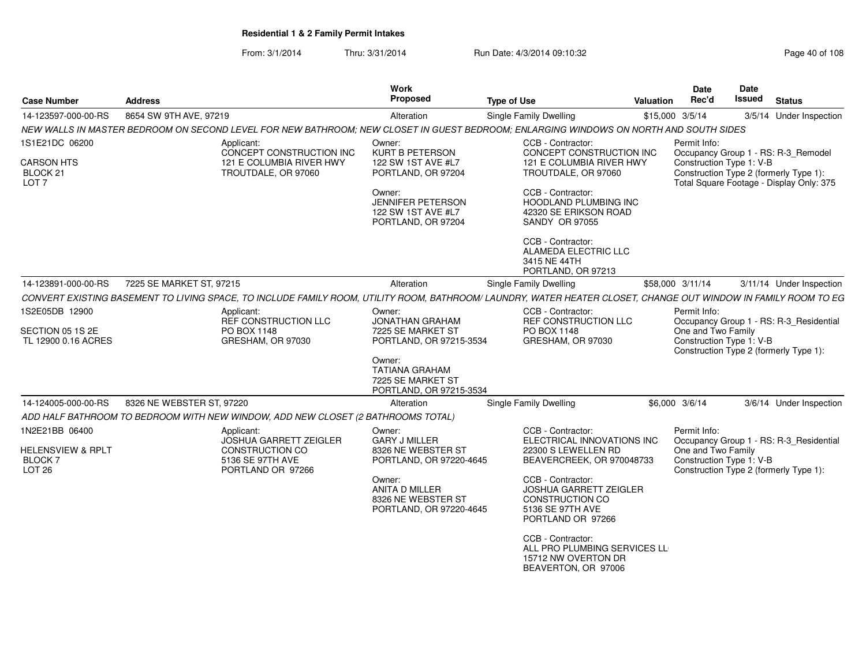From: 3/1/2014Thru: 3/31/2014 Run Date: 4/3/2014 09:10:32 Research 2010 Rage 40 of 108

| <b>Case Number</b>                                                 | <b>Address</b>            |                                                                                                                                                                 | <b>Work</b><br>Proposed                                                         | <b>Type of Use</b>                                                                                             | Valuation | Date<br>Rec'd                                  | Date<br>Issued                         | <b>Status</b>                                                                      |
|--------------------------------------------------------------------|---------------------------|-----------------------------------------------------------------------------------------------------------------------------------------------------------------|---------------------------------------------------------------------------------|----------------------------------------------------------------------------------------------------------------|-----------|------------------------------------------------|----------------------------------------|------------------------------------------------------------------------------------|
| 14-123597-000-00-RS                                                | 8654 SW 9TH AVE, 97219    |                                                                                                                                                                 | Alteration                                                                      | Single Family Dwelling                                                                                         |           | \$15,000 3/5/14                                |                                        | 3/5/14 Under Inspection                                                            |
|                                                                    |                           | NEW WALLS IN MASTER BEDROOM ON SECOND LEVEL FOR NEW BATHROOM; NEW CLOSET IN GUEST BEDROOM; ENLARGING WINDOWS ON NORTH AND SOUTH SIDES                           |                                                                                 |                                                                                                                |           |                                                |                                        |                                                                                    |
| 1S1E21DC 06200                                                     |                           | Applicant:<br>CONCEPT CONSTRUCTION INC                                                                                                                          | Owner:<br><b>KURT B PETERSON</b>                                                | CCB - Contractor:<br>CONCEPT CONSTRUCTION INC                                                                  |           | Permit Info:                                   |                                        | Occupancy Group 1 - RS: R-3_Remodel                                                |
| <b>CARSON HTS</b><br>BLOCK <sub>21</sub><br>LOT <sub>7</sub>       |                           | 121 E COLUMBIA RIVER HWY<br>TROUTDALE, OR 97060                                                                                                                 | 122 SW 1ST AVE #L7<br>PORTLAND, OR 97204                                        | 121 E COLUMBIA RIVER HWY<br>TROUTDALE, OR 97060                                                                |           | Construction Type 1: V-B                       |                                        | Construction Type 2 (formerly Type 1):<br>Total Square Footage - Display Only: 375 |
|                                                                    |                           |                                                                                                                                                                 | Owner:<br><b>JENNIFER PETERSON</b><br>122 SW 1ST AVE #L7<br>PORTLAND, OR 97204  | CCB - Contractor:<br>HOODLAND PLUMBING INC<br>42320 SE ERIKSON ROAD<br><b>SANDY OR 97055</b>                   |           |                                                |                                        |                                                                                    |
|                                                                    |                           |                                                                                                                                                                 |                                                                                 | CCB - Contractor:<br>ALAMEDA ELECTRIC LLC<br>3415 NE 44TH<br>PORTLAND, OR 97213                                |           |                                                |                                        |                                                                                    |
| 14-123891-000-00-RS                                                | 7225 SE MARKET ST, 97215  |                                                                                                                                                                 | Alteration                                                                      | Single Family Dwelling                                                                                         |           | \$58,000 3/11/14                               |                                        | 3/11/14 Under Inspection                                                           |
|                                                                    |                           | CONVERT EXISTING BASEMENT TO LIVING SPACE, TO INCLUDE FAMILY ROOM, UTILITY ROOM, BATHROOM/ LAUNDRY, WATER HEATER CLOSET, CHANGE OUT WINDOW IN FAMILY ROOM TO EG |                                                                                 |                                                                                                                |           |                                                |                                        |                                                                                    |
| 1S2E05DB 12900                                                     |                           | Applicant:                                                                                                                                                      | Owner:                                                                          | CCB - Contractor:<br><b>REF CONSTRUCTION LLC</b>                                                               |           | Permit Info:                                   |                                        |                                                                                    |
| SECTION 05 1S 2E<br>TL 12900 0.16 ACRES                            |                           | REF CONSTRUCTION LLC<br>PO BOX 1148<br>GRESHAM, OR 97030                                                                                                        | <b>JONATHAN GRAHAM</b><br>7225 SE MARKET ST<br>PORTLAND, OR 97215-3534          | PO BOX 1148<br>GRESHAM, OR 97030                                                                               |           | One and Two Family<br>Construction Type 1: V-B |                                        | Occupancy Group 1 - RS: R-3_Residential<br>Construction Type 2 (formerly Type 1):  |
|                                                                    |                           |                                                                                                                                                                 | Owner:<br><b>TATIANA GRAHAM</b><br>7225 SE MARKET ST<br>PORTLAND, OR 97215-3534 |                                                                                                                |           |                                                |                                        |                                                                                    |
| 14-124005-000-00-RS                                                | 8326 NE WEBSTER ST, 97220 |                                                                                                                                                                 | Alteration                                                                      | Single Family Dwelling                                                                                         |           | \$6,000 3/6/14                                 |                                        | 3/6/14 Under Inspection                                                            |
|                                                                    |                           | ADD HALF BATHROOM TO BEDROOM WITH NEW WINDOW, ADD NEW CLOSET (2 BATHROOMS TOTAL)                                                                                |                                                                                 |                                                                                                                |           |                                                |                                        |                                                                                    |
| 1N2E21BB 06400                                                     |                           | Applicant:                                                                                                                                                      | Owner:                                                                          | CCB - Contractor:                                                                                              |           | Permit Info:                                   |                                        |                                                                                    |
| <b>HELENSVIEW &amp; RPLT</b><br><b>BLOCK7</b><br>LOT <sub>26</sub> |                           | <b>JOSHUA GARRETT ZEIGLER</b><br>CONSTRUCTION CO<br>5136 SE 97TH AVE<br>PORTLAND OR 97266                                                                       | <b>GARY J MILLER</b><br>8326 NE WEBSTER ST<br>PORTLAND, OR 97220-4645           | ELECTRICAL INNOVATIONS INC<br>22300 S LEWELLEN RD<br>BEAVERCREEK, OR 970048733                                 |           | One and Two Family<br>Construction Type 1: V-B |                                        | Occupancy Group 1 - RS: R-3_Residential                                            |
|                                                                    |                           |                                                                                                                                                                 | Owner:<br>ANITA D MILLER<br>8326 NE WEBSTER ST<br>PORTLAND, OR 97220-4645       | CCB - Contractor:<br><b>JOSHUA GARRETT ZEIGLER</b><br>CONSTRUCTION CO<br>5136 SE 97TH AVE<br>PORTLAND OR 97266 |           |                                                | Construction Type 2 (formerly Type 1): |                                                                                    |
|                                                                    |                           |                                                                                                                                                                 |                                                                                 | CCB - Contractor:<br>ALL PRO PLUMBING SERVICES LL<br>15712 NW OVERTON DR<br>BEAVERTON, OR 97006                |           |                                                |                                        |                                                                                    |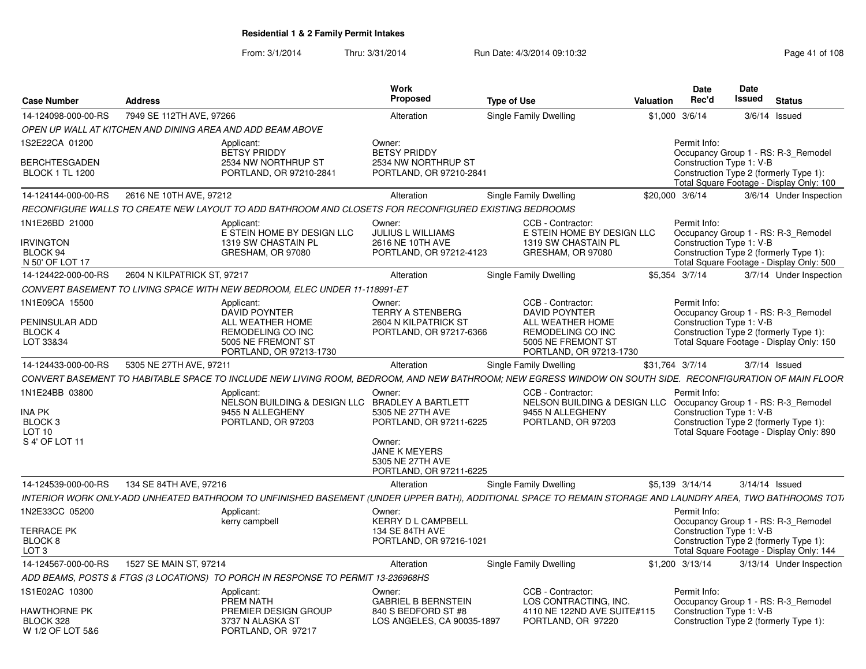From: 3/1/2014Thru: 3/31/2014 Run Date: 4/3/2014 09:10:32 Research 2010 Rage 41 of 108

| <b>Case Number</b>                     | <b>Address</b>                                                                                                                                              | Work<br>Proposed                                                              | <b>Type of Use</b>                                                                   | <b>Date</b><br>Rec'd<br>Valuation | <b>Date</b><br><b>Issued</b> | <b>Status</b>                                                                      |
|----------------------------------------|-------------------------------------------------------------------------------------------------------------------------------------------------------------|-------------------------------------------------------------------------------|--------------------------------------------------------------------------------------|-----------------------------------|------------------------------|------------------------------------------------------------------------------------|
| 14-124098-000-00-RS                    | 7949 SE 112TH AVE, 97266                                                                                                                                    | Alteration                                                                    | Single Family Dwelling                                                               | \$1,000 3/6/14                    |                              | $3/6/14$ Issued                                                                    |
|                                        | OPEN UP WALL AT KITCHEN AND DINING AREA AND ADD BEAM ABOVE                                                                                                  |                                                                               |                                                                                      |                                   |                              |                                                                                    |
| 1S2E22CA 01200<br><b>BERCHTESGADEN</b> | Applicant:<br><b>BETSY PRIDDY</b><br>2534 NW NORTHRUP ST                                                                                                    | Owner:<br><b>BETSY PRIDDY</b><br>2534 NW NORTHRUP ST                          |                                                                                      | Permit Info:                      | Construction Type 1: V-B     | Occupancy Group 1 - RS: R-3 Remodel                                                |
| <b>BLOCK 1 TL 1200</b>                 | PORTLAND, OR 97210-2841                                                                                                                                     | PORTLAND, OR 97210-2841                                                       |                                                                                      |                                   |                              | Construction Type 2 (formerly Type 1):<br>Total Square Footage - Display Only: 100 |
|                                        | 14-124144-000-00-RS 2616 NE 10TH AVE, 97212                                                                                                                 | Alteration                                                                    | <b>Single Family Dwelling</b>                                                        | \$20,000 3/6/14                   |                              | 3/6/14 Under Inspection                                                            |
|                                        | RECONFIGURE WALLS TO CREATE NEW LAYOUT TO ADD BATHROOM AND CLOSETS FOR RECONFIGURED EXISTING BEDROOMS                                                       |                                                                               |                                                                                      |                                   |                              |                                                                                    |
| 1N1E26BD 21000                         | Applicant:                                                                                                                                                  | Owner:                                                                        | CCB - Contractor:                                                                    | Permit Info:                      |                              |                                                                                    |
| IRVINGTON                              | E STEIN HOME BY DESIGN LLC<br>1319 SW CHASTAIN PL                                                                                                           | JULIUS L WILLIAMS<br>2616 NE 10TH AVE                                         | E STEIN HOME BY DESIGN LLC<br>1319 SW CHASTAIN PL                                    |                                   | Construction Type 1: V-B     | Occupancy Group 1 - RS: R-3 Remodel                                                |
| BLOCK 94<br>N 50' OF LOT 17            | GRESHAM, OR 97080                                                                                                                                           | PORTLAND, OR 97212-4123                                                       | GRESHAM, OR 97080                                                                    |                                   |                              | Construction Type 2 (formerly Type 1):<br>Total Square Footage - Display Only: 500 |
| 14-124422-000-00-RS                    | 2604 N KILPATRICK ST, 97217                                                                                                                                 | Alteration                                                                    | Single Family Dwelling                                                               | \$5.354 3/7/14                    |                              | 3/7/14 Under Inspection                                                            |
|                                        | CONVERT BASEMENT TO LIVING SPACE WITH NEW BEDROOM, ELEC UNDER 11-118991-ET                                                                                  |                                                                               |                                                                                      |                                   |                              |                                                                                    |
| 1N1E09CA 15500                         | Applicant:<br><b>DAVID POYNTER</b>                                                                                                                          | Owner:<br><b>TERRY A STENBERG</b>                                             | CCB - Contractor:<br><b>DAVID POYNTER</b>                                            | Permit Info:                      |                              | Occupancy Group 1 - RS: R-3 Remodel                                                |
| PENINSULAR ADD                         | ALL WEATHER HOME                                                                                                                                            | 2604 N KILPATRICK ST                                                          | ALL WEATHER HOME                                                                     |                                   | Construction Type 1: V-B     |                                                                                    |
| BLOCK 4<br>LOT 33&34                   | REMODELING CO INC<br>5005 NE FREMONT ST                                                                                                                     | PORTLAND, OR 97217-6366                                                       | <b>REMODELING CO INC</b><br>5005 NE FREMONT ST                                       |                                   |                              | Construction Type 2 (formerly Type 1):<br>Total Square Footage - Display Only: 150 |
|                                        | PORTLAND, OR 97213-1730                                                                                                                                     |                                                                               | PORTLAND, OR 97213-1730                                                              |                                   |                              |                                                                                    |
| 14-124433-000-00-RS                    | 5305 NE 27TH AVE, 97211                                                                                                                                     | Alteration                                                                    | Single Family Dwelling                                                               | \$31,764 3/7/14                   |                              | 3/7/14 Issued                                                                      |
|                                        | CONVERT BASEMENT TO HABITABLE SPACE TO INCLUDE NEW LIVING ROOM. BEDROOM. AND NEW BATHROOM: NEW EGRESS WINDOW ON SOUTH SIDE.  RECONFIGURATION OF MAIN FLOOR  |                                                                               |                                                                                      |                                   |                              |                                                                                    |
| 1N1E24BB 03800                         | Applicant:                                                                                                                                                  | Owner:                                                                        | CCB - Contractor:                                                                    | Permit Info:                      |                              |                                                                                    |
| <b>INA PK</b>                          | 9455 N ALLEGHENY                                                                                                                                            | NELSON BUILDING & DESIGN LLC BRADLEY A BARTLETT<br>5305 NE 27TH AVE           | NELSON BUILDING & DESIGN LLC Occupancy Group 1 - RS: R-3_Remodel<br>9455 N ALLEGHENY |                                   | Construction Type 1: V-B     |                                                                                    |
| BLOCK <sub>3</sub>                     | PORTLAND, OR 97203                                                                                                                                          | PORTLAND, OR 97211-6225                                                       | PORTLAND, OR 97203                                                                   |                                   |                              | Construction Type 2 (formerly Type 1):                                             |
| <b>LOT 10</b>                          |                                                                                                                                                             |                                                                               |                                                                                      |                                   |                              | Total Square Footage - Display Only: 890                                           |
| S 4' OF LOT 11                         |                                                                                                                                                             | Owner:<br><b>JANE K MEYERS</b><br>5305 NE 27TH AVE<br>PORTLAND, OR 97211-6225 |                                                                                      |                                   |                              |                                                                                    |
| 14-124539-000-00-RS                    | 134 SE 84TH AVE, 97216                                                                                                                                      | Alteration                                                                    | Single Family Dwelling                                                               | \$5,139 3/14/14                   | 3/14/14 Issued               |                                                                                    |
|                                        | INTERIOR WORK ONLY-ADD UNHEATED BATHROOM TO UNFINISHED BASEMENT (UNDER UPPER BATH), ADDITIONAL SPACE TO REMAIN STORAGE AND LAUNDRY AREA, TWO BATHROOMS TOT/ |                                                                               |                                                                                      |                                   |                              |                                                                                    |
| 1N2E33CC 05200                         | Applicant:<br>kerry campbell                                                                                                                                | Owner:<br><b>KERRY D L CAMPBELL</b>                                           |                                                                                      | Permit Info:                      |                              | Occupancy Group 1 - RS: R-3 Remodel                                                |
| <b>TERRACE PK</b>                      |                                                                                                                                                             | 134 SE 84TH AVE                                                               |                                                                                      |                                   | Construction Type 1: V-B     |                                                                                    |
| BLOCK <sub>8</sub>                     |                                                                                                                                                             | PORTLAND, OR 97216-1021                                                       |                                                                                      |                                   |                              | Construction Type 2 (formerly Type 1):                                             |
| LOT <sub>3</sub>                       |                                                                                                                                                             |                                                                               |                                                                                      |                                   |                              | Total Square Footage - Display Only: 144                                           |
| 14-124567-000-00-RS                    | 1527 SE MAIN ST, 97214                                                                                                                                      | Alteration                                                                    | Single Family Dwelling                                                               | $$1,200$ $3/13/14$                |                              | 3/13/14 Under Inspection                                                           |
|                                        | ADD BEAMS, POSTS & FTGS (3 LOCATIONS) TO PORCH IN RESPONSE TO PERMIT 13-236968HS                                                                            |                                                                               |                                                                                      |                                   |                              |                                                                                    |
| 1S1E02AC 10300                         | Applicant:<br>PREM NATH                                                                                                                                     | Owner:<br><b>GABRIEL B BERNSTEIN</b>                                          | CCB - Contractor:<br>LOS CONTRACTING, INC                                            | Permit Info:                      |                              | Occupancy Group 1 - RS: R-3 Remodel                                                |
| HAWTHORNE PK                           | PREMIER DESIGN GROUP                                                                                                                                        | 840 S BEDFORD ST #8                                                           | 4110 NE 122ND AVE SUITE#115                                                          |                                   | Construction Type 1: V-B     |                                                                                    |
| BLOCK 328<br>W 1/2 OF LOT 5&6          | 3737 N ALASKA ST<br>PORTLAND, OR 97217                                                                                                                      | LOS ANGELES, CA 90035-1897                                                    | PORTLAND, OR 97220                                                                   |                                   |                              | Construction Type 2 (formerly Type 1):                                             |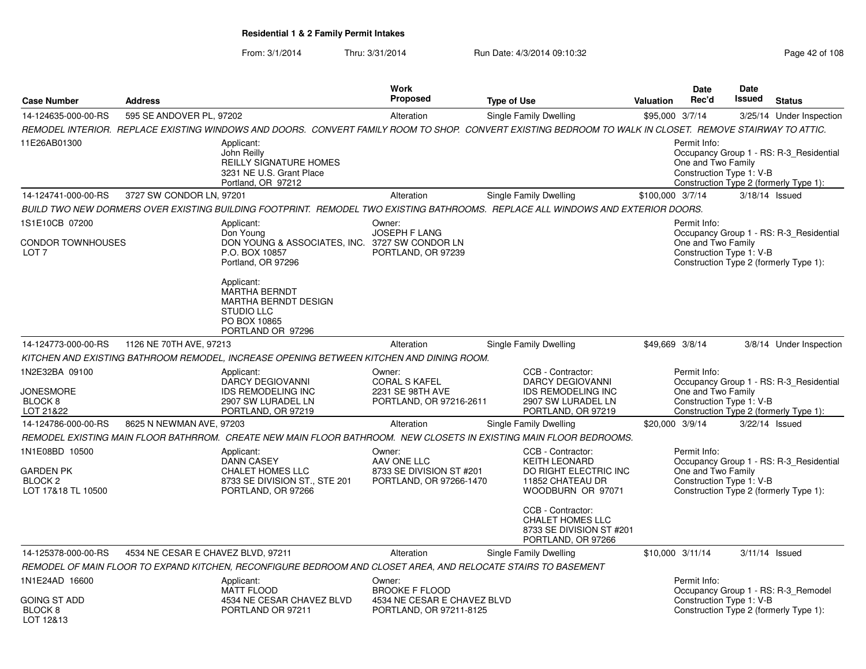### From: 3/1/2014Thru: 3/31/2014 Run Date: 4/3/2014 09:10:32 Research 2010 Rage 42 of 108

| <b>Case Number</b>                                                       | <b>Address</b>                     |                                                                                                                                                          | Work<br><b>Proposed</b>                                                                   | <b>Type of Use</b>                                                                                                    | Valuation        | Date<br>Rec'd                                                  | <b>Date</b><br>Issued | <b>Status</b>                                                                     |
|--------------------------------------------------------------------------|------------------------------------|----------------------------------------------------------------------------------------------------------------------------------------------------------|-------------------------------------------------------------------------------------------|-----------------------------------------------------------------------------------------------------------------------|------------------|----------------------------------------------------------------|-----------------------|-----------------------------------------------------------------------------------|
| 14-124635-000-00-RS                                                      | 595 SE ANDOVER PL, 97202           |                                                                                                                                                          | Alteration                                                                                | <b>Single Family Dwelling</b>                                                                                         | \$95,000 3/7/14  |                                                                |                       | 3/25/14 Under Inspection                                                          |
|                                                                          |                                    | REMODEL INTERIOR. REPLACE EXISTING WINDOWS AND DOORS. CONVERT FAMILY ROOM TO SHOP. CONVERT EXISTING BEDROOM TO WALK IN CLOSET. REMOVE STAIRWAY TO ATTIC. |                                                                                           |                                                                                                                       |                  |                                                                |                       |                                                                                   |
| 11E26AB01300                                                             |                                    | Applicant:<br>John Reilly<br><b>REILLY SIGNATURE HOMES</b><br>3231 NE U.S. Grant Place<br>Portland, OR 97212                                             |                                                                                           |                                                                                                                       |                  | Permit Info:<br>One and Two Family<br>Construction Type 1: V-B |                       | Occupancy Group 1 - RS: R-3 Residential<br>Construction Type 2 (formerly Type 1): |
| 14-124741-000-00-RS                                                      | 3727 SW CONDOR LN, 97201           |                                                                                                                                                          | Alteration                                                                                | <b>Single Family Dwelling</b>                                                                                         | \$100,000 3/7/14 |                                                                |                       | 3/18/14 Issued                                                                    |
|                                                                          |                                    | BUILD TWO NEW DORMERS OVER EXISTING BUILDING FOOTPRINT.  REMODEL TWO EXISTING BATHROOMS.  REPLACE ALL WINDOWS AND EXTERIOR DOORS.                        |                                                                                           |                                                                                                                       |                  |                                                                |                       |                                                                                   |
| 1S1E10CB 07200                                                           |                                    | Applicant:                                                                                                                                               | Owner:                                                                                    |                                                                                                                       |                  | Permit Info:                                                   |                       |                                                                                   |
| CONDOR TOWNHOUSES<br>LOT <sub>7</sub>                                    |                                    | Don Young<br>DON YOUNG & ASSOCIATES, INC. 3727 SW CONDOR LN<br>P.O. BOX 10857<br>Portland, OR 97296<br>Applicant:<br><b>MARTHA BERNDT</b>                | <b>JOSEPH F LANG</b><br>PORTLAND, OR 97239                                                |                                                                                                                       |                  | One and Two Family<br>Construction Type 1: V-B                 |                       | Occupancy Group 1 - RS: R-3_Residential<br>Construction Type 2 (formerly Type 1): |
|                                                                          |                                    | <b>MARTHA BERNDT DESIGN</b><br><b>STUDIO LLC</b><br>PO BOX 10865<br>PORTLAND OR 97296                                                                    |                                                                                           |                                                                                                                       |                  |                                                                |                       |                                                                                   |
| 14-124773-000-00-RS                                                      | 1126 NE 70TH AVE, 97213            |                                                                                                                                                          | Alteration                                                                                | <b>Single Family Dwelling</b>                                                                                         | \$49,669 3/8/14  |                                                                |                       | 3/8/14 Under Inspection                                                           |
|                                                                          |                                    | KITCHEN AND EXISTING BATHROOM REMODEL, INCREASE OPENING BETWEEN KITCHEN AND DINING ROOM.                                                                 |                                                                                           |                                                                                                                       |                  |                                                                |                       |                                                                                   |
| 1N2E32BA 09100<br>JONESMORE<br>BLOCK <sub>8</sub><br>LOT 21&22           |                                    | Applicant:<br>DARCY DEGIOVANNI<br><b>IDS REMODELING INC</b><br>2907 SW LURADEL LN<br>PORTLAND, OR 97219                                                  | Owner:<br><b>CORAL S KAFEL</b><br>2231 SE 98TH AVE<br>PORTLAND, OR 97216-2611             | CCB - Contractor:<br><b>DARCY DEGIOVANNI</b><br><b>IDS REMODELING INC</b><br>2907 SW LURADEL LN<br>PORTLAND, OR 97219 |                  | Permit Info:<br>One and Two Family<br>Construction Type 1: V-B |                       | Occupancy Group 1 - RS: R-3_Residential<br>Construction Type 2 (formerly Type 1): |
| 14-124786-000-00-RS                                                      | 8625 N NEWMAN AVE, 97203           |                                                                                                                                                          | Alteration                                                                                | Single Family Dwelling                                                                                                | \$20,000 3/9/14  |                                                                |                       | 3/22/14 Issued                                                                    |
|                                                                          |                                    | REMODEL EXISTING MAIN FLOOR BATHRROM.  CREATE NEW MAIN FLOOR BATHROOM.  NEW CLOSETS IN EXISTING MAIN FLOOR BEDROOMS.                                     |                                                                                           |                                                                                                                       |                  |                                                                |                       |                                                                                   |
| 1N1E08BD 10500<br>GARDEN PK<br>BLOCK <sub>2</sub><br>LOT 17&18 TL 10500  |                                    | Applicant:<br><b>DANN CASEY</b><br><b>CHALET HOMES LLC</b><br>8733 SE DIVISION ST., STE 201<br>PORTLAND, OR 97266                                        | Owner:<br>AAV ONE LLC<br>8733 SE DIVISION ST #201<br>PORTLAND, OR 97266-1470              | CCB - Contractor:<br><b>KEITH LEONARD</b><br>DO RIGHT ELECTRIC INC<br>11852 CHATEAU DR<br>WOODBURN OR 97071           |                  | Permit Info:<br>One and Two Family<br>Construction Type 1: V-B |                       | Occupancy Group 1 - RS: R-3_Residential<br>Construction Type 2 (formerly Type 1): |
|                                                                          |                                    |                                                                                                                                                          |                                                                                           | CCB - Contractor:<br><b>CHALET HOMES LLC</b><br>8733 SE DIVISION ST #201<br>PORTLAND, OR 97266                        |                  |                                                                |                       |                                                                                   |
| 14-125378-000-00-RS                                                      | 4534 NE CESAR E CHAVEZ BLVD, 97211 |                                                                                                                                                          | Alteration                                                                                | <b>Single Family Dwelling</b>                                                                                         | \$10,000 3/11/14 |                                                                |                       | 3/11/14 Issued                                                                    |
|                                                                          |                                    | REMODEL OF MAIN FLOOR TO EXPAND KITCHEN, RECONFIGURE BEDROOM AND CLOSET AREA, AND RELOCATE STAIRS TO BASEMENT                                            |                                                                                           |                                                                                                                       |                  |                                                                |                       |                                                                                   |
| 1N1E24AD 16600<br><b>GOING ST ADD</b><br>BLOCK <sub>8</sub><br>LOT 12&13 |                                    | Applicant:<br><b>MATT FLOOD</b><br>4534 NE CESAR CHAVEZ BLVD<br>PORTLAND OR 97211                                                                        | Owner:<br><b>BROOKE F FLOOD</b><br>4534 NE CESAR E CHAVEZ BLVD<br>PORTLAND, OR 97211-8125 |                                                                                                                       |                  | Permit Info:<br>Construction Type 1: V-B                       |                       | Occupancy Group 1 - RS: R-3 Remodel<br>Construction Type 2 (formerly Type 1):     |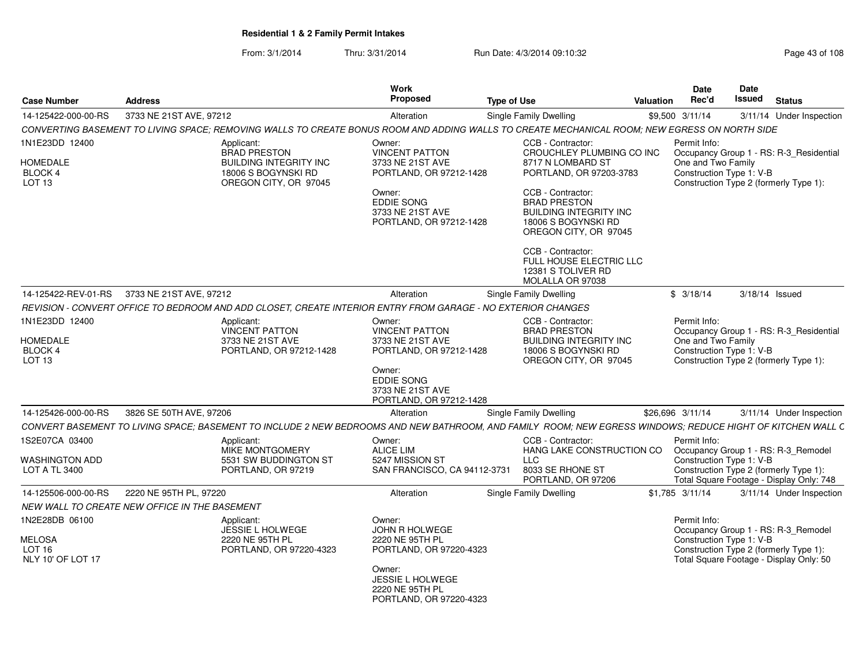From: 3/1/2014Thru: 3/31/2014 Run Date: 4/3/2014 09:10:32 Research 2010 Rage 43 of 108

| <b>Case Number</b>                                                        | <b>Address</b>                                |                                                                                                                                                             | Work<br>Proposed                                                           | <b>Type of Use</b> |                                                                                                                           | <b>Valuation</b> | <b>Date</b><br>Rec'd                           | Date<br>Issued | <b>Status</b>                                                                                                            |
|---------------------------------------------------------------------------|-----------------------------------------------|-------------------------------------------------------------------------------------------------------------------------------------------------------------|----------------------------------------------------------------------------|--------------------|---------------------------------------------------------------------------------------------------------------------------|------------------|------------------------------------------------|----------------|--------------------------------------------------------------------------------------------------------------------------|
| 14-125422-000-00-RS                                                       | 3733 NE 21ST AVE, 97212                       |                                                                                                                                                             | Alteration                                                                 |                    | Single Family Dwelling                                                                                                    |                  | \$9,500 3/11/14                                |                | 3/11/14 Under Inspection                                                                                                 |
|                                                                           |                                               | CONVERTING BASEMENT TO LIVING SPACE; REMOVING WALLS TO CREATE BONUS ROOM AND ADDING WALLS TO CREATE MECHANICAL ROOM; NEW EGRESS ON NORTH SIDE               |                                                                            |                    |                                                                                                                           |                  |                                                |                |                                                                                                                          |
| 1N1E23DD 12400                                                            |                                               | Applicant:<br><b>BRAD PRESTON</b>                                                                                                                           | Owner:<br><b>VINCENT PATTON</b>                                            |                    | CCB - Contractor:<br>CROUCHLEY PLUMBING CO INC                                                                            |                  | Permit Info:                                   |                | Occupancy Group 1 - RS: R-3_Residential                                                                                  |
| <b>HOMEDALE</b><br>BLOCK 4<br>LOT <sub>13</sub>                           |                                               | <b>BUILDING INTEGRITY INC</b><br>18006 S BOGYNSKI RD<br>OREGON CITY, OR 97045                                                                               | 3733 NE 21ST AVE<br>PORTLAND, OR 97212-1428                                |                    | 8717 N LOMBARD ST<br>PORTLAND, OR 97203-3783                                                                              |                  | One and Two Family<br>Construction Type 1: V-B |                | Construction Type 2 (formerly Type 1):                                                                                   |
|                                                                           |                                               |                                                                                                                                                             | Owner:<br><b>EDDIE SONG</b><br>3733 NE 21ST AVE<br>PORTLAND, OR 97212-1428 |                    | CCB - Contractor:<br><b>BRAD PRESTON</b><br><b>BUILDING INTEGRITY INC</b><br>18006 S BOGYNSKI RD<br>OREGON CITY, OR 97045 |                  |                                                |                |                                                                                                                          |
|                                                                           |                                               |                                                                                                                                                             |                                                                            |                    | CCB - Contractor:<br>FULL HOUSE ELECTRIC LLC<br>12381 S TOLIVER RD<br>MOLALLA OR 97038                                    |                  |                                                |                |                                                                                                                          |
| 14-125422-REV-01-RS                                                       | 3733 NE 21ST AVE, 97212                       |                                                                                                                                                             | Alteration                                                                 |                    | Single Family Dwelling                                                                                                    |                  | \$3/18/14                                      |                | 3/18/14 Issued                                                                                                           |
|                                                                           |                                               | REVISION - CONVERT OFFICE TO BEDROOM AND ADD CLOSET, CREATE INTERIOR ENTRY FROM GARAGE - NO EXTERIOR CHANGES                                                |                                                                            |                    |                                                                                                                           |                  |                                                |                |                                                                                                                          |
| 1N1E23DD 12400                                                            |                                               | Applicant:<br>VINCENT PATTON                                                                                                                                | Owner:<br><b>VINCENT PATTON</b>                                            |                    | CCB - Contractor:<br><b>BRAD PRESTON</b>                                                                                  |                  | Permit Info:                                   |                | Occupancy Group 1 - RS: R-3_Residential                                                                                  |
| <b>HOMEDALE</b><br>BLOCK 4<br>LOT 13                                      |                                               | 3733 NE 21ST AVE<br>PORTLAND, OR 97212-1428                                                                                                                 | 3733 NE 21ST AVE<br>PORTLAND, OR 97212-1428                                |                    | <b>BUILDING INTEGRITY INC</b><br>18006 S BOGYNSKI RD<br>OREGON CITY, OR 97045                                             |                  | One and Two Family<br>Construction Type 1: V-B |                | Construction Type 2 (formerly Type 1):                                                                                   |
|                                                                           |                                               |                                                                                                                                                             | Owner:<br><b>EDDIE SONG</b><br>3733 NE 21ST AVE<br>PORTLAND, OR 97212-1428 |                    |                                                                                                                           |                  |                                                |                |                                                                                                                          |
| 14-125426-000-00-RS                                                       | 3826 SE 50TH AVE, 97206                       |                                                                                                                                                             | Alteration                                                                 |                    | Single Family Dwelling                                                                                                    |                  | \$26,696 3/11/14                               |                | 3/11/14 Under Inspection                                                                                                 |
|                                                                           |                                               | CONVERT BASEMENT TO LIVING SPACE: BASEMENT TO INCLUDE 2 NEW BEDROOMS AND NEW BATHROOM. AND FAMILY  ROOM: NEW EGRESS WINDOWS: REDUCE HIGHT OF KITCHEN WALL C |                                                                            |                    |                                                                                                                           |                  |                                                |                |                                                                                                                          |
| 1S2E07CA 03400                                                            |                                               | Applicant:<br>MIKE MONTGOMERY                                                                                                                               | Owner:<br><b>ALICE LIM</b>                                                 |                    | CCB - Contractor:<br>HANG LAKE CONSTRUCTION CO                                                                            |                  | Permit Info:                                   |                | Occupancy Group 1 - RS: R-3_Remodel                                                                                      |
| <b>WASHINGTON ADD</b><br><b>LOT A TL 3400</b>                             |                                               | 5531 SW BUDDINGTON ST<br>PORTLAND, OR 97219                                                                                                                 | 5247 MISSION ST<br>SAN FRANCISCO, CA 94112-3731                            |                    | <b>LLC</b><br>8033 SE RHONE ST<br>PORTLAND, OR 97206                                                                      |                  | Construction Type 1: V-B                       |                | Construction Type 2 (formerly Type 1):<br>Total Square Footage - Display Only: 748                                       |
| 14-125506-000-00-RS                                                       | 2220 NE 95TH PL, 97220                        |                                                                                                                                                             | Alteration                                                                 |                    | Single Family Dwelling                                                                                                    |                  | \$1,785 3/11/14                                |                | 3/11/14 Under Inspection                                                                                                 |
|                                                                           | NEW WALL TO CREATE NEW OFFICE IN THE BASEMENT |                                                                                                                                                             |                                                                            |                    |                                                                                                                           |                  |                                                |                |                                                                                                                          |
| 1N2E28DB 06100<br><b>MELOSA</b><br>LOT <sub>16</sub><br>NLY 10' OF LOT 17 |                                               | Applicant:<br>JESSIE L HOLWEGE<br>2220 NE 95TH PL<br>PORTLAND, OR 97220-4323                                                                                | Owner:<br>JOHN R HOLWEGE<br>2220 NE 95TH PL<br>PORTLAND, OR 97220-4323     |                    |                                                                                                                           |                  | Permit Info:<br>Construction Type 1: V-B       |                | Occupancy Group 1 - RS: R-3_Remodel<br>Construction Type 2 (formerly Type 1):<br>Total Square Footage - Display Only: 50 |
|                                                                           |                                               |                                                                                                                                                             | Owner:<br>JESSIE L HOLWEGE<br>2220 NE 95TH PL<br>PORTLAND, OR 97220-4323   |                    |                                                                                                                           |                  |                                                |                |                                                                                                                          |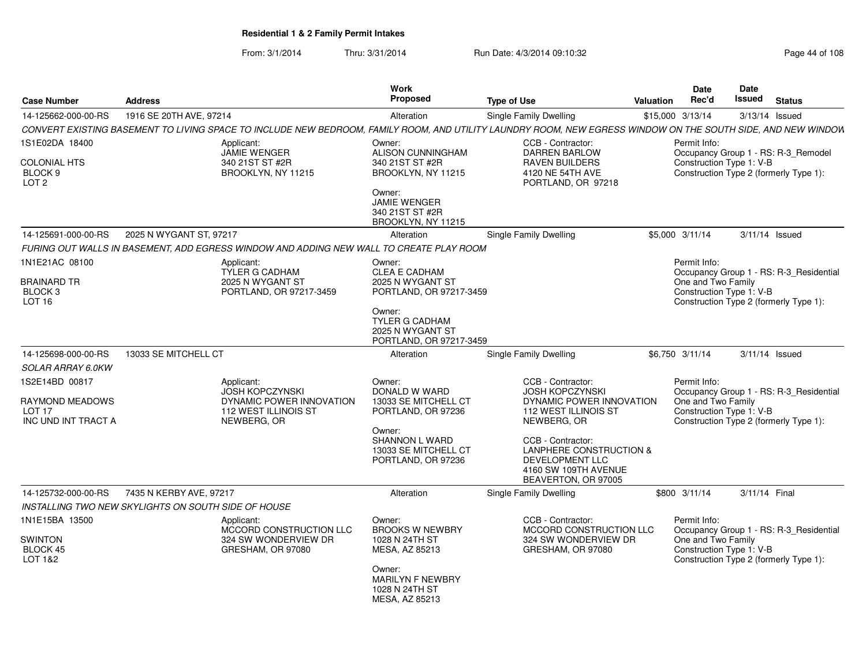From: 3/1/2014Thru: 3/31/2014 Run Date: 4/3/2014 09:10:32 Research 2010 Rage 44 of 108

| <b>Case Number</b>                                             | <b>Address</b>                                                                                                                                               | Work<br>Proposed                                                               | <b>Type of Use</b>                                                                                                    | <b>Valuation</b> | Date<br>Rec'd                      | <b>Date</b><br>Issued    | <b>Status</b>                                                                     |
|----------------------------------------------------------------|--------------------------------------------------------------------------------------------------------------------------------------------------------------|--------------------------------------------------------------------------------|-----------------------------------------------------------------------------------------------------------------------|------------------|------------------------------------|--------------------------|-----------------------------------------------------------------------------------|
| 14-125662-000-00-RS                                            | 1916 SE 20TH AVE, 97214                                                                                                                                      | Alteration                                                                     | Single Family Dwelling                                                                                                |                  | \$15,000 3/13/14                   |                          | 3/13/14 Issued                                                                    |
|                                                                | CONVERT EXISTING BASEMENT TO LIVING SPACE TO INCLUDE NEW BEDROOM, FAMILY ROOM, AND UTILITY LAUNDRY ROOM, NEW EGRESS WINDOW ON THE SOUTH SIDE, AND NEW WINDOW |                                                                                |                                                                                                                       |                  |                                    |                          |                                                                                   |
| 1S1E02DA 18400                                                 | Applicant:                                                                                                                                                   | Owner:                                                                         | CCB - Contractor:                                                                                                     |                  | Permit Info:                       |                          |                                                                                   |
| <b>COLONIAL HTS</b><br>BLOCK 9<br>LOT <sub>2</sub>             | JAMIE WENGER<br>340 21ST ST #2R<br>BROOKLYN, NY 11215                                                                                                        | ALISON CUNNINGHAM<br>340 21ST ST #2R<br>BROOKLYN, NY 11215                     | <b>DARREN BARLOW</b><br><b>RAVEN BUILDERS</b><br>4120 NE 54TH AVE<br>PORTLAND, OR 97218                               |                  |                                    | Construction Type 1: V-B | Occupancy Group 1 - RS: R-3_Remodel<br>Construction Type 2 (formerly Type 1):     |
|                                                                |                                                                                                                                                              | Owner:<br><b>JAMIE WENGER</b><br>340 21ST ST #2R<br>BROOKLYN, NY 11215         |                                                                                                                       |                  |                                    |                          |                                                                                   |
| 14-125691-000-00-RS                                            | 2025 N WYGANT ST, 97217                                                                                                                                      | Alteration                                                                     | <b>Single Family Dwelling</b>                                                                                         |                  | \$5,000 3/11/14                    |                          | $3/11/14$ Issued                                                                  |
|                                                                | FURING OUT WALLS IN BASEMENT, ADD EGRESS WINDOW AND ADDING NEW WALL TO CREATE PLAY ROOM                                                                      |                                                                                |                                                                                                                       |                  |                                    |                          |                                                                                   |
| 1N1E21AC 08100<br><b>BRAINARD TR</b>                           | Applicant:<br>TYLER G CADHAM<br>2025 N WYGANT ST                                                                                                             | Owner:<br><b>CLEA E CADHAM</b><br>2025 N WYGANT ST                             |                                                                                                                       |                  | Permit Info:<br>One and Two Family |                          | Occupancy Group 1 - RS: R-3_Residential                                           |
| BLOCK <sub>3</sub><br>LOT <sub>16</sub>                        | PORTLAND, OR 97217-3459                                                                                                                                      | PORTLAND, OR 97217-3459<br>Owner:                                              |                                                                                                                       |                  |                                    | Construction Type 1: V-B | Construction Type 2 (formerly Type 1):                                            |
|                                                                |                                                                                                                                                              | TYLER G CADHAM<br>2025 N WYGANT ST<br>PORTLAND, OR 97217-3459                  |                                                                                                                       |                  |                                    |                          |                                                                                   |
| 14-125698-000-00-RS                                            | 13033 SE MITCHELL CT                                                                                                                                         | Alteration                                                                     | <b>Single Family Dwelling</b>                                                                                         |                  | \$6,750 3/11/14                    |                          | $3/11/14$ Issued                                                                  |
| <b>SOLAR ARRAY 6.0KW</b>                                       |                                                                                                                                                              |                                                                                |                                                                                                                       |                  |                                    |                          |                                                                                   |
| 1S2E14BD 00817                                                 | Applicant:                                                                                                                                                   | Owner:                                                                         | CCB - Contractor:                                                                                                     |                  | Permit Info:                       |                          |                                                                                   |
| RAYMOND MEADOWS                                                | <b>JOSH KOPCZYNSKI</b><br>DYNAMIC POWER INNOVATION                                                                                                           | DONALD W WARD<br>13033 SE MITCHELL CT                                          | JOSH KOPCZYNSKI<br>DYNAMIC POWER INNOVATION                                                                           |                  | One and Two Family                 |                          | Occupancy Group 1 - RS: R-3_Residential                                           |
| <b>LOT 17</b><br>INC UND INT TRACT A                           | 112 WEST ILLINOIS ST<br>NEWBERG, OR                                                                                                                          | PORTLAND, OR 97236                                                             | 112 WEST ILLINOIS ST<br>NEWBERG, OR                                                                                   |                  |                                    | Construction Type 1: V-B | Construction Type 2 (formerly Type 1):                                            |
|                                                                |                                                                                                                                                              | Owner:<br><b>SHANNON L WARD</b><br>13033 SE MITCHELL CT<br>PORTLAND, OR 97236  | CCB - Contractor:<br>LANPHERE CONSTRUCTION &<br><b>DEVELOPMENT LLC</b><br>4160 SW 109TH AVENUE<br>BEAVERTON, OR 97005 |                  |                                    |                          |                                                                                   |
| 14-125732-000-00-RS                                            | 7435 N KERBY AVE, 97217                                                                                                                                      | Alteration                                                                     | Single Family Dwelling                                                                                                |                  | \$800 3/11/14                      | 3/11/14 Final            |                                                                                   |
|                                                                | INSTALLING TWO NEW SKYLIGHTS ON SOUTH SIDE OF HOUSE                                                                                                          |                                                                                |                                                                                                                       |                  |                                    |                          |                                                                                   |
| 1N1E15BA 13500<br><b>SWINTON</b><br><b>BLOCK 45</b><br>LOT 1&2 | Applicant:<br>MCCORD CONSTRUCTION LLC<br>324 SW WONDERVIEW DR<br>GRESHAM, OR 97080                                                                           | Owner:<br><b>BROOKS W NEWBRY</b><br>1028 N 24TH ST<br>MESA, AZ 85213<br>Owner: | CCB - Contractor:<br>MCCORD CONSTRUCTION LLC<br>324 SW WONDERVIEW DR<br>GRESHAM, OR 97080                             |                  | Permit Info:<br>One and Two Family | Construction Type 1: V-B | Occupancy Group 1 - RS: R-3_Residential<br>Construction Type 2 (formerly Type 1): |
|                                                                |                                                                                                                                                              | <b>MARILYN F NEWBRY</b><br>1028 N 24TH ST<br>MESA, AZ 85213                    |                                                                                                                       |                  |                                    |                          |                                                                                   |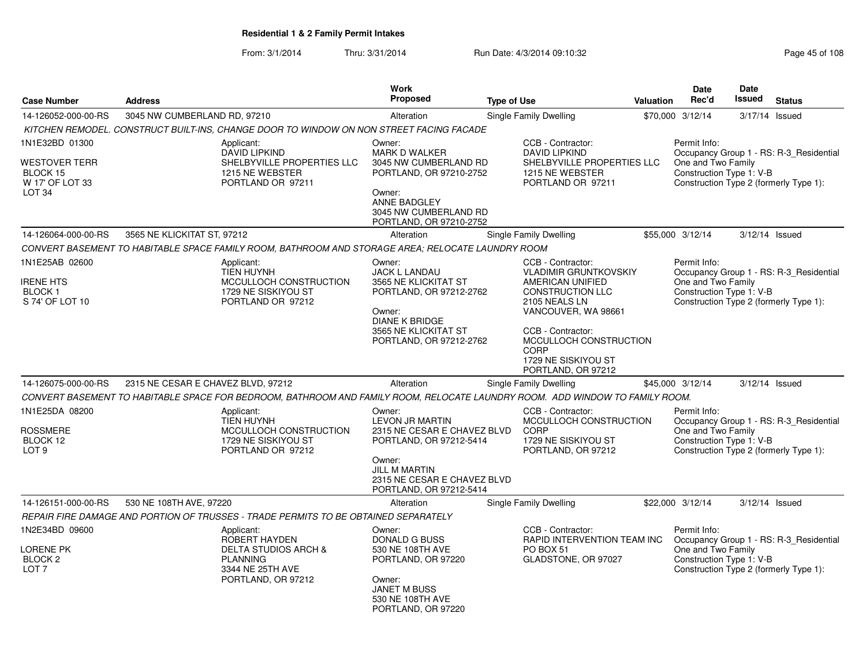From: 3/1/2014Thru: 3/31/2014 Run Date: 4/3/2014 09:10:32 Research 2010 Rage 45 of 108

|                                                                                            |                                                                                                                              | <b>Work</b>                                                                                                                                                                     |                                                                                                                                                                                                                                              |           | <b>Date</b>                                                    | <b>Date</b> |                                                                                   |
|--------------------------------------------------------------------------------------------|------------------------------------------------------------------------------------------------------------------------------|---------------------------------------------------------------------------------------------------------------------------------------------------------------------------------|----------------------------------------------------------------------------------------------------------------------------------------------------------------------------------------------------------------------------------------------|-----------|----------------------------------------------------------------|-------------|-----------------------------------------------------------------------------------|
| <b>Case Number</b>                                                                         | <b>Address</b>                                                                                                               | <b>Proposed</b>                                                                                                                                                                 | <b>Type of Use</b>                                                                                                                                                                                                                           | Valuation | Rec'd                                                          | Issued      | <b>Status</b>                                                                     |
| 14-126052-000-00-RS                                                                        | 3045 NW CUMBERLAND RD, 97210                                                                                                 | Alteration                                                                                                                                                                      | <b>Single Family Dwelling</b>                                                                                                                                                                                                                |           | \$70,000 3/12/14                                               |             | 3/17/14 Issued                                                                    |
|                                                                                            | KITCHEN REMODEL. CONSTRUCT BUILT-INS, CHANGE DOOR TO WINDOW ON NON STREET FACING FACADE                                      |                                                                                                                                                                                 |                                                                                                                                                                                                                                              |           |                                                                |             |                                                                                   |
| 1N1E32BD 01300<br><b>WESTOVER TERR</b><br>BLOCK 15<br>W 17' OF LOT 33<br>LOT <sub>34</sub> | Applicant:<br><b>DAVID LIPKIND</b><br>SHELBYVILLE PROPERTIES LLC<br>1215 NE WEBSTER<br>PORTLAND OR 97211                     | Owner:<br><b>MARK D WALKER</b><br>3045 NW CUMBERLAND RD<br>PORTLAND, OR 97210-2752<br>Owner:<br><b>ANNE BADGLEY</b><br>3045 NW CUMBERLAND RD<br>PORTLAND, OR 97210-2752         | CCB - Contractor:<br><b>DAVID LIPKIND</b><br>SHELBYVILLE PROPERTIES LLC<br>1215 NE WEBSTER<br>PORTLAND OR 97211                                                                                                                              |           | Permit Info:<br>One and Two Family<br>Construction Type 1: V-B |             | Occupancy Group 1 - RS: R-3_Residential<br>Construction Type 2 (formerly Type 1): |
| 14-126064-000-00-RS                                                                        | 3565 NE KLICKITAT ST, 97212                                                                                                  | Alteration                                                                                                                                                                      | Single Family Dwelling                                                                                                                                                                                                                       |           | \$55,000 3/12/14                                               |             | $3/12/14$ Issued                                                                  |
|                                                                                            | CONVERT BASEMENT TO HABITABLE SPACE FAMILY ROOM, BATHROOM AND STORAGE AREA; RELOCATE LAUNDRY ROOM                            |                                                                                                                                                                                 |                                                                                                                                                                                                                                              |           |                                                                |             |                                                                                   |
| 1N1E25AB 02600<br>IRENE HTS<br><b>BLOCK1</b><br>S 74' OF LOT 10                            | Applicant:<br><b>TIEN HUYNH</b><br>MCCULLOCH CONSTRUCTION<br>1729 NE SISKIYOU ST<br>PORTLAND OR 97212                        | Owner:<br><b>JACK L LANDAU</b><br>3565 NE KLICKITAT ST<br>PORTLAND, OR 97212-2762<br>Owner:<br><b>DIANE K BRIDGE</b><br>3565 NE KLICKITAT ST<br>PORTLAND, OR 97212-2762         | CCB - Contractor:<br><b>VLADIMIR GRUNTKOVSKIY</b><br>AMERICAN UNIFIED<br><b>CONSTRUCTION LLC</b><br>2105 NEALS LN<br>VANCOUVER, WA 98661<br>CCB - Contractor:<br>MCCULLOCH CONSTRUCTION<br>CORP<br>1729 NE SISKIYOU ST<br>PORTLAND, OR 97212 |           | Permit Info:<br>One and Two Family<br>Construction Type 1: V-B |             | Occupancy Group 1 - RS: R-3_Residential<br>Construction Type 2 (formerly Type 1): |
| 14-126075-000-00-RS                                                                        | 2315 NE CESAR E CHAVEZ BLVD, 97212                                                                                           | Alteration                                                                                                                                                                      | Single Family Dwelling                                                                                                                                                                                                                       |           | \$45,000 3/12/14                                               |             | $3/12/14$ Issued                                                                  |
|                                                                                            | CONVERT BASEMENT TO HABITABLE SPACE FOR BEDROOM, BATHROOM AND FAMILY ROOM, RELOCATE LAUNDRY ROOM. ADD WINDOW TO FAMILY ROOM. |                                                                                                                                                                                 |                                                                                                                                                                                                                                              |           |                                                                |             |                                                                                   |
| 1N1E25DA 08200<br><b>ROSSMERE</b><br>BLOCK 12<br>LOT <sub>9</sub>                          | Applicant:<br>TIEN HUYNH<br>MCCULLOCH CONSTRUCTION<br>1729 NE SISKIYOU ST<br>PORTLAND OR 97212                               | Owner:<br>LEVON JR MARTIN<br>2315 NE CESAR E CHAVEZ BLVD<br>PORTLAND, OR 97212-5414<br>Owner:<br><b>JILL M MARTIN</b><br>2315 NE CESAR E CHAVEZ BLVD<br>PORTLAND, OR 97212-5414 | CCB - Contractor:<br>MCCULLOCH CONSTRUCTION<br>CORP<br>1729 NE SISKIYOU ST<br>PORTLAND, OR 97212                                                                                                                                             |           | Permit Info:<br>One and Two Family<br>Construction Type 1: V-B |             | Occupancy Group 1 - RS: R-3 Residential<br>Construction Type 2 (formerly Type 1): |
| 14-126151-000-00-RS                                                                        | 530 NE 108TH AVE, 97220                                                                                                      | Alteration                                                                                                                                                                      | Single Family Dwelling                                                                                                                                                                                                                       |           | \$22,000 3/12/14                                               |             | 3/12/14 Issued                                                                    |
|                                                                                            | REPAIR FIRE DAMAGE AND PORTION OF TRUSSES - TRADE PERMITS TO BE OBTAINED SEPARATELY                                          |                                                                                                                                                                                 |                                                                                                                                                                                                                                              |           |                                                                |             |                                                                                   |
| 1N2E34BD 09600<br>LORENE PK<br>BLOCK <sub>2</sub><br>LOT <sub>7</sub>                      | Applicant:<br>ROBERT HAYDEN<br><b>DELTA STUDIOS ARCH &amp;</b><br><b>PLANNING</b><br>3344 NE 25TH AVE<br>PORTLAND, OR 97212  | Owner:<br><b>DONALD G BUSS</b><br>530 NE 108TH AVE<br>PORTLAND, OR 97220<br>Owner:<br><b>JANET M BUSS</b><br>530 NE 108TH AVE<br>PORTLAND, OR 97220                             | CCB - Contractor:<br>RAPID INTERVENTION TEAM INC<br>PO BOX 51<br>GLADSTONE, OR 97027                                                                                                                                                         |           | Permit Info:<br>One and Two Family<br>Construction Type 1: V-B |             | Occupancy Group 1 - RS: R-3 Residential<br>Construction Type 2 (formerly Type 1): |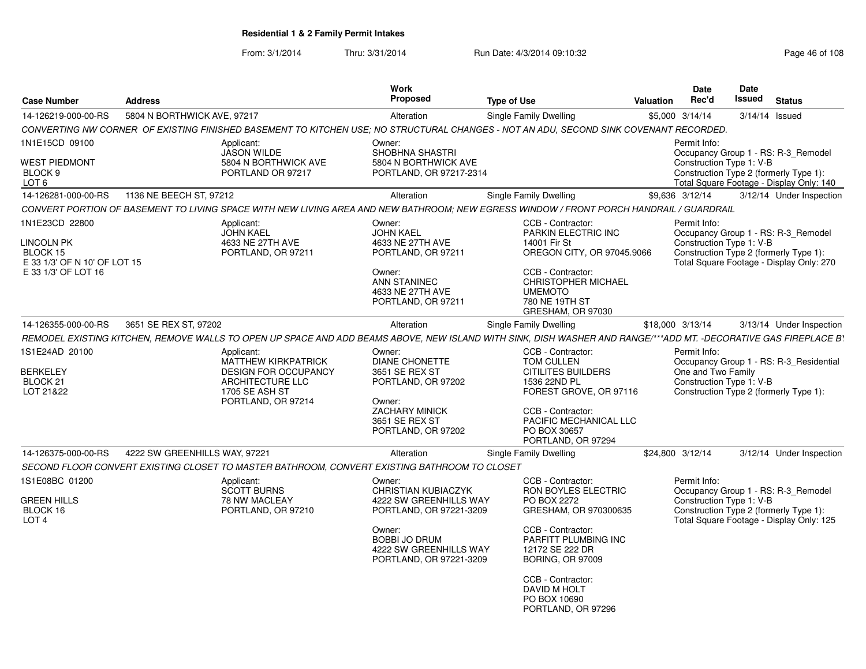From: 3/1/2014

Thru: 3/31/2014 Run Date: 4/3/2014 09:10:32 Research 2010 Rage 46 of 108

| <b>Case Number</b>                                                                                     | <b>Address</b>                                                                                | Work<br>Proposed                                                                                                                                                                 | <b>Type of Use</b>                                                                                                                                                                                                                                     | Valuation        | <b>Date</b><br>Rec'd               | <b>Date</b><br>Issued    | <b>Status</b>                                                                                                             |
|--------------------------------------------------------------------------------------------------------|-----------------------------------------------------------------------------------------------|----------------------------------------------------------------------------------------------------------------------------------------------------------------------------------|--------------------------------------------------------------------------------------------------------------------------------------------------------------------------------------------------------------------------------------------------------|------------------|------------------------------------|--------------------------|---------------------------------------------------------------------------------------------------------------------------|
| 14-126219-000-00-RS                                                                                    | 5804 N BORTHWICK AVE, 97217                                                                   | Alteration                                                                                                                                                                       | Single Family Dwelling                                                                                                                                                                                                                                 | \$5,000 3/14/14  |                                    | 3/14/14 Issued           |                                                                                                                           |
|                                                                                                        |                                                                                               | CONVERTING NW CORNER OF EXISTING FINISHED BASEMENT TO KITCHEN USE; NO STRUCTURAL CHANGES - NOT AN ADU, SECOND SINK COVENANT RECORDED.                                            |                                                                                                                                                                                                                                                        |                  |                                    |                          |                                                                                                                           |
| 1N1E15CD 09100<br><b>WEST PIEDMONT</b><br>BLOCK 9                                                      | Applicant:<br><b>JASON WILDE</b><br>5804 N BORTHWICK AVE<br>PORTLAND OR 97217                 | Owner:<br>SHOBHNA SHASTRI<br>5804 N BORTHWICK AVE<br>PORTLAND, OR 97217-2314                                                                                                     |                                                                                                                                                                                                                                                        |                  | Permit Info:                       | Construction Type 1: V-B | Occupancy Group 1 - RS: R-3_Remodel<br>Construction Type 2 (formerly Type 1):                                             |
| LOT <sub>6</sub>                                                                                       |                                                                                               |                                                                                                                                                                                  |                                                                                                                                                                                                                                                        |                  |                                    |                          | Total Square Footage - Display Only: 140                                                                                  |
| 14-126281-000-00-RS                                                                                    | 1136 NE BEECH ST, 97212                                                                       | Alteration                                                                                                                                                                       | Single Family Dwelling                                                                                                                                                                                                                                 | \$9.636 3/12/14  |                                    |                          | 3/12/14 Under Inspection                                                                                                  |
|                                                                                                        |                                                                                               | CONVERT PORTION OF BASEMENT TO LIVING SPACE WITH NEW LIVING AREA AND NEW BATHROOM; NEW EGRESS WINDOW / FRONT PORCH HANDRAIL / GUARDRAIL                                          |                                                                                                                                                                                                                                                        |                  |                                    |                          |                                                                                                                           |
| 1N1E23CD 22800<br><b>LINCOLN PK</b><br>BLOCK 15<br>E 33 1/3' OF N 10' OF LOT 15<br>E 33 1/3' OF LOT 16 | Applicant:<br><b>JOHN KAEL</b><br>4633 NE 27TH AVE<br>PORTLAND, OR 97211                      | Owner:<br><b>JOHN KAEL</b><br>4633 NE 27TH AVE<br>PORTLAND, OR 97211<br>Owner:<br>ANN STANINEC<br>4633 NE 27TH AVE<br>PORTLAND, OR 97211                                         | CCB - Contractor:<br>PARKIN ELECTRIC INC<br>14001 Fir St<br>OREGON CITY, OR 97045.9066<br>CCB - Contractor:<br><b>CHRISTOPHER MICHAEL</b><br><b>UMEMOTO</b><br>780 NE 19TH ST<br>GRESHAM, OR 97030                                                     |                  | Permit Info:                       | Construction Type 1: V-B | Occupancy Group 1 - RS: R-3 Remodel<br>Construction Type 2 (formerly Type 1):<br>Total Square Footage - Display Only: 270 |
| 14-126355-000-00-RS                                                                                    | 3651 SE REX ST. 97202                                                                         | Alteration                                                                                                                                                                       | Single Family Dwelling                                                                                                                                                                                                                                 | \$18,000 3/13/14 |                                    |                          | 3/13/14 Under Inspection                                                                                                  |
|                                                                                                        |                                                                                               | REMODEL EXISTING KITCHEN, REMOVE WALLS TO OPEN UP SPACE AND ADD BEAMS ABOVE, NEW ISLAND WITH SINK, DISH WASHER AND RANGE/***ADD MT. -DECORATIVE GAS FIREPLACE BY                 |                                                                                                                                                                                                                                                        |                  |                                    |                          |                                                                                                                           |
| 1S1E24AD 20100<br><b>BERKELEY</b><br>BLOCK 21<br>LOT 21&22                                             | Applicant:<br>MATTHEW KIRKPATRICK<br>ARCHITECTURE LLC<br>1705 SE ASH ST<br>PORTLAND, OR 97214 | Owner:<br><b>DIANE CHONETTE</b><br>3651 SE REX ST<br><b>DESIGN FOR OCCUPANCY</b><br>PORTLAND, OR 97202<br>Owner:<br>ZACHARY MINICK<br>3651 SE REX ST<br>PORTLAND, OR 97202       | CCB - Contractor:<br>TOM CULLEN<br><b>CITILITES BUILDERS</b><br>1536 22ND PL<br>FOREST GROVE, OR 97116<br>CCB - Contractor:<br>PACIFIC MECHANICAL LLC<br>PO BOX 30657<br>PORTLAND, OR 97294                                                            |                  | Permit Info:<br>One and Two Family | Construction Type 1: V-B | Occupancy Group 1 - RS: R-3_Residential<br>Construction Type 2 (formerly Type 1):                                         |
| 14-126375-000-00-RS                                                                                    | 4222 SW GREENHILLS WAY, 97221                                                                 | Alteration                                                                                                                                                                       | Single Family Dwelling                                                                                                                                                                                                                                 | \$24,800 3/12/14 |                                    |                          | 3/12/14 Under Inspection                                                                                                  |
|                                                                                                        |                                                                                               | SECOND FLOOR CONVERT EXISTING CLOSET TO MASTER BATHROOM, CONVERT EXISTING BATHROOM TO CLOSET                                                                                     |                                                                                                                                                                                                                                                        |                  |                                    |                          |                                                                                                                           |
| 1S1E08BC 01200<br><b>GREEN HILLS</b><br>BLOCK 16<br>LOT <sub>4</sub>                                   | Applicant:<br><b>SCOTT BURNS</b><br>78 NW MACLEAY<br>PORTLAND, OR 97210                       | Owner:<br><b>CHRISTIAN KUBIACZYK</b><br>4222 SW GREENHILLS WAY<br>PORTLAND, OR 97221-3209<br>Owner:<br><b>BOBBI JO DRUM</b><br>4222 SW GREENHILLS WAY<br>PORTLAND, OR 97221-3209 | CCB - Contractor:<br>RON BOYLES ELECTRIC<br>PO BOX 2272<br>GRESHAM, OR 970300635<br>CCB - Contractor:<br>PARFITT PLUMBING INC<br>12172 SE 222 DR<br><b>BORING, OR 97009</b><br>CCB - Contractor:<br>DAVID M HOLT<br>PO BOX 10690<br>PORTLAND, OR 97296 |                  | Permit Info:                       | Construction Type 1: V-B | Occupancy Group 1 - RS: R-3 Remodel<br>Construction Type 2 (formerly Type 1):<br>Total Square Footage - Display Only: 125 |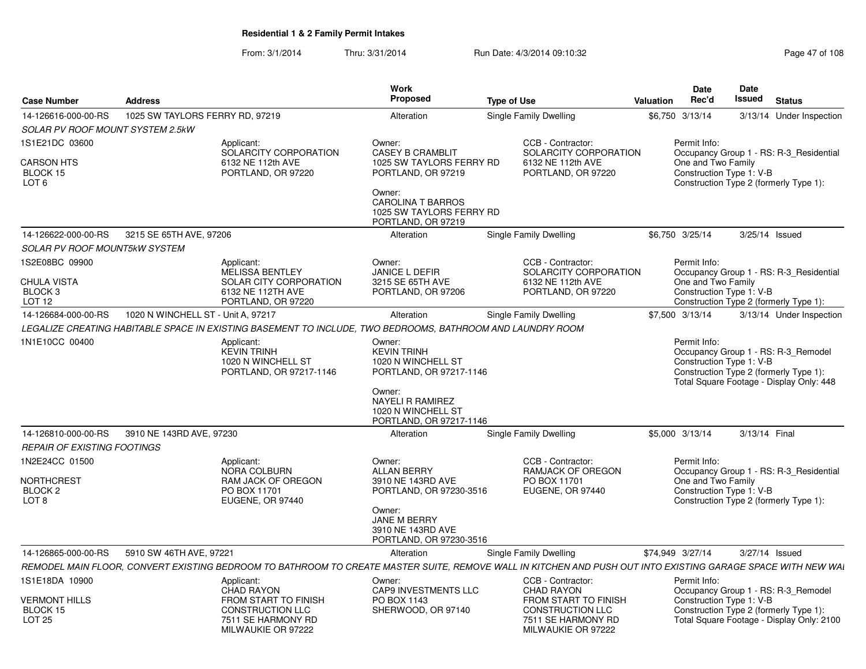From: 3/1/2014Thru: 3/31/2014 Run Date: 4/3/2014 09:10:32 Research 2010 Rage 47 of 108

| <b>Case Number</b>                                                     | <b>Address</b>                     |                                                                                                            | Work<br>Proposed                                                                                                | <b>Type of Use</b>                                                                                                                                           | Date<br>Rec'd<br>Valuation         | Date<br><b>Issued</b><br><b>Status</b>                                                                                                                 |
|------------------------------------------------------------------------|------------------------------------|------------------------------------------------------------------------------------------------------------|-----------------------------------------------------------------------------------------------------------------|--------------------------------------------------------------------------------------------------------------------------------------------------------------|------------------------------------|--------------------------------------------------------------------------------------------------------------------------------------------------------|
| 14-126616-000-00-RS                                                    | 1025 SW TAYLORS FERRY RD, 97219    |                                                                                                            | Alteration                                                                                                      | <b>Single Family Dwelling</b>                                                                                                                                | \$6,750 3/13/14                    | 3/13/14 Under Inspection                                                                                                                               |
| SOLAR PV ROOF MOUNT SYSTEM 2.5kW                                       |                                    |                                                                                                            |                                                                                                                 |                                                                                                                                                              |                                    |                                                                                                                                                        |
| 1S1E21DC 03600                                                         |                                    |                                                                                                            | Owner:                                                                                                          | CCB - Contractor:                                                                                                                                            |                                    |                                                                                                                                                        |
| CARSON HTS<br>BLOCK 15<br>LOT <sub>6</sub>                             |                                    | Applicant:<br>SOLARCITY CORPORATION<br>6132 NE 112th AVE<br>PORTLAND, OR 97220                             | <b>CASEY B CRAMBLIT</b><br>1025 SW TAYLORS FERRY RD<br>PORTLAND, OR 97219<br>Owner:<br><b>CAROLINA T BARROS</b> | SOLARCITY CORPORATION<br>6132 NE 112th AVE<br>PORTLAND, OR 97220                                                                                             | Permit Info:<br>One and Two Family | Occupancy Group 1 - RS: R-3_Residential<br>Construction Type 1: V-B<br>Construction Type 2 (formerly Type 1):                                          |
|                                                                        |                                    |                                                                                                            | 1025 SW TAYLORS FERRY RD<br>PORTLAND, OR 97219                                                                  |                                                                                                                                                              |                                    |                                                                                                                                                        |
| 14-126622-000-00-RS                                                    | 3215 SE 65TH AVE, 97206            |                                                                                                            | Alteration                                                                                                      | Single Family Dwelling                                                                                                                                       | \$6,750 3/25/14                    | 3/25/14 Issued                                                                                                                                         |
| <b>SOLAR PV ROOF MOUNT5kW SYSTEM</b>                                   |                                    |                                                                                                            |                                                                                                                 |                                                                                                                                                              |                                    |                                                                                                                                                        |
| 1S2E08BC 09900                                                         |                                    | Applicant:                                                                                                 | Owner:                                                                                                          | CCB - Contractor:                                                                                                                                            | Permit Info:                       |                                                                                                                                                        |
| <b>CHULA VISTA</b><br>BLOCK 3<br><b>LOT 12</b>                         |                                    | MELISSA BENTLEY<br>SOLAR CITY CORPORATION<br>6132 NE 112TH AVE<br>PORTLAND, OR 97220                       | JANICE L DEFIR<br>3215 SE 65TH AVE<br>PORTLAND, OR 97206                                                        | SOLARCITY CORPORATION<br>6132 NE 112th AVE<br>PORTLAND, OR 97220                                                                                             | One and Two Family                 | Occupancy Group 1 - RS: R-3_Residential<br>Construction Type 1: V-B<br>Construction Type 2 (formerly Type 1):                                          |
| 14-126684-000-00-RS                                                    | 1020 N WINCHELL ST - Unit A, 97217 |                                                                                                            | Alteration                                                                                                      | Single Family Dwelling                                                                                                                                       | \$7,500 3/13/14                    | 3/13/14 Under Inspection                                                                                                                               |
|                                                                        |                                    | LEGALIZE CREATING HABITABLE SPACE IN EXISTING BASEMENT TO INCLUDE. TWO BEDROOMS. BATHROOM AND LAUNDRY ROOM |                                                                                                                 |                                                                                                                                                              |                                    |                                                                                                                                                        |
| 1N1E10CC 00400                                                         |                                    | Applicant:<br><b>KEVIN TRINH</b><br>1020 N WINCHELL ST<br>PORTLAND, OR 97217-1146                          | Owner:<br><b>KEVIN TRINH</b><br>1020 N WINCHELL ST<br>PORTLAND, OR 97217-1146                                   |                                                                                                                                                              | Permit Info:                       | Occupancy Group 1 - RS: R-3_Remodel<br>Construction Type 1: V-B<br>Construction Type 2 (formerly Type 1):<br>Total Square Footage - Display Only: 448  |
|                                                                        |                                    |                                                                                                            | Owner:<br><b>NAYELI R RAMIREZ</b><br>1020 N WINCHELL ST<br>PORTLAND, OR 97217-1146                              |                                                                                                                                                              |                                    |                                                                                                                                                        |
| 14-126810-000-00-RS                                                    | 3910 NE 143RD AVE, 97230           |                                                                                                            | Alteration                                                                                                      | <b>Single Family Dwelling</b>                                                                                                                                | \$5,000 3/13/14                    | 3/13/14 Final                                                                                                                                          |
| <b>REPAIR OF EXISTING FOOTINGS</b>                                     |                                    |                                                                                                            |                                                                                                                 |                                                                                                                                                              |                                    |                                                                                                                                                        |
| 1N2E24CC 01500<br>NORTHCREST<br>BLOCK <sub>2</sub><br>LOT <sub>8</sub> |                                    | Applicant:<br>NORA COLBURN<br><b>RAM JACK OF OREGON</b><br>PO BOX 11701<br>EUGENE, OR 97440                | Owner:<br>ALLAN BERRY<br>3910 NE 143RD AVE<br>PORTLAND, OR 97230-3516                                           | CCB - Contractor:<br><b>RAMJACK OF OREGON</b><br>PO BOX 11701<br>EUGENE, OR 97440                                                                            | Permit Info:<br>One and Two Family | Occupancy Group 1 - RS: R-3 Residential<br>Construction Type 1: V-B<br>Construction Type 2 (formerly Type 1):                                          |
|                                                                        |                                    |                                                                                                            | Owner:<br>JANE M BERRY<br>3910 NE 143RD AVE<br>PORTLAND, OR 97230-3516                                          |                                                                                                                                                              |                                    |                                                                                                                                                        |
| 14-126865-000-00-RS                                                    | 5910 SW 46TH AVE, 97221            |                                                                                                            | Alteration                                                                                                      | Single Family Dwelling                                                                                                                                       | \$74.949 3/27/14                   | 3/27/14 Issued                                                                                                                                         |
|                                                                        |                                    |                                                                                                            |                                                                                                                 | REMODEL MAIN FLOOR, CONVERT EXISTING BEDROOM TO BATHROOM TO CREATE MASTER SUITE, REMOVE WALL IN KITCHEN AND PUSH OUT INTO EXISTING GARAGE SPACE WITH NEW WAI |                                    |                                                                                                                                                        |
| 1S1E18DA 10900                                                         |                                    | Applicant:                                                                                                 | Owner:                                                                                                          | CCB - Contractor:                                                                                                                                            | Permit Info:                       |                                                                                                                                                        |
| <b>VERMONT HILLS</b><br>BLOCK 15<br><b>LOT 25</b>                      |                                    | CHAD RAYON<br>FROM START TO FINISH<br><b>CONSTRUCTION LLC</b><br>7511 SE HARMONY RD<br>MILWAUKIE OR 97222  | <b>CAP9 INVESTMENTS LLC</b><br>PO BOX 1143<br>SHERWOOD, OR 97140                                                | <b>CHAD RAYON</b><br><b>FROM START TO FINISH</b><br><b>CONSTRUCTION LLC</b><br>7511 SE HARMONY RD<br>MILWAUKIE OR 97222                                      |                                    | Occupancy Group 1 - RS: R-3_Remodel<br>Construction Type 1: V-B<br>Construction Type 2 (formerly Type 1):<br>Total Square Footage - Display Only: 2100 |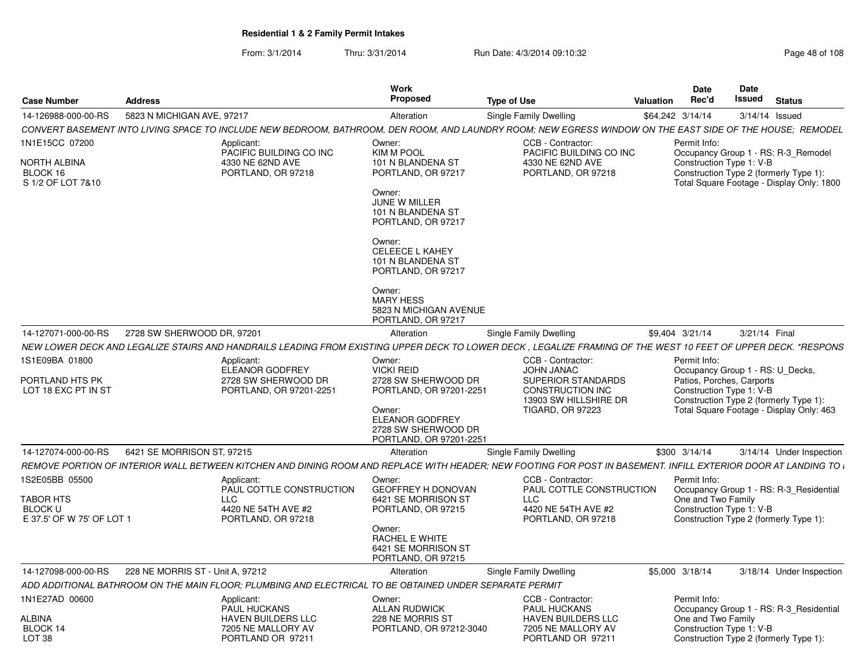From: 3/1/2014Thru: 3/31/2014 Run Date: 4/3/2014 09:10:32 Research 2010 Rage 48 of 108

| <b>Case Number</b>                                       | <b>Address</b>                   |                                                                                                         | <b>Work</b><br>Proposed                                                            | <b>Type of Use</b>                                                                                                                                             | <b>Valuation</b> | <b>Date</b><br>Rec'd                                                                     | <b>Date</b><br>Issued |  | <b>Status</b>                                                                      |  |  |
|----------------------------------------------------------|----------------------------------|---------------------------------------------------------------------------------------------------------|------------------------------------------------------------------------------------|----------------------------------------------------------------------------------------------------------------------------------------------------------------|------------------|------------------------------------------------------------------------------------------|-----------------------|--|------------------------------------------------------------------------------------|--|--|
| 14-126988-000-00-RS                                      | 5823 N MICHIGAN AVE, 97217       |                                                                                                         | Alteration                                                                         | Single Family Dwelling                                                                                                                                         |                  | \$64,242 3/14/14                                                                         | 3/14/14 Issued        |  |                                                                                    |  |  |
|                                                          |                                  |                                                                                                         |                                                                                    | CONVERT BASEMENT INTO LIVING SPACE TO INCLUDE NEW BEDROOM, BATHROOM, DEN ROOM, AND LAUNDRY ROOM; NEW EGRESS WINDOW ON THE EAST SIDE OF THE HOUSE;  REMODEL     |                  |                                                                                          |                       |  |                                                                                    |  |  |
| 1N1E15CC 07200                                           |                                  | Applicant:<br>PACIFIC BUILDING CO INC                                                                   | Owner:<br><b>KIM M POOL</b>                                                        | CCB - Contractor:<br>PACIFIC BUILDING CO INC                                                                                                                   |                  | Permit Info:<br>Occupancy Group 1 - RS: R-3_Remodel                                      |                       |  |                                                                                    |  |  |
| NORTH ALBINA<br>BLOCK 16<br>S 1/2 OF LOT 7&10            |                                  | 4330 NE 62ND AVE<br>PORTLAND, OR 97218                                                                  | 101 N BLANDENA ST<br>PORTLAND, OR 97217                                            | 4330 NE 62ND AVE<br>PORTLAND, OR 97218                                                                                                                         |                  | Construction Type 1: V-B<br>Construction Type 2 (formerly Type 1):                       |                       |  | Total Square Footage - Display Only: 1800                                          |  |  |
|                                                          |                                  |                                                                                                         | Owner:<br>JUNE W MILLER<br>101 N BLANDENA ST<br>PORTLAND, OR 97217                 |                                                                                                                                                                |                  |                                                                                          |                       |  |                                                                                    |  |  |
|                                                          |                                  |                                                                                                         | Owner:<br><b>CELEECE L KAHEY</b><br>101 N BLANDENA ST<br>PORTLAND, OR 97217        |                                                                                                                                                                |                  |                                                                                          |                       |  |                                                                                    |  |  |
|                                                          |                                  |                                                                                                         | Owner:<br><b>MARY HESS</b><br>5823 N MICHIGAN AVENUE<br>PORTLAND, OR 97217         |                                                                                                                                                                |                  |                                                                                          |                       |  |                                                                                    |  |  |
| 14-127071-000-00-RS                                      | 2728 SW SHERWOOD DR, 97201       |                                                                                                         | Alteration                                                                         | Single Family Dwelling                                                                                                                                         |                  | \$9,404 3/21/14                                                                          | 3/21/14 Final         |  |                                                                                    |  |  |
|                                                          |                                  |                                                                                                         |                                                                                    | NEW LOWER DECK AND LEGALIZE STAIRS AND HANDRAILS LEADING FROM EXISTING UPPER DECK TO LOWER DECK . LEGALIZE FRAMING OF THE WEST 10 FEET OF UPPER DECK. *RESPONS |                  |                                                                                          |                       |  |                                                                                    |  |  |
| 1S1E09BA 01800                                           |                                  | Applicant:                                                                                              | Owner:                                                                             | CCB - Contractor:                                                                                                                                              |                  | Permit Info:                                                                             |                       |  |                                                                                    |  |  |
| PORTLAND HTS PK                                          |                                  | ELEANOR GODFREY<br>2728 SW SHERWOOD DR                                                                  | <b>VICKI REID</b><br>2728 SW SHERWOOD DR                                           | <b>JOHN JANAC</b><br><b>SUPERIOR STANDARDS</b>                                                                                                                 |                  | Occupancy Group 1 - RS: U Decks,<br>Patios, Porches, Carports                            |                       |  |                                                                                    |  |  |
| LOT 18 EXC PT IN ST                                      |                                  | PORTLAND, OR 97201-2251                                                                                 | PORTLAND, OR 97201-2251                                                            | <b>CONSTRUCTION INC</b>                                                                                                                                        |                  | Construction Type 1: V-B                                                                 |                       |  |                                                                                    |  |  |
|                                                          |                                  |                                                                                                         | Owner:<br><b>ELEANOR GODFREY</b><br>2728 SW SHERWOOD DR<br>PORTLAND, OR 97201-2251 | 13903 SW HILLSHIRE DR<br><b>TIGARD, OR 97223</b>                                                                                                               |                  |                                                                                          |                       |  | Construction Type 2 (formerly Type 1):<br>Total Square Footage - Display Only: 463 |  |  |
| 14-127074-000-00-RS                                      | 6421 SE MORRISON ST, 97215       |                                                                                                         | Alteration                                                                         | Single Family Dwelling                                                                                                                                         |                  | \$300 3/14/14                                                                            |                       |  | 3/14/14 Under Inspection                                                           |  |  |
|                                                          |                                  |                                                                                                         |                                                                                    | REMOVE PORTION OF INTERIOR WALL BETWEEN KITCHEN AND DINING ROOM AND REPLACE WITH HEADER; NEW FOOTING FOR POST IN BASEMENT. INFILL EXTERIOR DOOR AT LANDING TO  |                  |                                                                                          |                       |  |                                                                                    |  |  |
| 1S2E05BB 05500                                           |                                  | Applicant:<br>PAUL COTTLE CONSTRUCTION                                                                  | Owner:<br><b>GEOFFREY H DONOVAN</b>                                                | CCB - Contractor:<br>PAUL COTTLE CONSTRUCTION                                                                                                                  |                  | Permit Info:                                                                             |                       |  | Occupancy Group 1 - RS: R-3 Residential                                            |  |  |
| TABOR HTS<br><b>BLOCK U</b><br>E 37.5' OF W 75' OF LOT 1 |                                  | <b>LLC</b><br>4420 NE 54TH AVE #2<br>PORTLAND, OR 97218                                                 | 6421 SE MORRISON ST<br>PORTLAND, OR 97215                                          | <b>LLC</b><br>4420 NE 54TH AVE #2<br>PORTLAND, OR 97218                                                                                                        |                  | One and Two Family<br>Construction Type 1: V-B<br>Construction Type 2 (formerly Type 1): |                       |  |                                                                                    |  |  |
|                                                          |                                  |                                                                                                         | Owner:<br>RACHEL E WHITE<br>6421 SE MORRISON ST<br>PORTLAND, OR 97215              |                                                                                                                                                                |                  |                                                                                          |                       |  |                                                                                    |  |  |
| 14-127098-000-00-RS                                      | 228 NE MORRIS ST - Unit A, 97212 |                                                                                                         | Alteration                                                                         | Single Family Dwelling                                                                                                                                         |                  | \$5,000 3/18/14                                                                          |                       |  | 3/18/14 Under Inspection                                                           |  |  |
|                                                          |                                  | ADD ADDITIONAL BATHROOM ON THE MAIN FLOOR: PLUMBING AND ELECTRICAL TO BE OBTAINED UNDER SEPARATE PERMIT |                                                                                    |                                                                                                                                                                |                  |                                                                                          |                       |  |                                                                                    |  |  |
| 1N1E27AD 00600                                           |                                  | Applicant:<br><b>PAUL HUCKANS</b>                                                                       | Owner:<br><b>ALLAN RUDWICK</b>                                                     | CCB - Contractor:<br><b>PAUL HUCKANS</b>                                                                                                                       |                  | Permit Info:                                                                             |                       |  | Occupancy Group 1 - RS: R-3 Residential                                            |  |  |
| ALBINA                                                   |                                  | HAVEN BUILDERS LLC                                                                                      | 228 NE MORRIS ST                                                                   | <b>HAVEN BUILDERS LLC</b>                                                                                                                                      |                  | One and Two Family                                                                       |                       |  |                                                                                    |  |  |
| BLOCK 14<br>LOT <sub>38</sub>                            |                                  | 7205 NE MALLORY AV<br>PORTLAND OR 97211                                                                 | PORTLAND, OR 97212-3040                                                            | 7205 NE MALLORY AV<br>PORTLAND OR 97211                                                                                                                        |                  | Construction Type 1: V-B<br>Construction Type 2 (formerly Type 1):                       |                       |  |                                                                                    |  |  |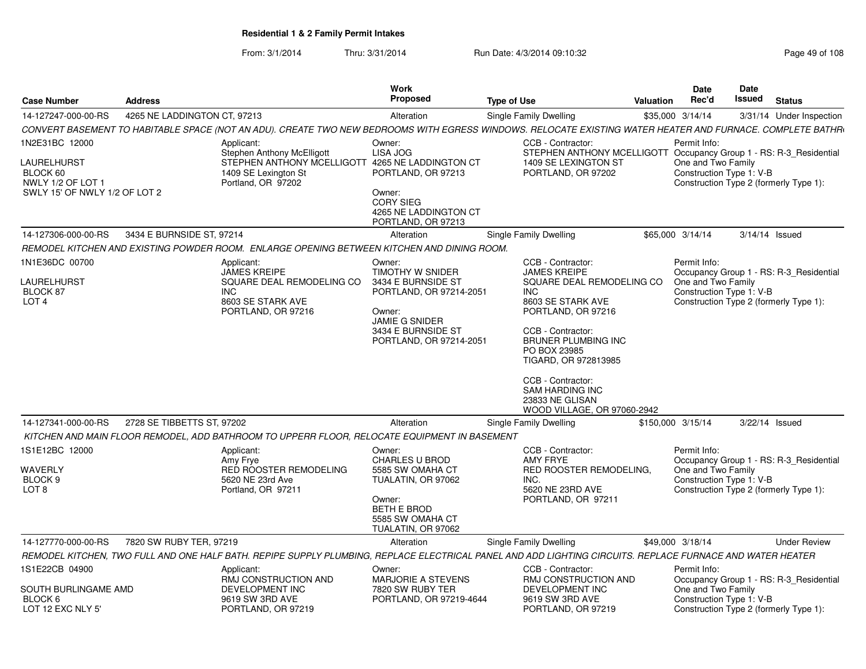From: 3/1/2014Thru: 3/31/2014 Run Date: 4/3/2014 09:10:32 Research 2010 Rage 49 of 108

|                                                                                                 |                              |                                                                                                                                                           | Work                                                                                                                                                     |                    |                                                                                                                                                                                                                                                                                                                            |           | Date                                                           | Date   |                                                                                   |
|-------------------------------------------------------------------------------------------------|------------------------------|-----------------------------------------------------------------------------------------------------------------------------------------------------------|----------------------------------------------------------------------------------------------------------------------------------------------------------|--------------------|----------------------------------------------------------------------------------------------------------------------------------------------------------------------------------------------------------------------------------------------------------------------------------------------------------------------------|-----------|----------------------------------------------------------------|--------|-----------------------------------------------------------------------------------|
| <b>Case Number</b>                                                                              | <b>Address</b>               |                                                                                                                                                           | Proposed                                                                                                                                                 | <b>Type of Use</b> |                                                                                                                                                                                                                                                                                                                            | Valuation | Rec'd                                                          | Issued | <b>Status</b>                                                                     |
| 14-127247-000-00-RS                                                                             | 4265 NE LADDINGTON CT. 97213 |                                                                                                                                                           | Alteration                                                                                                                                               |                    | Single Family Dwelling                                                                                                                                                                                                                                                                                                     |           | \$35,000 3/14/14                                               |        | 3/31/14 Under Inspection                                                          |
|                                                                                                 |                              | CONVERT BASEMENT TO HABITABLE SPACE (NOT AN ADU). CREATE TWO NEW BEDROOMS WITH EGRESS WINDOWS. RELOCATE EXISTING WATER HEATER AND FURNACE. COMPLETE BATHR |                                                                                                                                                          |                    |                                                                                                                                                                                                                                                                                                                            |           |                                                                |        |                                                                                   |
| 1N2E31BC 12000<br>LAURELHURST<br>BLOCK 60<br>NWLY 1/2 OF LOT 1<br>SWLY 15' OF NWLY 1/2 OF LOT 2 |                              | Applicant:<br><b>Stephen Anthony McElligott</b><br>STEPHEN ANTHONY MCELLIGOTT 4265 NE LADDINGTON CT<br>1409 SE Lexington St<br>Portland, OR 97202         | Owner:<br>LISA JOG<br>PORTLAND, OR 97213<br>Owner:<br><b>CORY SIEG</b><br>4265 NE LADDINGTON CT<br>PORTLAND, OR 97213                                    |                    | CCB - Contractor:<br>STEPHEN ANTHONY MCELLIGOTT Occupancy Group 1 - RS: R-3_Residential<br>1409 SE LEXINGTON ST<br>PORTLAND, OR 97202                                                                                                                                                                                      |           | Permit Info:<br>One and Two Family<br>Construction Type 1: V-B |        | Construction Type 2 (formerly Type 1):                                            |
| 14-127306-000-00-RS                                                                             | 3434 E BURNSIDE ST, 97214    |                                                                                                                                                           | Alteration                                                                                                                                               |                    | Single Family Dwelling                                                                                                                                                                                                                                                                                                     |           | \$65,000 3/14/14                                               |        | 3/14/14 Issued                                                                    |
|                                                                                                 |                              | REMODEL KITCHEN AND EXISTING POWDER ROOM. ENLARGE OPENING BETWEEN KITCHEN AND DINING ROOM.                                                                |                                                                                                                                                          |                    |                                                                                                                                                                                                                                                                                                                            |           |                                                                |        |                                                                                   |
| 1N1E36DC 00700<br>LAURELHURST<br>BLOCK 87<br>LOT <sub>4</sub>                                   |                              | Applicant:<br><b>JAMES KREIPE</b><br>SQUARE DEAL REMODELING CO<br>INC.<br>8603 SE STARK AVE<br>PORTLAND, OR 97216                                         | Owner:<br>TIMOTHY W SNIDER<br>3434 E BURNSIDE ST<br>PORTLAND, OR 97214-2051<br>Owner:<br>JAMIE G SNIDER<br>3434 E BURNSIDE ST<br>PORTLAND, OR 97214-2051 |                    | CCB - Contractor:<br><b>JAMES KREIPE</b><br>SQUARE DEAL REMODELING CO<br><b>INC</b><br>8603 SE STARK AVE<br>PORTLAND, OR 97216<br>CCB - Contractor:<br><b>BRUNER PLUMBING INC</b><br>PO BOX 23985<br>TIGARD, OR 972813985<br>CCB - Contractor:<br><b>SAM HARDING INC</b><br>23833 NE GLISAN<br>WOOD VILLAGE, OR 97060-2942 |           | Permit Info:<br>One and Two Family<br>Construction Type 1: V-B |        | Occupancy Group 1 - RS: R-3_Residential<br>Construction Type 2 (formerly Type 1): |
| 14-127341-000-00-RS                                                                             | 2728 SE TIBBETTS ST, 97202   |                                                                                                                                                           | Alteration                                                                                                                                               |                    | Single Family Dwelling                                                                                                                                                                                                                                                                                                     |           | \$150,000 3/15/14                                              |        | 3/22/14 Issued                                                                    |
|                                                                                                 |                              | KITCHEN AND MAIN FLOOR REMODEL, ADD BATHROOM TO UPPERR FLOOR, RELOCATE EQUIPMENT IN BASEMENT                                                              |                                                                                                                                                          |                    |                                                                                                                                                                                                                                                                                                                            |           |                                                                |        |                                                                                   |
| 1S1E12BC 12000<br>WAVERLY<br>BLOCK <sub>9</sub><br>LOT 8                                        |                              | Applicant:<br>Amy Frye<br><b>RED ROOSTER REMODELING</b><br>5620 NE 23rd Ave<br>Portland, OR 97211                                                         | Owner:<br><b>CHARLES U BROD</b><br>5585 SW OMAHA CT<br>TUALATIN, OR 97062<br>Owner:<br><b>BETH E BROD</b><br>5585 SW OMAHA CT<br>TUALATIN, OR 97062      |                    | CCB - Contractor:<br><b>AMY FRYE</b><br>RED ROOSTER REMODELING.<br>INC.<br>5620 NE 23RD AVE<br>PORTLAND, OR 97211                                                                                                                                                                                                          |           | Permit Info:<br>One and Two Family<br>Construction Type 1: V-B |        | Occupancy Group 1 - RS: R-3 Residential<br>Construction Type 2 (formerly Type 1): |
| 14-127770-000-00-RS                                                                             | 7820 SW RUBY TER, 97219      |                                                                                                                                                           | Alteration                                                                                                                                               |                    | Single Family Dwelling                                                                                                                                                                                                                                                                                                     |           | \$49,000 3/18/14                                               |        | <b>Under Review</b>                                                               |
|                                                                                                 |                              | REMODEL KITCHEN, TWO FULL AND ONE HALF BATH. REPIPE SUPPLY PLUMBING, REPLACE ELECTRICAL PANEL AND ADD LIGHTING CIRCUITS. REPLACE FURNACE AND WATER HEATER |                                                                                                                                                          |                    |                                                                                                                                                                                                                                                                                                                            |           |                                                                |        |                                                                                   |
| 1S1E22CB 04900<br>SOUTH BURLINGAME AMD<br>BLOCK 6<br>LOT 12 EXC NLY 5'                          |                              | Applicant:<br>RMJ CONSTRUCTION AND<br>DEVELOPMENT INC<br>9619 SW 3RD AVE<br>PORTLAND, OR 97219                                                            | Owner:<br>MARJORIE A STEVENS<br>7820 SW RUBY TER<br>PORTLAND, OR 97219-4644                                                                              |                    | CCB - Contractor:<br>RMJ CONSTRUCTION AND<br><b>DEVELOPMENT INC</b><br>9619 SW 3RD AVE<br>PORTLAND, OR 97219                                                                                                                                                                                                               |           | Permit Info:<br>One and Two Family<br>Construction Type 1: V-B |        | Occupancy Group 1 - RS: R-3_Residential<br>Construction Type 2 (formerly Type 1): |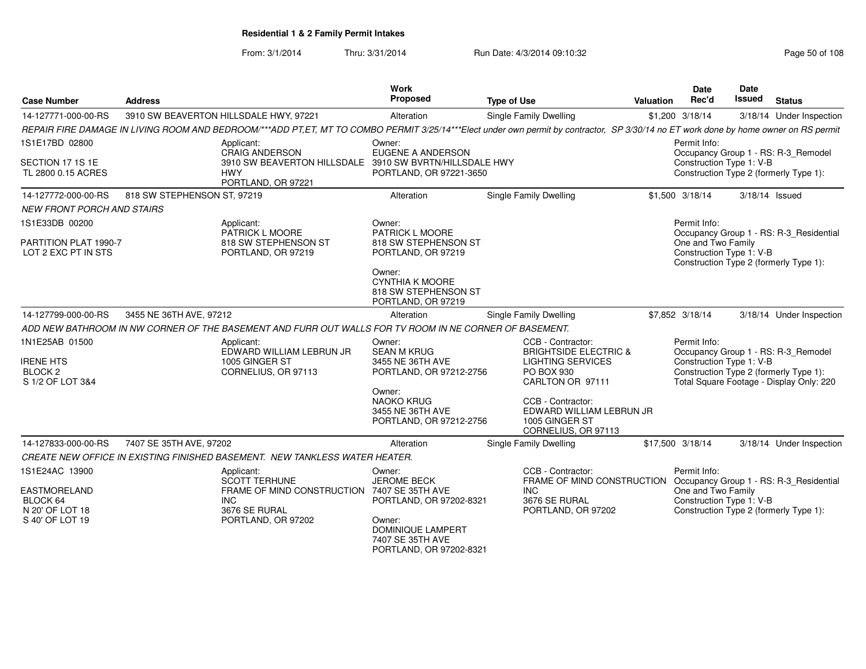From: 3/1/2014Thru: 3/31/2014 Run Date: 4/3/2014 09:10:32 Research 2010 Rage 50 of 108

| <b>Case Number</b>                                         | <b>Address</b>              |                                                                                                                                                                                      | Work<br>Proposed                                                               | <b>Type of Use</b>                                                                     | Valuation | <b>Date</b><br>Rec'd                           | Date<br><b>Issued</b> | <b>Status</b>                                                                      |
|------------------------------------------------------------|-----------------------------|--------------------------------------------------------------------------------------------------------------------------------------------------------------------------------------|--------------------------------------------------------------------------------|----------------------------------------------------------------------------------------|-----------|------------------------------------------------|-----------------------|------------------------------------------------------------------------------------|
| 14-127771-000-00-RS                                        |                             | 3910 SW BEAVERTON HILLSDALE HWY, 97221                                                                                                                                               | Alteration                                                                     | <b>Single Family Dwelling</b>                                                          |           | \$1,200 3/18/14                                |                       | 3/18/14 Under Inspection                                                           |
|                                                            |                             | REPAIR FIRE DAMAGE IN LIVING ROOM AND BEDROOM/***ADD PT,ET, MT TO COMBO PERMIT 3/25/14***Elect under own permit by contractor, SP 3/30/14 no ET work done by home owner on RS permit |                                                                                |                                                                                        |           |                                                |                       |                                                                                    |
| 1S1E17BD 02800                                             |                             | Applicant:<br><b>CRAIG ANDERSON</b>                                                                                                                                                  | Owner:<br><b>EUGENE A ANDERSON</b>                                             |                                                                                        |           | Permit Info:                                   |                       | Occupancy Group 1 - RS: R-3_Remodel                                                |
| SECTION 17 1S 1E<br>TL 2800 0.15 ACRES                     |                             | 3910 SW BEAVERTON HILLSDALE<br><b>HWY</b><br>PORTLAND, OR 97221                                                                                                                      | 3910 SW BVRTN/HILLSDALE HWY<br>PORTLAND, OR 97221-3650                         |                                                                                        |           | Construction Type 1: V-B                       |                       | Construction Type 2 (formerly Type 1):                                             |
| 14-127772-000-00-RS                                        | 818 SW STEPHENSON ST, 97219 |                                                                                                                                                                                      | Alteration                                                                     | <b>Single Family Dwelling</b>                                                          |           | \$1,500 3/18/14                                |                       | 3/18/14 Issued                                                                     |
| <b>NEW FRONT PORCH AND STAIRS</b>                          |                             |                                                                                                                                                                                      |                                                                                |                                                                                        |           |                                                |                       |                                                                                    |
| 1S1E33DB 00200                                             |                             | Applicant:<br>PATRICK L MOORE                                                                                                                                                        | Owner:<br>PATRICK L MOORE                                                      |                                                                                        |           | Permit Info:                                   |                       | Occupancy Group 1 - RS: R-3_Residential                                            |
| PARTITION PLAT 1990-7<br>LOT 2 EXC PT IN STS               |                             | 818 SW STEPHENSON ST<br>PORTLAND, OR 97219                                                                                                                                           | 818 SW STEPHENSON ST<br>PORTLAND, OR 97219                                     |                                                                                        |           | One and Two Family<br>Construction Type 1: V-B |                       | Construction Type 2 (formerly Type 1):                                             |
|                                                            |                             |                                                                                                                                                                                      | Owner:<br><b>CYNTHIA K MOORE</b><br>818 SW STEPHENSON ST<br>PORTLAND, OR 97219 |                                                                                        |           |                                                |                       |                                                                                    |
| 14-127799-000-00-RS                                        | 3455 NE 36TH AVE, 97212     |                                                                                                                                                                                      | Alteration                                                                     | Single Family Dwelling                                                                 |           | \$7,852 3/18/14                                |                       | 3/18/14 Under Inspection                                                           |
|                                                            |                             | ADD NEW BATHROOM IN NW CORNER OF THE BASEMENT AND FURR OUT WALLS FOR TV ROOM IN NE CORNER OF BASEMENT.                                                                               |                                                                                |                                                                                        |           |                                                |                       |                                                                                    |
| 1N1E25AB 01500                                             |                             | Applicant:<br>EDWARD WILLIAM LEBRUN JR                                                                                                                                               | Owner:<br><b>SEAN M KRUG</b>                                                   | CCB - Contractor:<br><b>BRIGHTSIDE ELECTRIC &amp;</b>                                  |           | Permit Info:                                   |                       | Occupancy Group 1 - RS: R-3_Remodel                                                |
| <b>IRENE HTS</b><br>BLOCK <sub>2</sub><br>S 1/2 OF LOT 3&4 |                             | 1005 GINGER ST<br>CORNELIUS, OR 97113                                                                                                                                                | 3455 NE 36TH AVE<br>PORTLAND, OR 97212-2756                                    | <b>LIGHTING SERVICES</b><br>PO BOX 930<br>CARLTON OR 97111                             |           | Construction Type 1: V-B                       |                       | Construction Type 2 (formerly Type 1):<br>Total Square Footage - Display Only: 220 |
|                                                            |                             |                                                                                                                                                                                      | Owner:<br><b>NAOKO KRUG</b><br>3455 NE 36TH AVE<br>PORTLAND, OR 97212-2756     | CCB - Contractor:<br>EDWARD WILLIAM LEBRUN JR<br>1005 GINGER ST<br>CORNELIUS, OR 97113 |           |                                                |                       |                                                                                    |
| 14-127833-000-00-RS                                        | 7407 SE 35TH AVE, 97202     |                                                                                                                                                                                      | Alteration                                                                     | Single Family Dwelling                                                                 |           | \$17,500 3/18/14                               |                       | 3/18/14 Under Inspection                                                           |
|                                                            |                             | CREATE NEW OFFICE IN EXISTING FINISHED BASEMENT. NEW TANKLESS WATER HEATER.                                                                                                          |                                                                                |                                                                                        |           |                                                |                       |                                                                                    |
| 1S1E24AC 13900                                             |                             | Applicant:<br><b>SCOTT TERHUNE</b>                                                                                                                                                   | Owner:<br><b>JEROME BECK</b>                                                   | CCB - Contractor:<br>FRAME OF MIND CONSTRUCTION                                        |           | Permit Info:                                   |                       | Occupancy Group 1 - RS: R-3_Residential                                            |
| EASTMORELAND<br>BLOCK 64<br>N 20' OF LOT 18                |                             | FRAME OF MIND CONSTRUCTION 7407 SE 35TH AVE<br><b>INC</b><br>3676 SE RURAL                                                                                                           | PORTLAND, OR 97202-8321                                                        | INC.<br>3676 SE RURAL<br>PORTLAND, OR 97202                                            |           | One and Two Family<br>Construction Type 1: V-B |                       | Construction Type 2 (formerly Type 1):                                             |
| S 40' OF LOT 19                                            |                             | PORTLAND, OR 97202                                                                                                                                                                   | Owner:<br>DOMINIQUE LAMPERT<br>7407 SE 35TH AVE<br>PORTLAND, OR 97202-8321     |                                                                                        |           |                                                |                       |                                                                                    |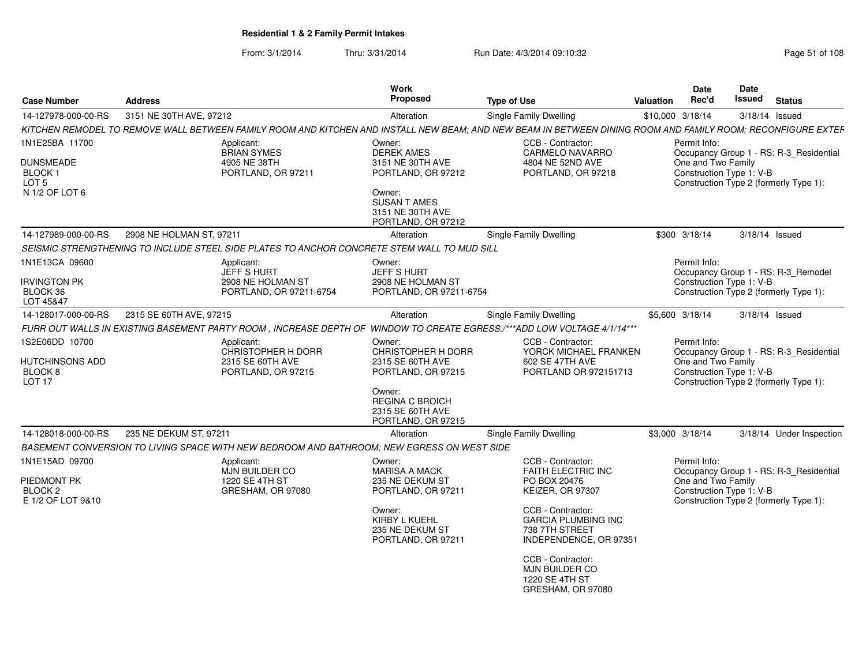From: 3/1/2014Thru: 3/31/2014 Run Date: 4/3/2014 09:10:32 Research 2010 Rage 51 of 108

| <b>Case Number</b>                                                | <b>Address</b>           |                                                                                             | Work<br>Proposed                                                                 | <b>Type of Use</b>                                                                                                                                          | Valuation | <b>Date</b><br>Rec'd                                           | Date<br>Issued | <b>Status</b>                                                                     |
|-------------------------------------------------------------------|--------------------------|---------------------------------------------------------------------------------------------|----------------------------------------------------------------------------------|-------------------------------------------------------------------------------------------------------------------------------------------------------------|-----------|----------------------------------------------------------------|----------------|-----------------------------------------------------------------------------------|
| 14-127978-000-00-RS                                               | 3151 NE 30TH AVE, 97212  |                                                                                             | Alteration                                                                       | Single Family Dwelling                                                                                                                                      |           | \$10,000 3/18/14                                               |                | $3/18/14$ Issued                                                                  |
|                                                                   |                          |                                                                                             |                                                                                  | KITCHEN REMODEL TO REMOVE WALL BETWEEN FAMILY ROOM AND KITCHEN AND INSTALL NEW BEAM; AND NEW BEAM IN BETWEEN DINING ROOM AND FAMILY ROOM; RECONFIGURE EXTEF |           |                                                                |                |                                                                                   |
| 1N1E25BA 11700                                                    |                          | Applicant:<br><b>BRIAN SYMES</b>                                                            | Owner:<br><b>DEREK AMES</b>                                                      | CCB - Contractor:<br><b>CARMELO NAVARRO</b>                                                                                                                 |           | Permit Info:                                                   |                | Occupancy Group 1 - RS: R-3_Residential                                           |
| <b>DUNSMEADE</b><br>BLOCK 1<br>LOT <sub>5</sub><br>N 1/2 OF LOT 6 |                          | 4905 NE 38TH<br>PORTLAND, OR 97211                                                          | 3151 NE 30TH AVE<br>PORTLAND, OR 97212<br>Owner:                                 | 4804 NE 52ND AVE<br>PORTLAND, OR 97218                                                                                                                      |           | One and Two Family<br>Construction Type 1: V-B                 |                | Construction Type 2 (formerly Type 1):                                            |
|                                                                   |                          |                                                                                             | <b>SUSAN T AMES</b><br>3151 NE 30TH AVE<br>PORTLAND, OR 97212                    |                                                                                                                                                             |           |                                                                |                |                                                                                   |
| 14-127989-000-00-RS                                               | 2908 NE HOLMAN ST, 97211 |                                                                                             | Alteration                                                                       | Single Family Dwelling                                                                                                                                      |           | \$300 3/18/14                                                  |                | $3/18/14$ Issued                                                                  |
|                                                                   |                          | SEISMIC STRENGTHENING TO INCLUDE STEEL SIDE PLATES TO ANCHOR CONCRETE STEM WALL TO MUD SILL |                                                                                  |                                                                                                                                                             |           |                                                                |                |                                                                                   |
| 1N1E13CA 09600<br><b>IRVINGTON PK</b><br>BLOCK 36                 |                          | Applicant:<br><b>JEFF S HURT</b><br>2908 NE HOLMAN ST<br>PORTLAND, OR 97211-6754            | Owner:<br><b>JEFF S HURT</b><br>2908 NE HOLMAN ST<br>PORTLAND, OR 97211-6754     |                                                                                                                                                             |           | Permit Info:<br>Construction Type 1: V-B                       |                | Occupancy Group 1 - RS: R-3 Remodel<br>Construction Type 2 (formerly Type 1):     |
| LOT 45&47                                                         |                          |                                                                                             |                                                                                  |                                                                                                                                                             |           |                                                                |                |                                                                                   |
| 14-128017-000-00-RS                                               | 2315 SE 60TH AVE, 97215  |                                                                                             | Alteration                                                                       | Single Family Dwelling                                                                                                                                      |           | \$5,600 3/18/14                                                |                | 3/18/14 Issued                                                                    |
|                                                                   |                          |                                                                                             |                                                                                  | FURR OUT WALLS IN EXISTING BASEMENT PARTY ROOM, INCREASE DEPTH OF WINDOW TO CREATE EGRESS./***ADD LOW VOLTAGE 4/1/14***                                     |           |                                                                |                |                                                                                   |
| 1S2E06DD 10700<br>HUTCHINSONS ADD<br>BLOCK 8<br>LOT <sub>17</sub> |                          | Applicant:<br>CHRISTOPHER H DORR<br>2315 SE 60TH AVE<br>PORTLAND, OR 97215                  | Owner:<br>CHRISTOPHER H DORR<br>2315 SE 60TH AVE<br>PORTLAND, OR 97215<br>Owner: | CCB - Contractor:<br>YORCK MICHAEL FRANKEN<br>602 SE 47TH AVE<br>PORTLAND OR 972151713                                                                      |           | Permit Info:<br>One and Two Family<br>Construction Type 1: V-B |                | Occupancy Group 1 - RS: R-3_Residential<br>Construction Type 2 (formerly Type 1): |
|                                                                   |                          |                                                                                             | <b>REGINA C BROICH</b><br>2315 SE 60TH AVE<br>PORTLAND, OR 97215                 |                                                                                                                                                             |           |                                                                |                |                                                                                   |
| 14-128018-000-00-RS                                               | 235 NE DEKUM ST, 97211   |                                                                                             | Alteration                                                                       | Single Family Dwelling                                                                                                                                      |           | \$3,000 3/18/14                                                |                | 3/18/14 Under Inspection                                                          |
|                                                                   |                          | BASEMENT CONVERSION TO LIVING SPACE WITH NEW BEDROOM AND BATHROOM: NEW EGRESS ON WEST SIDE  |                                                                                  |                                                                                                                                                             |           |                                                                |                |                                                                                   |
| 1N1E15AD 09700<br>PIEDMONT PK<br>BLOCK <sub>2</sub>               |                          | Applicant:<br>MJN BUILDER CO<br>1220 SE 4TH ST<br>GRESHAM, OR 97080                         | Owner:<br><b>MARISA A MACK</b><br>235 NE DEKUM ST<br>PORTLAND, OR 97211          | CCB - Contractor:<br>FAITH ELECTRIC INC<br>PO BOX 20476<br>KEIZER, OR 97307                                                                                 |           | Permit Info:<br>One and Two Family<br>Construction Type 1: V-B |                | Occupancy Group 1 - RS: R-3_Residential                                           |
| E 1/2 OF LOT 9&10                                                 |                          |                                                                                             | Owner:<br>KIRBY L KUEHL<br>235 NE DEKUM ST<br>PORTLAND, OR 97211                 | CCB - Contractor:<br><b>GARCIA PLUMBING INC</b><br>738 7TH STREET<br>INDEPENDENCE, OR 97351<br>CCB - Contractor:                                            |           |                                                                |                | Construction Type 2 (formerly Type 1):                                            |
|                                                                   |                          |                                                                                             |                                                                                  | MJN BUILDER CO<br>1220 SE 4TH ST<br>GRESHAM, OR 97080                                                                                                       |           |                                                                |                |                                                                                   |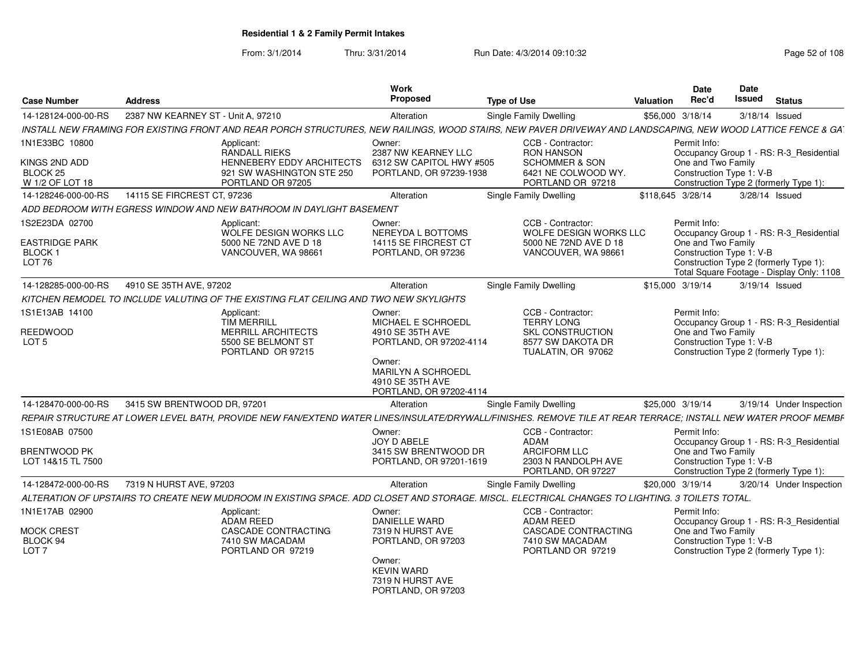From: 3/1/2014Thru: 3/31/2014 Run Date: 4/3/2014 09:10:32 Research 2010 Rage 52 of 108

| <b>Case Number</b>                                | <b>Address</b>                     |                                                                                        | <b>Work</b><br><b>Proposed</b>                                        | <b>Type of Use</b>                                                                                                                                             | Valuation | <b>Date</b><br>Rec'd                           | <b>Date</b><br>Issued | <b>Status</b>                                                                       |
|---------------------------------------------------|------------------------------------|----------------------------------------------------------------------------------------|-----------------------------------------------------------------------|----------------------------------------------------------------------------------------------------------------------------------------------------------------|-----------|------------------------------------------------|-----------------------|-------------------------------------------------------------------------------------|
| 14-128124-000-00-RS                               | 2387 NW KEARNEY ST - Unit A, 97210 |                                                                                        | Alteration                                                            | Single Family Dwelling                                                                                                                                         |           | \$56,000 3/18/14                               | 3/18/14 Issued        |                                                                                     |
|                                                   |                                    |                                                                                        |                                                                       | INSTALL NEW FRAMING FOR EXISTING FRONT AND REAR PORCH STRUCTURES, NEW RAILINGS, WOOD STAIRS, NEW PAVER DRIVEWAY AND LANDSCAPING, NEW WOOD LATTICE FENCE & GA.  |           |                                                |                       |                                                                                     |
| 1N1E33BC 10800                                    |                                    | Applicant:<br><b>RANDALL RIEKS</b>                                                     | Owner:<br>2387 NW KEARNEY LLC                                         | CCB - Contractor:<br><b>RON HANSON</b>                                                                                                                         |           | Permit Info:                                   |                       | Occupancy Group 1 - RS: R-3_Residential                                             |
| KINGS 2ND ADD<br>BLOCK 25<br>W 1/2 OF LOT 18      |                                    | <b>HENNEBERY EDDY ARCHITECTS</b><br>921 SW WASHINGTON STE 250<br>PORTLAND OR 97205     | 6312 SW CAPITOL HWY #505<br>PORTLAND, OR 97239-1938                   | <b>SCHOMMER &amp; SON</b><br>6421 NE COLWOOD WY.<br>PORTLAND OR 97218                                                                                          |           | One and Two Family<br>Construction Type 1: V-B |                       | Construction Type 2 (formerly Type 1):                                              |
| 14-128246-000-00-RS                               | 14115 SE FIRCREST CT, 97236        |                                                                                        | Alteration                                                            | Single Family Dwelling                                                                                                                                         |           | \$118,645 3/28/14                              |                       | 3/28/14 Issued                                                                      |
|                                                   |                                    | ADD BEDROOM WITH EGRESS WINDOW AND NEW BATHROOM IN DAYLIGHT BASEMENT                   |                                                                       |                                                                                                                                                                |           |                                                |                       |                                                                                     |
| 1S2E23DA 02700<br>EASTRIDGE PARK                  |                                    | Applicant:<br>WOLFE DESIGN WORKS LLC<br>5000 NE 72ND AVE D 18                          | Owner:<br>NEREYDA L BOTTOMS<br>14115 SE FIRCREST CT                   | CCB - Contractor:<br><b>WOLFE DESIGN WORKS LLC</b><br>5000 NE 72ND AVE D 18                                                                                    |           | Permit Info:<br>One and Two Family             |                       | Occupancy Group 1 - RS: R-3 Residential                                             |
| <b>BLOCK1</b><br>LOT <sub>76</sub>                |                                    | VANCOUVER, WA 98661                                                                    | PORTLAND, OR 97236                                                    | VANCOUVER, WA 98661                                                                                                                                            |           | Construction Type 1: V-B                       |                       | Construction Type 2 (formerly Type 1):<br>Total Square Footage - Display Only: 1108 |
| 14-128285-000-00-RS                               | 4910 SE 35TH AVE, 97202            |                                                                                        | Alteration                                                            | Single Family Dwelling                                                                                                                                         |           | \$15,000 3/19/14                               | 3/19/14 Issued        |                                                                                     |
|                                                   |                                    | KITCHEN REMODEL TO INCLUDE VALUTING OF THE EXISTING FLAT CEILING AND TWO NEW SKYLIGHTS |                                                                       |                                                                                                                                                                |           |                                                |                       |                                                                                     |
| 1S1E13AB 14100                                    |                                    | Applicant:<br><b>TIM MERRILL</b>                                                       | Owner:<br>MICHAEL E SCHROEDL                                          | CCB - Contractor:<br><b>TERRY LONG</b>                                                                                                                         |           | Permit Info:                                   |                       | Occupancy Group 1 - RS: R-3_Residential                                             |
| <b>REEDWOOD</b><br>LOT <sub>5</sub>               |                                    | <b>MERRILL ARCHITECTS</b><br>5500 SE BELMONT ST<br>PORTLAND OR 97215                   | 4910 SE 35TH AVE<br>PORTLAND, OR 97202-4114<br>Owner:                 | <b>SKL CONSTRUCTION</b><br>8577 SW DAKOTA DR<br>TUALATIN, OR 97062                                                                                             |           | One and Two Family<br>Construction Type 1: V-B |                       | Construction Type 2 (formerly Type 1):                                              |
|                                                   |                                    |                                                                                        | MARILYN A SCHROEDL<br>4910 SE 35TH AVE<br>PORTLAND, OR 97202-4114     |                                                                                                                                                                |           |                                                |                       |                                                                                     |
| 14-128470-000-00-RS                               | 3415 SW BRENTWOOD DR, 97201        |                                                                                        | Alteration                                                            | Single Family Dwelling                                                                                                                                         |           | \$25,000 3/19/14                               |                       | 3/19/14 Under Inspection                                                            |
|                                                   |                                    |                                                                                        |                                                                       | REPAIR STRUCTURE AT LOWER LEVEL BATH. PROVIDE NEW FAN/EXTEND WATER LINES/INSULATE/DRYWALL/FINISHES. REMOVE TILE AT REAR TERRACE: INSTALL NEW WATER PROOF MEMBF |           |                                                |                       |                                                                                     |
| 1S1E08AB 07500                                    |                                    |                                                                                        | Owner:<br>JOY D ABELE                                                 | CCB - Contractor:<br>ADAM                                                                                                                                      |           | Permit Info:                                   |                       | Occupancy Group 1 - RS: R-3_Residential                                             |
| <b>BRENTWOOD PK</b><br>LOT 14&15 TL 7500          |                                    |                                                                                        | 3415 SW BRENTWOOD DR<br>PORTLAND, OR 97201-1619                       | <b>ARCIFORM LLC</b><br>2303 N RANDOLPH AVE<br>PORTLAND, OR 97227                                                                                               |           | One and Two Family<br>Construction Type 1: V-B |                       | Construction Type 2 (formerly Type 1):                                              |
| 14-128472-000-00-RS                               | 7319 N HURST AVE, 97203            |                                                                                        | Alteration                                                            | Single Family Dwelling                                                                                                                                         |           | \$20,000 3/19/14                               |                       | 3/20/14 Under Inspection                                                            |
|                                                   |                                    |                                                                                        |                                                                       | ALTERATION OF UPSTAIRS TO CREATE NEW MUDROOM IN EXISTING SPACE. ADD CLOSET AND STORAGE. MISCL. ELECTRICAL CHANGES TO LIGHTING. 3 TOILETS TOTAL.                |           |                                                |                       |                                                                                     |
| 1N1E17AB 02900                                    |                                    | Applicant:                                                                             | Owner:                                                                | CCB - Contractor:                                                                                                                                              |           | Permit Info:                                   |                       |                                                                                     |
| <b>MOCK CREST</b><br>BLOCK 94<br>LOT <sub>7</sub> |                                    | <b>ADAM REED</b><br>CASCADE CONTRACTING<br>7410 SW MACADAM<br>PORTLAND OR 97219        | <b>DANIELLE WARD</b><br>7319 N HURST AVE<br>PORTLAND, OR 97203        | <b>ADAM REED</b><br>CASCADE CONTRACTING<br>7410 SW MACADAM<br>PORTLAND OR 97219                                                                                |           | One and Two Family<br>Construction Type 1: V-B |                       | Occupancy Group 1 - RS: R-3_Residential<br>Construction Type 2 (formerly Type 1):   |
|                                                   |                                    |                                                                                        | Owner:<br><b>KEVIN WARD</b><br>7319 N HURST AVE<br>PORTLAND, OR 97203 |                                                                                                                                                                |           |                                                |                       |                                                                                     |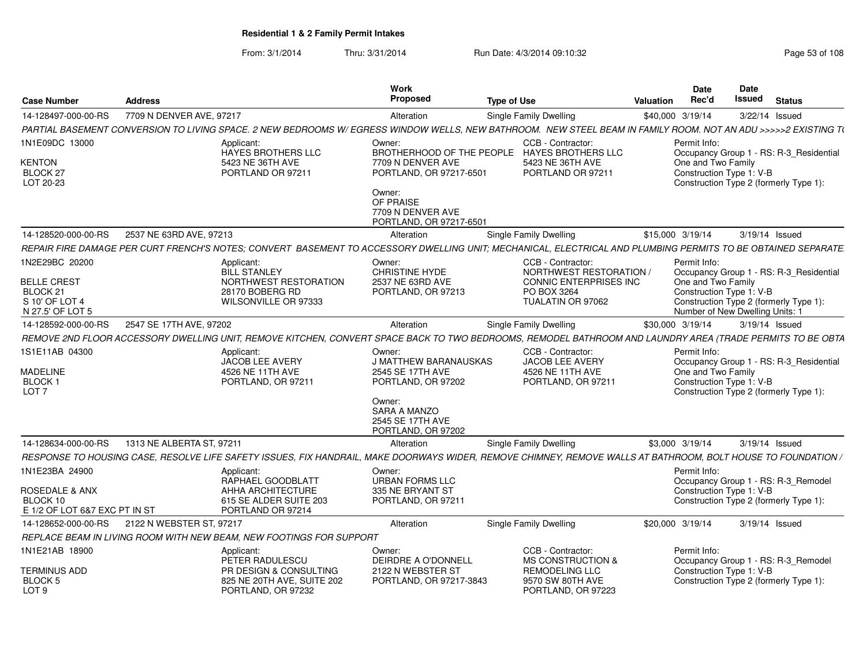From: 3/1/2014Thru: 3/31/2014 Run Date: 4/3/2014 09:10:32 Research 2010 Rage 53 of 108

| <b>Case Number</b>                                                            | <b>Address</b>            |                                                                                                                                                                                                                                               | Work<br><b>Proposed</b>                                                                                                                              | <b>Type of Use</b> |                                                                                       | <b>Valuation</b> | <b>Date</b><br>Rec'd                                           | Date<br>Issued | <b>Status</b>                                                                     |
|-------------------------------------------------------------------------------|---------------------------|-----------------------------------------------------------------------------------------------------------------------------------------------------------------------------------------------------------------------------------------------|------------------------------------------------------------------------------------------------------------------------------------------------------|--------------------|---------------------------------------------------------------------------------------|------------------|----------------------------------------------------------------|----------------|-----------------------------------------------------------------------------------|
| 14-128497-000-00-RS                                                           | 7709 N DENVER AVE, 97217  |                                                                                                                                                                                                                                               | Alteration                                                                                                                                           |                    | Single Family Dwelling                                                                |                  | \$40,000 3/19/14                                               |                | 3/22/14 Issued                                                                    |
|                                                                               |                           | PARTIAL BASEMENT CONVERSION TO LIVING SPACE. 2 NEW BEDROOMS W/ EGRESS WINDOW WELLS, NEW BATHROOM. NEW STEEL BEAM IN FAMILY ROOM. NOT AN ADU >>>>>2 EXISTING T(                                                                                |                                                                                                                                                      |                    |                                                                                       |                  |                                                                |                |                                                                                   |
| 1N1E09DC 13000                                                                |                           | Applicant:<br>HAYES BROTHERS LLC                                                                                                                                                                                                              | Owner:<br>BROTHERHOOD OF THE PEOPLE HAYES BROTHERS LLC                                                                                               |                    | CCB - Contractor:                                                                     |                  | Permit Info:                                                   |                | Occupancy Group 1 - RS: R-3_Residential                                           |
| <b>KENTON</b><br>BLOCK <sub>27</sub><br>LOT 20-23                             |                           | 5423 NE 36TH AVE<br>PORTLAND OR 97211                                                                                                                                                                                                         | 7709 N DENVER AVE<br>PORTLAND, OR 97217-6501<br>Owner:<br>OF PRAISE<br>7709 N DENVER AVE                                                             |                    | 5423 NE 36TH AVE<br>PORTLAND OR 97211                                                 |                  | One and Two Family<br>Construction Type 1: V-B                 |                | Construction Type 2 (formerly Type 1):                                            |
|                                                                               | 2537 NE 63RD AVE, 97213   |                                                                                                                                                                                                                                               | PORTLAND, OR 97217-6501                                                                                                                              |                    | <b>Single Family Dwelling</b>                                                         |                  |                                                                | 3/19/14 Issued |                                                                                   |
| 14-128520-000-00-RS                                                           |                           |                                                                                                                                                                                                                                               | Alteration                                                                                                                                           |                    |                                                                                       |                  | \$15,000 3/19/14                                               |                |                                                                                   |
| 1N2E29BC 20200<br><b>BELLE CREST</b><br>BLOCK <sub>21</sub>                   |                           | REPAIR FIRE DAMAGE PER CURT FRENCH'S NOTES; CONVERT BASEMENT TO ACCESSORY DWELLING UNIT; MECHANICAL, ELECTRICAL AND PLUMBING PERMITS TO BE OBTAINED SEPARATE<br>Applicant:<br><b>BILL STANLEY</b><br>NORTHWEST RESTORATION<br>28170 BOBERG RD | Owner:<br><b>CHRISTINE HYDE</b><br>2537 NE 63RD AVE<br>PORTLAND, OR 97213                                                                            |                    | CCB - Contractor:<br>NORTHWEST RESTORATION /<br>CONNIC ENTERPRISES INC<br>PO BOX 3264 |                  | Permit Info:<br>One and Two Family<br>Construction Type 1: V-B |                | Occupancy Group 1 - RS: R-3_Residential                                           |
| S 10' OF LOT 4<br>N 27.5' OF LOT 5                                            |                           | WILSONVILLE OR 97333                                                                                                                                                                                                                          |                                                                                                                                                      |                    | TUALATIN OR 97062                                                                     |                  | Number of New Dwelling Units: 1                                |                | Construction Type 2 (formerly Type 1):                                            |
| 14-128592-000-00-RS                                                           | 2547 SE 17TH AVE, 97202   |                                                                                                                                                                                                                                               | Alteration                                                                                                                                           |                    | Single Family Dwelling                                                                |                  | \$30,000 3/19/14                                               |                | 3/19/14 Issued                                                                    |
|                                                                               |                           | REMOVE 2ND FLOOR ACCESSORY DWELLING UNIT, REMOVE KITCHEN, CONVERT SPACE BACK TO TWO BEDROOMS, REMODEL BATHROOM AND LAUNDRY AREA (TRADE PERMITS TO BE OBTA                                                                                     |                                                                                                                                                      |                    |                                                                                       |                  |                                                                |                |                                                                                   |
| 1S1E11AB 04300<br><b>MADELINE</b><br>BLOCK 1<br>LOT <sub>7</sub>              |                           | Applicant:<br>JACOB LEE AVERY<br>4526 NE 11TH AVE<br>PORTLAND, OR 97211                                                                                                                                                                       | Owner:<br><b>J MATTHEW BARANAUSKAS</b><br>2545 SE 17TH AVE<br>PORTLAND, OR 97202<br>Owner:<br>SARA A MANZO<br>2545 SE 17TH AVE<br>PORTLAND, OR 97202 |                    | CCB - Contractor:<br><b>JACOB LEE AVERY</b><br>4526 NE 11TH AVE<br>PORTLAND, OR 97211 |                  | Permit Info:<br>One and Two Family<br>Construction Type 1: V-B |                | Occupancy Group 1 - RS: R-3_Residential<br>Construction Type 2 (formerly Type 1): |
| 14-128634-000-00-RS                                                           | 1313 NE ALBERTA ST, 97211 |                                                                                                                                                                                                                                               | Alteration                                                                                                                                           |                    | Single Family Dwelling                                                                |                  | \$3,000 3/19/14                                                |                | 3/19/14 Issued                                                                    |
|                                                                               |                           | RESPONSE TO HOUSING CASE, RESOLVE LIFE SAFETY ISSUES, FIX HANDRAIL, MAKE DOORWAYS WIDER, REMOVE CHIMNEY, REMOVE WALLS AT BATHROOM, BOLT HOUSE TO FOUNDATION /                                                                                 |                                                                                                                                                      |                    |                                                                                       |                  |                                                                |                |                                                                                   |
| 1N1E23BA 24900<br>ROSEDALE & ANX<br>BLOCK 10<br>E 1/2 OF LOT 6&7 EXC PT IN ST |                           | Applicant:<br>RAPHAEL GOODBLATT<br>AHHA ARCHITECTURE<br>615 SE ALDER SUITE 203<br>PORTLAND OR 97214                                                                                                                                           | Owner:<br><b>URBAN FORMS LLC</b><br>335 NE BRYANT ST<br>PORTLAND, OR 97211                                                                           |                    |                                                                                       |                  | Permit Info:<br>Construction Type 1: V-B                       |                | Occupancy Group 1 - RS: R-3_Remodel<br>Construction Type 2 (formerly Type 1):     |
| 14-128652-000-00-RS                                                           | 2122 N WEBSTER ST. 97217  |                                                                                                                                                                                                                                               | Alteration                                                                                                                                           |                    | <b>Single Family Dwelling</b>                                                         |                  | \$20,000 3/19/14                                               |                | 3/19/14 Issued                                                                    |
|                                                                               |                           | REPLACE BEAM IN LIVING ROOM WITH NEW BEAM, NEW FOOTINGS FOR SUPPORT                                                                                                                                                                           |                                                                                                                                                      |                    |                                                                                       |                  |                                                                |                |                                                                                   |
| 1N1E21AB 18900                                                                |                           | Applicant:<br>PETER RADULESCU                                                                                                                                                                                                                 | Owner:<br>DEIRDRE A O'DONNELL                                                                                                                        |                    | CCB - Contractor:<br>MS CONSTRUCTION &                                                |                  | Permit Info:                                                   |                | Occupancy Group 1 - RS: R-3_Remodel                                               |
| TERMINUS ADD<br>BLOCK <sub>5</sub><br>LOT <sub>9</sub>                        |                           | PR DESIGN & CONSULTING<br>825 NE 20TH AVE, SUITE 202<br>PORTLAND, OR 97232                                                                                                                                                                    | 2122 N WEBSTER ST<br>PORTLAND, OR 97217-3843                                                                                                         |                    | <b>REMODELING LLC</b><br>9570 SW 80TH AVE<br>PORTLAND, OR 97223                       |                  | Construction Type 1: V-B                                       |                | Construction Type 2 (formerly Type 1):                                            |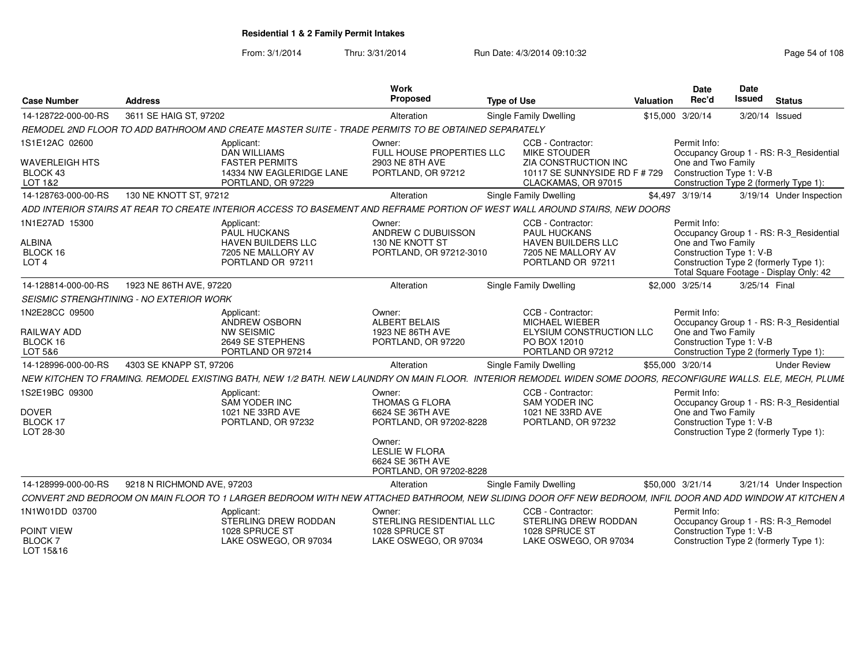From: 3/1/2014Thru: 3/31/2014 Run Date: 4/3/2014 09:10:32 Research 2010 Rage 54 of 108

| <b>Case Number</b>                                              | <b>Address</b>                                                                                                                                                 | Work<br>Proposed                                                                                                                                                 | <b>Type of Use</b>                                                                                               | Valuation | Date<br>Rec'd                      | Date<br><b>Issued</b>    | <b>Status</b>                                                                                                                |
|-----------------------------------------------------------------|----------------------------------------------------------------------------------------------------------------------------------------------------------------|------------------------------------------------------------------------------------------------------------------------------------------------------------------|------------------------------------------------------------------------------------------------------------------|-----------|------------------------------------|--------------------------|------------------------------------------------------------------------------------------------------------------------------|
| 14-128722-000-00-RS                                             | 3611 SE HAIG ST, 97202                                                                                                                                         | Alteration                                                                                                                                                       | Single Family Dwelling                                                                                           |           | \$15,000 3/20/14                   |                          | 3/20/14 Issued                                                                                                               |
|                                                                 | REMODEL 2ND FLOOR TO ADD BATHROOM AND CREATE MASTER SUITE - TRADE PERMITS TO BE OBTAINED SEPARATELY                                                            |                                                                                                                                                                  |                                                                                                                  |           |                                    |                          |                                                                                                                              |
| 1S1E12AC 02600<br><b>WAVERLEIGH HTS</b><br>BLOCK 43             | Applicant:<br><b>DAN WILLIAMS</b><br><b>FASTER PERMITS</b><br>14334 NW EAGLERIDGE LANE                                                                         | Owner:<br>FULL HOUSE PROPERTIES LLC<br>2903 NE 8TH AVE<br>PORTLAND, OR 97212                                                                                     | CCB - Contractor:<br>MIKE STOUDER<br>ZIA CONSTRUCTION INC<br>10117 SE SUNNYSIDE RD F # 729                       |           | Permit Info:<br>One and Two Family | Construction Type 1: V-B | Occupancy Group 1 - RS: R-3 Residential                                                                                      |
| LOT 1&2                                                         | PORTLAND, OR 97229                                                                                                                                             |                                                                                                                                                                  | CLACKAMAS, OR 97015                                                                                              |           |                                    |                          | Construction Type 2 (formerly Type 1):                                                                                       |
| 14-128763-000-00-RS                                             | 130 NE KNOTT ST, 97212                                                                                                                                         | Alteration                                                                                                                                                       | Single Family Dwelling                                                                                           |           | \$4,497 3/19/14                    |                          | 3/19/14 Under Inspection                                                                                                     |
|                                                                 | ADD INTERIOR STAIRS AT REAR TO CREATE INTERIOR ACCESS TO BASEMENT AND REFRAME PORTION OF WEST WALL AROUND STAIRS, NEW DOORS                                    |                                                                                                                                                                  |                                                                                                                  |           |                                    |                          |                                                                                                                              |
| 1N1E27AD 15300<br><b>ALBINA</b><br>BLOCK 16<br>LOT <sub>4</sub> | Applicant:<br>PAUL HUCKANS<br><b>HAVEN BUILDERS LLC</b><br>7205 NE MALLORY AV<br>PORTLAND OR 97211                                                             | Owner:<br>ANDREW C DUBUISSON<br>130 NE KNOTT ST<br>PORTLAND, OR 97212-3010                                                                                       | CCB - Contractor:<br><b>PAUL HUCKANS</b><br><b>HAVEN BUILDERS LLC</b><br>7205 NE MALLORY AV<br>PORTLAND OR 97211 |           | Permit Info:<br>One and Two Family | Construction Type 1: V-B | Occupancy Group 1 - RS: R-3 Residential<br>Construction Type 2 (formerly Type 1):<br>Total Square Footage - Display Only: 42 |
| 14-128814-000-00-RS                                             | 1923 NE 86TH AVE, 97220                                                                                                                                        | Alteration                                                                                                                                                       | <b>Single Family Dwelling</b>                                                                                    |           | \$2,000 3/25/14                    | 3/25/14 Final            |                                                                                                                              |
|                                                                 | <b>SEISMIC STRENGHTINING - NO EXTERIOR WORK</b>                                                                                                                |                                                                                                                                                                  |                                                                                                                  |           |                                    |                          |                                                                                                                              |
| 1N2E28CC 09500<br><b>RAILWAY ADD</b><br>BLOCK 16<br>LOT 5&6     | Applicant:<br>ANDREW OSBORN<br><b>NW SEISMIC</b><br>2649 SE STEPHENS<br>PORTLAND OR 97214                                                                      | Owner:<br>ALBERT BELAIS<br>1923 NE 86TH AVE<br>PORTLAND, OR 97220                                                                                                | CCB - Contractor:<br>MICHAEL WIEBER<br>ELYSIUM CONSTRUCTION LLC<br>PO BOX 12010<br>PORTLAND OR 97212             |           | Permit Info:<br>One and Two Family | Construction Type 1: V-B | Occupancy Group 1 - RS: R-3_Residential<br>Construction Type 2 (formerly Type 1):                                            |
| 14-128996-000-00-RS                                             | 4303 SE KNAPP ST, 97206                                                                                                                                        | Alteration                                                                                                                                                       | Single Family Dwelling                                                                                           |           | \$55,000 3/20/14                   |                          | <b>Under Review</b>                                                                                                          |
|                                                                 | NEW KITCHEN TO FRAMING. REMODEL EXISTING BATH, NEW 1/2 BATH. NEW LAUNDRY ON MAIN FLOOR. INTERIOR REMODEL WIDEN SOME DOORS, RECONFIGURE WALLS. ELE, MECH, PLUME |                                                                                                                                                                  |                                                                                                                  |           |                                    |                          |                                                                                                                              |
| 1S2E19BC 09300<br><b>DOVER</b><br><b>BLOCK 17</b><br>LOT 28-30  | Applicant:<br>SAM YODER INC<br>1021 NE 33RD AVE<br>PORTLAND, OR 97232                                                                                          | Owner:<br><b>THOMAS G FLORA</b><br>6624 SE 36TH AVE<br>PORTLAND, OR 97202-8228<br>Owner:<br><b>LESLIE W FLORA</b><br>6624 SE 36TH AVE<br>PORTLAND, OR 97202-8228 | CCB - Contractor:<br>SAM YODER INC<br>1021 NE 33RD AVE<br>PORTLAND, OR 97232                                     |           | Permit Info:<br>One and Two Family | Construction Type 1: V-B | Occupancy Group 1 - RS: R-3_Residential<br>Construction Type 2 (formerly Type 1):                                            |
| 14-128999-000-00-RS                                             | 9218 N RICHMOND AVE, 97203                                                                                                                                     | Alteration                                                                                                                                                       | Single Family Dwelling                                                                                           |           | \$50,000 3/21/14                   |                          | 3/21/14 Under Inspection                                                                                                     |
|                                                                 | CONVERT 2ND BEDROOM ON MAIN FLOOR TO 1 LARGER BEDROOM WITH NEW ATTACHED BATHROOM, NEW SLIDING DOOR OFF NEW BEDROOM, INFIL DOOR AND ADD WINDOW AT KITCHEN A     |                                                                                                                                                                  |                                                                                                                  |           |                                    |                          |                                                                                                                              |
| 1N1W01DD 03700                                                  | Applicant:<br>STERLING DREW RODDAN                                                                                                                             | Owner:<br>STERLING RESIDENTIAL LLC                                                                                                                               | CCB - Contractor:<br>STERLING DREW RODDAN                                                                        |           | Permit Info:                       |                          | Occupancy Group 1 - RS: R-3_Remodel                                                                                          |
| POINT VIEW<br><b>BLOCK 7</b><br>LOT 15&16                       | 1028 SPRUCE ST<br>LAKE OSWEGO, OR 97034                                                                                                                        | 1028 SPRUCE ST<br>LAKE OSWEGO, OR 97034                                                                                                                          | 1028 SPRUCE ST<br>LAKE OSWEGO, OR 97034                                                                          |           |                                    | Construction Type 1: V-B | Construction Type 2 (formerly Type 1):                                                                                       |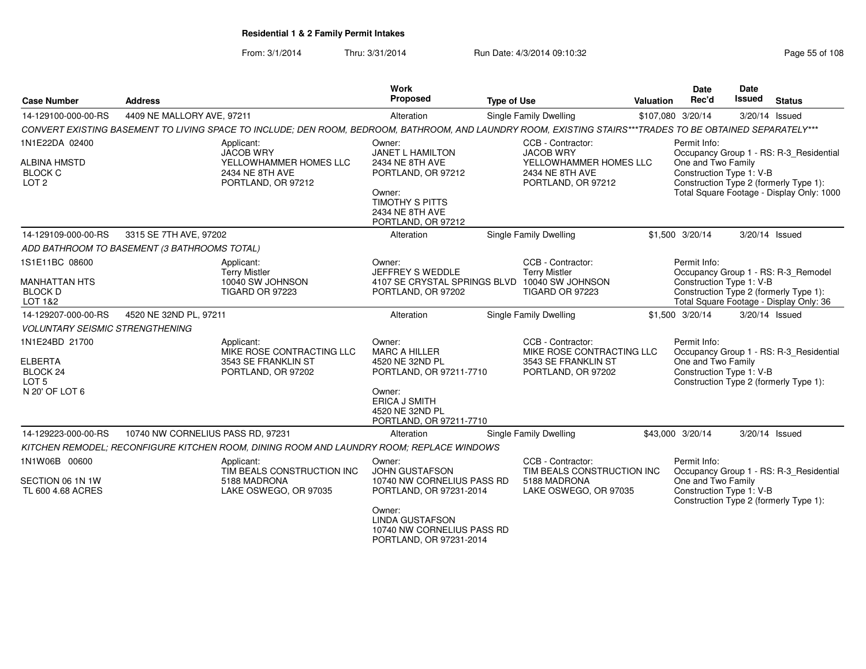From: 3/1/2014Thru: 3/31/2014 Run Date: 4/3/2014 09:10:32 Run Date: 4/3/2014 09:10:32

| <b>Case Number</b>                                                                            | <b>Address</b>                                                                                                                                             | Work<br><b>Proposed</b>                                                                                                                                                               | <b>Type of Use</b>                                                                                            | <b>Valuation</b> | <b>Date</b><br>Rec'd                                           | Date<br><b>Issued</b> | <b>Status</b>                                                                                                                  |
|-----------------------------------------------------------------------------------------------|------------------------------------------------------------------------------------------------------------------------------------------------------------|---------------------------------------------------------------------------------------------------------------------------------------------------------------------------------------|---------------------------------------------------------------------------------------------------------------|------------------|----------------------------------------------------------------|-----------------------|--------------------------------------------------------------------------------------------------------------------------------|
| 14-129100-000-00-RS                                                                           | 4409 NE MALLORY AVE, 97211                                                                                                                                 | Alteration                                                                                                                                                                            | Single Family Dwelling                                                                                        |                  | \$107,080 3/20/14                                              |                       | 3/20/14 Issued                                                                                                                 |
|                                                                                               | CONVERT EXISTING BASEMENT TO LIVING SPACE TO INCLUDE; DEN ROOM, BEDROOM, BATHROOM, AND LAUNDRY ROOM, EXISTING STAIRS***TRADES TO BE OBTAINED SEPARATELY*** |                                                                                                                                                                                       |                                                                                                               |                  |                                                                |                       |                                                                                                                                |
| 1N1E22DA 02400<br><b>ALBINA HMSTD</b><br><b>BLOCK C</b><br>LOT <sub>2</sub>                   | Applicant:<br><b>JACOB WRY</b><br>YELLOWHAMMER HOMES LLC<br>2434 NE 8TH AVE<br>PORTLAND, OR 97212                                                          | Owner:<br><b>JANET L HAMILTON</b><br>2434 NE 8TH AVE<br>PORTLAND, OR 97212<br>Owner:<br><b>TIMOTHY S PITTS</b><br>2434 NE 8TH AVE<br>PORTLAND, OR 97212                               | CCB - Contractor:<br><b>JACOB WRY</b><br>YELLOWHAMMER HOMES LLC<br>2434 NE 8TH AVE<br>PORTLAND, OR 97212      |                  | Permit Info:<br>One and Two Family<br>Construction Type 1: V-B |                       | Occupancy Group 1 - RS: R-3_Residential<br>Construction Type 2 (formerly Type 1):<br>Total Square Footage - Display Only: 1000 |
| 14-129109-000-00-RS                                                                           | 3315 SE 7TH AVE, 97202                                                                                                                                     | Alteration                                                                                                                                                                            | <b>Single Family Dwelling</b>                                                                                 |                  | \$1,500 3/20/14                                                |                       | 3/20/14 Issued                                                                                                                 |
|                                                                                               | ADD BATHROOM TO BASEMENT (3 BATHROOMS TOTAL)                                                                                                               |                                                                                                                                                                                       |                                                                                                               |                  |                                                                |                       |                                                                                                                                |
| 1S1E11BC 08600<br><b>MANHATTAN HTS</b><br><b>BLOCK D</b><br>LOT 1&2                           | Applicant:<br><b>Terry Mistler</b><br>10040 SW JOHNSON<br>TIGARD OR 97223                                                                                  | Owner:<br>JEFFREY S WEDDLE<br>PORTLAND, OR 97202                                                                                                                                      | CCB - Contractor:<br><b>Terry Mistler</b><br>4107 SE CRYSTAL SPRINGS BLVD 10040 SW JOHNSON<br>TIGARD OR 97223 |                  | Permit Info:<br>Construction Type 1: V-B                       |                       | Occupancy Group 1 - RS: R-3_Remodel<br>Construction Type 2 (formerly Type 1):<br>Total Square Footage - Display Only: 36       |
| 14-129207-000-00-RS                                                                           | 4520 NE 32ND PL, 97211                                                                                                                                     | Alteration                                                                                                                                                                            | Single Family Dwelling                                                                                        |                  | \$1,500 3/20/14                                                |                       | 3/20/14 Issued                                                                                                                 |
| <b>VOLUNTARY SEISMIC STRENGTHENING</b>                                                        |                                                                                                                                                            |                                                                                                                                                                                       |                                                                                                               |                  |                                                                |                       |                                                                                                                                |
| 1N1E24BD 21700<br><b>ELBERTA</b><br>BLOCK <sub>24</sub><br>LOT <sub>5</sub><br>N 20' OF LOT 6 | Applicant:<br>MIKE ROSE CONTRACTING LLC<br>3543 SE FRANKLIN ST<br>PORTLAND, OR 97202                                                                       | Owner:<br><b>MARC A HILLER</b><br>4520 NE 32ND PL<br>PORTLAND, OR 97211-7710<br>Owner:<br><b>ERICA J SMITH</b><br>4520 NE 32ND PL<br>PORTLAND, OR 97211-7710                          | CCB - Contractor:<br>MIKE ROSE CONTRACTING LLC<br>3543 SE FRANKLIN ST<br>PORTLAND, OR 97202                   |                  | Permit Info:<br>One and Two Family<br>Construction Type 1: V-B |                       | Occupancy Group 1 - RS: R-3_Residential<br>Construction Type 2 (formerly Type 1):                                              |
| 14-129223-000-00-RS                                                                           | 10740 NW CORNELIUS PASS RD, 97231                                                                                                                          | Alteration                                                                                                                                                                            | <b>Single Family Dwelling</b>                                                                                 |                  | \$43,000 3/20/14                                               |                       | 3/20/14 Issued                                                                                                                 |
|                                                                                               | KITCHEN REMODEL; RECONFIGURE KITCHEN ROOM, DINING ROOM AND LAUNDRY ROOM; REPLACE WINDOWS                                                                   |                                                                                                                                                                                       |                                                                                                               |                  |                                                                |                       |                                                                                                                                |
| 1N1W06B 00600<br>SECTION 06 1N 1W<br>TL 600 4.68 ACRES                                        | Applicant:<br>TIM BEALS CONSTRUCTION INC<br>5188 MADRONA<br>LAKE OSWEGO, OR 97035                                                                          | Owner:<br><b>JOHN GUSTAFSON</b><br>10740 NW CORNELIUS PASS RD<br>PORTLAND, OR 97231-2014<br>Owner:<br><b>LINDA GUSTAFSON</b><br>10740 NW CORNELIUS PASS RD<br>PORTLAND, OR 97231-2014 | CCB - Contractor:<br>TIM BEALS CONSTRUCTION INC<br>5188 MADRONA<br>LAKE OSWEGO, OR 97035                      |                  | Permit Info:<br>One and Two Family<br>Construction Type 1: V-B |                       | Occupancy Group 1 - RS: R-3_Residential<br>Construction Type 2 (formerly Type 1):                                              |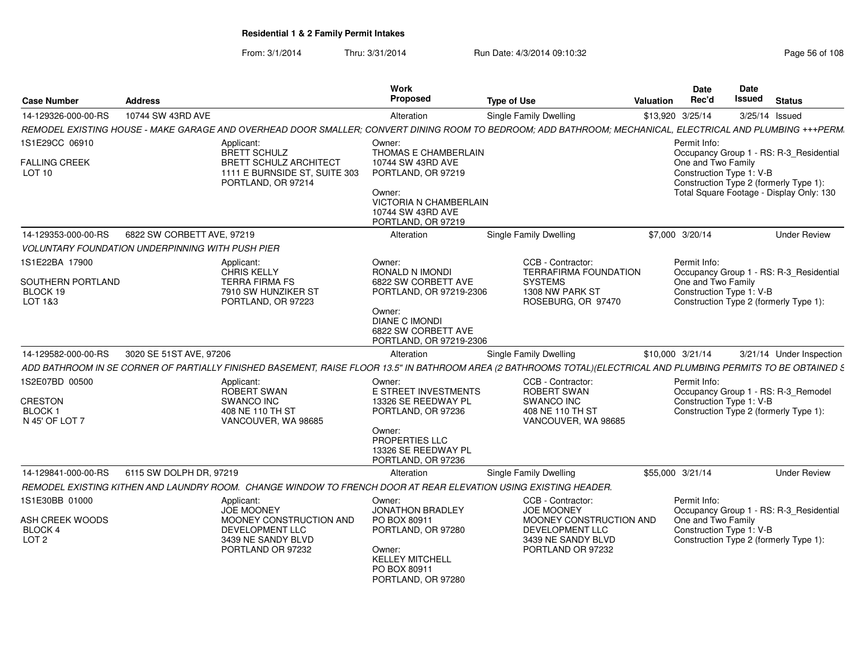From: 3/1/2014Thru: 3/31/2014 Run Date: 4/3/2014 09:10:32 Run Date: 4/3/2014 09:10:32

| <b>Case Number</b>                                                       | <b>Address</b>                                          |                                                                                                                                                                   | Work<br>Proposed                                                                                                                                  | <b>Type of Use</b> |                                                                                                                                 | <b>Valuation</b> | Date<br>Rec'd                                                  | Date<br>Issued | <b>Status</b>                                                                      |
|--------------------------------------------------------------------------|---------------------------------------------------------|-------------------------------------------------------------------------------------------------------------------------------------------------------------------|---------------------------------------------------------------------------------------------------------------------------------------------------|--------------------|---------------------------------------------------------------------------------------------------------------------------------|------------------|----------------------------------------------------------------|----------------|------------------------------------------------------------------------------------|
| 14-129326-000-00-RS                                                      | 10744 SW 43RD AVE                                       |                                                                                                                                                                   | Alteration                                                                                                                                        |                    | <b>Single Family Dwelling</b>                                                                                                   |                  | \$13,920 3/25/14                                               |                | 3/25/14 Issued                                                                     |
|                                                                          |                                                         | REMODEL EXISTING HOUSE - MAKE GARAGE AND OVERHEAD DOOR SMALLER; CONVERT DINING ROOM TO BEDROOM; ADD BATHROOM; MECHANICAL, ELECTRICAL AND PLUMBING +++PERM.        |                                                                                                                                                   |                    |                                                                                                                                 |                  |                                                                |                |                                                                                    |
| 1S1E29CC 06910                                                           |                                                         | Applicant:<br><b>BRETT SCHULZ</b>                                                                                                                                 | Owner:<br>THOMAS E CHAMBERLAIN                                                                                                                    |                    |                                                                                                                                 |                  | Permit Info:                                                   |                | Occupancy Group 1 - RS: R-3_Residential                                            |
| <b>FALLING CREEK</b><br>LOT <sub>10</sub>                                |                                                         | <b>BRETT SCHULZ ARCHITECT</b><br>1111 E BURNSIDE ST, SUITE 303<br>PORTLAND, OR 97214                                                                              | 10744 SW 43RD AVE<br>PORTLAND, OR 97219<br>Owner:<br><b>VICTORIA N CHAMBERLAIN</b><br>10744 SW 43RD AVE<br>PORTLAND, OR 97219                     |                    |                                                                                                                                 |                  | One and Two Family<br>Construction Type 1: V-B                 |                | Construction Type 2 (formerly Type 1):<br>Total Square Footage - Display Only: 130 |
| 14-129353-000-00-RS                                                      | 6822 SW CORBETT AVE, 97219                              |                                                                                                                                                                   | Alteration                                                                                                                                        |                    | Single Family Dwelling                                                                                                          |                  | \$7,000 3/20/14                                                |                | <b>Under Review</b>                                                                |
|                                                                          | <b>VOLUNTARY FOUNDATION UNDERPINNING WITH PUSH PIER</b> |                                                                                                                                                                   |                                                                                                                                                   |                    |                                                                                                                                 |                  |                                                                |                |                                                                                    |
| 1S1E22BA 17900<br>SOUTHERN PORTLAND<br>BLOCK 19<br>LOT 1&3               |                                                         | Applicant:<br><b>CHRIS KELLY</b><br><b>TERRA FIRMA FS</b><br>7910 SW HUNZIKER ST<br>PORTLAND, OR 97223                                                            | Owner:<br>RONALD N IMONDI<br>6822 SW CORBETT AVE<br>PORTLAND, OR 97219-2306<br>Owner:                                                             |                    | CCB - Contractor:<br><b>TERRAFIRMA FOUNDATION</b><br><b>SYSTEMS</b><br>1308 NW PARK ST<br>ROSEBURG, OR 97470                    |                  | Permit Info:<br>One and Two Family<br>Construction Type 1: V-B |                | Occupancy Group 1 - RS: R-3_Residential<br>Construction Type 2 (formerly Type 1):  |
| 14-129582-000-00-RS                                                      | 3020 SE 51ST AVE, 97206                                 |                                                                                                                                                                   | <b>DIANE C IMONDI</b><br>6822 SW CORBETT AVE<br>PORTLAND, OR 97219-2306<br>Alteration                                                             |                    | <b>Single Family Dwelling</b>                                                                                                   |                  | \$10,000 3/21/14                                               |                | 3/21/14 Under Inspection                                                           |
|                                                                          |                                                         | ADD BATHROOM IN SE CORNER OF PARTIALLY FINISHED BASEMENT, RAISE FLOOR 13.5" IN BATHROOM AREA (2 BATHROOMS TOTAL)(ELECTRICAL AND PLUMBING PERMITS TO BE OBTAINED S |                                                                                                                                                   |                    |                                                                                                                                 |                  |                                                                |                |                                                                                    |
| 1S2E07BD 00500<br><b>CRESTON</b><br>BLOCK <sub>1</sub><br>N 45' OF LOT 7 |                                                         | Applicant:<br><b>ROBERT SWAN</b><br>SWANCO INC<br>408 NE 110 TH ST<br>VANCOUVER, WA 98685                                                                         | Owner:<br>E STREET INVESTMENTS<br>13326 SE REEDWAY PL<br>PORTLAND, OR 97236<br>Owner:<br>PROPERTIES LLC<br>13326 SE REEDWAY PL                    |                    | CCB - Contractor:<br>ROBERT SWAN<br>SWANCO INC<br>408 NE 110 TH ST<br>VANCOUVER, WA 98685                                       |                  | Permit Info:<br>Construction Type 1: V-B                       |                | Occupancy Group 1 - RS: R-3_Remodel<br>Construction Type 2 (formerly Type 1):      |
|                                                                          |                                                         |                                                                                                                                                                   | PORTLAND, OR 97236                                                                                                                                |                    |                                                                                                                                 |                  |                                                                |                |                                                                                    |
| 14-129841-000-00-RS                                                      | 6115 SW DOLPH DR, 97219                                 |                                                                                                                                                                   | Alteration                                                                                                                                        |                    | <b>Single Family Dwelling</b>                                                                                                   |                  | \$55,000 3/21/14                                               |                | <b>Under Review</b>                                                                |
|                                                                          |                                                         | REMODEL EXISTING KITHEN AND LAUNDRY ROOM. CHANGE WINDOW TO FRENCH DOOR AT REAR ELEVATION USING EXISTING HEADER.                                                   |                                                                                                                                                   |                    |                                                                                                                                 |                  |                                                                |                |                                                                                    |
| 1S1E30BB 01000<br>ASH CREEK WOODS<br>BLOCK 4<br>LOT <sub>2</sub>         |                                                         | Applicant:<br><b>JOE MOONEY</b><br>MOONEY CONSTRUCTION AND<br>DEVELOPMENT LLC<br>3439 NE SANDY BLVD<br>PORTLAND OR 97232                                          | Owner:<br><b>JONATHON BRADLEY</b><br>PO BOX 80911<br>PORTLAND, OR 97280<br>Owner:<br><b>KELLEY MITCHELL</b><br>PO BOX 80911<br>PORTLAND, OR 97280 |                    | CCB - Contractor:<br><b>JOE MOONEY</b><br>MOONEY CONSTRUCTION AND<br>DEVELOPMENT LLC<br>3439 NE SANDY BLVD<br>PORTLAND OR 97232 |                  | Permit Info:<br>One and Two Family<br>Construction Type 1: V-B |                | Occupancy Group 1 - RS: R-3_Residential<br>Construction Type 2 (formerly Type 1):  |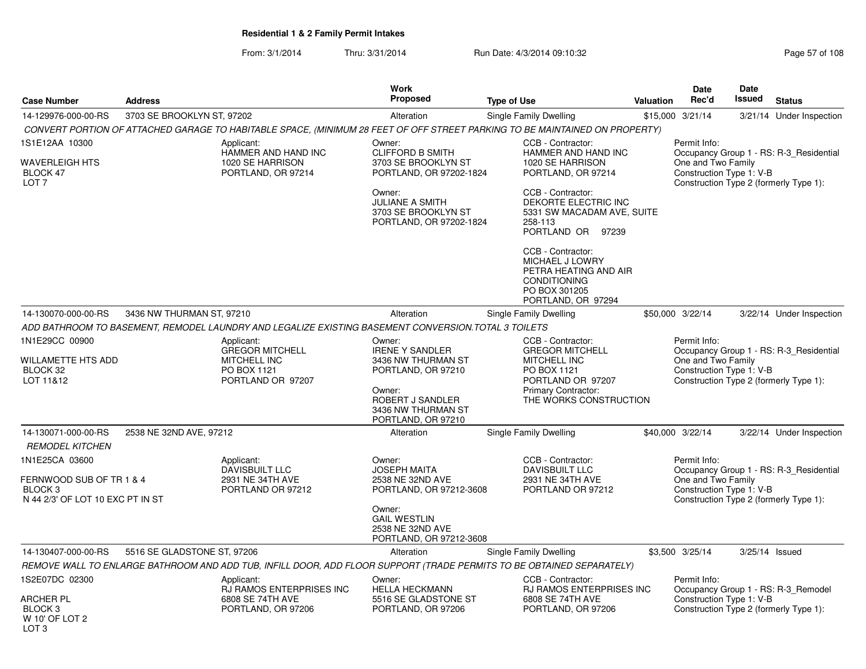From: 3/1/2014Thru: 3/31/2014 Run Date: 4/3/2014 09:10:32 Research 2010 Rage 57 of 108

|                                                                                                      |                             |                                                                                                     | <b>Work</b>                                                                                                                                            |                                                                                                                                                         |                  | <b>Date</b>                                                    | Date   |                                                                                   |
|------------------------------------------------------------------------------------------------------|-----------------------------|-----------------------------------------------------------------------------------------------------|--------------------------------------------------------------------------------------------------------------------------------------------------------|---------------------------------------------------------------------------------------------------------------------------------------------------------|------------------|----------------------------------------------------------------|--------|-----------------------------------------------------------------------------------|
| <b>Case Number</b>                                                                                   | <b>Address</b>              |                                                                                                     | <b>Proposed</b>                                                                                                                                        | Type of Use                                                                                                                                             | <b>Valuation</b> | Rec'd                                                          | Issued | <b>Status</b>                                                                     |
| 14-129976-000-00-RS                                                                                  | 3703 SE BROOKLYN ST, 97202  |                                                                                                     | Alteration                                                                                                                                             | Single Family Dwelling                                                                                                                                  |                  | \$15,000 3/21/14                                               |        | 3/21/14 Under Inspection                                                          |
|                                                                                                      |                             |                                                                                                     |                                                                                                                                                        | CONVERT PORTION OF ATTACHED GARAGE TO HABITABLE SPACE, (MINIMUM 28 FEET OF OFF STREET PARKING TO BE MAINTAINED ON PROPERTY)                             |                  |                                                                |        |                                                                                   |
| 1S1E12AA 10300<br><b>WAVERLEIGH HTS</b><br>BLOCK 47<br>LOT <sub>7</sub>                              |                             | Applicant:<br>HAMMER AND HAND INC<br>1020 SE HARRISON<br>PORTLAND, OR 97214                         | Owner:<br><b>CLIFFORD B SMITH</b><br>3703 SE BROOKLYN ST<br>PORTLAND, OR 97202-1824<br>Owner:                                                          | CCB - Contractor:<br>HAMMER AND HAND INC<br>1020 SE HARRISON<br>PORTLAND, OR 97214<br>CCB - Contractor:                                                 |                  | Permit Info:<br>One and Two Family<br>Construction Type 1: V-B |        | Occupancy Group 1 - RS: R-3_Residential<br>Construction Type 2 (formerly Type 1): |
|                                                                                                      |                             |                                                                                                     | <b>JULIANE A SMITH</b><br>3703 SE BROOKLYN ST<br>PORTLAND, OR 97202-1824                                                                               | DEKORTE ELECTRIC INC<br>5331 SW MACADAM AVE, SUITE<br>258-113<br>PORTLAND OR 97239                                                                      |                  |                                                                |        |                                                                                   |
|                                                                                                      |                             |                                                                                                     |                                                                                                                                                        | CCB - Contractor:<br>MICHAEL J LOWRY<br>PETRA HEATING AND AIR<br><b>CONDITIONING</b><br>PO BOX 301205<br>PORTLAND, OR 97294                             |                  |                                                                |        |                                                                                   |
| 14-130070-000-00-RS                                                                                  | 3436 NW THURMAN ST, 97210   |                                                                                                     | Alteration                                                                                                                                             | Single Family Dwelling                                                                                                                                  |                  | \$50,000 3/22/14                                               |        | 3/22/14 Under Inspection                                                          |
|                                                                                                      |                             | ADD BATHROOM TO BASEMENT. REMODEL LAUNDRY AND LEGALIZE EXISTING BASEMENT CONVERSION.TOTAL 3 TOILETS |                                                                                                                                                        |                                                                                                                                                         |                  |                                                                |        |                                                                                   |
| 1N1E29CC 00900<br>WILLAMETTE HTS ADD<br>BLOCK 32<br>LOT 11&12                                        |                             | Applicant:<br><b>GREGOR MITCHELL</b><br><b>MITCHELL INC</b><br>PO BOX 1121<br>PORTLAND OR 97207     | Owner:<br><b>IRENE Y SANDLER</b><br>3436 NW THURMAN ST<br>PORTLAND, OR 97210<br>Owner:<br>ROBERT J SANDLER<br>3436 NW THURMAN ST<br>PORTLAND, OR 97210 | CCB - Contractor:<br><b>GREGOR MITCHELL</b><br>MITCHELL INC<br>PO BOX 1121<br>PORTLAND OR 97207<br><b>Primary Contractor:</b><br>THE WORKS CONSTRUCTION |                  | Permit Info:<br>One and Two Family<br>Construction Type 1: V-B |        | Occupancy Group 1 - RS: R-3_Residential<br>Construction Type 2 (formerly Type 1): |
| 14-130071-000-00-RS                                                                                  | 2538 NE 32ND AVE, 97212     |                                                                                                     | Alteration                                                                                                                                             | Single Family Dwelling                                                                                                                                  |                  | \$40,000 3/22/14                                               |        | 3/22/14 Under Inspection                                                          |
| <b>REMODEL KITCHEN</b>                                                                               |                             |                                                                                                     |                                                                                                                                                        |                                                                                                                                                         |                  |                                                                |        |                                                                                   |
| 1N1E25CA 03600<br>FERNWOOD SUB OF TR 1 & 4<br>BLOCK <sub>3</sub><br>N 44 2/3' OF LOT 10 EXC PT IN ST |                             | Applicant:<br>DAVISBUILT LLC<br>2931 NE 34TH AVE<br>PORTLAND OR 97212                               | Owner:<br><b>JOSEPH MAITA</b><br>2538 NE 32ND AVE<br>PORTLAND, OR 97212-3608                                                                           | CCB - Contractor:<br><b>DAVISBUILT LLC</b><br>2931 NE 34TH AVE<br>PORTLAND OR 97212                                                                     |                  | Permit Info:<br>One and Two Family<br>Construction Type 1: V-B |        | Occupancy Group 1 - RS: R-3_Residential<br>Construction Type 2 (formerly Type 1): |
|                                                                                                      |                             |                                                                                                     | Owner:<br><b>GAIL WESTLIN</b><br>2538 NE 32ND AVE<br>PORTLAND, OR 97212-3608                                                                           |                                                                                                                                                         |                  |                                                                |        |                                                                                   |
| 14-130407-000-00-RS                                                                                  | 5516 SE GLADSTONE ST, 97206 |                                                                                                     | Alteration                                                                                                                                             | Single Family Dwelling                                                                                                                                  |                  | \$3,500 3/25/14                                                |        | 3/25/14 Issued                                                                    |
|                                                                                                      |                             |                                                                                                     |                                                                                                                                                        | REMOVE WALL TO ENLARGE BATHROOM AND ADD TUB, INFILL DOOR, ADD FLOOR SUPPORT (TRADE PERMITS TO BE OBTAINED SEPARATELY)                                   |                  |                                                                |        |                                                                                   |
| 1S2E07DC 02300<br><b>ARCHER PL</b>                                                                   |                             | Applicant:<br>RJ RAMOS ENTERPRISES INC<br>6808 SE 74TH AVE                                          | Owner:<br><b>HELLA HECKMANN</b><br>5516 SE GLADSTONE ST                                                                                                | CCB - Contractor:<br>RJ RAMOS ENTERPRISES INC<br>6808 SE 74TH AVE                                                                                       |                  | Permit Info:<br>Construction Type 1: V-B                       |        | Occupancy Group 1 - RS: R-3_Remodel                                               |
| BLOCK <sub>3</sub><br>W 10' OF LOT 2                                                                 |                             | PORTLAND, OR 97206                                                                                  | PORTLAND, OR 97206                                                                                                                                     | PORTLAND, OR 97206                                                                                                                                      |                  |                                                                |        | Construction Type 2 (formerly Type 1):                                            |

LOT<sub>3</sub>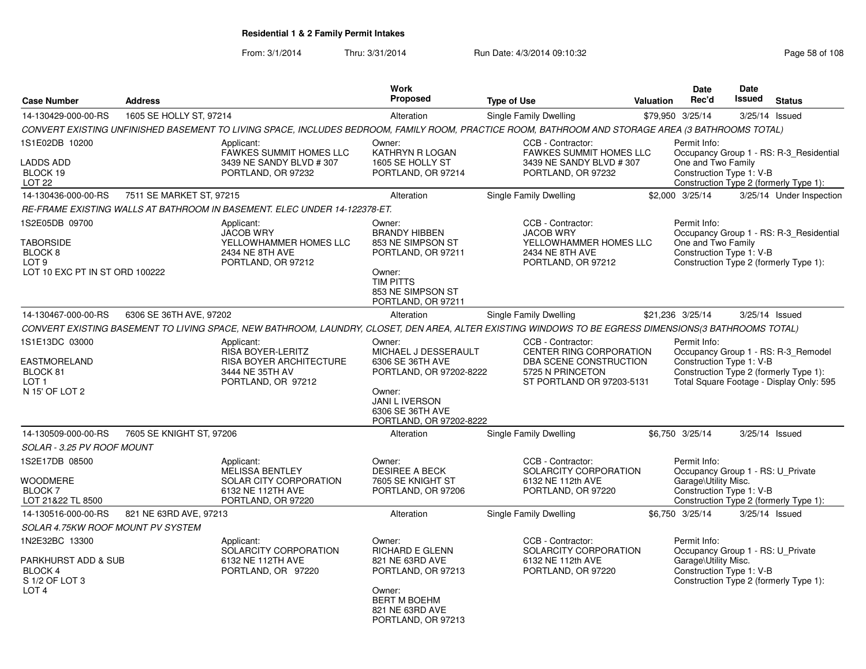From: 3/1/2014Thru: 3/31/2014 Run Date: 4/3/2014 09:10:32 Run Date: 4/3/2014 09:10:32

| <b>Case Number</b>                                                                                             | <b>Address</b>           |                                                                                                                                                       | Work<br><b>Proposed</b>                                                                                                                                         | <b>Type of Use</b>                                                                                                      | Valuation | <b>Date</b><br>Rec'd                                                                                  | <b>Date</b><br>Issued | <b>Status</b>                                                                                                             |
|----------------------------------------------------------------------------------------------------------------|--------------------------|-------------------------------------------------------------------------------------------------------------------------------------------------------|-----------------------------------------------------------------------------------------------------------------------------------------------------------------|-------------------------------------------------------------------------------------------------------------------------|-----------|-------------------------------------------------------------------------------------------------------|-----------------------|---------------------------------------------------------------------------------------------------------------------------|
| 14-130429-000-00-RS                                                                                            | 1605 SE HOLLY ST, 97214  |                                                                                                                                                       | Alteration                                                                                                                                                      | Single Family Dwelling                                                                                                  |           | \$79,950 3/25/14                                                                                      |                       | 3/25/14 Issued                                                                                                            |
|                                                                                                                |                          | CONVERT EXISTING UNFINISHED BASEMENT TO LIVING SPACE, INCLUDES BEDROOM, FAMILY ROOM, PRACTICE ROOM, BATHROOM AND STORAGE AREA (3 BATHROOMS TOTAL)     |                                                                                                                                                                 |                                                                                                                         |           |                                                                                                       |                       |                                                                                                                           |
| 1S1E02DB 10200<br>LADDS ADD<br>BLOCK 19<br>LOT <sub>22</sub>                                                   |                          | Applicant:<br><b>FAWKES SUMMIT HOMES LLC</b><br>3439 NE SANDY BLVD #307<br>PORTLAND, OR 97232                                                         | Owner:<br>KATHRYN R LOGAN<br>1605 SE HOLLY ST<br>PORTLAND, OR 97214                                                                                             | CCB - Contractor:<br><b>FAWKES SUMMIT HOMES LLC</b><br>3439 NE SANDY BLVD #307<br>PORTLAND, OR 97232                    |           | Permit Info:<br>One and Two Family<br>Construction Type 1: V-B                                        |                       | Occupancy Group 1 - RS: R-3_Residential<br>Construction Type 2 (formerly Type 1):                                         |
| 14-130436-000-00-RS                                                                                            | 7511 SE MARKET ST. 97215 |                                                                                                                                                       | Alteration                                                                                                                                                      | <b>Single Family Dwelling</b>                                                                                           |           | \$2,000 3/25/14                                                                                       |                       | 3/25/14 Under Inspection                                                                                                  |
|                                                                                                                |                          | RE-FRAME EXISTING WALLS AT BATHROOM IN BASEMENT. ELEC UNDER 14-122378-ET.                                                                             |                                                                                                                                                                 |                                                                                                                         |           |                                                                                                       |                       |                                                                                                                           |
| 1S2E05DB 09700<br><b>TABORSIDE</b><br>BLOCK <sub>8</sub><br>LOT <sub>9</sub><br>LOT 10 EXC PT IN ST ORD 100222 |                          | Applicant:<br><b>JACOB WRY</b><br>YELLOWHAMMER HOMES LLC<br>2434 NE 8TH AVE<br>PORTLAND, OR 97212                                                     | Owner:<br><b>BRANDY HIBBEN</b><br>853 NE SIMPSON ST<br>PORTLAND, OR 97211<br>Owner:<br><b>TIM PITTS</b><br>853 NE SIMPSON ST<br>PORTLAND, OR 97211              | CCB - Contractor:<br><b>JACOB WRY</b><br>YELLOWHAMMER HOMES LLC<br>2434 NE 8TH AVE<br>PORTLAND, OR 97212                |           | Permit Info:<br>One and Two Family<br>Construction Type 1: V-B                                        |                       | Occupancy Group 1 - RS: R-3_Residential<br>Construction Type 2 (formerly Type 1):                                         |
| 14-130467-000-00-RS                                                                                            | 6306 SE 36TH AVE, 97202  |                                                                                                                                                       | Alteration                                                                                                                                                      | Single Family Dwelling                                                                                                  |           | \$21,236 3/25/14                                                                                      |                       | $3/25/14$ Issued                                                                                                          |
|                                                                                                                |                          | CONVERT EXISTING BASEMENT TO LIVING SPACE, NEW BATHROOM, LAUNDRY, CLOSET, DEN AREA, ALTER EXISTING WINDOWS TO BE EGRESS DIMENSIONS(3 BATHROOMS TOTAL) |                                                                                                                                                                 |                                                                                                                         |           |                                                                                                       |                       |                                                                                                                           |
| 1S1E13DC 03000<br>EASTMORELAND<br>BLOCK 81<br>LOT <sub>1</sub><br>N 15' OF LOT 2                               |                          | Applicant:<br><b>RISA BOYER-LERITZ</b><br><b>RISA BOYER ARCHITECTURE</b><br>3444 NE 35TH AV<br>PORTLAND, OR 97212                                     | Owner:<br>MICHAEL J DESSERAULT<br>6306 SE 36TH AVE<br>PORTLAND, OR 97202-8222<br>Owner:<br><b>JANI L IVERSON</b><br>6306 SE 36TH AVE<br>PORTLAND, OR 97202-8222 | CCB - Contractor:<br>CENTER RING CORPORATION<br>DBA SCENE CONSTRUCTION<br>5725 N PRINCETON<br>ST PORTLAND OR 97203-5131 |           | Permit Info:<br>Construction Type 1: V-B                                                              |                       | Occupancy Group 1 - RS: R-3_Remodel<br>Construction Type 2 (formerly Type 1):<br>Total Square Footage - Display Only: 595 |
| 14-130509-000-00-RS                                                                                            | 7605 SE KNIGHT ST, 97206 |                                                                                                                                                       | Alteration                                                                                                                                                      | Single Family Dwelling                                                                                                  |           | \$6,750 3/25/14                                                                                       |                       | 3/25/14 Issued                                                                                                            |
| SOLAR - 3.25 PV ROOF MOUNT                                                                                     |                          |                                                                                                                                                       |                                                                                                                                                                 |                                                                                                                         |           |                                                                                                       |                       |                                                                                                                           |
| 1S2E17DB 08500<br><b>WOODMERE</b><br><b>BLOCK7</b><br>LOT 21&22 TL 8500                                        |                          | Applicant:<br><b>MELISSA BENTLEY</b><br>SOLAR CITY CORPORATION<br>6132 NE 112TH AVE<br>PORTLAND, OR 97220                                             | Owner:<br><b>DESIREE A BECK</b><br>7605 SE KNIGHT ST<br>PORTLAND, OR 97206                                                                                      | CCB - Contractor:<br>SOLARCITY CORPORATION<br>6132 NE 112th AVE<br>PORTLAND, OR 97220                                   |           | Permit Info:<br>Occupancy Group 1 - RS: U Private<br>Garage\Utility Misc.<br>Construction Type 1: V-B |                       | Construction Type 2 (formerly Type 1):                                                                                    |
| 14-130516-000-00-RS                                                                                            | 821 NE 63RD AVE, 97213   |                                                                                                                                                       | Alteration                                                                                                                                                      | Single Family Dwelling                                                                                                  |           | \$6,750 3/25/14                                                                                       |                       | 3/25/14 Issued                                                                                                            |
| <b>SOLAR 4.75KW ROOF MOUNT PV SYSTEM</b>                                                                       |                          |                                                                                                                                                       |                                                                                                                                                                 |                                                                                                                         |           |                                                                                                       |                       |                                                                                                                           |
| 1N2E32BC 13300<br>PARKHURST ADD & SUB<br><b>BLOCK 4</b><br>S 1/2 OF LOT 3<br>LOT 4                             |                          | Applicant:<br>SOLARCITY CORPORATION<br>6132 NE 112TH AVE<br>PORTLAND, OR 97220                                                                        | Owner:<br>RICHARD E GLENN<br>821 NE 63RD AVE<br>PORTLAND, OR 97213<br>Owner:<br><b>BERT M BOEHM</b><br>821 NE 63RD AVE<br>PORTLAND, OR 97213                    | CCB - Contractor:<br>SOLARCITY CORPORATION<br>6132 NE 112th AVE<br>PORTLAND, OR 97220                                   |           | Permit Info:<br>Occupancy Group 1 - RS: U_Private<br>Garage\Utility Misc.<br>Construction Type 1: V-B |                       | Construction Type 2 (formerly Type 1):                                                                                    |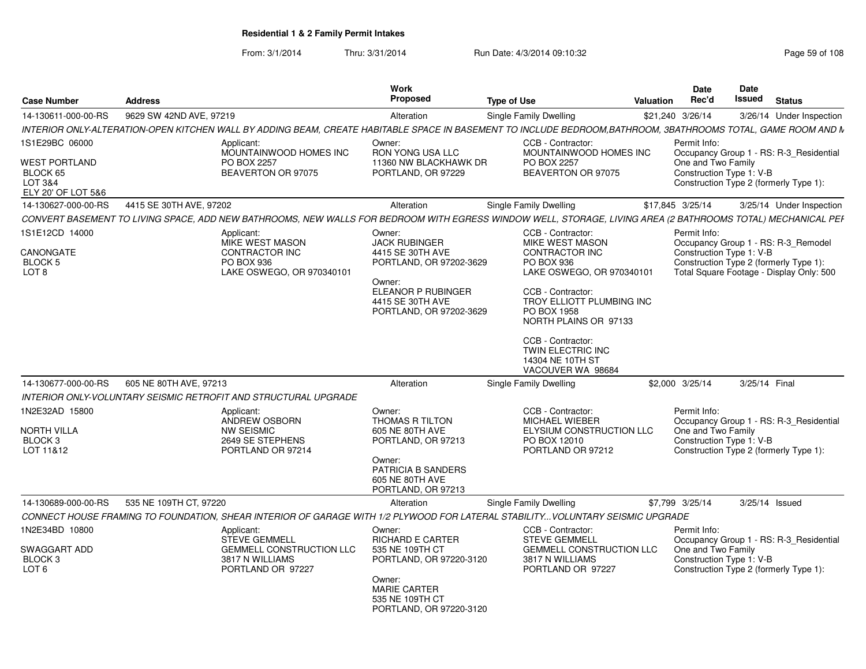From: 3/1/2014Thru: 3/31/2014 Run Date: 4/3/2014 09:10:32 Research 2010 Rage 59 of 108

| <b>Case Number</b>                                                | <b>Address</b>          |                                                                                                                                                              | Work<br>Proposed                                                            | <b>Type of Use</b>                         | Valuation                                            | Date<br>Rec'd                                  | <b>Date</b><br>Issued<br><b>Status</b>                                             |  |
|-------------------------------------------------------------------|-------------------------|--------------------------------------------------------------------------------------------------------------------------------------------------------------|-----------------------------------------------------------------------------|--------------------------------------------|------------------------------------------------------|------------------------------------------------|------------------------------------------------------------------------------------|--|
| 14-130611-000-00-RS                                               | 9629 SW 42ND AVE, 97219 |                                                                                                                                                              | Alteration                                                                  | <b>Single Family Dwelling</b>              |                                                      | \$21,240 3/26/14                               | 3/26/14 Under Inspection                                                           |  |
|                                                                   |                         | INTERIOR ONLY-ALTERATION-OPEN KITCHEN WALL BY ADDING BEAM, CREATE HABITABLE SPACE IN BASEMENT TO INCLUDE BEDROOM,BATHROOM, 3BATHROOMS TOTAL, GAME ROOM AND N |                                                                             |                                            |                                                      |                                                |                                                                                    |  |
| 1S1E29BC 06000                                                    |                         | Applicant:<br>MOUNTAINWOOD HOMES INC                                                                                                                         | Owner:<br><b>RON YONG USA LLC</b>                                           | CCB - Contractor:                          | MOUNTAINWOOD HOMES INC                               | Permit Info:                                   | Occupancy Group 1 - RS: R-3 Residential                                            |  |
| <b>WEST PORTLAND</b><br>BLOCK 65<br>LOT 3&4<br>ELY 20' OF LOT 5&6 |                         | PO BOX 2257<br>BEAVERTON OR 97075                                                                                                                            | 11360 NW BLACKHAWK DR<br>PORTLAND, OR 97229                                 | PO BOX 2257                                | BEAVERTON OR 97075                                   | One and Two Family<br>Construction Type 1: V-B | Construction Type 2 (formerly Type 1):                                             |  |
| 14-130627-000-00-RS                                               | 4415 SE 30TH AVE, 97202 |                                                                                                                                                              | Alteration                                                                  | <b>Single Family Dwelling</b>              |                                                      | \$17,845 3/25/14                               | 3/25/14 Under Inspection                                                           |  |
|                                                                   |                         | CONVERT BASEMENT TO LIVING SPACE, ADD NEW BATHROOMS, NEW WALLS FOR BEDROOM WITH EGRESS WINDOW WELL, STORAGE, LIVING AREA (2 BATHROOMS TOTAL) MECHANICAL PEF  |                                                                             |                                            |                                                      |                                                |                                                                                    |  |
| 1S1E12CD 14000                                                    |                         | Applicant:<br><b>MIKE WEST MASON</b>                                                                                                                         | Owner:<br><b>JACK RUBINGER</b>                                              | CCB - Contractor:                          | <b>MIKE WEST MASON</b>                               | Permit Info:                                   | Occupancy Group 1 - RS: R-3_Remodel                                                |  |
| CANONGATE<br><b>BLOCK 5</b><br>LOT <sub>8</sub>                   |                         | CONTRACTOR INC<br><b>PO BOX 936</b><br>LAKE OSWEGO, OR 970340101                                                                                             | 4415 SE 30TH AVE<br>PORTLAND, OR 97202-3629<br>Owner:                       | PO BOX 936                                 | <b>CONTRACTOR INC</b><br>LAKE OSWEGO, OR 970340101   | Construction Type 1: V-B                       | Construction Type 2 (formerly Type 1):<br>Total Square Footage - Display Only: 500 |  |
|                                                                   |                         |                                                                                                                                                              | ELEANOR P RUBINGER<br>4415 SE 30TH AVE<br>PORTLAND, OR 97202-3629           | CCB - Contractor:<br>PO BOX 1958           | TROY ELLIOTT PLUMBING INC<br>NORTH PLAINS OR 97133   |                                                |                                                                                    |  |
|                                                                   |                         |                                                                                                                                                              |                                                                             | CCB - Contractor:<br>14304 NE 10TH ST      | <b>TWIN ELECTRIC INC</b><br>VACOUVER WA 98684        |                                                |                                                                                    |  |
| 14-130677-000-00-RS                                               | 605 NE 80TH AVE, 97213  |                                                                                                                                                              | Alteration                                                                  | <b>Single Family Dwelling</b>              |                                                      | \$2,000 3/25/14                                | 3/25/14 Final                                                                      |  |
|                                                                   |                         | INTERIOR ONLY-VOLUNTARY SEISMIC RETROFIT AND STRUCTURAL UPGRADE                                                                                              |                                                                             |                                            |                                                      |                                                |                                                                                    |  |
| 1N2E32AD 15800                                                    |                         | Applicant:<br>ANDREW OSBORN                                                                                                                                  | Owner:<br>THOMAS R TILTON                                                   | CCB - Contractor:<br><b>MICHAEL WIEBER</b> |                                                      | Permit Info:                                   | Occupancy Group 1 - RS: R-3_Residential                                            |  |
| NORTH VILLA<br>BLOCK <sub>3</sub><br>LOT 11&12                    |                         | <b>NW SEISMIC</b><br>2649 SE STEPHENS<br>PORTLAND OR 97214                                                                                                   | 605 NE 80TH AVE<br>PORTLAND, OR 97213                                       | PO BOX 12010                               | ELYSIUM CONSTRUCTION LLC<br>PORTLAND OR 97212        | One and Two Family<br>Construction Type 1: V-B | Construction Type 2 (formerly Type 1):                                             |  |
|                                                                   |                         |                                                                                                                                                              | Owner:<br>PATRICIA B SANDERS<br>605 NE 80TH AVE<br>PORTLAND, OR 97213       |                                            |                                                      |                                                |                                                                                    |  |
| 14-130689-000-00-RS                                               | 535 NE 109TH CT. 97220  |                                                                                                                                                              | Alteration                                                                  | <b>Single Family Dwelling</b>              |                                                      | \$7,799 3/25/14                                | 3/25/14 Issued                                                                     |  |
|                                                                   |                         | CONNECT HOUSE FRAMING TO FOUNDATION, SHEAR INTERIOR OF GARAGE WITH 1/2 PLYWOOD FOR LATERAL STABILITY VOLUNTARY SEISMIC UPGRADE                               |                                                                             |                                            |                                                      |                                                |                                                                                    |  |
| 1N2E34BD 10800                                                    |                         | Applicant:<br><b>STEVE GEMMELL</b>                                                                                                                           | Owner:<br><b>RICHARD E CARTER</b>                                           | CCB - Contractor:<br><b>STEVE GEMMELL</b>  |                                                      | Permit Info:                                   | Occupancy Group 1 - RS: R-3_Residential                                            |  |
| SWAGGART ADD<br>BLOCK 3<br>LOT <sub>6</sub>                       |                         | <b>GEMMELL CONSTRUCTION LLC</b><br>3817 N WILLIAMS<br>PORTLAND OR 97227                                                                                      | 535 NE 109TH CT<br>PORTLAND, OR 97220-3120                                  | 3817 N WILLIAMS                            | <b>GEMMELL CONSTRUCTION LLC</b><br>PORTLAND OR 97227 | One and Two Family<br>Construction Type 1: V-B | Construction Type 2 (formerly Type 1):                                             |  |
|                                                                   |                         |                                                                                                                                                              | Owner:<br><b>MARIE CARTER</b><br>535 NE 109TH CT<br>PORTLAND, OR 97220-3120 |                                            |                                                      |                                                |                                                                                    |  |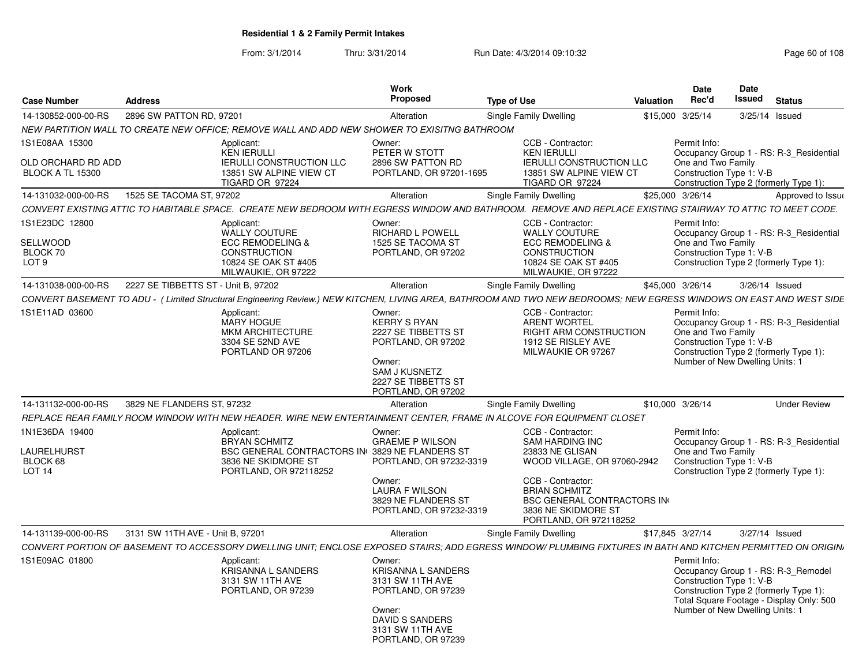From: 3/1/2014Thru: 3/31/2014 Run Date: 4/3/2014 09:10:32 Research 2010 Rage 60 of 108

| <b>Case Number</b><br><b>Address</b>                                                                                                                                  |                                                                                                                                              | Work<br>Proposed                                                                                                                                     | <b>Type of Use</b>                                                                                                                                                                                                               | <b>Valuation</b> | <b>Date</b><br>Rec'd                                                                              | Date<br>Issued | <b>Status</b>                                                                                                             |
|-----------------------------------------------------------------------------------------------------------------------------------------------------------------------|----------------------------------------------------------------------------------------------------------------------------------------------|------------------------------------------------------------------------------------------------------------------------------------------------------|----------------------------------------------------------------------------------------------------------------------------------------------------------------------------------------------------------------------------------|------------------|---------------------------------------------------------------------------------------------------|----------------|---------------------------------------------------------------------------------------------------------------------------|
| 2896 SW PATTON RD, 97201<br>14-130852-000-00-RS                                                                                                                       |                                                                                                                                              | Alteration                                                                                                                                           | Single Family Dwelling                                                                                                                                                                                                           | \$15,000 3/25/14 |                                                                                                   | 3/25/14 Issued |                                                                                                                           |
| NEW PARTITION WALL TO CREATE NEW OFFICE: REMOVE WALL AND ADD NEW SHOWER TO EXISITNG BATHROOM                                                                          |                                                                                                                                              |                                                                                                                                                      |                                                                                                                                                                                                                                  |                  |                                                                                                   |                |                                                                                                                           |
| 1S1E08AA 15300<br>OLD ORCHARD RD ADD<br><b>BLOCK A TL 15300</b>                                                                                                       | Applicant:<br><b>KEN IERULLI</b><br><b>IERULLI CONSTRUCTION LLC</b><br>13851 SW ALPINE VIEW CT<br>TIGARD OR 97224                            | Owner:<br>PETER W STOTT<br>2896 SW PATTON RD<br>PORTLAND, OR 97201-1695                                                                              | CCB - Contractor:<br><b>KEN IERULLI</b><br><b>IERULLI CONSTRUCTION LLC</b><br>13851 SW ALPINE VIEW CT<br>TIGARD OR 97224                                                                                                         |                  | Permit Info:<br>One and Two Family<br>Construction Type 1: V-B                                    |                | Occupancy Group 1 - RS: R-3 Residential<br>Construction Type 2 (formerly Type 1):                                         |
| 1525 SE TACOMA ST. 97202<br>14-131032-000-00-RS                                                                                                                       |                                                                                                                                              | Alteration                                                                                                                                           | Single Family Dwelling                                                                                                                                                                                                           | \$25,000 3/26/14 |                                                                                                   |                | Approved to Issue                                                                                                         |
| CONVERT EXISTING ATTIC TO HABITABLE SPACE. CREATE NEW BEDROOM WITH EGRESS WINDOW AND BATHROOM. REMOVE AND REPLACE EXISTING STAIRWAY TO ATTIC TO MEET CODE.            |                                                                                                                                              |                                                                                                                                                      |                                                                                                                                                                                                                                  |                  |                                                                                                   |                |                                                                                                                           |
| 1S1E23DC 12800<br><b>SELLWOOD</b><br>BLOCK 70<br>LOT <sub>9</sub>                                                                                                     | Applicant:<br><b>WALLY COUTURE</b><br><b>ECC REMODELING &amp;</b><br><b>CONSTRUCTION</b><br>10824 SE OAK ST #405<br>MILWAUKIE, OR 97222      | Owner:<br><b>RICHARD L POWELL</b><br>1525 SE TACOMA ST<br>PORTLAND, OR 97202                                                                         | CCB - Contractor:<br><b>WALLY COUTURE</b><br><b>ECC REMODELING &amp;</b><br><b>CONSTRUCTION</b><br>10824 SE OAK ST #405<br>MILWAUKIE, OR 97222                                                                                   |                  | Permit Info:<br>One and Two Family<br>Construction Type 1: V-B                                    |                | Occupancy Group 1 - RS: R-3_Residential<br>Construction Type 2 (formerly Type 1):                                         |
| 14-131038-000-00-RS                                                                                                                                                   | 2227 SE TIBBETTS ST - Unit B, 97202                                                                                                          | Alteration                                                                                                                                           | Single Family Dwelling                                                                                                                                                                                                           | \$45,000 3/26/14 |                                                                                                   | 3/26/14 Issued |                                                                                                                           |
| CONVERT BASEMENT TO ADU - ( Limited Structural Engineering Review.) NEW KITCHEN, LIVING AREA, BATHROOM AND TWO NEW BEDROOMS; NEW EGRESS WINDOWS ON EAST AND WEST SIDE |                                                                                                                                              |                                                                                                                                                      |                                                                                                                                                                                                                                  |                  |                                                                                                   |                |                                                                                                                           |
| 1S1E11AD 03600                                                                                                                                                        | Applicant:<br><b>MARY HOGUE</b><br><b>MKM ARCHITECTURE</b><br>3304 SE 52ND AVE<br>PORTLAND OR 97206                                          | Owner:<br><b>KERRY S RYAN</b><br>2227 SE TIBBETTS ST<br>PORTLAND, OR 97202<br>Owner:<br>SAM J KUSNETZ<br>2227 SE TIBBETTS ST<br>PORTLAND, OR 97202   | CCB - Contractor:<br><b>ARENT WORTEL</b><br>RIGHT ARM CONSTRUCTION<br>1912 SE RISLEY AVE<br>MILWAUKIE OR 97267                                                                                                                   |                  | Permit Info:<br>One and Two Family<br>Construction Type 1: V-B<br>Number of New Dwelling Units: 1 |                | Occupancy Group 1 - RS: R-3 Residential<br>Construction Type 2 (formerly Type 1):                                         |
| 3829 NE FLANDERS ST. 97232<br>14-131132-000-00-RS                                                                                                                     |                                                                                                                                              | Alteration                                                                                                                                           | Single Family Dwelling                                                                                                                                                                                                           | \$10,000 3/26/14 |                                                                                                   |                | <b>Under Review</b>                                                                                                       |
| REPLACE REAR FAMILY ROOM WINDOW WITH NEW HEADER. WIRE NEW ENTERTAINMENT CENTER, FRAME IN ALCOVE FOR EQUIPMENT CLOSET                                                  |                                                                                                                                              |                                                                                                                                                      |                                                                                                                                                                                                                                  |                  |                                                                                                   |                |                                                                                                                           |
| 1N1E36DA 19400<br>LAURELHURST<br>BLOCK 68<br><b>LOT 14</b>                                                                                                            | Applicant:<br><b>BRYAN SCHMITZ</b><br><b>BSC GENERAL CONTRACTORS IN 3829 NE FLANDERS ST</b><br>3836 NE SKIDMORE ST<br>PORTLAND, OR 972118252 | Owner:<br><b>GRAEME P WILSON</b><br>PORTLAND, OR 97232-3319<br>Owner:<br>LAURA F WILSON<br>3829 NE FLANDERS ST<br>PORTLAND, OR 97232-3319            | CCB - Contractor:<br><b>SAM HARDING INC</b><br>23833 NE GLISAN<br>WOOD VILLAGE, OR 97060-2942<br>CCB - Contractor:<br><b>BRIAN SCHMITZ</b><br><b>BSC GENERAL CONTRACTORS IN</b><br>3836 NE SKIDMORE ST<br>PORTLAND, OR 972118252 |                  | Permit Info:<br>One and Two Family<br>Construction Type 1: V-B                                    |                | Occupancy Group 1 - RS: R-3_Residential<br>Construction Type 2 (formerly Type 1):                                         |
| 14-131139-000-00-RS<br>3131 SW 11TH AVE - Unit B, 97201                                                                                                               |                                                                                                                                              | Alteration                                                                                                                                           | Single Family Dwelling                                                                                                                                                                                                           | \$17,845 3/27/14 |                                                                                                   | 3/27/14 Issued |                                                                                                                           |
| CONVERT PORTION OF BASEMENT TO ACCESSORY DWELLING UNIT: ENCLOSE EXPOSED STAIRS: ADD EGRESS WINDOW/ PLUMBING FIXTURES IN BATH AND KITCHEN PERMITTED ON ORIGIN,         |                                                                                                                                              |                                                                                                                                                      |                                                                                                                                                                                                                                  |                  |                                                                                                   |                |                                                                                                                           |
| 1S1E09AC 01800                                                                                                                                                        | Applicant:<br><b>KRISANNA L SANDERS</b><br>3131 SW 11TH AVE<br>PORTLAND, OR 97239                                                            | Owner:<br><b>KRISANNA L SANDERS</b><br>3131 SW 11TH AVE<br>PORTLAND, OR 97239<br>Owner:<br>DAVID S SANDERS<br>3131 SW 11TH AVE<br>PORTLAND, OR 97239 |                                                                                                                                                                                                                                  |                  | Permit Info:<br>Construction Type 1: V-B<br>Number of New Dwelling Units: 1                       |                | Occupancy Group 1 - RS: R-3 Remodel<br>Construction Type 2 (formerly Type 1):<br>Total Square Footage - Display Only: 500 |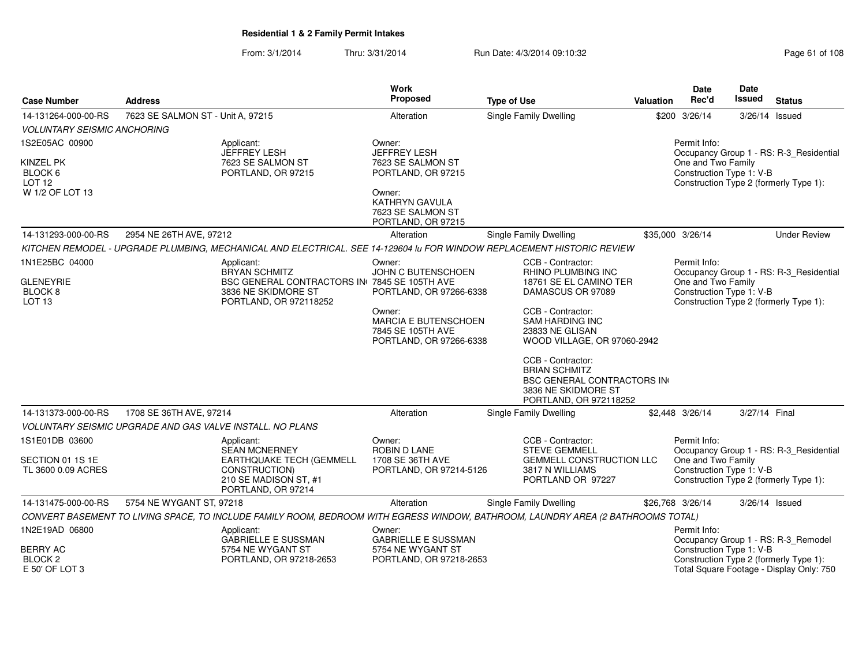From: 3/1/2014Thru: 3/31/2014 Run Date: 4/3/2014 09:10:32 Research 2010 Rage 61 of 108

| <b>Case Number</b>                                      | <b>Address</b>                    |                                                                                                                                  | Work<br><b>Proposed</b>                                                               | <b>Type of Use</b>                                                                                                              | <b>Valuation</b> | <b>Date</b><br>Rec'd                           | Date<br>Issued | <b>Status</b>                                                                      |
|---------------------------------------------------------|-----------------------------------|----------------------------------------------------------------------------------------------------------------------------------|---------------------------------------------------------------------------------------|---------------------------------------------------------------------------------------------------------------------------------|------------------|------------------------------------------------|----------------|------------------------------------------------------------------------------------|
| 14-131264-000-00-RS                                     | 7623 SE SALMON ST - Unit A, 97215 |                                                                                                                                  | Alteration                                                                            | Single Family Dwelling                                                                                                          |                  | \$200 3/26/14                                  |                | 3/26/14 Issued                                                                     |
| <b>VOLUNTARY SEISMIC ANCHORING</b>                      |                                   |                                                                                                                                  |                                                                                       |                                                                                                                                 |                  |                                                |                |                                                                                    |
| 1S2E05AC 00900                                          |                                   | Applicant:<br>JEFFREY LESH                                                                                                       | Owner:<br><b>JEFFREY LESH</b>                                                         |                                                                                                                                 |                  | Permit Info:                                   |                | Occupancy Group 1 - RS: R-3_Residential                                            |
| KINZEL PK<br>BLOCK 6<br><b>LOT 12</b>                   |                                   | 7623 SE SALMON ST<br>PORTLAND, OR 97215                                                                                          | 7623 SE SALMON ST<br>PORTLAND, OR 97215                                               |                                                                                                                                 |                  | One and Two Family<br>Construction Type 1: V-B |                | Construction Type 2 (formerly Type 1):                                             |
| W 1/2 OF LOT 13                                         |                                   |                                                                                                                                  | Owner:<br>KATHRYN GAVULA<br>7623 SE SALMON ST<br>PORTLAND, OR 97215                   |                                                                                                                                 |                  |                                                |                |                                                                                    |
| 14-131293-000-00-RS                                     | 2954 NE 26TH AVE, 97212           |                                                                                                                                  | Alteration                                                                            | Single Family Dwelling                                                                                                          |                  | \$35,000 3/26/14                               |                | <b>Under Review</b>                                                                |
|                                                         |                                   | KITCHEN REMODEL - UPGRADE PLUMBING, MECHANICAL AND ELECTRICAL. SEE 14-129604 Iu FOR WINDOW REPLACEMENT HISTORIC REVIEW           |                                                                                       |                                                                                                                                 |                  |                                                |                |                                                                                    |
| 1N1E25BC 04000                                          |                                   | Applicant:<br><b>BRYAN SCHMITZ</b>                                                                                               | Owner:<br><b>JOHN C BUTENSCHOEN</b>                                                   | CCB - Contractor:<br><b>RHINO PLUMBING INC</b>                                                                                  |                  | Permit Info:                                   |                | Occupancy Group 1 - RS: R-3_Residential                                            |
| <b>GLENEYRIE</b><br>BLOCK 8<br>LOT <sub>13</sub>        |                                   | BSC GENERAL CONTRACTORS IN 7845 SE 105TH AVE<br>3836 NE SKIDMORE ST<br>PORTLAND, OR 972118252                                    | PORTLAND, OR 97266-6338                                                               | 18761 SE EL CAMINO TER<br>DAMASCUS OR 97089                                                                                     |                  | One and Two Family<br>Construction Type 1: V-B |                | Construction Type 2 (formerly Type 1):                                             |
|                                                         |                                   |                                                                                                                                  | Owner:<br><b>MARCIA E BUTENSCHOEN</b><br>7845 SE 105TH AVE<br>PORTLAND, OR 97266-6338 | CCB - Contractor:<br><b>SAM HARDING INC</b><br>23833 NE GLISAN<br>WOOD VILLAGE, OR 97060-2942                                   |                  |                                                |                |                                                                                    |
|                                                         |                                   |                                                                                                                                  |                                                                                       | CCB - Contractor:<br><b>BRIAN SCHMITZ</b><br><b>BSC GENERAL CONTRACTORS IN</b><br>3836 NE SKIDMORE ST<br>PORTLAND, OR 972118252 |                  |                                                |                |                                                                                    |
| 14-131373-000-00-RS                                     | 1708 SE 36TH AVE, 97214           |                                                                                                                                  | Alteration                                                                            | Single Family Dwelling                                                                                                          |                  | \$2,448 3/26/14                                | 3/27/14 Final  |                                                                                    |
|                                                         |                                   | <b>VOLUNTARY SEISMIC UPGRADE AND GAS VALVE INSTALL. NO PLANS</b>                                                                 |                                                                                       |                                                                                                                                 |                  |                                                |                |                                                                                    |
| 1S1E01DB 03600                                          |                                   | Applicant:<br><b>SEAN MCNERNEY</b>                                                                                               | Owner:<br>ROBIN D LANE                                                                | CCB - Contractor:<br><b>STEVE GEMMELL</b>                                                                                       |                  | Permit Info:                                   |                | Occupancy Group 1 - RS: R-3_Residential                                            |
| SECTION 01 1S 1E<br>TL 3600 0.09 ACRES                  |                                   | EARTHQUAKE TECH (GEMMELL<br>CONSTRUCTION)<br>210 SE MADISON ST, #1<br>PORTLAND, OR 97214                                         | 1708 SE 36TH AVE<br>PORTLAND, OR 97214-5126                                           | GEMMELL CONSTRUCTION LLC<br>3817 N WILLIAMS<br>PORTLAND OR 97227                                                                |                  | One and Two Family<br>Construction Type 1: V-B |                | Construction Type 2 (formerly Type 1):                                             |
| 14-131475-000-00-RS                                     | 5754 NE WYGANT ST, 97218          |                                                                                                                                  | Alteration                                                                            | <b>Single Family Dwelling</b>                                                                                                   |                  | \$26,768 3/26/14                               |                | 3/26/14 Issued                                                                     |
|                                                         |                                   | CONVERT BASEMENT TO LIVING SPACE, TO INCLUDE FAMILY ROOM, BEDROOM WITH EGRESS WINDOW, BATHROOM, LAUNDRY AREA (2 BATHROOMS TOTAL) |                                                                                       |                                                                                                                                 |                  |                                                |                |                                                                                    |
| 1N2E19AD 06800                                          |                                   | Applicant:<br><b>GABRIELLE E SUSSMAN</b>                                                                                         | Owner:<br><b>GABRIELLE E SUSSMAN</b>                                                  |                                                                                                                                 |                  | Permit Info:                                   |                | Occupancy Group 1 - RS: R-3_Remodel                                                |
| <b>BERRY AC</b><br>BLOCK <sub>2</sub><br>E 50' OF LOT 3 |                                   | 5754 NE WYGANT ST<br>PORTLAND, OR 97218-2653                                                                                     | 5754 NE WYGANT ST<br>PORTLAND, OR 97218-2653                                          |                                                                                                                                 |                  | Construction Type 1: V-B                       |                | Construction Type 2 (formerly Type 1):<br>Total Square Footage - Display Only: 750 |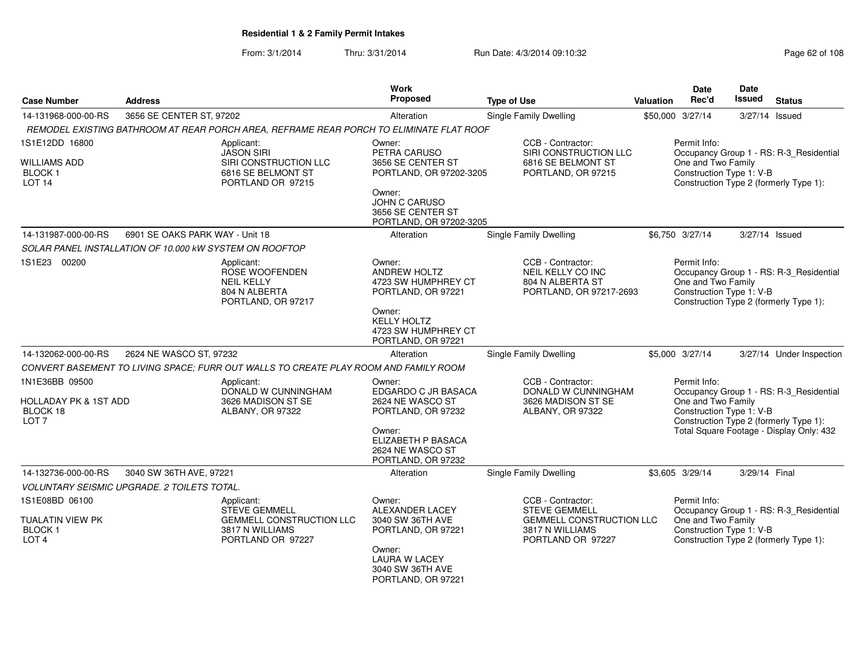From: 3/1/2014Thru: 3/31/2014 Run Date: 4/3/2014 09:10:32 Research 2010 Rage 62 of 108

| <b>Case Number</b>                                               | <b>Address</b>                                                                           | Work<br>Proposed                                                               | <b>Type of Use</b>                                                                    | Valuation | <b>Date</b><br>Rec'd                                           | <b>Date</b><br><b>Issued</b> | <b>Status</b>                                                                     |
|------------------------------------------------------------------|------------------------------------------------------------------------------------------|--------------------------------------------------------------------------------|---------------------------------------------------------------------------------------|-----------|----------------------------------------------------------------|------------------------------|-----------------------------------------------------------------------------------|
| 14-131968-000-00-RS                                              | 3656 SE CENTER ST, 97202                                                                 | Alteration                                                                     | <b>Single Family Dwelling</b>                                                         |           | \$50,000 3/27/14                                               | 3/27/14 Issued               |                                                                                   |
|                                                                  | REMODEL EXISTING BATHROOM AT REAR PORCH AREA, REFRAME REAR PORCH TO ELIMINATE FLAT ROOF  |                                                                                |                                                                                       |           |                                                                |                              |                                                                                   |
| 1S1E12DD 16800                                                   | Applicant:<br><b>JASON SIRI</b>                                                          | Owner:<br>PETRA CARUSO                                                         | CCB - Contractor:<br>SIRI CONSTRUCTION LLC                                            |           | Permit Info:                                                   |                              | Occupancy Group 1 - RS: R-3_Residential                                           |
| <b>WILLIAMS ADD</b><br><b>BLOCK1</b><br>LOT <sub>14</sub>        | SIRI CONSTRUCTION LLC<br>6816 SE BELMONT ST<br>PORTLAND OR 97215                         | 3656 SE CENTER ST<br>PORTLAND, OR 97202-3205                                   | 6816 SE BELMONT ST<br>PORTLAND, OR 97215                                              |           | One and Two Family<br>Construction Type 1: V-B                 |                              | Construction Type 2 (formerly Type 1):                                            |
|                                                                  |                                                                                          | Owner:<br><b>JOHN C CARUSO</b><br>3656 SE CENTER ST<br>PORTLAND, OR 97202-3205 |                                                                                       |           |                                                                |                              |                                                                                   |
| 14-131987-000-00-RS                                              | 6901 SE OAKS PARK WAY - Unit 18                                                          | Alteration                                                                     | Single Family Dwelling                                                                |           | \$6,750 3/27/14                                                | 3/27/14 Issued               |                                                                                   |
|                                                                  | SOLAR PANEL INSTALLATION OF 10.000 KW SYSTEM ON ROOFTOP                                  |                                                                                |                                                                                       |           |                                                                |                              |                                                                                   |
| 1S1E23 00200                                                     | Applicant:<br>ROSE WOOFENDEN<br><b>NEIL KELLY</b><br>804 N ALBERTA<br>PORTLAND, OR 97217 | Owner:<br><b>ANDREW HOLTZ</b><br>4723 SW HUMPHREY CT<br>PORTLAND, OR 97221     | CCB - Contractor:<br>NEIL KELLY CO INC<br>804 N ALBERTA ST<br>PORTLAND, OR 97217-2693 |           | Permit Info:<br>One and Two Family<br>Construction Type 1: V-B |                              | Occupancy Group 1 - RS: R-3_Residential<br>Construction Type 2 (formerly Type 1): |
|                                                                  |                                                                                          | Owner:<br><b>KELLY HOLTZ</b><br>4723 SW HUMPHREY CT<br>PORTLAND, OR 97221      |                                                                                       |           |                                                                |                              |                                                                                   |
| 14-132062-000-00-RS                                              | 2624 NE WASCO ST, 97232                                                                  | Alteration                                                                     | Single Family Dwelling                                                                |           | \$5,000 3/27/14                                                |                              | 3/27/14 Under Inspection                                                          |
|                                                                  | CONVERT BASEMENT TO LIVING SPACE: FURR OUT WALLS TO CREATE PLAY ROOM AND FAMILY ROOM     |                                                                                |                                                                                       |           |                                                                |                              |                                                                                   |
| 1N1E36BB 09500                                                   | Applicant:<br>DONALD W CUNNINGHAM                                                        | Owner:<br>EDGARDO C JR BASACA                                                  | CCB - Contractor:<br>DONALD W CUNNINGHAM                                              |           | Permit Info:                                                   |                              | Occupancy Group 1 - RS: R-3_Residential                                           |
| <b>HOLLADAY PK &amp; 1ST ADD</b><br>BLOCK 18<br>LOT <sub>7</sub> | 3626 MADISON ST SE<br>ALBANY, OR 97322                                                   | 2624 NE WASCO ST<br>PORTLAND, OR 97232                                         | 3626 MADISON ST SE<br>ALBANY, OR 97322                                                |           | One and Two Family<br>Construction Type 1: V-B                 |                              | Construction Type 2 (formerly Type 1):                                            |
|                                                                  |                                                                                          | Owner:<br>ELIZABETH P BASACA<br>2624 NE WASCO ST<br>PORTLAND, OR 97232         |                                                                                       |           |                                                                |                              | Total Square Footage - Display Only: 432                                          |
| 14-132736-000-00-RS                                              | 3040 SW 36TH AVE, 97221                                                                  | Alteration                                                                     | <b>Single Family Dwelling</b>                                                         |           | \$3,605 3/29/14                                                | 3/29/14 Final                |                                                                                   |
|                                                                  | VOLUNTARY SEISMIC UPGRADE. 2 TOILETS TOTAL.                                              |                                                                                |                                                                                       |           |                                                                |                              |                                                                                   |
| 1S1E08BD 06100                                                   | Applicant:<br><b>STEVE GEMMELL</b>                                                       | Owner:<br><b>ALEXANDER LACEY</b>                                               | CCB - Contractor:<br><b>STEVE GEMMELL</b>                                             |           | Permit Info:                                                   |                              | Occupancy Group 1 - RS: R-3_Residential                                           |
| TUALATIN VIEW PK<br>BLOCK 1<br>LOT <sub>4</sub>                  | <b>GEMMELL CONSTRUCTION LLC</b><br>3817 N WILLIAMS<br>PORTLAND OR 97227                  | 3040 SW 36TH AVE<br>PORTLAND, OR 97221                                         | GEMMELL CONSTRUCTION LLC<br>3817 N WILLIAMS<br>PORTLAND OR 97227                      |           | One and Two Family<br>Construction Type 1: V-B                 |                              | Construction Type 2 (formerly Type 1):                                            |
|                                                                  |                                                                                          | Owner:<br><b>LAURA W LACEY</b><br>3040 SW 36TH AVE<br>PORTLAND, OR 97221       |                                                                                       |           |                                                                |                              |                                                                                   |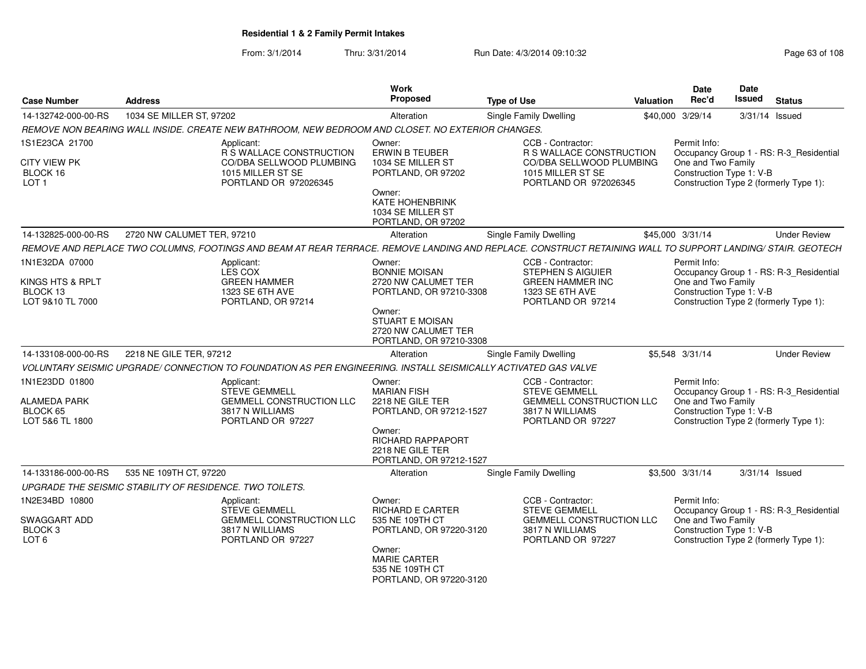From: 3/1/2014Thru: 3/31/2014 Run Date: 4/3/2014 09:10:32 Research 2010 Rage 63 of 108

| <b>Case Number</b>                                                   | <b>Address</b>                                                                                                                                             | Work<br>Proposed                                                                   | <b>Type of Use</b>                                                                                                   | <b>Valuation</b> | <b>Date</b><br>Rec'd               | <b>Date</b><br><b>Issued</b> | <b>Status</b>                                                                     |
|----------------------------------------------------------------------|------------------------------------------------------------------------------------------------------------------------------------------------------------|------------------------------------------------------------------------------------|----------------------------------------------------------------------------------------------------------------------|------------------|------------------------------------|------------------------------|-----------------------------------------------------------------------------------|
| 14-132742-000-00-RS                                                  | 1034 SE MILLER ST, 97202                                                                                                                                   | Alteration                                                                         | Single Family Dwelling                                                                                               | \$40,000 3/29/14 |                                    |                              | 3/31/14 Issued                                                                    |
|                                                                      | REMOVE NON BEARING WALL INSIDE. CREATE NEW BATHROOM, NEW BEDROOM AND CLOSET. NO EXTERIOR CHANGES.                                                          |                                                                                    |                                                                                                                      |                  |                                    |                              |                                                                                   |
| 1S1E23CA 21700<br><b>CITY VIEW PK</b>                                | Applicant:<br>R S WALLACE CONSTRUCTION<br>CO/DBA SELLWOOD PLUMBING                                                                                         | Owner:<br><b>ERWIN B TEUBER</b><br>1034 SE MILLER ST                               | CCB - Contractor:<br><b>R S WALLACE CONSTRUCTION</b><br>CO/DBA SELLWOOD PLUMBING                                     |                  | Permit Info:<br>One and Two Family |                              | Occupancy Group 1 - RS: R-3_Residential                                           |
| BLOCK 16<br>LOT <sub>1</sub>                                         | 1015 MILLER ST SE<br>PORTLAND OR 972026345                                                                                                                 | PORTLAND, OR 97202                                                                 | 1015 MILLER ST SE<br>PORTLAND OR 972026345                                                                           |                  |                                    | Construction Type 1: V-B     | Construction Type 2 (formerly Type 1):                                            |
|                                                                      |                                                                                                                                                            | Owner:<br><b>KATE HOHENBRINK</b><br>1034 SE MILLER ST<br>PORTLAND, OR 97202        |                                                                                                                      |                  |                                    |                              |                                                                                   |
| 14-132825-000-00-RS                                                  | 2720 NW CALUMET TER, 97210                                                                                                                                 | Alteration                                                                         | <b>Single Family Dwelling</b>                                                                                        | \$45,000 3/31/14 |                                    |                              | <b>Under Review</b>                                                               |
|                                                                      | REMOVE AND REPLACE TWO COLUMNS, FOOTINGS AND BEAM AT REAR TERRACE. REMOVE LANDING AND REPLACE. CONSTRUCT RETAINING WALL TO SUPPORT LANDING/ STAIR. GEOTECH |                                                                                    |                                                                                                                      |                  |                                    |                              |                                                                                   |
| 1N1E32DA 07000<br>KINGS HTS & RPLT<br>BLOCK 13                       | Applicant:<br>LES COX<br><b>GREEN HAMMER</b><br>1323 SE 6TH AVE                                                                                            | Owner:<br><b>BONNIE MOISAN</b><br>2720 NW CALUMET TER<br>PORTLAND, OR 97210-3308   | CCB - Contractor:<br><b>STEPHEN S AIGUIER</b><br><b>GREEN HAMMER INC</b><br>1323 SE 6TH AVE                          |                  | Permit Info:<br>One and Two Family | Construction Type 1: V-B     | Occupancy Group 1 - RS: R-3_Residential                                           |
| LOT 9&10 TL 7000                                                     | PORTLAND, OR 97214                                                                                                                                         | Owner:<br><b>STUART E MOISAN</b><br>2720 NW CALUMET TER<br>PORTLAND, OR 97210-3308 | PORTLAND OR 97214                                                                                                    |                  |                                    |                              | Construction Type 2 (formerly Type 1):                                            |
| 14-133108-000-00-RS                                                  | 2218 NE GILE TER, 97212                                                                                                                                    | Alteration                                                                         | Single Family Dwelling                                                                                               | \$5,548 3/31/14  |                                    |                              | <b>Under Review</b>                                                               |
|                                                                      | VOLUNTARY SEISMIC UPGRADE/ CONNECTION TO FOUNDATION AS PER ENGINEERING. INSTALL SEISMICALLY ACTIVATED GAS VALVE                                            |                                                                                    |                                                                                                                      |                  |                                    |                              |                                                                                   |
| 1N1E23DD 01800<br><b>ALAMEDA PARK</b><br>BLOCK 65<br>LOT 5&6 TL 1800 | Applicant:<br><b>STEVE GEMMELL</b><br><b>GEMMELL CONSTRUCTION LLC</b><br>3817 N WILLIAMS<br>PORTLAND OR 97227                                              | Owner:<br><b>MARIAN FISH</b><br>2218 NE GILE TER<br>PORTLAND, OR 97212-1527        | CCB - Contractor:<br><b>STEVE GEMMELL</b><br><b>GEMMELL CONSTRUCTION LLC</b><br>3817 N WILLIAMS<br>PORTLAND OR 97227 |                  | Permit Info:<br>One and Two Family | Construction Type 1: V-B     | Occupancy Group 1 - RS: R-3 Residential<br>Construction Type 2 (formerly Type 1): |
|                                                                      |                                                                                                                                                            | Owner:<br><b>RICHARD RAPPAPORT</b><br>2218 NE GILE TER<br>PORTLAND, OR 97212-1527  |                                                                                                                      |                  |                                    |                              |                                                                                   |
| 14-133186-000-00-RS                                                  | 535 NE 109TH CT, 97220                                                                                                                                     | Alteration                                                                         | <b>Single Family Dwelling</b>                                                                                        | \$3,500 3/31/14  |                                    |                              | 3/31/14 Issued                                                                    |
|                                                                      | UPGRADE THE SEISMIC STABILITY OF RESIDENCE. TWO TOILETS.                                                                                                   |                                                                                    |                                                                                                                      |                  |                                    |                              |                                                                                   |
| 1N2E34BD 10800                                                       | Applicant:<br><b>STEVE GEMMELL</b>                                                                                                                         | Owner:<br><b>RICHARD E CARTER</b>                                                  | CCB - Contractor:<br><b>STEVE GEMMELL</b>                                                                            |                  | Permit Info:                       |                              | Occupancy Group 1 - RS: R-3_Residential                                           |
| SWAGGART ADD<br>BLOCK <sub>3</sub><br>LOT <sub>6</sub>               | GEMMELL CONSTRUCTION LLC<br>3817 N WILLIAMS<br>PORTLAND OR 97227                                                                                           | 535 NE 109TH CT<br>PORTLAND, OR 97220-3120                                         | GEMMELL CONSTRUCTION LLC<br>3817 N WILLIAMS<br>PORTLAND OR 97227                                                     |                  | One and Two Family                 | Construction Type 1: V-B     | Construction Type 2 (formerly Type 1):                                            |
|                                                                      |                                                                                                                                                            | Owner:<br><b>MARIE CARTER</b><br>535 NE 109TH CT<br>PORTLAND, OR 97220-3120        |                                                                                                                      |                  |                                    |                              |                                                                                   |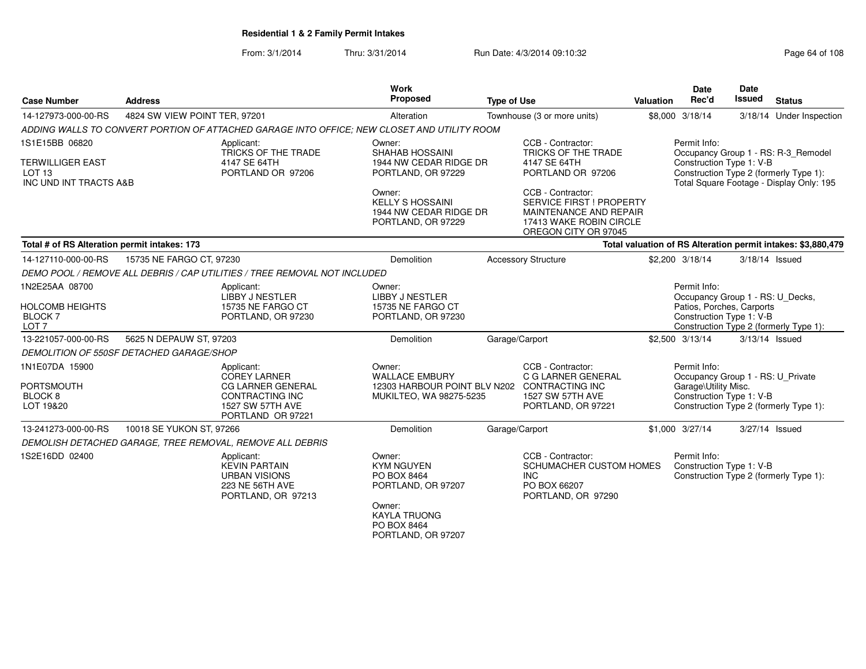From: 3/1/2014Thru: 3/31/2014 Run Date: 4/3/2014 09:10:32 Run Date: 4/3/2014 09:10:32

| <b>Case Number</b>                                                                       | <b>Address</b>                           |                                                                                                                                  | Work<br><b>Proposed</b>                                                                                                                | <b>Type of Use</b> |                                                                                                                            | Valuation | <b>Date</b><br>Rec'd                                                                                      | Date<br>Issued | <b>Status</b>                                                                                                             |
|------------------------------------------------------------------------------------------|------------------------------------------|----------------------------------------------------------------------------------------------------------------------------------|----------------------------------------------------------------------------------------------------------------------------------------|--------------------|----------------------------------------------------------------------------------------------------------------------------|-----------|-----------------------------------------------------------------------------------------------------------|----------------|---------------------------------------------------------------------------------------------------------------------------|
| 14-127973-000-00-RS                                                                      | 4824 SW VIEW POINT TER, 97201            |                                                                                                                                  | Alteration                                                                                                                             |                    | Townhouse (3 or more units)                                                                                                |           | \$8,000 3/18/14                                                                                           | 3/18/14        | Under Inspection                                                                                                          |
|                                                                                          |                                          | ADDING WALLS TO CONVERT PORTION OF ATTACHED GARAGE INTO OFFICE: NEW CLOSET AND UTILITY ROOM                                      |                                                                                                                                        |                    |                                                                                                                            |           |                                                                                                           |                |                                                                                                                           |
| 1S1E15BB 06820<br><b>TERWILLIGER EAST</b><br>LOT <sub>13</sub><br>INC UND INT TRACTS A&B |                                          | Applicant:<br>TRICKS OF THE TRADE<br>4147 SE 64TH<br>PORTLAND OR 97206                                                           | Owner:<br><b>SHAHAB HOSSAINI</b><br>1944 NW CEDAR RIDGE DR<br>PORTLAND, OR 97229                                                       |                    | CCB - Contractor:<br>TRICKS OF THE TRADE<br>4147 SE 64TH<br>PORTLAND OR 97206                                              |           | Permit Info:<br>Construction Type 1: V-B                                                                  |                | Occupancy Group 1 - RS: R-3_Remodel<br>Construction Type 2 (formerly Type 1):<br>Total Square Footage - Display Only: 195 |
|                                                                                          |                                          |                                                                                                                                  | Owner:<br><b>KELLY S HOSSAINI</b><br>1944 NW CEDAR RIDGE DR<br>PORTLAND, OR 97229                                                      |                    | CCB - Contractor:<br>SERVICE FIRST ! PROPERTY<br>MAINTENANCE AND REPAIR<br>17413 WAKE ROBIN CIRCLE<br>OREGON CITY OR 97045 |           |                                                                                                           |                |                                                                                                                           |
| Total # of RS Alteration permit intakes: 173                                             |                                          |                                                                                                                                  |                                                                                                                                        |                    |                                                                                                                            |           |                                                                                                           |                | Total valuation of RS Alteration permit intakes: \$3,880,479                                                              |
| 14-127110-000-00-RS                                                                      | 15735 NE FARGO CT, 97230                 |                                                                                                                                  | Demolition                                                                                                                             |                    | <b>Accessory Structure</b>                                                                                                 |           | \$2,200 3/18/14                                                                                           |                | $3/18/14$ Issued                                                                                                          |
|                                                                                          |                                          | DEMO POOL / REMOVE ALL DEBRIS / CAP UTILITIES / TREE REMOVAL NOT INCLUDED                                                        |                                                                                                                                        |                    |                                                                                                                            |           |                                                                                                           |                |                                                                                                                           |
| 1N2E25AA 08700<br><b>HOLCOMB HEIGHTS</b><br><b>BLOCK7</b><br>LOT <sub>7</sub>            |                                          | Applicant:<br>LIBBY J NESTLER<br>15735 NE FARGO CT<br>PORTLAND, OR 97230                                                         | Owner:<br><b>LIBBY J NESTLER</b><br>15735 NE FARGO CT<br>PORTLAND, OR 97230                                                            |                    |                                                                                                                            |           | Permit Info:<br>Occupancy Group 1 - RS: U_Decks,<br>Patios, Porches, Carports<br>Construction Type 1: V-B |                | Construction Type 2 (formerly Type 1):                                                                                    |
| 13-221057-000-00-RS                                                                      | 5625 N DEPAUW ST, 97203                  |                                                                                                                                  | Demolition                                                                                                                             |                    | Garage/Carport                                                                                                             |           | \$2,500 3/13/14                                                                                           | 3/13/14 Issued |                                                                                                                           |
|                                                                                          | DEMOLITION OF 550SF DETACHED GARAGE/SHOP |                                                                                                                                  |                                                                                                                                        |                    |                                                                                                                            |           |                                                                                                           |                |                                                                                                                           |
| 1N1E07DA 15900<br>PORTSMOUTH<br>BLOCK 8<br>LOT 19&20                                     |                                          | Applicant:<br><b>COREY LARNER</b><br><b>CG LARNER GENERAL</b><br><b>CONTRACTING INC</b><br>1527 SW 57TH AVE<br>PORTLAND OR 97221 | Owner:<br><b>WALLACE EMBURY</b><br>12303 HARBOUR POINT BLV N202 CONTRACTING INC<br>MUKILTEO, WA 98275-5235                             |                    | CCB - Contractor:<br>C G LARNER GENERAL<br>1527 SW 57TH AVE<br>PORTLAND, OR 97221                                          |           | Permit Info:<br>Occupancy Group 1 - RS: U_Private<br>Garage\Utility Misc.<br>Construction Type 1: V-B     |                | Construction Type 2 (formerly Type 1):                                                                                    |
| 13-241273-000-00-RS                                                                      | 10018 SE YUKON ST, 97266                 |                                                                                                                                  | Demolition                                                                                                                             |                    | Garage/Carport                                                                                                             |           | \$1,000 3/27/14                                                                                           | 3/27/14 Issued |                                                                                                                           |
|                                                                                          |                                          | DEMOLISH DETACHED GARAGE, TREE REMOVAL, REMOVE ALL DEBRIS                                                                        |                                                                                                                                        |                    |                                                                                                                            |           |                                                                                                           |                |                                                                                                                           |
| 1S2E16DD 02400                                                                           |                                          | Applicant:<br><b>KEVIN PARTAIN</b><br><b>URBAN VISIONS</b><br>223 NE 56TH AVE<br>PORTLAND, OR 97213                              | Owner:<br><b>KYM NGUYEN</b><br>PO BOX 8464<br>PORTLAND, OR 97207<br>Owner:<br><b>KAYLA TRUONG</b><br>PO BOX 8464<br>PORTLAND, OR 97207 |                    | CCB - Contractor:<br>SCHUMACHER CUSTOM HOMES<br><b>INC</b><br>PO BOX 66207<br>PORTLAND, OR 97290                           |           | Permit Info:<br>Construction Type 1: V-B                                                                  |                | Construction Type 2 (formerly Type 1):                                                                                    |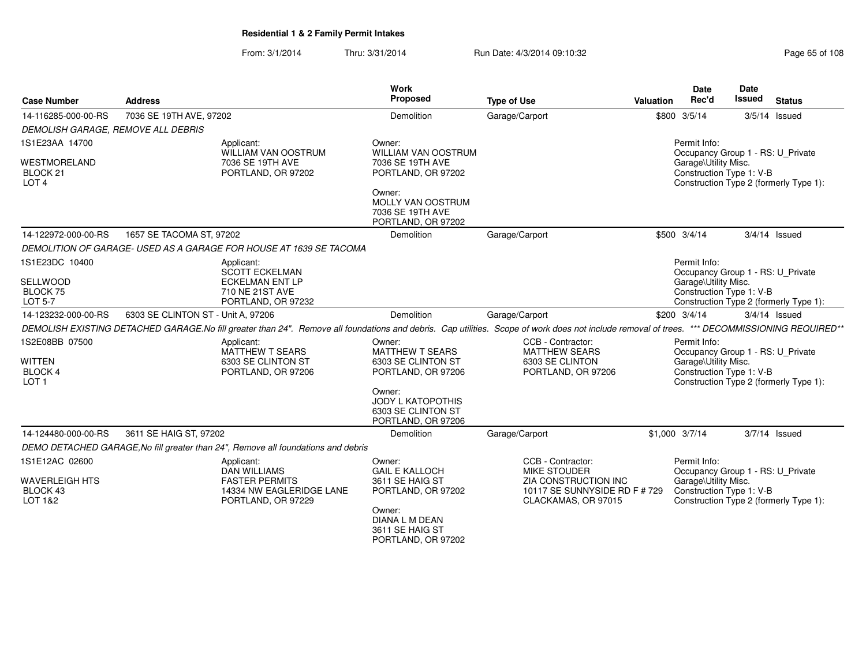### From: 3/1/2014Thru: 3/31/2014 Run Date: 4/3/2014 09:10:32 Research 2010 Rage 65 of 108

| <b>Case Number</b>                                                              | <b>Address</b>                     |                                                                                                              | Work<br>Proposed                                                                                                                                               | <b>Type of Use</b>                                                                                                                                                               | Valuation | <b>Date</b><br>Rec'd                                 | <b>Date</b><br><b>Issued</b><br><b>Status</b>                                                                                                                |
|---------------------------------------------------------------------------------|------------------------------------|--------------------------------------------------------------------------------------------------------------|----------------------------------------------------------------------------------------------------------------------------------------------------------------|----------------------------------------------------------------------------------------------------------------------------------------------------------------------------------|-----------|------------------------------------------------------|--------------------------------------------------------------------------------------------------------------------------------------------------------------|
| 14-116285-000-00-RS                                                             | 7036 SE 19TH AVE, 97202            |                                                                                                              | Demolition                                                                                                                                                     | Garage/Carport                                                                                                                                                                   |           | \$800 3/5/14                                         | $3/5/14$ Issued                                                                                                                                              |
| DEMOLISH GARAGE, REMOVE ALL DEBRIS                                              |                                    |                                                                                                              |                                                                                                                                                                |                                                                                                                                                                                  |           |                                                      |                                                                                                                                                              |
| 1S1E23AA 14700<br><b>WESTMORELAND</b><br>BLOCK 21<br>LOT <sub>4</sub>           |                                    | Applicant:<br>WILLIAM VAN OOSTRUM<br>7036 SE 19TH AVE<br>PORTLAND, OR 97202                                  | Owner:<br>WILLIAM VAN OOSTRUM<br>7036 SE 19TH AVE<br>PORTLAND, OR 97202<br>Owner:<br>MOLLY VAN OOSTRUM<br>7036 SE 19TH AVE<br>PORTLAND, OR 97202               |                                                                                                                                                                                  |           | Permit Info:<br>Garage\Utility Misc.                 | Occupancy Group 1 - RS: U_Private<br>Construction Type 1: V-B<br>Construction Type 2 (formerly Type 1):                                                      |
| 14-122972-000-00-RS                                                             | 1657 SE TACOMA ST, 97202           |                                                                                                              | <b>Demolition</b>                                                                                                                                              | Garage/Carport                                                                                                                                                                   |           | \$500 3/4/14                                         | $3/4/14$ Issued                                                                                                                                              |
|                                                                                 |                                    | DEMOLITION OF GARAGE-USED AS A GARAGE FOR HOUSE AT 1639 SE TACOMA                                            |                                                                                                                                                                |                                                                                                                                                                                  |           |                                                      |                                                                                                                                                              |
| 1S1E23DC 10400<br><b>SELLWOOD</b><br>BLOCK 75<br>LOT 5-7<br>14-123232-000-00-RS | 6303 SE CLINTON ST - Unit A, 97206 | Applicant:<br><b>SCOTT ECKELMAN</b><br><b>ECKELMAN ENT LP</b><br>710 NE 21ST AVE<br>PORTLAND, OR 97232       | Demolition                                                                                                                                                     | Garage/Carport<br>DEMOLISH EXISTING DETACHED GARAGE.No fill greater than 24". Remove all foundations and debris. Cap utilities. Scope of work does not include removal of trees. |           | Permit Info:<br>Garage\Utility Misc.<br>\$200 3/4/14 | Occupancy Group 1 - RS: U Private<br>Construction Type 1: V-B<br>Construction Type 2 (formerly Type 1):<br>$3/4/14$ Issued<br>*** DECOMMISSIONING REQUIRED** |
| 1S2E08BB 07500<br>WITTEN<br>BLOCK 4<br>LOT <sub>1</sub>                         |                                    | Applicant:<br>MATTHEW T SEARS<br>6303 SE CLINTON ST<br>PORTLAND, OR 97206                                    | Owner:<br><b>MATTHEW T SEARS</b><br>6303 SE CLINTON ST<br>PORTLAND, OR 97206<br>Owner:<br><b>JODY L KATOPOTHIS</b><br>6303 SE CLINTON ST<br>PORTLAND, OR 97206 | CCB - Contractor:<br><b>MATTHEW SEARS</b><br>6303 SE CLINTON<br>PORTLAND, OR 97206                                                                                               |           | Permit Info:<br>Garage\Utility Misc.                 | Occupancy Group 1 - RS: U_Private<br>Construction Type 1: V-B<br>Construction Type 2 (formerly Type 1):                                                      |
| 14-124480-000-00-RS                                                             | 3611 SE HAIG ST, 97202             |                                                                                                              | <b>Demolition</b>                                                                                                                                              | Garage/Carport                                                                                                                                                                   |           | \$1,000 3/7/14                                       | $3/7/14$ Issued                                                                                                                                              |
|                                                                                 |                                    | DEMO DETACHED GARAGE, No fill greater than 24", Remove all foundations and debris                            |                                                                                                                                                                |                                                                                                                                                                                  |           |                                                      |                                                                                                                                                              |
| 1S1E12AC 02600<br><b>WAVERLEIGH HTS</b><br>BLOCK 43<br>LOT 1&2                  |                                    | Applicant:<br><b>DAN WILLIAMS</b><br><b>FASTER PERMITS</b><br>14334 NW EAGLERIDGE LANE<br>PORTLAND, OR 97229 | Owner:<br><b>GAIL E KALLOCH</b><br>3611 SE HAIG ST<br>PORTLAND, OR 97202<br>Owner:<br>DIANA L M DEAN<br>3611 SE HAIG ST<br>PORTLAND, OR 97202                  | CCB - Contractor:<br><b>MIKE STOUDER</b><br>ZIA CONSTRUCTION INC<br>10117 SE SUNNYSIDE RD F # 729<br>CLACKAMAS, OR 97015                                                         |           | Permit Info:<br>Garage\Utility Misc.                 | Occupancy Group 1 - RS: U Private<br>Construction Type 1: V-B<br>Construction Type 2 (formerly Type 1):                                                      |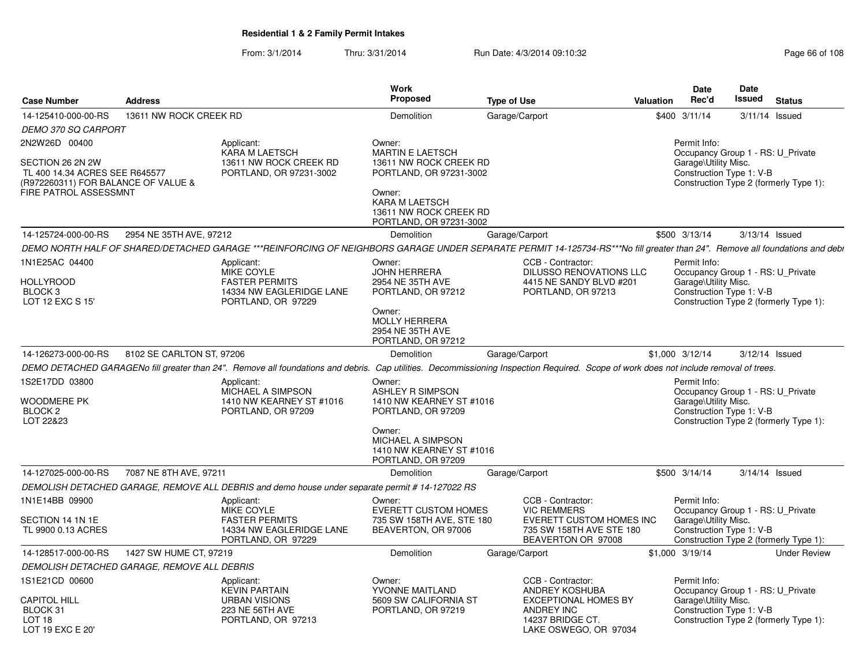From: 3/1/2014Thru: 3/31/2014 Run Date: 4/3/2014 09:10:32 Research 2010 Rage 66 of 108

|                                                                                                                    |                                             |                                                                                                     | Work                                                                                                                                                                 |                                                                                                                                                                                       |           | <b>Date</b>                          | Date                                                          |                                        |
|--------------------------------------------------------------------------------------------------------------------|---------------------------------------------|-----------------------------------------------------------------------------------------------------|----------------------------------------------------------------------------------------------------------------------------------------------------------------------|---------------------------------------------------------------------------------------------------------------------------------------------------------------------------------------|-----------|--------------------------------------|---------------------------------------------------------------|----------------------------------------|
| <b>Case Number</b>                                                                                                 | <b>Address</b>                              |                                                                                                     | <b>Proposed</b>                                                                                                                                                      | <b>Type of Use</b>                                                                                                                                                                    | Valuation | Rec'd                                | Issued                                                        | <b>Status</b>                          |
| 14-125410-000-00-RS                                                                                                | 13611 NW ROCK CREEK RD                      |                                                                                                     | Demolition                                                                                                                                                           | Garage/Carport                                                                                                                                                                        |           | \$400 3/11/14                        | 3/11/14 Issued                                                |                                        |
| <b>DEMO 370 SQ CARPORT</b>                                                                                         |                                             |                                                                                                     |                                                                                                                                                                      |                                                                                                                                                                                       |           |                                      |                                                               |                                        |
| 2N2W26D 00400                                                                                                      |                                             | Applicant:                                                                                          | Owner:                                                                                                                                                               |                                                                                                                                                                                       |           | Permit Info:                         |                                                               |                                        |
| SECTION 26 2N 2W<br>TL 400 14.34 ACRES SEE R645577<br>(R972260311) FOR BALANCE OF VALUE &<br>FIRE PATROL ASSESSMNT |                                             | KARA M LAETSCH<br>13611 NW ROCK CREEK RD<br>PORTLAND, OR 97231-3002                                 | MARTIN E LAETSCH<br>13611 NW ROCK CREEK RD<br>PORTLAND, OR 97231-3002<br>Owner:<br><b>KARA M LAETSCH</b><br>13611 NW ROCK CREEK RD<br>PORTLAND, OR 97231-3002        |                                                                                                                                                                                       |           | Garage\Utility Misc.                 | Occupancy Group 1 - RS: U Private<br>Construction Type 1: V-B | Construction Type 2 (formerly Type 1): |
| 14-125724-000-00-RS                                                                                                | 2954 NE 35TH AVE, 97212                     |                                                                                                     | <b>Demolition</b>                                                                                                                                                    | Garage/Carport                                                                                                                                                                        |           | \$500 3/13/14                        | 3/13/14 Issued                                                |                                        |
|                                                                                                                    |                                             |                                                                                                     |                                                                                                                                                                      | DEMO NORTH HALF OF SHARED/DETACHED GARAGE ***REINFORCING OF NEIGHBORS GARAGE UNDER SEPARATE PERMIT 14-125734-RS***No fill greater than 24". Remove all foundations and debi           |           |                                      |                                                               |                                        |
| 1N1E25AC 04400<br><b>HOLLYROOD</b><br>BLOCK 3<br>LOT 12 EXC S 15'                                                  |                                             | Applicant:<br>MIKE COYLE<br><b>FASTER PERMITS</b><br>14334 NW EAGLERIDGE LANE<br>PORTLAND, OR 97229 | Owner:<br><b>JOHN HERRERA</b><br>2954 NE 35TH AVE<br>PORTLAND, OR 97212<br>Owner:<br>MOLLY HERRERA<br>2954 NE 35TH AVE<br>PORTLAND, OR 97212                         | CCB - Contractor:<br>DILUSSO RENOVATIONS LLC<br>4415 NE SANDY BLVD #201<br>PORTLAND, OR 97213                                                                                         |           | Permit Info:<br>Garage\Utility Misc. | Occupancy Group 1 - RS: U_Private<br>Construction Type 1: V-B | Construction Type 2 (formerly Type 1): |
| 14-126273-000-00-RS                                                                                                | 8102 SE CARLTON ST, 97206                   |                                                                                                     | Demolition                                                                                                                                                           | Garage/Carport                                                                                                                                                                        |           | \$1,000 3/12/14                      | 3/12/14 Issued                                                |                                        |
|                                                                                                                    |                                             |                                                                                                     |                                                                                                                                                                      | DEMO DETACHED GARAGENo fill greater than 24". Remove all foundations and debris. Cap utilities. Decommissioning Inspection Required. Scope of work does not include removal of trees. |           |                                      |                                                               |                                        |
| 1S2E17DD 03800<br>WOODMERE PK<br>BLOCK <sub>2</sub><br>LOT 22&23                                                   |                                             | Applicant:<br>MICHAEL A SIMPSON<br>1410 NW KEARNEY ST #1016<br>PORTLAND, OR 97209                   | Owner:<br><b>ASHLEY R SIMPSON</b><br>1410 NW KEARNEY ST #1016<br>PORTLAND, OR 97209<br>Owner:<br>MICHAEL A SIMPSON<br>1410 NW KEARNEY ST #1016<br>PORTLAND, OR 97209 |                                                                                                                                                                                       |           | Permit Info:<br>Garage\Utility Misc. | Occupancy Group 1 - RS: U Private<br>Construction Type 1: V-B | Construction Type 2 (formerly Type 1): |
| 14-127025-000-00-RS                                                                                                | 7087 NE 8TH AVE, 97211                      |                                                                                                     | <b>Demolition</b>                                                                                                                                                    | Garage/Carport                                                                                                                                                                        |           | \$500 3/14/14                        | 3/14/14 Issued                                                |                                        |
|                                                                                                                    |                                             | DEMOLISH DETACHED GARAGE, REMOVE ALL DEBRIS and demo house under separate permit # 14-127022 RS     |                                                                                                                                                                      |                                                                                                                                                                                       |           |                                      |                                                               |                                        |
| 1N1E14BB 09900<br>SECTION 14 1N 1E<br>TL 9900 0.13 ACRES                                                           |                                             | Applicant:<br>MIKE COYLE<br><b>FASTER PERMITS</b><br>14334 NW EAGLERIDGE LANE<br>PORTLAND, OR 97229 | Owner:<br><b>EVERETT CUSTOM HOMES</b><br>735 SW 158TH AVE, STE 180<br>BEAVERTON, OR 97006                                                                            | CCB - Contractor:<br><b>VIC REMMERS</b><br><b>EVERETT CUSTOM HOMES INC</b><br>735 SW 158TH AVE STE 180<br>BEAVERTON OR 97008                                                          |           | Permit Info:<br>Garage\Utility Misc. | Occupancy Group 1 - RS: U_Private<br>Construction Type 1: V-B | Construction Type 2 (formerly Type 1): |
| 14-128517-000-00-RS                                                                                                | 1427 SW HUME CT, 97219                      |                                                                                                     | Demolition                                                                                                                                                           | Garage/Carport                                                                                                                                                                        |           | \$1,000 3/19/14                      |                                                               | <b>Under Review</b>                    |
|                                                                                                                    | DEMOLISH DETACHED GARAGE, REMOVE ALL DEBRIS |                                                                                                     |                                                                                                                                                                      |                                                                                                                                                                                       |           |                                      |                                                               |                                        |
| 1S1E21CD 00600<br><b>CAPITOL HILL</b>                                                                              |                                             | Applicant:<br><b>KEVIN PARTAIN</b><br><b>URBAN VISIONS</b>                                          | Owner:<br>YVONNE MAITLAND<br>5609 SW CALIFORNIA ST                                                                                                                   | CCB - Contractor:<br><b>ANDREY KOSHUBA</b><br><b>EXCEPTIONAL HOMES BY</b>                                                                                                             |           | Permit Info:<br>Garage\Utility Misc. | Occupancy Group 1 - RS: U Private                             |                                        |
| BLOCK 31<br>LOT 18<br>LOT 19 EXC E 20'                                                                             |                                             | 223 NE 56TH AVE<br>PORTLAND, OR 97213                                                               | PORTLAND, OR 97219                                                                                                                                                   | <b>ANDREY INC</b><br>14237 BRIDGE CT.<br>LAKE OSWEGO, OR 97034                                                                                                                        |           |                                      | Construction Type 1: V-B                                      | Construction Type 2 (formerly Type 1): |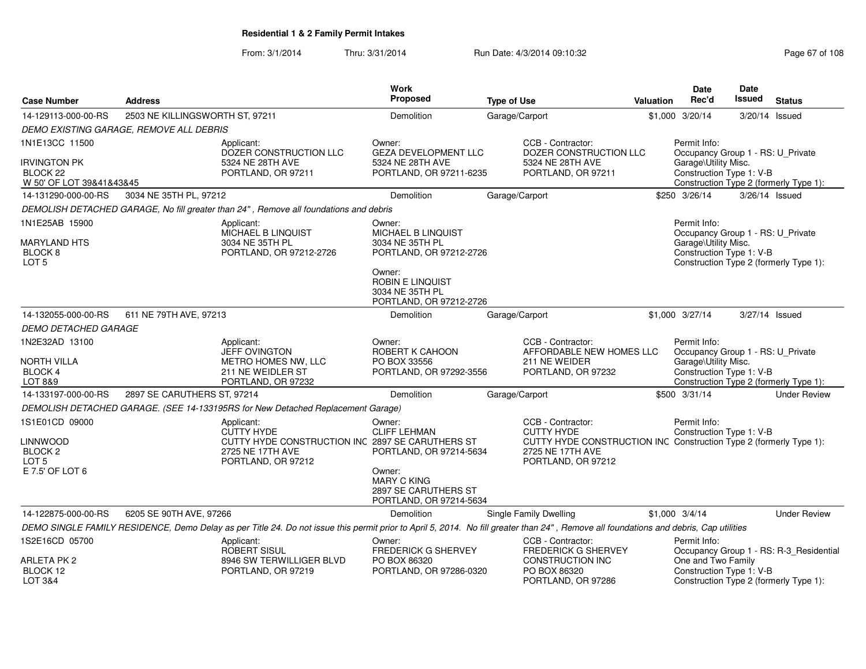From: 3/1/2014Thru: 3/31/2014 Run Date: 4/3/2014 09:10:32 Research 2010 Rage 67 of 108

| <b>Case Number</b>                                                          | <b>Address</b>                          |                                                                                                                                                                                       | <b>Work</b><br>Proposed                                                                             | <b>Type of Use</b>                                                               | Valuation                                                          | <b>Date</b><br>Rec'd                                                                                  | Date<br><b>Issued</b> | <b>Status</b>                           |
|-----------------------------------------------------------------------------|-----------------------------------------|---------------------------------------------------------------------------------------------------------------------------------------------------------------------------------------|-----------------------------------------------------------------------------------------------------|----------------------------------------------------------------------------------|--------------------------------------------------------------------|-------------------------------------------------------------------------------------------------------|-----------------------|-----------------------------------------|
| 14-129113-000-00-RS                                                         | 2503 NE KILLINGSWORTH ST, 97211         |                                                                                                                                                                                       | Demolition                                                                                          | Garage/Carport                                                                   |                                                                    | \$1,000 3/20/14                                                                                       | 3/20/14 Issued        |                                         |
|                                                                             | DEMO EXISTING GARAGE, REMOVE ALL DEBRIS |                                                                                                                                                                                       |                                                                                                     |                                                                                  |                                                                    |                                                                                                       |                       |                                         |
| 1N1E13CC 11500                                                              |                                         | Applicant:<br>DOZER CONSTRUCTION LLC                                                                                                                                                  | Owner:<br><b>GEZA DEVELOPMENT LLC</b>                                                               | CCB - Contractor:<br>DOZER CONSTRUCTION LLC                                      |                                                                    | Permit Info:<br>Occupancy Group 1 - RS: U_Private                                                     |                       |                                         |
| <b>IRVINGTON PK</b><br>BLOCK <sub>22</sub><br>W 50' OF LOT 39&41&43&45      |                                         | 5324 NE 28TH AVE<br>PORTLAND, OR 97211                                                                                                                                                | 5324 NE 28TH AVE<br>PORTLAND, OR 97211-6235                                                         | 5324 NE 28TH AVE<br>PORTLAND, OR 97211                                           |                                                                    | Garage\Utility Misc.<br>Construction Type 1: V-B                                                      |                       | Construction Type 2 (formerly Type 1):  |
| 14-131290-000-00-RS                                                         | 3034 NE 35TH PL, 97212                  |                                                                                                                                                                                       | <b>Demolition</b>                                                                                   | Garage/Carport                                                                   |                                                                    | \$250 3/26/14                                                                                         |                       | 3/26/14 Issued                          |
|                                                                             |                                         | DEMOLISH DETACHED GARAGE, No fill greater than 24", Remove all foundations and debris                                                                                                 |                                                                                                     |                                                                                  |                                                                    |                                                                                                       |                       |                                         |
| 1N1E25AB 15900<br><b>MARYLAND HTS</b>                                       |                                         | Applicant:<br>MICHAEL B LINQUIST<br>3034 NE 35TH PL                                                                                                                                   | Owner:<br>MICHAEL B LINQUIST<br>3034 NE 35TH PL                                                     |                                                                                  |                                                                    | Permit Info:<br>Occupancy Group 1 - RS: U_Private<br>Garage\Utility Misc.                             |                       |                                         |
| BLOCK <sub>8</sub><br>LOT <sub>5</sub>                                      |                                         | PORTLAND, OR 97212-2726                                                                                                                                                               | PORTLAND, OR 97212-2726<br>Owner:<br>ROBIN E LINQUIST<br>3034 NE 35TH PL<br>PORTLAND, OR 97212-2726 |                                                                                  |                                                                    | Construction Type 1: V-B                                                                              |                       | Construction Type 2 (formerly Type 1):  |
| 14-132055-000-00-RS                                                         | 611 NE 79TH AVE, 97213                  |                                                                                                                                                                                       | Demolition                                                                                          | Garage/Carport                                                                   |                                                                    | \$1,000 3/27/14                                                                                       | 3/27/14 Issued        |                                         |
| DEMO DETACHED GARAGE                                                        |                                         |                                                                                                                                                                                       |                                                                                                     |                                                                                  |                                                                    |                                                                                                       |                       |                                         |
| 1N2E32AD 13100<br>NORTH VILLA<br>BLOCK 4<br>LOT 8&9                         |                                         | Applicant:<br><b>JEFF OVINGTON</b><br>METRO HOMES NW, LLC<br>211 NE WEIDLER ST<br>PORTLAND, OR 97232                                                                                  | Owner:<br>ROBERT K CAHOON<br>PO BOX 33556<br>PORTLAND, OR 97292-3556                                | CCB - Contractor:<br>211 NE WEIDER<br>PORTLAND, OR 97232                         | AFFORDABLE NEW HOMES LLC                                           | Permit Info:<br>Occupancy Group 1 - RS: U_Private<br>Garage\Utility Misc.<br>Construction Type 1: V-B |                       | Construction Type 2 (formerly Type 1):  |
| 14-133197-000-00-RS                                                         | 2897 SE CARUTHERS ST, 97214             |                                                                                                                                                                                       | Demolition                                                                                          | Garage/Carport                                                                   |                                                                    | \$500 3/31/14                                                                                         |                       | <b>Under Review</b>                     |
|                                                                             |                                         | DEMOLISH DETACHED GARAGE. (SEE 14-133195RS for New Detached Replacement Garage)                                                                                                       |                                                                                                     |                                                                                  |                                                                    |                                                                                                       |                       |                                         |
| 1S1E01CD 09000<br><b>LINNWOOD</b><br>BLOCK <sub>2</sub><br>LOT <sub>5</sub> |                                         | Applicant:<br><b>CUTTY HYDE</b><br>CUTTY HYDE CONSTRUCTION INC 2897 SE CARUTHERS ST<br>2725 NE 17TH AVE<br>PORTLAND, OR 97212                                                         | Owner:<br><b>CLIFF LEHMAN</b><br>PORTLAND, OR 97214-5634                                            | CCB - Contractor:<br><b>CUTTY HYDE</b><br>2725 NE 17TH AVE<br>PORTLAND, OR 97212 | CUTTY HYDE CONSTRUCTION INC Construction Type 2 (formerly Type 1): | Permit Info:<br>Construction Type 1: V-B                                                              |                       |                                         |
| E 7.5' OF LOT 6                                                             |                                         |                                                                                                                                                                                       | Owner:<br><b>MARY C KING</b><br>2897 SE CARUTHERS ST<br>PORTLAND, OR 97214-5634                     |                                                                                  |                                                                    |                                                                                                       |                       |                                         |
| 14-122875-000-00-RS                                                         | 6205 SE 90TH AVE, 97266                 |                                                                                                                                                                                       | Demolition                                                                                          | Single Family Dwelling                                                           |                                                                    | $$1,000$ 3/4/14                                                                                       |                       | <b>Under Review</b>                     |
|                                                                             |                                         | DEMO SINGLE FAMILY RESIDENCE, Demo Delay as per Title 24. Do not issue this permit prior to April 5, 2014. No fill greater than 24", Remove all foundations and debris, Cap utilities |                                                                                                     |                                                                                  |                                                                    |                                                                                                       |                       |                                         |
| 1S2E16CD 05700                                                              |                                         | Applicant:<br>ROBERT SISUL                                                                                                                                                            | Owner:<br><b>FREDERICK G SHERVEY</b>                                                                | CCB - Contractor:<br><b>FREDERICK G SHERVEY</b>                                  |                                                                    | Permit Info:                                                                                          |                       | Occupancy Group 1 - RS: R-3 Residential |
| ARLETA PK 2<br>BLOCK 12<br>LOT 3&4                                          |                                         | 8946 SW TERWILLIGER BLVD<br>PORTLAND, OR 97219                                                                                                                                        | PO BOX 86320<br>PORTLAND, OR 97286-0320                                                             | CONSTRUCTION INC<br>PO BOX 86320<br>PORTLAND, OR 97286                           |                                                                    | One and Two Family<br>Construction Type 1: V-B                                                        |                       | Construction Type 2 (formerly Type 1):  |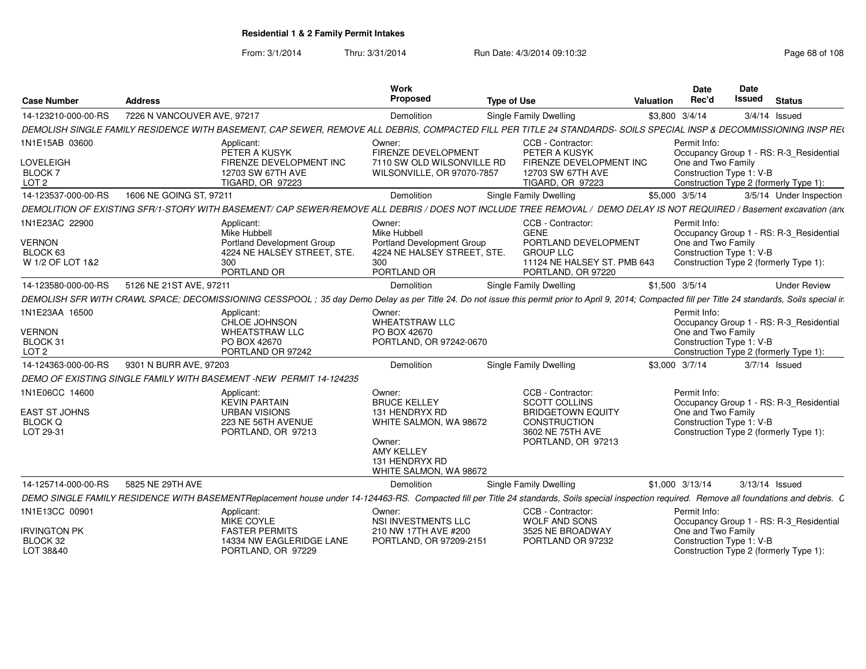From: 3/1/2014

Thru: 3/31/2014 Run Date: 4/3/2014 09:10:32 Research 2010 Rage 68 of 108

| <b>Case Number</b>                                  | <b>Address</b>                                                     | Work<br>Proposed                                                                                                                                                                                     | <b>Type of Use</b>                                               |                                                                                               | <b>Valuation</b> | Date<br>Rec'd                                                                            | <b>Date</b><br>Issued | <b>Status</b>                           |
|-----------------------------------------------------|--------------------------------------------------------------------|------------------------------------------------------------------------------------------------------------------------------------------------------------------------------------------------------|------------------------------------------------------------------|-----------------------------------------------------------------------------------------------|------------------|------------------------------------------------------------------------------------------|-----------------------|-----------------------------------------|
| 14-123210-000-00-RS                                 | 7226 N VANCOUVER AVE, 97217                                        | Demolition                                                                                                                                                                                           |                                                                  | Single Family Dwelling                                                                        |                  | \$3,800 3/4/14                                                                           | $3/4/14$ Issued       |                                         |
|                                                     |                                                                    | DEMOLISH SINGLE FAMILY RESIDENCE WITH BASEMENT, CAP SEWER, REMOVE ALL DEBRIS, COMPACTED FILL PER TITLE 24 STANDARDS- SOILS SPECIAL INSP & DECOMMISSIONING INSP REQ                                   |                                                                  |                                                                                               |                  |                                                                                          |                       |                                         |
| 1N1E15AB 03600                                      | Applicant:<br>PETER A KUSYK                                        | Owner:<br>FIRENZE DEVELOPMENT                                                                                                                                                                        |                                                                  | CCB - Contractor:<br>PETER A KUSYK                                                            |                  | Permit Info:                                                                             |                       | Occupancy Group 1 - RS: R-3 Residential |
| LOVELEIGH<br>BLOCK <sub>7</sub><br>LOT <sub>2</sub> | 12703 SW 67TH AVE<br>TIGARD, OR 97223                              | FIRENZE DEVELOPMENT INC                                                                                                                                                                              | 7110 SW OLD WILSONVILLE RD<br>WILSONVILLE, OR 97070-7857         | FIRENZE DEVELOPMENT INC<br>12703 SW 67TH AVE<br><b>TIGARD, OR 97223</b>                       |                  | One and Two Family<br>Construction Type 1: V-B<br>Construction Type 2 (formerly Type 1): |                       |                                         |
| 14-123537-000-00-RS                                 | 1606 NE GOING ST, 97211                                            | Demolition                                                                                                                                                                                           |                                                                  | Single Family Dwelling                                                                        |                  | \$5,000 3/5/14                                                                           |                       | 3/5/14 Under Inspection                 |
|                                                     |                                                                    | DEMOLITION OF EXISTING SFR/1-STORY WITH BASEMENT/ CAP SEWER/REMOVE ALL DEBRIS / DOES NOT INCLUDE TREE REMOVAL / DEMO DELAY IS NOT REQUIRED / Basement excavation (and                                |                                                                  |                                                                                               |                  |                                                                                          |                       |                                         |
| 1N1E23AC 22900                                      | Applicant:<br>Mike Hubbell                                         | Owner:<br>Mike Hubbell                                                                                                                                                                               |                                                                  | CCB - Contractor:<br><b>GENE</b>                                                              |                  | Permit Info:                                                                             |                       | Occupancy Group 1 - RS: R-3 Residential |
| <b>VERNON</b><br>BLOCK 63<br>W 1/2 OF LOT 1&2       | 300<br>PORTLAND OR                                                 | <b>Portland Development Group</b><br>4224 NE HALSEY STREET, STE.<br>300<br>PORTLAND OR                                                                                                               | <b>Portland Development Group</b><br>4224 NE HALSEY STREET, STE. | PORTLAND DEVELOPMENT<br><b>GROUP LLC</b><br>11124 NE HALSEY ST. PMB 643<br>PORTLAND, OR 97220 |                  | One and Two Family<br>Construction Type 1: V-B<br>Construction Type 2 (formerly Type 1): |                       |                                         |
| 14-123580-000-00-RS                                 | 5126 NE 21ST AVE, 97211                                            | Demolition                                                                                                                                                                                           |                                                                  | Single Family Dwelling                                                                        |                  | \$1,500 3/5/14                                                                           |                       | <b>Under Review</b>                     |
|                                                     |                                                                    | DEMOLISH SFR WITH CRAWL SPACE: DECOMISSIONING CESSPOOL: 35 day Demo Delay as per Title 24. Do not issue this permit prior to April 9, 2014; Compacted fill per Title 24 standards, Soils special ir. |                                                                  |                                                                                               |                  |                                                                                          |                       |                                         |
| 1N1E23AA 16500                                      | Applicant:                                                         | Owner:                                                                                                                                                                                               |                                                                  |                                                                                               |                  | Permit Info:                                                                             |                       |                                         |
|                                                     | CHLOE JOHNSON                                                      | <b>WHEATSTRAW LLC</b>                                                                                                                                                                                |                                                                  |                                                                                               |                  |                                                                                          |                       | Occupancy Group 1 - RS: R-3 Residential |
| <b>VERNON</b>                                       | <b>WHEATSTRAW LLC</b>                                              | PO BOX 42670                                                                                                                                                                                         |                                                                  |                                                                                               |                  | One and Two Family                                                                       |                       |                                         |
| BLOCK 31<br>LOT <sub>2</sub>                        | PO BOX 42670                                                       | PORTLAND OR 97242                                                                                                                                                                                    | PORTLAND, OR 97242-0670                                          |                                                                                               |                  | Construction Type 1: V-B<br>Construction Type 2 (formerly Type 1):                       |                       |                                         |
| 14-124363-000-00-RS                                 | 9301 N BURR AVE, 97203                                             | Demolition                                                                                                                                                                                           |                                                                  | Single Family Dwelling                                                                        |                  | \$3,000 3/7/14                                                                           | $3/7/14$ Issued       |                                         |
|                                                     | DEMO OF EXISTING SINGLE FAMILY WITH BASEMENT -NEW PERMIT 14-124235 |                                                                                                                                                                                                      |                                                                  |                                                                                               |                  |                                                                                          |                       |                                         |
| 1N1E06CC 14600                                      |                                                                    |                                                                                                                                                                                                      |                                                                  |                                                                                               |                  |                                                                                          |                       |                                         |
|                                                     | Applicant:<br><b>KEVIN PARTAIN</b>                                 | Owner:<br><b>BRUCE KELLEY</b>                                                                                                                                                                        |                                                                  | CCB - Contractor:<br><b>SCOTT COLLINS</b>                                                     |                  | Permit Info:                                                                             |                       | Occupancy Group 1 - RS: R-3 Residential |
| <b>EAST ST JOHNS</b>                                | <b>URBAN VISIONS</b>                                               | 131 HENDRYX RD                                                                                                                                                                                       |                                                                  | <b>BRIDGETOWN EQUITY</b>                                                                      |                  | One and Two Family                                                                       |                       |                                         |
| <b>BLOCK Q</b>                                      |                                                                    | 223 NE 56TH AVENUE                                                                                                                                                                                   | WHITE SALMON, WA 98672                                           | CONSTRUCTION                                                                                  |                  | Construction Type 1: V-B                                                                 |                       |                                         |
| LOT 29-31                                           |                                                                    | PORTLAND, OR 97213<br>Owner:<br><b>AMY KELLEY</b><br>131 HENDRYX RD                                                                                                                                  | WHITE SALMON, WA 98672                                           | 3602 NE 75TH AVE<br>PORTLAND, OR 97213                                                        |                  | Construction Type 2 (formerly Type 1):                                                   |                       |                                         |
| 14-125714-000-00-RS                                 | 5825 NE 29TH AVE                                                   | Demolition                                                                                                                                                                                           |                                                                  | <b>Single Family Dwelling</b>                                                                 |                  | \$1,000 3/13/14                                                                          | 3/13/14 Issued        |                                         |
|                                                     |                                                                    | DEMO SINGLE FAMILY RESIDENCE WITH BASEMENTReplacement house under 14-124463-RS. Compacted fill per Title 24 standards, Soils special inspection required. Remove all foundations and debris. C       |                                                                  |                                                                                               |                  |                                                                                          |                       |                                         |
| 1N1E13CC 00901                                      | Applicant:                                                         | Owner:                                                                                                                                                                                               |                                                                  | CCB - Contractor:                                                                             |                  | Permit Info:                                                                             |                       |                                         |
|                                                     | MIKE COYLE                                                         | NSI INVESTMENTS LLC                                                                                                                                                                                  |                                                                  | <b>WOLF AND SONS</b>                                                                          |                  |                                                                                          |                       | Occupancy Group 1 - RS: R-3 Residential |
| <b>IRVINGTON PK</b><br>BLOCK 32                     | <b>FASTER PERMITS</b>                                              | 210 NW 17TH AVE #200<br>14334 NW EAGLERIDGE LANE                                                                                                                                                     | PORTLAND, OR 97209-2151                                          | 3525 NE BROADWAY<br>PORTLAND OR 97232                                                         |                  | One and Two Family<br>Construction Type 1: V-B                                           |                       |                                         |
| LOT 38&40                                           |                                                                    | PORTLAND, OR 97229                                                                                                                                                                                   |                                                                  |                                                                                               |                  | Construction Type 2 (formerly Type 1):                                                   |                       |                                         |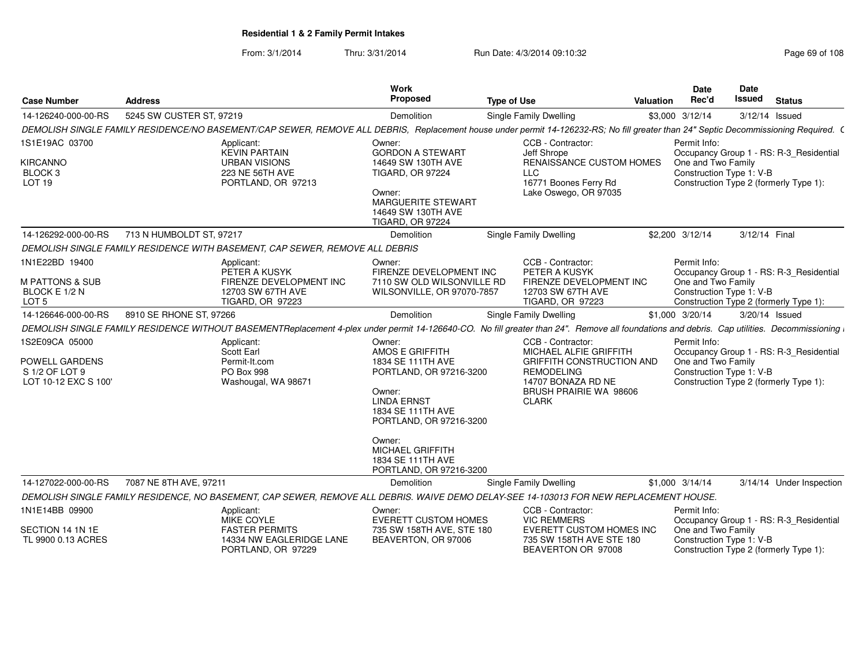From: 3/1/2014Thru: 3/31/2014 Run Date: 4/3/2014 09:10:32 Research 2010 Rage 69 of 108

| <b>Case Number</b>                                                                | <b>Address</b>                                                                                      | Work<br>Proposed                                                                                                                                                                           | <b>Type of Use</b>                                                                                             | Valuation                | <b>Date</b><br>Rec'd                                           | <b>Date</b><br>Issued | <b>Status</b>                                                                     |
|-----------------------------------------------------------------------------------|-----------------------------------------------------------------------------------------------------|--------------------------------------------------------------------------------------------------------------------------------------------------------------------------------------------|----------------------------------------------------------------------------------------------------------------|--------------------------|----------------------------------------------------------------|-----------------------|-----------------------------------------------------------------------------------|
| 14-126240-000-00-RS                                                               | 5245 SW CUSTER ST, 97219                                                                            | Demolition                                                                                                                                                                                 | Single Family Dwelling                                                                                         |                          | \$3,000 3/12/14                                                | 3/12/14 Issued        |                                                                                   |
|                                                                                   |                                                                                                     | DEMOLISH SINGLE FAMILY RESIDENCE/NO BASEMENT/CAP SEWER, REMOVE ALL DEBRIS, Replacement house under permit 14-126232-RS; No fill greater than 24" Septic Decommissioning Required. (        |                                                                                                                |                          |                                                                |                       |                                                                                   |
| 1S1E19AC 03700<br>KIRCANNO<br>BLOCK 3<br>LOT 19                                   | Applicant:<br><b>KEVIN PARTAIN</b><br><b>URBAN VISIONS</b><br>223 NE 56TH AVE<br>PORTLAND, OR 97213 | Owner:<br><b>GORDON A STEWART</b><br>14649 SW 130TH AVE<br><b>TIGARD, OR 97224</b><br>Owner:<br><b>MARGUERITE STEWART</b><br>14649 SW 130TH AVE<br><b>TIGARD, OR 97224</b>                 | CCB - Contractor:<br>Jeff Shrope<br>LLC<br>16771 Boones Ferry Rd<br>Lake Oswego, OR 97035                      | RENAISSANCE CUSTOM HOMES | Permit Info:<br>One and Two Family<br>Construction Type 1: V-B |                       | Occupancy Group 1 - RS: R-3 Residential<br>Construction Type 2 (formerly Type 1): |
| 14-126292-000-00-RS                                                               | 713 N HUMBOLDT ST, 97217                                                                            | Demolition                                                                                                                                                                                 | <b>Single Family Dwelling</b>                                                                                  |                          | \$2,200 3/12/14                                                | 3/12/14 Final         |                                                                                   |
|                                                                                   | DEMOLISH SINGLE FAMILY RESIDENCE WITH BASEMENT, CAP SEWER, REMOVE ALL DEBRIS                        |                                                                                                                                                                                            |                                                                                                                |                          |                                                                |                       |                                                                                   |
| 1N1E22BD 19400<br><b>M PATTONS &amp; SUB</b><br>BLOCK E 1/2 N<br>LOT <sub>5</sub> | Applicant:<br>PETER A KUSYK<br>12703 SW 67TH AVE<br><b>TIGARD, OR 97223</b>                         | Owner:<br>FIRENZE DEVELOPMENT INC<br>FIRENZE DEVELOPMENT INC<br>7110 SW OLD WILSONVILLE RD<br>WILSONVILLE, OR 97070-7857                                                                   | CCB - Contractor:<br>PETER A KUSYK<br>FIRENZE DEVELOPMENT INC<br>12703 SW 67TH AVE<br>TIGARD, OR 97223         |                          | Permit Info:<br>One and Two Family<br>Construction Type 1: V-B |                       | Occupancy Group 1 - RS: R-3_Residential<br>Construction Type 2 (formerly Type 1): |
| 14-126646-000-00-RS                                                               | 8910 SE RHONE ST, 97266                                                                             | Demolition                                                                                                                                                                                 | <b>Single Family Dwelling</b>                                                                                  |                          | \$1,000 3/20/14                                                | 3/20/14 Issued        |                                                                                   |
|                                                                                   |                                                                                                     | DEMOLISH SINGLE FAMILY RESIDENCE WITHOUT BASEMENTReplacement 4-plex under permit 14-126640-CO. No fill greater than 24". Remove all foundations and debris. Cap utilities. Decommissioning |                                                                                                                |                          |                                                                |                       |                                                                                   |
| 1S2E09CA 05000                                                                    | Applicant:<br>Scott Earl                                                                            | Owner:<br>AMOS E GRIFFITH                                                                                                                                                                  | CCB - Contractor:<br>MICHAEL ALFIE GRIFFITH                                                                    |                          | Permit Info:                                                   |                       | Occupancy Group 1 - RS: R-3_Residential                                           |
| POWELL GARDENS<br>S 1/2 OF LOT 9<br>LOT 10-12 EXC S 100'                          | Permit-It.com<br>PO Box 998<br>Washougal, WA 98671                                                  | 1834 SE 111TH AVE<br>PORTLAND, OR 97216-3200<br>Owner:<br><b>LINDA ERNST</b><br>1834 SE 111TH AVE<br>PORTLAND, OR 97216-3200<br>Owner:                                                     | GRIFFITH CONSTRUCTION AND<br><b>REMODELING</b><br>14707 BONAZA RD NE<br>BRUSH PRAIRIE WA 98606<br><b>CLARK</b> |                          | One and Two Family<br>Construction Type 1: V-B                 |                       | Construction Type 2 (formerly Type 1):                                            |
|                                                                                   |                                                                                                     | MICHAEL GRIFFITH<br>1834 SE 111TH AVE<br>PORTLAND, OR 97216-3200                                                                                                                           |                                                                                                                |                          |                                                                |                       |                                                                                   |
| 14-127022-000-00-RS                                                               | 7087 NE 8TH AVE, 97211                                                                              | Demolition                                                                                                                                                                                 | Single Family Dwelling                                                                                         |                          | \$1,000 3/14/14                                                |                       | 3/14/14 Under Inspection                                                          |
|                                                                                   |                                                                                                     | DEMOLISH SINGLE FAMILY RESIDENCE, NO BASEMENT, CAP SEWER, REMOVE ALL DEBRIS. WAIVE DEMO DELAY-SEE 14-103013 FOR NEW REPLACEMENT HOUSE.                                                     |                                                                                                                |                          |                                                                |                       |                                                                                   |
| 1N1E14BB 09900                                                                    | Applicant:<br><b>MIKE COYLE</b>                                                                     | Owner:<br><b>EVERETT CUSTOM HOMES</b>                                                                                                                                                      | CCB - Contractor:<br><b>VIC REMMERS</b>                                                                        |                          | Permit Info:                                                   |                       | Occupancy Group 1 - RS: R-3_Residential                                           |
| SECTION 14 1N 1E<br>TL 9900 0.13 ACRES                                            | <b>FASTER PERMITS</b><br>PORTLAND, OR 97229                                                         | 735 SW 158TH AVE, STE 180<br>14334 NW EAGLERIDGE LANE<br>BEAVERTON, OR 97006                                                                                                               | EVERETT CUSTOM HOMES INC<br>735 SW 158TH AVE STE 180<br>BEAVERTON OR 97008                                     |                          | One and Two Family<br>Construction Type 1: V-B                 |                       | Construction Type 2 (formerly Type 1):                                            |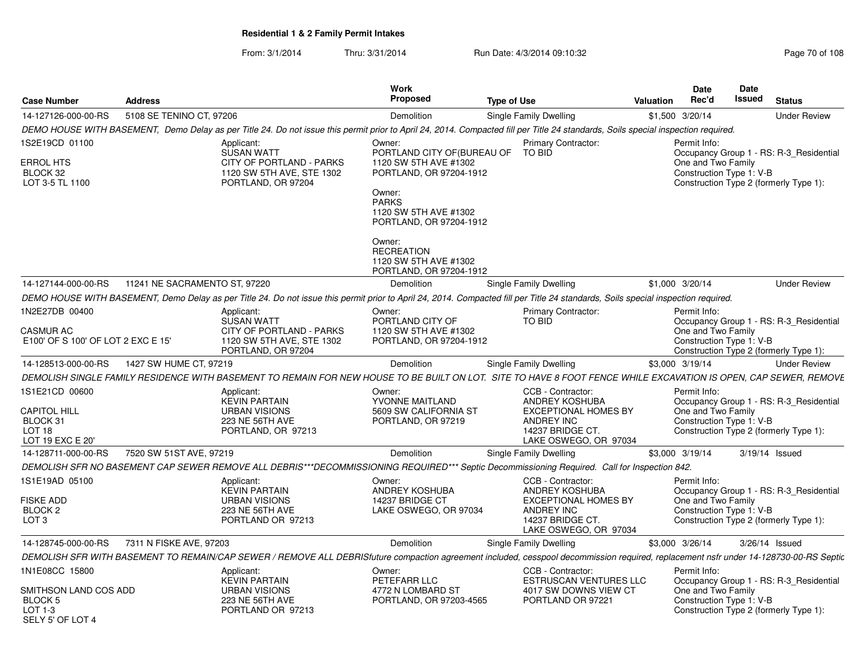From: 3/1/2014Thru: 3/31/2014 Run Date: 4/3/2014 09:10:32 Research 2010 Rage 70 of 108

| <b>Case Number</b>                                                | <b>Address</b>                |                                                                                                                                                                                       | <b>Work</b><br>Proposed                                                                                                        | <b>Type of Use</b> |                                               | <b>Valuation</b> | <b>Date</b><br>Rec'd                           | <b>Date</b><br><b>Issued</b> | <b>Status</b>                           |
|-------------------------------------------------------------------|-------------------------------|---------------------------------------------------------------------------------------------------------------------------------------------------------------------------------------|--------------------------------------------------------------------------------------------------------------------------------|--------------------|-----------------------------------------------|------------------|------------------------------------------------|------------------------------|-----------------------------------------|
| 14-127126-000-00-RS                                               | 5108 SE TENINO CT, 97206      |                                                                                                                                                                                       | Demolition                                                                                                                     |                    | Single Family Dwelling                        |                  | \$1,500 3/20/14                                |                              | <b>Under Review</b>                     |
|                                                                   |                               | DEMO HOUSE WITH BASEMENT, Demo Delay as per Title 24. Do not issue this permit prior to April 24, 2014. Compacted fill per Title 24 standards, Soils special inspection required.     |                                                                                                                                |                    |                                               |                  |                                                |                              |                                         |
| 1S2E19CD 01100                                                    |                               | Applicant:<br><b>SUSAN WATT</b>                                                                                                                                                       | Owner:<br>PORTLAND CITY OF BUREAU OF                                                                                           |                    | Primary Contractor:<br><b>TO BID</b>          |                  | Permit Info:                                   |                              | Occupancy Group 1 - RS: R-3 Residential |
| ERROL HTS<br>BLOCK 32<br>LOT 3-5 TL 1100                          |                               | CITY OF PORTLAND - PARKS<br>1120 SW 5TH AVE, STE 1302<br>PORTLAND, OR 97204                                                                                                           | 1120 SW 5TH AVE #1302<br>PORTLAND, OR 97204-1912<br>Owner:<br><b>PARKS</b><br>1120 SW 5TH AVE #1302<br>PORTLAND, OR 97204-1912 |                    |                                               |                  | One and Two Family<br>Construction Type 1: V-B |                              | Construction Type 2 (formerly Type 1):  |
|                                                                   |                               |                                                                                                                                                                                       | Owner:<br><b>RECREATION</b><br>1120 SW 5TH AVE #1302<br>PORTLAND, OR 97204-1912                                                |                    |                                               |                  |                                                |                              |                                         |
| 14-127144-000-00-RS                                               | 11241 NE SACRAMENTO ST, 97220 |                                                                                                                                                                                       | Demolition                                                                                                                     |                    | Single Family Dwelling                        |                  | \$1,000 3/20/14                                |                              | <b>Under Review</b>                     |
|                                                                   |                               | DEMO HOUSE WITH BASEMENT, Demo Delay as per Title 24. Do not issue this permit prior to April 24, 2014. Compacted fill per Title 24 standards, Soils special inspection required.     |                                                                                                                                |                    |                                               |                  |                                                |                              |                                         |
| 1N2E27DB 00400<br><b>CASMUR AC</b>                                |                               | Applicant:<br>SUSAN WATT<br>CITY OF PORTLAND - PARKS                                                                                                                                  | Owner:<br>PORTLAND CITY OF<br>1120 SW 5TH AVE #1302                                                                            |                    | Primary Contractor:<br>TO BID                 |                  | Permit Info:<br>One and Two Family             |                              | Occupancy Group 1 - RS: R-3 Residential |
| E100' OF S 100' OF LOT 2 EXC E 15'                                |                               | 1120 SW 5TH AVE, STE 1302<br>PORTLAND, OR 97204                                                                                                                                       | PORTLAND, OR 97204-1912                                                                                                        |                    |                                               |                  | Construction Type 1: V-B                       |                              | Construction Type 2 (formerly Type 1):  |
| 14-128513-000-00-RS                                               | 1427 SW HUME CT, 97219        |                                                                                                                                                                                       | Demolition                                                                                                                     |                    | Single Family Dwelling                        |                  | \$3,000 3/19/14                                |                              | <b>Under Review</b>                     |
|                                                                   |                               | DEMOLISH SINGLE FAMILY RESIDENCE WITH BASEMENT TO REMAIN FOR NEW HOUSE TO BE BUILT ON LOT. SITE TO HAVE 8 FOOT FENCE WHILE EXCAVATION IS OPEN, CAP SEWER, REMOVE                      |                                                                                                                                |                    |                                               |                  |                                                |                              |                                         |
| 1S1E21CD 00600                                                    |                               | Applicant:<br><b>KEVIN PARTAIN</b>                                                                                                                                                    | Owner:<br>YVONNE MAITLAND                                                                                                      |                    | CCB - Contractor:<br>ANDREY KOSHUBA           |                  | Permit Info:                                   |                              | Occupancy Group 1 - RS: R-3_Residential |
| <b>CAPITOL HILL</b>                                               |                               | <b>URBAN VISIONS</b>                                                                                                                                                                  | 5609 SW CALIFORNIA ST                                                                                                          |                    | <b>EXCEPTIONAL HOMES BY</b>                   |                  | One and Two Family                             |                              |                                         |
| BLOCK 31                                                          |                               | 223 NE 56TH AVE                                                                                                                                                                       | PORTLAND, OR 97219                                                                                                             |                    | <b>ANDREY INC</b>                             |                  | Construction Type 1: V-B                       |                              |                                         |
| LOT <sub>18</sub><br>LOT 19 EXC E 20'                             |                               | PORTLAND, OR 97213                                                                                                                                                                    |                                                                                                                                |                    | 14237 BRIDGE CT.<br>LAKE OSWEGO, OR 97034     |                  |                                                |                              | Construction Type 2 (formerly Type 1):  |
| 14-128711-000-00-RS                                               | 7520 SW 51ST AVE, 97219       |                                                                                                                                                                                       | Demolition                                                                                                                     |                    | Single Family Dwelling                        |                  | \$3,000 3/19/14                                |                              | 3/19/14 Issued                          |
|                                                                   |                               | DEMOLISH SFR NO BASEMENT CAP SEWER REMOVE ALL DEBRIS***DECOMMISSIONING REQUIRED*** Septic Decommissioning Required. Call for Inspection 842.                                          |                                                                                                                                |                    |                                               |                  |                                                |                              |                                         |
| 1S1E19AD 05100                                                    |                               | Applicant:                                                                                                                                                                            | Owner:                                                                                                                         |                    | CCB - Contractor:                             |                  | Permit Info:                                   |                              |                                         |
| <b>FISKE ADD</b>                                                  |                               | <b>KEVIN PARTAIN</b><br><b>URBAN VISIONS</b>                                                                                                                                          | ANDREY KOSHUBA<br>14237 BRIDGE CT                                                                                              |                    | ANDREY KOSHUBA<br><b>EXCEPTIONAL HOMES BY</b> |                  | One and Two Family                             |                              | Occupancy Group 1 - RS: R-3 Residential |
| BLOCK 2                                                           |                               | 223 NE 56TH AVE                                                                                                                                                                       | LAKE OSWEGO, OR 97034                                                                                                          |                    | <b>ANDREY INC</b>                             |                  | Construction Type 1: V-B                       |                              |                                         |
| LOT 3                                                             |                               | PORTLAND OR 97213                                                                                                                                                                     |                                                                                                                                |                    | 14237 BRIDGE CT.<br>LAKE OSWEGO, OR 97034     |                  |                                                |                              | Construction Type 2 (formerly Type 1):  |
| 14-128745-000-00-RS                                               | 7311 N FISKE AVE, 97203       |                                                                                                                                                                                       | Demolition                                                                                                                     |                    | <b>Single Family Dwelling</b>                 |                  | \$3,000 3/26/14                                |                              | 3/26/14 Issued                          |
|                                                                   |                               | DEMOLISH SFR WITH BASEMENT TO REMAIN/CAP SEWER / REMOVE ALL DEBRISfuture compaction agreement included, cesspool decommission required, replacement nsfr under 14-128730-00-RS Septic |                                                                                                                                |                    |                                               |                  |                                                |                              |                                         |
| 1N1E08CC 15800                                                    |                               | Applicant:<br><b>KEVIN PARTAIN</b>                                                                                                                                                    | Owner:<br>PETEFARR LLC                                                                                                         |                    | CCB - Contractor:<br>ESTRUSCAN VENTURES LLC   |                  | Permit Info:                                   |                              | Occupancy Group 1 - RS: R-3_Residential |
| SMITHSON LAND COS ADD<br>BLOCK 5<br>LOT 1-3<br>SEI Y 5' OF I OT 4 |                               | <b>URBAN VISIONS</b><br>223 NE 56TH AVE<br>PORTLAND OR 97213                                                                                                                          | 4772 N LOMBARD ST<br>PORTLAND, OR 97203-4565                                                                                   |                    | 4017 SW DOWNS VIEW CT<br>PORTLAND OR 97221    |                  | One and Two Family<br>Construction Type 1: V-B |                              | Construction Type 2 (formerly Type 1):  |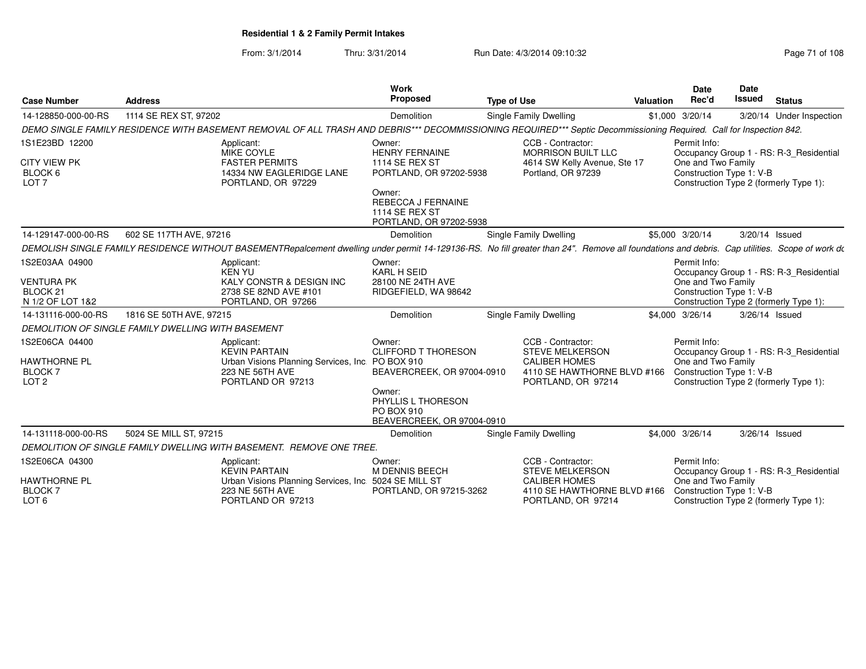From: 3/1/2014Thru: 3/31/2014 Run Date: 4/3/2014 09:10:32 Research 2010 Rage 71 of 108

| <b>Case Number</b>                                                             | <b>Address</b>                                                                                                                                                                                | <b>Work</b><br>Proposed                                                                                                                                                 | <b>Type of Use</b>                                                                                                       | <b>Valuation</b> | <b>Date</b><br>Rec'd                                           | <b>Date</b><br>Issued | <b>Status</b>                                                                     |
|--------------------------------------------------------------------------------|-----------------------------------------------------------------------------------------------------------------------------------------------------------------------------------------------|-------------------------------------------------------------------------------------------------------------------------------------------------------------------------|--------------------------------------------------------------------------------------------------------------------------|------------------|----------------------------------------------------------------|-----------------------|-----------------------------------------------------------------------------------|
| 14-128850-000-00-RS                                                            | 1114 SE REX ST, 97202                                                                                                                                                                         | Demolition                                                                                                                                                              | <b>Single Family Dwelling</b>                                                                                            |                  | \$1,000 3/20/14                                                |                       | 3/20/14 Under Inspection                                                          |
|                                                                                | DEMO SINGLE FAMILY RESIDENCE WITH BASEMENT REMOVAL OF ALL TRASH AND DEBRIS*** DECOMMISSIONING REQUIRED*** Septic Decommissioning Required. Call for Inspection 842.                           |                                                                                                                                                                         |                                                                                                                          |                  |                                                                |                       |                                                                                   |
| 1S1E23BD 12200<br><b>CITY VIEW PK</b><br>BLOCK 6<br>LOT <sub>7</sub>           | Applicant:<br>MIKE COYLE<br><b>FASTER PERMITS</b><br>14334 NW EAGLERIDGE LANE<br>PORTLAND, OR 97229                                                                                           | Owner:<br><b>HENRY FERNAINE</b><br><b>1114 SE REX ST</b><br>PORTLAND, OR 97202-5938<br>Owner:<br><b>REBECCA J FERNAINE</b><br>1114 SE REX ST<br>PORTLAND, OR 97202-5938 | CCB - Contractor:<br><b>MORRISON BUILT LLC</b><br>4614 SW Kelly Avenue, Ste 17<br>Portland, OR 97239                     |                  | Permit Info:<br>One and Two Family<br>Construction Type 1: V-B |                       | Occupancy Group 1 - RS: R-3_Residential<br>Construction Type 2 (formerly Type 1): |
| 14-129147-000-00-RS                                                            | 602 SE 117TH AVE, 97216                                                                                                                                                                       | Demolition                                                                                                                                                              | Single Family Dwelling                                                                                                   |                  | \$5,000 3/20/14                                                | 3/20/14 Issued        |                                                                                   |
|                                                                                | DEMOLISH SINGLE FAMILY RESIDENCE WITHOUT BASEMENTRepalcement dwelling under permit 14-129136-RS. No fill greater than 24". Remove all foundations and debris. Cap utilities. Scope of work do |                                                                                                                                                                         |                                                                                                                          |                  |                                                                |                       |                                                                                   |
| 1S2E03AA 04900<br><b>VENTURA PK</b><br>BLOCK <sub>21</sub><br>N 1/2 OF LOT 1&2 | Applicant:<br><b>KEN YU</b><br>KALY CONSTR & DESIGN INC<br>2738 SE 82ND AVE #101<br>PORTLAND, OR 97266                                                                                        | Owner:<br><b>KARL H SEID</b><br>28100 NE 24TH AVE<br>RIDGEFIELD, WA 98642                                                                                               |                                                                                                                          |                  | Permit Info:<br>One and Two Family<br>Construction Type 1: V-B |                       | Occupancy Group 1 - RS: R-3_Residential<br>Construction Type 2 (formerly Type 1): |
| 14-131116-000-00-RS                                                            | 1816 SE 50TH AVE, 97215                                                                                                                                                                       | Demolition                                                                                                                                                              | <b>Single Family Dwelling</b>                                                                                            |                  | \$4,000 3/26/14                                                | 3/26/14 Issued        |                                                                                   |
|                                                                                | DEMOLITION OF SINGLE FAMILY DWELLING WITH BASEMENT                                                                                                                                            |                                                                                                                                                                         |                                                                                                                          |                  |                                                                |                       |                                                                                   |
| 1S2E06CA 04400<br><b>HAWTHORNE PL</b><br><b>BLOCK7</b><br>LOT <sub>2</sub>     | Applicant:<br><b>KEVIN PARTAIN</b><br>Urban Visions Planning Services, Inc.<br>223 NE 56TH AVE<br>PORTLAND OR 97213                                                                           | Owner:<br><b>CLIFFORD T THORESON</b><br>PO BOX 910<br>BEAVERCREEK, OR 97004-0910<br>Owner:<br>PHYLLIS L THORESON<br>PO BOX 910<br>BEAVERCREEK, OR 97004-0910            | CCB - Contractor:<br><b>STEVE MELKERSON</b><br><b>CALIBER HOMES</b><br>4110 SE HAWTHORNE BLVD #166<br>PORTLAND, OR 97214 |                  | Permit Info:<br>One and Two Family<br>Construction Type 1: V-B |                       | Occupancy Group 1 - RS: R-3_Residential<br>Construction Type 2 (formerly Type 1): |
| 14-131118-000-00-RS                                                            | 5024 SE MILL ST, 97215                                                                                                                                                                        | Demolition                                                                                                                                                              | Single Family Dwelling                                                                                                   |                  | \$4,000 3/26/14                                                | 3/26/14 Issued        |                                                                                   |
|                                                                                | DEMOLITION OF SINGLE FAMILY DWELLING WITH BASEMENT. REMOVE ONE TREE.                                                                                                                          |                                                                                                                                                                         |                                                                                                                          |                  |                                                                |                       |                                                                                   |
| 1S2E06CA 04300<br><b>HAWTHORNE PL</b><br><b>BLOCK7</b><br>LOT <sub>6</sub>     | Applicant:<br><b>KEVIN PARTAIN</b><br>Urban Visions Planning Services, Inc. 5024 SE MILL ST<br>223 NE 56TH AVE<br>PORTLAND OR 97213                                                           | Owner:<br>M DENNIS BEECH<br>PORTLAND, OR 97215-3262                                                                                                                     | CCB - Contractor:<br><b>STEVE MELKERSON</b><br><b>CALIBER HOMES</b><br>4110 SE HAWTHORNE BLVD #166<br>PORTLAND, OR 97214 |                  | Permit Info:<br>One and Two Family<br>Construction Type 1: V-B |                       | Occupancy Group 1 - RS: R-3 Residential<br>Construction Type 2 (formerly Type 1): |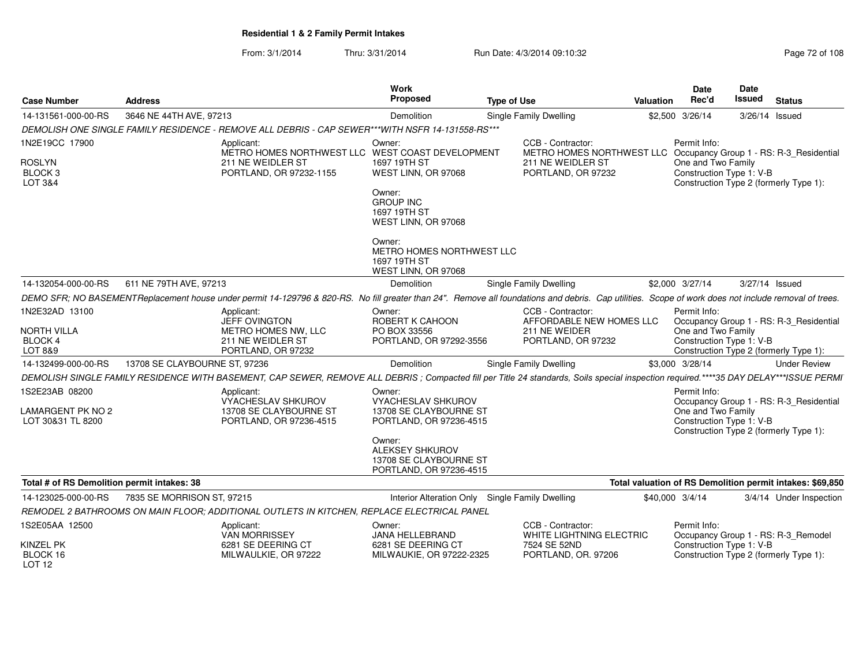From: 3/1/2014Thru: 3/31/2014 Run Date: 4/3/2014 09:10:32 Research 2010 Rage 72 of 108

| <b>Case Number</b>                                          | <b>Address</b>                                                                                                                                                                                       | <b>Work</b><br>Proposed                                                               | Valuation                                                                           | Date<br>Rec'd                                                  | Date<br>Issued                                      | <b>Status</b>                                                                     |                                                           |  |
|-------------------------------------------------------------|------------------------------------------------------------------------------------------------------------------------------------------------------------------------------------------------------|---------------------------------------------------------------------------------------|-------------------------------------------------------------------------------------|----------------------------------------------------------------|-----------------------------------------------------|-----------------------------------------------------------------------------------|-----------------------------------------------------------|--|
| 14-131561-000-00-RS                                         | 3646 NE 44TH AVE, 97213                                                                                                                                                                              | <b>Demolition</b>                                                                     | Single Family Dwelling                                                              | \$2,500                                                        | 3/26/14                                             | 3/26/14 Issued                                                                    |                                                           |  |
|                                                             | DEMOLISH ONE SINGLE FAMILY RESIDENCE - REMOVE ALL DEBRIS - CAP SEWER***WITH NSFR 14-131558-RS***                                                                                                     |                                                                                       |                                                                                     |                                                                |                                                     |                                                                                   |                                                           |  |
| 1N2E19CC 17900<br><b>ROSLYN</b><br><b>BLOCK3</b><br>LOT 3&4 | Applicant:<br>METRO HOMES NORTHWEST LLC WEST COAST DEVELOPMENT<br>211 NE WEIDLER ST<br>PORTLAND, OR 97232-1155                                                                                       | Owner:<br>1697 19TH ST<br>WEST LINN, OR 97068                                         | METRO HOMES NORTHWEST LLC                                                           | Permit Info:<br>One and Two Family<br>Construction Type 1: V-B |                                                     | Occupancy Group 1 - RS: R-3 Residential<br>Construction Type 2 (formerly Type 1): |                                                           |  |
|                                                             |                                                                                                                                                                                                      | Owner:<br><b>GROUP INC</b><br>1697 19TH ST<br>WEST LINN, OR 97068                     |                                                                                     |                                                                |                                                     |                                                                                   |                                                           |  |
|                                                             |                                                                                                                                                                                                      | Owner:<br>METRO HOMES NORTHWEST LLC<br>1697 19TH ST<br>WEST LINN, OR 97068            |                                                                                     |                                                                |                                                     |                                                                                   |                                                           |  |
| 14-132054-000-00-RS                                         | 611 NE 79TH AVE, 97213                                                                                                                                                                               | Demolition                                                                            | <b>Single Family Dwelling</b>                                                       |                                                                | \$2,000 3/27/14                                     | 3/27/14 Issued                                                                    |                                                           |  |
|                                                             | DEMO SFR; NO BASEMENTReplacement house under permit 14-129796 & 820-RS. No fill greater than 24". Remove all foundations and debris. Cap utilities. Scope of work does not include removal of trees. |                                                                                       |                                                                                     |                                                                |                                                     |                                                                                   |                                                           |  |
| 1N2E32AD 13100                                              | Applicant:<br>JEFF OVINGTON                                                                                                                                                                          | Owner:<br>ROBERT K CAHOON                                                             | Permit Info:<br>AFFORDABLE NEW HOMES LLC<br>Occupancy Group 1 - RS: R-3_Residential |                                                                |                                                     |                                                                                   |                                                           |  |
| NORTH VILLA<br><b>BLOCK 4</b><br>LOT 8&9                    | METRO HOMES NW, LLC<br>211 NE WEIDLER ST<br>PORTLAND, OR 97232                                                                                                                                       | PO BOX 33556<br>PORTLAND, OR 97292-3556                                               | 211 NE WEIDER<br>PORTLAND, OR 97232                                                 |                                                                | One and Two Family<br>Construction Type 1: V-B      |                                                                                   | Construction Type 2 (formerly Type 1):                    |  |
| 14-132499-000-00-RS                                         | 13708 SE CLAYBOURNE ST, 97236                                                                                                                                                                        | <b>Demolition</b>                                                                     | Single Family Dwelling                                                              |                                                                | \$3,000 3/28/14                                     |                                                                                   | <b>Under Review</b>                                       |  |
|                                                             | DEMOLISH SINGLE FAMILY RESIDENCE WITH BASEMENT, CAP SEWER, REMOVE ALL DEBRIS ; Compacted fill per Title 24 standards, Soils special inspection required.****35 DAY DELAY***ISSUE PERMI               |                                                                                       |                                                                                     |                                                                |                                                     |                                                                                   |                                                           |  |
| 1S2E23AB 08200                                              | Applicant:<br><b>VYACHESLAV SHKUROV</b>                                                                                                                                                              | Owner:<br><b>VYACHESLAV SHKUROV</b>                                                   |                                                                                     |                                                                | Permit Info:                                        |                                                                                   | Occupancy Group 1 - RS: R-3_Residential                   |  |
| LAMARGENT PK NO 2<br>LOT 30&31 TL 8200                      | 13708 SE CLAYBOURNE ST<br>PORTLAND, OR 97236-4515                                                                                                                                                    | 13708 SE CLAYBOURNE ST<br>PORTLAND, OR 97236-4515                                     |                                                                                     |                                                                | One and Two Family<br>Construction Type 1: V-B      |                                                                                   | Construction Type 2 (formerly Type 1):                    |  |
|                                                             |                                                                                                                                                                                                      | Owner:<br><b>ALEKSEY SHKUROV</b><br>13708 SE CLAYBOURNE ST<br>PORTLAND, OR 97236-4515 |                                                                                     |                                                                |                                                     |                                                                                   |                                                           |  |
| Total # of RS Demolition permit intakes: 38                 |                                                                                                                                                                                                      |                                                                                       |                                                                                     |                                                                |                                                     |                                                                                   | Total valuation of RS Demolition permit intakes: \$69,850 |  |
| 14-123025-000-00-RS                                         | 7835 SE MORRISON ST, 97215                                                                                                                                                                           |                                                                                       | Interior Alteration Only Single Family Dwelling                                     | \$40,000 3/4/14                                                |                                                     |                                                                                   | 3/4/14 Under Inspection                                   |  |
|                                                             | REMODEL 2 BATHROOMS ON MAIN FLOOR; ADDITIONAL OUTLETS IN KITCHEN, REPLACE ELECTRICAL PANEL                                                                                                           |                                                                                       |                                                                                     |                                                                |                                                     |                                                                                   |                                                           |  |
| 1S2E05AA 12500                                              | Applicant:<br><b>VAN MORRISSEY</b>                                                                                                                                                                   | CCB - Contractor:<br>Owner:<br><b>JANA HELLEBRAND</b><br>WHITE LIGHTNING ELECTRIC     |                                                                                     |                                                                | Permit Info:<br>Occupancy Group 1 - RS: R-3_Remodel |                                                                                   |                                                           |  |
| KINZEL PK<br>BLOCK 16<br>LOT <sub>12</sub>                  | 6281 SE DEERING CT<br>MILWAULKIE, OR 97222                                                                                                                                                           | 6281 SE DEERING CT<br>MILWAUKIE, OR 97222-2325                                        | 7524 SE 52ND<br>PORTLAND, OR. 97206                                                 |                                                                | Construction Type 1: V-B                            |                                                                                   | Construction Type 2 (formerly Type 1):                    |  |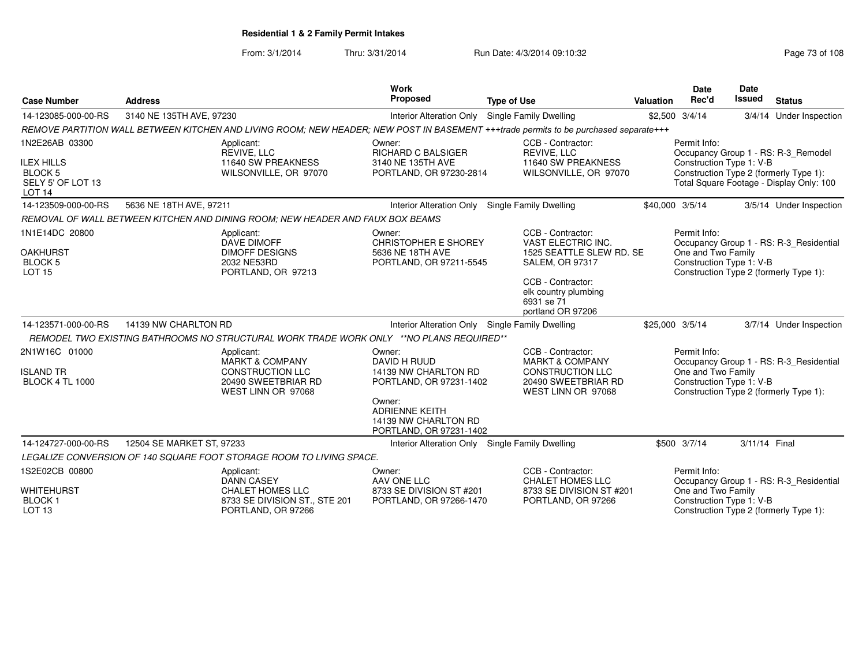From: 3/1/2014Thru: 3/31/2014 Run Date: 4/3/2014 09:10:32 Research 2010 Rage 73 of 108

| <b>Case Number</b>                                                                          | <b>Address</b>                                                                                                                       | <b>Work</b><br><b>Proposed</b>                                                                                                                                  | <b>Type of Use</b>                                                                                                                                       | <b>Valuation</b> | <b>Date</b><br>Rec'd                                           | <b>Date</b><br><b>Issued</b> | <b>Status</b>                                                                                                             |
|---------------------------------------------------------------------------------------------|--------------------------------------------------------------------------------------------------------------------------------------|-----------------------------------------------------------------------------------------------------------------------------------------------------------------|----------------------------------------------------------------------------------------------------------------------------------------------------------|------------------|----------------------------------------------------------------|------------------------------|---------------------------------------------------------------------------------------------------------------------------|
| 14-123085-000-00-RS                                                                         | 3140 NE 135TH AVE, 97230                                                                                                             | Interior Alteration Only Single Family Dwelling                                                                                                                 |                                                                                                                                                          |                  | \$2,500 3/4/14                                                 |                              | 3/4/14 Under Inspection                                                                                                   |
|                                                                                             | REMOVE PARTITION WALL BETWEEN KITCHEN AND LIVING ROOM: NEW HEADER; NEW POST IN BASEMENT +++trade permits to be purchased separate+++ |                                                                                                                                                                 |                                                                                                                                                          |                  |                                                                |                              |                                                                                                                           |
| 1N2E26AB 03300<br><b>ILEX HILLS</b><br><b>BLOCK 5</b><br>SELY 5' OF LOT 13<br><b>LOT 14</b> | Applicant:<br>REVIVE, LLC<br>11640 SW PREAKNESS<br>WILSONVILLE, OR 97070                                                             | Owner:<br>RICHARD C BALSIGER<br>3140 NE 135TH AVE<br>PORTLAND, OR 97230-2814                                                                                    | CCB - Contractor:<br>REVIVE, LLC<br>11640 SW PREAKNESS<br>WILSONVILLE, OR 97070                                                                          |                  | Permit Info:<br>Construction Type 1: V-B                       |                              | Occupancy Group 1 - RS: R-3_Remodel<br>Construction Type 2 (formerly Type 1):<br>Total Square Footage - Display Only: 100 |
| 14-123509-000-00-RS                                                                         | 5636 NE 18TH AVE, 97211                                                                                                              | <b>Interior Alteration Only</b>                                                                                                                                 | <b>Single Family Dwelling</b>                                                                                                                            | \$40,000 3/5/14  |                                                                |                              | 3/5/14 Under Inspection                                                                                                   |
|                                                                                             | REMOVAL OF WALL BETWEEN KITCHEN AND DINING ROOM: NEW HEADER AND FAUX BOX BEAMS                                                       |                                                                                                                                                                 |                                                                                                                                                          |                  |                                                                |                              |                                                                                                                           |
| 1N1E14DC 20800<br><b>OAKHURST</b><br><b>BLOCK 5</b><br><b>LOT 15</b>                        | Applicant:<br><b>DAVE DIMOFF</b><br><b>DIMOFF DESIGNS</b><br>2032 NE53RD<br>PORTLAND, OR 97213                                       | Owner:<br><b>CHRISTOPHER E SHOREY</b><br>5636 NE 18TH AVE<br>PORTLAND, OR 97211-5545                                                                            | CCB - Contractor:<br>VAST ELECTRIC INC.<br>1525 SEATTLE SLEW RD. SE<br><b>SALEM, OR 97317</b><br>CCB - Contractor:<br>elk country plumbing<br>6931 se 71 |                  | Permit Info:<br>One and Two Family<br>Construction Type 1: V-B |                              | Occupancy Group 1 - RS: R-3_Residential<br>Construction Type 2 (formerly Type 1):                                         |
| 14-123571-000-00-RS                                                                         | 14139 NW CHARLTON RD                                                                                                                 |                                                                                                                                                                 | portland OR 97206                                                                                                                                        |                  |                                                                |                              |                                                                                                                           |
|                                                                                             | REMODEL TWO EXISTING BATHROOMS NO STRUCTURAL WORK TRADE WORK ONLY **NO PLANS REQUIRED**                                              | Interior Alteration Only Single Family Dwelling                                                                                                                 |                                                                                                                                                          | \$25,000 3/5/14  |                                                                |                              | 3/7/14 Under Inspection                                                                                                   |
| 2N1W16C 01000<br><b>ISLAND TR</b><br><b>BLOCK 4 TL 1000</b>                                 | Applicant:<br><b>MARKT &amp; COMPANY</b><br><b>CONSTRUCTION LLC</b><br>20490 SWEETBRIAR RD<br>WEST LINN OR 97068                     | Owner:<br>DAVID H RUUD<br>14139 NW CHARLTON RD<br>PORTLAND, OR 97231-1402<br>Owner:<br><b>ADRIENNE KEITH</b><br>14139 NW CHARLTON RD<br>PORTLAND, OR 97231-1402 | CCB - Contractor:<br><b>MARKT &amp; COMPANY</b><br><b>CONSTRUCTION LLC</b><br>20490 SWEETBRIAR RD<br>WEST LINN OR 97068                                  |                  | Permit Info:<br>One and Two Family<br>Construction Type 1: V-B |                              | Occupancy Group 1 - RS: R-3_Residential<br>Construction Type 2 (formerly Type 1):                                         |
| 14-124727-000-00-RS                                                                         | 12504 SE MARKET ST, 97233                                                                                                            | <b>Interior Alteration Only</b>                                                                                                                                 | Single Family Dwelling                                                                                                                                   |                  | \$500 3/7/14                                                   | 3/11/14 Final                |                                                                                                                           |
|                                                                                             | LEGALIZE CONVERSION OF 140 SQUARE FOOT STORAGE ROOM TO LIVING SPACE.                                                                 |                                                                                                                                                                 |                                                                                                                                                          |                  |                                                                |                              |                                                                                                                           |
| 1S2E02CB 00800<br><b>WHITEHURST</b><br><b>BLOCK1</b><br><b>LOT 13</b>                       | Applicant:<br><b>DANN CASEY</b><br>CHALET HOMES LLC<br>8733 SE DIVISION ST., STE 201<br>PORTLAND, OR 97266                           | Owner:<br>AAV ONE LLC<br>8733 SE DIVISION ST #201<br>PORTLAND, OR 97266-1470                                                                                    | CCB - Contractor:<br><b>CHALET HOMES LLC</b><br>8733 SE DIVISION ST #201<br>PORTLAND, OR 97266                                                           |                  | Permit Info:<br>One and Two Family<br>Construction Type 1: V-B |                              | Occupancy Group 1 - RS: R-3_Residential<br>Construction Type 2 (formerly Type 1):                                         |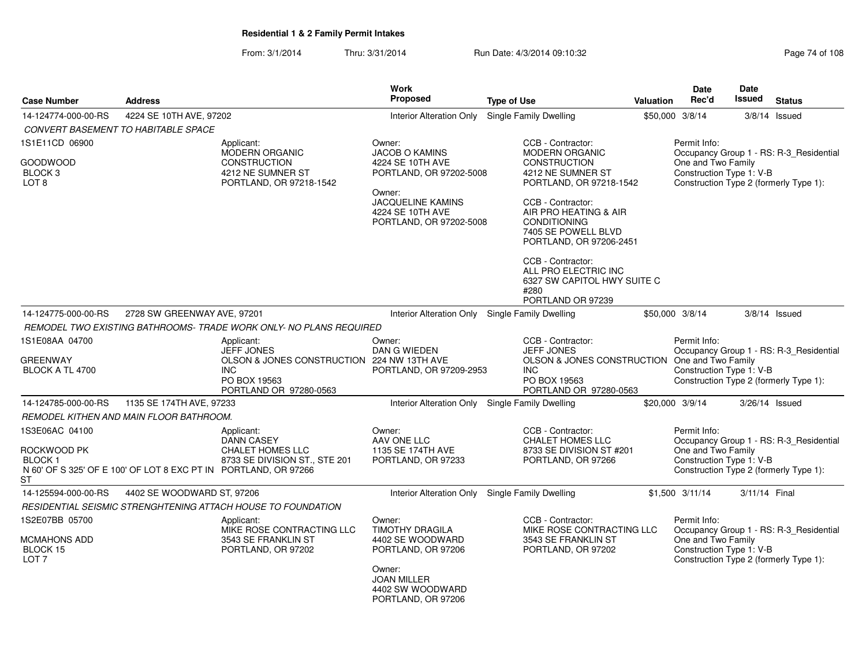From: 3/1/2014Thru: 3/31/2014 Run Date: 4/3/2014 09:10:32 Research 2010 Rage 74 of 108

|                                                                       |                                                                 |                                                                                                    | Work                                                                              |                                                                                                                     |                  | <b>Date</b>                                                    | Date           |                                                                                   |
|-----------------------------------------------------------------------|-----------------------------------------------------------------|----------------------------------------------------------------------------------------------------|-----------------------------------------------------------------------------------|---------------------------------------------------------------------------------------------------------------------|------------------|----------------------------------------------------------------|----------------|-----------------------------------------------------------------------------------|
| <b>Case Number</b>                                                    | <b>Address</b>                                                  |                                                                                                    | <b>Proposed</b>                                                                   | <b>Type of Use</b>                                                                                                  | <b>Valuation</b> | Rec'd                                                          | <b>Issued</b>  | <b>Status</b>                                                                     |
| 14-124774-000-00-RS                                                   | 4224 SE 10TH AVE, 97202                                         |                                                                                                    | <b>Interior Alteration Only</b>                                                   | Single Family Dwelling                                                                                              |                  | \$50,000 3/8/14                                                | 3/8/14         | Issued                                                                            |
|                                                                       | <b>CONVERT BASEMENT TO HABITABLE SPACE</b>                      |                                                                                                    |                                                                                   |                                                                                                                     |                  |                                                                |                |                                                                                   |
| 1S1E11CD 06900                                                        |                                                                 | Applicant:                                                                                         | Owner:                                                                            | CCB - Contractor:                                                                                                   |                  | Permit Info:                                                   |                |                                                                                   |
| GOODWOOD<br>BLOCK 3<br>LOT <sub>8</sub>                               |                                                                 | <b>MODERN ORGANIC</b><br><b>CONSTRUCTION</b><br>4212 NE SUMNER ST<br>PORTLAND, OR 97218-1542       | <b>JACOB O KAMINS</b><br>4224 SE 10TH AVE<br>PORTLAND, OR 97202-5008              | <b>MODERN ORGANIC</b><br><b>CONSTRUCTION</b><br>4212 NE SUMNER ST<br>PORTLAND, OR 97218-1542                        |                  | One and Two Family<br>Construction Type 1: V-B                 |                | Occupancy Group 1 - RS: R-3_Residential<br>Construction Type 2 (formerly Type 1): |
|                                                                       |                                                                 |                                                                                                    | Owner:<br><b>JACQUELINE KAMINS</b><br>4224 SE 10TH AVE<br>PORTLAND, OR 97202-5008 | CCB - Contractor:<br>AIR PRO HEATING & AIR<br><b>CONDITIONING</b><br>7405 SE POWELL BLVD<br>PORTLAND, OR 97206-2451 |                  |                                                                |                |                                                                                   |
|                                                                       |                                                                 |                                                                                                    |                                                                                   | CCB - Contractor:<br>ALL PRO ELECTRIC INC<br>6327 SW CAPITOL HWY SUITE C<br>#280<br>PORTLAND OR 97239               |                  |                                                                |                |                                                                                   |
| 14-124775-000-00-RS                                                   | 2728 SW GREENWAY AVE, 97201                                     |                                                                                                    | Interior Alteration Only Single Family Dwelling                                   |                                                                                                                     |                  | \$50,000 3/8/14                                                |                | $3/8/14$ Issued                                                                   |
|                                                                       |                                                                 | REMODEL TWO EXISTING BATHROOMS-TRADE WORK ONLY- NO PLANS REQUIRED                                  |                                                                                   |                                                                                                                     |                  |                                                                |                |                                                                                   |
| 1S1E08AA 04700                                                        |                                                                 | Applicant:<br><b>JEFF JONES</b>                                                                    | Owner:<br>DAN G WIEDEN                                                            | CCB - Contractor:<br><b>JEFF JONES</b>                                                                              |                  | Permit Info:                                                   |                | Occupancy Group 1 - RS: R-3_Residential                                           |
| <b>GREENWAY</b><br>BLOCK A TL 4700                                    |                                                                 | OLSON & JONES CONSTRUCTION 224 NW 13TH AVE<br><b>INC</b><br>PO BOX 19563<br>PORTLAND OR 97280-0563 | PORTLAND, OR 97209-2953                                                           | OLSON & JONES CONSTRUCTION One and Two Family<br><b>INC</b><br>PO BOX 19563<br>PORTLAND OR 97280-0563               |                  | Construction Type 1: V-B                                       |                | Construction Type 2 (formerly Type 1):                                            |
| 14-124785-000-00-RS                                                   | 1135 SE 174TH AVE, 97233                                        |                                                                                                    | <b>Interior Alteration Only</b>                                                   | <b>Single Family Dwelling</b>                                                                                       |                  | \$20,000 3/9/14                                                | 3/26/14 Issued |                                                                                   |
|                                                                       | REMODEL KITHEN AND MAIN FLOOR BATHROOM.                         |                                                                                                    |                                                                                   |                                                                                                                     |                  |                                                                |                |                                                                                   |
| 1S3E06AC 04100                                                        |                                                                 | Applicant:<br>DANN CASEY                                                                           | Owner:<br>AAV ONE LLC                                                             | CCB - Contractor:<br><b>CHALET HOMES LLC</b>                                                                        |                  | Permit Info:                                                   |                | Occupancy Group 1 - RS: R-3_Residential                                           |
| ROCKWOOD PK<br><b>BLOCK1</b><br>ST                                    | N 60' OF S 325' OF E 100' OF LOT 8 EXC PT IN PORTLAND, OR 97266 | <b>CHALET HOMES LLC</b><br>8733 SE DIVISION ST., STE 201                                           | 1135 SE 174TH AVE<br>PORTLAND, OR 97233                                           | 8733 SE DIVISION ST #201<br>PORTLAND, OR 97266                                                                      |                  | One and Two Family<br>Construction Type 1: V-B                 |                | Construction Type 2 (formerly Type 1):                                            |
| 14-125594-000-00-RS                                                   | 4402 SE WOODWARD ST, 97206                                      |                                                                                                    | Interior Alteration Only Single Family Dwelling                                   |                                                                                                                     |                  | \$1,500 3/11/14                                                | 3/11/14 Final  |                                                                                   |
|                                                                       |                                                                 | RESIDENTIAL SEISMIC STRENGHTENING ATTACH HOUSE TO FOUNDATION                                       |                                                                                   |                                                                                                                     |                  |                                                                |                |                                                                                   |
| 1S2E07BB 05700<br><b>MCMAHONS ADD</b><br>BLOCK 15<br>LOT <sub>7</sub> |                                                                 | Applicant:<br>MIKE ROSE CONTRACTING LLC<br>3543 SE FRANKLIN ST<br>PORTLAND, OR 97202               | Owner:<br><b>TIMOTHY DRAGILA</b><br>4402 SE WOODWARD<br>PORTLAND, OR 97206        | CCB - Contractor:<br>MIKE ROSE CONTRACTING LLC<br>3543 SE FRANKLIN ST<br>PORTLAND, OR 97202                         |                  | Permit Info:<br>One and Two Family<br>Construction Type 1: V-B |                | Occupancy Group 1 - RS: R-3_Residential<br>Construction Type 2 (formerly Type 1): |
|                                                                       |                                                                 |                                                                                                    | Owner:<br><b>JOAN MILLER</b><br>4402 SW WOODWARD<br>PORTLAND, OR 97206            |                                                                                                                     |                  |                                                                |                |                                                                                   |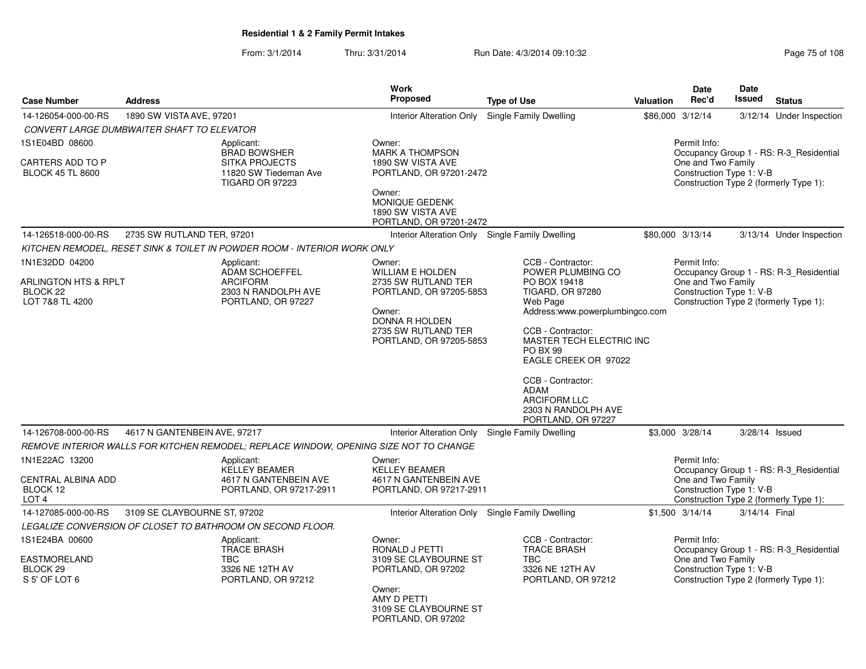From: 3/1/2014Thru: 3/31/2014 Run Date: 4/3/2014 09:10:32 Research 2010 Rage 75 of 108

|                                                                                  |                                                                                       |                                                                                                 | <b>Work</b>                                                                                                                                                              |                                                                                                                                                                                                                                                                                                                                      |                  | <b>Date</b>                                                                                              | <b>Date</b>    |                                         |
|----------------------------------------------------------------------------------|---------------------------------------------------------------------------------------|-------------------------------------------------------------------------------------------------|--------------------------------------------------------------------------------------------------------------------------------------------------------------------------|--------------------------------------------------------------------------------------------------------------------------------------------------------------------------------------------------------------------------------------------------------------------------------------------------------------------------------------|------------------|----------------------------------------------------------------------------------------------------------|----------------|-----------------------------------------|
| <b>Case Number</b>                                                               | <b>Address</b>                                                                        |                                                                                                 | Proposed                                                                                                                                                                 | <b>Type of Use</b>                                                                                                                                                                                                                                                                                                                   | <b>Valuation</b> | Rec'd                                                                                                    | Issued         | <b>Status</b>                           |
| 14-126054-000-00-RS                                                              | 1890 SW VISTA AVE, 97201                                                              |                                                                                                 | Interior Alteration Only                                                                                                                                                 | Single Family Dwelling                                                                                                                                                                                                                                                                                                               |                  | \$86,000 3/12/14                                                                                         |                | 3/12/14 Under Inspection                |
|                                                                                  | CONVERT LARGE DUMBWAITER SHAFT TO ELEVATOR                                            |                                                                                                 |                                                                                                                                                                          |                                                                                                                                                                                                                                                                                                                                      |                  |                                                                                                          |                |                                         |
| 1S1E04BD 08600<br>CARTERS ADD TO P<br><b>BLOCK 45 TL 8600</b>                    | Applicant:                                                                            | <b>BRAD BOWSHER</b><br><b>SITKA PROJECTS</b><br>11820 SW Tiedeman Ave<br><b>TIGARD OR 97223</b> | Owner:<br><b>MARK A THOMPSON</b><br>1890 SW VISTA AVE<br>PORTLAND, OR 97201-2472<br>Owner:<br><b>MONIQUE GEDENK</b><br>1890 SW VISTA AVE<br>PORTLAND, OR 97201-2472      |                                                                                                                                                                                                                                                                                                                                      |                  | Permit Info:<br>One and Two Family<br>Construction Type 1: V-B<br>Construction Type 2 (formerly Type 1): |                | Occupancy Group 1 - RS: R-3 Residential |
| 14-126518-000-00-RS                                                              | 2735 SW RUTLAND TER, 97201                                                            |                                                                                                 | Interior Alteration Only Single Family Dwelling                                                                                                                          |                                                                                                                                                                                                                                                                                                                                      |                  | \$80,000 3/13/14                                                                                         |                | 3/13/14 Under Inspection                |
|                                                                                  | KITCHEN REMODEL, RESET SINK & TOILET IN POWDER ROOM - INTERIOR WORK ONLY              |                                                                                                 |                                                                                                                                                                          |                                                                                                                                                                                                                                                                                                                                      |                  |                                                                                                          |                |                                         |
| 1N1E32DD 04200<br>ARLINGTON HTS & RPLT<br>BLOCK <sub>22</sub><br>LOT 7&8 TL 4200 | Applicant:<br><b>ARCIFORM</b>                                                         | <b>ADAM SCHOEFFEL</b><br>2303 N RANDOLPH AVE<br>PORTLAND, OR 97227                              | Owner:<br><b>WILLIAM E HOLDEN</b><br>2735 SW RUTLAND TER<br>PORTLAND, OR 97205-5853<br>Owner:<br><b>DONNA R HOLDEN</b><br>2735 SW RUTLAND TER<br>PORTLAND, OR 97205-5853 | CCB - Contractor:<br>POWER PLUMBING CO<br>PO BOX 19418<br><b>TIGARD, OR 97280</b><br>Web Page<br>Address:www.powerplumbingco.com<br>CCB - Contractor:<br>MASTER TECH ELECTRIC INC<br><b>PO BX 99</b><br>EAGLE CREEK OR 97022<br>CCB - Contractor:<br><b>ADAM</b><br><b>ARCIFORM LLC</b><br>2303 N RANDOLPH AVE<br>PORTLAND, OR 97227 |                  | Permit Info:<br>One and Two Family<br>Construction Type 1: V-B<br>Construction Type 2 (formerly Type 1): |                | Occupancy Group 1 - RS: R-3_Residential |
| 14-126708-000-00-RS                                                              | 4617 N GANTENBEIN AVE, 97217                                                          |                                                                                                 | <b>Interior Alteration Only</b>                                                                                                                                          | Single Family Dwelling                                                                                                                                                                                                                                                                                                               |                  | \$3,000 3/28/14                                                                                          | 3/28/14 Issued |                                         |
|                                                                                  | REMOVE INTERIOR WALLS FOR KITCHEN REMODEL; REPLACE WINDOW, OPENING SIZE NOT TO CHANGE |                                                                                                 |                                                                                                                                                                          |                                                                                                                                                                                                                                                                                                                                      |                  |                                                                                                          |                |                                         |
| 1N1E22AC 13200<br>CENTRAL ALBINA ADD<br>BLOCK 12<br>LOT <sub>4</sub>             | Applicant:                                                                            | <b>KELLEY BEAMER</b><br>4617 N GANTENBEIN AVE<br>PORTLAND, OR 97217-2911                        | Owner:<br><b>KELLEY BEAMER</b><br>4617 N GANTENBEIN AVE<br>PORTLAND, OR 97217-2911                                                                                       |                                                                                                                                                                                                                                                                                                                                      |                  | Permit Info:<br>One and Two Family<br>Construction Type 1: V-B<br>Construction Type 2 (formerly Type 1): |                | Occupancy Group 1 - RS: R-3_Residential |
| 14-127085-000-00-RS                                                              | 3109 SE CLAYBOURNE ST, 97202                                                          |                                                                                                 | Interior Alteration Only Single Family Dwelling                                                                                                                          |                                                                                                                                                                                                                                                                                                                                      |                  | \$1.500 3/14/14                                                                                          | 3/14/14 Final  |                                         |
|                                                                                  | LEGALIZE CONVERSION OF CLOSET TO BATHROOM ON SECOND FLOOR.                            |                                                                                                 |                                                                                                                                                                          |                                                                                                                                                                                                                                                                                                                                      |                  |                                                                                                          |                |                                         |
| 1S1E24BA 00600<br>EASTMORELAND<br>BLOCK <sub>29</sub><br>S 5' OF LOT 6           | Applicant:<br><b>TRACE BRASH</b><br>TBC                                               | 3326 NE 12TH AV<br>PORTLAND, OR 97212                                                           | Owner:<br><b>RONALD J PETTI</b><br>3109 SE CLAYBOURNE ST<br>PORTLAND, OR 97202<br>Owner:<br>AMY D PETTI<br>3109 SE CLAYBOURNE ST<br>PORTLAND, OR 97202                   | CCB - Contractor:<br><b>TRACE BRASH</b><br><b>TBC</b><br>3326 NE 12TH AV<br>PORTLAND, OR 97212                                                                                                                                                                                                                                       |                  | Permit Info:<br>One and Two Family<br>Construction Type 1: V-B<br>Construction Type 2 (formerly Type 1): |                | Occupancy Group 1 - RS: R-3_Residential |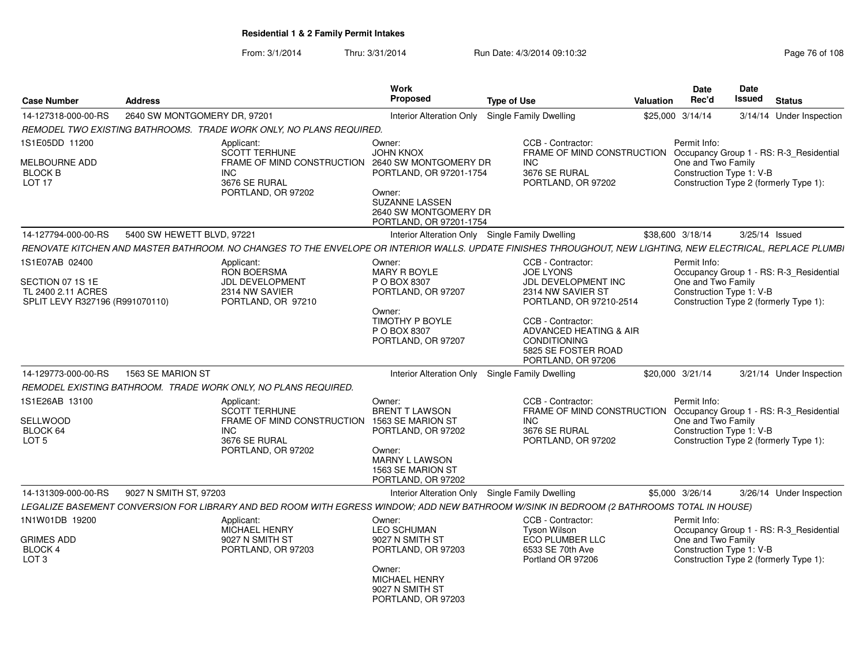From: 3/1/2014Thru: 3/31/2014 Run Date: 4/3/2014 09:10:32 Research 2010 Rage 76 of 108

| <b>Case Number</b>                                                                          | <b>Address</b>               |                                                                                                                                                              | Work<br>Proposed                                                                                                                                         | <b>Type of Use</b>                                                                                                                     | Valuation | <b>Date</b><br>Rec'd                                           | Date<br>Issued | <b>Status</b>                                                                     |
|---------------------------------------------------------------------------------------------|------------------------------|--------------------------------------------------------------------------------------------------------------------------------------------------------------|----------------------------------------------------------------------------------------------------------------------------------------------------------|----------------------------------------------------------------------------------------------------------------------------------------|-----------|----------------------------------------------------------------|----------------|-----------------------------------------------------------------------------------|
| 14-127318-000-00-RS                                                                         | 2640 SW MONTGOMERY DR. 97201 |                                                                                                                                                              | Interior Alteration Only                                                                                                                                 | Single Family Dwelling                                                                                                                 |           | \$25,000 3/14/14                                               |                | 3/14/14 Under Inspection                                                          |
|                                                                                             |                              | REMODEL TWO EXISTING BATHROOMS. TRADE WORK ONLY. NO PLANS REQUIRED.                                                                                          |                                                                                                                                                          |                                                                                                                                        |           |                                                                |                |                                                                                   |
| 1S1E05DD 11200<br>MELBOURNE ADD<br><b>BLOCK B</b><br><b>LOT 17</b>                          |                              | Applicant:<br><b>SCOTT TERHUNE</b><br>FRAME OF MIND CONSTRUCTION<br><b>INC</b><br>3676 SE RURAL<br>PORTLAND, OR 97202                                        | Owner:<br><b>JOHN KNOX</b><br>2640 SW MONTGOMERY DR<br>PORTLAND, OR 97201-1754<br>Owner:<br><b>SUZANNE LASSEN</b><br>2640 SW MONTGOMERY DR               | CCB - Contractor:<br>FRAME OF MIND CONSTRUCTION<br>INC.<br>3676 SE RURAL<br>PORTLAND, OR 97202                                         |           | Permit Info:<br>One and Two Family<br>Construction Type 1: V-B |                | Occupancy Group 1 - RS: R-3_Residential<br>Construction Type 2 (formerly Type 1): |
|                                                                                             |                              |                                                                                                                                                              | PORTLAND, OR 97201-1754                                                                                                                                  |                                                                                                                                        |           |                                                                |                |                                                                                   |
| 14-127794-000-00-RS                                                                         | 5400 SW HEWETT BLVD, 97221   |                                                                                                                                                              |                                                                                                                                                          | Interior Alteration Only Single Family Dwelling                                                                                        |           | \$38,600 3/18/14                                               |                | $3/25/14$ Issued                                                                  |
|                                                                                             |                              | RENOVATE KITCHEN AND MASTER BATHROOM. NO CHANGES TO THE ENVELOPE OR INTERIOR WALLS. UPDATE FINISHES THROUGHOUT, NEW LIGHTING, NEW ELECTRICAL, REPLACE PLUMBI |                                                                                                                                                          |                                                                                                                                        |           |                                                                |                |                                                                                   |
| 1S1E07AB 02400<br>SECTION 07 1S 1E<br>TL 2400 2.11 ACRES<br>SPLIT LEVY R327196 (R991070110) |                              | Applicant:<br>RON BOERSMA<br>JDL DEVELOPMENT<br>2314 NW SAVIER<br>PORTLAND, OR 97210                                                                         | Owner:<br>MARY R BOYLE<br>P O BOX 8307<br>PORTLAND, OR 97207<br>Owner:                                                                                   | CCB - Contractor:<br><b>JOE LYONS</b><br>JDL DEVELOPMENT INC<br>2314 NW SAVIER ST<br>PORTLAND, OR 97210-2514                           |           | Permit Info:<br>One and Two Family<br>Construction Type 1: V-B |                | Occupancy Group 1 - RS: R-3 Residential<br>Construction Type 2 (formerly Type 1): |
|                                                                                             |                              |                                                                                                                                                              | TIMOTHY P BOYLE<br>P O BOX 8307<br>PORTLAND, OR 97207                                                                                                    | CCB - Contractor:<br>ADVANCED HEATING & AIR<br><b>CONDITIONING</b><br>5825 SE FOSTER ROAD<br>PORTLAND, OR 97206                        |           |                                                                |                |                                                                                   |
| 14-129773-000-00-RS                                                                         | 1563 SE MARION ST            |                                                                                                                                                              |                                                                                                                                                          | Interior Alteration Only Single Family Dwelling                                                                                        |           | \$20,000 3/21/14                                               |                | 3/21/14 Under Inspection                                                          |
|                                                                                             |                              | REMODEL EXISTING BATHROOM. TRADE WORK ONLY. NO PLANS REQUIRED.                                                                                               |                                                                                                                                                          |                                                                                                                                        |           |                                                                |                |                                                                                   |
| 1S1E26AB 13100<br>SELLWOOD<br>BLOCK 64<br>LOT <sub>5</sub>                                  |                              | Applicant:<br><b>SCOTT TERHUNE</b><br>FRAME OF MIND CONSTRUCTION<br><b>INC</b><br>3676 SE RURAL<br>PORTLAND, OR 97202                                        | Owner:<br><b>BRENT T LAWSON</b><br>1563 SE MARION ST<br>PORTLAND, OR 97202<br>Owner:<br><b>MARNY L LAWSON</b><br>1563 SE MARION ST<br>PORTLAND, OR 97202 | CCB - Contractor:<br>FRAME OF MIND CONSTRUCTION Occupancy Group 1 - RS: R-3 Residential<br>INC.<br>3676 SE RURAL<br>PORTLAND, OR 97202 |           | Permit Info:<br>One and Two Family<br>Construction Type 1: V-B |                | Construction Type 2 (formerly Type 1):                                            |
| 14-131309-000-00-RS                                                                         | 9027 N SMITH ST, 97203       |                                                                                                                                                              |                                                                                                                                                          | Interior Alteration Only Single Family Dwelling                                                                                        |           | \$5,000 3/26/14                                                |                | 3/26/14 Under Inspection                                                          |
|                                                                                             |                              | LEGALIZE BASEMENT CONVERSION FOR LIBRARY AND BED ROOM WITH EGRESS WINDOW; ADD NEW BATHROOM W/SINK IN BEDROOM (2 BATHROOMS TOTAL IN HOUSE)                    |                                                                                                                                                          |                                                                                                                                        |           |                                                                |                |                                                                                   |
| 1N1W01DB 19200<br><b>GRIMES ADD</b><br><b>BLOCK4</b><br>LOT <sub>3</sub>                    |                              | Applicant:<br><b>MICHAEL HENRY</b><br>9027 N SMITH ST<br>PORTLAND, OR 97203                                                                                  | Owner:<br><b>LEO SCHUMAN</b><br>9027 N SMITH ST<br>PORTLAND, OR 97203<br>Owner:<br>MICHAEL HENRY<br>9027 N SMITH ST<br>PORTLAND, OR 97203                | CCB - Contractor:<br><b>Tyson Wilson</b><br>ECO PLUMBER LLC<br>6533 SE 70th Ave<br>Portland OR 97206                                   |           | Permit Info:<br>One and Two Family<br>Construction Type 1: V-B |                | Occupancy Group 1 - RS: R-3_Residential<br>Construction Type 2 (formerly Type 1): |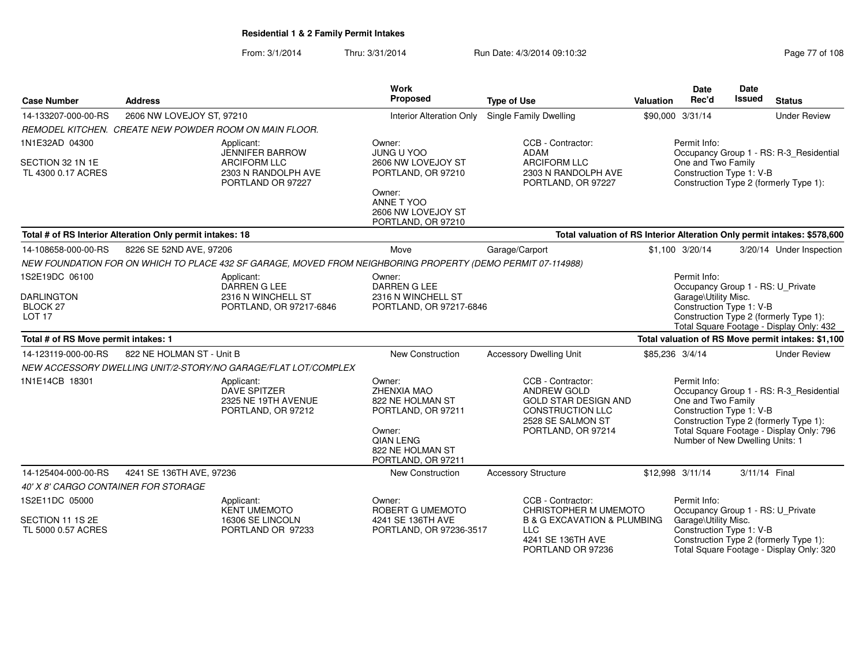From: 3/1/2014Thru: 3/31/2014 Run Date: 4/3/2014 09:10:32 Research 2010 Rage 77 of 108

| <b>Case Number</b>                     | <b>Address</b>                                            |                                                                                                             | Work<br>Proposed                                                                                                                        | <b>Type of Use</b>                                                                                                                    | Valuation       | Date<br>Rec'd                                                                                     | Date<br><b>Issued</b> | <b>Status</b>                                                                                                                 |
|----------------------------------------|-----------------------------------------------------------|-------------------------------------------------------------------------------------------------------------|-----------------------------------------------------------------------------------------------------------------------------------------|---------------------------------------------------------------------------------------------------------------------------------------|-----------------|---------------------------------------------------------------------------------------------------|-----------------------|-------------------------------------------------------------------------------------------------------------------------------|
| 14-133207-000-00-RS                    | 2606 NW LOVEJOY ST, 97210                                 |                                                                                                             | <b>Interior Alteration Only</b>                                                                                                         | Single Family Dwelling                                                                                                                |                 | \$90,000 3/31/14                                                                                  |                       | <b>Under Review</b>                                                                                                           |
|                                        |                                                           | REMODEL KITCHEN. CREATE NEW POWDER ROOM ON MAIN FLOOR.                                                      |                                                                                                                                         |                                                                                                                                       |                 |                                                                                                   |                       |                                                                                                                               |
| 1N1E32AD 04300                         |                                                           | Applicant:<br><b>JENNIFER BARROW</b>                                                                        | Owner:<br><b>JUNG U YOO</b>                                                                                                             | CCB - Contractor:<br><b>ADAM</b>                                                                                                      |                 | Permit Info:                                                                                      |                       | Occupancy Group 1 - RS: R-3_Residential                                                                                       |
| SECTION 32 1N 1E<br>TL 4300 0.17 ACRES |                                                           | <b>ARCIFORM LLC</b><br>2303 N RANDOLPH AVE<br>PORTLAND OR 97227                                             | 2606 NW LOVEJOY ST<br>PORTLAND, OR 97210                                                                                                | <b>ARCIFORM LLC</b><br>2303 N RANDOLPH AVE<br>PORTLAND, OR 97227                                                                      |                 | One and Two Family<br>Construction Type 1: V-B                                                    |                       | Construction Type 2 (formerly Type 1):                                                                                        |
|                                        |                                                           |                                                                                                             | Owner:<br>ANNE T YOO<br>2606 NW LOVEJOY ST<br>PORTLAND, OR 97210                                                                        |                                                                                                                                       |                 |                                                                                                   |                       |                                                                                                                               |
|                                        | Total # of RS Interior Alteration Only permit intakes: 18 |                                                                                                             |                                                                                                                                         | Total valuation of RS Interior Alteration Only permit intakes: \$578,600                                                              |                 |                                                                                                   |                       |                                                                                                                               |
| 14-108658-000-00-RS                    | 8226 SE 52ND AVE, 97206                                   |                                                                                                             | Move                                                                                                                                    | Garage/Carport                                                                                                                        |                 | \$1,100 3/20/14                                                                                   |                       | 3/20/14 Under Inspection                                                                                                      |
|                                        |                                                           | NEW FOUNDATION FOR ON WHICH TO PLACE 432 SF GARAGE, MOVED FROM NEIGHBORING PROPERTY (DEMO PERMIT 07-114988) |                                                                                                                                         |                                                                                                                                       |                 |                                                                                                   |                       |                                                                                                                               |
| 1S2E19DC 06100                         |                                                           | Applicant:                                                                                                  | Owner:                                                                                                                                  |                                                                                                                                       |                 | Permit Info:                                                                                      |                       |                                                                                                                               |
| <b>DARLINGTON</b>                      |                                                           | DARREN G LEE<br>2316 N WINCHELL ST                                                                          | DARREN G LEE<br>2316 N WINCHELL ST                                                                                                      |                                                                                                                                       |                 | Garage\Utility Misc.                                                                              |                       | Occupancy Group 1 - RS: U_Private                                                                                             |
| BLOCK 27                               |                                                           | PORTLAND, OR 97217-6846                                                                                     | PORTLAND, OR 97217-6846                                                                                                                 |                                                                                                                                       |                 | Construction Type 1: V-B                                                                          |                       |                                                                                                                               |
| LOT <sub>17</sub>                      |                                                           |                                                                                                             |                                                                                                                                         |                                                                                                                                       |                 |                                                                                                   |                       | Construction Type 2 (formerly Type 1):<br>Total Square Footage - Display Only: 432                                            |
| Total # of RS Move permit intakes: 1   |                                                           |                                                                                                             |                                                                                                                                         |                                                                                                                                       |                 |                                                                                                   |                       | Total valuation of RS Move permit intakes: \$1,100                                                                            |
| 14-123119-000-00-RS                    | 822 NE HOLMAN ST - Unit B                                 |                                                                                                             | <b>New Construction</b>                                                                                                                 | <b>Accessory Dwelling Unit</b>                                                                                                        | \$85,236 3/4/14 |                                                                                                   |                       | <b>Under Review</b>                                                                                                           |
|                                        |                                                           | NEW ACCESSORY DWELLING UNIT/2-STORY/NO GARAGE/FLAT LOT/COMPLEX                                              |                                                                                                                                         |                                                                                                                                       |                 |                                                                                                   |                       |                                                                                                                               |
| 1N1E14CB 18301                         |                                                           | Applicant:<br><b>DAVE SPITZER</b><br>2325 NE 19TH AVENUE<br>PORTLAND, OR 97212                              | Owner:<br>ZHENXIA MAO<br>822 NE HOLMAN ST<br>PORTLAND, OR 97211<br>Owner:<br><b>QIAN LENG</b><br>822 NE HOLMAN ST<br>PORTLAND, OR 97211 | CCB - Contractor:<br>ANDREW GOLD<br><b>GOLD STAR DESIGN AND</b><br><b>CONSTRUCTION LLC</b><br>2528 SE SALMON ST<br>PORTLAND, OR 97214 |                 | Permit Info:<br>One and Two Family<br>Construction Type 1: V-B<br>Number of New Dwelling Units: 1 |                       | Occupancy Group 1 - RS: R-3_Residential<br>Construction Type 2 (formerly Type 1):<br>Total Square Footage - Display Only: 796 |
| 14-125404-000-00-RS                    | 4241 SE 136TH AVE, 97236                                  |                                                                                                             | New Construction                                                                                                                        | <b>Accessory Structure</b>                                                                                                            |                 | \$12,998 3/11/14                                                                                  | 3/11/14 Final         |                                                                                                                               |
| 40' X 8' CARGO CONTAINER FOR STORAGE   |                                                           |                                                                                                             |                                                                                                                                         |                                                                                                                                       |                 |                                                                                                   |                       |                                                                                                                               |
| 1S2E11DC 05000                         |                                                           | Applicant:<br><b>KENT UMEMOTO</b>                                                                           | Owner:<br>ROBERT G UMEMOTO                                                                                                              | CCB - Contractor:<br>CHRISTOPHER M UMEMOTO                                                                                            |                 | Permit Info:                                                                                      |                       | Occupancy Group 1 - RS: U Private                                                                                             |
| SECTION 11 1S 2E<br>TL 5000 0.57 ACRES |                                                           | 16306 SE LINCOLN<br>PORTLAND OR 97233                                                                       | 4241 SE 136TH AVE<br>PORTLAND, OR 97236-3517                                                                                            | <b>B &amp; G EXCAVATION &amp; PLUMBING</b><br><b>LLC</b><br>4241 SE 136TH AVE<br>PORTLAND OR 97236                                    |                 | Garage\Utility Misc.<br>Construction Type 1: V-B                                                  |                       | Construction Type 2 (formerly Type 1):<br>Total Square Footage - Display Only: 320                                            |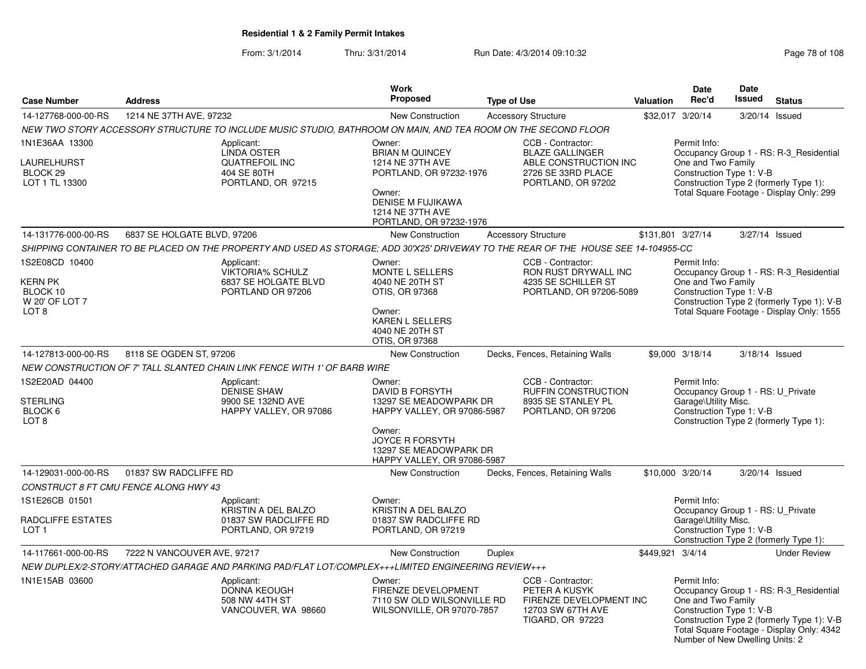From: 3/1/2014Thru: 3/31/2014 Run Date: 4/3/2014 09:10:32 Research 2010 Rage 78 of 108

|                                                                             |                                                                                                                                     | <b>Work</b>                                                                                                                                                          |                                                                                                                  |           | <b>Date</b>                                                                                           | <b>Date</b> |                                                                                                                                    |
|-----------------------------------------------------------------------------|-------------------------------------------------------------------------------------------------------------------------------------|----------------------------------------------------------------------------------------------------------------------------------------------------------------------|------------------------------------------------------------------------------------------------------------------|-----------|-------------------------------------------------------------------------------------------------------|-------------|------------------------------------------------------------------------------------------------------------------------------------|
| <b>Case Number</b>                                                          | <b>Address</b>                                                                                                                      | <b>Proposed</b>                                                                                                                                                      | <b>Type of Use</b>                                                                                               | Valuation | Rec'd                                                                                                 | Issued      | <b>Status</b>                                                                                                                      |
| 14-127768-000-00-RS                                                         | 1214 NE 37TH AVE, 97232                                                                                                             | <b>New Construction</b>                                                                                                                                              | <b>Accessory Structure</b>                                                                                       |           | \$32,017 3/20/14                                                                                      |             | 3/20/14 Issued                                                                                                                     |
|                                                                             | NEW TWO STORY ACCESSORY STRUCTURE TO INCLUDE MUSIC STUDIO, BATHROOM ON MAIN, AND TEA ROOM ON THE SECOND FLOOR                       |                                                                                                                                                                      |                                                                                                                  |           |                                                                                                       |             |                                                                                                                                    |
| 1N1E36AA 13300<br>LAURELHURST<br>BLOCK <sub>29</sub><br>LOT 1 TL 13300      | Applicant:<br><b>LINDA OSTER</b><br><b>QUATREFOIL INC</b><br>404 SE 80TH<br>PORTLAND, OR 97215                                      | Owner:<br><b>BRIAN M QUINCEY</b><br>1214 NE 37TH AVE<br>PORTLAND, OR 97232-1976<br>Owner:<br><b>DENISE M FUJIKAWA</b><br>1214 NE 37TH AVE<br>PORTLAND, OR 97232-1976 | CCB - Contractor:<br><b>BLAZE GALLINGER</b><br>ABLE CONSTRUCTION INC<br>2726 SE 33RD PLACE<br>PORTLAND, OR 97202 |           | Permit Info:<br>One and Two Family<br>Construction Type 1: V-B                                        |             | Occupancy Group 1 - RS: R-3 Residential<br>Construction Type 2 (formerly Type 1):<br>Total Square Footage - Display Only: 299      |
| 14-131776-000-00-RS                                                         | 6837 SE HOLGATE BLVD, 97206                                                                                                         | <b>New Construction</b>                                                                                                                                              | <b>Accessory Structure</b>                                                                                       |           | \$131,801 3/27/14                                                                                     |             | 3/27/14 Issued                                                                                                                     |
|                                                                             | SHIPPING CONTAINER TO BE PLACED ON THE PROPERTY AND USED AS STORAGE; ADD 30'X25' DRIVEWAY TO THE REAR OF THE HOUSE SEE 14-104955-CC |                                                                                                                                                                      |                                                                                                                  |           |                                                                                                       |             |                                                                                                                                    |
| 1S2E08CD 10400<br>KERN PK<br>BLOCK 10<br>W 20' OF LOT 7<br>LOT <sub>8</sub> | Applicant:<br><b>VIKTORIA% SCHULZ</b><br>6837 SE HOLGATE BLVD<br>PORTLAND OR 97206                                                  | Owner:<br>MONTE L SELLERS<br>4040 NE 20TH ST<br>OTIS, OR 97368<br>Owner:<br><b>KAREN L SELLERS</b><br>4040 NE 20TH ST<br>OTIS, OR 97368                              | CCB - Contractor:<br>RON RUST DRYWALL INC<br>4235 SE SCHILLER ST<br>PORTLAND, OR 97206-5089                      |           | Permit Info:<br>One and Two Family<br>Construction Type 1: V-B                                        |             | Occupancy Group 1 - RS: R-3_Residential<br>Construction Type 2 (formerly Type 1): V-B<br>Total Square Footage - Display Only: 1555 |
| 14-127813-000-00-RS                                                         | 8118 SE OGDEN ST, 97206                                                                                                             | New Construction                                                                                                                                                     | Decks, Fences, Retaining Walls                                                                                   |           | \$9,000 3/18/14                                                                                       |             | 3/18/14 Issued                                                                                                                     |
|                                                                             | NEW CONSTRUCTION OF 7' TALL SLANTED CHAIN LINK FENCE WITH 1' OF BARB WIRE                                                           |                                                                                                                                                                      |                                                                                                                  |           |                                                                                                       |             |                                                                                                                                    |
| 1S2E20AD 04400<br><b>STERLING</b><br>BLOCK 6<br>LOT <sub>8</sub>            | Applicant:<br><b>DENISE SHAW</b><br>9900 SE 132ND AVE<br>HAPPY VALLEY, OR 97086                                                     | Owner:<br><b>DAVID B FORSYTH</b><br>13297 SE MEADOWPARK DR<br>HAPPY VALLEY, OR 97086-5987<br>Owner:                                                                  | CCB - Contractor:<br>RUFFIN CONSTRUCTION<br>8935 SE STANLEY PL<br>PORTLAND, OR 97206                             |           | Permit Info:<br>Occupancy Group 1 - RS: U_Private<br>Garage\Utility Misc.<br>Construction Type 1: V-B |             | Construction Type 2 (formerly Type 1):                                                                                             |
|                                                                             |                                                                                                                                     | <b>JOYCE R FORSYTH</b><br>13297 SE MEADOWPARK DR<br>HAPPY VALLEY, OR 97086-5987                                                                                      |                                                                                                                  |           |                                                                                                       |             |                                                                                                                                    |
| 14-129031-000-00-RS                                                         | 01837 SW RADCLIFFE RD                                                                                                               | New Construction                                                                                                                                                     | Decks, Fences, Retaining Walls                                                                                   |           | \$10,000 3/20/14                                                                                      |             | 3/20/14 Issued                                                                                                                     |
|                                                                             | CONSTRUCT 8 FT CMU FENCE ALONG HWY 43                                                                                               |                                                                                                                                                                      |                                                                                                                  |           |                                                                                                       |             |                                                                                                                                    |
| 1S1E26CB 01501<br>RADCLIFFE ESTATES                                         | Applicant:<br>KRISTIN A DEL BALZO<br>01837 SW RADCLIFFE RD                                                                          | Owner:<br>KRISTIN A DEL BALZO<br>01837 SW RADCLIFFE RD                                                                                                               |                                                                                                                  |           | Permit Info:<br>Occupancy Group 1 - RS: U Private<br>Garage\Utility Misc.                             |             |                                                                                                                                    |
| LOT <sub>1</sub>                                                            | PORTLAND, OR 97219                                                                                                                  | PORTLAND, OR 97219                                                                                                                                                   |                                                                                                                  |           | Construction Type 1: V-B                                                                              |             | Construction Type 2 (formerly Type 1):                                                                                             |
| 14-117661-000-00-RS                                                         | 7222 N VANCOUVER AVE, 97217                                                                                                         | <b>New Construction</b>                                                                                                                                              | <b>Duplex</b>                                                                                                    |           | \$449,921 3/4/14                                                                                      |             | <b>Under Review</b>                                                                                                                |
|                                                                             | NEW DUPLEX/2-STORY/ATTACHED GARAGE AND PARKING PAD/FLAT LOT/COMPLEX+++LIMITED ENGINEERING REVIEW+++                                 |                                                                                                                                                                      |                                                                                                                  |           |                                                                                                       |             |                                                                                                                                    |
| 1N1E15AB 03600                                                              | Applicant:<br><b>DONNA KEOUGH</b><br>508 NW 44TH ST<br>VANCOUVER, WA 98660                                                          | Owner:<br>FIRENZE DEVELOPMENT<br>7110 SW OLD WILSONVILLE RD<br>WILSONVILLE, OR 97070-7857                                                                            | CCB - Contractor:<br>PETER A KUSYK<br>FIRENZE DEVELOPMENT INC<br>12703 SW 67TH AVE<br><b>TIGARD, OR 97223</b>    |           | Permit Info:<br>One and Two Family<br>Construction Type 1: V-B<br>Number of New Dwelling Units: 2     |             | Occupancy Group 1 - RS: R-3_Residential<br>Construction Type 2 (formerly Type 1): V-B<br>Total Square Footage - Display Only: 4342 |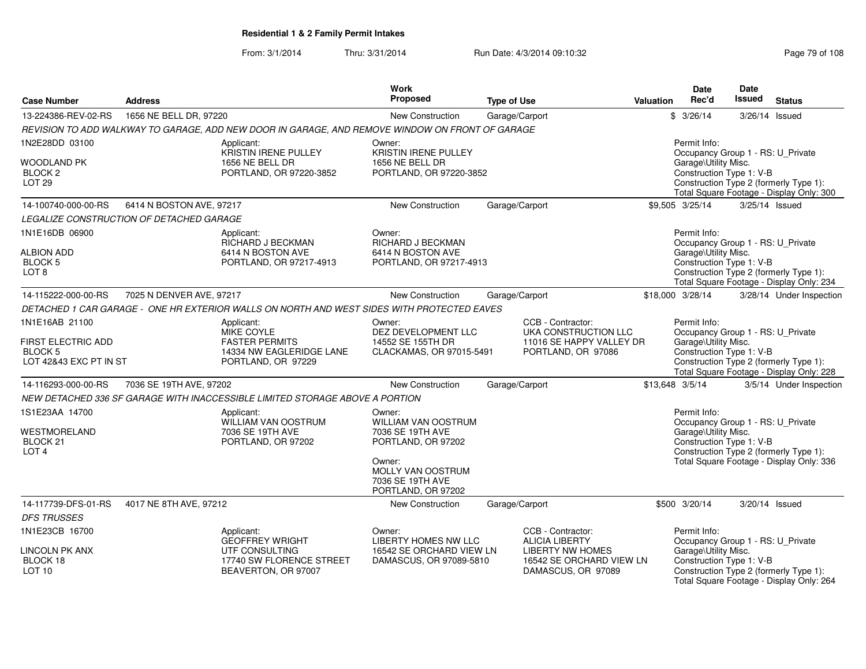From: 3/1/2014

Thru: 3/31/2014 Run Date: 4/3/2014 09:10:32 Research 2010 Rage 79 of 108

|                                   |                                                 |                                                                                                 | Work                                   |                                              |           | Date                                                      | Date          |                                                                                    |
|-----------------------------------|-------------------------------------------------|-------------------------------------------------------------------------------------------------|----------------------------------------|----------------------------------------------|-----------|-----------------------------------------------------------|---------------|------------------------------------------------------------------------------------|
| <b>Case Number</b>                | <b>Address</b>                                  |                                                                                                 | <b>Proposed</b>                        | <b>Type of Use</b>                           | Valuation | Rec'd                                                     | <b>Issued</b> | <b>Status</b>                                                                      |
| 13-224386-REV-02-RS               | 1656 NE BELL DR, 97220                          |                                                                                                 | New Construction                       | Garage/Carport                               |           | \$3/26/14                                                 | 3/26/14       | Issued                                                                             |
|                                   |                                                 | REVISION TO ADD WALKWAY TO GARAGE, ADD NEW DOOR IN GARAGE, AND REMOVE WINDOW ON FRONT OF GARAGE |                                        |                                              |           |                                                           |               |                                                                                    |
| 1N2E28DD 03100                    |                                                 | Applicant:<br>KRISTIN IRENE PULLEY                                                              | Owner:<br><b>KRISTIN IRENE PULLEY</b>  |                                              |           | Permit Info:<br>Occupancy Group 1 - RS: U_Private         |               |                                                                                    |
| WOODLAND PK                       |                                                 | 1656 NE BELL DR                                                                                 | 1656 NE BELL DR                        |                                              |           | Garage\Utility Misc.                                      |               |                                                                                    |
| BLOCK <sub>2</sub>                |                                                 | PORTLAND, OR 97220-3852                                                                         | PORTLAND, OR 97220-3852                |                                              |           | Construction Type 1: V-B                                  |               |                                                                                    |
| LOT <sub>29</sub>                 |                                                 |                                                                                                 |                                        |                                              |           |                                                           |               | Construction Type 2 (formerly Type 1):<br>Total Square Footage - Display Only: 300 |
| 14-100740-000-00-RS               | 6414 N BOSTON AVE, 97217                        |                                                                                                 | New Construction                       | Garage/Carport                               |           | \$9,505 3/25/14                                           |               | 3/25/14 Issued                                                                     |
|                                   | <i>LEGALIZE CONSTRUCTION OF DETACHED GARAGE</i> |                                                                                                 |                                        |                                              |           |                                                           |               |                                                                                    |
| 1N1E16DB 06900                    |                                                 | Applicant:                                                                                      | Owner:                                 |                                              |           | Permit Info:                                              |               |                                                                                    |
| <b>ALBION ADD</b>                 |                                                 | RICHARD J BECKMAN<br>6414 N BOSTON AVE                                                          | RICHARD J BECKMAN<br>6414 N BOSTON AVE |                                              |           | Occupancy Group 1 - RS: U_Private<br>Garage\Utility Misc. |               |                                                                                    |
| <b>BLOCK 5</b>                    |                                                 | PORTLAND, OR 97217-4913                                                                         | PORTLAND, OR 97217-4913                |                                              |           | Construction Type 1: V-B                                  |               |                                                                                    |
| LOT <sub>8</sub>                  |                                                 |                                                                                                 |                                        |                                              |           |                                                           |               | Construction Type 2 (formerly Type 1):                                             |
|                                   |                                                 |                                                                                                 |                                        |                                              |           |                                                           |               | Total Square Footage - Display Only: 234                                           |
| 14-115222-000-00-RS               | 7025 N DENVER AVE, 97217                        |                                                                                                 | New Construction                       | Garage/Carport                               |           | \$18,000 3/28/14                                          |               | 3/28/14 Under Inspection                                                           |
|                                   |                                                 | DETACHED 1 CAR GARAGE - ONE HR EXTERIOR WALLS ON NORTH AND WEST SIDES WITH PROTECTED EAVES      |                                        |                                              |           |                                                           |               |                                                                                    |
| 1N1E16AB 21100                    |                                                 | Applicant:<br>MIKE COYLE                                                                        | Owner:<br>DEZ DEVELOPMENT LLC          | CCB - Contractor:<br>UKA CONSTRUCTION LLC    |           | Permit Info:<br>Occupancy Group 1 - RS: U_Private         |               |                                                                                    |
| FIRST ELECTRIC ADD                |                                                 | <b>FASTER PERMITS</b>                                                                           | 14552 SE 155TH DR                      | 11016 SE HAPPY VALLEY DR                     |           | Garage\Utility Misc.                                      |               |                                                                                    |
| BLOCK 5                           |                                                 | 14334 NW EAGLERIDGE LANE                                                                        | CLACKAMAS, OR 97015-5491               | PORTLAND, OR 97086                           |           | Construction Type 1: V-B                                  |               |                                                                                    |
| LOT 42&43 EXC PT IN ST            |                                                 | PORTLAND, OR 97229                                                                              |                                        |                                              |           |                                                           |               | Construction Type 2 (formerly Type 1):<br>Total Square Footage - Display Only: 228 |
| 14-116293-000-00-RS               | 7036 SE 19TH AVE, 97202                         |                                                                                                 | New Construction                       | Garage/Carport                               |           | \$13,648 3/5/14                                           |               | 3/5/14 Under Inspection                                                            |
|                                   |                                                 | NEW DETACHED 336 SF GARAGE WITH INACCESSIBLE LIMITED STORAGE ABOVE A PORTION                    |                                        |                                              |           |                                                           |               |                                                                                    |
| 1S1E23AA 14700                    |                                                 | Applicant:                                                                                      | Owner:                                 |                                              |           | Permit Info:                                              |               |                                                                                    |
|                                   |                                                 | WILLIAM VAN OOSTRUM                                                                             | WILLIAM VAN OOSTRUM                    |                                              |           | Occupancy Group 1 - RS: U_Private                         |               |                                                                                    |
| WESTMORELAND<br>BLOCK 21          |                                                 | 7036 SE 19TH AVE<br>PORTLAND, OR 97202                                                          | 7036 SE 19TH AVE<br>PORTLAND, OR 97202 |                                              |           | Garage\Utility Misc.<br>Construction Type 1: V-B          |               |                                                                                    |
| LOT <sub>4</sub>                  |                                                 |                                                                                                 |                                        |                                              |           |                                                           |               | Construction Type 2 (formerly Type 1):                                             |
|                                   |                                                 |                                                                                                 | Owner:                                 |                                              |           |                                                           |               | Total Square Footage - Display Only: 336                                           |
|                                   |                                                 |                                                                                                 | <b>MOLLY VAN OOSTRUM</b>               |                                              |           |                                                           |               |                                                                                    |
|                                   |                                                 |                                                                                                 | 7036 SE 19TH AVE<br>PORTLAND, OR 97202 |                                              |           |                                                           |               |                                                                                    |
| 14-117739-DFS-01-RS               | 4017 NE 8TH AVE, 97212                          |                                                                                                 | New Construction                       | Garage/Carport                               |           | \$500 3/20/14                                             |               | 3/20/14 Issued                                                                     |
| <b>DFS TRUSSES</b>                |                                                 |                                                                                                 |                                        |                                              |           |                                                           |               |                                                                                    |
| 1N1E23CB 16700                    |                                                 | Applicant:                                                                                      | Owner:                                 | CCB - Contractor:                            |           | Permit Info:                                              |               |                                                                                    |
|                                   |                                                 | <b>GEOFFREY WRIGHT</b>                                                                          | LIBERTY HOMES NW LLC                   | <b>ALICIA LIBERTY</b>                        |           | Occupancy Group 1 - RS: U_Private                         |               |                                                                                    |
| <b>LINCOLN PK ANX</b><br>BLOCK 18 |                                                 | UTF CONSULTING<br>17740 SW FLORENCE STREET                                                      | 16542 SE ORCHARD VIEW LN               | LIBERTY NW HOMES<br>16542 SE ORCHARD VIEW LN |           | Garage\Utility Misc.<br>Construction Type 1: V-B          |               |                                                                                    |
| LOT <sub>10</sub>                 |                                                 | BEAVERTON, OR 97007                                                                             | DAMASCUS, OR 97089-5810                | DAMASCUS, OR 97089                           |           |                                                           |               | Construction Type 2 (formerly Type 1):                                             |
|                                   |                                                 |                                                                                                 |                                        |                                              |           |                                                           |               | Total Square Footage - Display Only: 264                                           |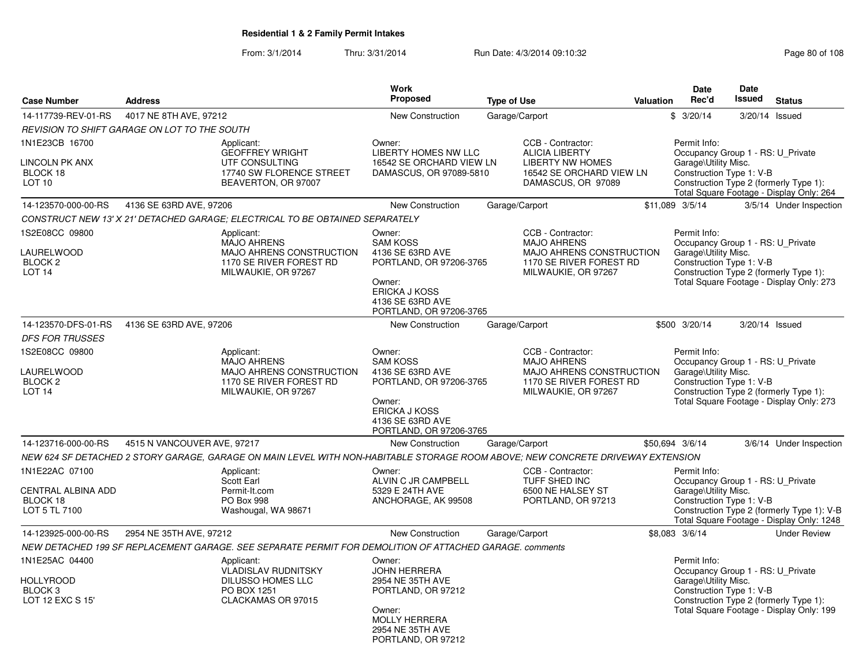From: 3/1/2014Thru: 3/31/2014 Run Date: 4/3/2014 09:10:32 Research 2010 Rage 80 of 108

| <b>Case Number</b>                                                           | <b>Address</b>                                                                                                                  |                                                                                                  | <b>Work</b><br>Proposed                                                                                                                                   | <b>Type of Use</b> |                                                                                                                         | Valuation                                                                                                                                                                                   | <b>Date</b><br>Rec'd                                                                                  | <b>Date</b><br>Issued | <b>Status</b>                                                                           |
|------------------------------------------------------------------------------|---------------------------------------------------------------------------------------------------------------------------------|--------------------------------------------------------------------------------------------------|-----------------------------------------------------------------------------------------------------------------------------------------------------------|--------------------|-------------------------------------------------------------------------------------------------------------------------|---------------------------------------------------------------------------------------------------------------------------------------------------------------------------------------------|-------------------------------------------------------------------------------------------------------|-----------------------|-----------------------------------------------------------------------------------------|
| 14-117739-REV-01-RS                                                          | 4017 NE 8TH AVE, 97212                                                                                                          |                                                                                                  | <b>New Construction</b>                                                                                                                                   | Garage/Carport     |                                                                                                                         |                                                                                                                                                                                             | \$3/20/14                                                                                             |                       | 3/20/14 Issued                                                                          |
|                                                                              | <b>REVISION TO SHIFT GARAGE ON LOT TO THE SOUTH</b>                                                                             |                                                                                                  |                                                                                                                                                           |                    |                                                                                                                         |                                                                                                                                                                                             |                                                                                                       |                       |                                                                                         |
| 1N1E23CB 16700<br><b>LINCOLN PK ANX</b><br>BLOCK 18<br>LOT <sub>10</sub>     | Applicant:                                                                                                                      | <b>GEOFFREY WRIGHT</b><br>UTF CONSULTING<br>17740 SW FLORENCE STREET<br>BEAVERTON, OR 97007      | Owner:<br><b>LIBERTY HOMES NW LLC</b><br>16542 SE ORCHARD VIEW LN<br>DAMASCUS, OR 97089-5810                                                              |                    | CCB - Contractor:<br><b>ALICIA LIBERTY</b><br><b>LIBERTY NW HOMES</b><br>16542 SE ORCHARD VIEW LN<br>DAMASCUS, OR 97089 |                                                                                                                                                                                             | Permit Info:<br>Occupancy Group 1 - RS: U Private<br>Garage\Utility Misc.<br>Construction Type 1: V-B |                       | Construction Type 2 (formerly Type 1):<br>Total Square Footage - Display Only: 264      |
| 14-123570-000-00-RS                                                          | 4136 SE 63RD AVE, 97206                                                                                                         |                                                                                                  | New Construction                                                                                                                                          | Garage/Carport     |                                                                                                                         |                                                                                                                                                                                             | \$11,089 3/5/14                                                                                       |                       | 3/5/14 Under Inspection                                                                 |
|                                                                              | CONSTRUCT NEW 13' X 21' DETACHED GARAGE; ELECTRICAL TO BE OBTAINED SEPARATELY                                                   |                                                                                                  |                                                                                                                                                           |                    |                                                                                                                         |                                                                                                                                                                                             |                                                                                                       |                       |                                                                                         |
| 1S2E08CC 09800<br>LAURELWOOD<br><b>BLOCK 2</b><br>LOT <sub>14</sub>          | Applicant:                                                                                                                      | <b>MAJO AHRENS</b><br>MAJO AHRENS CONSTRUCTION<br>1170 SE RIVER FOREST RD<br>MILWAUKIE, OR 97267 | Owner:<br><b>SAM KOSS</b><br>4136 SE 63RD AVE<br>PORTLAND, OR 97206-3765<br>Owner:<br><b>ERICKA J KOSS</b><br>4136 SE 63RD AVE<br>PORTLAND, OR 97206-3765 |                    | CCB - Contractor:<br><b>MAJO AHRENS</b><br>MAJO AHRENS CONSTRUCTION<br>1170 SE RIVER FOREST RD<br>MILWAUKIE, OR 97267   |                                                                                                                                                                                             | Permit Info:<br>Occupancy Group 1 - RS: U_Private<br>Garage\Utility Misc.<br>Construction Type 1: V-B |                       | Construction Type 2 (formerly Type 1):<br>Total Square Footage - Display Only: 273      |
| 14-123570-DFS-01-RS                                                          | 4136 SE 63RD AVE, 97206                                                                                                         |                                                                                                  | <b>New Construction</b>                                                                                                                                   | Garage/Carport     |                                                                                                                         |                                                                                                                                                                                             | \$500 3/20/14                                                                                         |                       | 3/20/14 Issued                                                                          |
| <b>DFS FOR TRUSSES</b>                                                       |                                                                                                                                 |                                                                                                  |                                                                                                                                                           |                    |                                                                                                                         |                                                                                                                                                                                             |                                                                                                       |                       |                                                                                         |
| 1S2E08CC 09800<br>LAURELWOOD<br><b>BLOCK 2</b><br><b>LOT 14</b>              | Applicant:                                                                                                                      | <b>MAJO AHRENS</b><br>MAJO AHRENS CONSTRUCTION<br>1170 SE RIVER FOREST RD<br>MILWAUKIE, OR 97267 | Owner:<br><b>SAM KOSS</b><br>4136 SE 63RD AVE<br>PORTLAND, OR 97206-3765<br>Owner:<br><b>ERICKA J KOSS</b><br>4136 SE 63RD AVE<br>PORTLAND, OR 97206-3765 |                    | CCB - Contractor:<br><b>MAJO AHRENS</b><br>MAJO AHRENS CONSTRUCTION<br>1170 SE RIVER FOREST RD<br>MILWAUKIE, OR 97267   | Permit Info:<br>Occupancy Group 1 - RS: U_Private<br>Garage\Utility Misc.<br>Construction Type 1: V-B<br>Construction Type 2 (formerly Type 1):<br>Total Square Footage - Display Only: 273 |                                                                                                       |                       |                                                                                         |
| 14-123716-000-00-RS                                                          | 4515 N VANCOUVER AVE, 97217                                                                                                     |                                                                                                  | <b>New Construction</b>                                                                                                                                   | Garage/Carport     |                                                                                                                         |                                                                                                                                                                                             | \$50,694 3/6/14                                                                                       |                       | 3/6/14 Under Inspection                                                                 |
|                                                                              | NEW 624 SF DETACHED 2 STORY GARAGE, GARAGE ON MAIN LEVEL WITH NON-HABITABLE STORAGE ROOM ABOVE; NEW CONCRETE DRIVEWAY EXTENSION |                                                                                                  |                                                                                                                                                           |                    |                                                                                                                         |                                                                                                                                                                                             |                                                                                                       |                       |                                                                                         |
| 1N1E22AC 07100<br><b>CENTRAL ALBINA ADD</b><br>BLOCK 18<br>LOT 5 TL 7100     | Applicant:<br>Scott Earl<br>PO Box 998                                                                                          | Permit-It.com<br>Washougal, WA 98671                                                             | Owner:<br>ALVIN C JR CAMPBELL<br>5329 E 24TH AVE<br>ANCHORAGE, AK 99508                                                                                   |                    | CCB - Contractor:<br>TUFF SHED INC<br>6500 NE HALSEY ST<br>PORTLAND, OR 97213                                           |                                                                                                                                                                                             | Permit Info:<br>Occupancy Group 1 - RS: U_Private<br>Garage\Utility Misc.<br>Construction Type 1: V-B |                       | Construction Type 2 (formerly Type 1): V-B<br>Total Square Footage - Display Only: 1248 |
| 14-123925-000-00-RS                                                          | 2954 NE 35TH AVE, 97212                                                                                                         |                                                                                                  | New Construction                                                                                                                                          | Garage/Carport     |                                                                                                                         |                                                                                                                                                                                             | \$8,083 3/6/14                                                                                        |                       | <b>Under Review</b>                                                                     |
|                                                                              | NEW DETACHED 199 SF REPLACEMENT GARAGE. SEE SEPARATE PERMIT FOR DEMOLITION OF ATTACHED GARAGE. comments                         |                                                                                                  |                                                                                                                                                           |                    |                                                                                                                         |                                                                                                                                                                                             |                                                                                                       |                       |                                                                                         |
| 1N1E25AC 04400<br><b>HOLLYROOD</b><br>BLOCK <sub>3</sub><br>LOT 12 EXC S 15' | Applicant:                                                                                                                      | <b>VLADISLAV RUDNITSKY</b><br><b>DILUSSO HOMES LLC</b><br>PO BOX 1251<br>CLACKAMAS OR 97015      | Owner:<br><b>JOHN HERRERA</b><br>2954 NE 35TH AVE<br>PORTLAND, OR 97212<br>Owner:<br><b>MOLLY HERRERA</b><br>2954 NE 35TH AVE<br>PORTLAND, OR 97212       |                    |                                                                                                                         |                                                                                                                                                                                             | Permit Info:<br>Occupancy Group 1 - RS: U Private<br>Garage\Utility Misc.<br>Construction Type 1: V-B |                       | Construction Type 2 (formerly Type 1):<br>Total Square Footage - Display Only: 199      |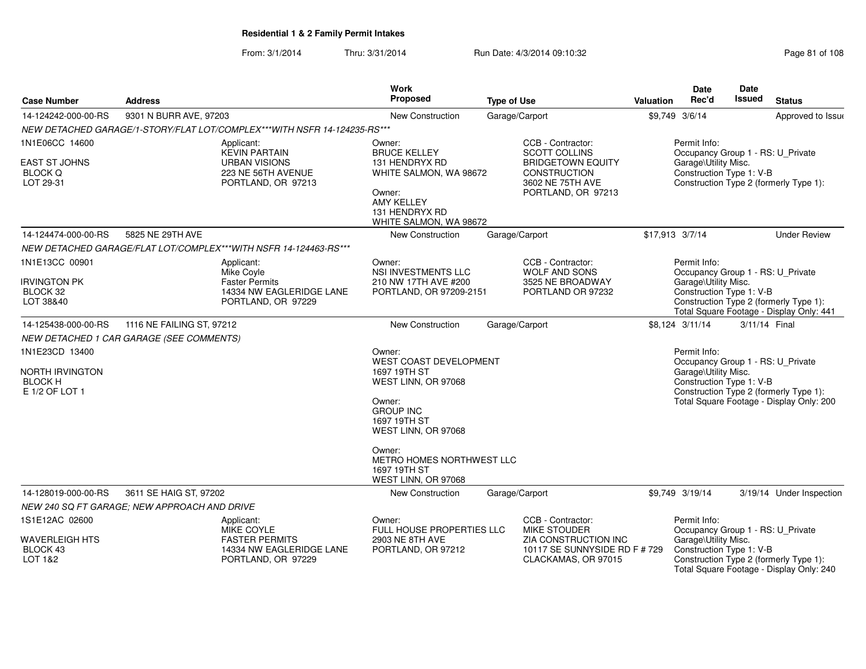### From: 3/1/2014Thru: 3/31/2014 Run Date: 4/3/2014 09:10:32 Research 2010 108

| <b>Case Number</b>                                  | <b>Address</b>                               |                                                                          | Work<br>Proposed                                                                                                                                                                                          | <b>Type of Use</b>                        | <b>Valuation</b>              | <b>Date</b><br>Rec'd                                                                                           | <b>Date</b><br><b>Issued</b>                                       | <b>Status</b>                                                                      |  |
|-----------------------------------------------------|----------------------------------------------|--------------------------------------------------------------------------|-----------------------------------------------------------------------------------------------------------------------------------------------------------------------------------------------------------|-------------------------------------------|-------------------------------|----------------------------------------------------------------------------------------------------------------|--------------------------------------------------------------------|------------------------------------------------------------------------------------|--|
| 14-124242-000-00-RS                                 | 9301 N BURR AVE, 97203                       |                                                                          | New Construction                                                                                                                                                                                          | Garage/Carport                            |                               | \$9,749 3/6/14                                                                                                 |                                                                    | Approved to Issue                                                                  |  |
|                                                     |                                              | NEW DETACHED GARAGE/1-STORY/FLAT LOT/COMPLEX***WITH NSFR 14-124235-RS*** |                                                                                                                                                                                                           |                                           |                               |                                                                                                                |                                                                    |                                                                                    |  |
| 1N1E06CC 14600                                      |                                              | Applicant:<br><b>KEVIN PARTAIN</b>                                       | Owner:<br><b>BRUCE KELLEY</b>                                                                                                                                                                             | CCB - Contractor:<br><b>SCOTT COLLINS</b> |                               | Permit Info:<br>Occupancy Group 1 - RS: U_Private                                                              |                                                                    |                                                                                    |  |
| EAST ST JOHNS<br><b>BLOCK Q</b><br>LOT 29-31        |                                              | <b>URBAN VISIONS</b><br>223 NE 56TH AVENUE<br>PORTLAND, OR 97213         | 131 HENDRYX RD<br><b>BRIDGETOWN EQUITY</b><br>CONSTRUCTION<br>WHITE SALMON, WA 98672<br>3602 NE 75TH AVE<br>PORTLAND, OR 97213<br>Owner:<br><b>AMY KELLEY</b><br>131 HENDRYX RD<br>WHITE SALMON, WA 98672 |                                           |                               | Garage\Utility Misc.                                                                                           | Construction Type 1: V-B<br>Construction Type 2 (formerly Type 1): |                                                                                    |  |
| 14-124474-000-00-RS                                 | 5825 NE 29TH AVE                             |                                                                          | New Construction                                                                                                                                                                                          | Garage/Carport                            |                               | \$17,913 3/7/14                                                                                                |                                                                    | <b>Under Review</b>                                                                |  |
|                                                     |                                              | NEW DETACHED GARAGE/FLAT LOT/COMPLEX***WITH NSFR 14-124463-RS***         |                                                                                                                                                                                                           |                                           |                               |                                                                                                                |                                                                    |                                                                                    |  |
| 1N1E13CC 00901                                      |                                              | Applicant:<br>Mike Coyle                                                 | Owner:<br><b>NSI INVESTMENTS LLC</b>                                                                                                                                                                      | CCB - Contractor:<br><b>WOLF AND SONS</b> |                               | Permit Info:<br>Occupancy Group 1 - RS: U Private                                                              |                                                                    |                                                                                    |  |
| <b>IRVINGTON PK</b>                                 |                                              | <b>Faster Permits</b>                                                    | 210 NW 17TH AVE #200                                                                                                                                                                                      | 3525 NE BROADWAY                          |                               | Garage\Utility Misc.                                                                                           |                                                                    |                                                                                    |  |
| BLOCK 32<br>LOT 38&40                               |                                              | 14334 NW EAGLERIDGE LANE<br>PORTLAND, OR 97229                           | PORTLAND, OR 97209-2151                                                                                                                                                                                   | PORTLAND OR 97232                         |                               | Construction Type 1: V-B<br>Construction Type 2 (formerly Type 1):<br>Total Square Footage - Display Only: 441 |                                                                    |                                                                                    |  |
| 14-125438-000-00-RS                                 | 1116 NE FAILING ST, 97212                    |                                                                          | New Construction                                                                                                                                                                                          | Garage/Carport                            |                               | \$8,124 3/11/14                                                                                                | 3/11/14 Final                                                      |                                                                                    |  |
|                                                     | NEW DETACHED 1 CAR GARAGE (SEE COMMENTS)     |                                                                          |                                                                                                                                                                                                           |                                           |                               |                                                                                                                |                                                                    |                                                                                    |  |
| 1N1E23CD 13400<br>NORTH IRVINGTON<br><b>BLOCK H</b> |                                              |                                                                          | Owner:<br><b>WEST COAST DEVELOPMENT</b><br>1697 19TH ST<br>WEST LINN, OR 97068                                                                                                                            |                                           |                               | Permit Info:<br>Occupancy Group 1 - RS: U_Private<br>Garage\Utility Misc.<br>Construction Type 1: V-B          |                                                                    |                                                                                    |  |
| E 1/2 OF LOT 1                                      |                                              |                                                                          | Owner:<br><b>GROUP INC</b><br>1697 19TH ST<br>WEST LINN, OR 97068                                                                                                                                         |                                           |                               |                                                                                                                |                                                                    | Construction Type 2 (formerly Type 1):<br>Total Square Footage - Display Only: 200 |  |
|                                                     |                                              |                                                                          | Owner:<br>METRO HOMES NORTHWEST LLC<br>1697 19TH ST<br>WEST LINN, OR 97068                                                                                                                                |                                           |                               |                                                                                                                |                                                                    |                                                                                    |  |
| 14-128019-000-00-RS                                 | 3611 SE HAIG ST, 97202                       |                                                                          | New Construction                                                                                                                                                                                          | Garage/Carport                            |                               | \$9,749 3/19/14                                                                                                |                                                                    | 3/19/14 Under Inspection                                                           |  |
|                                                     | NEW 240 SQ FT GARAGE; NEW APPROACH AND DRIVE |                                                                          |                                                                                                                                                                                                           |                                           |                               |                                                                                                                |                                                                    |                                                                                    |  |
| 1S1E12AC 02600                                      |                                              | Applicant:<br>MIKE COYLE                                                 | Owner:<br><b>FULL HOUSE PROPERTIES LLC</b>                                                                                                                                                                | CCB - Contractor:<br><b>MIKE STOUDER</b>  |                               | Permit Info:<br>Occupancy Group 1 - RS: U Private                                                              |                                                                    |                                                                                    |  |
| <b>WAVERLEIGH HTS</b><br>BLOCK 43                   |                                              | <b>FASTER PERMITS</b><br>14334 NW EAGLERIDGE LANE                        | 2903 NE 8TH AVE<br>PORTLAND, OR 97212                                                                                                                                                                     | ZIA CONSTRUCTION INC                      | 10117 SE SUNNYSIDE RD F # 729 | Garage\Utility Misc.<br>Construction Type 1: V-B                                                               |                                                                    |                                                                                    |  |
| <b>LOT 1&amp;2</b>                                  |                                              | PORTLAND, OR 97229                                                       |                                                                                                                                                                                                           | CLACKAMAS, OR 97015                       |                               |                                                                                                                |                                                                    | Construction Type 2 (formerly Type 1):<br>Total Square Footage - Display Only: 240 |  |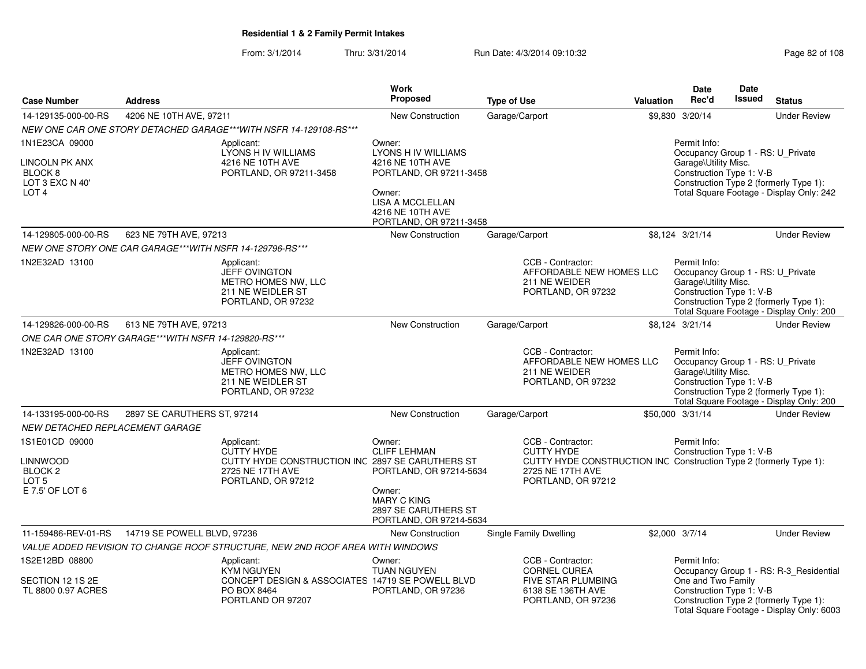From: 3/1/2014Thru: 3/31/2014 Run Date: 4/3/2014 09:10:32 Research 2010 Rage 82 of 108

|                                                                                               |                                                          |                                                                                                                               | Work                                                                                                                                                                    |                    |                                                                                                                                                        |                  | <b>Date</b>                                                                                           | <b>Date</b>   |                                                                                                                                |
|-----------------------------------------------------------------------------------------------|----------------------------------------------------------|-------------------------------------------------------------------------------------------------------------------------------|-------------------------------------------------------------------------------------------------------------------------------------------------------------------------|--------------------|--------------------------------------------------------------------------------------------------------------------------------------------------------|------------------|-------------------------------------------------------------------------------------------------------|---------------|--------------------------------------------------------------------------------------------------------------------------------|
| <b>Case Number</b>                                                                            | <b>Address</b>                                           |                                                                                                                               | <b>Proposed</b>                                                                                                                                                         | <b>Type of Use</b> |                                                                                                                                                        | <b>Valuation</b> | Rec'd                                                                                                 | <b>Issued</b> | <b>Status</b>                                                                                                                  |
| 14-129135-000-00-RS                                                                           | 4206 NE 10TH AVE, 97211                                  |                                                                                                                               | <b>New Construction</b>                                                                                                                                                 | Garage/Carport     |                                                                                                                                                        |                  | \$9,830 3/20/14                                                                                       |               | <b>Under Review</b>                                                                                                            |
|                                                                                               |                                                          | NEW ONE CAR ONE STORY DETACHED GARAGE*** WITH NSFR 14-129108-RS***                                                            |                                                                                                                                                                         |                    |                                                                                                                                                        |                  |                                                                                                       |               |                                                                                                                                |
| 1N1E23CA 09000<br>LINCOLN PK ANX<br>BLOCK <sub>8</sub><br>LOT 3 EXC N 40'<br>LOT <sub>4</sub> |                                                          | Applicant:<br>LYONS H IV WILLIAMS<br>4216 NE 10TH AVE<br>PORTLAND, OR 97211-3458                                              | Owner:<br><b>LYONS H IV WILLIAMS</b><br>4216 NE 10TH AVE<br>PORTLAND, OR 97211-3458<br>Owner:<br><b>LISA A MCCLELLAN</b><br>4216 NE 10TH AVE<br>PORTLAND, OR 97211-3458 |                    |                                                                                                                                                        |                  | Permit Info:<br>Occupancy Group 1 - RS: U_Private<br>Garage\Utility Misc.<br>Construction Type 1: V-B |               | Construction Type 2 (formerly Type 1):<br>Total Square Footage - Display Only: 242                                             |
| 14-129805-000-00-RS                                                                           | 623 NE 79TH AVE, 97213                                   |                                                                                                                               | New Construction                                                                                                                                                        | Garage/Carport     |                                                                                                                                                        |                  | \$8,124 3/21/14                                                                                       |               | <b>Under Review</b>                                                                                                            |
|                                                                                               | NEW ONE STORY ONE CAR GARAGE***WITH NSFR 14-129796-RS*** |                                                                                                                               |                                                                                                                                                                         |                    |                                                                                                                                                        |                  |                                                                                                       |               |                                                                                                                                |
| 1N2E32AD 13100                                                                                |                                                          | Applicant:<br><b>JEFF OVINGTON</b><br>METRO HOMES NW, LLC<br>211 NE WEIDLER ST<br>PORTLAND, OR 97232                          |                                                                                                                                                                         |                    | CCB - Contractor:<br>AFFORDABLE NEW HOMES LLC<br>211 NE WEIDER<br>PORTLAND, OR 97232                                                                   |                  | Permit Info:<br>Occupancy Group 1 - RS: U_Private<br>Garage\Utility Misc.<br>Construction Type 1: V-B |               | Construction Type 2 (formerly Type 1):<br>Total Square Footage - Display Only: 200                                             |
| 14-129826-000-00-RS                                                                           | 613 NE 79TH AVE, 97213                                   |                                                                                                                               | New Construction                                                                                                                                                        | Garage/Carport     |                                                                                                                                                        |                  | \$8,124 3/21/14                                                                                       |               | <b>Under Review</b>                                                                                                            |
|                                                                                               | ONE CAR ONE STORY GARAGE***WITH NSFR 14-129820-RS***     |                                                                                                                               |                                                                                                                                                                         |                    |                                                                                                                                                        |                  |                                                                                                       |               |                                                                                                                                |
| 1N2E32AD 13100                                                                                |                                                          | Applicant:<br>JEFF OVINGTON<br>METRO HOMES NW. LLC<br>211 NE WEIDLER ST<br>PORTLAND, OR 97232                                 |                                                                                                                                                                         |                    | CCB - Contractor:<br>AFFORDABLE NEW HOMES LLC<br>211 NE WEIDER<br>PORTLAND, OR 97232                                                                   |                  | Permit Info:<br>Occupancy Group 1 - RS: U_Private<br>Garage\Utility Misc.<br>Construction Type 1: V-B |               | Construction Type 2 (formerly Type 1):<br>Total Square Footage - Display Only: 200                                             |
| 14-133195-000-00-RS                                                                           | 2897 SE CARUTHERS ST, 97214                              |                                                                                                                               | New Construction                                                                                                                                                        | Garage/Carport     |                                                                                                                                                        |                  | \$50,000 3/31/14                                                                                      |               | <b>Under Review</b>                                                                                                            |
| NEW DETACHED REPLACEMENT GARAGE                                                               |                                                          |                                                                                                                               |                                                                                                                                                                         |                    |                                                                                                                                                        |                  |                                                                                                       |               |                                                                                                                                |
| 1S1E01CD 09000<br>LINNWOOD<br><b>BLOCK 2</b><br>LOT <sub>5</sub><br>E 7.5' OF LOT 6           |                                                          | Applicant:<br><b>CUTTY HYDE</b><br>CUTTY HYDE CONSTRUCTION INC 2897 SE CARUTHERS ST<br>2725 NE 17TH AVE<br>PORTLAND, OR 97212 | Owner:<br><b>CLIFF LEHMAN</b><br>PORTLAND, OR 97214-5634<br>Owner:<br><b>MARY C KING</b><br>2897 SE CARUTHERS ST<br>PORTLAND, OR 97214-5634                             |                    | CCB - Contractor:<br><b>CUTTY HYDE</b><br>CUTTY HYDE CONSTRUCTION INC Construction Type 2 (formerly Type 1):<br>2725 NE 17TH AVE<br>PORTLAND, OR 97212 |                  | Permit Info:<br>Construction Type 1: V-B                                                              |               |                                                                                                                                |
| 11-159486-REV-01-RS                                                                           | 14719 SE POWELL BLVD, 97236                              |                                                                                                                               | <b>New Construction</b>                                                                                                                                                 |                    | Single Family Dwelling                                                                                                                                 |                  | \$2,000 3/7/14                                                                                        |               | <b>Under Review</b>                                                                                                            |
|                                                                                               |                                                          | VALUE ADDED REVISION TO CHANGE ROOF STRUCTURE, NEW 2ND ROOF AREA WITH WINDOWS                                                 |                                                                                                                                                                         |                    |                                                                                                                                                        |                  |                                                                                                       |               |                                                                                                                                |
| 1S2E12BD 08800<br>SECTION 12 1S 2E<br>TL 8800 0.97 ACRES                                      |                                                          | Applicant:<br><b>KYM NGUYEN</b><br>CONCEPT DESIGN & ASSOCIATES 14719 SE POWELL BLVD<br>PO BOX 8464<br>PORTLAND OR 97207       | Owner:<br><b>TUAN NGUYEN</b><br>PORTLAND, OR 97236                                                                                                                      |                    | CCB - Contractor:<br><b>CORNEL CUREA</b><br>FIVE STAR PLUMBING<br>6138 SE 136TH AVE<br>PORTLAND, OR 97236                                              |                  | Permit Info:<br>One and Two Family<br>Construction Type 1: V-B                                        |               | Occupancy Group 1 - RS: R-3_Residential<br>Construction Type 2 (formerly Type 1):<br>Total Square Footage - Display Only: 6003 |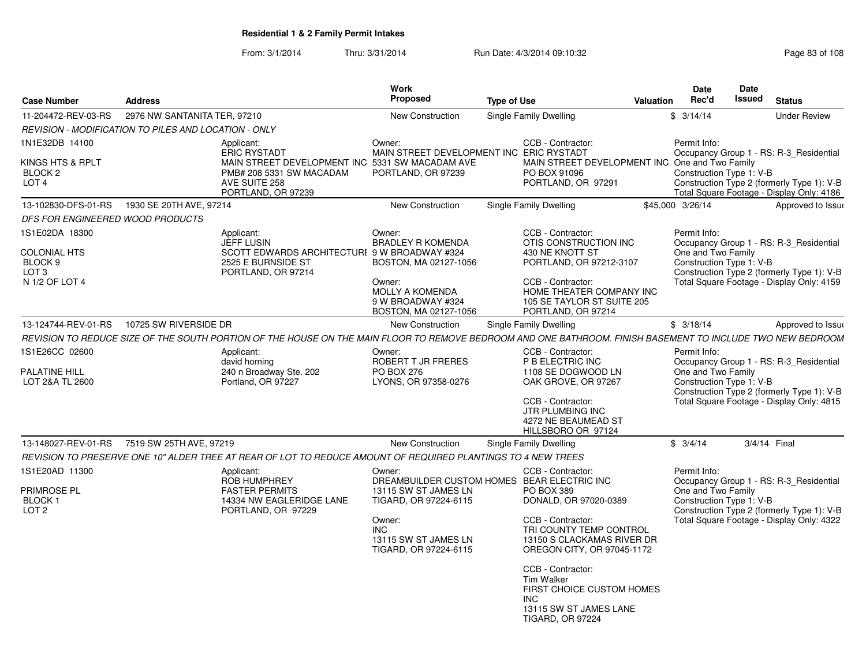From: 3/1/2014Thru: 3/31/2014 Run Date: 4/3/2014 09:10:32 Run Date: 4/3/2014 09:10:32

|                                                                                        |                                                      |                                                                                                                                                            | Work                                                                                                                 |                                                                                                                                                                         | <b>Date</b>                                                    | Date                                                                                                                               |
|----------------------------------------------------------------------------------------|------------------------------------------------------|------------------------------------------------------------------------------------------------------------------------------------------------------------|----------------------------------------------------------------------------------------------------------------------|-------------------------------------------------------------------------------------------------------------------------------------------------------------------------|----------------------------------------------------------------|------------------------------------------------------------------------------------------------------------------------------------|
| <b>Case Number</b>                                                                     | <b>Address</b>                                       |                                                                                                                                                            | Proposed                                                                                                             | <b>Type of Use</b>                                                                                                                                                      | Rec'd<br>Valuation                                             | Issued<br><b>Status</b>                                                                                                            |
| 11-204472-REV-03-RS                                                                    | 2976 NW SANTANITA TER, 97210                         |                                                                                                                                                            | New Construction                                                                                                     | Single Family Dwelling                                                                                                                                                  | \$3/14/14                                                      | <b>Under Review</b>                                                                                                                |
|                                                                                        | REVISION - MODIFICATION TO PILES AND LOCATION - ONLY |                                                                                                                                                            |                                                                                                                      |                                                                                                                                                                         |                                                                |                                                                                                                                    |
| 1N1E32DB 14100                                                                         |                                                      | Applicant:<br><b>ERIC RYSTADT</b>                                                                                                                          | Owner:<br>MAIN STREET DEVELOPMENT INC ERIC RYSTADT                                                                   | CCB - Contractor:                                                                                                                                                       | Permit Info:                                                   | Occupancy Group 1 - RS: R-3_Residential                                                                                            |
| KINGS HTS & RPLT<br>BLOCK 2<br>LOT <sub>4</sub>                                        |                                                      | MAIN STREET DEVELOPMENT INC 5331 SW MACADAM AVE<br>PMB# 208 5331 SW MACADAM<br>AVE SUITE 258<br>PORTLAND, OR 97239                                         | PORTLAND, OR 97239                                                                                                   | MAIN STREET DEVELOPMENT INC One and Two Family<br>PO BOX 91096<br>PORTLAND, OR 97291                                                                                    | Construction Type 1: V-B                                       | Construction Type 2 (formerly Type 1): V-B<br>Total Square Footage - Display Only: 4186                                            |
| 13-102830-DFS-01-RS                                                                    | 1930 SE 20TH AVE, 97214                              |                                                                                                                                                            | <b>New Construction</b>                                                                                              | Single Family Dwelling                                                                                                                                                  | \$45,000 3/26/14                                               | Approved to Issue                                                                                                                  |
| DFS FOR ENGINEERED WOOD PRODUCTS                                                       |                                                      |                                                                                                                                                            |                                                                                                                      |                                                                                                                                                                         |                                                                |                                                                                                                                    |
| 1S1E02DA 18300<br><b>COLONIAL HTS</b><br>BLOCK 9<br>LOT <sub>3</sub><br>N 1/2 OF LOT 4 |                                                      | Applicant:<br>JEFF LUSIN<br>SCOTT EDWARDS ARCHITECTURI 9 W BROADWAY #324<br>2525 E BURNSIDE ST<br>PORTLAND, OR 97214                                       | Owner:<br><b>BRADLEY R KOMENDA</b><br>BOSTON, MA 02127-1056<br>Owner:<br><b>MOLLY A KOMENDA</b><br>9 W BROADWAY #324 | CCB - Contractor:<br>OTIS CONSTRUCTION INC<br>430 NE KNOTT ST<br>PORTLAND, OR 97212-3107<br>CCB - Contractor:<br>HOME THEATER COMPANY INC<br>105 SE TAYLOR ST SUITE 205 | Permit Info:<br>One and Two Family<br>Construction Type 1: V-B | Occupancy Group 1 - RS: R-3 Residential<br>Construction Type 2 (formerly Type 1): V-B<br>Total Square Footage - Display Only: 4159 |
|                                                                                        |                                                      |                                                                                                                                                            | BOSTON, MA 02127-1056                                                                                                | PORTLAND, OR 97214                                                                                                                                                      |                                                                |                                                                                                                                    |
| 13-124744-REV-01-RS                                                                    | 10725 SW RIVERSIDE DR                                |                                                                                                                                                            | <b>New Construction</b>                                                                                              | Single Family Dwelling                                                                                                                                                  | \$3/18/14                                                      | Approved to Issue                                                                                                                  |
|                                                                                        |                                                      | REVISION TO REDUCE SIZE OF THE SOUTH PORTION OF THE HOUSE ON THE MAIN FLOOR TO REMOVE BEDROOM AND ONE BATHROOM. FINISH BASEMENT TO INCLUDE TWO NEW BEDROOM |                                                                                                                      |                                                                                                                                                                         |                                                                |                                                                                                                                    |
| 1S1E26CC 02600<br><b>PALATINE HILL</b><br>LOT 2&A TL 2600                              |                                                      | Applicant:<br>david horning<br>240 n Broadway Ste. 202<br>Portland, OR 97227                                                                               | Owner:<br>ROBERT T JR FRERES<br>PO BOX 276<br>LYONS, OR 97358-0276                                                   | CCB - Contractor:<br>P B ELECTRIC INC<br>1108 SE DOGWOOD LN<br>OAK GROVE, OR 97267                                                                                      | Permit Info:<br>One and Two Family<br>Construction Type 1: V-B | Occupancy Group 1 - RS: R-3 Residential<br>Construction Type 2 (formerly Type 1): V-B                                              |
|                                                                                        |                                                      |                                                                                                                                                            |                                                                                                                      | CCB - Contractor:<br><b>JTR PLUMBING INC</b><br>4272 NE BEAUMEAD ST<br>HILLSBORO OR 97124                                                                               |                                                                | Total Square Footage - Display Only: 4815                                                                                          |
| 13-148027-REV-01-RS                                                                    | 7519 SW 25TH AVE, 97219                              |                                                                                                                                                            | New Construction                                                                                                     | Single Family Dwelling                                                                                                                                                  | \$3/4/14                                                       | 3/4/14 Final                                                                                                                       |
|                                                                                        |                                                      | REVISION TO PRESERVE ONE 10" ALDER TREE AT REAR OF LOT TO REDUCE AMOUNT OF REQUIRED PLANTINGS TO 4 NEW TREES                                               |                                                                                                                      |                                                                                                                                                                         |                                                                |                                                                                                                                    |
| 1S1E20AD 11300<br>PRIMROSE PL                                                          |                                                      | Applicant:<br><b>ROB HUMPHREY</b><br><b>FASTER PERMITS</b>                                                                                                 | Owner:<br>13115 SW ST JAMES LN                                                                                       | CCB - Contractor:<br>DREAMBUILDER CUSTOM HOMES BEAR ELECTRIC INC<br>PO BOX 389                                                                                          | Permit Info:<br>One and Two Family                             | Occupancy Group 1 - RS: R-3_Residential                                                                                            |
| <b>BLOCK1</b><br>LOT <sub>2</sub>                                                      |                                                      | 14334 NW EAGLERIDGE LANE<br>PORTLAND, OR 97229                                                                                                             | TIGARD, OR 97224-6115                                                                                                | DONALD, OR 97020-0389                                                                                                                                                   | Construction Type 1: V-B                                       | Construction Type 2 (formerly Type 1): V-B                                                                                         |
|                                                                                        |                                                      |                                                                                                                                                            | Owner:<br><b>INC</b><br>13115 SW ST JAMES LN<br>TIGARD, OR 97224-6115                                                | CCB - Contractor:<br>TRI COUNTY TEMP CONTROL<br>13150 S CLACKAMAS RIVER DR<br>OREGON CITY, OR 97045-1172                                                                |                                                                | Total Square Footage - Display Only: 4322                                                                                          |
|                                                                                        |                                                      |                                                                                                                                                            |                                                                                                                      | CCB - Contractor:<br><b>Tim Walker</b><br>FIRST CHOICE CUSTOM HOMES<br><b>INC</b>                                                                                       |                                                                |                                                                                                                                    |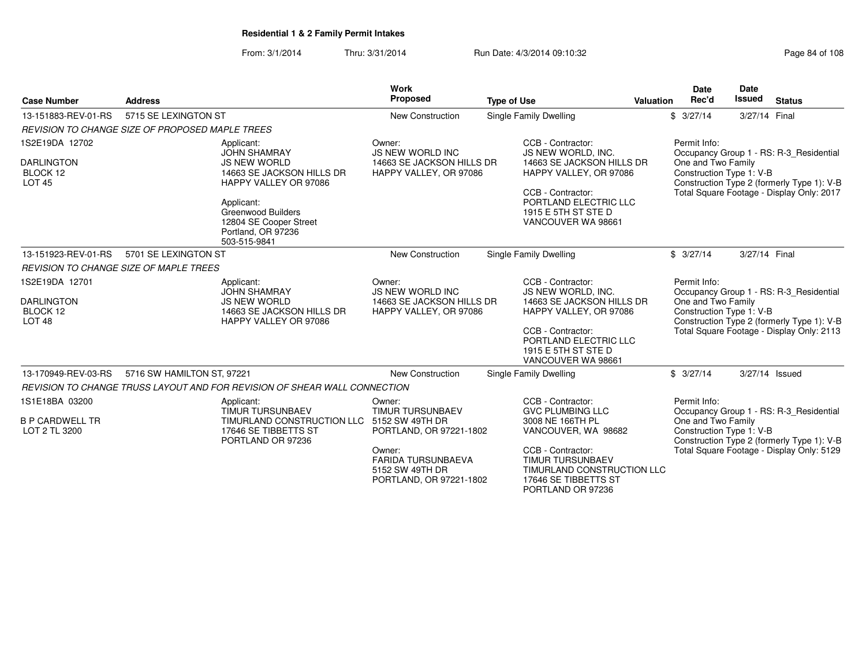From: 3/1/2014Thru: 3/31/2014 Run Date: 4/3/2014 09:10:32 Research 2010 Rage 84 of 108

| <b>Case Number</b>                                                   | <b>Address</b>                                                          |                                                                                                                | <b>Work</b><br>Proposed                                                                  | <b>Type of Use</b>                                  |                                                                                                                         | <b>Valuation</b>                                                                             | Date<br>Rec'd                                                                                                                           | <b>Date</b><br><b>Issued</b>                                                                                      | <b>Status</b>                             |  |
|----------------------------------------------------------------------|-------------------------------------------------------------------------|----------------------------------------------------------------------------------------------------------------|------------------------------------------------------------------------------------------|-----------------------------------------------------|-------------------------------------------------------------------------------------------------------------------------|----------------------------------------------------------------------------------------------|-----------------------------------------------------------------------------------------------------------------------------------------|-------------------------------------------------------------------------------------------------------------------|-------------------------------------------|--|
| 13-151883-REV-01-RS                                                  | 5715 SE LEXINGTON ST                                                    |                                                                                                                | <b>New Construction</b>                                                                  |                                                     | <b>Single Family Dwelling</b>                                                                                           |                                                                                              | \$3/27/14                                                                                                                               | 3/27/14 Final                                                                                                     |                                           |  |
|                                                                      | <b>REVISION TO CHANGE SIZE OF PROPOSED MAPLE TREES</b>                  |                                                                                                                |                                                                                          |                                                     |                                                                                                                         |                                                                                              |                                                                                                                                         |                                                                                                                   |                                           |  |
| 1S2E19DA 12702                                                       |                                                                         | Applicant:<br><b>JOHN SHAMRAY</b>                                                                              | Owner:<br><b>JS NEW WORLD INC</b>                                                        |                                                     | CCB - Contractor:<br>JS NEW WORLD, INC.                                                                                 |                                                                                              | Permit Info:                                                                                                                            |                                                                                                                   | Occupancy Group 1 - RS: R-3_Residential   |  |
| <b>DARLINGTON</b><br>BLOCK 12<br><b>LOT 45</b>                       |                                                                         | <b>JS NEW WORLD</b><br>14663 SE JACKSON HILLS DR<br><b>HAPPY VALLEY OR 97086</b>                               | 14663 SE JACKSON HILLS DR<br>HAPPY VALLEY, OR 97086                                      | 14663 SE JACKSON HILLS DR<br>HAPPY VALLEY, OR 97086 |                                                                                                                         | One and Two Family<br>Construction Type 1: V-B<br>Construction Type 2 (formerly Type 1): V-B |                                                                                                                                         |                                                                                                                   |                                           |  |
|                                                                      |                                                                         | Applicant:<br><b>Greenwood Builders</b><br>12804 SE Cooper Street<br>Portland, OR 97236<br>503-515-9841        |                                                                                          |                                                     | CCB - Contractor:<br>PORTLAND ELECTRIC LLC<br>1915 E 5TH ST STE D<br>VANCOUVER WA 98661                                 |                                                                                              |                                                                                                                                         |                                                                                                                   | Total Square Footage - Display Only: 2017 |  |
| 13-151923-REV-01-RS                                                  | 5701 SE LEXINGTON ST                                                    |                                                                                                                | <b>New Construction</b>                                                                  |                                                     | Single Family Dwelling                                                                                                  |                                                                                              | \$3/27/14                                                                                                                               | 3/27/14 Final                                                                                                     |                                           |  |
|                                                                      | REVISION TO CHANGE SIZE OF MAPLE TREES                                  |                                                                                                                |                                                                                          |                                                     |                                                                                                                         |                                                                                              |                                                                                                                                         |                                                                                                                   |                                           |  |
| 1S2E19DA 12701<br><b>DARLINGTON</b><br>BLOCK 12<br>LOT <sub>48</sub> |                                                                         | Applicant:<br><b>JOHN SHAMRAY</b><br><b>JS NEW WORLD</b><br>14663 SE JACKSON HILLS DR<br>HAPPY VALLEY OR 97086 | Owner:<br><b>JS NEW WORLD INC</b><br>14663 SE JACKSON HILLS DR<br>HAPPY VALLEY, OR 97086 |                                                     | CCB - Contractor:<br>JS NEW WORLD, INC.<br>14663 SE JACKSON HILLS DR<br>HAPPY VALLEY, OR 97086                          | Permit Info:<br>One and Two Family                                                           |                                                                                                                                         | Occupancy Group 1 - RS: R-3 Residential<br>Construction Type 1: V-B<br>Construction Type 2 (formerly Type 1): V-B |                                           |  |
|                                                                      |                                                                         |                                                                                                                |                                                                                          |                                                     | CCB - Contractor:<br>PORTLAND ELECTRIC LLC<br>1915 E 5TH ST STE D<br>VANCOUVER WA 98661                                 |                                                                                              |                                                                                                                                         |                                                                                                                   | Total Square Footage - Display Only: 2113 |  |
| 13-170949-REV-03-RS                                                  | 5716 SW HAMILTON ST, 97221                                              |                                                                                                                | <b>New Construction</b>                                                                  |                                                     | Single Family Dwelling                                                                                                  |                                                                                              | \$3/27/14                                                                                                                               |                                                                                                                   | 3/27/14 Issued                            |  |
|                                                                      |                                                                         | REVISION TO CHANGE TRUSS LAYOUT AND FOR REVISION OF SHEAR WALL CONNECTION                                      |                                                                                          |                                                     |                                                                                                                         |                                                                                              |                                                                                                                                         |                                                                                                                   |                                           |  |
| 1S1E18BA 03200                                                       |                                                                         | Applicant:<br><b>TIMUR TURSUNBAEV</b>                                                                          | Owner:<br><b>TIMUR TURSUNBAEV</b>                                                        |                                                     | CCB - Contractor:<br><b>GVC PLUMBING LLC</b>                                                                            |                                                                                              | Permit Info:                                                                                                                            |                                                                                                                   |                                           |  |
| <b>B P CARDWELL TR</b><br>LOT 2 TL 3200                              | TIMURLAND CONSTRUCTION LLC<br>17646 SE TIBBETTS ST<br>PORTLAND OR 97236 |                                                                                                                | 5152 SW 49TH DR<br>PORTLAND, OR 97221-1802                                               |                                                     | 3008 NE 166TH PL<br>VANCOUVER, WA 98682                                                                                 |                                                                                              | Occupancy Group 1 - RS: R-3 Residential<br>One and Two Family<br>Construction Type 1: V-B<br>Construction Type 2 (formerly Type 1): V-B |                                                                                                                   |                                           |  |
|                                                                      |                                                                         |                                                                                                                | Owner:<br><b>FARIDA TURSUNBAEVA</b><br>5152 SW 49TH DR<br>PORTLAND, OR 97221-1802        |                                                     | CCB - Contractor:<br><b>TIMUR TURSUNBAEV</b><br>TIMURLAND CONSTRUCTION LLC<br>17646 SE TIBBETTS ST<br>PORTLAND OR 97236 |                                                                                              |                                                                                                                                         |                                                                                                                   | Total Square Footage - Display Only: 5129 |  |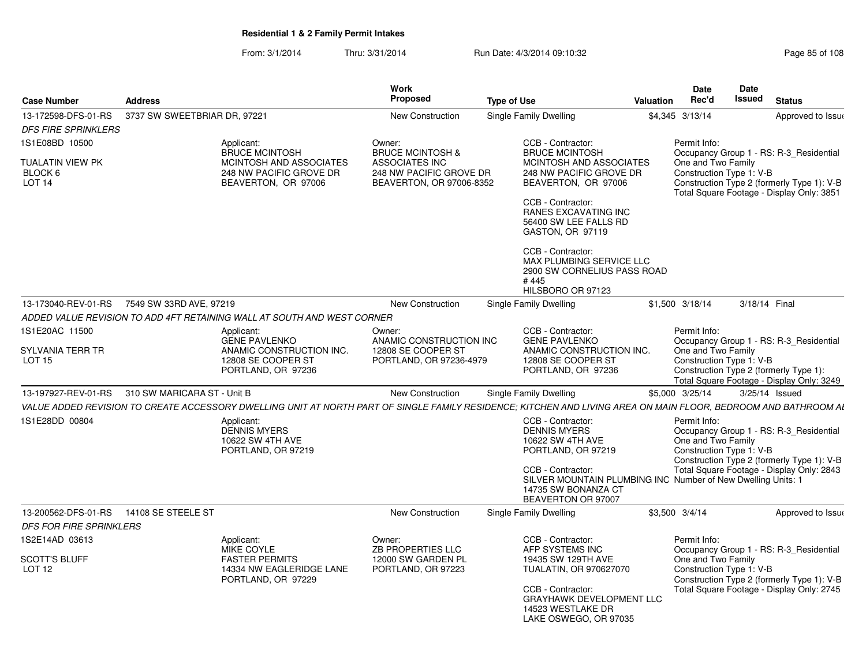From: 3/1/2014Thru: 3/31/2014 Run Date: 4/3/2014 09:10:32 Research 2010 Rage 85 of 108

| <b>Case Number</b>                           | <b>Address</b>                                                                                                                                                  | Work<br>Proposed                                                         | <b>Type of Use</b>                                                                                                                                                                                                   | <b>Date</b><br>Rec'd<br>Valuation  | Date<br><b>Issued</b>                                              | <b>Status</b>                                                                                                                      |
|----------------------------------------------|-----------------------------------------------------------------------------------------------------------------------------------------------------------------|--------------------------------------------------------------------------|----------------------------------------------------------------------------------------------------------------------------------------------------------------------------------------------------------------------|------------------------------------|--------------------------------------------------------------------|------------------------------------------------------------------------------------------------------------------------------------|
| 13-172598-DFS-01-RS                          | 3737 SW SWEETBRIAR DR, 97221                                                                                                                                    | <b>New Construction</b>                                                  | <b>Single Family Dwelling</b>                                                                                                                                                                                        | \$4,345 3/13/14                    |                                                                    | Approved to Issue                                                                                                                  |
| <b>DFS FIRE SPRINKLERS</b>                   |                                                                                                                                                                 |                                                                          |                                                                                                                                                                                                                      |                                    |                                                                    |                                                                                                                                    |
| 1S1E08BD 10500                               | Applicant:<br><b>BRUCE MCINTOSH</b>                                                                                                                             | Owner:<br><b>BRUCE MCINTOSH &amp;</b>                                    | CCB - Contractor:<br><b>BRUCE MCINTOSH</b>                                                                                                                                                                           | Permit Info:                       |                                                                    | Occupancy Group 1 - RS: R-3 Residential                                                                                            |
| <b>TUALATIN VIEW PK</b><br>BLOCK 6<br>LOT 14 | MCINTOSH AND ASSOCIATES<br>248 NW PACIFIC GROVE DR<br>BEAVERTON, OR 97006                                                                                       | ASSOCIATES INC<br>248 NW PACIFIC GROVE DR<br>BEAVERTON, OR 97006-8352    | MCINTOSH AND ASSOCIATES<br>248 NW PACIFIC GROVE DR<br>BEAVERTON, OR 97006<br>CCB - Contractor:<br><b>RANES EXCAVATING INC</b><br>56400 SW LEE FALLS RD<br>GASTON, OR 97119                                           | One and Two Family                 | Construction Type 1: V-B                                           | Construction Type 2 (formerly Type 1): V-B<br>Total Square Footage - Display Only: 3851                                            |
|                                              |                                                                                                                                                                 |                                                                          | CCB - Contractor:<br>MAX PLUMBING SERVICE LLC<br>2900 SW CORNELIUS PASS ROAD<br>#445<br>HILSBORO OR 97123                                                                                                            |                                    |                                                                    |                                                                                                                                    |
|                                              | 13-173040-REV-01-RS 7549 SW 33RD AVE, 97219                                                                                                                     | New Construction                                                         | <b>Single Family Dwelling</b>                                                                                                                                                                                        | \$1,500 3/18/14                    | 3/18/14 Final                                                      |                                                                                                                                    |
|                                              | ADDED VALUE REVISION TO ADD 4FT RETAINING WALL AT SOUTH AND WEST CORNER                                                                                         |                                                                          |                                                                                                                                                                                                                      |                                    |                                                                    |                                                                                                                                    |
| 1S1E20AC 11500                               | Applicant:                                                                                                                                                      | Owner:                                                                   | CCB - Contractor:                                                                                                                                                                                                    | Permit Info:                       |                                                                    |                                                                                                                                    |
| SYLVANIA TERR TR<br><b>LOT 15</b>            | <b>GENE PAVLENKO</b><br>ANAMIC CONSTRUCTION INC.<br>12808 SE COOPER ST<br>PORTLAND, OR 97236                                                                    | ANAMIC CONSTRUCTION INC<br>12808 SE COOPER ST<br>PORTLAND, OR 97236-4979 | <b>GENE PAVLENKO</b><br>ANAMIC CONSTRUCTION INC.<br>12808 SE COOPER ST<br>PORTLAND, OR 97236                                                                                                                         | One and Two Family                 | Construction Type 1: V-B<br>Construction Type 2 (formerly Type 1): | Occupancy Group 1 - RS: R-3 Residential<br>Total Square Footage - Display Only: 3249                                               |
|                                              | 13-197927-REV-01-RS 310 SW MARICARA ST - Unit B                                                                                                                 | <b>New Construction</b>                                                  | Single Family Dwelling                                                                                                                                                                                               | \$5,000 3/25/14                    | 3/25/14 Issued                                                     |                                                                                                                                    |
|                                              | VALUE ADDED REVISION TO CREATE ACCESSORY DWELLING UNIT AT NORTH PART OF SINGLE FAMILY RESIDENCE; KITCHEN AND LIVING AREA ON MAIN FLOOR, BEDROOM AND BATHROOM AL |                                                                          |                                                                                                                                                                                                                      |                                    |                                                                    |                                                                                                                                    |
| 1S1E28DD 00804                               | Applicant:<br>DENNIS MYERS<br>10622 SW 4TH AVE<br>PORTLAND, OR 97219                                                                                            |                                                                          | CCB - Contractor:<br><b>DENNIS MYERS</b><br>10622 SW 4TH AVE<br>PORTLAND, OR 97219<br>CCB - Contractor:<br>SILVER MOUNTAIN PLUMBING INC Number of New Dwelling Units: 1<br>14735 SW BONANZA CT<br>BEAVERTON OR 97007 | Permit Info:<br>One and Two Family | Construction Type 1: V-B                                           | Occupancy Group 1 - RS: R-3_Residential<br>Construction Type 2 (formerly Type 1): V-B<br>Total Square Footage - Display Only: 2843 |
|                                              |                                                                                                                                                                 | <b>New Construction</b>                                                  | <b>Single Family Dwelling</b>                                                                                                                                                                                        | \$3,500 3/4/14                     |                                                                    | Approved to Issue                                                                                                                  |
| DFS FOR FIRE SPRINKLERS                      |                                                                                                                                                                 |                                                                          |                                                                                                                                                                                                                      |                                    |                                                                    |                                                                                                                                    |
| 1S2E14AD 03613                               | Applicant:<br>MIKE COYLE                                                                                                                                        | Owner:<br><b>ZB PROPERTIES LLC</b>                                       | CCB - Contractor:<br>AFP SYSTEMS INC                                                                                                                                                                                 | Permit Info:                       |                                                                    | Occupancy Group 1 - RS: R-3 Residential                                                                                            |
| <b>SCOTT'S BLUFF</b><br><b>LOT 12</b>        | <b>FASTER PERMITS</b><br>14334 NW EAGLERIDGE LANE<br>PORTLAND, OR 97229                                                                                         | 12000 SW GARDEN PL<br>PORTLAND, OR 97223                                 | 19435 SW 129TH AVE<br>TUALATIN, OR 970627070<br>CCB - Contractor:<br><b>GRAYHAWK DEVELOPMENT LLC</b><br>14523 WESTLAKE DR<br>LAKE OSWEGO, OR 97035                                                                   | One and Two Family                 | Construction Type 1: V-B                                           | Construction Type 2 (formerly Type 1): V-B<br>Total Square Footage - Display Only: 2745                                            |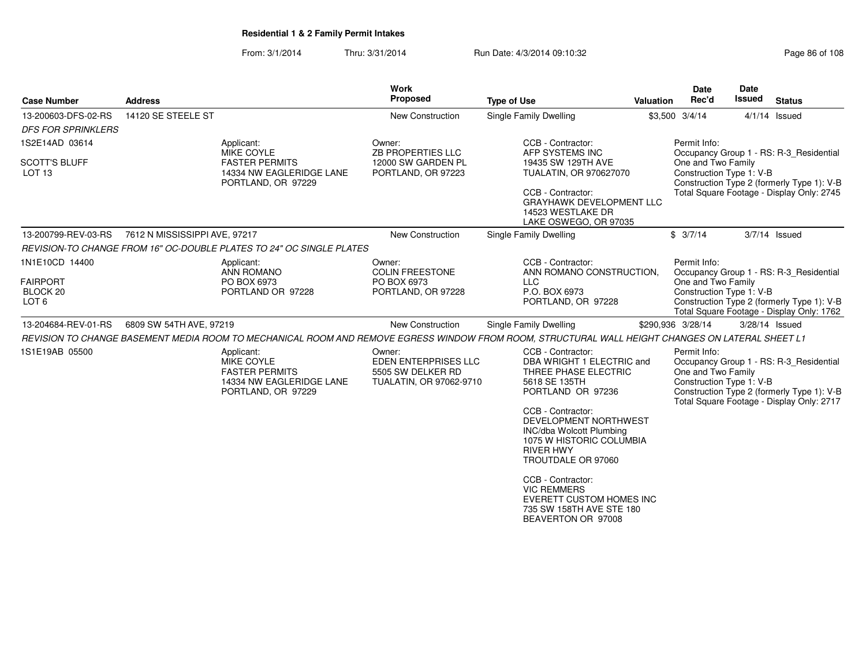### From: 3/1/2014Thru: 3/31/2014 Run Date: 4/3/2014 09:10:32

|                                                                                                                                   |                                                                                                     |                                                | <b>Work</b><br>Proposed                                                        |                                                                                                                                                                                                                                                                     |                                    | Date                                                                                                                                                                   | <b>Date</b><br><b>Issued</b> |                                                                                                                                    |  |
|-----------------------------------------------------------------------------------------------------------------------------------|-----------------------------------------------------------------------------------------------------|------------------------------------------------|--------------------------------------------------------------------------------|---------------------------------------------------------------------------------------------------------------------------------------------------------------------------------------------------------------------------------------------------------------------|------------------------------------|------------------------------------------------------------------------------------------------------------------------------------------------------------------------|------------------------------|------------------------------------------------------------------------------------------------------------------------------------|--|
| <b>Case Number</b>                                                                                                                | <b>Address</b>                                                                                      |                                                |                                                                                | <b>Type of Use</b>                                                                                                                                                                                                                                                  | <b>Valuation</b>                   | Rec'd                                                                                                                                                                  |                              | <b>Status</b>                                                                                                                      |  |
| 13-200603-DFS-02-RS                                                                                                               | 14120 SE STEELE ST                                                                                  |                                                | New Construction                                                               | Single Family Dwelling                                                                                                                                                                                                                                              |                                    | \$3,500 3/4/14                                                                                                                                                         |                              | $4/1/14$ Issued                                                                                                                    |  |
| <b>DFS FOR SPRINKLERS</b><br>1S2E14AD 03614                                                                                       | Applicant:                                                                                          |                                                | Owner:                                                                         | CCB - Contractor:                                                                                                                                                                                                                                                   |                                    | Permit Info:                                                                                                                                                           |                              | Occupancy Group 1 - RS: R-3_Residential                                                                                            |  |
| <b>SCOTT'S BLUFF</b><br>LOT <sub>13</sub>                                                                                         | MIKE COYLE<br><b>FASTER PERMITS</b>                                                                 | 14334 NW EAGLERIDGE LANE<br>PORTLAND, OR 97229 | ZB PROPERTIES LLC<br>12000 SW GARDEN PL<br>PORTLAND, OR 97223                  | AFP SYSTEMS INC<br>19435 SW 129TH AVE<br>TUALATIN, OR 970627070<br>CCB - Contractor:<br>GRAYHAWK DEVELOPMENT LLC<br>14523 WESTLAKE DR<br>LAKE OSWEGO, OR 97035                                                                                                      |                                    | One and Two Family<br>Construction Type 1: V-B<br>Construction Type 2 (formerly Type 1): V-B<br>Total Square Footage - Display Only: 2745<br>\$3/7/14<br>3/7/14 Issued |                              |                                                                                                                                    |  |
| 13-200799-REV-03-RS                                                                                                               | 7612 N MISSISSIPPI AVE, 97217                                                                       |                                                | New Construction                                                               | Single Family Dwelling                                                                                                                                                                                                                                              |                                    |                                                                                                                                                                        |                              |                                                                                                                                    |  |
|                                                                                                                                   | REVISION-TO CHANGE FROM 16" OC-DOUBLE PLATES TO 24" OC SINGLE PLATES                                |                                                |                                                                                |                                                                                                                                                                                                                                                                     |                                    | Permit Info:                                                                                                                                                           |                              |                                                                                                                                    |  |
| 1N1E10CD 14400<br>Applicant:<br>ANN ROMANO<br><b>FAIRPORT</b><br>PO BOX 6973<br>BLOCK 20<br>PORTLAND OR 97228<br>LOT <sub>6</sub> |                                                                                                     |                                                | Owner:<br><b>COLIN FREESTONE</b><br>PO BOX 6973<br>PORTLAND, OR 97228          | Occupancy Group 1 - RS: R-3_Residential<br>One and Two Family<br>Construction Type 1: V-B<br>Construction Type 2 (formerly Type 1): V-B<br>Total Square Footage - Display Only: 1762                                                                                |                                    |                                                                                                                                                                        |                              |                                                                                                                                    |  |
| 13-204684-REV-01-RS                                                                                                               | 6809 SW 54TH AVE, 97219                                                                             |                                                | <b>New Construction</b>                                                        | Single Family Dwelling                                                                                                                                                                                                                                              |                                    | \$290,936 3/28/14                                                                                                                                                      | 3/28/14 Issued               |                                                                                                                                    |  |
|                                                                                                                                   |                                                                                                     |                                                |                                                                                | REVISION TO CHANGE BASEMENT MEDIA ROOM TO MECHANICAL ROOM AND REMOVE EGRESS WINDOW FROM ROOM, STRUCTURAL WALL HEIGHT CHANGES ON LATERAL SHEET L1                                                                                                                    |                                    |                                                                                                                                                                        |                              |                                                                                                                                    |  |
| 1S1E19AB 05500                                                                                                                    | Applicant:<br>MIKE COYLE<br><b>FASTER PERMITS</b><br>14334 NW EAGLERIDGE LANE<br>PORTLAND, OR 97229 |                                                | Owner:<br>EDEN ENTERPRISES LLC<br>5505 SW DELKER RD<br>TUALATIN, OR 97062-9710 | CCB - Contractor:<br>DBA WRIGHT 1 ELECTRIC and<br>THREE PHASE ELECTRIC<br>5618 SE 135TH<br>PORTLAND OR 97236<br>CCB - Contractor:<br>DEVELOPMENT NORTHWEST<br><b>INC/dba Wolcott Plumbing</b><br>1075 W HISTORIC COLUMBIA<br><b>RIVER HWY</b><br>TROUTDALE OR 97060 | Permit Info:<br>One and Two Family |                                                                                                                                                                        | Construction Type 1: V-B     | Occupancy Group 1 - RS: R-3_Residential<br>Construction Type 2 (formerly Type 1): V-B<br>Total Square Footage - Display Only: 2717 |  |
|                                                                                                                                   |                                                                                                     |                                                |                                                                                | CCB - Contractor:<br><b>VIC REMMERS</b><br><b>EVERETT CUSTOM HOMES INC</b><br>735 SW 158TH AVE STE 180<br>BEAVERTON OR 97008                                                                                                                                        |                                    |                                                                                                                                                                        |                              |                                                                                                                                    |  |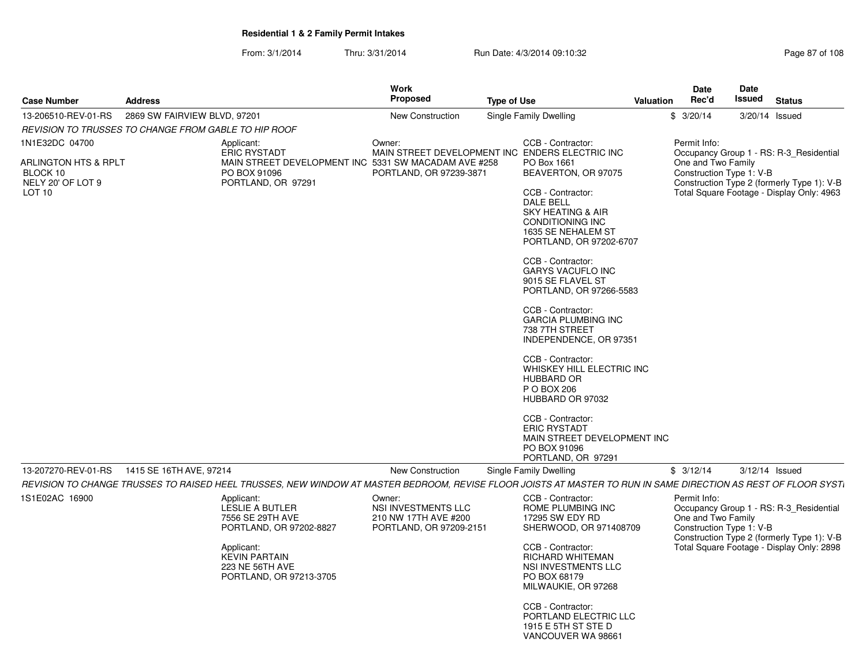From: 3/1/2014Thru: 3/31/2014 Run Date: 4/3/2014 09:10:32

| Page 87 of 108 |  |  |
|----------------|--|--|
|----------------|--|--|

| <b>Case Number</b>                                                         | <b>Address</b>                                                                                                                                                 |                                                                                                                   | Work<br>Proposed                                                                 | <b>Type of Use</b> |                                                                                                                                                                                                                                                                                                                                                                                                                                                                                                                                                                                                                                          | <b>Valuation</b> | Date<br>Rec'd                                  | <b>Date</b><br>Issued                                                                                             | <b>Status</b>                                                                                                                      |
|----------------------------------------------------------------------------|----------------------------------------------------------------------------------------------------------------------------------------------------------------|-------------------------------------------------------------------------------------------------------------------|----------------------------------------------------------------------------------|--------------------|------------------------------------------------------------------------------------------------------------------------------------------------------------------------------------------------------------------------------------------------------------------------------------------------------------------------------------------------------------------------------------------------------------------------------------------------------------------------------------------------------------------------------------------------------------------------------------------------------------------------------------------|------------------|------------------------------------------------|-------------------------------------------------------------------------------------------------------------------|------------------------------------------------------------------------------------------------------------------------------------|
| 13-206510-REV-01-RS                                                        | 2869 SW FAIRVIEW BLVD, 97201                                                                                                                                   |                                                                                                                   | New Construction                                                                 |                    | Single Family Dwelling                                                                                                                                                                                                                                                                                                                                                                                                                                                                                                                                                                                                                   |                  | \$3/20/14                                      | 3/20/14 Issued                                                                                                    |                                                                                                                                    |
|                                                                            | REVISION TO TRUSSES TO CHANGE FROM GABLE TO HIP ROOF                                                                                                           |                                                                                                                   |                                                                                  |                    |                                                                                                                                                                                                                                                                                                                                                                                                                                                                                                                                                                                                                                          |                  |                                                |                                                                                                                   |                                                                                                                                    |
| 1N1E32DC 04700                                                             | Applicant:                                                                                                                                                     |                                                                                                                   | Owner:                                                                           |                    | CCB - Contractor:                                                                                                                                                                                                                                                                                                                                                                                                                                                                                                                                                                                                                        |                  | Permit Info:                                   |                                                                                                                   |                                                                                                                                    |
| ARLINGTON HTS & RPLT<br>BLOCK 10<br>NELY 20' OF LOT 9<br>LOT <sub>10</sub> |                                                                                                                                                                | <b>ERIC RYSTADT</b><br>MAIN STREET DEVELOPMENT INC 5331 SW MACADAM AVE #258<br>PO BOX 91096<br>PORTLAND, OR 97291 | PORTLAND, OR 97239-3871                                                          |                    | MAIN STREET DEVELOPMENT INC ENDERS ELECTRIC INC<br>PO Box 1661<br>BEAVERTON, OR 97075<br>CCB - Contractor:<br><b>DALE BELL</b><br><b>SKY HEATING &amp; AIR</b><br>CONDITIONING INC<br>1635 SE NEHALEM ST<br>PORTLAND, OR 97202-6707<br>CCB - Contractor:<br><b>GARYS VACUFLO INC</b><br>9015 SE FLAVEL ST<br>PORTLAND, OR 97266-5583<br>CCB - Contractor:<br><b>GARCIA PLUMBING INC</b><br>738 7TH STREET<br>INDEPENDENCE, OR 97351<br>CCB - Contractor:<br>WHISKEY HILL ELECTRIC INC<br><b>HUBBARD OR</b><br>P O BOX 206<br>HUBBARD OR 97032<br>CCB - Contractor:<br><b>ERIC RYSTADT</b><br>MAIN STREET DEVELOPMENT INC<br>PO BOX 91096 |                  | One and Two Family<br>Construction Type 1: V-B |                                                                                                                   | Occupancy Group 1 - RS: R-3 Residential<br>Construction Type 2 (formerly Type 1): V-B<br>Total Square Footage - Display Only: 4963 |
|                                                                            |                                                                                                                                                                |                                                                                                                   |                                                                                  |                    | PORTLAND, OR 97291                                                                                                                                                                                                                                                                                                                                                                                                                                                                                                                                                                                                                       |                  |                                                |                                                                                                                   |                                                                                                                                    |
| 13-207270-REV-01-RS                                                        | 1415 SE 16TH AVE, 97214                                                                                                                                        |                                                                                                                   | <b>New Construction</b>                                                          |                    | Single Family Dwelling                                                                                                                                                                                                                                                                                                                                                                                                                                                                                                                                                                                                                   |                  | \$3/12/14                                      |                                                                                                                   | $3/12/14$ Issued                                                                                                                   |
|                                                                            | REVISION TO CHANGE TRUSSES TO RAISED HEEL TRUSSES. NEW WINDOW AT MASTER BEDROOM, REVISE FLOOR JOISTS AT MASTER TO RUN IN SAME DIRECTION AS REST OF FLOOR SYST. |                                                                                                                   |                                                                                  |                    |                                                                                                                                                                                                                                                                                                                                                                                                                                                                                                                                                                                                                                          |                  |                                                |                                                                                                                   |                                                                                                                                    |
| 1S1E02AC 16900                                                             | Applicant:                                                                                                                                                     | <b>LESLIE A BUTLER</b><br>7556 SE 29TH AVE<br>PORTLAND, OR 97202-8827                                             | Owner:<br>NSI INVESTMENTS LLC<br>210 NW 17TH AVE #200<br>PORTLAND, OR 97209-2151 |                    | CCB - Contractor:<br>ROME PLUMBING INC<br>17295 SW EDY RD<br>SHERWOOD, OR 971408709                                                                                                                                                                                                                                                                                                                                                                                                                                                                                                                                                      |                  | Permit Info:<br>One and Two Family             | Occupancy Group 1 - RS: R-3 Residential<br>Construction Type 1: V-B<br>Construction Type 2 (formerly Type 1): V-B |                                                                                                                                    |
|                                                                            | Applicant:                                                                                                                                                     | <b>KEVIN PARTAIN</b><br>223 NE 56TH AVE<br>PORTLAND, OR 97213-3705                                                |                                                                                  |                    | CCB - Contractor:<br>RICHARD WHITEMAN<br>NSI INVESTMENTS LLC<br>PO BOX 68179<br>MILWAUKIE, OR 97268                                                                                                                                                                                                                                                                                                                                                                                                                                                                                                                                      |                  |                                                | Total Square Footage - Display Only: 2898                                                                         |                                                                                                                                    |
|                                                                            |                                                                                                                                                                |                                                                                                                   |                                                                                  |                    | CCB - Contractor:<br>PORTLAND ELECTRIC LLC<br>1915 E 5TH ST STE D<br>VANCOUVER WA 98661                                                                                                                                                                                                                                                                                                                                                                                                                                                                                                                                                  |                  |                                                |                                                                                                                   |                                                                                                                                    |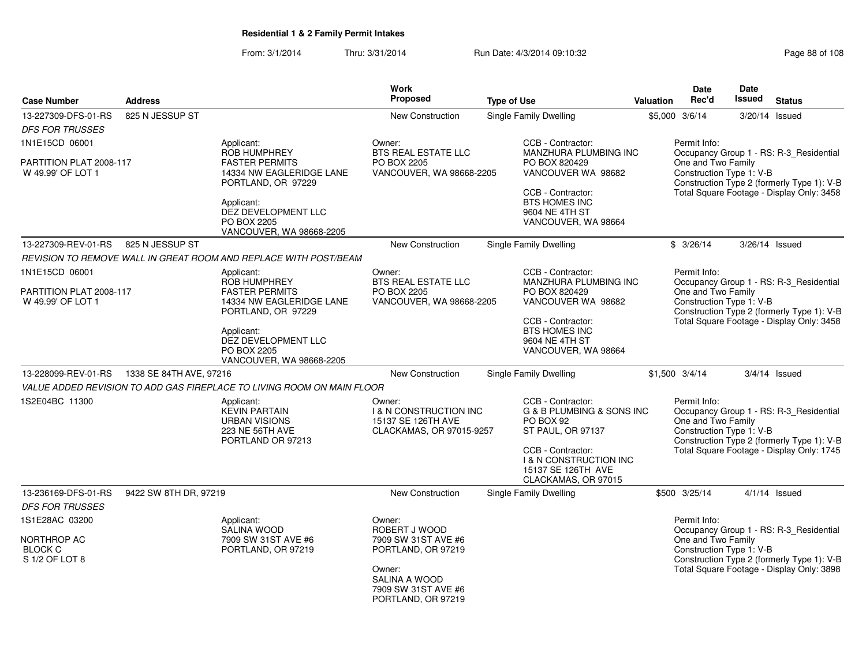From: 3/1/2014Thru: 3/31/2014 Run Date: 4/3/2014 09:10:32 Run Date: 4/3/2014 09:10:32

| <b>Case Number</b>                                                | <b>Address</b>                                                         |                                                                                                    | Work<br>Proposed                                                                              | <b>Type of Use</b>                                                                                                                                                                      | <b>Valuation</b>                                                                                                                          | <b>Date</b><br>Rec'd                                           | <b>Date</b><br><b>Issued</b> | <b>Status</b>                                                                                                                      |
|-------------------------------------------------------------------|------------------------------------------------------------------------|----------------------------------------------------------------------------------------------------|-----------------------------------------------------------------------------------------------|-----------------------------------------------------------------------------------------------------------------------------------------------------------------------------------------|-------------------------------------------------------------------------------------------------------------------------------------------|----------------------------------------------------------------|------------------------------|------------------------------------------------------------------------------------------------------------------------------------|
| 13-227309-DFS-01-RS<br><b>DFS FOR TRUSSES</b>                     | 825 N JESSUP ST                                                        |                                                                                                    | New Construction                                                                              | Single Family Dwelling                                                                                                                                                                  |                                                                                                                                           | \$5,000 3/6/14                                                 |                              | 3/20/14 Issued                                                                                                                     |
| 1N1E15CD 06001                                                    |                                                                        | Applicant:<br>ROB HUMPHREY                                                                         | Owner:<br>BTS REAL ESTATE LLC                                                                 | CCB - Contractor:<br>MANZHURA PLUMBING INC                                                                                                                                              |                                                                                                                                           | Permit Info:                                                   |                              | Occupancy Group 1 - RS: R-3_Residential                                                                                            |
| PARTITION PLAT 2008-117<br>W 49.99' OF LOT 1                      |                                                                        | <b>FASTER PERMITS</b><br>14334 NW EAGLERIDGE LANE<br>PORTLAND, OR 97229                            | PO BOX 2205<br>VANCOUVER, WA 98668-2205                                                       | PO BOX 820429<br>VANCOUVER WA 98682                                                                                                                                                     |                                                                                                                                           | One and Two Family<br>Construction Type 1: V-B                 |                              | Construction Type 2 (formerly Type 1): V-B<br>Total Square Footage - Display Only: 3458                                            |
|                                                                   |                                                                        | Applicant:<br>DEZ DEVELOPMENT LLC<br>PO BOX 2205<br>VANCOUVER, WA 98668-2205                       |                                                                                               | CCB - Contractor:<br><b>BTS HOMES INC</b><br>9604 NE 4TH ST<br>VANCOUVER, WA 98664                                                                                                      |                                                                                                                                           |                                                                |                              |                                                                                                                                    |
| 13-227309-REV-01-RS                                               | 825 N JESSUP ST                                                        |                                                                                                    | New Construction                                                                              | Single Family Dwelling                                                                                                                                                                  |                                                                                                                                           | \$3/26/14                                                      |                              | 3/26/14 Issued                                                                                                                     |
|                                                                   |                                                                        | REVISION TO REMOVE WALL IN GREAT ROOM AND REPLACE WITH POST/BEAM                                   |                                                                                               |                                                                                                                                                                                         |                                                                                                                                           |                                                                |                              |                                                                                                                                    |
| 1N1E15CD 06001                                                    |                                                                        | Applicant:<br><b>ROB HUMPHREY</b>                                                                  | Owner:<br><b>BTS REAL ESTATE LLC</b>                                                          | CCB - Contractor:<br>MANZHURA PLUMBING INC                                                                                                                                              |                                                                                                                                           | Permit Info:                                                   |                              | Occupancy Group 1 - RS: R-3 Residential                                                                                            |
| PARTITION PLAT 2008-117<br>W 49.99' OF LOT 1                      |                                                                        | <b>FASTER PERMITS</b><br>14334 NW EAGLERIDGE LANE<br>PORTLAND, OR 97229                            | PO BOX 2205<br>VANCOUVER, WA 98668-2205                                                       | PO BOX 820429<br>VANCOUVER WA 98682<br>CCB - Contractor:                                                                                                                                | One and Two Family<br>Construction Type 1: V-B<br>Construction Type 2 (formerly Type 1): V-B<br>Total Square Footage - Display Only: 3458 |                                                                |                              |                                                                                                                                    |
|                                                                   |                                                                        | Applicant:<br>DEZ DEVELOPMENT LLC<br>PO BOX 2205<br>VANCOUVER, WA 98668-2205                       |                                                                                               | <b>BTS HOMES INC</b><br>9604 NE 4TH ST<br>VANCOUVER, WA 98664                                                                                                                           |                                                                                                                                           |                                                                |                              |                                                                                                                                    |
| 13-228099-REV-01-RS                                               | 1338 SE 84TH AVE, 97216                                                |                                                                                                    | <b>New Construction</b>                                                                       | Single Family Dwelling                                                                                                                                                                  |                                                                                                                                           | \$1,500 3/4/14                                                 |                              | $3/4/14$ Issued                                                                                                                    |
|                                                                   |                                                                        | VALUE ADDED REVISION TO ADD GAS FIREPLACE TO LIVING ROOM ON MAIN FLOOR                             |                                                                                               |                                                                                                                                                                                         |                                                                                                                                           |                                                                |                              |                                                                                                                                    |
| 1S2E04BC 11300                                                    |                                                                        | Applicant:<br><b>KEVIN PARTAIN</b><br><b>URBAN VISIONS</b><br>223 NE 56TH AVE<br>PORTLAND OR 97213 | Owner:<br><b>I &amp; N CONSTRUCTION INC</b><br>15137 SE 126TH AVE<br>CLACKAMAS, OR 97015-9257 | CCB - Contractor:<br>G & B PLUMBING & SONS INC<br>PO BOX 92<br>ST PAUL, OR 97137<br>CCB - Contractor:<br><b>I &amp; N CONSTRUCTION INC</b><br>15137 SE 126TH AVE<br>CLACKAMAS, OR 97015 |                                                                                                                                           | Permit Info:<br>One and Two Family<br>Construction Type 1: V-B |                              | Occupancy Group 1 - RS: R-3_Residential<br>Construction Type 2 (formerly Type 1): V-B<br>Total Square Footage - Display Only: 1745 |
| 13-236169-DFS-01-RS                                               | 9422 SW 8TH DR, 97219                                                  |                                                                                                    | New Construction                                                                              | Single Family Dwelling                                                                                                                                                                  |                                                                                                                                           | \$500 3/25/14                                                  |                              | $4/1/14$ Issued                                                                                                                    |
| <b>DFS FOR TRUSSES</b>                                            |                                                                        |                                                                                                    |                                                                                               |                                                                                                                                                                                         |                                                                                                                                           |                                                                |                              |                                                                                                                                    |
| 1S1E28AC 03200<br>NORTHROP AC<br><b>BLOCK C</b><br>S 1/2 OF LOT 8 | Applicant:<br>SALINA WOOD<br>7909 SW 31ST AVE #6<br>PORTLAND, OR 97219 |                                                                                                    | Owner:<br>ROBERT J WOOD<br>7909 SW 31ST AVE #6<br>PORTLAND, OR 97219                          |                                                                                                                                                                                         |                                                                                                                                           | Permit Info:<br>One and Two Family<br>Construction Type 1: V-B |                              | Occupancy Group 1 - RS: R-3_Residential<br>Construction Type 2 (formerly Type 1): V-B                                              |
|                                                                   |                                                                        |                                                                                                    | Owner:<br>SALINA A WOOD<br>7909 SW 31ST AVE #6<br>PORTLAND, OR 97219                          |                                                                                                                                                                                         |                                                                                                                                           |                                                                |                              | Total Square Footage - Display Only: 3898                                                                                          |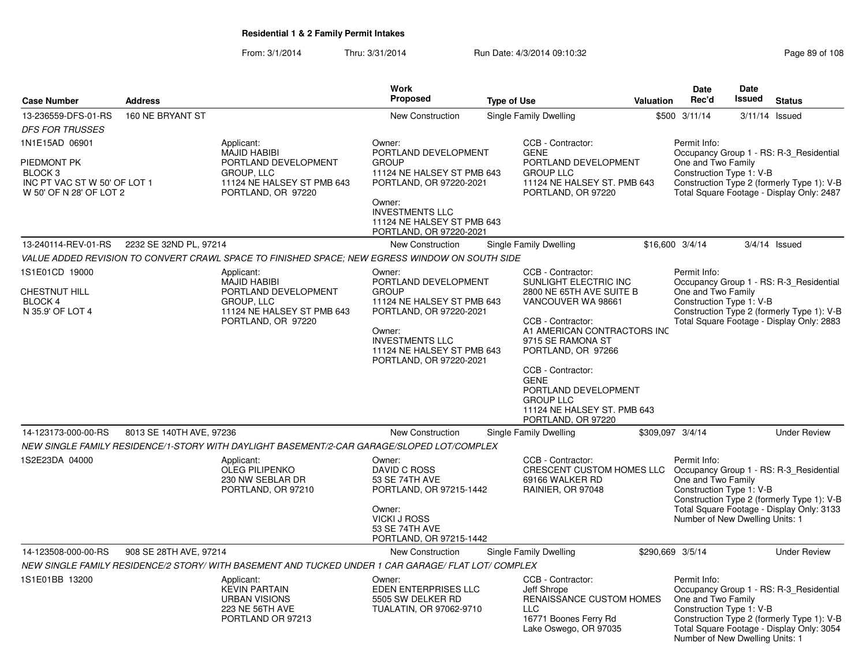From: 3/1/2014Thru: 3/31/2014 Run Date: 4/3/2014 09:10:32 Run Date: 4/3/2014 09:10:32

|                                                                                                     |                          |                                                                                                                             | <b>Work</b>                                                                                                                                                                                          |                                                                                                                                                                                                                                                                                                                                  |                                                                                                                                                                           | <b>Date</b>                                                                                       | <b>Date</b>                                                                                                                        |                                                                                                                                    |
|-----------------------------------------------------------------------------------------------------|--------------------------|-----------------------------------------------------------------------------------------------------------------------------|------------------------------------------------------------------------------------------------------------------------------------------------------------------------------------------------------|----------------------------------------------------------------------------------------------------------------------------------------------------------------------------------------------------------------------------------------------------------------------------------------------------------------------------------|---------------------------------------------------------------------------------------------------------------------------------------------------------------------------|---------------------------------------------------------------------------------------------------|------------------------------------------------------------------------------------------------------------------------------------|------------------------------------------------------------------------------------------------------------------------------------|
| <b>Case Number</b>                                                                                  | <b>Address</b>           |                                                                                                                             | Proposed                                                                                                                                                                                             | <b>Type of Use</b>                                                                                                                                                                                                                                                                                                               | <b>Valuation</b>                                                                                                                                                          | Rec'd                                                                                             | Issued                                                                                                                             | <b>Status</b>                                                                                                                      |
| 13-236559-DFS-01-RS                                                                                 | 160 NE BRYANT ST         |                                                                                                                             | New Construction                                                                                                                                                                                     | Single Family Dwelling                                                                                                                                                                                                                                                                                                           |                                                                                                                                                                           | \$500 3/11/14                                                                                     |                                                                                                                                    | $3/11/14$ Issued                                                                                                                   |
| <b>DFS FOR TRUSSES</b>                                                                              |                          |                                                                                                                             |                                                                                                                                                                                                      |                                                                                                                                                                                                                                                                                                                                  |                                                                                                                                                                           |                                                                                                   |                                                                                                                                    |                                                                                                                                    |
| 1N1E15AD 06901<br>PIEDMONT PK<br>BLOCK 3<br>INC PT VAC ST W 50' OF LOT 1<br>W 50' OF N 28' OF LOT 2 |                          | Applicant:<br><b>MAJID HABIBI</b><br>PORTLAND DEVELOPMENT<br>GROUP, LLC<br>11124 NE HALSEY ST PMB 643<br>PORTLAND, OR 97220 | Owner:<br>PORTLAND DEVELOPMENT<br><b>GROUP</b><br>11124 NE HALSEY ST PMB 643<br>PORTLAND, OR 97220-2021<br>Owner:<br><b>INVESTMENTS LLC</b><br>11124 NE HALSEY ST PMB 643<br>PORTLAND, OR 97220-2021 | CCB - Contractor:<br><b>GENE</b><br>PORTLAND DEVELOPMENT<br><b>GROUP LLC</b><br>11124 NE HALSEY ST. PMB 643<br>PORTLAND, OR 97220                                                                                                                                                                                                |                                                                                                                                                                           | Permit Info:<br>One and Two Family<br>Construction Type 1: V-B                                    | Occupancy Group 1 - RS: R-3 Residential<br>Construction Type 2 (formerly Type 1): V-B<br>Total Square Footage - Display Only: 2487 |                                                                                                                                    |
| 13-240114-REV-01-RS                                                                                 | 2232 SE 32ND PL, 97214   |                                                                                                                             | New Construction                                                                                                                                                                                     | Single Family Dwelling                                                                                                                                                                                                                                                                                                           |                                                                                                                                                                           | \$16,600 3/4/14                                                                                   |                                                                                                                                    | $3/4/14$ Issued                                                                                                                    |
|                                                                                                     |                          | VALUE ADDED REVISION TO CONVERT CRAWL SPACE TO FINISHED SPACE; NEW EGRESS WINDOW ON SOUTH SIDE                              |                                                                                                                                                                                                      |                                                                                                                                                                                                                                                                                                                                  |                                                                                                                                                                           |                                                                                                   |                                                                                                                                    |                                                                                                                                    |
| 1S1E01CD 19000<br><b>CHESTNUT HILL</b><br>BLOCK 4<br>N 35.9' OF LOT 4                               |                          | Applicant:<br>MAJID HABIBI<br>PORTLAND DEVELOPMENT<br>GROUP, LLC<br>11124 NE HALSEY ST PMB 643<br>PORTLAND, OR 97220        | Owner:<br>PORTLAND DEVELOPMENT<br><b>GROUP</b><br>11124 NE HALSEY ST PMB 643<br>PORTLAND, OR 97220-2021<br>Owner:<br><b>INVESTMENTS LLC</b><br>11124 NE HALSEY ST PMB 643<br>PORTLAND, OR 97220-2021 | CCB - Contractor:<br>SUNLIGHT ELECTRIC INC<br>2800 NE 65TH AVE SUITE B<br>VANCOUVER WA 98661<br>CCB - Contractor:<br>A1 AMERICAN CONTRACTORS INC<br>9715 SE RAMONA ST<br>PORTLAND, OR 97266<br>CCB - Contractor:<br><b>GENE</b><br>PORTLAND DEVELOPMENT<br><b>GROUP LLC</b><br>11124 NE HALSEY ST. PMB 643<br>PORTLAND, OR 97220 |                                                                                                                                                                           | Permit Info:<br>One and Two Family<br>Construction Type 1: V-B                                    |                                                                                                                                    | Occupancy Group 1 - RS: R-3_Residential<br>Construction Type 2 (formerly Type 1): V-B<br>Total Square Footage - Display Only: 2883 |
| 14-123173-000-00-RS                                                                                 | 8013 SE 140TH AVE, 97236 |                                                                                                                             | <b>New Construction</b>                                                                                                                                                                              | Single Family Dwelling                                                                                                                                                                                                                                                                                                           |                                                                                                                                                                           | \$309,097 3/4/14                                                                                  |                                                                                                                                    | <b>Under Review</b>                                                                                                                |
|                                                                                                     |                          | NEW SINGLE FAMILY RESIDENCE/1-STORY WITH DAYLIGHT BASEMENT/2-CAR GARAGE/SLOPED LOT/COMPLEX                                  |                                                                                                                                                                                                      |                                                                                                                                                                                                                                                                                                                                  |                                                                                                                                                                           |                                                                                                   |                                                                                                                                    |                                                                                                                                    |
| 1S2E23DA 04000                                                                                      |                          | Applicant:<br><b>OLEG PILIPENKO</b><br>230 NW SEBLAR DR<br>PORTLAND, OR 97210                                               | Owner:<br>DAVID C ROSS<br>53 SE 74TH AVE<br>PORTLAND, OR 97215-1442<br>Owner:<br><b>VICKI J ROSS</b><br>53 SE 74TH AVE<br>PORTLAND, OR 97215-1442                                                    | CCB - Contractor:<br>69166 WALKER RD<br>RAINIER, OR 97048                                                                                                                                                                                                                                                                        | Permit Info:<br>CRESCENT CUSTOM HOMES LLC<br>Occupancy Group 1 - RS: R-3_Residential<br>One and Two Family<br>Construction Type 1: V-B<br>Number of New Dwelling Units: 1 |                                                                                                   |                                                                                                                                    | Construction Type 2 (formerly Type 1): V-B<br>Total Square Footage - Display Only: 3133                                            |
| 14-123508-000-00-RS                                                                                 | 908 SE 28TH AVE, 97214   |                                                                                                                             | <b>New Construction</b>                                                                                                                                                                              | <b>Single Family Dwelling</b>                                                                                                                                                                                                                                                                                                    |                                                                                                                                                                           | \$290.669 3/5/14                                                                                  |                                                                                                                                    | <b>Under Review</b>                                                                                                                |
|                                                                                                     |                          | NEW SINGLE FAMILY RESIDENCE/2 STORY/ WITH BASEMENT AND TUCKED UNDER 1 CAR GARAGE/ FLAT LOT/ COMPLEX                         |                                                                                                                                                                                                      |                                                                                                                                                                                                                                                                                                                                  |                                                                                                                                                                           |                                                                                                   |                                                                                                                                    |                                                                                                                                    |
| 1S1E01BB 13200                                                                                      |                          | Applicant:<br><b>KEVIN PARTAIN</b><br><b>URBAN VISIONS</b><br>223 NE 56TH AVE<br>PORTLAND OR 97213                          | Owner:<br>EDEN ENTERPRISES LLC<br>5505 SW DELKER RD<br>TUALATIN, OR 97062-9710                                                                                                                       | CCB - Contractor:<br>Jeff Shrope<br>RENAISSANCE CUSTOM HOMES<br><b>LLC</b><br>16771 Boones Ferry Rd<br>Lake Oswego, OR 97035                                                                                                                                                                                                     |                                                                                                                                                                           | Permit Info:<br>One and Two Family<br>Construction Type 1: V-B<br>Number of New Dwelling Units: 1 |                                                                                                                                    | Occupancy Group 1 - RS: R-3 Residential<br>Construction Type 2 (formerly Type 1): V-B<br>Total Square Footage - Display Only: 3054 |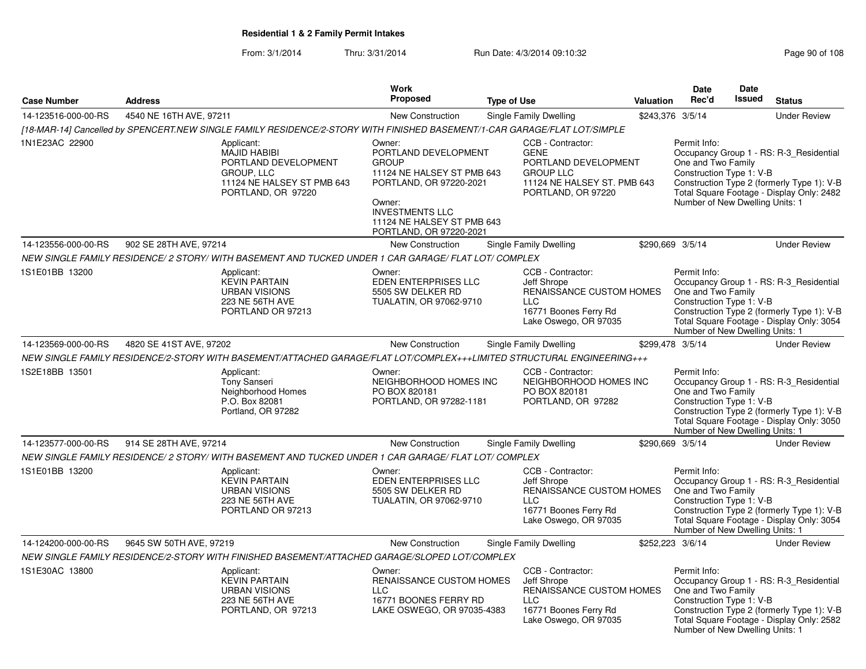From: 3/1/2014Thru: 3/31/2014 Run Date: 4/3/2014 09:10:32 Research 2010 Rage 90 of 108

|                     |                                                                                                                             | Work                                                                                                                                                                                                 |                                                                                                                                   |           | Date                                                                                              | <b>Date</b>   |                                                                                                                                    |
|---------------------|-----------------------------------------------------------------------------------------------------------------------------|------------------------------------------------------------------------------------------------------------------------------------------------------------------------------------------------------|-----------------------------------------------------------------------------------------------------------------------------------|-----------|---------------------------------------------------------------------------------------------------|---------------|------------------------------------------------------------------------------------------------------------------------------------|
| <b>Case Number</b>  | <b>Address</b>                                                                                                              | <b>Proposed</b>                                                                                                                                                                                      | <b>Type of Use</b>                                                                                                                | Valuation | Rec'd                                                                                             | <b>Issued</b> | <b>Status</b>                                                                                                                      |
| 14-123516-000-00-RS | 4540 NE 16TH AVE, 97211                                                                                                     | New Construction                                                                                                                                                                                     | <b>Single Family Dwelling</b>                                                                                                     |           | \$243,376 3/5/14                                                                                  |               | <b>Under Review</b>                                                                                                                |
|                     | [18-MAR-14] Cancelled by SPENCERT.NEW SINGLE FAMILY RESIDENCE/2-STORY WITH FINISHED BASEMENT/1-CAR GARAGE/FLAT LOT/SIMPLE   |                                                                                                                                                                                                      |                                                                                                                                   |           |                                                                                                   |               |                                                                                                                                    |
| 1N1E23AC 22900      | Applicant:<br><b>MAJID HABIBI</b><br>PORTLAND DEVELOPMENT<br>GROUP, LLC<br>11124 NE HALSEY ST PMB 643<br>PORTLAND, OR 97220 | Owner:<br>PORTLAND DEVELOPMENT<br><b>GROUP</b><br>11124 NE HALSEY ST PMB 643<br>PORTLAND, OR 97220-2021<br>Owner:<br><b>INVESTMENTS LLC</b><br>11124 NE HALSEY ST PMB 643<br>PORTLAND, OR 97220-2021 | CCB - Contractor:<br><b>GENE</b><br>PORTLAND DEVELOPMENT<br><b>GROUP LLC</b><br>11124 NE HALSEY ST. PMB 643<br>PORTLAND, OR 97220 |           | Permit Info:<br>One and Two Family<br>Construction Type 1: V-B<br>Number of New Dwelling Units: 1 |               | Occupancy Group 1 - RS: R-3 Residential<br>Construction Type 2 (formerly Type 1): V-B<br>Total Square Footage - Display Only: 2482 |
| 14-123556-000-00-RS | 902 SE 28TH AVE, 97214                                                                                                      | <b>New Construction</b>                                                                                                                                                                              | Single Family Dwelling                                                                                                            |           | \$290,669 3/5/14                                                                                  |               | <b>Under Review</b>                                                                                                                |
|                     | NEW SINGLE FAMILY RESIDENCE/ 2 STORY/ WITH BASEMENT AND TUCKED UNDER 1 CAR GARAGE/ FLAT LOT/ COMPLEX                        |                                                                                                                                                                                                      |                                                                                                                                   |           |                                                                                                   |               |                                                                                                                                    |
| 1S1E01BB 13200      | Applicant:<br><b>KEVIN PARTAIN</b><br><b>URBAN VISIONS</b><br>223 NE 56TH AVE<br>PORTLAND OR 97213                          | Owner:<br>EDEN ENTERPRISES LLC<br>5505 SW DELKER RD<br>TUALATIN, OR 97062-9710                                                                                                                       | CCB - Contractor:<br>Jeff Shrope<br>RENAISSANCE CUSTOM HOMES<br><b>LLC</b><br>16771 Boones Ferry Rd<br>Lake Oswego, OR 97035      |           | Permit Info:<br>One and Two Family<br>Construction Type 1: V-B<br>Number of New Dwelling Units: 1 |               | Occupancy Group 1 - RS: R-3_Residential<br>Construction Type 2 (formerly Type 1): V-B<br>Total Square Footage - Display Only: 3054 |
| 14-123569-000-00-RS | 4820 SE 41ST AVE, 97202                                                                                                     | New Construction                                                                                                                                                                                     | Single Family Dwelling                                                                                                            |           | \$299,478 3/5/14                                                                                  |               | <b>Under Review</b>                                                                                                                |
|                     | NEW SINGLE FAMILY RESIDENCE/2-STORY WITH BASEMENT/ATTACHED GARAGE/FLAT LOT/COMPLEX+++LIMITED STRUCTURAL ENGINEERING+++      |                                                                                                                                                                                                      |                                                                                                                                   |           |                                                                                                   |               |                                                                                                                                    |
| 1S2E18BB 13501      | Applicant:<br><b>Tony Sanseri</b><br>Neighborhood Homes<br>P.O. Box 82081<br>Portland, OR 97282                             | Owner:<br>NEIGHBORHOOD HOMES INC<br>PO BOX 820181<br>PORTLAND, OR 97282-1181                                                                                                                         | CCB - Contractor:<br>NEIGHBORHOOD HOMES INC<br>PO BOX 820181<br>PORTLAND, OR 97282                                                |           | Permit Info:<br>One and Two Family<br>Construction Type 1: V-B<br>Number of New Dwelling Units: 1 |               | Occupancy Group 1 - RS: R-3_Residential<br>Construction Type 2 (formerly Type 1): V-B<br>Total Square Footage - Display Only: 3050 |
| 14-123577-000-00-RS | 914 SE 28TH AVE, 97214                                                                                                      | <b>New Construction</b>                                                                                                                                                                              | <b>Single Family Dwelling</b>                                                                                                     |           | \$290,669 3/5/14                                                                                  |               | <b>Under Review</b>                                                                                                                |
|                     | NEW SINGLE FAMILY RESIDENCE/ 2 STORY/ WITH BASEMENT AND TUCKED UNDER 1 CAR GARAGE/ FLAT LOT/ COMPLEX                        |                                                                                                                                                                                                      |                                                                                                                                   |           |                                                                                                   |               |                                                                                                                                    |
| 1S1E01BB 13200      | Applicant:<br><b>KEVIN PARTAIN</b><br><b>URBAN VISIONS</b><br>223 NE 56TH AVE<br>PORTLAND OR 97213                          | Owner:<br>EDEN ENTERPRISES LLC<br>5505 SW DELKER RD<br>TUALATIN, OR 97062-9710                                                                                                                       | CCB - Contractor:<br>Jeff Shrope<br>RENAISSANCE CUSTOM HOMES<br><b>LLC</b><br>16771 Boones Ferry Rd<br>Lake Oswego, OR 97035      |           | Permit Info:<br>One and Two Family<br>Construction Type 1: V-B<br>Number of New Dwelling Units: 1 |               | Occupancy Group 1 - RS: R-3_Residential<br>Construction Type 2 (formerly Type 1): V-B<br>Total Square Footage - Display Only: 3054 |
| 14-124200-000-00-RS | 9645 SW 50TH AVE, 97219                                                                                                     | <b>New Construction</b>                                                                                                                                                                              | Single Family Dwelling                                                                                                            |           | \$252,223 3/6/14                                                                                  |               | <b>Under Review</b>                                                                                                                |
|                     | NEW SINGLE FAMILY RESIDENCE/2-STORY WITH FINISHED BASEMENT/ATTACHED GARAGE/SLOPED LOT/COMPLEX                               |                                                                                                                                                                                                      |                                                                                                                                   |           |                                                                                                   |               |                                                                                                                                    |
| 1S1E30AC 13800      | Applicant:<br><b>KEVIN PARTAIN</b><br><b>URBAN VISIONS</b><br>223 NE 56TH AVE<br>PORTLAND, OR 97213                         | Owner:<br>RENAISSANCE CUSTOM HOMES<br>$\sqcup$ C<br>16771 BOONES FERRY RD<br>LAKE OSWEGO, OR 97035-4383                                                                                              | CCB - Contractor:<br>Jeff Shrope<br>RENAISSANCE CUSTOM HOMES<br><b>LLC</b><br>16771 Boones Ferry Rd<br>Lake Oswego, OR 97035      |           | Permit Info:<br>One and Two Family<br>Construction Type 1: V-B<br>Number of New Dwelling Units: 1 |               | Occupancy Group 1 - RS: R-3_Residential<br>Construction Type 2 (formerly Type 1): V-B<br>Total Square Footage - Display Only: 2582 |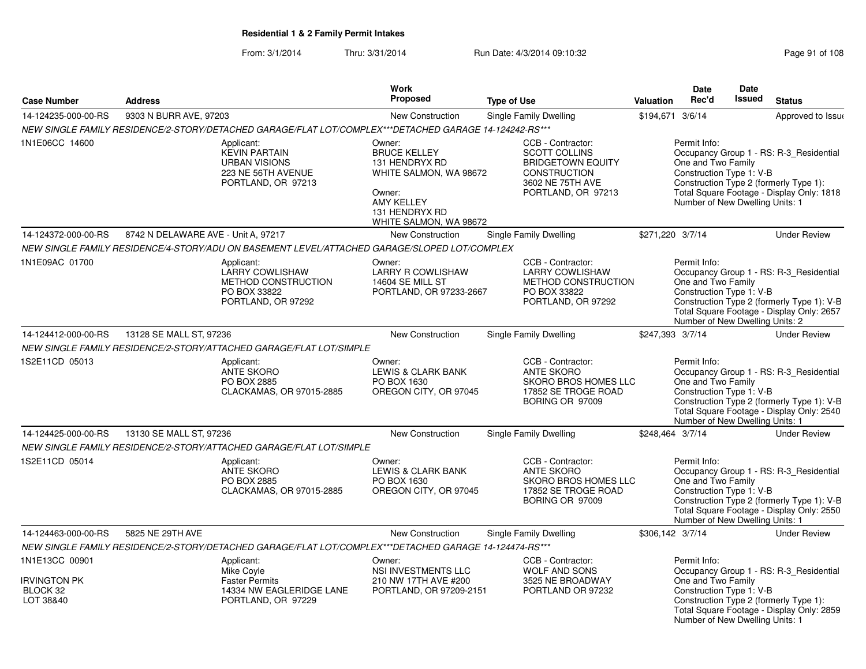From: 3/1/2014Thru: 3/31/2014 Run Date: 4/3/2014 09:10:32 Research 2010 108

|                                                                |                                     |                                                                                                        | Work                                                                                                                                                 |                                                                                                                                        |                  | <b>Date</b>                                                                                       | <b>Date</b>   |                                                                                                                                    |
|----------------------------------------------------------------|-------------------------------------|--------------------------------------------------------------------------------------------------------|------------------------------------------------------------------------------------------------------------------------------------------------------|----------------------------------------------------------------------------------------------------------------------------------------|------------------|---------------------------------------------------------------------------------------------------|---------------|------------------------------------------------------------------------------------------------------------------------------------|
| <b>Case Number</b>                                             | <b>Address</b>                      |                                                                                                        | <b>Proposed</b>                                                                                                                                      | <b>Type of Use</b>                                                                                                                     | Valuation        | Rec'd                                                                                             | <b>Issued</b> | <b>Status</b>                                                                                                                      |
| 14-124235-000-00-RS                                            | 9303 N BURR AVE, 97203              |                                                                                                        | New Construction                                                                                                                                     | Single Family Dwelling                                                                                                                 | \$194,671 3/6/14 |                                                                                                   |               | Approved to Issue                                                                                                                  |
|                                                                |                                     | NEW SINGLE FAMILY RESIDENCE/2-STORY/DETACHED GARAGE/FLAT LOT/COMPLEX***DETACHED GARAGE 14-124242-RS*** |                                                                                                                                                      |                                                                                                                                        |                  |                                                                                                   |               |                                                                                                                                    |
| 1N1E06CC 14600                                                 |                                     | Applicant:<br><b>KEVIN PARTAIN</b><br><b>URBAN VISIONS</b><br>223 NE 56TH AVENUE<br>PORTLAND, OR 97213 | Owner:<br><b>BRUCE KELLEY</b><br>131 HENDRYX RD<br>WHITE SALMON, WA 98672<br>Owner:<br><b>AMY KELLEY</b><br>131 HENDRYX RD<br>WHITE SALMON, WA 98672 | CCB - Contractor:<br><b>SCOTT COLLINS</b><br><b>BRIDGETOWN EQUITY</b><br><b>CONSTRUCTION</b><br>3602 NE 75TH AVE<br>PORTLAND, OR 97213 |                  | Permit Info:<br>One and Two Family<br>Construction Type 1: V-B<br>Number of New Dwelling Units: 1 |               | Occupancy Group 1 - RS: R-3_Residential<br>Construction Type 2 (formerly Type 1):<br>Total Square Footage - Display Only: 1818     |
| 14-124372-000-00-RS                                            | 8742 N DELAWARE AVE - Unit A, 97217 |                                                                                                        | New Construction                                                                                                                                     | <b>Single Family Dwelling</b>                                                                                                          | \$271,220 3/7/14 |                                                                                                   |               | <b>Under Review</b>                                                                                                                |
|                                                                |                                     | NEW SINGLE FAMILY RESIDENCE/4-STORY/ADU ON BASEMENT LEVEL/ATTACHED GARAGE/SLOPED LOT/COMPLEX           |                                                                                                                                                      |                                                                                                                                        |                  |                                                                                                   |               |                                                                                                                                    |
| 1N1E09AC 01700                                                 |                                     | Applicant:<br><b>LARRY COWLISHAW</b><br>METHOD CONSTRUCTION<br>PO BOX 33822<br>PORTLAND, OR 97292      | Owner:<br><b>LARRY R COWLISHAW</b><br><b>14604 SE MILL ST</b><br>PORTLAND, OR 97233-2667                                                             | CCB - Contractor:<br><b>LARRY COWLISHAW</b><br>METHOD CONSTRUCTION<br>PO BOX 33822<br>PORTLAND, OR 97292                               |                  | Permit Info:<br>One and Two Family<br>Construction Type 1: V-B<br>Number of New Dwelling Units: 2 |               | Occupancy Group 1 - RS: R-3_Residential<br>Construction Type 2 (formerly Type 1): V-B<br>Total Square Footage - Display Only: 2657 |
| 14-124412-000-00-RS                                            | 13128 SE MALL ST, 97236             |                                                                                                        | <b>New Construction</b>                                                                                                                              | Single Family Dwelling                                                                                                                 | \$247,393 3/7/14 |                                                                                                   |               | <b>Under Review</b>                                                                                                                |
|                                                                |                                     | NEW SINGLE FAMILY RESIDENCE/2-STORY/ATTACHED GARAGE/FLAT LOT/SIMPLE                                    |                                                                                                                                                      |                                                                                                                                        |                  |                                                                                                   |               |                                                                                                                                    |
| 1S2E11CD 05013                                                 |                                     | Applicant:<br><b>ANTE SKORO</b><br>PO BOX 2885<br>CLACKAMAS, OR 97015-2885                             | Owner:<br><b>LEWIS &amp; CLARK BANK</b><br>PO BOX 1630<br>OREGON CITY, OR 97045                                                                      | CCB - Contractor:<br><b>ANTE SKORO</b><br><b>SKORO BROS HOMES LLC</b><br>17852 SE TROGE ROAD<br>BORING OR 97009                        |                  | Permit Info:<br>One and Two Family<br>Construction Type 1: V-B<br>Number of New Dwelling Units: 1 |               | Occupancy Group 1 - RS: R-3_Residential<br>Construction Type 2 (formerly Type 1): V-B<br>Total Square Footage - Display Only: 2540 |
| 14-124425-000-00-RS                                            | 13130 SE MALL ST, 97236             |                                                                                                        | <b>New Construction</b>                                                                                                                              | Single Family Dwelling                                                                                                                 | \$248,464 3/7/14 |                                                                                                   |               | <b>Under Review</b>                                                                                                                |
|                                                                |                                     | NEW SINGLE FAMILY RESIDENCE/2-STORY/ATTACHED GARAGE/FLAT LOT/SIMPLE                                    |                                                                                                                                                      |                                                                                                                                        |                  |                                                                                                   |               |                                                                                                                                    |
| 1S2E11CD 05014                                                 |                                     | Applicant:<br><b>ANTE SKORO</b><br>PO BOX 2885<br>CLACKAMAS, OR 97015-2885                             | Owner:<br><b>LEWIS &amp; CLARK BANK</b><br>PO BOX 1630<br>OREGON CITY, OR 97045                                                                      | CCB - Contractor:<br><b>ANTE SKORO</b><br>SKORO BROS HOMES LLC<br>17852 SE TROGE ROAD<br>BORING OR 97009                               |                  | Permit Info:<br>One and Two Family<br>Construction Type 1: V-B<br>Number of New Dwelling Units: 1 |               | Occupancy Group 1 - RS: R-3_Residential<br>Construction Type 2 (formerly Type 1): V-B<br>Total Square Footage - Display Only: 2550 |
| 14-124463-000-00-RS                                            | 5825 NE 29TH AVE                    |                                                                                                        | New Construction                                                                                                                                     | Single Family Dwelling                                                                                                                 | \$306,142 3/7/14 |                                                                                                   |               | <b>Under Review</b>                                                                                                                |
|                                                                |                                     | NEW SINGLE FAMILY RESIDENCE/2-STORY/DETACHED GARAGE/FLAT LOT/COMPLEX***DETACHED GARAGE 14-124474-RS*** |                                                                                                                                                      |                                                                                                                                        |                  |                                                                                                   |               |                                                                                                                                    |
| 1N1E13CC 00901<br><b>IRVINGTON PK</b><br>BLOCK 32<br>LOT 38&40 |                                     | Applicant:<br>Mike Coyle<br><b>Faster Permits</b><br>14334 NW EAGLERIDGE LANE<br>PORTLAND, OR 97229    | Owner:<br>NSI INVESTMENTS LLC<br>210 NW 17TH AVE #200<br>PORTLAND, OR 97209-2151                                                                     | CCB - Contractor:<br>WOLF AND SONS<br>3525 NE BROADWAY<br>PORTLAND OR 97232                                                            |                  | Permit Info:<br>One and Two Family<br>Construction Type 1: V-B<br>Number of New Dwelling Units: 1 |               | Occupancy Group 1 - RS: R-3_Residential<br>Construction Type 2 (formerly Type 1):<br>Total Square Footage - Display Only: 2859     |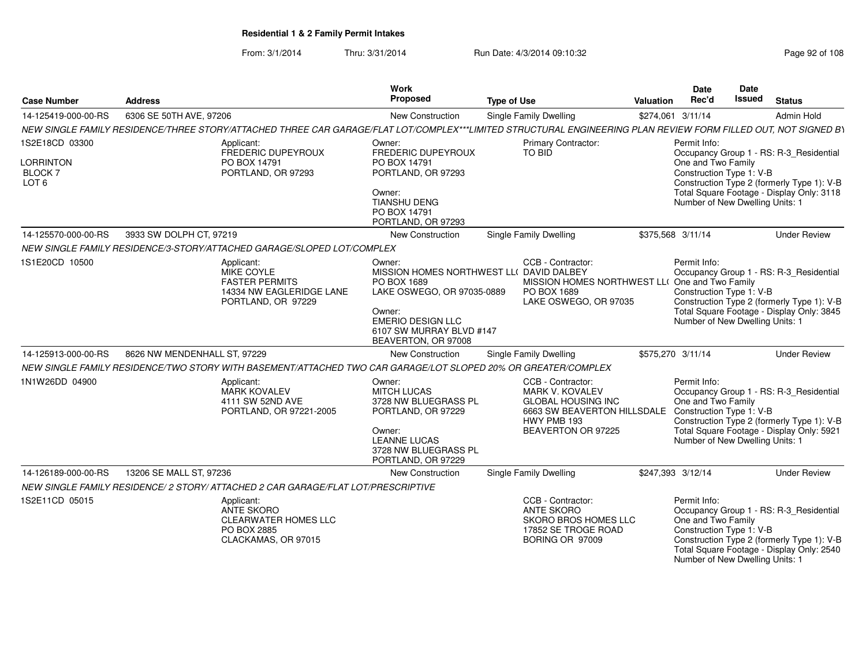From: 3/1/2014Thru: 3/31/2014 Run Date: 4/3/2014 09:10:32 Research 2010 Rage 92 of 108

| <b>Case Number</b>                                                      | <b>Address</b>                                                                                                                                                 | Work<br><b>Proposed</b>                                                                                                                                                                  | <b>Type of Use</b>                                                                                                                                                    | <b>Valuation</b>  | <b>Date</b><br>Rec'd                                                                              | <b>Date</b><br>Issued                                                                                                                                                                                                                   | <b>Status</b>                                                                                                                      |  |
|-------------------------------------------------------------------------|----------------------------------------------------------------------------------------------------------------------------------------------------------------|------------------------------------------------------------------------------------------------------------------------------------------------------------------------------------------|-----------------------------------------------------------------------------------------------------------------------------------------------------------------------|-------------------|---------------------------------------------------------------------------------------------------|-----------------------------------------------------------------------------------------------------------------------------------------------------------------------------------------------------------------------------------------|------------------------------------------------------------------------------------------------------------------------------------|--|
| 14-125419-000-00-RS                                                     | 6306 SE 50TH AVE, 97206                                                                                                                                        | New Construction                                                                                                                                                                         | Single Family Dwelling                                                                                                                                                | \$274,061 3/11/14 |                                                                                                   |                                                                                                                                                                                                                                         | Admin Hold                                                                                                                         |  |
|                                                                         | NEW SINGLE FAMILY RESIDENCE/THREE STORY/ATTACHED THREE CAR GARAGE/FLAT LOT/COMPLEX***LIMITED STRUCTURAL ENGINEERING PLAN REVIEW FORM FILLED OUT, NOT SIGNED BY |                                                                                                                                                                                          |                                                                                                                                                                       |                   |                                                                                                   |                                                                                                                                                                                                                                         |                                                                                                                                    |  |
| 1S2E18CD 03300<br><b>LORRINTON</b><br><b>BLOCK7</b><br>LOT <sub>6</sub> | Applicant:<br>FREDERIC DUPEYROUX<br>PO BOX 14791<br>PORTLAND, OR 97293                                                                                         | Owner:<br>FREDERIC DUPEYROUX<br>PO BOX 14791<br>PORTLAND, OR 97293<br>Owner:<br><b>TIANSHU DENG</b><br>PO BOX 14791<br>PORTLAND, OR 97293                                                | <b>Primary Contractor:</b><br>TO BID                                                                                                                                  |                   |                                                                                                   | Permit Info:<br>Occupancy Group 1 - RS: R-3_Residential<br>One and Two Family<br>Construction Type 1: V-B<br>Construction Type 2 (formerly Type 1): V-B<br>Total Square Footage - Display Only: 3118<br>Number of New Dwelling Units: 1 |                                                                                                                                    |  |
| 14-125570-000-00-RS                                                     | 3933 SW DOLPH CT, 97219                                                                                                                                        | New Construction                                                                                                                                                                         | Single Family Dwelling                                                                                                                                                | \$375,568 3/11/14 |                                                                                                   |                                                                                                                                                                                                                                         | <b>Under Review</b>                                                                                                                |  |
|                                                                         | NEW SINGLE FAMILY RESIDENCE/3-STORY/ATTACHED GARAGE/SLOPED LOT/COMPLEX                                                                                         |                                                                                                                                                                                          |                                                                                                                                                                       |                   |                                                                                                   |                                                                                                                                                                                                                                         |                                                                                                                                    |  |
| 1S1E20CD 10500                                                          | Applicant:<br>MIKE COYLE<br><b>FASTER PERMITS</b><br>14334 NW EAGLERIDGE LANE<br>PORTLAND, OR 97229                                                            | Owner:<br>MISSION HOMES NORTHWEST LL( DAVID DALBEY<br>PO BOX 1689<br>LAKE OSWEGO, OR 97035-0889<br>Owner:<br><b>EMERIO DESIGN LLC</b><br>6107 SW MURRAY BLVD #147<br>BEAVERTON, OR 97008 | CCB - Contractor:<br>MISSION HOMES NORTHWEST LL( One and Two Family<br>PO BOX 1689<br>LAKE OSWEGO, OR 97035                                                           |                   | Permit Info:<br>Construction Type 1: V-B<br>Number of New Dwelling Units: 1                       |                                                                                                                                                                                                                                         | Occupancy Group 1 - RS: R-3_Residential<br>Construction Type 2 (formerly Type 1): V-B<br>Total Square Footage - Display Only: 3845 |  |
| 14-125913-000-00-RS                                                     | 8626 NW MENDENHALL ST, 97229                                                                                                                                   | New Construction                                                                                                                                                                         | Single Family Dwelling                                                                                                                                                | \$575,270 3/11/14 |                                                                                                   |                                                                                                                                                                                                                                         | <b>Under Review</b>                                                                                                                |  |
|                                                                         | NEW SINGLE FAMILY RESIDENCE/TWO STORY WITH BASEMENT/ATTACHED TWO CAR GARAGE/LOT SLOPED 20% OR GREATER/COMPLEX                                                  |                                                                                                                                                                                          |                                                                                                                                                                       |                   |                                                                                                   |                                                                                                                                                                                                                                         |                                                                                                                                    |  |
| 1N1W26DD 04900                                                          | Applicant:<br><b>MARK KOVALEV</b><br>4111 SW 52ND AVE<br>PORTLAND, OR 97221-2005                                                                               | Owner:<br><b>MITCH LUCAS</b><br>3728 NW BLUEGRASS PL<br>PORTLAND, OR 97229<br>Owner:<br><b>LEANNE LUCAS</b><br>3728 NW BLUEGRASS PL<br>PORTLAND, OR 97229                                | CCB - Contractor:<br><b>MARK V. KOVALEV</b><br><b>GLOBAL HOUSING INC</b><br>6663 SW BEAVERTON HILLSDALE Construction Type 1: V-B<br>HWY PMB 193<br>BEAVERTON OR 97225 |                   | Permit Info:<br>One and Two Family<br>Number of New Dwelling Units: 1                             |                                                                                                                                                                                                                                         | Occupancy Group 1 - RS: R-3_Residential<br>Construction Type 2 (formerly Type 1): V-B<br>Total Square Footage - Display Only: 5921 |  |
| 14-126189-000-00-RS                                                     | 13206 SE MALL ST, 97236                                                                                                                                        | New Construction                                                                                                                                                                         | Single Family Dwelling                                                                                                                                                | \$247.393 3/12/14 |                                                                                                   |                                                                                                                                                                                                                                         | <b>Under Review</b>                                                                                                                |  |
|                                                                         | NEW SINGLE FAMILY RESIDENCE/ 2 STORY/ ATTACHED 2 CAR GARAGE/FLAT LOT/PRESCRIPTIVE                                                                              |                                                                                                                                                                                          |                                                                                                                                                                       |                   |                                                                                                   |                                                                                                                                                                                                                                         |                                                                                                                                    |  |
| 1S2E11CD 05015                                                          | Applicant:<br>ANTE SKORO<br><b>CLEARWATER HOMES LLC</b><br>PO BOX 2885<br>CLACKAMAS, OR 97015                                                                  |                                                                                                                                                                                          | CCB - Contractor:<br><b>ANTE SKORO</b><br>SKORO BROS HOMES LLC<br>17852 SE TROGE ROAD<br>BORING OR 97009                                                              |                   | Permit Info:<br>One and Two Family<br>Construction Type 1: V-B<br>Number of New Dwelling Units: 1 |                                                                                                                                                                                                                                         | Occupancy Group 1 - RS: R-3 Residential<br>Construction Type 2 (formerly Type 1): V-B<br>Total Square Footage - Display Only: 2540 |  |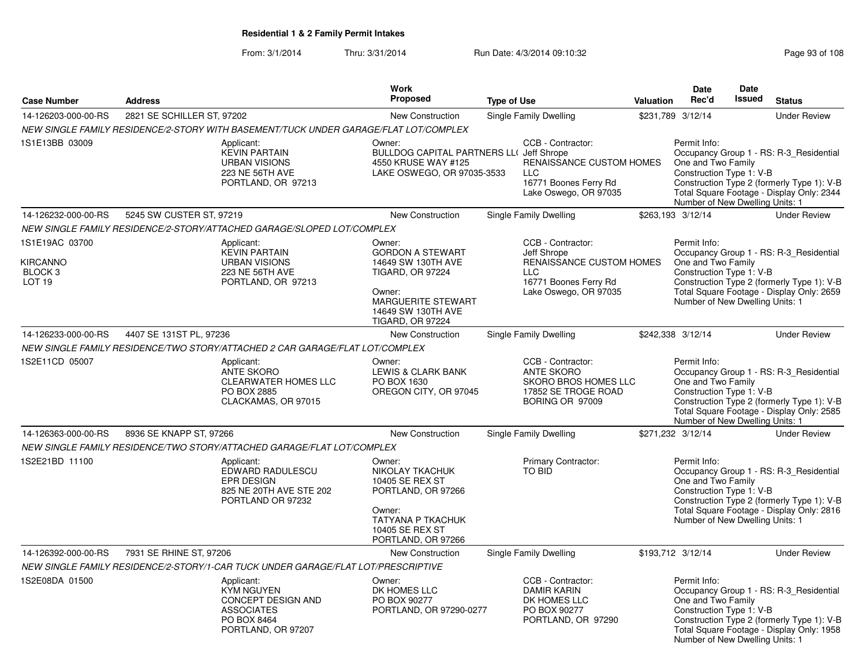From: 3/1/2014Thru: 3/31/2014 Run Date: 4/3/2014 09:10:32 Run Date: 4/3/2014 09:10:32

|                                                                              |                            |                                                                                                                 | Work                                                                                                                                                                |                    |                                                                                                                              |                  | <b>Date</b>                                                                                       | Date          |                                                                                                                                    |
|------------------------------------------------------------------------------|----------------------------|-----------------------------------------------------------------------------------------------------------------|---------------------------------------------------------------------------------------------------------------------------------------------------------------------|--------------------|------------------------------------------------------------------------------------------------------------------------------|------------------|---------------------------------------------------------------------------------------------------|---------------|------------------------------------------------------------------------------------------------------------------------------------|
| <b>Case Number</b>                                                           | <b>Address</b>             |                                                                                                                 | Proposed                                                                                                                                                            | <b>Type of Use</b> |                                                                                                                              | <b>Valuation</b> | Rec'd                                                                                             | <b>Issued</b> | <b>Status</b>                                                                                                                      |
| 14-126203-000-00-RS                                                          | 2821 SE SCHILLER ST, 97202 |                                                                                                                 | New Construction                                                                                                                                                    |                    | Single Family Dwelling                                                                                                       |                  | \$231,789 3/12/14                                                                                 |               | <b>Under Review</b>                                                                                                                |
|                                                                              |                            | NEW SINGLE FAMILY RESIDENCE/2-STORY WITH BASEMENT/TUCK UNDER GARAGE/FLAT LOT/COMPLEX                            |                                                                                                                                                                     |                    |                                                                                                                              |                  |                                                                                                   |               |                                                                                                                                    |
| 1S1E13BB 03009                                                               |                            | Applicant:<br><b>KEVIN PARTAIN</b><br><b>URBAN VISIONS</b><br>223 NE 56TH AVE<br>PORTLAND, OR 97213             | Owner:<br><b>BULLDOG CAPITAL PARTNERS LL( Jeff Shrope</b><br>4550 KRUSE WAY #125<br>LAKE OSWEGO, OR 97035-3533                                                      |                    | CCB - Contractor:<br><b>RENAISSANCE CUSTOM HOMES</b><br><b>LLC</b><br>16771 Boones Ferry Rd<br>Lake Oswego, OR 97035         |                  | Permit Info:<br>One and Two Family<br>Construction Type 1: V-B<br>Number of New Dwelling Units: 1 |               | Occupancy Group 1 - RS: R-3 Residential<br>Construction Type 2 (formerly Type 1): V-B<br>Total Square Footage - Display Only: 2344 |
| 14-126232-000-00-RS                                                          | 5245 SW CUSTER ST, 97219   |                                                                                                                 | <b>New Construction</b>                                                                                                                                             |                    | Single Family Dwelling                                                                                                       |                  | \$263,193 3/12/14                                                                                 |               | <b>Under Review</b>                                                                                                                |
|                                                                              |                            | NEW SINGLE FAMILY RESIDENCE/2-STORY/ATTACHED GARAGE/SLOPED LOT/COMPLEX                                          |                                                                                                                                                                     |                    |                                                                                                                              |                  |                                                                                                   |               |                                                                                                                                    |
| 1S1E19AC 03700<br><b>KIRCANNO</b><br>BLOCK <sub>3</sub><br>LOT <sub>19</sub> |                            | Applicant:<br><b>KEVIN PARTAIN</b><br><b>URBAN VISIONS</b><br>223 NE 56TH AVE<br>PORTLAND, OR 97213             | Owner:<br><b>GORDON A STEWART</b><br>14649 SW 130TH AVE<br><b>TIGARD, OR 97224</b><br>Owner:<br>MARGUERITE STEWART<br>14649 SW 130TH AVE<br><b>TIGARD, OR 97224</b> |                    | CCB - Contractor:<br>Jeff Shrope<br>RENAISSANCE CUSTOM HOMES<br><b>LLC</b><br>16771 Boones Ferry Rd<br>Lake Oswego, OR 97035 |                  | Permit Info:<br>One and Two Family<br>Construction Type 1: V-B<br>Number of New Dwelling Units: 1 |               | Occupancy Group 1 - RS: R-3_Residential<br>Construction Type 2 (formerly Type 1): V-B<br>Total Square Footage - Display Only: 2659 |
| 14-126233-000-00-RS                                                          | 4407 SE 131ST PL, 97236    |                                                                                                                 | New Construction                                                                                                                                                    |                    | Single Family Dwelling                                                                                                       |                  | \$242,338 3/12/14                                                                                 |               | <b>Under Review</b>                                                                                                                |
|                                                                              |                            | NEW SINGLE FAMILY RESIDENCE/TWO STORY/ATTACHED 2 CAR GARAGE/FLAT LOT/COMPLEX                                    |                                                                                                                                                                     |                    |                                                                                                                              |                  |                                                                                                   |               |                                                                                                                                    |
| 1S2E11CD 05007                                                               |                            | Applicant:<br><b>ANTE SKORO</b><br><b>CLEARWATER HOMES LLC</b><br>PO BOX 2885<br>CLACKAMAS, OR 97015            | Owner:<br>LEWIS & CLARK BANK<br>PO BOX 1630<br>OREGON CITY, OR 97045                                                                                                |                    | CCB - Contractor:<br><b>ANTE SKORO</b><br>SKORO BROS HOMES LLC<br>17852 SE TROGE ROAD<br>BORING OR 97009                     |                  | Permit Info:<br>One and Two Family<br>Construction Type 1: V-B<br>Number of New Dwelling Units: 1 |               | Occupancy Group 1 - RS: R-3_Residential<br>Construction Type 2 (formerly Type 1): V-B<br>Total Square Footage - Display Only: 2585 |
| 14-126363-000-00-RS                                                          | 8936 SE KNAPP ST, 97266    |                                                                                                                 | <b>New Construction</b>                                                                                                                                             |                    | Single Family Dwelling                                                                                                       |                  | \$271,232 3/12/14                                                                                 |               | <b>Under Review</b>                                                                                                                |
|                                                                              |                            | NEW SINGLE FAMILY RESIDENCE/TWO STORY/ATTACHED GARAGE/FLAT LOT/COMPLEX                                          |                                                                                                                                                                     |                    |                                                                                                                              |                  |                                                                                                   |               |                                                                                                                                    |
| 1S2E21BD 11100                                                               |                            | Applicant:<br>EDWARD RADULESCU<br>EPR DESIGN<br>825 NE 20TH AVE STE 202<br>PORTLAND OR 97232                    | Owner:<br>NIKOLAY TKACHUK<br>10405 SE REX ST<br>PORTLAND, OR 97266<br>Owner:<br><b>TATYANA P TKACHUK</b><br>10405 SE REX ST<br>PORTLAND, OR 97266                   |                    | Primary Contractor:<br><b>TO BID</b>                                                                                         |                  | Permit Info:<br>One and Two Family<br>Construction Type 1: V-B<br>Number of New Dwelling Units: 1 |               | Occupancy Group 1 - RS: R-3_Residential<br>Construction Type 2 (formerly Type 1): V-B<br>Total Square Footage - Display Only: 2816 |
| 14-126392-000-00-RS                                                          | 7931 SE RHINE ST, 97206    |                                                                                                                 | New Construction                                                                                                                                                    |                    | Single Family Dwelling                                                                                                       |                  | \$193,712 3/12/14                                                                                 |               | <b>Under Review</b>                                                                                                                |
|                                                                              |                            | NEW SINGLE FAMILY RESIDENCE/2-STORY/1-CAR TUCK UNDER GARAGE/FLAT LOT/PRESCRIPTIVE                               |                                                                                                                                                                     |                    |                                                                                                                              |                  |                                                                                                   |               |                                                                                                                                    |
| 1S2E08DA 01500                                                               |                            | Applicant:<br><b>KYM NGUYEN</b><br>CONCEPT DESIGN AND<br><b>ASSOCIATES</b><br>PO BOX 8464<br>PORTLAND, OR 97207 | Owner:<br>DK HOMES LLC<br>PO BOX 90277<br>PORTLAND, OR 97290-0277                                                                                                   |                    | CCB - Contractor:<br><b>DAMIR KARIN</b><br>DK HOMES LLC<br>PO BOX 90277<br>PORTLAND, OR 97290                                |                  | Permit Info:<br>One and Two Family<br>Construction Type 1: V-B<br>Number of New Dwelling Units: 1 |               | Occupancy Group 1 - RS: R-3_Residential<br>Construction Type 2 (formerly Type 1): V-B<br>Total Square Footage - Display Only: 1958 |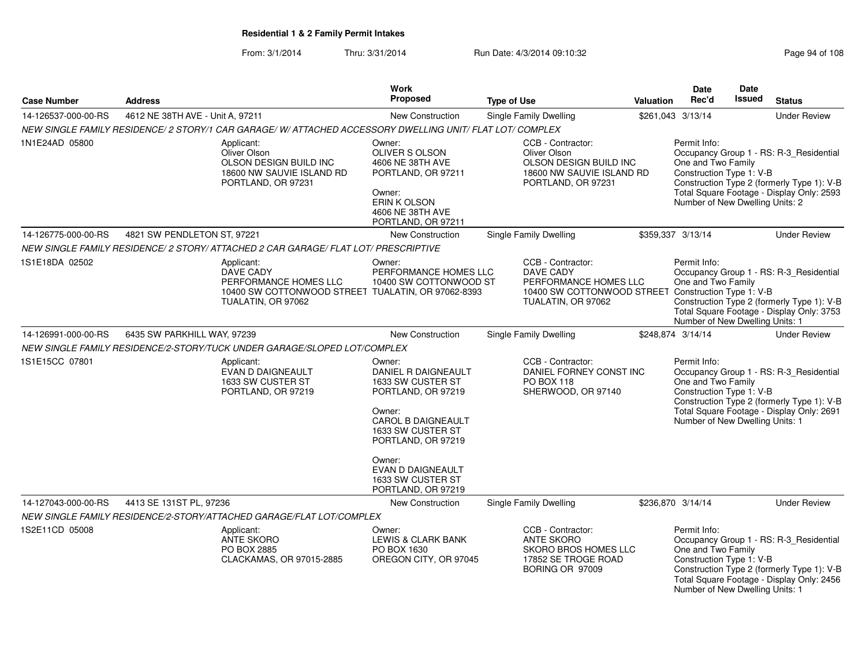From: 3/1/2014Thru: 3/31/2014 Run Date: 4/3/2014 09:10:32 Research 2010 Rage 94 of 108

|                     |                                                                                                         | Work                                                                                                                                                          |                                                                                                                                      |                  | <b>Date</b>                                                                                       | <b>Date</b> |                                                                                                                                    |
|---------------------|---------------------------------------------------------------------------------------------------------|---------------------------------------------------------------------------------------------------------------------------------------------------------------|--------------------------------------------------------------------------------------------------------------------------------------|------------------|---------------------------------------------------------------------------------------------------|-------------|------------------------------------------------------------------------------------------------------------------------------------|
| <b>Case Number</b>  | <b>Address</b>                                                                                          | Proposed                                                                                                                                                      | <b>Type of Use</b>                                                                                                                   | <b>Valuation</b> | Rec'd                                                                                             | Issued      | <b>Status</b>                                                                                                                      |
| 14-126537-000-00-RS | 4612 NE 38TH AVE - Unit A, 97211                                                                        | <b>New Construction</b>                                                                                                                                       | Single Family Dwelling                                                                                                               |                  | \$261,043 3/13/14                                                                                 |             | <b>Under Review</b>                                                                                                                |
|                     | NEW SINGLE FAMILY RESIDENCE/2 STORY/1 CAR GARAGE/W/ATTACHED ACCESSORY DWELLING UNIT/ FLAT LOT/ COMPLEX  |                                                                                                                                                               |                                                                                                                                      |                  |                                                                                                   |             |                                                                                                                                    |
| 1N1E24AD 05800      | Applicant:<br>Oliver Olson<br>OLSON DESIGN BUILD INC<br>18600 NW SAUVIE ISLAND RD<br>PORTLAND, OR 97231 | Owner:<br>OLIVER S OLSON<br>4606 NE 38TH AVE<br>PORTLAND, OR 97211<br>Owner:<br><b>ERIN K OLSON</b><br>4606 NE 38TH AVE<br>PORTLAND, OR 97211                 | CCB - Contractor:<br>Oliver Olson<br>OLSON DESIGN BUILD INC<br>18600 NW SAUVIE ISLAND RD<br>PORTLAND, OR 97231                       |                  | Permit Info:<br>One and Two Family<br>Construction Type 1: V-B<br>Number of New Dwelling Units: 2 |             | Occupancy Group 1 - RS: R-3_Residential<br>Construction Type 2 (formerly Type 1): V-B<br>Total Square Footage - Display Only: 2593 |
| 14-126775-000-00-RS | 4821 SW PENDLETON ST, 97221                                                                             | New Construction                                                                                                                                              | <b>Single Family Dwelling</b>                                                                                                        |                  | \$359,337 3/13/14                                                                                 |             | <b>Under Review</b>                                                                                                                |
|                     | NEW SINGLE FAMILY RESIDENCE/ 2 STORY/ ATTACHED 2 CAR GARAGE/ FLAT LOT/ PRESCRIPTIVE                     |                                                                                                                                                               |                                                                                                                                      |                  |                                                                                                   |             |                                                                                                                                    |
| 1S1E18DA 02502      | Applicant:<br>DAVE CADY<br>PERFORMANCE HOMES LLC<br>TUALATIN, OR 97062                                  | Owner:<br>PERFORMANCE HOMES LLC<br>10400 SW COTTONWOOD ST<br>10400 SW COTTONWOOD STREET TUALATIN, OR 97062-8393                                               | CCB - Contractor:<br>DAVE CADY<br>PERFORMANCE HOMES LLC<br>10400 SW COTTONWOOD STREET Construction Type 1: V-B<br>TUALATIN, OR 97062 |                  | Permit Info:<br>One and Two Family<br>Number of New Dwelling Units: 1                             |             | Occupancy Group 1 - RS: R-3_Residential<br>Construction Type 2 (formerly Type 1): V-B<br>Total Square Footage - Display Only: 3753 |
| 14-126991-000-00-RS | 6435 SW PARKHILL WAY, 97239                                                                             | <b>New Construction</b>                                                                                                                                       | <b>Single Family Dwelling</b>                                                                                                        |                  | \$248,874 3/14/14                                                                                 |             | <b>Under Review</b>                                                                                                                |
|                     | NEW SINGLE FAMILY RESIDENCE/2-STORY/TUCK UNDER GARAGE/SLOPED LOT/COMPLEX                                |                                                                                                                                                               |                                                                                                                                      |                  |                                                                                                   |             |                                                                                                                                    |
| 1S1E15CC 07801      | Applicant:<br>EVAN D DAIGNEAULT<br>1633 SW CUSTER ST<br>PORTLAND, OR 97219                              | Owner:<br>DANIEL R DAIGNEAULT<br>1633 SW CUSTER ST<br>PORTLAND, OR 97219<br>Owner:<br>CAROL B DAIGNEAULT<br>1633 SW CUSTER ST<br>PORTLAND, OR 97219<br>Owner: | CCB - Contractor:<br>DANIEL FORNEY CONST INC<br>PO BOX 118<br>SHERWOOD, OR 97140                                                     |                  | Permit Info:<br>One and Two Family<br>Construction Type 1: V-B<br>Number of New Dwelling Units: 1 |             | Occupancy Group 1 - RS: R-3_Residential<br>Construction Type 2 (formerly Type 1): V-B<br>Total Square Footage - Display Only: 2691 |
|                     |                                                                                                         | EVAN D DAIGNEAULT<br>1633 SW CUSTER ST<br>PORTLAND, OR 97219                                                                                                  |                                                                                                                                      |                  |                                                                                                   |             |                                                                                                                                    |
| 14-127043-000-00-RS | 4413 SE 131ST PL, 97236                                                                                 | <b>New Construction</b>                                                                                                                                       | Single Family Dwelling                                                                                                               |                  | \$236,870 3/14/14                                                                                 |             | <b>Under Review</b>                                                                                                                |
|                     | NEW SINGLE FAMILY RESIDENCE/2-STORY/ATTACHED GARAGE/FLAT LOT/COMPLEX                                    |                                                                                                                                                               |                                                                                                                                      |                  |                                                                                                   |             |                                                                                                                                    |
| 1S2E11CD 05008      | Applicant:<br>ANTE SKORO<br>PO BOX 2885<br>CLACKAMAS, OR 97015-2885                                     | Owner:<br>LEWIS & CLARK BANK<br>PO BOX 1630<br>OREGON CITY, OR 97045                                                                                          | CCB - Contractor:<br><b>ANTE SKORO</b><br><b>SKORO BROS HOMES LLC</b><br>17852 SE TROGE ROAD<br>BORING OR 97009                      |                  | Permit Info:<br>One and Two Family<br>Construction Type 1: V-B<br>Number of New Dwelling Units: 1 |             | Occupancy Group 1 - RS: R-3_Residential<br>Construction Type 2 (formerly Type 1): V-B<br>Total Square Footage - Display Only: 2456 |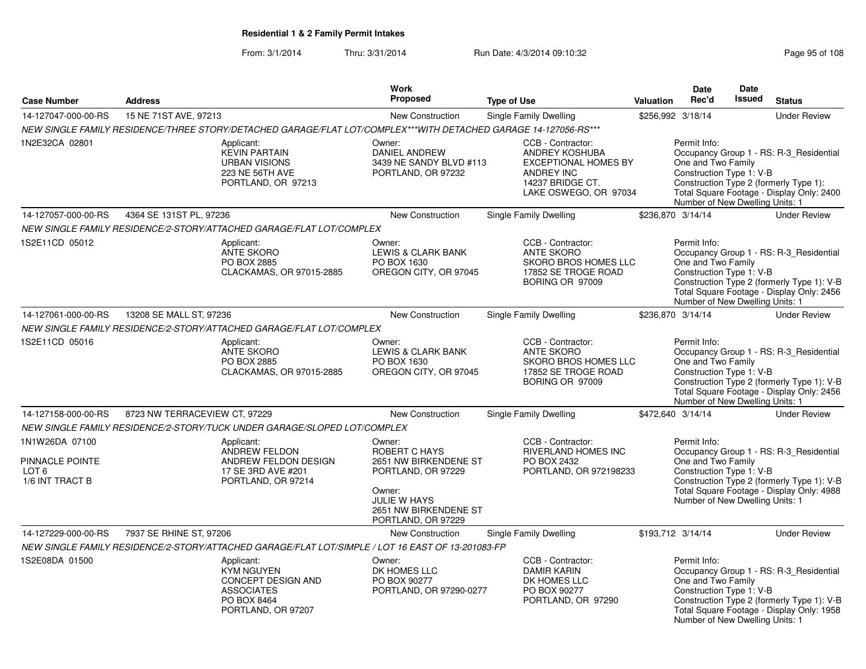### From: 3/1/2014Thru: 3/31/2014 Run Date: 4/3/2014 09:10:32 Run Date: 4/3/2014 09:10:32

|                                                                          |                                                                                                                 | <b>Work</b>                                                                                                                                     |                                                                                                                                      |                   | Date                                                                                              | Date          |                                                                                                                                    |
|--------------------------------------------------------------------------|-----------------------------------------------------------------------------------------------------------------|-------------------------------------------------------------------------------------------------------------------------------------------------|--------------------------------------------------------------------------------------------------------------------------------------|-------------------|---------------------------------------------------------------------------------------------------|---------------|------------------------------------------------------------------------------------------------------------------------------------|
| <b>Case Number</b>                                                       | <b>Address</b>                                                                                                  | <b>Proposed</b>                                                                                                                                 | <b>Type of Use</b>                                                                                                                   | Valuation         | Rec'd                                                                                             | <b>Issued</b> | <b>Status</b>                                                                                                                      |
| 14-127047-000-00-RS                                                      | 15 NE 71ST AVE, 97213                                                                                           | <b>New Construction</b>                                                                                                                         | <b>Single Family Dwelling</b>                                                                                                        | \$256,992 3/18/14 |                                                                                                   |               | <b>Under Review</b>                                                                                                                |
|                                                                          |                                                                                                                 | NEW SINGLE FAMILY RESIDENCE/THREE STORY/DETACHED GARAGE/FLAT LOT/COMPLEX***WITH DETACHED GARAGE 14-127056-RS***                                 |                                                                                                                                      |                   |                                                                                                   |               |                                                                                                                                    |
| 1N2E32CA 02801                                                           | Applicant:<br><b>KEVIN PARTAIN</b><br><b>URBAN VISIONS</b><br>223 NE 56TH AVE<br>PORTLAND, OR 97213             | Owner:<br>DANIEL ANDREW<br>3439 NE SANDY BLVD #113<br>PORTLAND, OR 97232                                                                        | CCB - Contractor:<br>ANDREY KOSHUBA<br><b>EXCEPTIONAL HOMES BY</b><br><b>ANDREY INC</b><br>14237 BRIDGE CT.<br>LAKE OSWEGO, OR 97034 |                   | Permit Info:<br>One and Two Family<br>Construction Type 1: V-B<br>Number of New Dwelling Units: 1 |               | Occupancy Group 1 - RS: R-3 Residential<br>Construction Type 2 (formerly Type 1):<br>Total Square Footage - Display Only: 2400     |
| 14-127057-000-00-RS                                                      | 4364 SE 131ST PL, 97236                                                                                         | <b>New Construction</b>                                                                                                                         | Single Family Dwelling                                                                                                               | \$236,870 3/14/14 |                                                                                                   |               | <b>Under Review</b>                                                                                                                |
|                                                                          | NEW SINGLE FAMILY RESIDENCE/2-STORY/ATTACHED GARAGE/FLAT LOT/COMPLEX                                            |                                                                                                                                                 |                                                                                                                                      |                   |                                                                                                   |               |                                                                                                                                    |
| 1S2E11CD 05012                                                           | Applicant:<br><b>ANTE SKORO</b><br>PO BOX 2885<br>CLACKAMAS, OR 97015-2885                                      | Owner:<br><b>LEWIS &amp; CLARK BANK</b><br>PO BOX 1630<br>OREGON CITY, OR 97045                                                                 | CCB - Contractor:<br><b>ANTE SKORO</b><br>SKORO BROS HOMES LLC<br>17852 SE TROGE ROAD<br>BORING OR 97009                             |                   | Permit Info:<br>One and Two Family<br>Construction Type 1: V-B<br>Number of New Dwelling Units: 1 |               | Occupancy Group 1 - RS: R-3_Residential<br>Construction Type 2 (formerly Type 1): V-B<br>Total Square Footage - Display Only: 2456 |
| 14-127061-000-00-RS                                                      | 13208 SE MALL ST, 97236                                                                                         | New Construction                                                                                                                                | Single Family Dwelling                                                                                                               | \$236,870 3/14/14 |                                                                                                   |               | <b>Under Review</b>                                                                                                                |
|                                                                          | NEW SINGLE FAMILY RESIDENCE/2-STORY/ATTACHED GARAGE/FLAT LOT/COMPLEX                                            |                                                                                                                                                 |                                                                                                                                      |                   |                                                                                                   |               |                                                                                                                                    |
| 1S2E11CD 05016                                                           | Applicant:<br><b>ANTE SKORO</b><br>PO BOX 2885<br>CLACKAMAS, OR 97015-2885                                      | Owner:<br><b>LEWIS &amp; CLARK BANK</b><br>PO BOX 1630<br>OREGON CITY, OR 97045                                                                 | CCB - Contractor:<br><b>ANTE SKORO</b><br>SKORO BROS HOMES LLC<br>17852 SE TROGE ROAD<br>BORING OR 97009                             |                   | Permit Info:<br>One and Two Family<br>Construction Type 1: V-B<br>Number of New Dwelling Units: 1 |               | Occupancy Group 1 - RS: R-3_Residential<br>Construction Type 2 (formerly Type 1): V-B<br>Total Square Footage - Display Only: 2456 |
| 14-127158-000-00-RS                                                      | 8723 NW TERRACEVIEW CT, 97229                                                                                   | New Construction                                                                                                                                | <b>Single Family Dwelling</b>                                                                                                        | \$472,640 3/14/14 |                                                                                                   |               | <b>Under Review</b>                                                                                                                |
|                                                                          | NEW SINGLE FAMILY RESIDENCE/2-STORY/TUCK UNDER GARAGE/SLOPED LOT/COMPLEX                                        |                                                                                                                                                 |                                                                                                                                      |                   |                                                                                                   |               |                                                                                                                                    |
| 1N1W26DA 07100<br>PINNACLE POINTE<br>LOT <sub>6</sub><br>1/6 INT TRACT B | Applicant:<br>ANDREW FELDON<br>ANDREW FELDON DESIGN<br>17 SE 3RD AVE #201<br>PORTLAND, OR 97214                 | Owner:<br>ROBERT C HAYS<br>2651 NW BIRKENDENE ST<br>PORTLAND, OR 97229<br>Owner:<br>JULIE W HAYS<br>2651 NW BIRKENDENE ST<br>PORTLAND, OR 97229 | CCB - Contractor:<br>RIVERLAND HOMES INC<br>PO BOX 2432<br>PORTLAND, OR 972198233                                                    |                   | Permit Info:<br>One and Two Family<br>Construction Type 1: V-B<br>Number of New Dwelling Units: 1 |               | Occupancy Group 1 - RS: R-3_Residential<br>Construction Type 2 (formerly Type 1): V-B<br>Total Square Footage - Display Only: 4988 |
| 14-127229-000-00-RS                                                      | 7937 SE RHINE ST, 97206                                                                                         | New Construction                                                                                                                                | Single Family Dwelling                                                                                                               | \$193,712 3/14/14 |                                                                                                   |               | <b>Under Review</b>                                                                                                                |
|                                                                          |                                                                                                                 | NEW SINGLE FAMILY RESIDENCE/2-STORY/ATTACHED GARAGE/FLAT LOT/SIMPLE / LOT 16 EAST OF 13-201083-FP                                               |                                                                                                                                      |                   |                                                                                                   |               |                                                                                                                                    |
| 1S2E08DA 01500                                                           | Applicant:<br><b>KYM NGUYEN</b><br>CONCEPT DESIGN AND<br><b>ASSOCIATES</b><br>PO BOX 8464<br>PORTLAND, OR 97207 | Owner:<br>DK HOMES LLC<br>PO BOX 90277<br>PORTLAND, OR 97290-0277                                                                               | CCB - Contractor:<br><b>DAMIR KARIN</b><br>DK HOMES LLC<br>PO BOX 90277<br>PORTLAND, OR 97290                                        |                   | Permit Info:<br>One and Two Family<br>Construction Type 1: V-B<br>Number of New Dwelling Units: 1 |               | Occupancy Group 1 - RS: R-3 Residential<br>Construction Type 2 (formerly Type 1): V-B<br>Total Square Footage - Display Only: 1958 |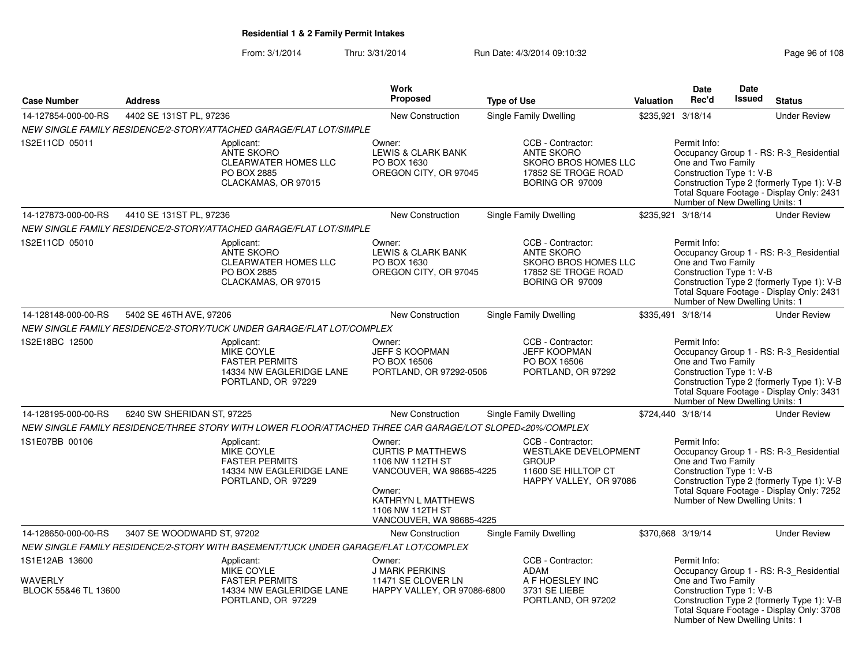### From: 3/1/2014Thru: 3/31/2014 Run Date: 4/3/2014 09:10:32 Run Date: 4/3/2014 09:10:32

Number of New Dwelling Units: 1

| <b>Case Number</b>                                | <b>Address</b>             |                                                                                                                                                                      | Work<br>Proposed                                                                                                                                                   | <b>Type of Use</b>                                                                                                | <b>Valuation</b> | <b>Date</b><br>Rec'd                                                                              | Date<br><b>Issued</b> | <b>Status</b>                                                                                                                      |
|---------------------------------------------------|----------------------------|----------------------------------------------------------------------------------------------------------------------------------------------------------------------|--------------------------------------------------------------------------------------------------------------------------------------------------------------------|-------------------------------------------------------------------------------------------------------------------|------------------|---------------------------------------------------------------------------------------------------|-----------------------|------------------------------------------------------------------------------------------------------------------------------------|
|                                                   |                            |                                                                                                                                                                      |                                                                                                                                                                    |                                                                                                                   |                  |                                                                                                   |                       |                                                                                                                                    |
| 14-127854-000-00-RS                               | 4402 SE 131ST PL, 97236    |                                                                                                                                                                      | <b>New Construction</b>                                                                                                                                            | Single Family Dwelling                                                                                            |                  | \$235,921 3/18/14                                                                                 |                       | <b>Under Review</b>                                                                                                                |
| 1S2E11CD 05011                                    |                            | NEW SINGLE FAMILY RESIDENCE/2-STORY/ATTACHED GARAGE/FLAT LOT/SIMPLE<br>Applicant:<br>ANTE SKORO<br><b>CLEARWATER HOMES LLC</b><br>PO BOX 2885<br>CLACKAMAS, OR 97015 | Owner:<br>LEWIS & CLARK BANK<br>PO BOX 1630<br>OREGON CITY, OR 97045                                                                                               | CCB - Contractor:<br><b>ANTE SKORO</b><br>SKORO BROS HOMES LLC<br>17852 SE TROGE ROAD<br>BORING OR 97009          |                  | Permit Info:<br>One and Two Family<br>Construction Type 1: V-B<br>Number of New Dwelling Units: 1 |                       | Occupancy Group 1 - RS: R-3_Residential<br>Construction Type 2 (formerly Type 1): V-B<br>Total Square Footage - Display Only: 2431 |
| 14-127873-000-00-RS                               | 4410 SE 131ST PL, 97236    |                                                                                                                                                                      | <b>New Construction</b>                                                                                                                                            | Single Family Dwelling                                                                                            |                  | \$235,921 3/18/14                                                                                 |                       | <b>Under Review</b>                                                                                                                |
|                                                   |                            | NEW SINGLE FAMILY RESIDENCE/2-STORY/ATTACHED GARAGE/FLAT LOT/SIMPLE                                                                                                  |                                                                                                                                                                    |                                                                                                                   |                  |                                                                                                   |                       |                                                                                                                                    |
| 1S2E11CD 05010                                    |                            | Applicant:<br><b>ANTE SKORO</b><br><b>CLEARWATER HOMES LLC</b><br>PO BOX 2885<br>CLACKAMAS, OR 97015                                                                 | Owner:<br>LEWIS & CLARK BANK<br>PO BOX 1630<br>OREGON CITY, OR 97045                                                                                               | CCB - Contractor:<br>ANTE SKORO<br>SKORO BROS HOMES LLC<br>17852 SE TROGE ROAD<br>BORING OR 97009                 |                  | Permit Info:<br>One and Two Family<br>Construction Type 1: V-B<br>Number of New Dwelling Units: 1 |                       | Occupancy Group 1 - RS: R-3_Residential<br>Construction Type 2 (formerly Type 1): V-B<br>Total Square Footage - Display Only: 2431 |
| 14-128148-000-00-RS                               | 5402 SE 46TH AVE, 97206    |                                                                                                                                                                      | New Construction                                                                                                                                                   | Single Family Dwelling                                                                                            |                  | \$335,491 3/18/14                                                                                 |                       | <b>Under Review</b>                                                                                                                |
|                                                   |                            | NEW SINGLE FAMILY RESIDENCE/2-STORY/TUCK UNDER GARAGE/FLAT LOT/COMPLEX                                                                                               |                                                                                                                                                                    |                                                                                                                   |                  |                                                                                                   |                       |                                                                                                                                    |
| 1S2E18BC 12500                                    |                            | Applicant:<br><b>MIKE COYLE</b><br><b>FASTER PERMITS</b><br>14334 NW EAGLERIDGE LANE<br>PORTLAND, OR 97229                                                           | Owner:<br><b>JEFF S KOOPMAN</b><br>PO BOX 16506<br>PORTLAND, OR 97292-0506                                                                                         | CCB - Contractor:<br><b>JEFF KOOPMAN</b><br>PO BOX 16506<br>PORTLAND, OR 97292                                    |                  | Permit Info:<br>One and Two Family<br>Construction Type 1: V-B<br>Number of New Dwelling Units: 1 |                       | Occupancy Group 1 - RS: R-3_Residential<br>Construction Type 2 (formerly Type 1): V-B<br>Total Square Footage - Display Only: 3431 |
| 14-128195-000-00-RS                               | 6240 SW SHERIDAN ST, 97225 |                                                                                                                                                                      | <b>New Construction</b>                                                                                                                                            | <b>Single Family Dwelling</b>                                                                                     |                  | \$724,440 3/18/14                                                                                 |                       | <b>Under Review</b>                                                                                                                |
|                                                   |                            | NEW SINGLE FAMILY RESIDENCE/THREE STORY WITH LOWER FLOOR/ATTACHED THREE CAR GARAGE/LOT SLOPED<20%/COMPLEX                                                            |                                                                                                                                                                    |                                                                                                                   |                  |                                                                                                   |                       |                                                                                                                                    |
| 1S1E07BB 00106                                    |                            | Applicant:<br>MIKE COYLE<br><b>FASTER PERMITS</b><br>14334 NW EAGLERIDGE LANE<br>PORTLAND, OR 97229                                                                  | Owner:<br><b>CURTIS P MATTHEWS</b><br>1106 NW 112TH ST<br>VANCOUVER, WA 98685-4225<br>Owner:<br>KATHRYN L MATTHEWS<br>1106 NW 112TH ST<br>VANCOUVER, WA 98685-4225 | CCB - Contractor:<br><b>WESTLAKE DEVELOPMENT</b><br><b>GROUP</b><br>11600 SE HILLTOP CT<br>HAPPY VALLEY, OR 97086 |                  | Permit Info:<br>One and Two Family<br>Construction Type 1: V-B<br>Number of New Dwelling Units: 1 |                       | Occupancy Group 1 - RS: R-3_Residential<br>Construction Type 2 (formerly Type 1): V-B<br>Total Square Footage - Display Only: 7252 |
| 14-128650-000-00-RS                               | 3407 SE WOODWARD ST, 97202 |                                                                                                                                                                      | New Construction                                                                                                                                                   | <b>Single Family Dwelling</b>                                                                                     |                  | \$370.668 3/19/14                                                                                 |                       | <b>Under Review</b>                                                                                                                |
|                                                   |                            | NEW SINGLE FAMILY RESIDENCE/2-STORY WITH BASEMENT/TUCK UNDER GARAGE/FLAT LOT/COMPLEX                                                                                 |                                                                                                                                                                    |                                                                                                                   |                  |                                                                                                   |                       |                                                                                                                                    |
| 1S1E12AB 13600<br>WAVERLY<br>BLOCK 55&46 TL 13600 |                            | Applicant:<br>MIKE COYLE<br><b>FASTER PERMITS</b><br>14334 NW EAGLERIDGE LANE<br>PORTLAND, OR 97229                                                                  | Owner:<br><b>J MARK PERKINS</b><br>11471 SE CLOVER LN<br>HAPPY VALLEY, OR 97086-6800                                                                               | CCB - Contractor:<br>ADAM<br>A F HOESLEY INC<br>3731 SE LIEBE<br>PORTLAND, OR 97202                               |                  | Permit Info:<br>One and Two Family<br>Construction Type 1: V-B                                    |                       | Occupancy Group 1 - RS: R-3_Residential<br>Construction Type 2 (formerly Type 1): V-B<br>Total Square Footage - Display Only: 3708 |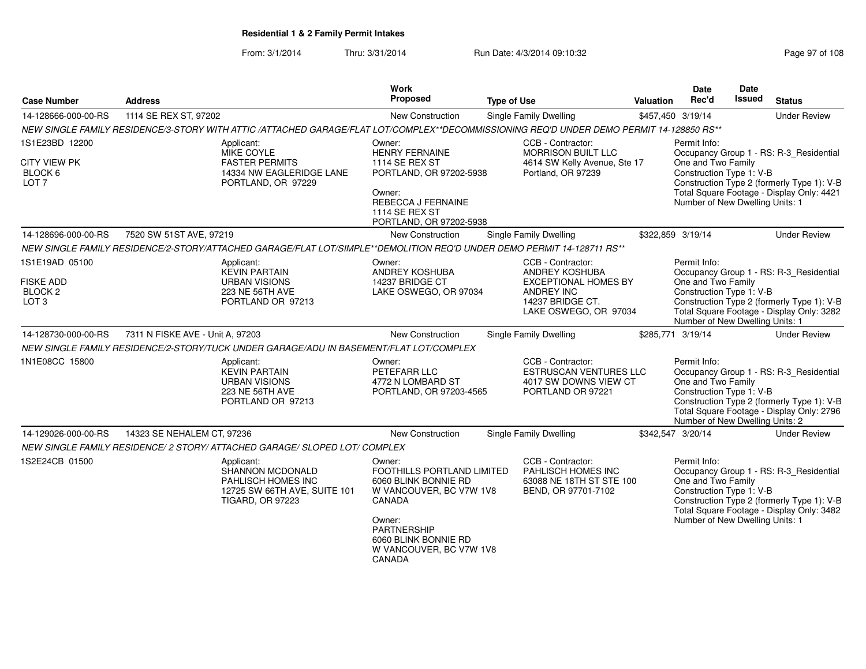From: 3/1/2014Thru: 3/31/2014 Run Date: 4/3/2014 09:10:32 Research 2010 Rage 97 of 108

| <b>Case Number</b>                                                           | <b>Address</b>                                                                                                                           | Work<br>Proposed                                                                                                                                                                               | <b>Type of Use</b>                                                                                                                   | Valuation         | <b>Date</b><br>Rec'd                                                                              | Date<br><b>Issued</b> | <b>Status</b>                                                                                                                      |
|------------------------------------------------------------------------------|------------------------------------------------------------------------------------------------------------------------------------------|------------------------------------------------------------------------------------------------------------------------------------------------------------------------------------------------|--------------------------------------------------------------------------------------------------------------------------------------|-------------------|---------------------------------------------------------------------------------------------------|-----------------------|------------------------------------------------------------------------------------------------------------------------------------|
| 14-128666-000-00-RS                                                          | 1114 SE REX ST, 97202                                                                                                                    | <b>New Construction</b>                                                                                                                                                                        | <b>Single Family Dwelling</b>                                                                                                        | \$457,450 3/19/14 |                                                                                                   |                       | <b>Under Review</b>                                                                                                                |
|                                                                              | NEW SINGLE FAMILY RESIDENCE/3-STORY WITH ATTIC /ATTACHED GARAGE/FLAT LOT/COMPLEX**DECOMMISSIONING REQ'D UNDER DEMO PERMIT 14-128850 RS** |                                                                                                                                                                                                |                                                                                                                                      |                   |                                                                                                   |                       |                                                                                                                                    |
| 1S1E23BD 12200<br><b>CITY VIEW PK</b><br>BLOCK 6<br>LOT <sub>7</sub>         | Applicant:<br><b>MIKE COYLE</b><br><b>FASTER PERMITS</b><br>14334 NW EAGLERIDGE LANE<br>PORTLAND, OR 97229                               | Owner:<br><b>HENRY FERNAINE</b><br>1114 SE REX ST<br>PORTLAND, OR 97202-5938<br>Owner:<br>REBECCA J FERNAINE<br>1114 SE REX ST<br>PORTLAND, OR 97202-5938                                      | CCB - Contractor:<br><b>MORRISON BUILT LLC</b><br>4614 SW Kelly Avenue, Ste 17<br>Portland, OR 97239                                 |                   | Permit Info:<br>One and Two Family<br>Construction Type 1: V-B<br>Number of New Dwelling Units: 1 |                       | Occupancy Group 1 - RS: R-3_Residential<br>Construction Type 2 (formerly Type 1): V-B<br>Total Square Footage - Display Only: 4421 |
| 14-128696-000-00-RS                                                          | 7520 SW 51ST AVE, 97219                                                                                                                  | New Construction                                                                                                                                                                               | Single Family Dwelling                                                                                                               | \$322,859 3/19/14 |                                                                                                   |                       | <b>Under Review</b>                                                                                                                |
|                                                                              | NEW SINGLE FAMILY RESIDENCE/2-STORY/ATTACHED GARAGE/FLAT LOT/SIMPLE**DEMOLITION REQ'D UNDER DEMO PERMIT 14-128711 RS**                   |                                                                                                                                                                                                |                                                                                                                                      |                   |                                                                                                   |                       |                                                                                                                                    |
| 1S1E19AD 05100<br><b>FISKE ADD</b><br>BLOCK <sub>2</sub><br>LOT <sub>3</sub> | Applicant:<br><b>KEVIN PARTAIN</b><br><b>URBAN VISIONS</b><br>223 NE 56TH AVE<br>PORTLAND OR 97213                                       | Owner:<br>ANDREY KOSHUBA<br>14237 BRIDGE CT<br>LAKE OSWEGO, OR 97034                                                                                                                           | CCB - Contractor:<br>ANDREY KOSHUBA<br><b>EXCEPTIONAL HOMES BY</b><br><b>ANDREY INC</b><br>14237 BRIDGE CT.<br>LAKE OSWEGO, OR 97034 |                   | Permit Info:<br>One and Two Family<br>Construction Type 1: V-B<br>Number of New Dwelling Units: 1 |                       | Occupancy Group 1 - RS: R-3_Residential<br>Construction Type 2 (formerly Type 1): V-B<br>Total Square Footage - Display Only: 3282 |
| 14-128730-000-00-RS                                                          | 7311 N FISKE AVE - Unit A, 97203                                                                                                         | New Construction                                                                                                                                                                               | Single Family Dwelling                                                                                                               | \$285,771 3/19/14 |                                                                                                   |                       | <b>Under Review</b>                                                                                                                |
|                                                                              | NEW SINGLE FAMILY RESIDENCE/2-STORY/TUCK UNDER GARAGE/ADU IN BASEMENT/FLAT LOT/COMPLEX                                                   |                                                                                                                                                                                                |                                                                                                                                      |                   |                                                                                                   |                       |                                                                                                                                    |
| 1N1E08CC 15800                                                               | Applicant:<br><b>KEVIN PARTAIN</b><br><b>URBAN VISIONS</b><br>223 NE 56TH AVE<br>PORTLAND OR 97213                                       | Owner:<br>PETEFARR LLC<br>4772 N LOMBARD ST<br>PORTLAND, OR 97203-4565                                                                                                                         | CCB - Contractor:<br><b>ESTRUSCAN VENTURES LLC</b><br>4017 SW DOWNS VIEW CT<br>PORTLAND OR 97221                                     |                   | Permit Info:<br>One and Two Family<br>Construction Type 1: V-B<br>Number of New Dwelling Units: 2 |                       | Occupancy Group 1 - RS: R-3_Residential<br>Construction Type 2 (formerly Type 1): V-B<br>Total Square Footage - Display Only: 2796 |
| 14-129026-000-00-RS                                                          | 14323 SE NEHALEM CT, 97236                                                                                                               | New Construction                                                                                                                                                                               | Single Family Dwelling                                                                                                               | \$342,547 3/20/14 |                                                                                                   |                       | <b>Under Review</b>                                                                                                                |
|                                                                              | NEW SINGLE FAMILY RESIDENCE/ 2 STORY/ ATTACHED GARAGE/ SLOPED LOT/ COMPLEX                                                               |                                                                                                                                                                                                |                                                                                                                                      |                   |                                                                                                   |                       |                                                                                                                                    |
| 1S2E24CB 01500                                                               | Applicant:<br>SHANNON MCDONALD<br>PAHLISCH HOMES INC<br>12725 SW 66TH AVE, SUITE 101<br><b>TIGARD, OR 97223</b>                          | Owner:<br>FOOTHILLS PORTLAND LIMITED<br>6060 BLINK BONNIE RD<br>W VANCOUVER, BC V7W 1V8<br>CANADA<br>Owner:<br><b>PARTNERSHIP</b><br>6060 BLINK BONNIE RD<br>W VANCOUVER, BC V7W 1V8<br>CANADA | CCB - Contractor:<br>PAHLISCH HOMES INC<br>63088 NE 18TH ST STE 100<br>BEND, OR 97701-7102                                           |                   | Permit Info:<br>One and Two Family<br>Construction Type 1: V-B<br>Number of New Dwelling Units: 1 |                       | Occupancy Group 1 - RS: R-3_Residential<br>Construction Type 2 (formerly Type 1): V-B<br>Total Square Footage - Display Only: 3482 |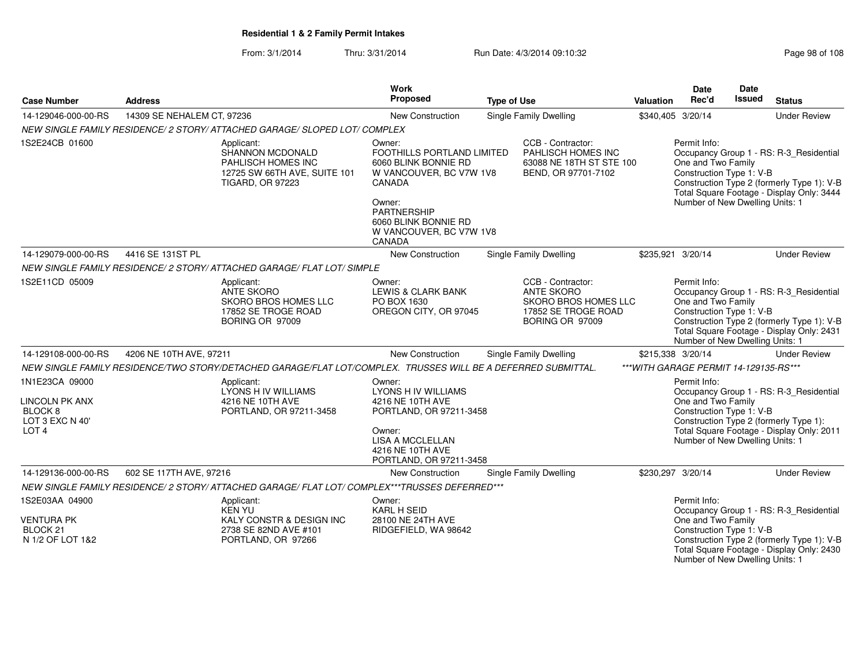From: 3/1/2014Thru: 3/31/2014 Run Date: 4/3/2014 09:10:32 Research 2010 Rage 98 of 108

| <b>Case Number</b>                                                                                   | <b>Address</b>             |                                                                                                                 | Work<br>Proposed                                                                                                                                                                     | <b>Type of Use</b>                                                                                                                                                                                            |                                                                                            | <b>Valuation</b> | <b>Date</b><br>Rec'd                                                                              | Date<br><b>Issued</b>                                                                                                              | <b>Status</b>                                                                                                                      |
|------------------------------------------------------------------------------------------------------|----------------------------|-----------------------------------------------------------------------------------------------------------------|--------------------------------------------------------------------------------------------------------------------------------------------------------------------------------------|---------------------------------------------------------------------------------------------------------------------------------------------------------------------------------------------------------------|--------------------------------------------------------------------------------------------|------------------|---------------------------------------------------------------------------------------------------|------------------------------------------------------------------------------------------------------------------------------------|------------------------------------------------------------------------------------------------------------------------------------|
| 14-129046-000-00-RS                                                                                  | 14309 SE NEHALEM CT, 97236 |                                                                                                                 | <b>New Construction</b>                                                                                                                                                              |                                                                                                                                                                                                               | <b>Single Family Dwelling</b>                                                              |                  | \$340,405 3/20/14                                                                                 |                                                                                                                                    | <b>Under Review</b>                                                                                                                |
|                                                                                                      |                            | NEW SINGLE FAMILY RESIDENCE/ 2 STORY/ ATTACHED GARAGE/ SLOPED LOT/ COMPLEX                                      |                                                                                                                                                                                      |                                                                                                                                                                                                               |                                                                                            |                  |                                                                                                   |                                                                                                                                    |                                                                                                                                    |
| 1S2E24CB 01600                                                                                       |                            | Applicant:<br>SHANNON MCDONALD<br>PAHLISCH HOMES INC<br>12725 SW 66TH AVE, SUITE 101<br><b>TIGARD, OR 97223</b> | Owner:<br>FOOTHILLS PORTLAND LIMITED<br>6060 BLINK BONNIE RD<br>W VANCOUVER, BC V7W 1V8<br>CANADA<br>Owner:<br><b>PARTNERSHIP</b><br>6060 BLINK BONNIE RD<br>W VANCOUVER, BC V7W 1V8 |                                                                                                                                                                                                               | CCB - Contractor:<br>PAHLISCH HOMES INC<br>63088 NE 18TH ST STE 100<br>BEND, OR 97701-7102 |                  | Permit Info:<br>One and Two Family<br>Construction Type 1: V-B<br>Number of New Dwelling Units: 1 |                                                                                                                                    | Occupancy Group 1 - RS: R-3_Residential<br>Construction Type 2 (formerly Type 1): V-B<br>Total Square Footage - Display Only: 3444 |
|                                                                                                      |                            |                                                                                                                 | CANADA                                                                                                                                                                               |                                                                                                                                                                                                               |                                                                                            |                  |                                                                                                   |                                                                                                                                    |                                                                                                                                    |
| 14-129079-000-00-RS                                                                                  | 4416 SE 131ST PL           |                                                                                                                 | New Construction                                                                                                                                                                     |                                                                                                                                                                                                               | <b>Single Family Dwelling</b>                                                              |                  | \$235,921 3/20/14                                                                                 |                                                                                                                                    | <b>Under Review</b>                                                                                                                |
|                                                                                                      |                            | NEW SINGLE FAMILY RESIDENCE/ 2 STORY/ ATTACHED GARAGE/ FLAT LOT/ SIMPLE                                         |                                                                                                                                                                                      |                                                                                                                                                                                                               |                                                                                            |                  |                                                                                                   |                                                                                                                                    |                                                                                                                                    |
| 1S2E11CD 05009                                                                                       |                            | Applicant:<br>ANTE SKORO<br>SKORO BROS HOMES LLC<br>17852 SE TROGE ROAD<br>BORING OR 97009                      | Owner:<br>LEWIS & CLARK BANK<br>PO BOX 1630<br>OREGON CITY, OR 97045                                                                                                                 | CCB - Contractor:<br>Permit Info:<br><b>ANTE SKORO</b><br>One and Two Family<br>SKORO BROS HOMES LLC<br>Construction Type 1: V-B<br>17852 SE TROGE ROAD<br>BORING OR 97009<br>Number of New Dwelling Units: 1 |                                                                                            |                  |                                                                                                   | Occupancy Group 1 - RS: R-3_Residential<br>Construction Type 2 (formerly Type 1): V-B<br>Total Square Footage - Display Only: 2431 |                                                                                                                                    |
| 14-129108-000-00-RS                                                                                  | 4206 NE 10TH AVE, 97211    |                                                                                                                 | <b>New Construction</b>                                                                                                                                                              |                                                                                                                                                                                                               | Single Family Dwelling                                                                     |                  | \$215,338 3/20/14                                                                                 |                                                                                                                                    | <b>Under Review</b>                                                                                                                |
|                                                                                                      |                            | NEW SINGLE FAMILY RESIDENCE/TWO STORY/DETACHED GARAGE/FLAT LOT/COMPLEX. TRUSSES WILL BE A DEFERRED SUBMITTAL.   |                                                                                                                                                                                      |                                                                                                                                                                                                               |                                                                                            |                  | *** WITH GARAGE PERMIT 14-129135-RS***                                                            |                                                                                                                                    |                                                                                                                                    |
| 1N1E23CA 09000<br><b>LINCOLN PK ANX</b><br>BLOCK <sub>8</sub><br>LOT 3 EXC N 40'<br>LOT <sub>4</sub> |                            | Applicant:<br>LYONS H IV WILLIAMS<br>4216 NE 10TH AVE<br>PORTLAND, OR 97211-3458                                | Owner:<br><b>LYONS H IV WILLIAMS</b><br>4216 NE 10TH AVE<br>PORTLAND, OR 97211-3458<br>Owner:<br><b>LISA A MCCLELLAN</b><br>4216 NE 10TH AVE<br>PORTLAND, OR 97211-3458              |                                                                                                                                                                                                               |                                                                                            |                  | Permit Info:<br>One and Two Family<br>Construction Type 1: V-B<br>Number of New Dwelling Units: 1 |                                                                                                                                    | Occupancy Group 1 - RS: R-3_Residential<br>Construction Type 2 (formerly Type 1):<br>Total Square Footage - Display Only: 2011     |
| 14-129136-000-00-RS                                                                                  | 602 SE 117TH AVE, 97216    |                                                                                                                 | New Construction                                                                                                                                                                     |                                                                                                                                                                                                               | <b>Single Family Dwelling</b>                                                              |                  | \$230,297 3/20/14                                                                                 |                                                                                                                                    | <b>Under Review</b>                                                                                                                |
|                                                                                                      |                            | NEW SINGLE FAMILY RESIDENCE/ 2 STORY/ ATTACHED GARAGE/ FLAT LOT/ COMPLEX***TRUSSES DEFERRED***                  |                                                                                                                                                                                      |                                                                                                                                                                                                               |                                                                                            |                  |                                                                                                   |                                                                                                                                    |                                                                                                                                    |
| 1S2E03AA 04900<br><b>VENTURA PK</b><br>BLOCK <sub>21</sub><br>N 1/2 OF LOT 1&2                       |                            | Applicant:<br><b>KEN YU</b><br>KALY CONSTR & DESIGN INC<br>2738 SE 82ND AVE #101<br>PORTLAND, OR 97266          | Owner:<br><b>KARL H SEID</b><br>28100 NE 24TH AVE<br>RIDGEFIELD, WA 98642                                                                                                            |                                                                                                                                                                                                               |                                                                                            |                  | Permit Info:<br>One and Two Family<br>Construction Type 1: V-B                                    |                                                                                                                                    | Occupancy Group 1 - RS: R-3_Residential<br>Construction Type 2 (formerly Type 1): V-B<br>Total Square Footage - Display Only: 2430 |

Number of New Dwelling Units: 1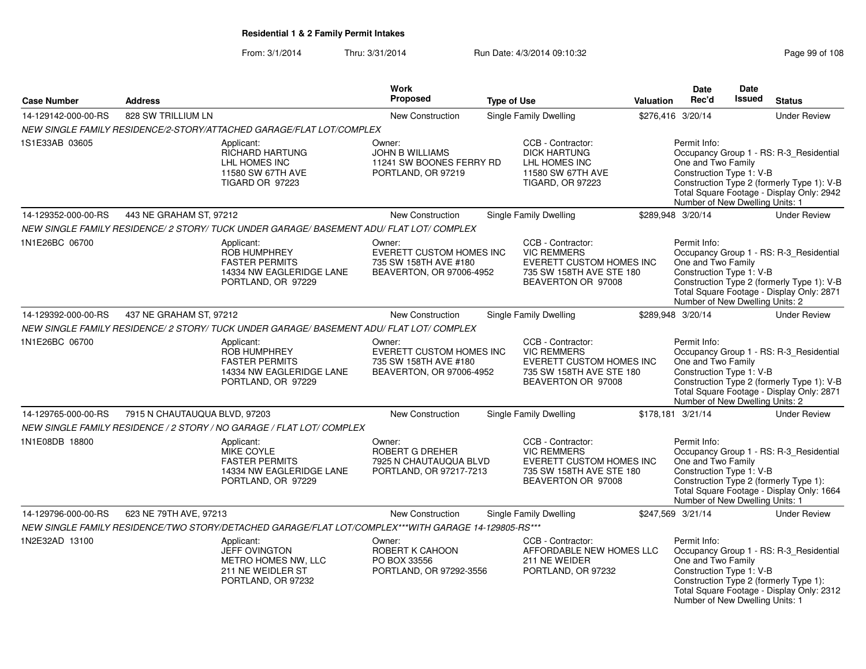### From: 3/1/2014Thru: 3/31/2014 Run Date: 4/3/2014 09:10:32 Research 2010 Rage 99 of 108

|                     |                               |                                                                                                            | <b>Work</b>                                                                             |                    |                                                                                                                       |                  | <b>Date</b>                                                                                       | <b>Date</b> |                                                                                                                                    |
|---------------------|-------------------------------|------------------------------------------------------------------------------------------------------------|-----------------------------------------------------------------------------------------|--------------------|-----------------------------------------------------------------------------------------------------------------------|------------------|---------------------------------------------------------------------------------------------------|-------------|------------------------------------------------------------------------------------------------------------------------------------|
| <b>Case Number</b>  | <b>Address</b>                |                                                                                                            | Proposed                                                                                | <b>Type of Use</b> |                                                                                                                       | <b>Valuation</b> | Rec'd                                                                                             | Issued      | <b>Status</b>                                                                                                                      |
| 14-129142-000-00-RS | 828 SW TRILLIUM LN            |                                                                                                            | New Construction                                                                        |                    | Single Family Dwelling                                                                                                |                  | \$276,416 3/20/14                                                                                 |             | <b>Under Review</b>                                                                                                                |
|                     |                               | NEW SINGLE FAMILY RESIDENCE/2-STORY/ATTACHED GARAGE/FLAT LOT/COMPLEX                                       |                                                                                         |                    |                                                                                                                       |                  |                                                                                                   |             |                                                                                                                                    |
| 1S1E33AB 03605      |                               | Applicant:<br><b>RICHARD HARTUNG</b><br>LHL HOMES INC<br>11580 SW 67TH AVE<br><b>TIGARD OR 97223</b>       | Owner:<br><b>JOHN B WILLIAMS</b><br>11241 SW BOONES FERRY RD<br>PORTLAND, OR 97219      |                    | CCB - Contractor:<br><b>DICK HARTUNG</b><br>LHL HOMES INC<br>11580 SW 67TH AVE<br><b>TIGARD, OR 97223</b>             |                  | Permit Info:<br>One and Two Family<br>Construction Type 1: V-B<br>Number of New Dwelling Units: 1 |             | Occupancy Group 1 - RS: R-3_Residential<br>Construction Type 2 (formerly Type 1): V-B<br>Total Square Footage - Display Only: 2942 |
| 14-129352-000-00-RS | 443 NE GRAHAM ST, 97212       |                                                                                                            | New Construction                                                                        |                    | Single Family Dwelling                                                                                                |                  | \$289,948 3/20/14                                                                                 |             | <b>Under Review</b>                                                                                                                |
|                     |                               | NEW SINGLE FAMILY RESIDENCE/ 2 STORY/ TUCK UNDER GARAGE/ BASEMENT ADU/ FLAT LOT/ COMPLEX                   |                                                                                         |                    |                                                                                                                       |                  |                                                                                                   |             |                                                                                                                                    |
| 1N1E26BC 06700      |                               | Applicant:<br>ROB HUMPHREY<br><b>FASTER PERMITS</b><br>14334 NW EAGLERIDGE LANE<br>PORTLAND, OR 97229      | Owner:<br>EVERETT CUSTOM HOMES INC<br>735 SW 158TH AVE #180<br>BEAVERTON, OR 97006-4952 |                    | CCB - Contractor:<br><b>VIC REMMERS</b><br>EVERETT CUSTOM HOMES INC<br>735 SW 158TH AVE STE 180<br>BEAVERTON OR 97008 |                  | Permit Info:<br>One and Two Family<br>Construction Type 1: V-B<br>Number of New Dwelling Units: 2 |             | Occupancy Group 1 - RS: R-3_Residential<br>Construction Type 2 (formerly Type 1): V-B<br>Total Square Footage - Display Only: 2871 |
| 14-129392-000-00-RS | 437 NE GRAHAM ST, 97212       |                                                                                                            | <b>New Construction</b>                                                                 |                    | Single Family Dwelling                                                                                                |                  | \$289,948 3/20/14                                                                                 |             | <b>Under Review</b>                                                                                                                |
|                     |                               | NEW SINGLE FAMILY RESIDENCE/ 2 STORY/ TUCK UNDER GARAGE/ BASEMENT ADU/ FLAT LOT/ COMPLEX                   |                                                                                         |                    |                                                                                                                       |                  |                                                                                                   |             |                                                                                                                                    |
| 1N1E26BC 06700      |                               | Applicant:<br>ROB HUMPHREY<br><b>FASTER PERMITS</b><br>14334 NW EAGLERIDGE LANE<br>PORTLAND, OR 97229      | Owner:<br>EVERETT CUSTOM HOMES INC<br>735 SW 158TH AVE #180<br>BEAVERTON, OR 97006-4952 |                    | CCB - Contractor:<br><b>VIC REMMERS</b><br>EVERETT CUSTOM HOMES INC<br>735 SW 158TH AVE STE 180<br>BEAVERTON OR 97008 |                  | Permit Info:<br>One and Two Family<br>Construction Type 1: V-B<br>Number of New Dwelling Units: 2 |             | Occupancy Group 1 - RS: R-3_Residential<br>Construction Type 2 (formerly Type 1): V-B<br>Total Square Footage - Display Only: 2871 |
| 14-129765-000-00-RS | 7915 N CHAUTAUQUA BLVD, 97203 |                                                                                                            | <b>New Construction</b>                                                                 |                    | <b>Single Family Dwelling</b>                                                                                         |                  | \$178,181 3/21/14                                                                                 |             | <b>Under Review</b>                                                                                                                |
|                     |                               | NEW SINGLE FAMILY RESIDENCE / 2 STORY / NO GARAGE / FLAT LOT/ COMPLEX                                      |                                                                                         |                    |                                                                                                                       |                  |                                                                                                   |             |                                                                                                                                    |
| 1N1E08DB 18800      |                               | Applicant:<br><b>MIKE COYLE</b><br><b>FASTER PERMITS</b><br>14334 NW EAGLERIDGE LANE<br>PORTLAND, OR 97229 | Owner:<br><b>ROBERT G DREHER</b><br>7925 N CHAUTAUQUA BLVD<br>PORTLAND, OR 97217-7213   |                    | CCB - Contractor:<br><b>VIC REMMERS</b><br>EVERETT CUSTOM HOMES INC<br>735 SW 158TH AVE STE 180<br>BEAVERTON OR 97008 |                  | Permit Info:<br>One and Two Family<br>Construction Type 1: V-B<br>Number of New Dwelling Units: 1 |             | Occupancy Group 1 - RS: R-3_Residential<br>Construction Type 2 (formerly Type 1):<br>Total Square Footage - Display Only: 1664     |
| 14-129796-000-00-RS | 623 NE 79TH AVE, 97213        |                                                                                                            | New Construction                                                                        |                    | Single Family Dwelling                                                                                                |                  | \$247,569 3/21/14                                                                                 |             | <b>Under Review</b>                                                                                                                |
|                     |                               | NEW SINGLE FAMILY RESIDENCE/TWO STORY/DETACHED GARAGE/FLAT LOT/COMPLEX***WITH GARAGE 14-129805-RS***       |                                                                                         |                    |                                                                                                                       |                  |                                                                                                   |             |                                                                                                                                    |
| 1N2E32AD 13100      |                               | Applicant:<br><b>JEFF OVINGTON</b><br>METRO HOMES NW, LLC<br>211 NE WEIDLER ST<br>PORTLAND, OR 97232       | Owner:<br>ROBERT K CAHOON<br>PO BOX 33556<br>PORTLAND, OR 97292-3556                    |                    | CCB - Contractor:<br>AFFORDABLE NEW HOMES LLC<br>211 NE WEIDER<br>PORTLAND, OR 97232                                  |                  | Permit Info:<br>One and Two Family<br>Construction Type 1: V-B<br>Number of New Dwelling Units: 1 |             | Occupancy Group 1 - RS: R-3_Residential<br>Construction Type 2 (formerly Type 1):<br>Total Square Footage - Display Only: 2312     |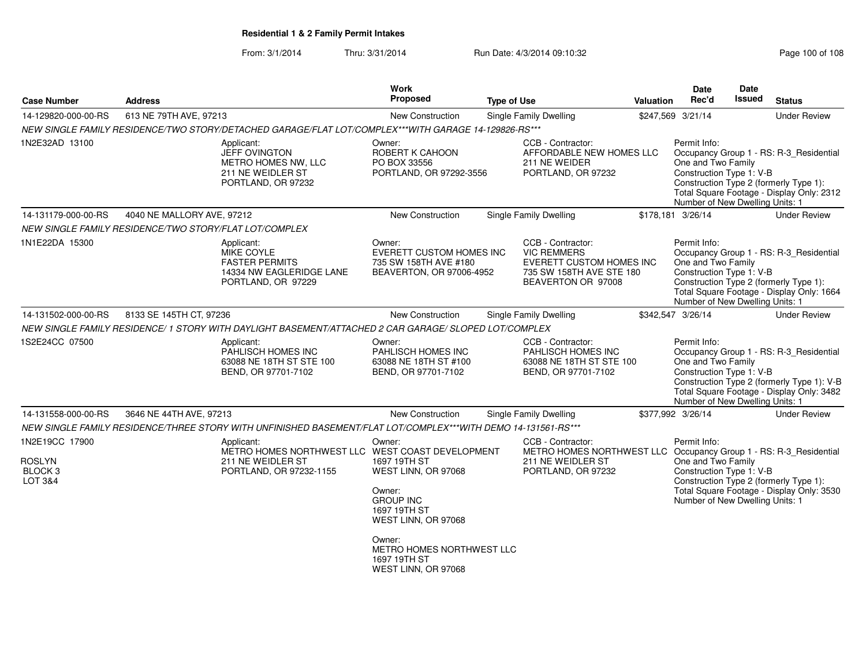From: 3/1/2014Thru: 3/31/2014 Run Date: 4/3/2014 09:10:32 Research 2010 108

| <b>Case Number</b>                                               | <b>Address</b>                                         |                                                                                                                | <b>Work</b><br>Proposed                                                                                            | <b>Type of Use</b>                                                                                                                | Valuation | <b>Date</b><br>Rec'd                                                                              | Date<br>Issued | <b>Status</b>                                                                                                                      |
|------------------------------------------------------------------|--------------------------------------------------------|----------------------------------------------------------------------------------------------------------------|--------------------------------------------------------------------------------------------------------------------|-----------------------------------------------------------------------------------------------------------------------------------|-----------|---------------------------------------------------------------------------------------------------|----------------|------------------------------------------------------------------------------------------------------------------------------------|
| 14-129820-000-00-RS                                              | 613 NE 79TH AVE, 97213                                 |                                                                                                                | New Construction                                                                                                   | Single Family Dwelling                                                                                                            |           | \$247,569 3/21/14                                                                                 |                | <b>Under Review</b>                                                                                                                |
|                                                                  |                                                        | NEW SINGLE FAMILY RESIDENCE/TWO STORY/DETACHED GARAGE/FLAT LOT/COMPLEX***WITH GARAGE 14-129826-RS***           |                                                                                                                    |                                                                                                                                   |           |                                                                                                   |                |                                                                                                                                    |
| 1N2E32AD 13100                                                   |                                                        | Applicant:<br><b>JEFF OVINGTON</b><br>METRO HOMES NW, LLC<br>211 NE WEIDLER ST<br>PORTLAND, OR 97232           | Owner:<br>ROBERT K CAHOON<br>PO BOX 33556<br>PORTLAND, OR 97292-3556                                               | CCB - Contractor:<br>AFFORDABLE NEW HOMES LLC<br>211 NE WEIDER<br>PORTLAND, OR 97232                                              |           | Permit Info:<br>One and Two Family<br>Construction Type 1: V-B<br>Number of New Dwelling Units: 1 |                | Occupancy Group 1 - RS: R-3 Residential<br>Construction Type 2 (formerly Type 1):<br>Total Square Footage - Display Only: 2312     |
| 14-131179-000-00-RS                                              | 4040 NE MALLORY AVE, 97212                             |                                                                                                                | New Construction                                                                                                   | <b>Single Family Dwelling</b>                                                                                                     |           | \$178,181 3/26/14                                                                                 |                | <b>Under Review</b>                                                                                                                |
|                                                                  | NEW SINGLE FAMILY RESIDENCE/TWO STORY/FLAT LOT/COMPLEX |                                                                                                                |                                                                                                                    |                                                                                                                                   |           |                                                                                                   |                |                                                                                                                                    |
| 1N1E22DA 15300                                                   |                                                        | Applicant:<br>MIKE COYLE<br><b>FASTER PERMITS</b><br>14334 NW EAGLERIDGE LANE<br>PORTLAND, OR 97229            | Owner:<br><b>EVERETT CUSTOM HOMES INC</b><br>735 SW 158TH AVE #180<br>BEAVERTON, OR 97006-4952                     | CCB - Contractor:<br><b>VIC REMMERS</b><br>EVERETT CUSTOM HOMES INC<br>735 SW 158TH AVE STE 180<br>BEAVERTON OR 97008             |           | Permit Info:<br>One and Two Family<br>Construction Type 1: V-B<br>Number of New Dwelling Units: 1 |                | Occupancy Group 1 - RS: R-3_Residential<br>Construction Type 2 (formerly Type 1):<br>Total Square Footage - Display Only: 1664     |
| 14-131502-000-00-RS                                              | 8133 SE 145TH CT, 97236                                |                                                                                                                | <b>New Construction</b>                                                                                            | Single Family Dwelling                                                                                                            |           | \$342,547 3/26/14                                                                                 |                | <b>Under Review</b>                                                                                                                |
|                                                                  |                                                        | NEW SINGLE FAMILY RESIDENCE/ 1 STORY WITH DAYLIGHT BASEMENT/ATTACHED 2 CAR GARAGE/ SLOPED LOT/COMPLEX          |                                                                                                                    |                                                                                                                                   |           |                                                                                                   |                |                                                                                                                                    |
| 1S2E24CC 07500                                                   |                                                        | Applicant:<br>PAHLISCH HOMES INC<br>63088 NE 18TH ST STE 100<br>BEND, OR 97701-7102                            | Owner:<br>PAHLISCH HOMES INC<br>63088 NE 18TH ST #100<br>BEND, OR 97701-7102                                       | CCB - Contractor:<br>PAHLISCH HOMES INC<br>63088 NE 18TH ST STE 100<br>BEND, OR 97701-7102                                        |           | Permit Info:<br>One and Two Family<br>Construction Type 1: V-B<br>Number of New Dwelling Units: 1 |                | Occupancy Group 1 - RS: R-3_Residential<br>Construction Type 2 (formerly Type 1): V-B<br>Total Square Footage - Display Only: 3482 |
| 14-131558-000-00-RS                                              | 3646 NE 44TH AVE, 97213                                |                                                                                                                | New Construction                                                                                                   | Single Family Dwelling                                                                                                            |           | \$377,992 3/26/14                                                                                 |                | <b>Under Review</b>                                                                                                                |
|                                                                  |                                                        | NEW SINGLE FAMILY RESIDENCE/THREE STORY WITH UNFINISHED BASEMENT/FLAT LOT/COMPLEX***WITH DEMO 14-131561-RS***  |                                                                                                                    |                                                                                                                                   |           |                                                                                                   |                |                                                                                                                                    |
| 1N2E19CC 17900<br><b>ROSLYN</b><br>BLOCK <sub>3</sub><br>LOT 3&4 |                                                        | Applicant:<br>METRO HOMES NORTHWEST LLC WEST COAST DEVELOPMENT<br>211 NE WEIDLER ST<br>PORTLAND, OR 97232-1155 | Owner:<br>1697 19TH ST<br>WEST LINN, OR 97068<br>Owner:<br><b>GROUP INC</b><br>1697 19TH ST<br>WEST LINN, OR 97068 | CCB - Contractor:<br>METRO HOMES NORTHWEST LLC Occupancy Group 1 - RS: R-3_Residential<br>211 NE WEIDLER ST<br>PORTLAND, OR 97232 |           | Permit Info:<br>One and Two Family<br>Construction Type 1: V-B<br>Number of New Dwelling Units: 1 |                | Construction Type 2 (formerly Type 1):<br>Total Square Footage - Display Only: 3530                                                |
|                                                                  |                                                        |                                                                                                                | Owner:<br>METRO HOMES NORTHWEST LLC<br>1697 19TH ST<br>WEST LINN, OR 97068                                         |                                                                                                                                   |           |                                                                                                   |                |                                                                                                                                    |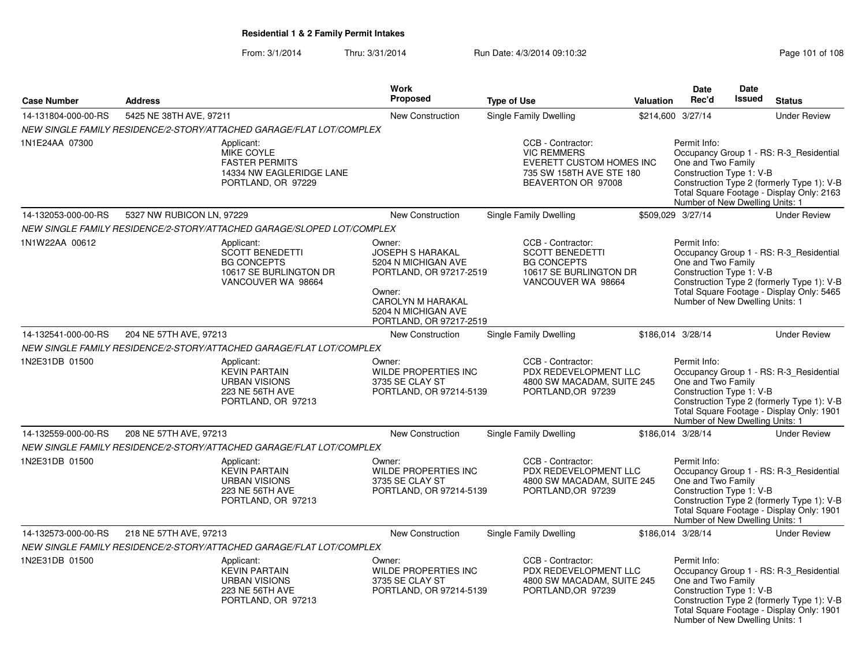### From: 3/1/2014Thru: 3/31/2014 Run Date: 4/3/2014 09:10:32 Research 2010 108

| <b>Case Number</b>  | <b>Address</b>                                                                                             | <b>Work</b><br><b>Proposed</b>                                                                                                                                       | <b>Type of Use</b>                                                                                                    | Valuation | Date<br>Rec'd                                                                                     | <b>Date</b><br><b>Issued</b> | <b>Status</b>                                                                                                                      |
|---------------------|------------------------------------------------------------------------------------------------------------|----------------------------------------------------------------------------------------------------------------------------------------------------------------------|-----------------------------------------------------------------------------------------------------------------------|-----------|---------------------------------------------------------------------------------------------------|------------------------------|------------------------------------------------------------------------------------------------------------------------------------|
| 14-131804-000-00-RS | 5425 NE 38TH AVE, 97211                                                                                    | New Construction                                                                                                                                                     |                                                                                                                       |           | \$214,600 3/27/14                                                                                 |                              | <b>Under Review</b>                                                                                                                |
|                     | NEW SINGLE FAMILY RESIDENCE/2-STORY/ATTACHED GARAGE/FLAT LOT/COMPLEX                                       |                                                                                                                                                                      | Single Family Dwelling                                                                                                |           |                                                                                                   |                              |                                                                                                                                    |
| 1N1E24AA 07300      | Applicant:<br>MIKE COYLE<br><b>FASTER PERMITS</b><br>14334 NW EAGLERIDGE LANE<br>PORTLAND, OR 97229        |                                                                                                                                                                      | CCB - Contractor:<br><b>VIC REMMERS</b><br>EVERETT CUSTOM HOMES INC<br>735 SW 158TH AVE STE 180<br>BEAVERTON OR 97008 |           | Permit Info:<br>One and Two Family<br>Construction Type 1: V-B<br>Number of New Dwelling Units: 1 |                              | Occupancy Group 1 - RS: R-3_Residential<br>Construction Type 2 (formerly Type 1): V-B<br>Total Square Footage - Display Only: 2163 |
| 14-132053-000-00-RS | 5327 NW RUBICON LN, 97229                                                                                  | New Construction                                                                                                                                                     | Single Family Dwelling                                                                                                |           | \$509,029 3/27/14                                                                                 |                              | <b>Under Review</b>                                                                                                                |
|                     | NEW SINGLE FAMILY RESIDENCE/2-STORY/ATTACHED GARAGE/SLOPED LOT/COMPLEX                                     |                                                                                                                                                                      |                                                                                                                       |           |                                                                                                   |                              |                                                                                                                                    |
| 1N1W22AA 00612      | Applicant:<br><b>SCOTT BENEDETTI</b><br><b>BG CONCEPTS</b><br>10617 SE BURLINGTON DR<br>VANCOUVER WA 98664 | Owner:<br><b>JOSEPH S HARAKAL</b><br>5204 N MICHIGAN AVE<br>PORTLAND, OR 97217-2519<br>Owner:<br>CAROLYN M HARAKAL<br>5204 N MICHIGAN AVE<br>PORTLAND, OR 97217-2519 | CCB - Contractor:<br><b>SCOTT BENEDETTI</b><br><b>BG CONCEPTS</b><br>10617 SE BURLINGTON DR<br>VANCOUVER WA 98664     |           | Permit Info:<br>One and Two Family<br>Construction Type 1: V-B<br>Number of New Dwelling Units: 1 |                              | Occupancy Group 1 - RS: R-3_Residential<br>Construction Type 2 (formerly Type 1): V-B<br>Total Square Footage - Display Only: 5465 |
| 14-132541-000-00-RS | 204 NE 57TH AVE, 97213                                                                                     | New Construction                                                                                                                                                     | Single Family Dwelling                                                                                                |           | \$186,014 3/28/14                                                                                 |                              | <b>Under Review</b>                                                                                                                |
|                     | NEW SINGLE FAMILY RESIDENCE/2-STORY/ATTACHED GARAGE/FLAT LOT/COMPLEX                                       |                                                                                                                                                                      |                                                                                                                       |           |                                                                                                   |                              |                                                                                                                                    |
| 1N2E31DB 01500      | Applicant:<br><b>KEVIN PARTAIN</b><br><b>URBAN VISIONS</b><br>223 NE 56TH AVE<br>PORTLAND, OR 97213        | Owner:<br>WILDE PROPERTIES INC<br>3735 SE CLAY ST<br>PORTLAND, OR 97214-5139                                                                                         | CCB - Contractor:<br>PDX REDEVELOPMENT LLC<br>4800 SW MACADAM, SUITE 245<br>PORTLAND, OR 97239                        |           | Permit Info:<br>One and Two Family<br>Construction Type 1: V-B<br>Number of New Dwelling Units: 1 |                              | Occupancy Group 1 - RS: R-3_Residential<br>Construction Type 2 (formerly Type 1): V-B<br>Total Square Footage - Display Only: 1901 |
| 14-132559-000-00-RS | 208 NE 57TH AVE, 97213                                                                                     | New Construction                                                                                                                                                     | Single Family Dwelling                                                                                                |           | \$186,014 3/28/14                                                                                 |                              | <b>Under Review</b>                                                                                                                |
|                     | NEW SINGLE FAMILY RESIDENCE/2-STORY/ATTACHED GARAGE/FLAT LOT/COMPLEX                                       |                                                                                                                                                                      |                                                                                                                       |           |                                                                                                   |                              |                                                                                                                                    |
| 1N2E31DB 01500      | Applicant:<br><b>KEVIN PARTAIN</b><br><b>URBAN VISIONS</b><br>223 NE 56TH AVE<br>PORTLAND, OR 97213        | Owner:<br><b>WILDE PROPERTIES INC</b><br>3735 SE CLAY ST<br>PORTLAND, OR 97214-5139                                                                                  | CCB - Contractor:<br>PDX REDEVELOPMENT LLC<br>4800 SW MACADAM, SUITE 245<br>PORTLAND, OR 97239                        |           | Permit Info:<br>One and Two Family<br>Construction Type 1: V-B<br>Number of New Dwelling Units: 1 |                              | Occupancy Group 1 - RS: R-3_Residential<br>Construction Type 2 (formerly Type 1): V-B<br>Total Square Footage - Display Only: 1901 |
| 14-132573-000-00-RS | 218 NE 57TH AVE, 97213                                                                                     | <b>New Construction</b>                                                                                                                                              | Single Family Dwelling                                                                                                |           | \$186,014 3/28/14                                                                                 |                              | <b>Under Review</b>                                                                                                                |
|                     | NEW SINGLE FAMILY RESIDENCE/2-STORY/ATTACHED GARAGE/FLAT LOT/COMPLEX                                       |                                                                                                                                                                      |                                                                                                                       |           |                                                                                                   |                              |                                                                                                                                    |
| 1N2E31DB 01500      | Applicant:<br><b>KEVIN PARTAIN</b><br><b>URBAN VISIONS</b><br>223 NE 56TH AVE<br>PORTLAND, OR 97213        | Owner:<br>WILDE PROPERTIES INC<br>3735 SE CLAY ST<br>PORTLAND, OR 97214-5139                                                                                         | CCB - Contractor:<br>PDX REDEVELOPMENT LLC<br>4800 SW MACADAM, SUITE 245<br>PORTLAND, OR 97239                        |           | Permit Info:<br>One and Two Family<br>Construction Type 1: V-B<br>Number of New Dwelling Units: 1 |                              | Occupancy Group 1 - RS: R-3_Residential<br>Construction Type 2 (formerly Type 1): V-B<br>Total Square Footage - Display Only: 1901 |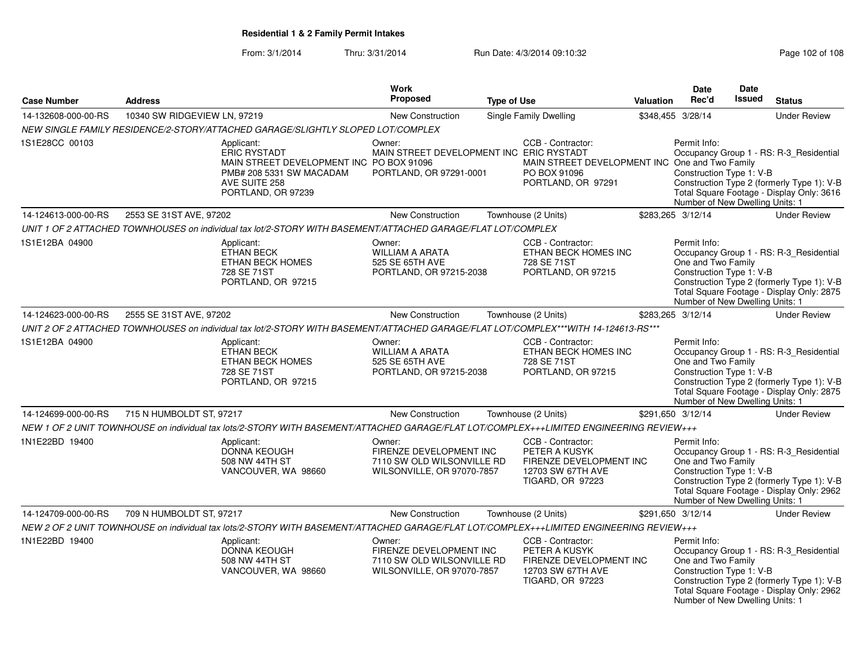From: 3/1/2014Thru: 3/31/2014 Run Date: 4/3/2014 09:10:32 Research 2010 Rage 102 of 108

|                     |                              |                                                                                                                                                  | Work<br><b>Proposed</b>                                                                       |                    |                                                                                                           |           | <b>Date</b>                                                                                       | <b>Date</b><br>Issued |                                                                                                                                    |
|---------------------|------------------------------|--------------------------------------------------------------------------------------------------------------------------------------------------|-----------------------------------------------------------------------------------------------|--------------------|-----------------------------------------------------------------------------------------------------------|-----------|---------------------------------------------------------------------------------------------------|-----------------------|------------------------------------------------------------------------------------------------------------------------------------|
| <b>Case Number</b>  | <b>Address</b>               |                                                                                                                                                  |                                                                                               | <b>Type of Use</b> |                                                                                                           | Valuation | Rec'd                                                                                             |                       | <b>Status</b>                                                                                                                      |
| 14-132608-000-00-RS | 10340 SW RIDGEVIEW LN, 97219 |                                                                                                                                                  | <b>New Construction</b>                                                                       |                    | Single Family Dwelling                                                                                    |           | \$348,455 3/28/14                                                                                 |                       | <b>Under Review</b>                                                                                                                |
|                     |                              | NEW SINGLE FAMILY RESIDENCE/2-STORY/ATTACHED GARAGE/SLIGHTLY SLOPED LOT/COMPLEX                                                                  |                                                                                               |                    |                                                                                                           |           |                                                                                                   |                       |                                                                                                                                    |
| 1S1E28CC 00103      |                              | Applicant:<br><b>ERIC RYSTADT</b><br>MAIN STREET DEVELOPMENT INC PO BOX 91096<br>PMB# 208 5331 SW MACADAM<br>AVE SUITE 258<br>PORTLAND, OR 97239 | Owner:<br>MAIN STREET DEVELOPMENT INC ERIC RYSTADT<br>PORTLAND, OR 97291-0001                 |                    | CCB - Contractor:<br>MAIN STREET DEVELOPMENT INC One and Two Family<br>PO BOX 91096<br>PORTLAND, OR 97291 |           | Permit Info:<br>Construction Type 1: V-B<br>Number of New Dwelling Units: 1                       |                       | Occupancy Group 1 - RS: R-3_Residential<br>Construction Type 2 (formerly Type 1): V-B<br>Total Square Footage - Display Only: 3616 |
| 14-124613-000-00-RS | 2553 SE 31ST AVE, 97202      |                                                                                                                                                  | <b>New Construction</b>                                                                       |                    | Townhouse (2 Units)                                                                                       |           | \$283,265 3/12/14                                                                                 |                       | <b>Under Review</b>                                                                                                                |
|                     |                              | UNIT 1 OF 2 ATTACHED TOWNHOUSES on individual tax lot/2-STORY WITH BASEMENT/ATTACHED GARAGE/FLAT LOT/COMPLEX                                     |                                                                                               |                    |                                                                                                           |           |                                                                                                   |                       |                                                                                                                                    |
| 1S1E12BA 04900      |                              | Applicant:<br><b>ETHAN BECK</b><br>ETHAN BECK HOMES<br>728 SE 71ST<br>PORTLAND, OR 97215                                                         | Owner:<br><b>WILLIAM A ARATA</b><br>525 SE 65TH AVE<br>PORTLAND, OR 97215-2038                |                    | CCB - Contractor:<br>ETHAN BECK HOMES INC<br>728 SE 71ST<br>PORTLAND, OR 97215                            |           | Permit Info:<br>One and Two Family<br>Construction Type 1: V-B<br>Number of New Dwelling Units: 1 |                       | Occupancy Group 1 - RS: R-3_Residential<br>Construction Type 2 (formerly Type 1): V-B<br>Total Square Footage - Display Only: 2875 |
| 14-124623-000-00-RS | 2555 SE 31ST AVE, 97202      |                                                                                                                                                  | <b>New Construction</b>                                                                       |                    | Townhouse (2 Units)                                                                                       |           | \$283,265 3/12/14                                                                                 |                       | <b>Under Review</b>                                                                                                                |
|                     |                              | UNIT 2 OF 2 ATTACHED TOWNHOUSES on individual tax lot/2-STORY WITH BASEMENT/ATTACHED GARAGE/FLAT LOT/COMPLEX***WITH 14-124613-RS***              |                                                                                               |                    |                                                                                                           |           |                                                                                                   |                       |                                                                                                                                    |
| 1S1E12BA 04900      |                              | Applicant:<br><b>ETHAN BECK</b><br>ETHAN BECK HOMES<br>728 SE 71ST<br>PORTLAND, OR 97215                                                         | Owner:<br><b>WILLIAM A ARATA</b><br>525 SE 65TH AVE<br>PORTLAND, OR 97215-2038                |                    | CCB - Contractor:<br>ETHAN BECK HOMES INC<br>728 SE 71ST<br>PORTLAND, OR 97215                            |           | Permit Info:<br>One and Two Family<br>Construction Type 1: V-B<br>Number of New Dwelling Units: 1 |                       | Occupancy Group 1 - RS: R-3_Residential<br>Construction Type 2 (formerly Type 1): V-B<br>Total Square Footage - Display Only: 2875 |
| 14-124699-000-00-RS | 715 N HUMBOLDT ST, 97217     |                                                                                                                                                  | New Construction                                                                              |                    | Townhouse (2 Units)                                                                                       |           | \$291,650 3/12/14                                                                                 |                       | <b>Under Review</b>                                                                                                                |
|                     |                              | NEW 1 OF 2 UNIT TOWNHOUSE on individual tax lots/2-STORY WITH BASEMENT/ATTACHED GARAGE/FLAT LOT/COMPLEX+++LIMITED ENGINEERING REVIEW+++          |                                                                                               |                    |                                                                                                           |           |                                                                                                   |                       |                                                                                                                                    |
| 1N1E22BD 19400      |                              | Applicant:<br><b>DONNA KEOUGH</b><br>508 NW 44TH ST<br>VANCOUVER, WA 98660                                                                       | Owner:<br>FIRENZE DEVELOPMENT INC<br>7110 SW OLD WILSONVILLE RD<br>WILSONVILLE, OR 97070-7857 |                    | CCB - Contractor:<br>PETER A KUSYK<br>FIRENZE DEVELOPMENT INC<br>12703 SW 67TH AVE<br>TIGARD, OR 97223    |           | Permit Info:<br>One and Two Family<br>Construction Type 1: V-B<br>Number of New Dwelling Units: 1 |                       | Occupancy Group 1 - RS: R-3_Residential<br>Construction Type 2 (formerly Type 1): V-B<br>Total Square Footage - Display Only: 2962 |
| 14-124709-000-00-RS | 709 N HUMBOLDT ST, 97217     |                                                                                                                                                  | <b>New Construction</b>                                                                       |                    | Townhouse (2 Units)                                                                                       |           | \$291,650 3/12/14                                                                                 |                       | <b>Under Review</b>                                                                                                                |
|                     |                              | NEW 2 OF 2 UNIT TOWNHOUSE on individual tax lots/2-STORY WITH BASEMENT/ATTACHED GARAGE/FLAT LOT/COMPLEX+++LIMITED ENGINEERING REVIEW+++          |                                                                                               |                    |                                                                                                           |           |                                                                                                   |                       |                                                                                                                                    |
| 1N1E22BD 19400      |                              | Applicant:<br><b>DONNA KEOUGH</b><br>508 NW 44TH ST<br>VANCOUVER, WA 98660                                                                       | Owner:<br>FIRENZE DEVELOPMENT INC<br>7110 SW OLD WILSONVILLE RD<br>WILSONVILLE, OR 97070-7857 |                    | CCB - Contractor:<br>PETER A KUSYK<br>FIRENZE DEVELOPMENT INC<br>12703 SW 67TH AVE<br>TIGARD, OR 97223    |           | Permit Info:<br>One and Two Family<br>Construction Type 1: V-B<br>Number of New Dwelling Units: 1 |                       | Occupancy Group 1 - RS: R-3_Residential<br>Construction Type 2 (formerly Type 1): V-B<br>Total Square Footage - Display Only: 2962 |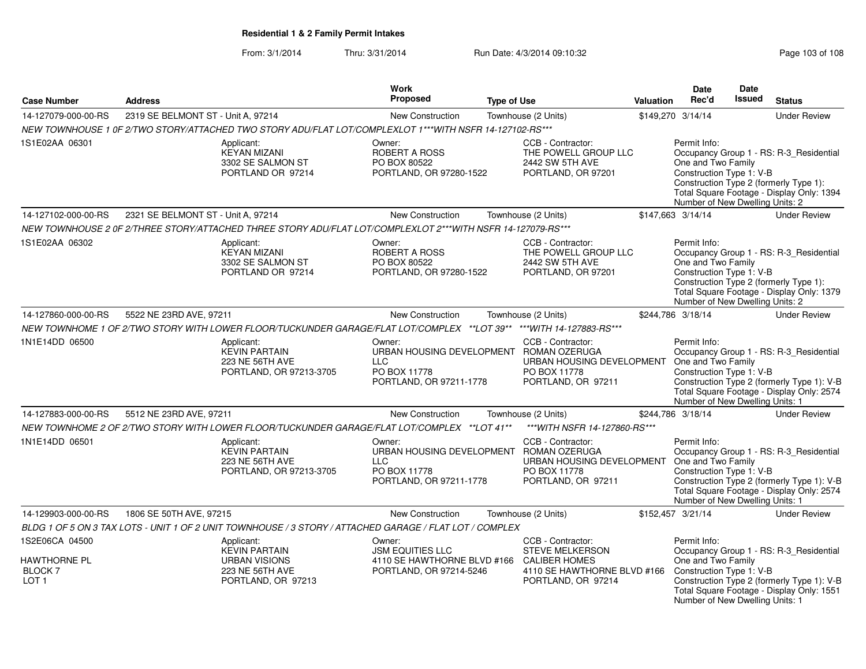From: 3/1/2014Thru: 3/31/2014 Run Date: 4/3/2014 09:10:32 Research 2010 Rage 103 of 108

|                                                                            |                                                                                                                     | <b>Work</b>                                                                                               |                                                                                                                                                    |           | <b>Date</b>                                                                                       | <b>Date</b>   |                                                                                                                                    |
|----------------------------------------------------------------------------|---------------------------------------------------------------------------------------------------------------------|-----------------------------------------------------------------------------------------------------------|----------------------------------------------------------------------------------------------------------------------------------------------------|-----------|---------------------------------------------------------------------------------------------------|---------------|------------------------------------------------------------------------------------------------------------------------------------|
| <b>Case Number</b>                                                         | <b>Address</b>                                                                                                      | <b>Proposed</b>                                                                                           | <b>Type of Use</b>                                                                                                                                 | Valuation | Rec'd                                                                                             | <b>Issued</b> | <b>Status</b>                                                                                                                      |
| 14-127079-000-00-RS                                                        | 2319 SE BELMONT ST - Unit A, 97214                                                                                  | New Construction                                                                                          | Townhouse (2 Units)                                                                                                                                |           | \$149,270 3/14/14                                                                                 |               | <b>Under Review</b>                                                                                                                |
|                                                                            | NEW TOWNHOUSE 1 0F 2/TWO STORY/ATTACHED TWO STORY ADU/FLAT LOT/COMPLEXLOT 1***WITH NSFR 14-127102-RS***             |                                                                                                           |                                                                                                                                                    |           |                                                                                                   |               |                                                                                                                                    |
| 1S1E02AA 06301                                                             | Applicant:<br><b>KEYAN MIZANI</b><br>3302 SE SALMON ST<br>PORTLAND OR 97214                                         | Owner:<br><b>ROBERT A ROSS</b><br>PO BOX 80522<br>PORTLAND, OR 97280-1522                                 | CCB - Contractor:<br>THE POWELL GROUP LLC<br>2442 SW 5TH AVE<br>PORTLAND, OR 97201                                                                 |           | Permit Info:<br>One and Two Family<br>Construction Type 1: V-B<br>Number of New Dwelling Units: 2 |               | Occupancy Group 1 - RS: R-3_Residential<br>Construction Type 2 (formerly Type 1):<br>Total Square Footage - Display Only: 1394     |
| 14-127102-000-00-RS                                                        | 2321 SE BELMONT ST - Unit A, 97214                                                                                  | <b>New Construction</b>                                                                                   | Townhouse (2 Units)                                                                                                                                |           | \$147,663 3/14/14                                                                                 |               | <b>Under Review</b>                                                                                                                |
|                                                                            | NEW TOWNHOUSE 2 0F 2/THREE STORY/ATTACHED THREE STORY ADU/FLAT LOT/COMPLEXLOT 2***WITH NSFR 14-127079-RS***         |                                                                                                           |                                                                                                                                                    |           |                                                                                                   |               |                                                                                                                                    |
| 1S1E02AA 06302                                                             | Applicant:<br><b>KEYAN MIZANI</b><br>3302 SE SALMON ST<br>PORTLAND OR 97214                                         | Owner:<br>ROBERT A ROSS<br>PO BOX 80522<br>PORTLAND, OR 97280-1522                                        | CCB - Contractor:<br>THE POWELL GROUP LLC<br>2442 SW 5TH AVE<br>PORTLAND, OR 97201                                                                 |           | Permit Info:<br>One and Two Family<br>Construction Type 1: V-B<br>Number of New Dwelling Units: 2 |               | Occupancy Group 1 - RS: R-3_Residential<br>Construction Type 2 (formerly Type 1):<br>Total Square Footage - Display Only: 1379     |
| 14-127860-000-00-RS                                                        | 5522 NE 23RD AVE, 97211                                                                                             | New Construction                                                                                          | Townhouse (2 Units)                                                                                                                                |           | \$244,786 3/18/14                                                                                 |               | <b>Under Review</b>                                                                                                                |
|                                                                            | NEW TOWNHOME 1 OF 2/TWO STORY WITH LOWER FLOOR/TUCKUNDER GARAGE/FLAT LOT/COMPLEX **LOT 39** ***WITH 14-127883-RS*** |                                                                                                           |                                                                                                                                                    |           |                                                                                                   |               |                                                                                                                                    |
| 1N1E14DD 06500                                                             | Applicant:<br><b>KEVIN PARTAIN</b><br>223 NE 56TH AVE<br>PORTLAND, OR 97213-3705                                    | Owner:<br><b>LLC</b><br>PO BOX 11778<br>PORTLAND, OR 97211-1778                                           | CCB - Contractor:<br>URBAN HOUSING DEVELOPMENT ROMAN OZERUGA<br>URBAN HOUSING DEVELOPMENT<br>PO BOX 11778<br>PORTLAND, OR 97211                    |           | Permit Info:<br>One and Two Family<br>Construction Type 1: V-B<br>Number of New Dwelling Units: 1 |               | Occupancy Group 1 - RS: R-3_Residential<br>Construction Type 2 (formerly Type 1): V-B<br>Total Square Footage - Display Only: 2574 |
| 14-127883-000-00-RS                                                        | 5512 NE 23RD AVE, 97211                                                                                             | <b>New Construction</b>                                                                                   | Townhouse (2 Units)                                                                                                                                |           | \$244,786 3/18/14                                                                                 |               | <b>Under Review</b>                                                                                                                |
|                                                                            | NEW TOWNHOME 2 OF 2/TWO STORY WITH LOWER FLOOR/TUCKUNDER GARAGE/FLAT LOT/COMPLEX ** LOT 41**                        |                                                                                                           | *** WITH NSFR 14-127860-RS***                                                                                                                      |           |                                                                                                   |               |                                                                                                                                    |
| 1N1E14DD 06501                                                             | Applicant:<br><b>KEVIN PARTAIN</b><br>223 NE 56TH AVE<br>PORTLAND, OR 97213-3705                                    | Owner:<br><b>LLC</b><br>PO BOX 11778<br>PORTLAND, OR 97211-1778                                           | CCB - Contractor:<br>URBAN HOUSING DEVELOPMENT ROMAN OZERUGA<br>URBAN HOUSING DEVELOPMENT One and Two Family<br>PO BOX 11778<br>PORTLAND, OR 97211 |           | Permit Info:<br>Construction Type 1: V-B<br>Number of New Dwelling Units: 1                       |               | Occupancy Group 1 - RS: R-3_Residential<br>Construction Type 2 (formerly Type 1): V-B<br>Total Square Footage - Display Only: 2574 |
| 14-129903-000-00-RS                                                        | 1806 SE 50TH AVE, 97215                                                                                             | <b>New Construction</b>                                                                                   | Townhouse (2 Units)                                                                                                                                |           | \$152,457 3/21/14                                                                                 |               | <b>Under Review</b>                                                                                                                |
|                                                                            | BLDG 1 OF 5 ON 3 TAX LOTS - UNIT 1 OF 2 UNIT TOWNHOUSE / 3 STORY / ATTACHED GARAGE / FLAT LOT / COMPLEX             |                                                                                                           |                                                                                                                                                    |           |                                                                                                   |               |                                                                                                                                    |
| 1S2E06CA 04500<br><b>HAWTHORNE PL</b><br><b>BLOCK7</b><br>LOT <sub>1</sub> | Applicant:<br><b>KEVIN PARTAIN</b><br><b>URBAN VISIONS</b><br>223 NE 56TH AVE<br>PORTLAND, OR 97213                 | Owner:<br><b>JSM EQUITIES LLC</b><br>4110 SE HAWTHORNE BLVD #166 CALIBER HOMES<br>PORTLAND, OR 97214-5246 | CCB - Contractor:<br><b>STEVE MELKERSON</b><br>4110 SE HAWTHORNE BLVD #166<br>PORTLAND, OR 97214                                                   |           | Permit Info:<br>One and Two Family<br>Construction Type 1: V-B<br>Number of New Dwelling Units: 1 |               | Occupancy Group 1 - RS: R-3_Residential<br>Construction Type 2 (formerly Type 1): V-B<br>Total Square Footage - Display Only: 1551 |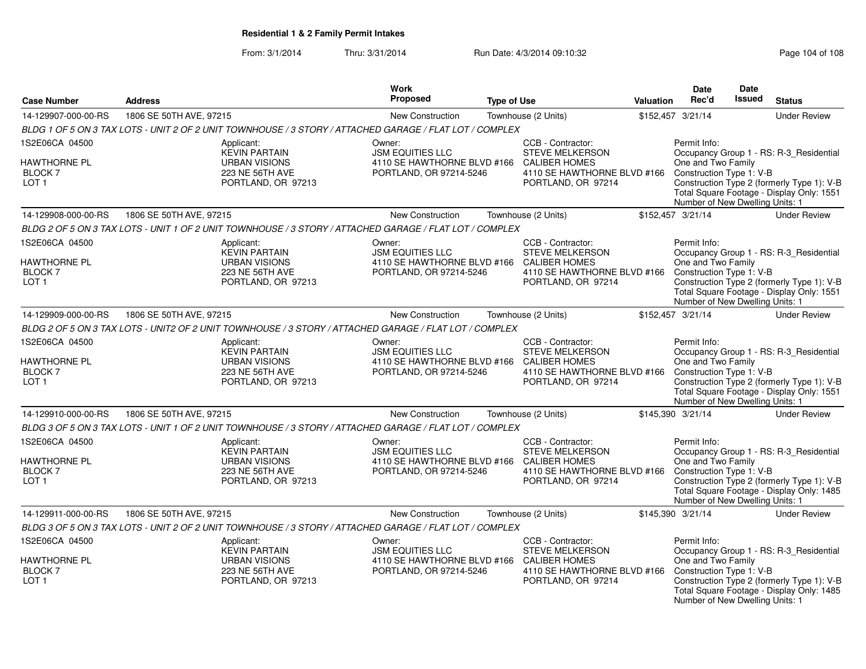From: 3/1/2014Thru: 3/31/2014 Run Date: 4/3/2014 09:10:32 Research 2010 Rage 104 of 108

| <b>Case Number</b>                                                              | <b>Address</b>          |                                                                                                         | Work<br>Proposed                                                                                          | <b>Type of Use</b> |                                                                                                                          | <b>Valuation</b> | <b>Date</b><br>Rec'd                                                                              | <b>Date</b><br><b>Issued</b> | <b>Status</b>                                                                                                                      |
|---------------------------------------------------------------------------------|-------------------------|---------------------------------------------------------------------------------------------------------|-----------------------------------------------------------------------------------------------------------|--------------------|--------------------------------------------------------------------------------------------------------------------------|------------------|---------------------------------------------------------------------------------------------------|------------------------------|------------------------------------------------------------------------------------------------------------------------------------|
| 14-129907-000-00-RS                                                             | 1806 SE 50TH AVE, 97215 |                                                                                                         | <b>New Construction</b>                                                                                   |                    | Townhouse (2 Units)                                                                                                      |                  | \$152,457 3/21/14                                                                                 |                              | <b>Under Review</b>                                                                                                                |
|                                                                                 |                         | BLDG 1 OF 5 ON 3 TAX LOTS - UNIT 2 OF 2 UNIT TOWNHOUSE / 3 STORY / ATTACHED GARAGE / FLAT LOT / COMPLEX |                                                                                                           |                    |                                                                                                                          |                  |                                                                                                   |                              |                                                                                                                                    |
| 1S2E06CA 04500                                                                  |                         | Applicant:                                                                                              | Owner:                                                                                                    |                    | CCB - Contractor:                                                                                                        |                  | Permit Info:                                                                                      |                              |                                                                                                                                    |
| <b>HAWTHORNE PL</b><br>BLOCK <sub>7</sub><br>LOT <sub>1</sub>                   |                         | <b>KEVIN PARTAIN</b><br><b>URBAN VISIONS</b><br>223 NE 56TH AVE<br>PORTLAND, OR 97213                   | <b>JSM EQUITIES LLC</b><br>4110 SE HAWTHORNE BLVD #166<br>PORTLAND, OR 97214-5246                         |                    | <b>STEVE MELKERSON</b><br><b>CALIBER HOMES</b><br>4110 SE HAWTHORNE BLVD #166<br>PORTLAND, OR 97214                      |                  | One and Two Family<br>Construction Type 1: V-B<br>Number of New Dwelling Units: 1                 |                              | Occupancy Group 1 - RS: R-3_Residential<br>Construction Type 2 (formerly Type 1): V-B<br>Total Square Footage - Display Only: 1551 |
| 14-129908-000-00-RS                                                             | 1806 SE 50TH AVE, 97215 |                                                                                                         | New Construction                                                                                          |                    | Townhouse (2 Units)                                                                                                      |                  | \$152,457 3/21/14                                                                                 |                              | <b>Under Review</b>                                                                                                                |
|                                                                                 |                         | BLDG 2 OF 5 ON 3 TAX LOTS - UNIT 1 OF 2 UNIT TOWNHOUSE / 3 STORY / ATTACHED GARAGE / FLAT LOT / COMPLEX |                                                                                                           |                    |                                                                                                                          |                  |                                                                                                   |                              |                                                                                                                                    |
| 1S2E06CA 04500<br>HAWTHORNE PL<br>BLOCK 7<br>LOT <sub>1</sub>                   |                         | Applicant:<br><b>KEVIN PARTAIN</b><br><b>URBAN VISIONS</b><br>223 NE 56TH AVE<br>PORTLAND, OR 97213     | Owner:<br><b>JSM EQUITIES LLC</b><br>4110 SE HAWTHORNE BLVD #166 CALIBER HOMES<br>PORTLAND, OR 97214-5246 |                    | CCB - Contractor:<br><b>STEVE MELKERSON</b><br>4110 SE HAWTHORNE BLVD #166<br>PORTLAND, OR 97214                         |                  | Permit Info:<br>One and Two Family<br>Construction Type 1: V-B<br>Number of New Dwelling Units: 1 |                              | Occupancy Group 1 - RS: R-3_Residential<br>Construction Type 2 (formerly Type 1): V-B<br>Total Square Footage - Display Only: 1551 |
| 14-129909-000-00-RS                                                             | 1806 SE 50TH AVE, 97215 |                                                                                                         | <b>New Construction</b>                                                                                   |                    | Townhouse (2 Units)                                                                                                      |                  | \$152,457 3/21/14                                                                                 |                              | <b>Under Review</b>                                                                                                                |
|                                                                                 |                         | BLDG 2 OF 5 ON 3 TAX LOTS - UNIT2 OF 2 UNIT TOWNHOUSE / 3 STORY / ATTACHED GARAGE / FLAT LOT / COMPLEX  |                                                                                                           |                    |                                                                                                                          |                  |                                                                                                   |                              |                                                                                                                                    |
| 1S2E06CA 04500<br><b>HAWTHORNE PL</b><br><b>BLOCK7</b><br>LOT <sub>1</sub>      |                         | Applicant:<br><b>KEVIN PARTAIN</b><br><b>URBAN VISIONS</b><br>223 NE 56TH AVE<br>PORTLAND, OR 97213     | Owner:<br><b>JSM EQUITIES LLC</b><br>4110 SE HAWTHORNE BLVD #166<br>PORTLAND, OR 97214-5246               |                    | CCB - Contractor:<br><b>STEVE MELKERSON</b><br><b>CALIBER HOMES</b><br>4110 SE HAWTHORNE BLVD #166<br>PORTLAND, OR 97214 |                  | Permit Info:<br>One and Two Family<br>Construction Type 1: V-B<br>Number of New Dwelling Units: 1 |                              | Occupancy Group 1 - RS: R-3_Residential<br>Construction Type 2 (formerly Type 1): V-B<br>Total Square Footage - Display Only: 1551 |
| 14-129910-000-00-RS                                                             | 1806 SE 50TH AVE, 97215 |                                                                                                         | <b>New Construction</b>                                                                                   |                    | Townhouse (2 Units)                                                                                                      |                  | \$145,390 3/21/14                                                                                 |                              | <b>Under Review</b>                                                                                                                |
|                                                                                 |                         | BLDG 3 OF 5 ON 3 TAX LOTS - UNIT 1 OF 2 UNIT TOWNHOUSE / 3 STORY / ATTACHED GARAGE / FLAT LOT / COMPLEX |                                                                                                           |                    |                                                                                                                          |                  |                                                                                                   |                              |                                                                                                                                    |
| 1S2E06CA 04500<br><b>HAWTHORNE PL</b><br>BLOCK <sub>7</sub><br>LOT <sub>1</sub> |                         | Applicant:<br><b>KEVIN PARTAIN</b><br><b>URBAN VISIONS</b><br>223 NE 56TH AVE<br>PORTLAND, OR 97213     | Owner:<br><b>JSM EQUITIES LLC</b><br>4110 SE HAWTHORNE BLVD #166 CALIBER HOMES<br>PORTLAND, OR 97214-5246 |                    | CCB - Contractor:<br><b>STEVE MELKERSON</b><br>4110 SE HAWTHORNE BLVD #166<br>PORTLAND, OR 97214                         |                  | Permit Info:<br>One and Two Family<br>Construction Type 1: V-B<br>Number of New Dwelling Units: 1 |                              | Occupancy Group 1 - RS: R-3_Residential<br>Construction Type 2 (formerly Type 1): V-B<br>Total Square Footage - Display Only: 1485 |
| 14-129911-000-00-RS                                                             | 1806 SE 50TH AVE, 97215 |                                                                                                         | <b>New Construction</b>                                                                                   |                    | Townhouse (2 Units)                                                                                                      |                  | \$145,390 3/21/14                                                                                 |                              | <b>Under Review</b>                                                                                                                |
|                                                                                 |                         | BLDG 3 OF 5 ON 3 TAX LOTS - UNIT 2 OF 2 UNIT TOWNHOUSE / 3 STORY / ATTACHED GARAGE / FLAT LOT / COMPLEX |                                                                                                           |                    |                                                                                                                          |                  |                                                                                                   |                              |                                                                                                                                    |
| 1S2E06CA 04500<br><b>HAWTHORNE PL</b><br><b>BLOCK7</b><br>LOT <sub>1</sub>      |                         | Applicant:<br><b>KEVIN PARTAIN</b><br><b>URBAN VISIONS</b><br>223 NE 56TH AVE<br>PORTLAND, OR 97213     | Owner:<br><b>JSM EQUITIES LLC</b><br>4110 SE HAWTHORNE BLVD #166 CALIBER HOMES<br>PORTLAND, OR 97214-5246 |                    | CCB - Contractor:<br><b>STEVE MELKERSON</b><br>4110 SE HAWTHORNE BLVD #166<br>PORTLAND, OR 97214                         |                  | Permit Info:<br>One and Two Family<br>Construction Type 1: V-B<br>Number of New Dwelling Units: 1 |                              | Occupancy Group 1 - RS: R-3_Residential<br>Construction Type 2 (formerly Type 1): V-B<br>Total Square Footage - Display Only: 1485 |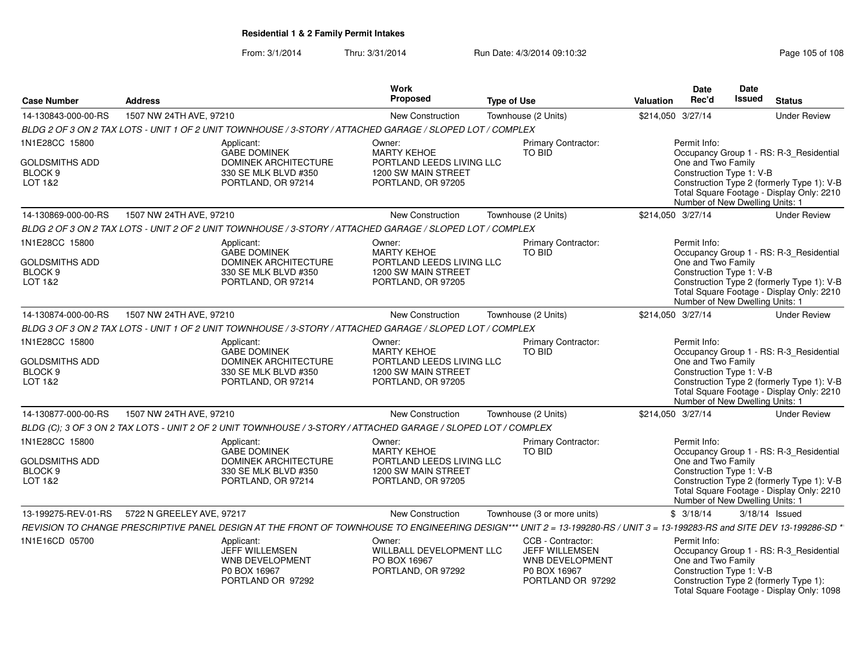From: 3/1/2014Thru: 3/31/2014 Run Date: 4/3/2014 09:10:32 Research 2010 Rage 105 of 108

| <b>Case Number</b>                                                       | <b>Address</b>            |                                                                                                                                                                           | Work<br>Proposed                                                                                       | <b>Type of Use</b> |                                                                                                    | Valuation         | <b>Date</b><br>Rec'd                                                                              | <b>Date</b><br><b>Issued</b> | <b>Status</b>                                                                                                                      |
|--------------------------------------------------------------------------|---------------------------|---------------------------------------------------------------------------------------------------------------------------------------------------------------------------|--------------------------------------------------------------------------------------------------------|--------------------|----------------------------------------------------------------------------------------------------|-------------------|---------------------------------------------------------------------------------------------------|------------------------------|------------------------------------------------------------------------------------------------------------------------------------|
| 14-130843-000-00-RS                                                      | 1507 NW 24TH AVE, 97210   |                                                                                                                                                                           | <b>New Construction</b>                                                                                |                    | Townhouse (2 Units)                                                                                | \$214,050 3/27/14 |                                                                                                   |                              | <b>Under Review</b>                                                                                                                |
|                                                                          |                           | BLDG 2 OF 3 ON 2 TAX LOTS - UNIT 1 OF 2 UNIT TOWNHOUSE / 3-STORY / ATTACHED GARAGE / SLOPED LOT / COMPLEX                                                                 |                                                                                                        |                    |                                                                                                    |                   |                                                                                                   |                              |                                                                                                                                    |
| 1N1E28CC 15800                                                           |                           | Applicant:                                                                                                                                                                | Owner:                                                                                                 |                    | Primary Contractor:                                                                                |                   | Permit Info:                                                                                      |                              |                                                                                                                                    |
| GOLDSMITHS ADD<br>BLOCK <sub>9</sub><br>LOT 1&2                          |                           | <b>GABE DOMINEK</b><br><b>DOMINEK ARCHITECTURE</b><br>330 SE MLK BLVD #350<br>PORTLAND, OR 97214                                                                          | <b>MARTY KEHOE</b><br>PORTLAND LEEDS LIVING LLC<br>1200 SW MAIN STREET<br>PORTLAND, OR 97205           |                    | <b>TO BID</b>                                                                                      |                   | One and Two Family<br>Construction Type 1: V-B<br>Number of New Dwelling Units: 1                 |                              | Occupancy Group 1 - RS: R-3_Residential<br>Construction Type 2 (formerly Type 1): V-B<br>Total Square Footage - Display Only: 2210 |
| 14-130869-000-00-RS                                                      | 1507 NW 24TH AVE, 97210   |                                                                                                                                                                           | <b>New Construction</b>                                                                                |                    | Townhouse (2 Units)                                                                                | \$214,050 3/27/14 |                                                                                                   |                              | <b>Under Review</b>                                                                                                                |
|                                                                          |                           | BLDG 2 OF 3 ON 2 TAX LOTS - UNIT 2 OF 2 UNIT TOWNHOUSE / 3-STORY / ATTACHED GARAGE / SLOPED LOT / COMPLEX                                                                 |                                                                                                        |                    |                                                                                                    |                   |                                                                                                   |                              |                                                                                                                                    |
| 1N1E28CC 15800<br><b>GOLDSMITHS ADD</b><br>BLOCK <sub>9</sub><br>LOT 1&2 |                           | Applicant:<br><b>GABE DOMINEK</b><br><b>DOMINEK ARCHITECTURE</b><br>330 SE MLK BLVD #350<br>PORTLAND, OR 97214                                                            | Owner:<br><b>MARTY KEHOE</b><br>PORTLAND LEEDS LIVING LLC<br>1200 SW MAIN STREET<br>PORTLAND, OR 97205 |                    | Primary Contractor:<br>TO BID                                                                      |                   | Permit Info:<br>One and Two Family<br>Construction Type 1: V-B<br>Number of New Dwelling Units: 1 |                              | Occupancy Group 1 - RS: R-3 Residential<br>Construction Type 2 (formerly Type 1): V-B<br>Total Square Footage - Display Only: 2210 |
| 14-130874-000-00-RS                                                      | 1507 NW 24TH AVE, 97210   |                                                                                                                                                                           | <b>New Construction</b>                                                                                |                    | Townhouse (2 Units)                                                                                | \$214,050 3/27/14 |                                                                                                   |                              | <b>Under Review</b>                                                                                                                |
|                                                                          |                           | BLDG 3 OF 3 ON 2 TAX LOTS - UNIT 1 OF 2 UNIT TOWNHOUSE / 3-STORY / ATTACHED GARAGE / SLOPED LOT / COMPLEX                                                                 |                                                                                                        |                    |                                                                                                    |                   |                                                                                                   |                              |                                                                                                                                    |
| 1N1E28CC 15800<br>GOLDSMITHS ADD<br>BLOCK <sub>9</sub><br>LOT 1&2        |                           | Applicant:<br><b>GABE DOMINEK</b><br><b>DOMINEK ARCHITECTURE</b><br>330 SE MLK BLVD #350<br>PORTLAND, OR 97214                                                            | Owner:<br><b>MARTY KEHOE</b><br>PORTLAND LEEDS LIVING LLC<br>1200 SW MAIN STREET<br>PORTLAND, OR 97205 |                    | Primary Contractor:<br>TO BID                                                                      |                   | Permit Info:<br>One and Two Family<br>Construction Type 1: V-B<br>Number of New Dwelling Units: 1 |                              | Occupancy Group 1 - RS: R-3 Residential<br>Construction Type 2 (formerly Type 1): V-B<br>Total Square Footage - Display Only: 2210 |
| 14-130877-000-00-RS                                                      | 1507 NW 24TH AVE, 97210   |                                                                                                                                                                           | New Construction                                                                                       |                    | Townhouse (2 Units)                                                                                | \$214,050 3/27/14 |                                                                                                   |                              | <b>Under Review</b>                                                                                                                |
|                                                                          |                           | BLDG (C); 3 OF 3 ON 2 TAX LOTS - UNIT 2 OF 2 UNIT TOWNHOUSE / 3-STORY / ATTACHED GARAGE / SLOPED LOT / COMPLEX                                                            |                                                                                                        |                    |                                                                                                    |                   |                                                                                                   |                              |                                                                                                                                    |
| 1N1E28CC 15800<br><b>GOLDSMITHS ADD</b><br>BLOCK <sub>9</sub><br>LOT 1&2 |                           | Applicant:<br><b>GABE DOMINEK</b><br>DOMINEK ARCHITECTURE<br>330 SE MLK BLVD #350<br>PORTLAND, OR 97214                                                                   | Owner:<br><b>MARTY KEHOE</b><br>PORTLAND LEEDS LIVING LLC<br>1200 SW MAIN STREET<br>PORTLAND, OR 97205 |                    | Primary Contractor:<br><b>TO BID</b>                                                               |                   | Permit Info:<br>One and Two Family<br>Construction Type 1: V-B<br>Number of New Dwelling Units: 1 |                              | Occupancy Group 1 - RS: R-3 Residential<br>Construction Type 2 (formerly Type 1): V-B<br>Total Square Footage - Display Only: 2210 |
| 13-199275-REV-01-RS                                                      | 5722 N GREELEY AVE, 97217 |                                                                                                                                                                           | New Construction                                                                                       |                    | Townhouse (3 or more units)                                                                        |                   | \$3/18/14                                                                                         |                              | 3/18/14 Issued                                                                                                                     |
|                                                                          |                           | REVISION TO CHANGE PRESCRIPTIVE PANEL DESIGN AT THE FRONT OF TOWNHOUSE TO ENGINEERING DESIGN*** UNIT 2 = 13-199280-RS / UNIT 3 = 13-199283-RS and SITE DEV 13-199286-SD * |                                                                                                        |                    |                                                                                                    |                   |                                                                                                   |                              |                                                                                                                                    |
| 1N1E16CD 05700                                                           |                           | Applicant:<br>JEFF WILLEMSEN<br>WNB DEVELOPMENT<br>P0 BOX 16967<br>PORTLAND OR 97292                                                                                      | Owner:<br>WILLBALL DEVELOPMENT LLC<br>PO BOX 16967<br>PORTLAND, OR 97292                               |                    | CCB - Contractor:<br><b>JEFF WILLEMSEN</b><br>WNB DEVELOPMENT<br>P0 BOX 16967<br>PORTLAND OR 97292 |                   | Permit Info:<br>One and Two Family<br>Construction Type 1: V-B                                    |                              | Occupancy Group 1 - RS: R-3_Residential<br>Construction Type 2 (formerly Type 1):<br>Total Square Footage - Display Only: 1098     |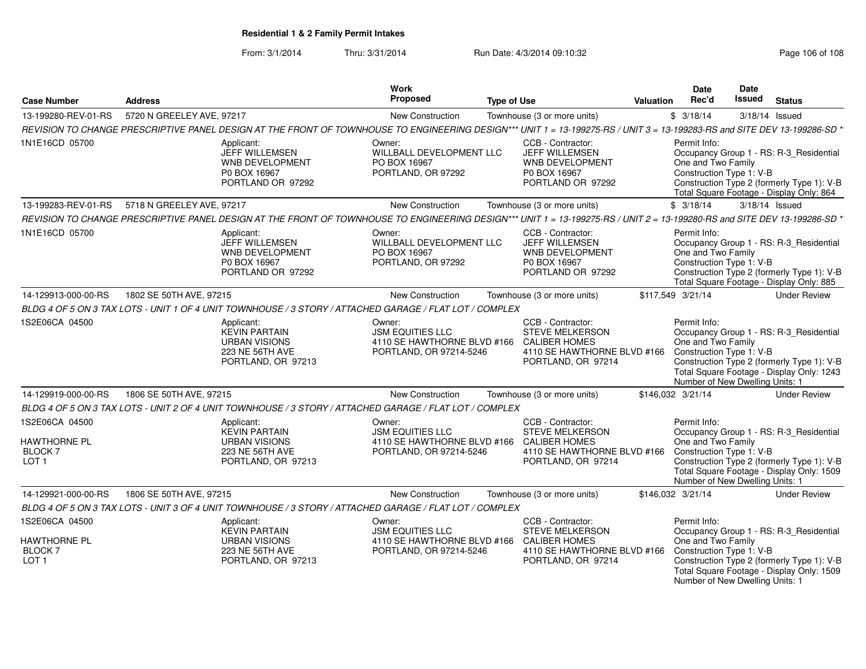From: 3/1/2014Thru: 3/31/2014 Run Date: 4/3/2014 09:10:32 Research 2010 Rage 106 of 108

|                                                                      |                                                                                                                                                                           | <b>Work</b>                                                                                 |                                                                                                                                               |                  | Date                                                                                              | <b>Date</b> |                                                                                                                                    |
|----------------------------------------------------------------------|---------------------------------------------------------------------------------------------------------------------------------------------------------------------------|---------------------------------------------------------------------------------------------|-----------------------------------------------------------------------------------------------------------------------------------------------|------------------|---------------------------------------------------------------------------------------------------|-------------|------------------------------------------------------------------------------------------------------------------------------------|
| <b>Case Number</b>                                                   | <b>Address</b>                                                                                                                                                            | Proposed                                                                                    | <b>Type of Use</b>                                                                                                                            | <b>Valuation</b> | Rec'd                                                                                             | Issued      | <b>Status</b>                                                                                                                      |
| 13-199280-REV-01-RS                                                  | 5720 N GREELEY AVE, 97217                                                                                                                                                 | New Construction                                                                            | Townhouse (3 or more units)                                                                                                                   |                  | \$3/18/14                                                                                         |             | 3/18/14 Issued                                                                                                                     |
|                                                                      | REVISION TO CHANGE PRESCRIPTIVE PANEL DESIGN AT THE FRONT OF TOWNHOUSE TO ENGINEERING DESIGN*** UNIT 1 = 13-199275-RS / UNIT 3 = 13-199283-RS and SITE DEV 13-199286-SD * |                                                                                             |                                                                                                                                               |                  |                                                                                                   |             |                                                                                                                                    |
| 1N1E16CD 05700                                                       | Applicant:<br>JEFF WILLEMSEN<br><b>WNB DEVELOPMENT</b><br>P0 BOX 16967<br>PORTLAND OR 97292                                                                               | Owner:<br>WILLBALL DEVELOPMENT LLC<br>PO BOX 16967<br>PORTLAND, OR 97292                    | CCB - Contractor:<br>JEFF WILLEMSEN<br><b>WNB DEVELOPMENT</b><br>P0 BOX 16967<br>PORTLAND OR 97292                                            |                  | Permit Info:<br>One and Two Family<br>Construction Type 1: V-B                                    |             | Occupancy Group 1 - RS: R-3_Residential<br>Construction Type 2 (formerly Type 1): V-B<br>Total Square Footage - Display Only: 864  |
| 13-199283-REV-01-RS                                                  | 5718 N GREELEY AVE, 97217                                                                                                                                                 | New Construction                                                                            | Townhouse (3 or more units)                                                                                                                   |                  | \$3/18/14                                                                                         |             | 3/18/14 Issued                                                                                                                     |
|                                                                      | REVISION TO CHANGE PRESCRIPTIVE PANEL DESIGN AT THE FRONT OF TOWNHOUSE TO ENGINEERING DESIGN*** UNIT 1 = 13-199275-RS / UNIT 2 = 13-199280-RS and SITE DEV 13-199286-SD * |                                                                                             |                                                                                                                                               |                  |                                                                                                   |             |                                                                                                                                    |
| 1N1E16CD 05700                                                       | Applicant:<br><b>JEFF WILLEMSEN</b><br><b>WNB DEVELOPMENT</b><br>P0 BOX 16967<br>PORTLAND OR 97292                                                                        | Owner:<br>WILLBALL DEVELOPMENT LLC<br>PO BOX 16967<br>PORTLAND, OR 97292                    | CCB - Contractor:<br><b>JEFF WILLEMSEN</b><br><b>WNB DEVELOPMENT</b><br>P0 BOX 16967<br>PORTLAND OR 97292                                     |                  | Permit Info:<br>One and Two Family<br>Construction Type 1: V-B                                    |             | Occupancy Group 1 - RS: R-3_Residential<br>Construction Type 2 (formerly Type 1): V-B<br>Total Square Footage - Display Only: 885  |
| 14-129913-000-00-RS                                                  | 1802 SE 50TH AVE, 97215                                                                                                                                                   | New Construction                                                                            | Townhouse (3 or more units)                                                                                                                   |                  | \$117,549 3/21/14                                                                                 |             | <b>Under Review</b>                                                                                                                |
|                                                                      | BLDG 4 OF 5 ON 3 TAX LOTS - UNIT 1 OF 4 UNIT TOWNHOUSE / 3 STORY / ATTACHED GARAGE / FLAT LOT / COMPLEX                                                                   |                                                                                             |                                                                                                                                               |                  |                                                                                                   |             |                                                                                                                                    |
| 1S2E06CA 04500                                                       | Applicant:<br><b>KEVIN PARTAIN</b><br><b>URBAN VISIONS</b><br><b>223 NE 56TH AVE</b><br>PORTLAND, OR 97213                                                                | Owner:<br><b>JSM EQUITIES LLC</b><br>PORTLAND, OR 97214-5246                                | CCB - Contractor:<br><b>STEVE MELKERSON</b><br>4110 SE HAWTHORNE BLVD #166 CALIBER HOMES<br>4110 SE HAWTHORNE BLVD #166<br>PORTLAND, OR 97214 |                  | Permit Info:<br>One and Two Family<br>Construction Type 1: V-B<br>Number of New Dwelling Units: 1 |             | Occupancy Group 1 - RS: R-3_Residential<br>Construction Type 2 (formerly Type 1): V-B<br>Total Square Footage - Display Only: 1243 |
| 14-129919-000-00-RS                                                  | 1806 SE 50TH AVE, 97215                                                                                                                                                   | New Construction                                                                            | Townhouse (3 or more units)                                                                                                                   |                  | \$146,032 3/21/14                                                                                 |             | <b>Under Review</b>                                                                                                                |
|                                                                      | BLDG 4 OF 5 ON 3 TAX LOTS - UNIT 2 OF 4 UNIT TOWNHOUSE / 3 STORY / ATTACHED GARAGE / FLAT LOT / COMPLEX                                                                   |                                                                                             |                                                                                                                                               |                  |                                                                                                   |             |                                                                                                                                    |
| 1S2E06CA 04500<br><b>HAWTHORNE PL</b><br>BLOCK 7<br>LOT <sub>1</sub> | Applicant:<br><b>KEVIN PARTAIN</b><br><b>URBAN VISIONS</b><br>223 NE 56TH AVE<br>PORTLAND, OR 97213                                                                       | Owner:<br><b>JSM EQUITIES LLC</b><br>4110 SE HAWTHORNE BLVD #166<br>PORTLAND, OR 97214-5246 | CCB - Contractor:<br><b>STEVE MELKERSON</b><br><b>CALIBER HOMES</b><br>4110 SE HAWTHORNE BLVD #166<br>PORTLAND, OR 97214                      |                  | Permit Info:<br>One and Two Family<br>Construction Type 1: V-B<br>Number of New Dwelling Units: 1 |             | Occupancy Group 1 - RS: R-3_Residential<br>Construction Type 2 (formerly Type 1): V-B<br>Total Square Footage - Display Only: 1509 |
| 14-129921-000-00-RS                                                  | 1806 SE 50TH AVE, 97215                                                                                                                                                   | <b>New Construction</b>                                                                     | Townhouse (3 or more units)                                                                                                                   |                  | \$146.032 3/21/14                                                                                 |             | <b>Under Review</b>                                                                                                                |
|                                                                      | BLDG 4 OF 5 ON 3 TAX LOTS - UNIT 3 OF 4 UNIT TOWNHOUSE / 3 STORY / ATTACHED GARAGE / FLAT LOT / COMPLEX                                                                   |                                                                                             |                                                                                                                                               |                  |                                                                                                   |             |                                                                                                                                    |
| 1S2E06CA 04500<br>HAWTHORNE PL<br><b>BLOCK7</b><br>LOT <sub>1</sub>  | Applicant:<br><b>KEVIN PARTAIN</b><br><b>URBAN VISIONS</b><br>223 NE 56TH AVE<br>PORTLAND, OR 97213                                                                       | Owner:<br><b>JSM EQUITIES LLC</b><br>4110 SE HAWTHORNE BLVD #166<br>PORTLAND, OR 97214-5246 | CCB - Contractor:<br><b>STEVE MELKERSON</b><br><b>CALIBER HOMES</b><br>4110 SE HAWTHORNE BLVD #166<br>PORTLAND, OR 97214                      |                  | Permit Info:<br>One and Two Family<br>Construction Type 1: V-B<br>Number of New Dwelling Units: 1 |             | Occupancy Group 1 - RS: R-3_Residential<br>Construction Type 2 (formerly Type 1): V-B<br>Total Square Footage - Display Only: 1509 |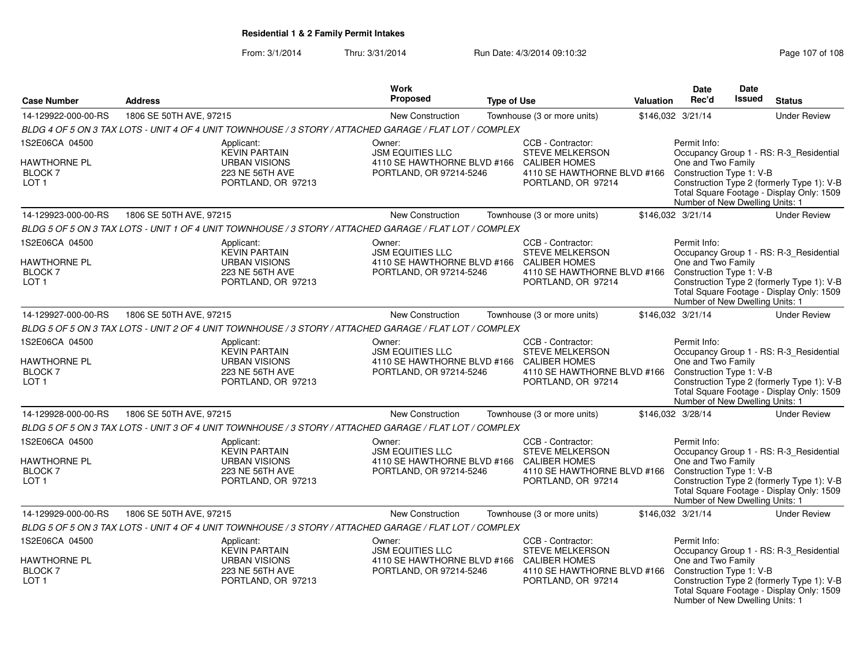From: 3/1/2014Thru: 3/31/2014 Run Date: 4/3/2014 09:10:32 Research 2010 Rage 107 of 108

|                                                                            |                                                                                                         | Work                                                                                        |                                                                                                                                                   |           | <b>Date</b>                                                                                       | Date          |                                                                                                                                    |
|----------------------------------------------------------------------------|---------------------------------------------------------------------------------------------------------|---------------------------------------------------------------------------------------------|---------------------------------------------------------------------------------------------------------------------------------------------------|-----------|---------------------------------------------------------------------------------------------------|---------------|------------------------------------------------------------------------------------------------------------------------------------|
| <b>Case Number</b>                                                         | <b>Address</b>                                                                                          | Proposed                                                                                    | <b>Type of Use</b>                                                                                                                                | Valuation | Rec'd                                                                                             | <b>Issued</b> | <b>Status</b>                                                                                                                      |
| 14-129922-000-00-RS                                                        | 1806 SE 50TH AVE, 97215                                                                                 | New Construction                                                                            | Townhouse (3 or more units)                                                                                                                       |           | \$146,032 3/21/14                                                                                 |               | <b>Under Review</b>                                                                                                                |
|                                                                            | BLDG 4 OF 5 ON 3 TAX LOTS - UNIT 4 OF 4 UNIT TOWNHOUSE / 3 STORY / ATTACHED GARAGE / FLAT LOT / COMPLEX |                                                                                             |                                                                                                                                                   |           |                                                                                                   |               |                                                                                                                                    |
| 1S2E06CA 04500<br>HAWTHORNE PL<br>BLOCK 7<br>LOT <sub>1</sub>              | Applicant:<br><b>KEVIN PARTAIN</b><br><b>URBAN VISIONS</b><br>223 NE 56TH AVE<br>PORTLAND, OR 97213     | Owner:<br><b>JSM EQUITIES LLC</b><br>4110 SE HAWTHORNE BLVD #166<br>PORTLAND, OR 97214-5246 | CCB - Contractor:<br><b>STEVE MELKERSON</b><br><b>CALIBER HOMES</b><br>4110 SE HAWTHORNE BLVD #166 Construction Type 1: V-B<br>PORTLAND, OR 97214 |           | Permit Info:<br>One and Two Family<br>Number of New Dwelling Units: 1                             |               | Occupancy Group 1 - RS: R-3_Residential<br>Construction Type 2 (formerly Type 1): V-B<br>Total Square Footage - Display Only: 1509 |
| 14-129923-000-00-RS                                                        | 1806 SE 50TH AVE, 97215                                                                                 | <b>New Construction</b>                                                                     | Townhouse (3 or more units)                                                                                                                       |           | \$146,032 3/21/14                                                                                 |               | <b>Under Review</b>                                                                                                                |
|                                                                            | BLDG 5 OF 5 ON 3 TAX LOTS - UNIT 1 OF 4 UNIT TOWNHOUSE / 3 STORY / ATTACHED GARAGE / FLAT LOT / COMPLEX |                                                                                             |                                                                                                                                                   |           |                                                                                                   |               |                                                                                                                                    |
| 1S2E06CA 04500<br>HAWTHORNE PL<br>BLOCK 7<br>LOT <sub>1</sub>              | Applicant:<br><b>KEVIN PARTAIN</b><br><b>URBAN VISIONS</b><br>223 NE 56TH AVE<br>PORTLAND, OR 97213     | Owner:<br><b>JSM EQUITIES LLC</b><br>4110 SE HAWTHORNE BLVD #166<br>PORTLAND, OR 97214-5246 | CCB - Contractor:<br><b>STEVE MELKERSON</b><br><b>CALIBER HOMES</b><br>4110 SE HAWTHORNE BLVD #166<br>PORTLAND, OR 97214                          |           | Permit Info:<br>One and Two Family<br>Construction Type 1: V-B<br>Number of New Dwelling Units: 1 |               | Occupancy Group 1 - RS: R-3_Residential<br>Construction Type 2 (formerly Type 1): V-B<br>Total Square Footage - Display Only: 1509 |
| 14-129927-000-00-RS                                                        | 1806 SE 50TH AVE, 97215                                                                                 | <b>New Construction</b>                                                                     | Townhouse (3 or more units)                                                                                                                       |           | \$146,032 3/21/14                                                                                 |               | <b>Under Review</b>                                                                                                                |
|                                                                            | BLDG 5 OF 5 ON 3 TAX LOTS - UNIT 2 OF 4 UNIT TOWNHOUSE / 3 STORY / ATTACHED GARAGE / FLAT LOT / COMPLEX |                                                                                             |                                                                                                                                                   |           |                                                                                                   |               |                                                                                                                                    |
| 1S2E06CA 04500<br>HAWTHORNE PL<br>BLOCK 7<br>LOT <sub>1</sub>              | Applicant:<br><b>KEVIN PARTAIN</b><br><b>URBAN VISIONS</b><br>223 NE 56TH AVE<br>PORTLAND, OR 97213     | Owner:<br><b>JSM EQUITIES LLC</b><br>4110 SE HAWTHORNE BLVD #166<br>PORTLAND, OR 97214-5246 | CCB - Contractor:<br><b>STEVE MELKERSON</b><br><b>CALIBER HOMES</b><br>4110 SE HAWTHORNE BLVD #166<br>PORTLAND, OR 97214                          |           | Permit Info:<br>One and Two Family<br>Construction Type 1: V-B<br>Number of New Dwelling Units: 1 |               | Occupancy Group 1 - RS: R-3 Residential<br>Construction Type 2 (formerly Type 1): V-B<br>Total Square Footage - Display Only: 1509 |
| 14-129928-000-00-RS                                                        | 1806 SE 50TH AVE, 97215                                                                                 | New Construction                                                                            | Townhouse (3 or more units)                                                                                                                       |           | \$146,032 3/28/14                                                                                 |               | <b>Under Review</b>                                                                                                                |
|                                                                            | BLDG 5 OF 5 ON 3 TAX LOTS - UNIT 3 OF 4 UNIT TOWNHOUSE / 3 STORY / ATTACHED GARAGE / FLAT LOT / COMPLEX |                                                                                             |                                                                                                                                                   |           |                                                                                                   |               |                                                                                                                                    |
| 1S2E06CA 04500<br>HAWTHORNE PL<br><b>BLOCK7</b><br>LOT <sub>1</sub>        | Applicant:<br><b>KEVIN PARTAIN</b><br><b>URBAN VISIONS</b><br>223 NE 56TH AVE<br>PORTLAND, OR 97213     | Owner:<br><b>JSM EQUITIES LLC</b><br>4110 SE HAWTHORNE BLVD #166<br>PORTLAND, OR 97214-5246 | CCB - Contractor:<br><b>STEVE MELKERSON</b><br><b>CALIBER HOMES</b><br>4110 SE HAWTHORNE BLVD #166 Construction Type 1: V-B<br>PORTLAND, OR 97214 |           | Permit Info:<br>One and Two Family<br>Number of New Dwelling Units: 1                             |               | Occupancy Group 1 - RS: R-3_Residential<br>Construction Type 2 (formerly Type 1): V-B<br>Total Square Footage - Display Only: 1509 |
| 14-129929-000-00-RS                                                        | 1806 SE 50TH AVE, 97215                                                                                 | <b>New Construction</b>                                                                     | Townhouse (3 or more units)                                                                                                                       |           | \$146,032 3/21/14                                                                                 |               | <b>Under Review</b>                                                                                                                |
|                                                                            | BLDG 5 OF 5 ON 3 TAX LOTS - UNIT 4 OF 4 UNIT TOWNHOUSE / 3 STORY / ATTACHED GARAGE / FLAT LOT / COMPLEX |                                                                                             |                                                                                                                                                   |           |                                                                                                   |               |                                                                                                                                    |
| 1S2E06CA 04500<br><b>HAWTHORNE PL</b><br><b>BLOCK7</b><br>LOT <sub>1</sub> | Applicant:<br><b>KEVIN PARTAIN</b><br><b>URBAN VISIONS</b><br>223 NE 56TH AVE<br>PORTLAND, OR 97213     | Owner:<br><b>JSM EQUITIES LLC</b><br>4110 SE HAWTHORNE BLVD #166<br>PORTLAND, OR 97214-5246 | CCB - Contractor:<br><b>STEVE MELKERSON</b><br><b>CALIBER HOMES</b><br>4110 SE HAWTHORNE BLVD #166<br>PORTLAND, OR 97214                          |           | Permit Info:<br>One and Two Family<br>Construction Type 1: V-B<br>Number of New Dwelling Units: 1 |               | Occupancy Group 1 - RS: R-3_Residential<br>Construction Type 2 (formerly Type 1): V-B<br>Total Square Footage - Display Only: 1509 |